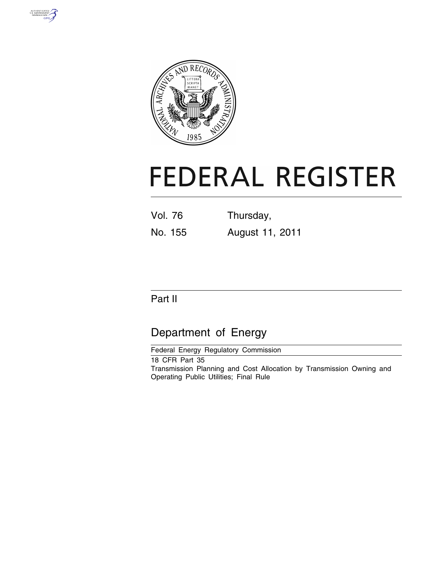



# **FEDERAL REGISTER**

Vol. 76 Thursday, No. 155 August 11, 2011

# Part II

# Department of Energy

Federal Energy Regulatory Commission

18 CFR Part 35 Transmission Planning and Cost Allocation by Transmission Owning and Operating Public Utilities; Final Rule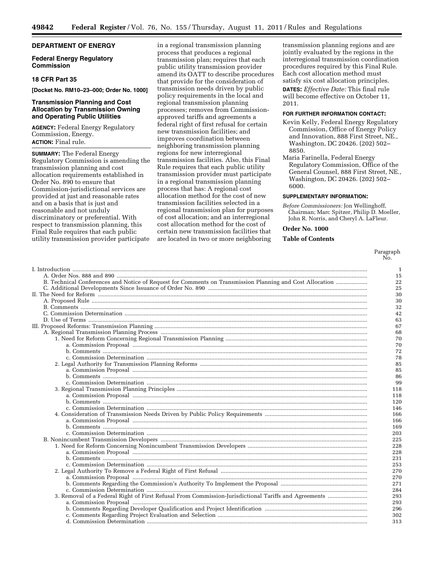# **DEPARTMENT OF ENERGY**

# **Federal Energy Regulatory Commission**

# **18 CFR Part 35**

**[Docket No. RM10–23–000; Order No. 1000]** 

# **Transmission Planning and Cost Allocation by Transmission Owning and Operating Public Utilities**

**AGENCY:** Federal Energy Regulatory Commission, Energy. **ACTION:** Final rule.

**SUMMARY:** The Federal Energy Regulatory Commission is amending the transmission planning and cost allocation requirements established in Order No. 890 to ensure that Commission-jurisdictional services are provided at just and reasonable rates and on a basis that is just and reasonable and not unduly discriminatory or preferential. With respect to transmission planning, this Final Rule requires that each public utility transmission provider participate

in a regional transmission planning process that produces a regional transmission plan; requires that each public utility transmission provider amend its OATT to describe procedures that provide for the consideration of transmission needs driven by public policy requirements in the local and regional transmission planning processes; removes from Commissionapproved tariffs and agreements a federal right of first refusal for certain new transmission facilities; and improves coordination between neighboring transmission planning regions for new interregional transmission facilities. Also, this Final Rule requires that each public utility transmission provider must participate in a regional transmission planning process that has: A regional cost allocation method for the cost of new transmission facilities selected in a regional transmission plan for purposes of cost allocation; and an interregional cost allocation method for the cost of certain new transmission facilities that are located in two or more neighboring

transmission planning regions and are jointly evaluated by the regions in the interregional transmission coordination procedures required by this Final Rule. Each cost allocation method must satisfy six cost allocation principles. **DATES:** *Effective Date:* This final rule will become effective on October 11, 2011.

#### **FOR FURTHER INFORMATION CONTACT:**

- Kevin Kelly, Federal Energy Regulatory Commission, Office of Energy Policy and Innovation, 888 First Street, NE., Washington, DC 20426. (202) 502– 8850.
- Maria Farinella, Federal Energy Regulatory Commission, Office of the General Counsel, 888 First Street, NE., Washington, DC 20426. (202) 502– 6000.

#### **SUPPLEMENTARY INFORMATION:**

*Before Commissioners:* Jon Wellinghoff, Chairman; Marc Spitzer, Philip D. Moeller, John R. Norris, and Cheryl A. LaFleur.

# **Order No. 1000**

# **Table of Contents**

Paragraph No.

|                                                                                                          | $\mathbf{1}$ |
|----------------------------------------------------------------------------------------------------------|--------------|
|                                                                                                          | 15           |
| B. Technical Conferences and Notice of Request for Comments on Transmission Planning and Cost Allocation | 22           |
|                                                                                                          | 25           |
|                                                                                                          | 30           |
|                                                                                                          | 30           |
|                                                                                                          | 32           |
|                                                                                                          | 42           |
|                                                                                                          | 63           |
|                                                                                                          | 67           |
|                                                                                                          | 68           |
|                                                                                                          |              |
|                                                                                                          | 70           |
|                                                                                                          | 70           |
|                                                                                                          | 72           |
|                                                                                                          | 78           |
|                                                                                                          | 85           |
|                                                                                                          | 85           |
|                                                                                                          | 86           |
|                                                                                                          | 99           |
|                                                                                                          | 118          |
|                                                                                                          | 118          |
|                                                                                                          | 120          |
|                                                                                                          | 146          |
|                                                                                                          | 166          |
|                                                                                                          | 166          |
|                                                                                                          | 169          |
|                                                                                                          | 203          |
|                                                                                                          | 225          |
|                                                                                                          | 228          |
|                                                                                                          | 228          |
|                                                                                                          | 231          |
|                                                                                                          | 253          |
|                                                                                                          | 270          |
|                                                                                                          | 270          |
|                                                                                                          | 271          |
|                                                                                                          | 284          |
|                                                                                                          | 293          |
|                                                                                                          | 293          |
|                                                                                                          | 296          |
|                                                                                                          | 302          |
|                                                                                                          | 313          |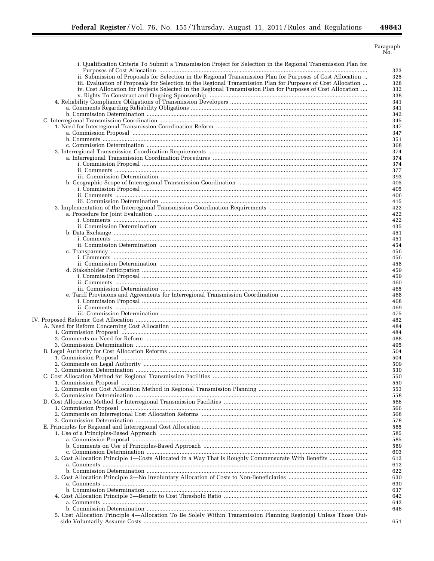=

 $\begin{array}{c}\text{Paragraph} \\ \text{No.} \end{array}$ 

| i. Qualification Criteria To Submit a Transmission Project for Selection in the Regional Transmission Plan for                           | 323        |
|------------------------------------------------------------------------------------------------------------------------------------------|------------|
| ii. Submission of Proposals for Selection in the Regional Transmission Plan for Purposes of Cost Allocation                              | 325        |
| iii. Evaluation of Proposals for Selection in the Regional Transmission Plan for Purposes of Cost Allocation                             | 328        |
| iv. Cost Allocation for Projects Selected in the Regional Transmission Plan for Purposes of Cost Allocation                              | 332        |
|                                                                                                                                          | 338        |
|                                                                                                                                          | 341        |
|                                                                                                                                          | 341        |
|                                                                                                                                          | 342        |
|                                                                                                                                          | 345        |
|                                                                                                                                          | 347        |
|                                                                                                                                          | 347<br>351 |
|                                                                                                                                          | 368        |
|                                                                                                                                          | 374        |
|                                                                                                                                          | 374        |
|                                                                                                                                          | 374        |
|                                                                                                                                          | 377        |
|                                                                                                                                          | 393        |
|                                                                                                                                          | 405        |
|                                                                                                                                          | 405        |
|                                                                                                                                          | 406        |
|                                                                                                                                          | 415<br>422 |
|                                                                                                                                          | 422        |
|                                                                                                                                          | 422        |
|                                                                                                                                          | 435        |
|                                                                                                                                          | 451        |
|                                                                                                                                          | 451        |
|                                                                                                                                          | 454        |
|                                                                                                                                          | 456        |
|                                                                                                                                          | 456        |
|                                                                                                                                          | 458        |
|                                                                                                                                          | 459<br>459 |
|                                                                                                                                          | 460        |
|                                                                                                                                          | 465        |
|                                                                                                                                          | 468        |
|                                                                                                                                          | 468        |
|                                                                                                                                          | 469        |
|                                                                                                                                          | 475        |
|                                                                                                                                          | 482        |
|                                                                                                                                          | 484        |
|                                                                                                                                          | 484<br>488 |
|                                                                                                                                          | 495        |
|                                                                                                                                          | 504        |
|                                                                                                                                          | 504        |
|                                                                                                                                          | 509        |
|                                                                                                                                          | 530        |
|                                                                                                                                          | 550        |
|                                                                                                                                          | 550        |
|                                                                                                                                          | 553        |
|                                                                                                                                          | 558        |
|                                                                                                                                          | 566        |
|                                                                                                                                          | 566        |
|                                                                                                                                          | 568<br>578 |
|                                                                                                                                          | 585        |
| 1. Use of a Principles-Based Approach manufactured and content and a principles-Based Approach manufactured and the set of a principles- | 585        |
|                                                                                                                                          | 585        |
|                                                                                                                                          | 589        |
|                                                                                                                                          | 603        |
|                                                                                                                                          | 612        |
|                                                                                                                                          | 612        |
|                                                                                                                                          | 622        |
|                                                                                                                                          | 630        |
|                                                                                                                                          | 630        |
|                                                                                                                                          | 637        |
|                                                                                                                                          | 642<br>642 |
|                                                                                                                                          | 646        |
| 5. Cost Allocation Principle 4—Allocation To Be Solely Within Transmission Planning Region(s) Unless Those Out-                          |            |
|                                                                                                                                          |            |
|                                                                                                                                          | 651        |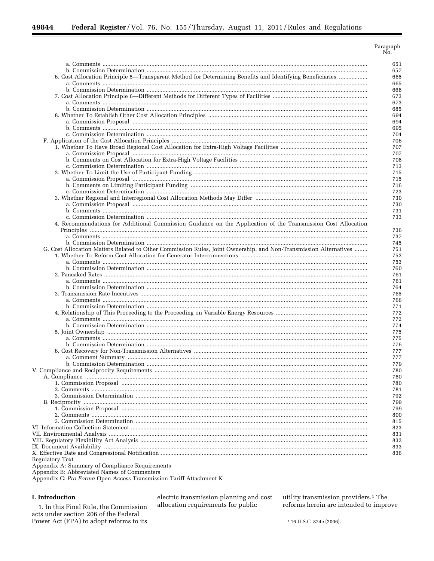| 6. Cost Allocation Principle 5—Transparent Method for Determining Benefits and Identifying Beneficiaries         |  |
|------------------------------------------------------------------------------------------------------------------|--|
|                                                                                                                  |  |
|                                                                                                                  |  |
|                                                                                                                  |  |
|                                                                                                                  |  |
|                                                                                                                  |  |
|                                                                                                                  |  |
|                                                                                                                  |  |
|                                                                                                                  |  |
|                                                                                                                  |  |
|                                                                                                                  |  |
|                                                                                                                  |  |
|                                                                                                                  |  |
|                                                                                                                  |  |
|                                                                                                                  |  |
|                                                                                                                  |  |
|                                                                                                                  |  |
|                                                                                                                  |  |
|                                                                                                                  |  |
|                                                                                                                  |  |
|                                                                                                                  |  |
|                                                                                                                  |  |
|                                                                                                                  |  |
|                                                                                                                  |  |
| 4. Recommendations for Additional Commission Guidance on the Application of the Transmission Cost Allocation     |  |
|                                                                                                                  |  |
|                                                                                                                  |  |
|                                                                                                                  |  |
| G. Cost Allocation Matters Related to Other Commission Rules, Joint Ownership, and Non-Transmission Alternatives |  |
|                                                                                                                  |  |
|                                                                                                                  |  |
|                                                                                                                  |  |
|                                                                                                                  |  |
|                                                                                                                  |  |
|                                                                                                                  |  |
|                                                                                                                  |  |
|                                                                                                                  |  |
|                                                                                                                  |  |
|                                                                                                                  |  |
|                                                                                                                  |  |
|                                                                                                                  |  |
|                                                                                                                  |  |
|                                                                                                                  |  |
|                                                                                                                  |  |
|                                                                                                                  |  |
|                                                                                                                  |  |
|                                                                                                                  |  |
|                                                                                                                  |  |
|                                                                                                                  |  |
|                                                                                                                  |  |
|                                                                                                                  |  |
|                                                                                                                  |  |
|                                                                                                                  |  |
|                                                                                                                  |  |
|                                                                                                                  |  |
|                                                                                                                  |  |
|                                                                                                                  |  |
|                                                                                                                  |  |
|                                                                                                                  |  |
|                                                                                                                  |  |
|                                                                                                                  |  |
|                                                                                                                  |  |
|                                                                                                                  |  |

Appendix A: Summary of Compliance Requirements Appendix B: Abbreviated Names of Commenters

Appendix C: Pro Forma Open Access Transmission Tariff Attachment K

# I. Introduction

1. In this Final Rule, the Commission acts under section 206 of the Federal Power Act (FPA) to adopt reforms to its

electric transmission planning and cost allocation requirements for public

utility transmission providers.<sup>1</sup> The reforms herein are intended to improve

<sup>1</sup>16 U.S.C. 824e (2006).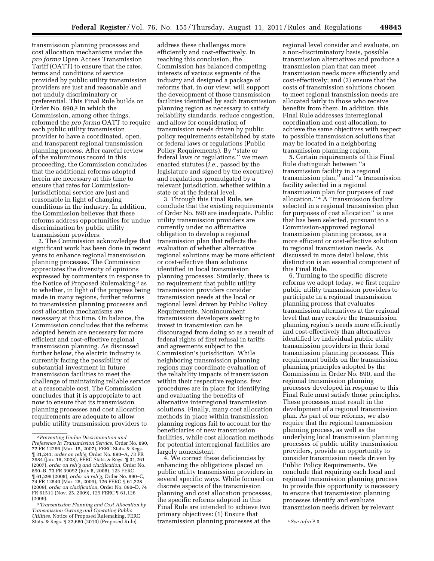transmission planning processes and cost allocation mechanisms under the *pro forma* Open Access Transmission Tariff (OATT) to ensure that the rates, terms and conditions of service provided by public utility transmission providers are just and reasonable and not unduly discriminatory or preferential. This Final Rule builds on Order No. 890,2 in which the Commission, among other things, reformed the *pro forma* OATT to require each public utility transmission provider to have a coordinated, open, and transparent regional transmission planning process. After careful review of the voluminous record in this proceeding, the Commission concludes that the additional reforms adopted herein are necessary at this time to ensure that rates for Commissionjurisdictional service are just and reasonable in light of changing conditions in the industry. In addition, the Commission believes that these reforms address opportunities for undue discrimination by public utility transmission providers.

2. The Commission acknowledges that significant work has been done in recent years to enhance regional transmission planning processes. The Commission appreciates the diversity of opinions expressed by commenters in response to the Notice of Proposed Rulemaking<sup>3</sup> as to whether, in light of the progress being made in many regions, further reforms to transmission planning processes and cost allocation mechanisms are necessary at this time. On balance, the Commission concludes that the reforms adopted herein are necessary for more efficient and cost-effective regional transmission planning. As discussed further below, the electric industry is currently facing the possibility of substantial investment in future transmission facilities to meet the challenge of maintaining reliable service at a reasonable cost. The Commission concludes that it is appropriate to act now to ensure that its transmission planning processes and cost allocation requirements are adequate to allow public utility transmission providers to

address these challenges more efficiently and cost-effectively. In reaching this conclusion, the Commission has balanced competing interests of various segments of the industry and designed a package of reforms that, in our view, will support the development of those transmission facilities identified by each transmission planning region as necessary to satisfy reliability standards, reduce congestion, and allow for consideration of transmission needs driven by public policy requirements established by state or federal laws or regulations (Public Policy Requirements). By ''state or federal laws or regulations,'' we mean enacted statutes (*i.e.,* passed by the legislature and signed by the executive) and regulations promulgated by a relevant jurisdiction, whether within a state or at the federal level.

3. Through this Final Rule, we conclude that the existing requirements of Order No. 890 are inadequate. Public utility transmission providers are currently under no affirmative obligation to develop a regional transmission plan that reflects the evaluation of whether alternative regional solutions may be more efficient or cost-effective than solutions identified in local transmission planning processes. Similarly, there is no requirement that public utility transmission providers consider transmission needs at the local or regional level driven by Public Policy Requirements. Nonincumbent transmission developers seeking to invest in transmission can be discouraged from doing so as a result of federal rights of first refusal in tariffs and agreements subject to the Commission's jurisdiction. While neighboring transmission planning regions may coordinate evaluation of the reliability impacts of transmission within their respective regions, few procedures are in place for identifying and evaluating the benefits of alternative interregional transmission solutions. Finally, many cost allocation methods in place within transmission planning regions fail to account for the beneficiaries of new transmission facilities, while cost allocation methods for potential interregional facilities are largely nonexistent.

4. We correct these deficiencies by enhancing the obligations placed on public utility transmission providers in several specific ways. While focused on discrete aspects of the transmission planning and cost allocation processes, the specific reforms adopted in this Final Rule are intended to achieve two primary objectives: (1) Ensure that

regional level consider and evaluate, on a non-discriminatory basis, possible transmission alternatives and produce a transmission plan that can meet transmission needs more efficiently and cost-effectively; and (2) ensure that the costs of transmission solutions chosen to meet regional transmission needs are allocated fairly to those who receive benefits from them. In addition, this Final Rule addresses interregional coordination and cost allocation, to achieve the same objectives with respect to possible transmission solutions that may be located in a neighboring transmission planning region.

5. Certain requirements of this Final Rule distinguish between ''a transmission facility in a regional transmission plan,'' and ''a transmission facility selected in a regional transmission plan for purposes of cost allocation.'' 4 A ''transmission facility selected in a regional transmission plan for purposes of cost allocation'' is one that has been selected, pursuant to a Commission-approved regional transmission planning process, as a more efficient or cost-effective solution to regional transmission needs. As discussed in more detail below, this distinction is an essential component of this Final Rule.

6. Turning to the specific discrete reforms we adopt today, we first require public utility transmission providers to participate in a regional transmission planning process that evaluates transmission alternatives at the regional level that may resolve the transmission planning region's needs more efficiently and cost-effectively than alternatives identified by individual public utility transmission providers in their local transmission planning processes. This requirement builds on the transmission planning principles adopted by the Commission in Order No. 890, and the regional transmission planning processes developed in response to this Final Rule must satisfy those principles. These processes must result in the development of a regional transmission plan. As part of our reforms, we also require that the regional transmission planning process, as well as the underlying local transmission planning processes of public utility transmission providers, provide an opportunity to consider transmission needs driven by Public Policy Requirements. We conclude that requiring each local and regional transmission planning process to provide this opportunity is necessary to ensure that transmission planning processes identify and evaluate transmission needs driven by relevant

<sup>2</sup>*Preventing Undue Discrimination and Preference in Transmission Service,* Order No. 890, 72 FR 12266 (Mar. 15, 2007), FERC Stats. & Regs. ¶ 31,241, *order on reh'g,* Order No. 890–A, 73 FR 2984 (Jan. 16, 2008), FERC Stats. & Regs. ¶ 31,261 (2007), *order on reh'g and clarification,* Order No. 890–B, 73 FR 39092 (July 8, 2008), 123 FERC ¶ 61,299 (2008), *order on reh'g,* Order No. 890–C, 74 FR 12540 (Mar. 25, 2009), 126 FERC ¶ 61,228 (2009), *order on clarification,* Order No. 890–D, 74 FR 61511 (Nov. 25, 2009), 129 FERC ¶ 61,126 (2009).

<sup>3</sup>*Transmission Planning and Cost Allocation by Transmission Owning and Operating Public Utilities,* Notice of Proposed Rulemaking, FERC Stats. & Regs. ¶ 32,660 (2010) (Proposed Rule). 4*See infra* P 0. transmission planning processes at the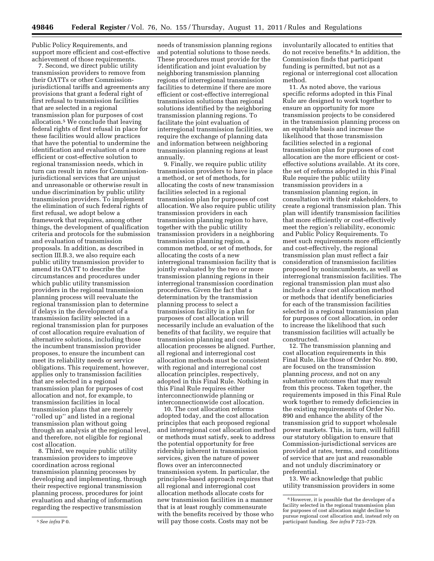Public Policy Requirements, and support more efficient and cost-effective achievement of those requirements.

7. Second, we direct public utility transmission providers to remove from their OATTs or other Commissionjurisdictional tariffs and agreements any provisions that grant a federal right of first refusal to transmission facilities that are selected in a regional transmission plan for purposes of cost allocation.5 We conclude that leaving federal rights of first refusal in place for these facilities would allow practices that have the potential to undermine the identification and evaluation of a more efficient or cost-effective solution to regional transmission needs, which in turn can result in rates for Commissionjurisdictional services that are unjust and unreasonable or otherwise result in undue discrimination by public utility transmission providers. To implement the elimination of such federal rights of first refusal, we adopt below a framework that requires, among other things, the development of qualification criteria and protocols for the submission and evaluation of transmission proposals. In addition, as described in section III.B.3, we also require each public utility transmission provider to amend its OATT to describe the circumstances and procedures under which public utility transmission providers in the regional transmission planning process will reevaluate the regional transmission plan to determine if delays in the development of a transmission facility selected in a regional transmission plan for purposes of cost allocation require evaluation of alternative solutions, including those the incumbent transmission provider proposes, to ensure the incumbent can meet its reliability needs or service obligations. This requirement, however, applies only to transmission facilities that are selected in a regional transmission plan for purposes of cost allocation and not, for example, to transmission facilities in local transmission plans that are merely ''rolled up'' and listed in a regional transmission plan without going through an analysis at the regional level, and therefore, not eligible for regional cost allocation.

8. Third, we require public utility transmission providers to improve coordination across regional transmission planning processes by developing and implementing, through their respective regional transmission planning process, procedures for joint evaluation and sharing of information regarding the respective transmission

needs of transmission planning regions and potential solutions to those needs. These procedures must provide for the identification and joint evaluation by neighboring transmission planning regions of interregional transmission facilities to determine if there are more efficient or cost-effective interregional transmission solutions than regional solutions identified by the neighboring transmission planning regions. To facilitate the joint evaluation of interregional transmission facilities, we require the exchange of planning data and information between neighboring transmission planning regions at least annually.

9. Finally, we require public utility transmission providers to have in place a method, or set of methods, for allocating the costs of new transmission facilities selected in a regional transmission plan for purposes of cost allocation. We also require public utility transmission providers in each transmission planning region to have, together with the public utility transmission providers in a neighboring transmission planning region, a common method, or set of methods, for allocating the costs of a new interregional transmission facility that is jointly evaluated by the two or more transmission planning regions in their interregional transmission coordination procedures. Given the fact that a determination by the transmission planning process to select a transmission facility in a plan for purposes of cost allocation will necessarily include an evaluation of the benefits of that facility, we require that transmission planning and cost allocation processes be aligned. Further, all regional and interregional cost allocation methods must be consistent with regional and interregional cost allocation principles, respectively, adopted in this Final Rule. Nothing in this Final Rule requires either interconnectionwide planning or interconnectionwide cost allocation.

10. The cost allocation reforms adopted today, and the cost allocation principles that each proposed regional and interregional cost allocation method or methods must satisfy, seek to address the potential opportunity for free ridership inherent in transmission services, given the nature of power flows over an interconnected transmission system. In particular, the principles-based approach requires that all regional and interregional cost allocation methods allocate costs for new transmission facilities in a manner that is at least roughly commensurate with the benefits received by those who will pay those costs. Costs may not be

involuntarily allocated to entities that do not receive benefits.6 In addition, the Commission finds that participant funding is permitted, but not as a regional or interregional cost allocation method.

11. As noted above, the various specific reforms adopted in this Final Rule are designed to work together to ensure an opportunity for more transmission projects to be considered in the transmission planning process on an equitable basis and increase the likelihood that those transmission facilities selected in a regional transmission plan for purposes of cost allocation are the more efficient or costeffective solutions available. At its core, the set of reforms adopted in this Final Rule require the public utility transmission providers in a transmission planning region, in consultation with their stakeholders, to create a regional transmission plan. This plan will identify transmission facilities that more efficiently or cost-effectively meet the region's reliability, economic and Public Policy Requirements. To meet such requirements more efficiently and cost-effectively, the regional transmission plan must reflect a fair consideration of transmission facilities proposed by nonincumbents, as well as interregional transmission facilities. The regional transmission plan must also include a clear cost allocation method or methods that identify beneficiaries for each of the transmission facilities selected in a regional transmission plan for purposes of cost allocation, in order to increase the likelihood that such transmission facilities will actually be constructed.

12. The transmission planning and cost allocation requirements in this Final Rule, like those of Order No. 890, are focused on the transmission planning *process,* and not on any substantive outcomes that may result from this process. Taken together, the requirements imposed in this Final Rule work together to remedy deficiencies in the existing requirements of Order No. 890 and enhance the ability of the transmission grid to support wholesale power markets. This, in turn, will fulfill our statutory obligation to ensure that Commission-jurisdictional services are provided at rates, terms, and conditions of service that are just and reasonable and not unduly discriminatory or preferential.

13. We acknowledge that public utility transmission providers in some

<sup>5</sup>*See infra* P 0.

<sup>&</sup>lt;sup>6</sup> However, it is possible that the developer of a facility selected in the regional transmission plan for purposes of cost allocation might decline to pursue regional cost allocation and, instead rely on participant funding. *See infra* P 723–729.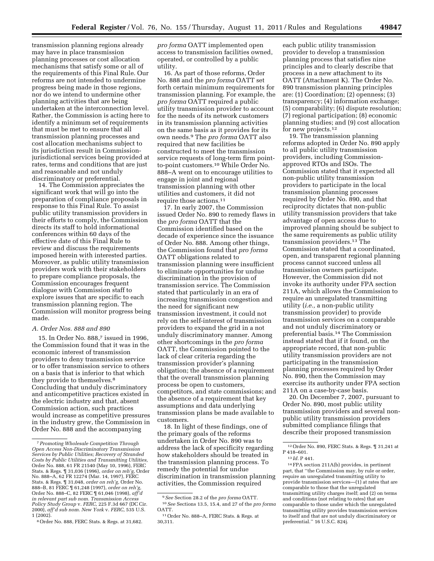transmission planning regions already may have in place transmission planning processes or cost allocation mechanisms that satisfy some or all of the requirements of this Final Rule. Our reforms are not intended to undermine progress being made in those regions, nor do we intend to undermine other planning activities that are being undertaken at the interconnection level. Rather, the Commission is acting here to identify a minimum set of requirements that must be met to ensure that all transmission planning processes and cost allocation mechanisms subject to its jurisdiction result in Commissionjurisdictional services being provided at rates, terms and conditions that are just and reasonable and not unduly discriminatory or preferential.

14. The Commission appreciates the significant work that will go into the preparation of compliance proposals in response to this Final Rule. To assist public utility transmission providers in their efforts to comply, the Commission directs its staff to hold informational conferences within 60 days of the effective date of this Final Rule to review and discuss the requirements imposed herein with interested parties. Moreover, as public utility transmission providers work with their stakeholders to prepare compliance proposals, the Commission encourages frequent dialogue with Commission staff to explore issues that are specific to each transmission planning region. The Commission will monitor progress being made.

# *A. Order Nos. 888 and 890*

15. In Order No. 888,7 issued in 1996, the Commission found that it was in the economic interest of transmission providers to deny transmission service or to offer transmission service to others on a basis that is inferior to that which they provide to themselves.8 Concluding that unduly discriminatory and anticompetitive practices existed in the electric industry and that, absent Commission action, such practices would increase as competitive pressures in the industry grew, the Commission in Order No. 888 and the accompanying

*pro forma* OATT implemented open access to transmission facilities owned, operated, or controlled by a public utility.

16. As part of those reforms, Order No. 888 and the *pro forma* OATT set forth certain minimum requirements for transmission planning. For example, the *pro forma* OATT required a public utility transmission provider to account for the needs of its network customers in its transmission planning activities on the same basis as it provides for its own needs.9 The *pro forma* OATT also required that new facilities be constructed to meet the transmission service requests of long-term firm pointto-point customers.10 While Order No. 888–A went on to encourage utilities to engage in joint and regional transmission planning with other utilities and customers, it did not require those actions.11

17. In early 2007, the Commission issued Order No. 890 to remedy flaws in the *pro forma* OATT that the Commission identified based on the decade of experience since the issuance of Order No. 888. Among other things, the Commission found that *pro forma*  OATT obligations related to transmission planning were insufficient to eliminate opportunities for undue discrimination in the provision of transmission service. The Commission stated that particularly in an era of increasing transmission congestion and the need for significant new transmission investment, it could not rely on the self-interest of transmission providers to expand the grid in a not unduly discriminatory manner. Among other shortcomings in the *pro forma*  OATT, the Commission pointed to the lack of clear criteria regarding the transmission provider's planning obligation; the absence of a requirement that the overall transmission planning process be open to customers, competitors, and state commissions; and the absence of a requirement that key assumptions and data underlying transmission plans be made available to customers.

18. In light of these findings, one of the primary goals of the reforms undertaken in Order No. 890 was to address the lack of specificity regarding how stakeholders should be treated in the transmission planning process. To remedy the potential for undue discrimination in transmission planning activities, the Commission required

each public utility transmission provider to develop a transmission planning process that satisfies nine principles and to clearly describe that process in a new attachment to its OATT (Attachment K). The Order No. 890 transmission planning principles are: (1) Coordination; (2) openness; (3) transparency; (4) information exchange; (5) comparability; (6) dispute resolution; (7) regional participation; (8) economic planning studies; and (9) cost allocation for new projects.12

19. The transmission planning reforms adopted in Order No. 890 apply to all public utility transmission providers, including Commissionapproved RTOs and ISOs. The Commission stated that it expected all non-public utility transmission providers to participate in the local transmission planning processes required by Order No. 890, and that reciprocity dictates that non-public utility transmission providers that take advantage of open access due to improved planning should be subject to the same requirements as public utility transmission providers.13 The Commission stated that a coordinated, open, and transparent regional planning process cannot succeed unless all transmission owners participate. However, the Commission did not invoke its authority under FPA section 211A, which allows the Commission to require an unregulated transmitting utility (*i.e.,* a non-public utility transmission provider) to provide transmission services on a comparable and not unduly discriminatory or preferential basis.14 The Commission instead stated that if it found, on the appropriate record, that non-public utility transmission providers are not participating in the transmission planning processes required by Order No. 890, then the Commission may exercise its authority under FPA section 211A on a case-by-case basis.

20. On December 7, 2007, pursuant to Order No. 890, most public utility transmission providers and several nonpublic utility transmission providers submitted compliance filings that describe their proposed transmission

<sup>7</sup>*Promoting Wholesale Competition Through Open Access Non-Discriminatory Transmission Services by Public Utilities; Recovery of Stranded Costs by Public Utilities and Transmitting Utilities,*  Order No. 888, 61 FR 21540 (May 10, 1996), FERC Stats. & Regs. ¶ 31,036 (1996), *order on reh'g,* Order No. 888–A, 62 FR 12274 (Mar. 14, 1997), FERC Stats. & Regs. ¶ 31,048, *order on reh'g,* Order No. 888–B, 81 FERC ¶ 61,248 (1997), *order on reh'g,*  Order No. 888–C, 82 FERC ¶ 61,046 (1998), *aff'd in relevant part sub nom. Transmission Access Policy Study Group* v. *FERC,* 225 F.3d 667 (DC Cir. 2000), *aff'd sub nom. New York* v. *FERC,* 535 U.S. 1 (2002).

<sup>8</sup>Order No. 888, FERC Stats. & Regs. at 31,682.

<sup>9</sup>*See* Section 28.2 of the *pro forma* OATT. 10*See* Sections 13.5, 15.4, and 27 of the *pro forma*  OATT.

<sup>11</sup>Order No. 888–A, FERC Stats. & Regs. at 30,311.

<sup>12</sup>Order No. 890, FERC Stats. & Regs. ¶ 31,241 at P 418–601.

<sup>13</sup> *Id.* P 441.

<sup>14</sup>FPA section 211A(b) provides, in pertinent part, that ''the Commission may, by rule or order, require an unregulated transmitting utility to provide transmission services—(1) at rates that are comparable to those that the unregulated transmitting utility charges itself; and (2) on terms and conditions (not relating to rates) that are comparable to those under which the unregulated transmitting utility provides transmission services to itself and that are not unduly discriminatory or preferential.'' 16 U.S.C. 824j.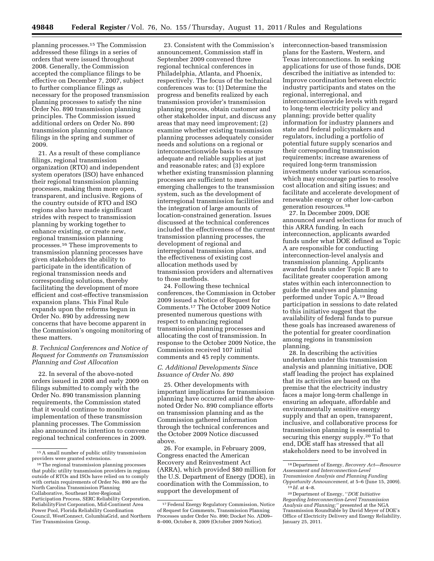planning processes.15 The Commission addressed these filings in a series of orders that were issued throughout 2008. Generally, the Commission accepted the compliance filings to be effective on December 7, 2007, subject to further compliance filings as necessary for the proposed transmission planning processes to satisfy the nine Order No. 890 transmission planning principles. The Commission issued additional orders on Order No. 890 transmission planning compliance filings in the spring and summer of 2009.

21. As a result of these compliance filings, regional transmission organization (RTO) and independent system operators (ISO) have enhanced their regional transmission planning processes, making them more open, transparent, and inclusive. Regions of the country outside of RTO and ISO regions also have made significant strides with respect to transmission planning by working together to enhance existing, or create new, regional transmission planning processes.16 These improvements to transmission planning processes have given stakeholders the ability to participate in the identification of regional transmission needs and corresponding solutions, thereby facilitating the development of more efficient and cost-effective transmission expansion plans. This Final Rule expands upon the reforms begun in Order No. 890 by addressing new concerns that have become apparent in the Commission's ongoing monitoring of these matters.

# *B. Technical Conferences and Notice of Request for Comments on Transmission Planning and Cost Allocation*

22. In several of the above-noted orders issued in 2008 and early 2009 on filings submitted to comply with the Order No. 890 transmission planning requirements, the Commission stated that it would continue to monitor implementation of these transmission planning processes. The Commission also announced its intention to convene regional technical conferences in 2009.

23. Consistent with the Commission's announcement, Commission staff in September 2009 convened three regional technical conferences in Philadelphia, Atlanta, and Phoenix, respectively. The focus of the technical conferences was to: (1) Determine the progress and benefits realized by each transmission provider's transmission planning process, obtain customer and other stakeholder input, and discuss any areas that may need improvement; (2) examine whether existing transmission planning processes adequately consider needs and solutions on a regional or interconnectionwide basis to ensure adequate and reliable supplies at just and reasonable rates; and (3) explore whether existing transmission planning processes are sufficient to meet emerging challenges to the transmission system, such as the development of interregional transmission facilities and the integration of large amounts of location-constrained generation. Issues discussed at the technical conferences included the effectiveness of the current transmission planning processes, the development of regional and interregional transmission plans, and the effectiveness of existing cost allocation methods used by transmission providers and alternatives to those methods.

24. Following these technical conferences, the Commission in October 2009 issued a Notice of Request for Comments.17 The October 2009 Notice presented numerous questions with respect to enhancing regional transmission planning processes and allocating the cost of transmission. In response to the October 2009 Notice, the Commission received 107 initial comments and 45 reply comments.

### *C. Additional Developments Since Issuance of Order No. 890*

25. Other developments with important implications for transmission planning have occurred amid the abovenoted Order No. 890 compliance efforts on transmission planning and as the Commission gathered information through the technical conferences and the October 2009 Notice discussed above.

26. For example, in February 2009, Congress enacted the American Recovery and Reinvestment Act (ARRA), which provided \$80 million for the U.S. Department of Energy (DOE), in coordination with the Commission, to support the development of

interconnection-based transmission plans for the Eastern, Western, and Texas interconnections. In seeking applications for use of those funds, DOE described the initiative as intended to: Improve coordination between electric industry participants and states on the regional, interregional, and interconnectionwide levels with regard to long-term electricity policy and planning; provide better quality information for industry planners and state and federal policymakers and regulators, including a portfolio of potential future supply scenarios and their corresponding transmission requirements; increase awareness of required long-term transmission investments under various scenarios, which may encourage parties to resolve cost allocation and siting issues; and facilitate and accelerate development of renewable energy or other low-carbon generation resources.18

27. In December 2009, DOE announced award selections for much of this ARRA funding. In each interconnection, applicants awarded funds under what DOE defined as Topic A are responsible for conducting interconnection-level analysis and transmission planning. Applicants awarded funds under Topic B are to facilitate greater cooperation among states within each interconnection to guide the analyses and planning performed under Topic A.19 Broad participation in sessions to date related to this initiative suggest that the availability of federal funds to pursue these goals has increased awareness of the potential for greater coordination among regions in transmission planning.

28. In describing the activities undertaken under this transmission analysis and planning initiative, DOE staff leading the project has explained that its activities are based on the premise that the electricity industry faces a major long-term challenge in ensuring an adequate, affordable and environmentally sensitive energy supply and that an open, transparent, inclusive, and collaborative process for transmission planning is essential to securing this energy supply.20 To that end, DOE staff has stressed that all stakeholders need to be involved in

<sup>15</sup>A small number of public utility transmission providers were granted extensions.

<sup>16</sup>The regional transmission planning processes that public utility transmission providers in regions outside of RTOs and ISOs have relied on to comply with certain requirements of Order No. 890 are the North Carolina Transmission Planning Collaborative, Southeast Inter-Regional Participation Process, SERC Reliability Corporation, ReliabilityFirst Corporation, Mid-Continent Area Power Pool, Florida Reliability Coordination Council, WestConnect, ColumbiaGrid, and Northern Tier Transmission Group.

<sup>17</sup>Federal Energy Regulatory Commission, Notice of Request for Comments, Transmission Planning Processes under Order No. 890; Docket No. AD09– 8–000, October 8, 2009 (October 2009 Notice).

<sup>18</sup> Department of Energy, *Recovery Act—Resource Assessment and Interconnection-Level Transmission Analysis and Planning Funding* 

<sup>&</sup>lt;sup>19</sup> *Id.* at 4–8. *<sup>20</sup>* Department of Energy, "*DOE Initiative Regarding Interconnection-Level Transmission Analysis and Planning;''* presented at the NGA Transmission Roundtable by David Meyer of DOE's Office of Electricity Delivery and Energy Reliability, January 25, 2011.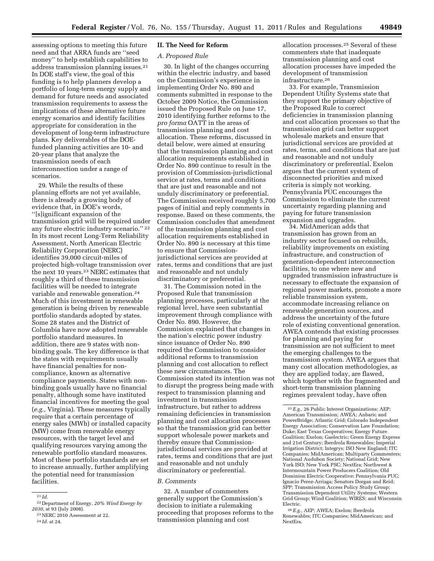assessing options to meeting this future need and that ARRA funds are ''seed money'' to help establish capabilities to address transmission planning issues.21 In DOE staff's view, the goal of this funding is to help planners develop a portfolio of long-term energy supply and demand for future needs and associated transmission requirements to assess the implications of these alternative future energy scenarios and identify facilities appropriate for consideration in the development of long-term infrastructure plans. Key deliverables of the DOEfunded planning activities are 10- and 20-year plans that analyze the transmission needs of each interconnection under a range of scenarios.

29. While the results of these planning efforts are not yet available, there is already a growing body of evidence that, in DOE's words, ''[s]ignificant expansion of the transmission grid will be required under any future electric industry scenario.'' 22 In its most recent Long-Term Reliability Assessment, North American Electric Reliability Corporation (NERC) identifies 39,000 circuit-miles of projected high-voltage transmission over the next 10 years.23 NERC estimates that roughly a third of these transmission facilities will be needed to integrate variable and renewable generation.24 Much of this investment in renewable generation is being driven by renewable portfolio standards adopted by states. Some 28 states and the District of Columbia have now adopted renewable portfolio standard measures. In addition, there are 9 states with nonbinding goals. The key difference is that the states with requirements usually have financial penalties for noncompliance, known as alternative compliance payments. States with nonbinding goals usually have no financial penalty, although some have instituted financial incentives for meeting the goal (*e.g.,* Virginia). These measures typically require that a certain percentage of energy sales (MWh) or installed capacity (MW) come from renewable energy resources, with the target level and qualifying resources varying among the renewable portfolio standard measures. Most of these portfolio standards are set to increase annually, further amplifying the potential need for transmission facilities.

## **II. The Need for Reform**

#### *A. Proposed Rule*

30. In light of the changes occurring within the electric industry, and based on the Commission's experience in implementing Order No. 890 and comments submitted in response to the October 2009 Notice, the Commission issued the Proposed Rule on June 17, 2010 identifying further reforms to the *pro forma* OATT in the areas of transmission planning and cost allocation. These reforms, discussed in detail below, were aimed at ensuring that the transmission planning and cost allocation requirements established in Order No. 890 continue to result in the provision of Commission-jurisdictional service at rates, terms and conditions that are just and reasonable and not unduly discriminatory or preferential. The Commission received roughly 5,700 pages of initial and reply comments in response. Based on these comments, the Commission concludes that amendment of the transmission planning and cost allocation requirements established in Order No. 890 is necessary at this time to ensure that Commissionjurisdictional services are provided at rates, terms and conditions that are just and reasonable and not unduly discriminatory or preferential.

31. The Commission noted in the Proposed Rule that transmission planning processes, particularly at the regional level, have seen substantial improvement through compliance with Order No. 890. However, the Commission explained that changes in the nation's electric power industry since issuance of Order No. 890 required the Commission to consider additional reforms to transmission planning and cost allocation to reflect these new circumstances. The Commission stated its intention was not to disrupt the progress being made with respect to transmission planning and investment in transmission infrastructure, but rather to address remaining deficiencies in transmission planning and cost allocation processes so that the transmission grid can better support wholesale power markets and thereby ensure that Commissionjurisdictional services are provided at rates, terms and conditions that are just and reasonable and not unduly discriminatory or preferential.

#### *B. Comments*

32. A number of commenters generally support the Commission's decision to initiate a rulemaking proceeding that proposes reforms to the transmission planning and cost

allocation processes.25 Several of these commenters state that inadequate transmission planning and cost allocation processes have impeded the development of transmission infrastructure.26

33. For example, Transmission Dependent Utility Systems state that they support the primary objective of the Proposed Rule to correct deficiencies in transmission planning and cost allocation processes so that the transmission grid can better support wholesale markets and ensure that jurisdictional services are provided at rates, terms, and conditions that are just and reasonable and not unduly discriminatory or preferential. Exelon argues that the current system of disconnected priorities and mixed criteria is simply not working. Pennsylvania PUC encourages the Commission to eliminate the current uncertainty regarding planning and paying for future transmission expansion and upgrades.

34. MidAmerican adds that transmission has grown from an industry sector focused on rebuilds, reliability improvements on existing infrastructure, and construction of generation-dependent interconnection facilities, to one where new and upgraded transmission infrastructure is necessary to effectuate the expansion of regional power markets, promote a more reliable transmission system, accommodate increasing reliance on renewable generation sources, and address the uncertainty of the future role of existing conventional generation. AWEA contends that existing processes for planning and paying for transmission are not sufficient to meet the emerging challenges to the transmission system. AWEA argues that many cost allocation methodologies, as they are applied today, are flawed, which together with the fragmented and short-term transmission planning regimes prevalent today, have often

 $21$  *Id.* 

<sup>22</sup> Department of Energy, *20% Wind Energy by 2030,* at 93 (July 2008).

<sup>23</sup>NERC 2010 Assessment at 22. 24 *Id.* at 24.

<sup>25</sup>*E.g.,* 26 Public Interest Organizations; AEP; American Transmission; AWEA; Anbaric and PowerBridge; Atlantic Grid; Colorado Independent Energy Association; Conservation Law Foundation; Duke; East Texas Cooperatives; Energy Future Coalition; Exelon; Gaelectric; Green Energy Express and 21st Century; Iberdrola Renewables; Imperial Irrigation District; Integrys; ISO New England; ITC Companies; MidAmerican; Multiparty Commenters; National Audubon Society; National Grid; New York ISO; New York PSC; NextEra; Northwest & Intermountain Power Producers Coalition; Old Dominion Electric Cooperative; Pennsylvania PUC; Ignacio Perez-Arriaga; Senators Dorgan and Reid; SPP; Transmission Access Policy Study Group; Transmission Dependent Utility Systems; Western Grid Group; Wind Coalition; WIRES; and Wisconsin Electric.

<sup>26</sup>*E.g.,* AEP; AWEA; Exelon; Iberdrola Renewables; ITC Companies; MidAmerican; and NextEra.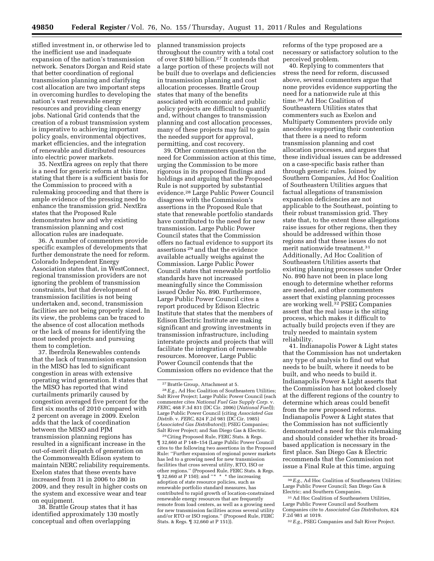stifled investment in, or otherwise led to the inefficient use and inadequate expansion of the nation's transmission network. Senators Dorgan and Reid state that better coordination of regional transmission planning and clarifying cost allocation are two important steps in overcoming hurdles to developing the nation's vast renewable energy resources and providing clean energy jobs. National Grid contends that the creation of a robust transmission system is imperative to achieving important policy goals, environmental objectives, market efficiencies, and the integration of renewable and distributed resources into electric power markets.

35. NextEra agrees on reply that there is a need for generic reform at this time, stating that there is a sufficient basis for the Commission to proceed with a rulemaking proceeding and that there is ample evidence of the pressing need to enhance the transmission grid. NextEra states that the Proposed Rule demonstrates how and why existing transmission planning and cost allocation rules are inadequate.

36. A number of commenters provide specific examples of developments that further demonstrate the need for reform. Colorado Independent Energy Association states that, in WestConnect, regional transmission providers are not ignoring the problem of transmission constraints, but that development of transmission facilities is not being undertaken and, second, transmission facilities are not being properly sized. In its view, the problems can be traced to the absence of cost allocation methods or the lack of means for identifying the most needed projects and pursuing them to completion.

37. Iberdrola Renewables contends that the lack of transmission expansion in the MISO has led to significant congestion in areas with extensive operating wind generation. It states that the MISO has reported that wind curtailments primarily caused by congestion averaged five percent for the first six months of 2010 compared with 2 percent on average in 2009. Exelon adds that the lack of coordination between the MISO and PJM transmission planning regions has resulted in a significant increase in the out-of-merit dispatch of generation on the Commonwealth Edison system to maintain NERC reliability requirements. Exelon states that these events have increased from 31 in 2006 to 280 in 2009, and they result in higher costs on the system and excessive wear and tear on equipment.

38. Brattle Group states that it has identified approximately 130 mostly conceptual and often overlapping

planned transmission projects throughout the country with a total cost of over \$180 billion.27 It contends that a large portion of these projects will not be built due to overlaps and deficiencies in transmission planning and cost allocation processes. Brattle Group states that many of the benefits associated with economic and public policy projects are difficult to quantify and, without changes to transmission planning and cost allocation processes, many of these projects may fail to gain the needed support for approval, permitting, and cost recovery.

39. Other commenters question the need for Commission action at this time, urging the Commission to be more rigorous in its proposed findings and holdings and arguing that the Proposed Rule is not supported by substantial evidence.28 Large Public Power Council disagrees with the Commission's assertions in the Proposed Rule that state that renewable portfolio standards have contributed to the need for new transmission. Large Public Power Council states that the Commission offers no factual evidence to support its assertions 29 and that the evidence available actually weighs against the Commission. Large Public Power Council states that renewable portfolio standards have not increased meaningfully since the Commission issued Order No. 890. Furthermore, Large Public Power Council cites a report produced by Edison Electric Institute that states that the members of Edison Electric Institute are making significant and growing investments in transmission infrastructure, including interstate projects and projects that will facilitate the integration of renewable resources. Moreover, Large Public Power Council contends that the Commission offers no evidence that the

29Citing Proposed Rule, FERC Stats. & Regs. ¶ 32,660 at P 148–154 (Large Public Power Council cites to the following two assertions in the Proposed Rule: ''Further expansion of regional power markets has led to a growing need for new transmission facilities that cross several utility, RTO, ISO or other regions.'' (Proposed Rule, FERC Stats. & Regs. ¶ 32,660 at P 150); and ''\* \* \* the increasing adoption of state resource policies, such as renewable portfolio standard measures, has contributed to rapid growth of location-constrained renewable energy resources that are frequently remote from load centers, as well as a growing need for new transmission facilities across several utility and/or RTO or ISO regions.'' (Proposed Rule, FERC Stats. & Regs. ¶ 32,660 at P 151)).

reforms of the type proposed are a necessary or satisfactory solution to the perceived problem.

40. Replying to commenters that stress the need for reform, discussed above, several commenters argue that none provides evidence supporting the need for a nationwide rule at this time.30 Ad Hoc Coalition of Southeastern Utilities states that commenters such as Exelon and Multiparty Commenters provide only anecdotes supporting their contention that there is a need to reform transmission planning and cost allocation processes, and argues that these individual issues can be addressed on a case-specific basis rather than through generic rules. Joined by Southern Companies, Ad Hoc Coalition of Southeastern Utilities argues that factual allegations of transmission expansion deficiencies are not applicable to the Southeast, pointing to their robust transmission grid. They state that, to the extent these allegations raise issues for other regions, then they should be addressed within those regions and that these issues do not merit nationwide treatment.31 Additionally, Ad Hoc Coalition of Southeastern Utilities asserts that existing planning processes under Order No. 890 have not been in place long enough to determine whether reforms are needed, and other commenters assert that existing planning processes are working well.32 PSEG Companies assert that the real issue is the siting process, which makes it difficult to actually build projects even if they are truly needed to maintain system reliability.

41. Indianapolis Power & Light states that the Commission has not undertaken any type of analysis to find out what needs to be built, where it needs to be built, and who needs to build it. Indianapolis Power & Light asserts that the Commission has not looked closely at the different regions of the country to determine which areas could benefit from the new proposed reforms. Indianapolis Power & Light states that the Commission has not sufficiently demonstrated a need for this rulemaking and should consider whether its broadbased application is necessary in the first place. San Diego Gas & Electric recommends that the Commission not issue a Final Rule at this time, arguing

<sup>27</sup>Brattle Group, Attachment at 5.

<sup>28</sup>*E.g.,* Ad Hoc Coalition of Southeastern Utilities; Salt River Project; Large Public Power Council (each commenter cites *National Fuel Gas Supply Corp.* v. *FERC,* 468 F.3d 831 (DC Cir. 2006) (*National Fuel*)); Large Public Power Council (citing *Associated Gas Distrib.* v. *FERC,* 824 F.2d 981 (DC Cir. 1985) (*Associated Gas Distributors*)); PSEG Companies; Salt River Project; and San Diego Gas & Electric.

<sup>30</sup>*E.g.,* Ad Hoc Coalition of Southeastern Utilities; Large Public Power Council; San Diego Gas & Electric; and Southern Companies.

<sup>31</sup>Ad Hoc Coalition of Southeastern Utilities, Large Public Power Council and Southern Companies cite to *Associated Gas Distributors,* 824 F.2d 981 at 1019.

<sup>32</sup>*E.g.,* PSEG Companies and Salt River Project.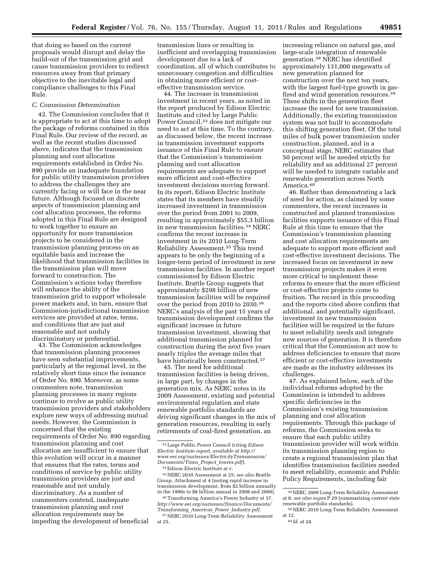that doing so based on the current proposals would disrupt and delay the build-out of the transmission grid and cause transmission providers to redirect resources away from that primary objective to the inevitable legal and compliance challenges to this Final Rule.

# *C. Commission Determination*

42. The Commission concludes that it is appropriate to act at this time to adopt the package of reforms contained in this Final Rule. Our review of the record, as well as the recent studies discussed above, indicates that the transmission planning and cost allocation requirements established in Order No. 890 provide an inadequate foundation for public utility transmission providers to address the challenges they are currently facing or will face in the near future. Although focused on discrete aspects of transmission planning and cost allocation processes, the reforms adopted in this Final Rule are designed to work together to ensure an opportunity for more transmission projects to be considered in the transmission planning process on an equitable basis and increase the likelihood that transmission facilities in the transmission plan will move forward to construction. The Commission's actions today therefore will enhance the ability of the transmission grid to support wholesale power markets and, in turn, ensure that Commission-jurisdictional transmission services are provided at rates, terms, and conditions that are just and reasonable and not unduly discriminatory or preferential.

43. The Commission acknowledges that transmission planning processes have seen substantial improvements, particularly at the regional level, in the relatively short time since the issuance of Order No. 890. Moreover, as some commenters note, transmission planning processes in many regions continue to evolve as public utility transmission providers and stakeholders explore new ways of addressing mutual needs. However, the Commission is concerned that the existing requirements of Order No. 890 regarding transmission planning and cost allocation are insufficient to ensure that this evolution will occur in a manner that ensures that the rates, terms and conditions of service by public utility transmission providers are just and reasonable and not unduly discriminatory. As a number of commenters contend, inadequate transmission planning and cost allocation requirements may be impeding the development of beneficial

transmission lines or resulting in inefficient and overlapping transmission development due to a lack of coordination, all of which contributes to unnecessary congestion and difficulties in obtaining more efficient or costeffective transmission service.

44. The increase in transmission investment in recent years, as noted in the report produced by Edison Electric Institute and cited by Large Public Power Council,<sup>33</sup> does not mitigate our need to act at this time. To the contrary, as discussed below, the recent increase in transmission investment supports issuance of this Final Rule to ensure that the Commission's transmission planning and cost allocation requirements are adequate to support more efficient and cost-effective investment decisions moving forward. In its report, Edison Electric Institute states that its members have steadily increased investment in transmission over the period from 2001 to 2009, resulting in approximately \$55.3 billion in new transmission facilities.34 NERC confirms the recent increase in investment in its 2010 Long-Term Reliability Assessment.35 This trend appears to be only the beginning of a longer-term period of investment in new transmission facilities. In another report commissioned by Edison Electric Institute, Brattle Group suggests that approximately \$298 billion of new transmission facilities will be required over the period from 2010 to 2030.36 NERC's analysis of the past 15 years of transmission development confirms the significant increase in future transmission investment, showing that additional transmission planned for construction during the next five years nearly triples the average miles that have historically been constructed.<sup>37</sup>

45. The need for additional transmission facilities is being driven, in large part, by changes in the generation mix. As NERC notes in its 2009 Assessment, existing and potential environmental regulation and state renewable portfolio standards are driving significant changes in the mix of generation resources, resulting in early retirements of coal-fired generation, an

36Transforming America's Power Industry at 37, *[http://www.eei.org/ourissues/finance/Documents/](http://www.eei.org/ourissues/finance/Documents/Transforming_Americas_Power_Industry.pdf)  [Transforming](http://www.eei.org/ourissues/finance/Documents/Transforming_Americas_Power_Industry.pdf)*\_*Americas*\_*Power*\_*Industry.pdf.* 

<sup>37</sup> NERC 2010 Long-Term Reliability Assessment at 25.

increasing reliance on natural gas, and large-scale integration of renewable generation.38 NERC has identified approximately 131,000 megawatts of new generation planned for construction over the next ten years, with the largest fuel-type growth in gasfired and wind generation resources.39 These shifts in the generation fleet increase the need for new transmission. Additionally, the existing transmission system was not built to accommodate this shifting generation fleet. Of the total miles of bulk power transmission under construction, planned, and in a conceptual stage, NERC estimates that 50 percent will be needed strictly for reliability and an additional 27 percent will be needed to integrate variable and renewable generation across North America.40

46. Rather than demonstrating a lack of need for action, as claimed by some commenters, the recent increases in constructed and planned transmission facilities supports issuance of this Final Rule at this time to ensure that the Commission's transmission planning and cost allocation requirements are adequate to support more efficient and cost-effective investment decisions. The increased focus on investment in new transmission projects makes it even more critical to implement these reforms to ensure that the more efficient or cost-effective projects come to fruition. The record in this proceeding and the reports cited above confirm that additional, and potentially significant, investment in new transmission facilities will be required in the future to meet reliability needs and integrate new sources of generation. It is therefore critical that the Commission act now to address deficiencies to ensure that more efficient or cost-effective investments are made as the industry addresses its challenges.

47. As explained below, each of the individual reforms adopted by the Commission is intended to address specific deficiencies in the Commission's existing transmission planning and cost allocation requirements. Through this package of reforms, the Commission seeks to ensure that each public utility transmission provider will work within its transmission planning region to create a regional transmission plan that identifies transmission facilities needed to meet reliability, economic and Public Policy Requirements, including fair

<sup>33</sup>Large Public Power Council (citing *Edison Electric Institute report, available at [http://](http://www.eei.org/ourissues/ElectricityTransmission/Documents/Trans_Project_lowres.pdf) [www.eei.org/ourissues/ElectricityTransmission/](http://www.eei.org/ourissues/ElectricityTransmission/Documents/Trans_Project_lowres.pdf)  [Documents/Trans](http://www.eei.org/ourissues/ElectricityTransmission/Documents/Trans_Project_lowres.pdf)*\_*Project*\_*lowres.pdf*). 34Edison Electric Institute at v.

<sup>35</sup>NERC 2010 Assessment at 25; *see also* Brattle Group, Attachment at 4 (noting rapid increase in transmission development, from \$2 billion annually in the 1990s to \$8 billion annual in 2008 and 2009).

<sup>38</sup>NERC 2009 Long-Term Reliability Assessment at 8; *see also supra* P 29 (summarizing current state

 $39\,\rm NERC$  2010 Long-Term Reliability Assessment at 12.

at 12. 40 *Id.* at 24.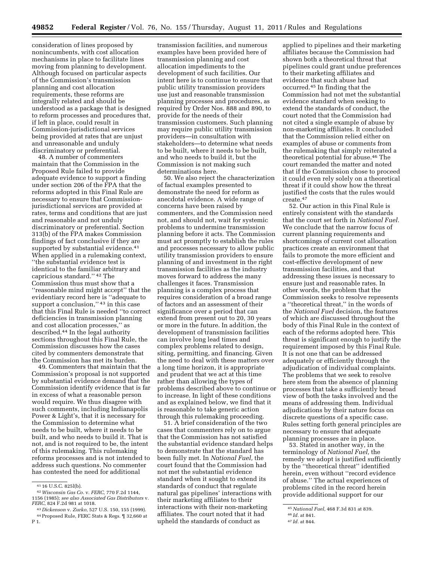consideration of lines proposed by nonincumbents, with cost allocation mechanisms in place to facilitate lines moving from planning to development. Although focused on particular aspects of the Commission's transmission planning and cost allocation requirements, these reforms are integrally related and should be understood as a package that is designed to reform processes and procedures that, if left in place, could result in Commission-jurisdictional services being provided at rates that are unjust and unreasonable and unduly discriminatory or preferential.

48. A number of commenters maintain that the Commission in the Proposed Rule failed to provide adequate evidence to support a finding under section 206 of the FPA that the reforms adopted in this Final Rule are necessary to ensure that Commissionjurisdictional services are provided at rates, terms and conditions that are just and reasonable and not unduly discriminatory or preferential. Section 313(b) of the FPA makes Commission findings of fact conclusive if they are supported by substantial evidence.<sup>41</sup> When applied in a rulemaking context, ''the substantial evidence test is identical to the familiar arbitrary and capricious standard.'' 42 The Commission thus must show that a ''reasonable mind might accept'' that the evidentiary record here is ''adequate to support a conclusion," 43 in this case that this Final Rule is needed ''to correct deficiencies in transmission planning and cost allocation processes,'' as described.44 In the legal authority sections throughout this Final Rule, the Commission discusses how the cases cited by commenters demonstrate that the Commission has met its burden.

49. Commenters that maintain that the Commission's proposal is not supported by substantial evidence demand that the Commission identify evidence that is far in excess of what a reasonable person would require. We thus disagree with such comments, including Indianapolis Power & Light's, that it is necessary for the Commission to determine what needs to be built, where it needs to be built, and who needs to build it. That is not, and is not required to be, the intent of this rulemaking. This rulemaking reforms processes and is not intended to address such questions. No commenter has contested the need for additional

transmission facilities, and numerous examples have been provided here of transmission planning and cost allocation impediments to the development of such facilities. Our intent here is to continue to ensure that public utility transmission providers use just and reasonable transmission planning processes and procedures, as required by Order Nos. 888 and 890, to provide for the needs of their transmission customers. Such planning may require public utility transmission providers—in consultation with stakeholders—to determine what needs to be built, where it needs to be built, and who needs to build it, but the Commission is not making such determinations here.

50. We also reject the characterization of factual examples presented to demonstrate the need for reform as anecdotal evidence. A wide range of concerns have been raised by commenters, and the Commission need not, and should not, wait for systemic problems to undermine transmission planning before it acts. The Commission must act promptly to establish the rules and processes necessary to allow public utility transmission providers to ensure planning of and investment in the right transmission facilities as the industry moves forward to address the many challenges it faces. Transmission planning is a complex process that requires consideration of a broad range of factors and an assessment of their significance over a period that can extend from present out to 20, 30 years or more in the future. In addition, the development of transmission facilities can involve long lead times and complex problems related to design, siting, permitting, and financing. Given the need to deal with these matters over a long time horizon, it is appropriate and prudent that we act at this time rather than allowing the types of problems described above to continue or to increase. In light of these conditions and as explained below, we find that it is reasonable to take generic action through this rulemaking proceeding.

51. A brief consideration of the two cases that commenters rely on to argue that the Commission has not satisfied the substantial evidence standard helps to demonstrate that the standard has been fully met. In *National Fuel,* the court found that the Commission had not met the substantial evidence standard when it sought to extend its standards of conduct that regulate natural gas pipelines' interactions with their marketing affiliates to their interactions with their non-marketing affiliates. The court noted that it had upheld the standards of conduct as

applied to pipelines and their marketing affiliates because the Commission had shown both a theoretical threat that pipelines could grant undue preferences to their marketing affiliates and evidence that such abuse had occurred.45 In finding that the Commission had not met the substantial evidence standard when seeking to extend the standards of conduct, the court noted that the Commission had not cited a single example of abuse by non-marketing affiliates. It concluded that the Commission relied either on examples of abuse or comments from the rulemaking that simply reiterated a theoretical potential for abuse.46 The court remanded the matter and noted that if the Commission chose to proceed it could even rely solely on a theoretical threat if it could show how the threat justified the costs that the rules would create.47

52. Our action in this Final Rule is entirely consistent with the standards that the court set forth in *National Fuel.*  We conclude that the narrow focus of current planning requirements and shortcomings of current cost allocation practices create an environment that fails to promote the more efficient and cost-effective development of new transmission facilities, and that addressing these issues is necessary to ensure just and reasonable rates. In other words, the problem that the Commission seeks to resolve represents a ''theoretical threat,'' in the words of the *National Fuel* decision, the features of which are discussed throughout the body of this Final Rule in the context of each of the reforms adopted here. This threat is significant enough to justify the requirement imposed by this Final Rule. It is not one that can be addressed adequately or efficiently through the adjudication of individual complaints. The problems that we seek to resolve here stem from the absence of planning processes that take a sufficiently broad view of both the tasks involved and the means of addressing them. Individual adjudications by their nature focus on discrete questions of a specific case. Rules setting forth general principles are necessary to ensure that adequate planning processes are in place.

53. Stated in another way, in the terminology of *National Fuel,* the remedy we adopt is justified sufficiently by the ''theoretical threat'' identified herein, even without ''record evidence of abuse.'' The actual experiences of problems cited in the record herein provide additional support for our

<sup>41</sup> 16 U.S.C. 825l(b). 42*Wisconsin Gas Co.* v. *FERC,* 770 F.2d 1144, 1156 (1985); *see also Associated Gas Distributors* v.

*FERC,* 824 F.2d 981 at 1018. 43 *Dickenson* v. *Zurko,* 527 U.S. 150, 155 (1999). 44Proposed Rule, FERC Stats & Regs. ¶ 32,660 at P 1.

<sup>45</sup>*National Fuel,* 468 F.3d 831 at 839.

<sup>46</sup> *Id.* at 841.

<sup>47</sup> *Id.* at 844.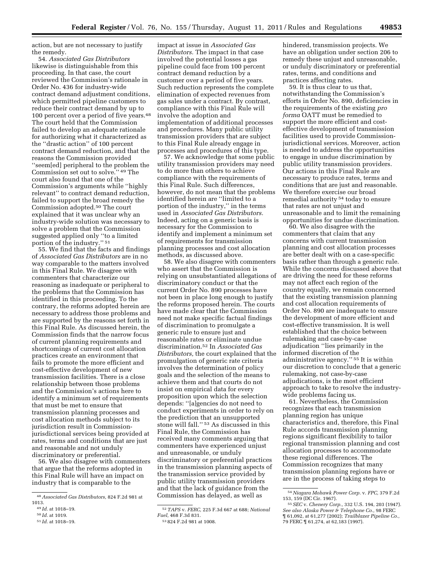action, but are not necessary to justify the remedy.

54. *Associated Gas Distributors*  likewise is distinguishable from this proceeding. In that case, the court reviewed the Commission's rationale in Order No. 436 for industry-wide contract demand adjustment conditions, which permitted pipeline customers to reduce their contract demand by up to 100 percent over a period of five years.48 The court held that the Commission failed to develop an adequate rationale for authorizing what it characterized as the ''drastic action'' of 100 percent contract demand reduction, and that the reasons the Commission provided ''seem[ed] peripheral to the problem the Commission set out to solve.'' 49 The court also found that one of the Commission's arguments while ''highly relevant'' to contract demand reduction, failed to support the broad remedy the Commission adopted.50 The court explained that it was unclear why an industry-wide solution was necessary to solve a problem that the Commission suggested applied only ''to a limited portion of the industry.'' 51

55. We find that the facts and findings of *Associated Gas Distributors* are in no way comparable to the matters involved in this Final Rule. We disagree with commenters that characterize our reasoning as inadequate or peripheral to the problems that the Commission has identified in this proceeding. To the contrary, the reforms adopted herein are necessary to address those problems and are supported by the reasons set forth in this Final Rule. As discussed herein, the Commission finds that the narrow focus of current planning requirements and shortcomings of current cost allocation practices create an environment that fails to promote the more efficient and cost-effective development of new transmission facilities. There is a close relationship between those problems and the Commission's actions here to identify a minimum set of requirements that must be met to ensure that transmission planning processes and cost allocation methods subject to its jurisdiction result in Commissionjurisdictional services being provided at rates, terms and conditions that are just and reasonable and not unduly discriminatory or preferential.

56. We also disagree with commenters that argue that the reforms adopted in this Final Rule will have an impact on industry that is comparable to the

51 *Id.* at 1018–19.

impact at issue in *Associated Gas Distributors.* The impact in that case involved the potential losses a gas pipeline could face from 100 percent contract demand reduction by a customer over a period of five years. Such reduction represents the complete elimination of expected revenues from gas sales under a contract. By contrast, compliance with this Final Rule will involve the adoption and implementation of additional processes and procedures. Many public utility transmission providers that are subject to this Final Rule already engage in processes and procedures of this type.

57. We acknowledge that some public utility transmission providers may need to do more than others to achieve compliance with the requirements of this Final Rule. Such differences, however, do not mean that the problems identified herein are ''limited to a portion of the industry,'' in the terms used in *Associated Gas Distributors.*  Indeed, acting on a generic basis is necessary for the Commission to identify and implement a minimum set of requirements for transmission planning processes and cost allocation methods, as discussed above.

58. We also disagree with commenters who assert that the Commission is relying on unsubstantiated allegations of discriminatory conduct or that the current Order No. 890 processes have not been in place long enough to justify the reforms proposed herein. The courts have made clear that the Commission need not make specific factual findings of discrimination to promulgate a generic rule to ensure just and reasonable rates or eliminate undue discrimination.52 In *Associated Gas Distributors,* the court explained that the promulgation of generic rate criteria involves the determination of policy goals and the selection of the means to achieve them and that courts do not insist on empirical data for every proposition upon which the selection depends: ''[a]gencies do not need to conduct experiments in order to rely on the prediction that an unsupported stone will fall.'' 53 As discussed in this Final Rule, the Commission has received many comments arguing that commenters have experienced unjust and unreasonable, or unduly discriminatory or preferential practices in the transmission planning aspects of the transmission service provided by public utility transmission providers and that the lack of guidance from the Commission has delayed, as well as

hindered, transmission projects. We have an obligation under section 206 to remedy these unjust and unreasonable, or unduly discriminatory or preferential rates, terms, and conditions and practices affecting rates.

59. It is thus clear to us that, notwithstanding the Commission's efforts in Order No. 890, deficiencies in the requirements of the existing *pro forma* OATT must be remedied to support the more efficient and costeffective development of transmission facilities used to provide Commissionjurisdictional services. Moreover, action is needed to address the opportunities to engage in undue discrimination by public utility transmission providers. Our actions in this Final Rule are necessary to produce rates, terms and conditions that are just and reasonable. We therefore exercise our broad remedial authority 54 today to ensure that rates are not unjust and unreasonable and to limit the remaining opportunities for undue discrimination.

60. We also disagree with the commenters that claim that any concerns with current transmission planning and cost allocation processes are better dealt with on a case-specific basis rather than through a generic rule. While the concerns discussed above that are driving the need for these reforms may not affect each region of the country equally, we remain concerned that the existing transmission planning and cost allocation requirements of Order No. 890 are inadequate to ensure the development of more efficient and cost-effective transmission. It is well established that the choice between rulemaking and case-by-case adjudication ''lies primarily in the informed discretion of the administrative agency.'' 55 It is within our discretion to conclude that a generic rulemaking, not case-by-case adjudications, is the most efficient approach to take to resolve the industrywide problems facing us.

61. Nevertheless, the Commission recognizes that each transmission planning region has unique characteristics and, therefore, this Final Rule accords transmission planning regions significant flexibility to tailor regional transmission planning and cost allocation processes to accommodate these regional differences. The Commission recognizes that many transmission planning regions have or are in the process of taking steps to

<sup>48</sup>*Associated Gas Distributors,* 824 F.2d 981 at 1013.

<sup>49</sup> *Id.* at 1018–19.

<sup>50</sup> *Id.* at 1019.

<sup>52</sup>*TAPS* v. *FERC,* 225 F.3d 667 at 688; *National Fuel,* 468 F.3d 831.

<sup>53</sup> 824 F.2d 981 at 1008.

<sup>54</sup>*Niagara Mohawk Power Corp.* v. *FPC,* 379 F.2d 153, 159 (DC Cir. 1967).

<sup>55</sup>*SEC* v. *Chenery Corp.,* 332 U.S. 194, 203 (1947). *See also Alaska Power & Telephone Co.,* 98 FERC ¶ 61,092, at 61,277 (2002); *Trailblazer Pipeline Co.,*  79 FERC ¶ 61,274, at 62,183 (1997).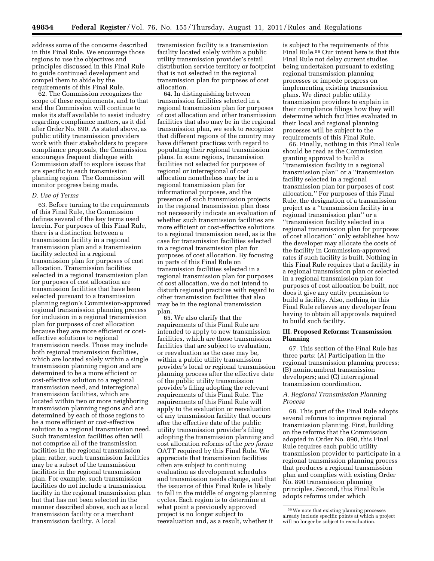address some of the concerns described in this Final Rule. We encourage those regions to use the objectives and principles discussed in this Final Rule to guide continued development and compel them to abide by the requirements of this Final Rule.

62. The Commission recognizes the scope of these requirements, and to that end the Commission will continue to make its staff available to assist industry regarding compliance matters, as it did after Order No. 890. As stated above, as public utility transmission providers work with their stakeholders to prepare compliance proposals, the Commission encourages frequent dialogue with Commission staff to explore issues that are specific to each transmission planning region. The Commission will monitor progress being made.

# *D. Use of Terms*

63. Before turning to the requirements of this Final Rule, the Commission defines several of the key terms used herein. For purposes of this Final Rule, there is a distinction between a transmission facility in a regional transmission plan and a transmission facility selected in a regional transmission plan for purposes of cost allocation. Transmission facilities selected in a regional transmission plan for purposes of cost allocation are transmission facilities that have been selected pursuant to a transmission planning region's Commission-approved regional transmission planning process for inclusion in a regional transmission plan for purposes of cost allocation because they are more efficient or costeffective solutions to regional transmission needs. Those may include both regional transmission facilities, which are located solely within a single transmission planning region and are determined to be a more efficient or cost-effective solution to a regional transmission need, and interregional transmission facilities, which are located within two or more neighboring transmission planning regions and are determined by each of those regions to be a more efficient or cost-effective solution to a regional transmission need. Such transmission facilities often will not comprise all of the transmission facilities in the regional transmission plan; rather, such transmission facilities may be a subset of the transmission facilities in the regional transmission plan. For example, such transmission facilities do not include a transmission facility in the regional transmission plan but that has not been selected in the manner described above, such as a local transmission facility or a merchant transmission facility. A local

transmission facility is a transmission facility located solely within a public utility transmission provider's retail distribution service territory or footprint that is not selected in the regional transmission plan for purposes of cost allocation.

64. In distinguishing between transmission facilities selected in a regional transmission plan for purposes of cost allocation and other transmission facilities that also may be in the regional transmission plan, we seek to recognize that different regions of the country may have different practices with regard to populating their regional transmission plans. In some regions, transmission facilities not selected for purposes of regional or interregional of cost allocation nonetheless may be in a regional transmission plan for informational purposes, and the presence of such transmission projects in the regional transmission plan does not necessarily indicate an evaluation of whether such transmission facilities are more efficient or cost-effective solutions to a regional transmission need, as is the case for transmission facilities selected in a regional transmission plan for purposes of cost allocation. By focusing in parts of this Final Rule on transmission facilities selected in a regional transmission plan for purposes of cost allocation, we do not intend to disturb regional practices with regard to other transmission facilities that also may be in the regional transmission plan.

65. We also clarify that the requirements of this Final Rule are intended to apply to new transmission facilities, which are those transmission facilities that are subject to evaluation, or reevaluation as the case may be, within a public utility transmission provider's local or regional transmission planning process after the effective date of the public utility transmission provider's filing adopting the relevant requirements of this Final Rule. The requirements of this Final Rule will apply to the evaluation or reevaluation of any transmission facility that occurs after the effective date of the public utility transmission provider's filing adopting the transmission planning and cost allocation reforms of the *pro forma*  OATT required by this Final Rule. We appreciate that transmission facilities often are subject to continuing evaluation as development schedules and transmission needs change, and that the issuance of this Final Rule is likely to fall in the middle of ongoing planning cycles. Each region is to determine at what point a previously approved project is no longer subject to reevaluation and, as a result, whether it

is subject to the requirements of this Final Rule.56 Our intent here is that this Final Rule not delay current studies being undertaken pursuant to existing regional transmission planning processes or impede progress on implementing existing transmission plans. We direct public utility transmission providers to explain in their compliance filings how they will determine which facilities evaluated in their local and regional planning processes will be subject to the requirements of this Final Rule.

66. Finally, nothing in this Final Rule should be read as the Commission granting approval to build a ''transmission facility in a regional transmission plan'' or a ''transmission facility selected in a regional transmission plan for purposes of cost allocation.'' For purposes of this Final Rule, the designation of a transmission project as a ''transmission facility in a regional transmission plan'' or a ''transmission facility selected in a regional transmission plan for purposes of cost allocation'' only establishes how the developer may allocate the costs of the facility in Commission-approved rates if such facility is built. Nothing in this Final Rule requires that a facility in a regional transmission plan or selected in a regional transmission plan for purposes of cost allocation be built, nor does it give any entity permission to build a facility. Also, nothing in this Final Rule relieves any developer from having to obtain all approvals required to build such facility.

# **III. Proposed Reforms: Transmission Planning**

67. This section of the Final Rule has three parts: (A) Participation in the regional transmission planning process; (B) nonincumbent transmission developers; and (C) interregional transmission coordination.

# *A. Regional Transmission Planning Process*

68. This part of the Final Rule adopts several reforms to improve regional transmission planning. First, building on the reforms that the Commission adopted in Order No. 890, this Final Rule requires each public utility transmission provider to participate in a regional transmission planning process that produces a regional transmission plan and complies with existing Order No. 890 transmission planning principles. Second, this Final Rule adopts reforms under which

<sup>56</sup>We note that existing planning processes already include specific points at which a project will no longer be subject to reevaluation.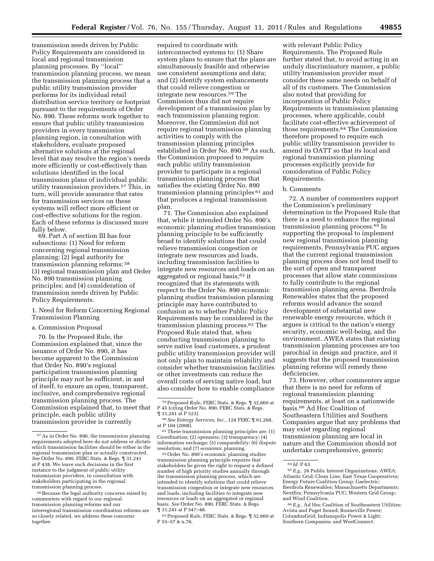transmission needs driven by Public Policy Requirements are considered in local and regional transmission planning processes. By ''local'' transmission planning process, we mean the transmission planning process that a public utility transmission provider performs for its individual retail distribution service territory or footprint pursuant to the requirements of Order No. 890. These reforms work together to ensure that public utility transmission providers in every transmission planning region, in consultation with stakeholders, evaluate proposed alternative solutions at the regional level that may resolve the region's needs more efficiently or cost-effectively than solutions identified in the local transmission plans of individual public utility transmission providers.57 This, in turn, will provide assurance that rates for transmission services on these systems will reflect more efficient or cost-effective solutions for the region. Each of these reforms is discussed more fully below.

69. Part A of section III has four subsections: (1) Need for reform concerning regional transmission planning; (2) legal authority for transmission planning reforms; 58 (3) regional transmission plan and Order No. 890 transmission planning principles; and (4) consideration of transmission needs driven by Public Policy Requirements.

1. Need for Reform Concerning Regional Transmission Planning

## a. Commission Proposal

70. In the Proposed Rule, the Commission explained that, since the issuance of Order No. 890, it has become apparent to the Commission that Order No. 890's regional participation transmission planning principle may not be sufficient, in and of itself, to ensure an open, transparent, inclusive, and comprehensive regional transmission planning process. The Commission explained that, to meet that principle, each public utility transmission provider is currently

required to coordinate with interconnected systems to: (1) Share system plans to ensure that the plans are simultaneously feasible and otherwise use consistent assumptions and data; and (2) identify system enhancements that could relieve congestion or integrate new resources.59 The Commission thus did not require development of a transmission plan by each transmission planning region. Moreover, the Commission did not require regional transmission planning activities to comply with the transmission planning principles established in Order No. 890.60 As such, the Commission proposed to require each public utility transmission provider to participate in a regional transmission planning process that satisfies the existing Order No. 890 transmission planning principles 61 and that produces a regional transmission plan.

71. The Commission also explained that, while it intended Order No. 890's economic planning studies transmission planning principle to be sufficiently broad to identify solutions that could relieve transmission congestion or integrate new resources and loads, including transmission facilities to integrate new resources and loads on an aggregated or regional basis,<sup>62</sup> it recognized that its statements with respect to the Order No. 890 economic planning studies transmission planning principle may have contributed to confusion as to whether Public Policy Requirements may be considered in the transmission planning process.63 The Proposed Rule stated that, when conducting transmission planning to serve native load customers, a prudent public utility transmission provider will not only plan to maintain reliability and consider whether transmission facilities or other investments can reduce the overall costs of serving native load, but also consider how to enable compliance

63Proposed Rule, FERC Stats. & Regs. ¶ 32,660 at P 55–57 & n.76.

with relevant Public Policy Requirements. The Proposed Rule further stated that, to avoid acting in an unduly discriminatory manner, a public utility transmission provider must consider these same needs on behalf of all of its customers. The Commission also noted that providing for incorporation of Public Policy Requirements in transmission planning processes, where applicable, could facilitate cost-effective achievement of those requirements.64 The Commission therefore proposed to require each public utility transmission provider to amend its OATT so that its local and regional transmission planning processes explicitly provide for consideration of Public Policy Requirements.

#### b. Comments

72. A number of commenters support the Commission's preliminary determination in the Proposed Rule that there is a need to enhance the regional transmission planning process.65 In supporting the proposal to implement new regional transmission planning requirements, Pennsylvania PUC argues that the current regional transmission planning process does not lend itself to the sort of open and transparent processes that allow state commissions to fully contribute to the regional transmission planning arena. Iberdrola Renewables states that the proposed reforms would advance the sound development of substantial new renewable energy resources, which it argues is critical to the nation's energy security, economic well-being, and the environment. AWEA states that existing transmission planning processes are too parochial in design and practice, and it suggests that the proposed transmission planning reforms will remedy these deficiencies.

73. However, other commenters argue that there is no need for reform of regional transmission planning requirements, at least on a nationwide basis.66 Ad Hoc Coalition of Southeastern Utilities and Southern Companies argue that any problems that may exist regarding regional transmission planning are local in nature and the Commission should not undertake comprehensive, generic

<sup>57</sup>As in Order No. 890, the transmission planning requirements adopted here do not address or dictate which transmission facilities should be either in the regional transmission plan or actually constructed. *See* Order No. 890, FERC Stats. & Regs. ¶ 31,241 at P 438. We leave such decisions in the first instance to the judgment of public utility transmission providers, in consultation with stakeholders participating in the regional transmission planning process.

<sup>58</sup>Because the legal authority concerns raised by commenters with regard to our regional transmission planning reforms and our interregional transmission coordination reforms are so closely related, we address these concerns together.

<sup>59</sup>Proposed Rule, FERC Stats. & Regs. ¶ 32,660 at P 45 (citing Order No. 890, FERC Stats. & Regs.<br>¶ 31,241 at P 523).

 $^{60}$   $See$   $Entergy$   $Services,$   $Inc.,$   $124$   $\rm FERC$   $\mathop{\S}\limits$   $61,268,$ 

at P 104 (2008).<br><sup>61</sup> These transmission planning principles are: (1) Coordination; (2) openness; (3) transparency; (4) information exchange; (5) comparability; (6) dispute

<sup>&</sup>lt;sup>62</sup> Order No. 890's economic planning studies transmission planning principle requires that stakeholders be given the right to request a defined number of high priority studies annually through the transmission planning process, which are intended to identify solutions that could relieve transmission congestion or integrate new resources and loads, including facilities to integrate new resources or loads on an aggregated or regional basis. *See* Order No. 890, FERC Stats. & Regs. ¶ 31,241 at P 547–48.

<sup>&</sup>lt;sup>64</sup> *Id.* P 63. **65** *E.g.,* 26 Public Interest Organizations; AWEA; Atlantic Grid; Clean Line; East Texas Cooperatives; Energy Future Coalition Group; Gaelectric; Iberdrola Renewables; Massachusetts Departments; NextEra; Pennsylvania PUC; Western Grid Group; and Wind Coalition.

<sup>66</sup>*E.g.,* Ad Hoc Coalition of Southeastern Utilities; Avista and Puget Sound; Bonneville Power; ColumbiaGrid; Indianapolis Power & Light; Southern Companies; and WestConnect.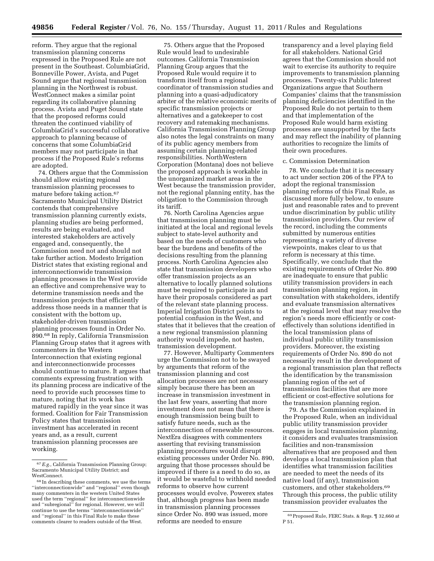reform. They argue that the regional transmission planning concerns expressed in the Proposed Rule are not present in the Southeast. ColumbiaGrid, Bonneville Power, Avista, and Puget Sound argue that regional transmission planning in the Northwest is robust. WestConnect makes a similar point regarding its collaborative planning process. Avista and Puget Sound state that the proposed reforms could threaten the continued viability of ColumbiaGrid's successful collaborative approach to planning because of concerns that some ColumbiaGrid members may not participate in that process if the Proposed Rule's reforms are adopted.

74. Others argue that the Commission should allow existing regional transmission planning processes to mature before taking action.67 Sacramento Municipal Utility District contends that comprehensive transmission planning currently exists, planning studies are being performed, results are being evaluated, and interested stakeholders are actively engaged and, consequently, the Commission need not and should not take further action. Modesto Irrigation District states that existing regional and interconnectionwide transmission planning processes in the West provide an effective and comprehensive way to determine transmission needs and the transmission projects that efficiently address those needs in a manner that is consistent with the bottom up, stakeholder-driven transmission planning processes found in Order No. 890.68 In reply, California Transmission Planning Group states that it agrees with commenters in the Western Interconnection that existing regional and interconnectionwide processes should continue to mature. It argues that comments expressing frustration with its planning process are indicative of the need to provide such processes time to mature, noting that its work has matured rapidly in the year since it was formed. Coalition for Fair Transmission Policy states that transmission investment has accelerated in recent years and, as a result, current transmission planning processes are working.

75. Others argue that the Proposed Rule would lead to undesirable outcomes. California Transmission Planning Group argues that the Proposed Rule would require it to transform itself from a regional coordinator of transmission studies and planning into a quasi-adjudicatory arbiter of the relative economic merits of specific transmission projects or alternatives and a gatekeeper to cost recovery and ratemaking mechanisms. California Transmission Planning Group also notes the legal constraints on many of its public agency members from assuming certain planning-related responsibilities. NorthWestern Corporation (Montana) does not believe the proposed approach is workable in the unorganized market areas in the West because the transmission provider, not the regional planning entity, has the obligation to the Commission through its tariff.

76. North Carolina Agencies argue that transmission planning must be initiated at the local and regional levels subject to state-level authority and based on the needs of customers who bear the burdens and benefits of the decisions resulting from the planning process. North Carolina Agencies also state that transmission developers who offer transmission projects as an alternative to locally planned solutions must be required to participate in and have their proposals considered as part of the relevant state planning process. Imperial Irrigation District points to potential confusion in the West, and states that it believes that the creation of a new regional transmission planning authority would impede, not hasten, transmission development.

77. However, Multiparty Commenters urge the Commission not to be swayed by arguments that reform of the transmission planning and cost allocation processes are not necessary simply because there has been an increase in transmission investment in the last few years, asserting that more investment does not mean that there is enough transmission being built to satisfy future needs, such as the interconnection of renewable resources. NextEra disagrees with commenters asserting that revising transmission planning procedures would disrupt existing processes under Order No. 890, arguing that those processes should be improved if there is a need to do so, as it would be wasteful to withhold needed reforms to observe how current processes would evolve. Powerex states that, although progress has been made in transmission planning processes since Order No. 890 was issued, more reforms are needed to ensure

transparency and a level playing field for all stakeholders. National Grid agrees that the Commission should not wait to exercise its authority to require improvements to transmission planning processes. Twenty-six Public Interest Organizations argue that Southern Companies' claims that the transmission planning deficiencies identified in the Proposed Rule do not pertain to them and that implementation of the Proposed Rule would harm existing processes are unsupported by the facts and may reflect the inability of planning authorities to recognize the limits of their own procedures.

#### c. Commission Determination

78. We conclude that it is necessary to act under section 206 of the FPA to adopt the regional transmission planning reforms of this Final Rule, as discussed more fully below, to ensure just and reasonable rates and to prevent undue discrimination by public utility transmission providers. Our review of the record, including the comments submitted by numerous entities representing a variety of diverse viewpoints, makes clear to us that reform is necessary at this time. Specifically, we conclude that the existing requirements of Order No. 890 are inadequate to ensure that public utility transmission providers in each transmission planning region, in consultation with stakeholders, identify and evaluate transmission alternatives at the regional level that may resolve the region's needs more efficiently or costeffectively than solutions identified in the local transmission plans of individual public utility transmission providers. Moreover, the existing requirements of Order No. 890 do not necessarily result in the development of a regional transmission plan that reflects the identification by the transmission planning region of the set of transmission facilities that are more efficient or cost-effective solutions for the transmission planning region.

79. As the Commission explained in the Proposed Rule, when an individual public utility transmission provider engages in local transmission planning, it considers and evaluates transmission facilities and non-transmission alternatives that are proposed and then develops a local transmission plan that identifies what transmission facilities are needed to meet the needs of its native load (if any), transmission customers, and other stakeholders.69 Through this process, the public utility transmission provider evaluates the

<sup>67</sup>*E.g.,* California Transmission Planning Group; Sacramento Municipal Utility District; and WestConnect.

<sup>68</sup> In describing these comments, we use the terms ''interconnectionwide'' and ''regional'' even though many commenters in the western United States used the term ''regional'' for interconnectionwide and ''subregional'' for regional. However, we will continue to use the terms ''interconnectionwide'' and ''regional'' in this Final Rule to make these comments clearer to readers outside of the West.

<sup>69</sup>Proposed Rule, FERC Stats. & Regs. ¶ 32,660 at P 51.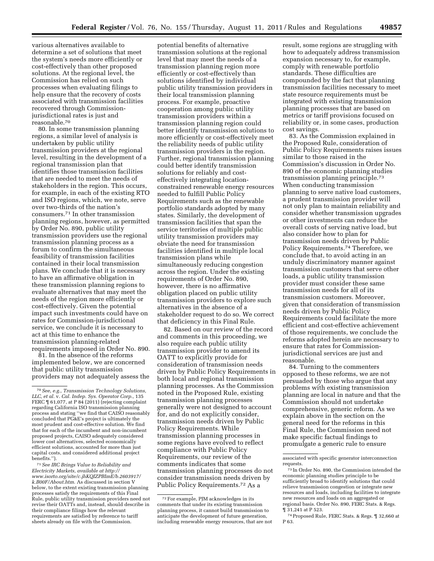various alternatives available to determine a set of solutions that meet the system's needs more efficiently or cost-effectively than other proposed solutions. At the regional level, the Commission has relied on such processes when evaluating filings to help ensure that the recovery of costs associated with transmission facilities recovered through Commissionjurisdictional rates is just and reasonable.70

80. In some transmission planning regions, a similar level of analysis is undertaken by public utility transmission providers at the regional level, resulting in the development of a regional transmission plan that identifies those transmission facilities that are needed to meet the needs of stakeholders in the region. This occurs, for example, in each of the existing RTO and ISO regions, which, we note, serve over two-thirds of the nation's consumers.71 In other transmission planning regions, however, as permitted by Order No. 890, public utility transmission providers use the regional transmission planning process as a forum to confirm the simultaneous feasibility of transmission facilities contained in their local transmission plans. We conclude that it is necessary to have an affirmative obligation in these transmission planning regions to evaluate alternatives that may meet the needs of the region more efficiently or cost-effectively. Given the potential impact such investments could have on rates for Commission-jurisdictional service, we conclude it is necessary to act at this time to enhance the transmission planning-related requirements imposed in Order No. 890.

81. In the absence of the reforms implemented below, we are concerned that public utility transmission providers may not adequately assess the

71*See IRC Brings Value to Reliability and Electricity Markets, available at [http://](http://www.isorto.org/site/c.jhKQIZPBImE/b.2603917/k.B00F/About.htm)  [www.isorto.org/site/c.jhKQIZPBImE/b.2603917/](http://www.isorto.org/site/c.jhKQIZPBImE/b.2603917/k.B00F/About.htm)  [k.B00F/About.htm](http://www.isorto.org/site/c.jhKQIZPBImE/b.2603917/k.B00F/About.htm)*. As discussed in section V below, to the extent existing transmission planning processes satisfy the requirements of this Final Rule, public utility transmission providers need not revise their OATTs and, instead, should describe in their compliance filings how the relevant requirements are satisfied by reference to tariff sheets already on file with the Commission.

potential benefits of alternative transmission solutions at the regional level that may meet the needs of a transmission planning region more efficiently or cost-effectively than solutions identified by individual public utility transmission providers in their local transmission planning process. For example, proactive cooperation among public utility transmission providers within a transmission planning region could better identify transmission solutions to more efficiently or cost-effectively meet the reliability needs of public utility transmission providers in the region. Further, regional transmission planning could better identify transmission solutions for reliably and costeffectively integrating locationconstrained renewable energy resources needed to fulfill Public Policy Requirements such as the renewable portfolio standards adopted by many states. Similarly, the development of transmission facilities that span the service territories of multiple public utility transmission providers may obviate the need for transmission facilities identified in multiple local transmission plans while simultaneously reducing congestion across the region. Under the existing requirements of Order No. 890, however, there is no affirmative obligation placed on public utility transmission providers to explore such alternatives in the absence of a stakeholder request to do so. We correct that deficiency in this Final Rule.

82. Based on our review of the record and comments in this proceeding, we also require each public utility transmission provider to amend its OATT to explicitly provide for consideration of transmission needs driven by Public Policy Requirements in both local and regional transmission planning processes. As the Commission noted in the Proposed Rule, existing transmission planning processes generally were not designed to account for, and do not explicitly consider, transmission needs driven by Public Policy Requirements. While transmission planning processes in some regions have evolved to reflect compliance with Public Policy Requirements, our review of the comments indicates that some transmission planning processes do not consider transmission needs driven by Public Policy Requirements.72 As a

result, some regions are struggling with how to adequately address transmission expansion necessary to, for example, comply with renewable portfolio standards. These difficulties are compounded by the fact that planning transmission facilities necessary to meet state resource requirements must be integrated with existing transmission planning processes that are based on metrics or tariff provisions focused on reliability or, in some cases, production cost savings.

83. As the Commission explained in the Proposed Rule, consideration of Public Policy Requirements raises issues similar to those raised in the Commission's discussion in Order No. 890 of the economic planning studies transmission planning principle.73 When conducting transmission planning to serve native load customers, a prudent transmission provider will not only plan to maintain reliability and consider whether transmission upgrades or other investments can reduce the overall costs of serving native load, but also consider how to plan for transmission needs driven by Public Policy Requirements.74 Therefore, we conclude that, to avoid acting in an unduly discriminatory manner against transmission customers that serve other loads, a public utility transmission provider must consider these same transmission needs for all of its transmission customers. Moreover, given that consideration of transmission needs driven by Public Policy Requirements could facilitate the more efficient and cost-effective achievement of those requirements, we conclude the reforms adopted herein are necessary to ensure that rates for Commissionjurisdictional services are just and reasonable.

84. Turning to the commenters opposed to these reforms, we are not persuaded by those who argue that any problems with existing transmission planning are local in nature and that the Commission should not undertake comprehensive, generic reform. As we explain above in the section on the general need for the reforms in this Final Rule, the Commission need not make specific factual findings to promulgate a generic rule to ensure

<sup>70</sup>*See, e.g., Transmission Technology Solutions, LLC, et al.* v. *Cal. Indep. Sys. Operator Corp.,* 135 FERC  $\P$  61,077, at P 84 (2011) (rejecting complaint regarding California ISO transmission planning process and stating ''we find that CAISO reasonably concluded that PG&E's project is ultimately the most prudent and cost-effective solution. We find that for each of the incumbent and non-incumbent proposed projects, CAISO adequately considered lower cost alternatives, selected economically efficient solutions, accounted for more than just capital costs, and considered additional project benefits.'').

<sup>72</sup>For example, PJM acknowledges in its comments that under its existing transmission planning process, it cannot build transmission to anticipate the development of future generation, including renewable energy resources, that are not

associated with specific generator interconnection requests.

<sup>73</sup> In Order No. 890, the Commission intended the economic planning studies principle to be sufficiently broad to identify solutions that could relieve transmission congestion or integrate new resources and loads, including facilities to integrate new resources and loads on an aggregated or regional basis. Order No. 890, FERC Stats. & Regs. ¶ 31,241 at P 523.

<sup>74</sup>Proposed Rule, FERC Stats. & Regs. ¶ 32,660 at P 63.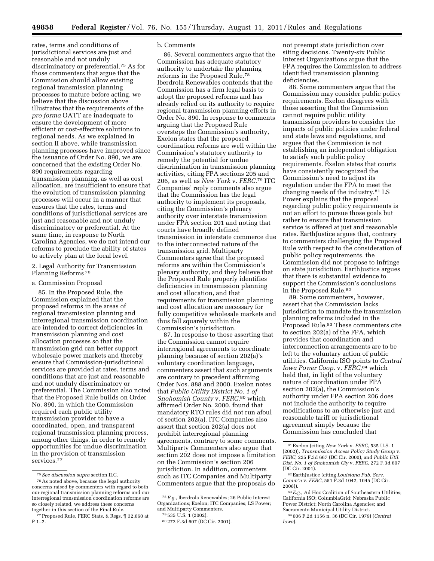rates, terms and conditions of jurisdictional services are just and reasonable and not unduly discriminatory or preferential.75 As for those commenters that argue that the Commission should allow existing regional transmission planning processes to mature before acting, we believe that the discussion above illustrates that the requirements of the *pro forma* OATT are inadequate to ensure the development of more efficient or cost-effective solutions to regional needs. As we explained in section II above, while transmission planning processes have improved since the issuance of Order No. 890, we are concerned that the existing Order No. 890 requirements regarding transmission planning, as well as cost allocation, are insufficient to ensure that the evolution of transmission planning processes will occur in a manner that ensures that the rates, terms and conditions of jurisdictional services are just and reasonable and not unduly discriminatory or preferential. At the same time, in response to North Carolina Agencies, we do not intend our reforms to preclude the ability of states to actively plan at the local level.

2. Legal Authority for Transmission Planning Reforms 76

## a. Commission Proposal

85. In the Proposed Rule, the Commission explained that the proposed reforms in the areas of regional transmission planning and interregional transmission coordination are intended to correct deficiencies in transmission planning and cost allocation processes so that the transmission grid can better support wholesale power markets and thereby ensure that Commission-jurisdictional services are provided at rates, terms and conditions that are just and reasonable and not unduly discriminatory or preferential. The Commission also noted that the Proposed Rule builds on Order No. 890, in which the Commission required each public utility transmission provider to have a coordinated, open, and transparent regional transmission planning process, among other things, in order to remedy opportunities for undue discrimination in the provision of transmission services.77

# b. Comments

86. Several commenters argue that the Commission has adequate statutory authority to undertake the planning reforms in the Proposed Rule.78 Iberdrola Renewables contends that the Commission has a firm legal basis to adopt the proposed reforms and has already relied on its authority to require regional transmission planning efforts in Order No. 890. In response to comments arguing that the Proposed Rule oversteps the Commission's authority, Exelon states that the proposed coordination reforms are well within the Commission's statutory authority to remedy the potential for undue discrimination in transmission planning activities, citing FPA sections 205 and 206, as well as *New York* v. *FERC.*79 ITC Companies' reply comments also argue that the Commission has the legal authority to implement its proposals, citing the Commission's plenary authority over interstate transmission under FPA section 201 and noting that courts have broadly defined transmission in interstate commerce due to the interconnected nature of the transmission grid. Multiparty Commenters agree that the proposed reforms are within the Commission's plenary authority, and they believe that the Proposed Rule properly identifies deficiencies in transmission planning and cost allocation, and that requirements for transmission planning and cost allocation are necessary for fully competitive wholesale markets and thus fall squarely within the Commission's jurisdiction.

87. In response to those asserting that the Commission cannot require interregional agreements to coordinate planning because of section 202(a)'s voluntary coordination language, commenters assert that such arguments are contrary to precedent affirming Order Nos. 888 and 2000. Exelon notes that *Public Utility District No. 1 of Snohomish County* v. *FERC*,80 which affirmed Order No. 2000, found that mandatory RTO rules did not run afoul of section 202(a). ITC Companies also assert that section 202(a) does not prohibit interregional planning agreements, contrary to some comments. Multiparty Commenters also argue that section 202 does not impose a limitation on the Commission's section 206 jurisdiction. In addition, commenters such as ITC Companies and Multiparty Commenters argue that the proposals do

not preempt state jurisdiction over siting decisions. Twenty-six Public Interest Organizations argue that the FPA requires the Commission to address identified transmission planning deficiencies.

88. Some commenters argue that the Commission may consider public policy requirements. Exelon disagrees with those asserting that the Commission cannot require public utility transmission providers to consider the impacts of public policies under federal and state laws and regulations, and argues that the Commission is not establishing an independent obligation to satisfy such public policy requirements. Exelon states that courts have consistently recognized the Commission's need to adjust its regulation under the FPA to meet the changing needs of the industry.81 LS Power explains that the proposal regarding public policy requirements is not an effort to pursue those goals but rather to ensure that transmission service is offered at just and reasonable rates. EarthJustice argues that, contrary to commenters challenging the Proposed Rule with respect to the consideration of public policy requirements, the Commission did not propose to infringe on state jurisdiction. EarthJustice argues that there is substantial evidence to support the Commission's conclusions in the Proposed Rule.<sup>82</sup>

89. Some commenters, however, assert that the Commission lacks jurisdiction to mandate the transmission planning reforms included in the Proposed Rule.83 These commenters cite to section 202(a) of the FPA, which provides that coordination and interconnection arrangements are to be left to the voluntary action of public utilities. California ISO points to *Central Iowa Power Coop.* v. *FERC*,<sup>84</sup> which held that, in light of the voluntary nature of coordination under FPA section 202(a), the Commission's authority under FPA section 206 does not include the authority to require modifications to an otherwise just and reasonable tariff or jurisdictional agreement simply because the Commission has concluded that

<sup>75</sup>*See discussion supra* section II.C.

<sup>76</sup>As noted above, because the legal authority concerns raised by commenters with regard to both our regional transmission planning reforms and our interregional transmission coordination reforms are so closely related, we address these concerns together in this section of the Final Rule.

<sup>77</sup>Proposed Rule, FERC Stats. & Regs. ¶ 32,660 at P 1–2.

<sup>78</sup>*E.g.*, Iberdrola Renewables; 26 Public Interest Organizations; Exelon; ITC Companies; LS Power; and Multiparty Commenters.

<sup>79</sup> 535 U.S. 1 (2002).

<sup>80</sup> 272 F.3d 607 (DC Cir. 2001).

<sup>81</sup>Exelon (citing *New York* v. *FERC*, 535 U.S. 1 (2002)), *Transmission Access Policy Study Group* v. *FERC*, 225 F.3d 667 (DC Cir. 2000), and *Public Util. Dist. No. 1 of Snohomish Cty* v. *FERC*, 272 F.3d 607 (DC Cir. 2001).

<sup>82</sup>EarthJustice (citing *Louisiana Pub. Serv. Comm'n* v. *FERC*, 551 F.3d 1042, 1045 (DC Cir. 2008)).

<sup>83</sup>*E.g.*, Ad Hoc Coalition of Southeastern Utilities; California ISO; ColumbiaGrid; Nebraska Public Power District; North Carolina Agencies; and Sacramento Municipal Utility District. 84 606 F.2d 1156 n. 36 (DC Cir. 1979) (*Central Iowa*).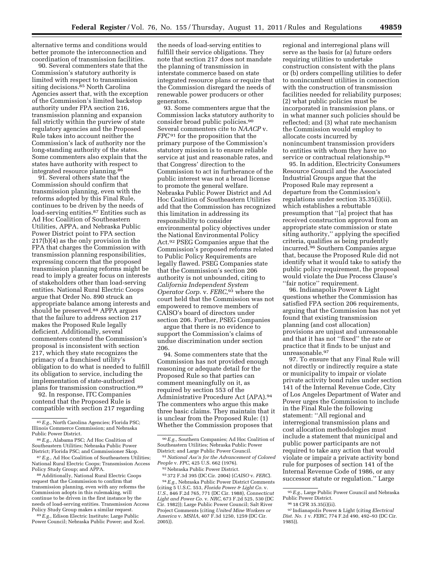alternative terms and conditions would better promote the interconnection and coordination of transmission facilities.

90. Several commenters state that the Commission's statutory authority is limited with respect to transmission siting decisions.<sup>85</sup> North Carolina Agencies assert that, with the exception of the Commission's limited backstop authority under FPA section 216, transmission planning and expansion fall strictly within the purview of state regulatory agencies and the Proposed Rule takes into account neither the Commission's lack of authority nor the long-standing authority of the states. Some commenters also explain that the states have authority with respect to integrated resource planning.<sup>86</sup>

91. Several others state that the Commission should confirm that transmission planning, even with the reforms adopted by this Final Rule, continues to be driven by the needs of load-serving entities.<sup>87</sup> Entities such as Ad Hoc Coalition of Southeastern Utilities, APPA, and Nebraska Public Power District point to FPA section 217(b)(4) as the only provision in the FPA that charges the Commission with transmission planning responsibilities, expressing concern that the proposed transmission planning reforms might be read to imply a greater focus on interests of stakeholders other than load-serving entities. National Rural Electric Coops argue that Order No. 890 struck an appropriate balance among interests and should be preserved.<sup>88</sup> APPA argues that the failure to address section 217 makes the Proposed Rule legally deficient. Additionally, several commenters contend the Commission's proposal is inconsistent with section 217, which they state recognizes the primacy of a franchised utility's obligation to do what is needed to fulfill its obligation to service, including the implementation of state-authorized plans for transmission construction.89

92. In response, ITC Companies contend that the Proposed Rule is compatible with section 217 regarding

88Additionally, National Rural Electric Coops request that the Commission to confirm that transmission planning, even with any reforms the Commission adopts in this rulemaking, will continue to be driven in the first instance by the needs of load-serving entities. Transmission Access Policy Study Group makes a similar request.

89*E.g.*, Edison Electric Institute; Large Public Power Council; Nebraska Public Power; and Xcel.

the needs of load-serving entities to fulfill their service obligations. They note that section 217 does not mandate the planning of transmission in interstate commerce based on state integrated resource plans or require that the Commission disregard the needs of renewable power producers or other generators.

93. Some commenters argue that the Commission lacks statutory authority to consider broad public policies.90 Several commenters cite to *NAACP* v. *FPC*91 for the proposition that the primary purpose of the Commission's statutory mission is to ensure reliable service at just and reasonable rates, and that Congress' direction to the Commission to act in furtherance of the public interest was not a broad license to promote the general welfare. Nebraska Public Power District and Ad Hoc Coalition of Southeastern Utilities add that the Commission has recognized this limitation in addressing its responsibility to consider environmental policy objectives under the National Environmental Policy Act.92 PSEG Companies argue that the Commission's proposed reforms related to Public Policy Requirements are legally flawed. PSEG Companies state that the Commission's section 206 authority is not unbounded, citing to *California Independent System Operator Corp.* v. *FERC*,93 where the court held that the Commission was not empowered to remove members of CAISO's board of directors under section 206. Further, PSEG Companies

argue that there is no evidence to support the Commission's claims of undue discrimination under section 206.

94. Some commenters state that the Commission has not provided enough reasoning or adequate detail for the Proposed Rule so that parties can comment meaningfully on it, as required by section 553 of the Administrative Procedure Act (APA).94 The commenters who argue this make three basic claims. They maintain that it is unclear from the Proposed Rule: (1) Whether the Commission proposes that

93 372 F.3d 395 (DC Cir. 2004) (*CAISO* v. *FERC*). 94*E.g.*, Nebraska Public Power District Comments (citing 5 U.S.C. 553, *Florida Power & Light Co.* v. *U.S.*, 846 F.2d 765, 771 (DC Cir. 1988), *Connecticut Light and Power Co.* v. *NRC*, 673 F.2d 525, 530 (DC Cir. 1982)); Large Public Power Council; Salt River Project Comments (citing *United Mine Workers or America* v. *MSHA*, 407 F.3d 1250, 1259 (DC Cir. 2005)).

regional and interregional plans will serve as the basis for (a) future orders requiring utilities to undertake construction consistent with the plans or (b) orders compelling utilities to defer to nonincumbent utilities in connection with the construction of transmission facilities needed for reliability purposes; (2) what public policies must be incorporated in transmission plans, or in what manner such policies should be reflected; and (3) what rate mechanism the Commission would employ to allocate costs incurred by nonincumbent transmission providers to entities with whom they have no service or contractual relationship.95

95. In addition, Electricity Consumers Resource Council and the Associated Industrial Groups argue that the Proposed Rule may represent a departure from the Commission's regulations under section 35.35(i)(ii), which establishes a rebuttable presumption that ''[a] project that has received construction approval from an appropriate state commission or state siting authority,'' applying the specified criteria, qualifies as being prudently incurred.96 Southern Companies argue that, because the Proposed Rule did not identify what it would take to satisfy the public policy requirement, the proposal would violate the Due Process Clause's ''fair notice'' requirement.

96. Indianapolis Power & Light questions whether the Commission has satisfied FPA section 206 requirements, arguing that the Commission has not yet found that existing transmission planning (and cost allocation) provisions are unjust and unreasonable and that it has not ''fixed'' the rate or practice that it finds to be unjust and unreasonable.97

97. To ensure that any Final Rule will not directly or indirectly require a state or municipality to impair or violate private activity bond rules under section 141 of the Internal Revenue Code, City of Los Angeles Department of Water and Power urges the Commission to include in the Final Rule the following statement: ''All regional and interregional transmission plans and cost allocation methodologies must include a statement that municipal and public power participants are not required to take any action that would violate or impair a private activity bond rule for purposes of section 141 of the Internal Revenue Code of 1986, or any successor statute or regulation.'' Large

<sup>85</sup>*E.g.*, North Carolina Agencies; Florida PSC; Illinois Commerce Commission; and Nebraska Public Power District.

<sup>86</sup>*E.g.*, Alabama PSC; Ad Hoc Coalition of Southeastern Utilities; Nebraska Public Power District; Florida PSC; and Commissioner Skop.

<sup>87</sup>*E.g.*, Ad Hoc Coalition of Southeastern Utilities; National Rural Electric Coops; Transmission Access Policy Study Group; and APPA.

<sup>90</sup>*E.g.*, Southern Companies; Ad Hoc Coalition of Southeastern Utilities; Nebraska Public Power District; and Large Public Power Council.

<sup>91</sup>*National Ass'n for the Advancement of Colored People* v. *FPC*, 425 U.S. 662 (1976).

<sup>92</sup>Nebraska Public Power District.

<sup>95</sup>*E.g.*, Large Public Power Council and Nebraska

<sup>&</sup>lt;sup>96</sup> 18 CFR 35.35(i)(ii). <sup>97</sup> Indianapolis Power & Light (citing *Electrical Dist. No. 1* v. *FERC*, 774 F.2d 490, 492–93 (DC Cir. 1985)).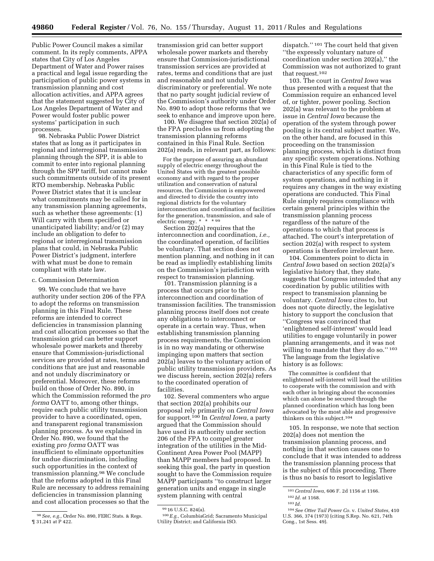Public Power Council makes a similar comment. In its reply comments, APPA states that City of Los Angeles Department of Water and Power raises a practical and legal issue regarding the participation of public power systems in transmission planning and cost allocation activities, and APPA agrees that the statement suggested by City of Los Angeles Department of Water and Power would foster public power systems' participation in such processes.

98. Nebraska Public Power District states that as long as it participates in regional and interregional transmission planning through the SPP, it is able to commit to enter into regional planning through the SPP tariff, but cannot make such commitments outside of its present RTO membership. Nebraska Public Power District states that it is unclear what commitments may be called for in any transmission planning agreements, such as whether these agreements: (1) Will carry with them specified or unanticipated liability; and/or (2) may include an obligation to defer to regional or interregional transmission plans that could, in Nebraska Public Power District's judgment, interfere with what must be done to remain compliant with state law.

# c. Commission Determination

99. We conclude that we have authority under section 206 of the FPA to adopt the reforms on transmission planning in this Final Rule. These reforms are intended to correct deficiencies in transmission planning and cost allocation processes so that the transmission grid can better support wholesale power markets and thereby ensure that Commission-jurisdictional services are provided at rates, terms and conditions that are just and reasonable and not unduly discriminatory or preferential. Moreover, these reforms build on those of Order No. 890, in which the Commission reformed the *pro forma* OATT to, among other things, require each public utility transmission provider to have a coordinated, open, and transparent regional transmission planning process. As we explained in Order No. 890, we found that the existing *pro forma* OATT was insufficient to eliminate opportunities for undue discrimination, including such opportunities in the context of transmission planning.98 We conclude that the reforms adopted in this Final Rule are necessary to address remaining deficiencies in transmission planning and cost allocation processes so that the

transmission grid can better support wholesale power markets and thereby ensure that Commission-jurisdictional transmission services are provided at rates, terms and conditions that are just and reasonable and not unduly discriminatory or preferential. We note that no party sought judicial review of the Commission's authority under Order No. 890 to adopt those reforms that we seek to enhance and improve upon here.

100. We disagree that section 202(a) of the FPA precludes us from adopting the transmission planning reforms contained in this Final Rule. Section 202(a) reads, in relevant part, as follows:

For the purpose of assuring an abundant supply of electric energy throughout the United States with the greatest possible economy and with regard to the proper utilization and conservation of natural resources, the Commission is empowered and directed to divide the country into regional districts for the voluntary interconnection and coordination of facilities for the generation, transmission, and sale of electric energy. \* \* \* 99

Section 202(a) requires that the interconnection and coordination, *i.e.,*  the coordinated operation, of facilities be voluntary. That section does not mention planning, and nothing in it can be read as impliedly establishing limits on the Commission's jurisdiction with respect to transmission planning.

101. Transmission planning is a process that occurs prior to the interconnection and coordination of transmission facilities. The transmission planning process itself does not create any obligations to interconnect or operate in a certain way. Thus, when establishing transmission planning process requirements, the Commission is in no way mandating or otherwise impinging upon matters that section 202(a) leaves to the voluntary action of public utility transmission providers. As we discuss herein, section 202(a) refers to the coordinated operation of facilities.

102. Several commenters who argue that section 202(a) prohibits our proposal rely primarily on *Central Iowa*  for support.100 In *Central Iowa,* a party argued that the Commission should have used its authority under section 206 of the FPA to compel greater integration of the utilities in the Mid-Continent Area Power Pool (MAPP) than MAPP members had proposed. In seeking this goal, the party in question sought to have the Commission require MAPP participants ''to construct larger generation units and engage in single system planning with central

100*E.g.,* ColumbiaGrid; Sacramento Municipal Utility District; and California ISO.

dispatch.'' 101 The court held that given ''the expressly voluntary nature of coordination under section 202(a),'' the Commission was not authorized to grant that request.102

103. The court in *Central Iowa* was thus presented with a request that the Commission require an enhanced level of, or tighter, power pooling. Section 202(a) was relevant to the problem at issue in *Central Iowa* because the operation of the system through power pooling is its central subject matter. We, on the other hand, are focused in this proceeding on the transmission planning process, which is distinct from any specific system operations. Nothing in this Final Rule is tied to the characteristics of any specific form of system operations, and nothing in it requires any changes in the way existing operations are conducted. This Final Rule simply requires compliance with certain general principles within the transmission planning process regardless of the nature of the operations to which that process is attached. The court's interpretation of section 202(a) with respect to system operations is therefore irrelevant here.

104. Commenters point to dicta in *Central Iowa* based on section 202(a)'s legislative history that, they state, suggests that Congress intended that any coordination by public utilities with respect to transmission planning be voluntary. *Central Iowa* cites to, but does not quote directly, the legislative history to support the conclusion that ''Congress was convinced that 'enlightened self-interest' would lead utilities to engage voluntarily in power planning arrangements, and it was not willing to mandate that they do so."<sup>103</sup> The language from the legislative history is as follows:

The committee is confident that enlightened self-interest will lead the utilities to cooperate with the commission and with each other in bringing about the economies which can alone be secured through the planned coordination which has long been advocated by the most able and progressive thinkers on this subject.104

105. In response, we note that section 202(a) does not mention the transmission planning process, and nothing in that section causes one to conclude that it was intended to address the transmission planning process that is the subject of this proceeding. There is thus no basis to resort to legislative

<sup>98</sup>*See, e.g.,* Order No. 890, FERC Stats. & Regs. ¶ 31,241 at P 422.

<sup>99</sup> 16 U.S.C. 824(a).

<sup>101</sup>*Central Iowa,* 606 F. 2d 1156 at 1166.

<sup>102</sup> *Id.* at 1168.

<sup>103</sup> *Id.* 

<sup>104</sup>*See Otter Tail Power Co.* v. *United States,* 410 U.S. 366, 374 (1973) (citing S.Rep. No. 621, 74th Cong., 1st Sess. 49).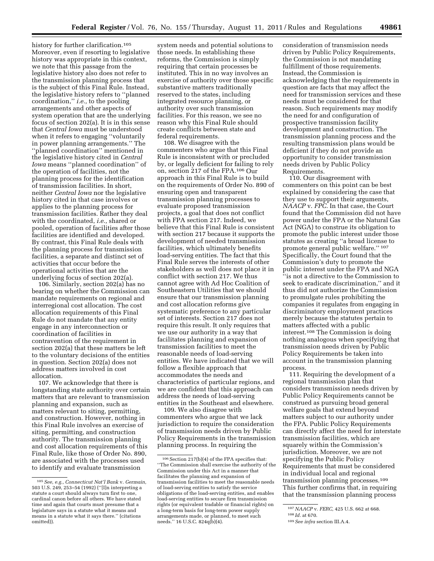history for further clarification.<sup>105</sup> Moreover, even if resorting to legislative history was appropriate in this context, we note that this passage from the legislative history also does not refer to the transmission planning process that is the subject of this Final Rule. Instead, the legislative history refers to ''planned coordination,'' *i.e.,* to the pooling arrangements and other aspects of system operation that are the underlying focus of section 202(a). It is in this sense that *Central Iowa* must be understood when it refers to engaging ''voluntarily in power planning arrangements.'' The ''planned coordination'' mentioned in the legislative history cited in *Central Iowa* means ''planned coordination'' of the operation of facilities, not the planning process for the identification of transmission facilities. In short, neither *Central Iowa* nor the legislative history cited in that case involves or applies to the planning process for transmission facilities. Rather they deal with the coordinated, *i.e.,* shared or pooled, operation of facilities after those facilities are identified and developed. By contrast, this Final Rule deals with the planning process for transmission facilities, a separate and distinct set of activities that occur before the operational activities that are the underlying focus of section 202(a).

106. Similarly, section 202(a) has no bearing on whether the Commission can mandate requirements on regional and interregional cost allocation. The cost allocation requirements of this Final Rule do not mandate that any entity engage in any interconnection or coordination of facilities in contravention of the requirement in section 202(a) that these matters be left to the voluntary decisions of the entities in question. Section 202(a) does not address matters involved in cost allocation.

107. We acknowledge that there is longstanding state authority over certain matters that are relevant to transmission planning and expansion, such as matters relevant to siting, permitting, and construction. However, nothing in this Final Rule involves an exercise of siting, permitting, and construction authority. The transmission planning and cost allocation requirements of this Final Rule, like those of Order No. 890, are associated with the processes used to identify and evaluate transmission

system needs and potential solutions to those needs. In establishing these reforms, the Commission is simply requiring that certain processes be instituted. This in no way involves an exercise of authority over those specific substantive matters traditionally reserved to the states, including integrated resource planning, or authority over such transmission facilities. For this reason, we see no reason why this Final Rule should create conflicts between state and federal requirements.

108. We disagree with the commenters who argue that this Final Rule is inconsistent with or precluded by, or legally deficient for failing to rely on, section 217 of the FPA.106 Our approach in this Final Rule is to build on the requirements of Order No. 890 of ensuring open and transparent transmission planning processes to evaluate proposed transmission projects, a goal that does not conflict with FPA section 217. Indeed, we believe that this Final Rule is consistent with section 217 because it supports the development of needed transmission facilities, which ultimately benefits load-serving entities. The fact that this Final Rule serves the interests of other stakeholders as well does not place it in conflict with section 217. We thus cannot agree with Ad Hoc Coalition of Southeastern Utilities that we should ensure that our transmission planning and cost allocation reforms give systematic preference to any particular set of interests. Section 217 does not require this result. It only requires that we use our authority in a way that facilitates planning and expansion of transmission facilities to meet the reasonable needs of load-serving entities. We have indicated that we will follow a flexible approach that accommodates the needs and characteristics of particular regions, and we are confident that this approach can address the needs of load-serving entities in the Southeast and elsewhere.

109. We also disagree with commenters who argue that we lack jurisdiction to require the consideration of transmission needs driven by Public Policy Requirements in the transmission planning process. In requiring the

consideration of transmission needs driven by Public Policy Requirements, the Commission is not mandating fulfillment of those requirements. Instead, the Commission is acknowledging that the requirements in question are facts that may affect the need for transmission services and these needs must be considered for that reason. Such requirements may modify the need for and configuration of prospective transmission facility development and construction. The transmission planning process and the resulting transmission plans would be deficient if they do not provide an opportunity to consider transmission needs driven by Public Policy Requirements.

110. Our disagreement with commenters on this point can be best explained by considering the case that they use to support their arguments, *NAACP* v. *FPC.* In that case, the Court found that the Commission did not have power under the FPA or the Natural Gas Act (NGA) to construe its obligation to promote the public interest under those statutes as creating ''a broad license to promote general public welfare.'' 107 Specifically, the Court found that the Commission's duty to promote the public interest under the FPA and NGA ''is not a directive to the Commission to seek to eradicate discrimination,'' and it thus did not authorize the Commission to promulgate rules prohibiting the companies it regulates from engaging in discriminatory employment practices merely because the statutes pertain to matters affected with a public interest.108 The Commission is doing nothing analogous when specifying that transmission needs driven by Public Policy Requirements be taken into account in the transmission planning process.

111. Requiring the development of a regional transmission plan that considers transmission needs driven by Public Policy Requirements cannot be construed as pursuing broad general welfare goals that extend beyond matters subject to our authority under the FPA. Public Policy Requirements can directly affect the need for interstate transmission facilities, which are squarely within the Commission's jurisdiction. Moreover, we are not specifying the Public Policy Requirements that must be considered in individual local and regional transmission planning processes.109 This further confirms that, in requiring that the transmission planning process

<sup>105</sup>*See, e.g., Connecticut Nat'l Bank* v. *Germain,*  503 U.S. 249, 253–54 (1992) (''[I]n interpreting a statute a court should always turn first to one, cardinal canon before all others. We have stated time and again that courts must presume that a legislature says in a statute what it means and means in a statute what it says there.'' (citations omitted)).

 $^{106}\,$  Section 217(b)(4) of the FPA specifies that: ''The Commission shall exercise the authority of the Commission under this Act in a manner that facilitates the planning and expansion of transmission facilities to meet the reasonable needs of load-serving entities to satisfy the service obligations of the load-serving entities, and enables load-serving entities to secure firm transmission rights (or equivalent tradable or financial rights) on a long-term basis for long-term power supply arrangements made, or planned, to meet such needs.'' 16 U.S.C. 824q(b)(4).

<sup>107</sup>*NAACP* v. *FERC,* 425 U.S. 662 at 668.

<sup>108</sup> *Id.* at 670.

<sup>109</sup>*See infra* section III.A.4.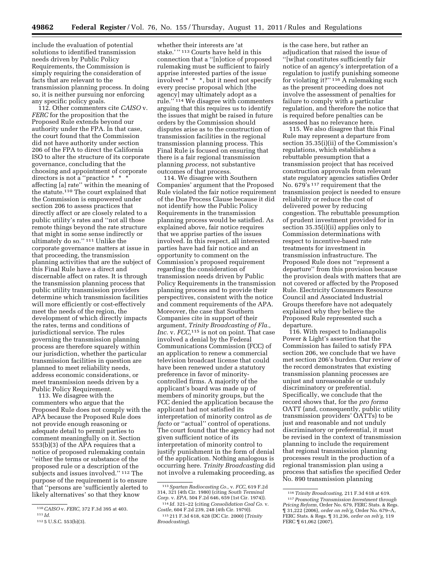include the evaluation of potential solutions to identified transmission needs driven by Public Policy Requirements, the Commission is simply requiring the consideration of facts that are relevant to the transmission planning process. In doing so, it is neither pursuing nor enforcing any specific policy goals.

112. Other commenters cite *CAISO* v. *FERC* for the proposition that the Proposed Rule extends beyond our authority under the FPA. In that case, the court found that the Commission did not have authority under section 206 of the FPA to direct the California ISO to alter the structure of its corporate governance, concluding that the choosing and appointment of corporate directors is not a "practice \* \* \* affecting [a] rate'' within the meaning of the statute.110 The court explained that the Commission is empowered under section 206 to assess practices that directly affect or are closely related to a public utility's rates and ''not all those remote things beyond the rate structure that might in some sense indirectly or ultimately do so.'' 111 Unlike the corporate governance matters at issue in that proceeding, the transmission planning activities that are the subject of this Final Rule have a direct and discernable affect on rates. It is through the transmission planning process that public utility transmission providers determine which transmission facilities will more efficiently or cost-effectively meet the needs of the region, the development of which directly impacts the rates, terms and conditions of jurisdictional service. The rules governing the transmission planning process are therefore squarely within our jurisdiction, whether the particular transmission facilities in question are planned to meet reliability needs, address economic considerations, or meet transmission needs driven by a Public Policy Requirement.

113. We disagree with the commenters who argue that the Proposed Rule does not comply with the APA because the Proposed Rule does not provide enough reasoning or adequate detail to permit parties to comment meaningfully on it. Section 553(b)(3) of the APA requires that a notice of proposed rulemaking contain ''either the terms or substance of the proposed rule or a description of the subjects and issues involved."<sup>112</sup> The purpose of the requirement is to ensure that ''persons are 'sufficiently alerted to likely alternatives' so that they know

whether their interests are 'at stake.'"<sup>113</sup> Courts have held in this connection that a ''[n]otice of proposed rulemaking must be sufficient to fairly apprise interested parties of the issue involved \* \* \*, but it need not specify every precise proposal which [the agency] may ultimately adopt as a rule.'' 114 We disagree with commenters arguing that this requires us to identify the issues that might be raised in future orders by the Commission should disputes arise as to the construction of transmission facilities in the regional transmission planning process. This Final Rule is focused on ensuring that there is a fair regional transmission planning *process,* not substantive outcomes of that process.

114. We disagree with Southern Companies' argument that the Proposed Rule violated the fair notice requirement of the Due Process Clause because it did not identify how the Public Policy Requirements in the transmission planning process would be satisfied. As explained above, fair notice requires that we apprise parties of the issues involved. In this respect, all interested parties have had fair notice and an opportunity to comment on the Commission's proposed requirement regarding the consideration of transmission needs driven by Public Policy Requirements in the transmission planning process and to provide their perspectives, consistent with the notice and comment requirements of the APA. Moreover, the case that Southern Companies cite in support of their argument, *Trinity Broadcasting of Fla., Inc.* v. *FCC,*115 is not on point. That case involved a denial by the Federal Communications Commission (FCC) of an application to renew a commercial television broadcast license that could have been renewed under a statutory preference in favor of minoritycontrolled firms. A majority of the applicant's board was made up of members of minority groups, but the FCC denied the application because the applicant had not satisfied its interpretation of minority control as *de facto* or ''actual'' control of operations. The court found that the agency had not given sufficient notice of its interpretation of minority control to justify punishment in the form of denial of the application. Nothing analogous is occurring here. *Trinity Broadcasting* did not involve a rulemaking proceeding, as

is the case here, but rather an adjudication that raised the issue of ''[w]hat constitutes sufficiently fair notice of an agency's interpretation of a regulation to justify punishing someone for violating it?'' 116 A rulemaking such as the present proceeding does not involve the assessment of penalties for failure to comply with a particular regulation, and therefore the notice that is required before penalties can be assessed has no relevance here.

115. We also disagree that this Final Rule may represent a departure from section 35.35(i)(ii) of the Commission's regulations, which establishes a rebuttable presumption that a transmission project that has received construction approvals from relevant state regulatory agencies satisfies Order No. 679's 117 requirement that the transmission project is needed to ensure reliability or reduce the cost of delivered power by reducing congestion. The rebuttable presumption of prudent investment provided for in section 35.35(i)(ii) applies only to Commission determinations with respect to incentive-based rate treatments for investment in transmission infrastructure. The Proposed Rule does not ''represent a departure'' from this provision because the provision deals with matters that are not covered or affected by the Proposed Rule. Electricity Consumers Resource Council and Associated Industrial Groups therefore have not adequately explained why they believe the Proposed Rule represented such a departure.

116. With respect to Indianapolis Power & Light's assertion that the Commission has failed to satisfy FPA section 206, we conclude that we have met section 206's burden. Our review of the record demonstrates that existing transmission planning processes are unjust and unreasonable or unduly discriminatory or preferential. Specifically, we conclude that the record shows that, for the *pro forma*  OATT (and, consequently, public utility transmission providers' OATTs) to be just and reasonable and not unduly discriminatory or preferential, it must be revised in the context of transmission planning to include the requirement that regional transmission planning processes result in the production of a regional transmission plan using a process that satisfies the specified Order No. 890 transmission planning

<sup>110</sup>*CAISO* v. *FERC,* 372 F.3d 395 at 403.

<sup>111</sup> *Id.* 

<sup>112</sup> 5 U.S.C. 553(b)(3).

<sup>113</sup>*Spartan Radiocasting Co.,* v. *FCC,* 619 F.2d 314, 321 (4th Cir. 1980) (citing *South Terminal Corp.* v. *EPA,* 504 F.2d 646, 659 (1st Cir. 1974)). 114 *Id.* 321–22 (citing *Consolidation Coal Co.* v.

*Costle,* 604 F.2d 239, 248 (4th Cir. 1979)). 115 211 F.3d 618, 628 (DC Cir. 2000) (*Trinity Broadcasting*).

<sup>116</sup>*Trinity Broadcasting,* 211 F.3d 618 at 619. 117*Promoting Transmission Investment through Pricing Reform,* Order No. 679, FERC Stats. & Regs. ¶ 31,222 (2006), *order on reh'g,* Order No. 679–A, FERC Stats. & Regs. ¶ 31,236, *order on reh'g,* 119 FERC  $\P$  61,062 (2007).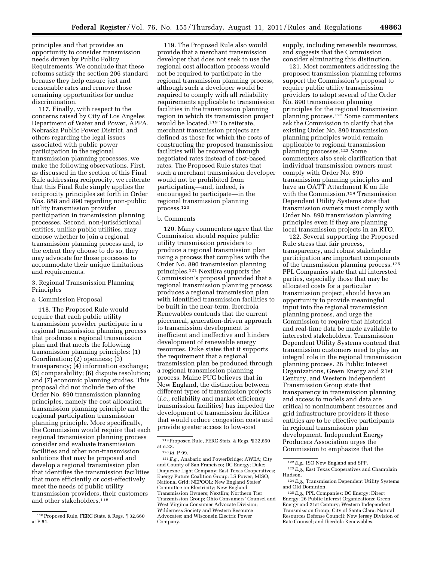principles and that provides an opportunity to consider transmission needs driven by Public Policy Requirements. We conclude that these reforms satisfy the section 206 standard because they help ensure just and reasonable rates and remove those remaining opportunities for undue discrimination.

117. Finally, with respect to the concerns raised by City of Los Angeles Department of Water and Power, APPA, Nebraska Public Power District, and others regarding the legal issues associated with public power participation in the regional transmission planning processes, we make the following observations. First, as discussed in the section of this Final Rule addressing reciprocity, we reiterate that this Final Rule simply applies the reciprocity principles set forth in Order Nos. 888 and 890 regarding non-public utility transmission provider participation in transmission planning processes. Second, non-jurisdictional entities, unlike public utilities, may choose whether to join a regional transmission planning process and, to the extent they choose to do so, they may advocate for those processes to accommodate their unique limitations and requirements.

# 3. Regional Transmission Planning Principles

### a. Commission Proposal

118. The Proposed Rule would require that each public utility transmission provider participate in a regional transmission planning process that produces a regional transmission plan and that meets the following transmission planning principles: (1) Coordination; (2) openness; (3) transparency; (4) information exchange; (5) comparability; (6) dispute resolution; and (7) economic planning studies. This proposal did not include two of the Order No. 890 transmission planning principles, namely the cost allocation transmission planning principle and the regional participation transmission planning principle. More specifically, the Commission would require that each regional transmission planning process consider and evaluate transmission facilities and other non-transmission solutions that may be proposed and develop a regional transmission plan that identifies the transmission facilities that more efficiently or cost-effectively meet the needs of public utility transmission providers, their customers and other stakeholders.118

119. The Proposed Rule also would provide that a merchant transmission developer that does not seek to use the regional cost allocation process would not be required to participate in the regional transmission planning process, although such a developer would be required to comply with all reliability requirements applicable to transmission facilities in the transmission planning region in which its transmission project would be located.119 To reiterate, merchant transmission projects are defined as those for which the costs of constructing the proposed transmission facilities will be recovered through negotiated rates instead of cost-based rates. The Proposed Rule states that such a merchant transmission developer would not be prohibited from participating—and, indeed, is encouraged to participate—in the regional transmission planning process.120

#### b. Comments

120. Many commenters agree that the Commission should require public utility transmission providers to produce a regional transmission plan using a process that complies with the Order No. 890 transmission planning principles.121 NextEra supports the Commission's proposal provided that a regional transmission planning process produces a regional transmission plan with identified transmission facilities to be built in the near-term. Iberdrola Renewables contends that the current piecemeal, generation-driven approach to transmission development is inefficient and ineffective and hinders development of renewable energy resources. Duke states that it supports the requirement that a regional transmission plan be produced through a regional transmission planning process. Maine PUC believes that in New England, the distinction between different types of transmission projects (*i.e.,* reliability and market efficiency transmission facilities) has impeded the development of transmission facilities that would reduce congestion costs and provide greater access to low-cost

supply, including renewable resources, and suggests that the Commission consider eliminating this distinction.

121. Most commenters addressing the proposed transmission planning reforms support the Commission's proposal to require public utility transmission providers to adopt several of the Order No. 890 transmission planning principles for the regional transmission planning process.122 Some commenters ask the Commission to clarify that the existing Order No. 890 transmission planning principles would remain applicable to regional transmission planning processes.123 Some commenters also seek clarification that individual transmission owners must comply with Order No. 890 transmission planning principles and have an OATT Attachment K on file with the Commission.<sup>124</sup> Transmission Dependent Utility Systems state that transmission owners must comply with Order No. 890 transmission planning principles even if they are planning local transmission projects in an RTO.

122. Several supporting the Proposed Rule stress that fair process, transparency, and robust stakeholder participation are important components of the transmission planning process.125 PPL Companies state that all interested parties, especially those that may be allocated costs for a particular transmission project, should have an opportunity to provide meaningful input into the regional transmission planning process, and urge the Commission to require that historical and real-time data be made available to interested stakeholders. Transmission Dependent Utility Systems contend that transmission customers need to play an integral role in the regional transmission planning process. 26 Public Interest Organizations, Green Energy and 21st Century, and Western Independent Transmission Group state that transparency in transmission planning and access to models and data are critical to nonincumbent resources and grid infrastructure providers if these entities are to be effective participants in regional transmission plan development. Independent Energy Producers Association urges the Commission to emphasize that the

<sup>118</sup>Proposed Rule, FERC Stats. & Regs. ¶ 32,660 at P 51.

<sup>119</sup>Proposed Rule, FERC Stats. & Regs. ¶ 32,660 at n.23.

<sup>120</sup> *Id.* P 99.

<sup>121</sup>*E.g.,* Anabaric and PowerBridge; AWEA; City and County of San Francisco; DC Energy; Duke; Duquesne Light Company; East Texas Cooperatives; Energy Future Coalition Group; LS Power; MISO; National Grid; NEPOOL; New England States' Committee on Electricity; New England Transmission Owners; NextEra; Northern Tier Transmission Group; Ohio Consumers' Counsel and West Virginia Consumer Advocate Division; Wilderness Society and Western Resource Advocates; and Wisconsin Electric Power Company.

<sup>122</sup>*E.g.,* ISO New England and SPP.

<sup>123</sup>*E.g.,* East Texas Cooperatives and Champlain Hudson.

<sup>124</sup>*E.g.,* Transmission Dependent Utility Systems and Old Dominion.

<sup>125</sup>*E.g.,* PPL Companies; DC Energy; Direct Energy; 26 Public Interest Organizations; Green Energy and 21st Century; Western Independent Transmission Group; City of Santa Clara; Natural Resources Defense Council; New Jersey Division of Rate Counsel; and Iberdola Renewables.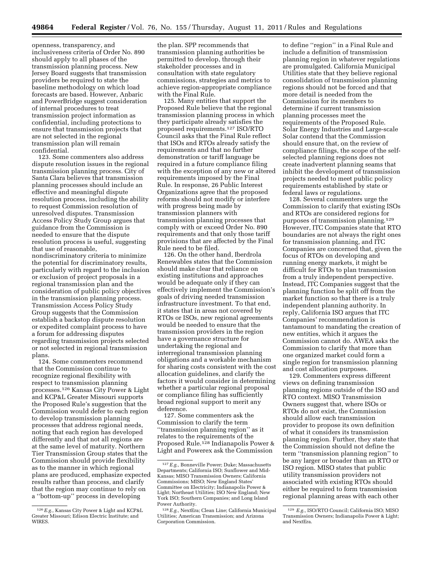openness, transparency, and inclusiveness criteria of Order No. 890 should apply to all phases of the transmission planning process. New Jersey Board suggests that transmission providers be required to state the baseline methodology on which load forecasts are based. However, Anbaric and PowerBridge suggest consideration of internal procedures to treat transmission project information as confidential, including protections to ensure that transmission projects that are not selected in the regional transmission plan will remain confidential.

123. Some commenters also address dispute resolution issues in the regional transmission planning process. City of Santa Clara believes that transmission planning processes should include an effective and meaningful dispute resolution process, including the ability to request Commission resolution of unresolved disputes. Transmission Access Policy Study Group argues that guidance from the Commission is needed to ensure that the dispute resolution process is useful, suggesting that use of reasonable,

nondiscriminatory criteria to minimize the potential for discriminatory results, particularly with regard to the inclusion or exclusion of project proposals in a regional transmission plan and the consideration of public policy objectives in the transmission planning process. Transmission Access Policy Study Group suggests that the Commission establish a backstop dispute resolution or expedited complaint process to have a forum for addressing disputes regarding transmission projects selected or not selected in regional transmission plans.

124. Some commenters recommend that the Commission continue to recognize regional flexibility with respect to transmission planning processes.126 Kansas City Power & Light and KCP&L Greater Missouri supports the Proposed Rule's suggestion that the Commission would defer to each region to develop transmission planning processes that address regional needs, noting that each region has developed differently and that not all regions are at the same level of maturity. Northern Tier Transmission Group states that the Commission should provide flexibility as to the manner in which regional plans are produced, emphasize expected results rather than process, and clarify that the region may continue to rely on a ''bottom-up'' process in developing

the plan. SPP recommends that transmission planning authorities be permitted to develop, through their stakeholder processes and in consultation with state regulatory commissions, strategies and metrics to achieve region-appropriate compliance with the Final Rule.

125. Many entities that support the Proposed Rule believe that the regional transmission planning process in which they participate already satisfies the proposed requirements.127 ISO/RTO Council asks that the Final Rule reflect that ISOs and RTOs already satisfy the requirements and that no further demonstration or tariff language be required in a future compliance filing with the exception of any new or altered requirements imposed by the Final Rule. In response, 26 Public Interest Organizations agree that the proposed reforms should not modify or interfere with progress being made by transmission planners with transmission planning processes that comply with or exceed Order No. 890 requirements and that only those tariff provisions that are affected by the Final Rule need to be filed.

126. On the other hand, Iberdrola Renewables states that the Commission should make clear that reliance on existing institutions and approaches would be adequate only if they can effectively implement the Commission's goals of driving needed transmission infrastructure investment. To that end, it states that in areas not covered by RTOs or ISOs, new regional agreements would be needed to ensure that the transmission providers in the region have a governance structure for undertaking the regional and interregional transmission planning obligations and a workable mechanism for sharing costs consistent with the cost allocation guidelines, and clarify the factors it would consider in determining whether a particular regional proposal or compliance filing has sufficiently broad regional support to merit any deference.

127. Some commenters ask the Commission to clarify the term ''transmission planning region'' as it relates to the requirements of the Proposed Rule.<sup>128</sup> Indianapolis Power & Light and Powerex ask the Commission

to define ''region'' in a Final Rule and include a definition of transmission planning region in whatever regulations are promulgated. California Municipal Utilities state that they believe regional consolidation of transmission planning regions should not be forced and that more detail is needed from the Commission for its members to determine if current transmission planning processes meet the requirements of the Proposed Rule. Solar Energy Industries and Large-scale Solar contend that the Commission should ensure that, on the review of compliance filings, the scope of the selfselected planning regions does not create inadvertent planning seams that inhibit the development of transmission projects needed to meet public policy requirements established by state or federal laws or regulations.

128. Several commenters urge the Commission to clarify that existing ISOs and RTOs are considered regions for purposes of transmission planning.129 However, ITC Companies state that RTO boundaries are not always the right ones for transmission planning, and ITC Companies are concerned that, given the focus of RTOs on developing and running energy markets, it might be difficult for RTOs to plan transmission from a truly independent perspective. Instead, ITC Companies suggest that the planning function be split off from the market function so that there is a truly independent planning authority. In reply, California ISO argues that ITC Companies' recommendation is tantamount to mandating the creation of new entities, which it argues the Commission cannot do. AWEA asks the Commission to clarify that more than one organized market could form a single region for transmission planning and cost allocation purposes.

129. Commenters express different views on defining transmission planning regions outside of the ISO and RTO context. MISO Transmission Owners suggest that, where ISOs or RTOs do not exist, the Commission should allow each transmission provider to propose its own definition of what it considers its transmission planning region. Further, they state that the Commission should not define the term ''transmission planning region'' to be any larger or broader than an RTO or ISO region. MISO states that public utility transmission providers not associated with existing RTOs should either be required to form transmission regional planning areas with each other

<sup>126</sup>*E.g.,* Kansas City Power & Light and KCP&L Greater Missouri; Edison Electric Institute; and WIRES.

<sup>127</sup>*E.g.,* Bonneville Power; Duke; Massachusetts Departments; California ISO; Sunflower and Mid-Kansas; MISO Transmission Owners; California Commissions; MISO; New England States' Committee on Electricity; Indianapolis Power & Light; Northeast Utilities; ISO New England; New York ISO; Southern Companies; and Long Island Power Authority.

<sup>128</sup>*E.g.,* NextEra; Clean Line; California Municipal Utilities; American Transmission; and Arizona Corporation Commission.

<sup>129</sup> *E.g.,* ISO/RTO Council; California ISO; MISO Transmission Owners; Indianapolis Power & Light; and NextEra.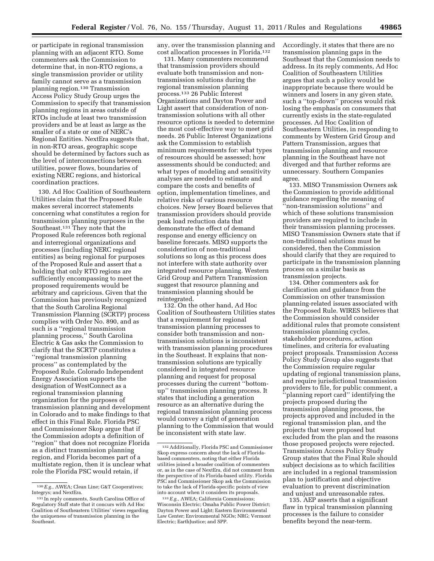or participate in regional transmission planning with an adjacent RTO. Some commenters ask the Commission to determine that, in non-RTO regions, a single transmission provider or utility family cannot serve as a transmission planning region.130 Transmission Access Policy Study Group urges the Commission to specify that transmission planning regions in areas outside of RTOs include at least two transmission providers and be at least as large as the smaller of a state or one of NERC's Regional Entities. NextEra suggests that, in non-RTO areas, geographic scope should be determined by factors such as the level of interconnections between utilities, power flows, boundaries of existing NERC regions, and historical coordination practices.

130. Ad Hoc Coalition of Southeastern Utilities claim that the Proposed Rule makes several incorrect statements concerning what constitutes a region for transmission planning purposes in the Southeast.131 They note that the Proposed Rule references both regional and interregional organizations and processes (including NERC regional entities) as being regional for purposes of the Proposed Rule and assert that a holding that only RTO regions are sufficiently encompassing to meet the proposed requirements would be arbitrary and capricious. Given that the Commission has previously recognized that the South Carolina Regional Transmission Planning (SCRTP) process complies with Order No. 890, and as such is a ''regional transmission planning process,'' South Carolina Electric & Gas asks the Commission to clarify that the SCRTP constitutes a ''regional transmission planning process'' as contemplated by the Proposed Rule. Colorado Independent Energy Association supports the designation of WestConnect as a regional transmission planning organization for the purposes of transmission planning and development in Colorado and to make findings to that effect in this Final Rule. Florida PSC and Commissioner Skop argue that if the Commission adopts a definition of ''region'' that does not recognize Florida as a distinct transmission planning region, and Florida becomes part of a multistate region, then it is unclear what role the Florida PSC would retain, if

any, over the transmission planning and cost allocation processes in Florida.132

131. Many commenters recommend that transmission providers should evaluate both transmission and nontransmission solutions during the regional transmission planning process.133 26 Public Interest Organizations and Dayton Power and Light assert that consideration of nontransmission solutions with all other resource options is needed to determine the most cost-effective way to meet grid needs. 26 Public Interest Organizations ask the Commission to establish minimum requirements for: what types of resources should be assessed; how assessments should be conducted; and what types of modeling and sensitivity analyses are needed to estimate and compare the costs and benefits of option, implementation timelines, and relative risks of various resource choices. New Jersey Board believes that transmission providers should provide peak load reduction data that demonstrate the effect of demand response and energy efficiency on baseline forecasts. MISO supports the consideration of non-traditional solutions so long as this process does not interfere with state authority over integrated resource planning. Western Grid Group and Pattern Transmission suggest that resource planning and transmission planning should be reintegrated.

132. On the other hand, Ad Hoc Coalition of Southeastern Utilities states that a requirement for regional transmission planning processes to consider both transmission and nontransmission solutions is inconsistent with transmission planning procedures in the Southeast. It explains that nontransmission solutions are typically considered in integrated resource planning and request for proposal processes during the current ''bottomup'' transmission planning process. It states that including a generation resource as an alternative during the regional transmission planning process would convey a right of generation planning to the Commission that would be inconsistent with state law.

Accordingly, it states that there are no transmission planning gaps in the Southeast that the Commission needs to address. In its reply comments, Ad Hoc Coalition of Southeastern Utilities argues that such a policy would be inappropriate because there would be winners and losers in any given state, such a ''top-down'' process would risk losing the emphasis on consumers that currently exists in the state-regulated processes. Ad Hoc Coalition of Southeastern Utilities, in responding to comments by Western Grid Group and Pattern Transmission, argues that transmission planning and resource planning in the Southeast have not diverged and that further reforms are unnecessary. Southern Companies agree.

133. MISO Transmission Owners ask the Commission to provide additional guidance regarding the meaning of 'non-transmission solutions" and which of these solutions transmission providers are required to include in their transmission planning processes. MISO Transmission Owners state that if non-traditional solutions must be considered, then the Commission should clarify that they are required to participate in the transmission planning process on a similar basis as transmission projects.

134. Other commenters ask for clarification and guidance from the Commission on other transmission planning-related issues associated with the Proposed Rule. WIRES believes that the Commission should consider additional rules that promote consistent transmission planning cycles, stakeholder procedures, action timelines, and criteria for evaluating project proposals. Transmission Access Policy Study Group also suggests that the Commission require regular updating of regional transmission plans, and require jurisdictional transmission providers to file, for public comment, a ''planning report card'' identifying the projects proposed during the transmission planning process, the projects approved and included in the regional transmission plan, and the projects that were proposed but excluded from the plan and the reasons those proposed projects were rejected. Transmission Access Policy Study Group states that the Final Rule should subject decisions as to which facilities are included in a regional transmission plan to justification and objective evaluation to prevent discrimination and unjust and unreasonable rates.

135. AEP asserts that a significant flaw in typical transmission planning processes is the failure to consider benefits beyond the near-term.

<sup>130</sup>*E.g.,* AWEA; Clean Line; G&T Cooperatives; Integrys; and NextEra.

<sup>131</sup> In reply comments, South Carolina Office of Regulatory Staff state that it concurs with Ad Hoc Coalition of Southeastern Utilities' views regarding the uniqueness of transmission planning in the Southeast.

<sup>132</sup>Additionally, Florida PSC and Commissioner Skop express concern about the lack of Floridabased commenters, noting that either Florida utilities joined a broader coalition of commenters or, as in the case of NextEra, did not comment from the perspective of its Florida-based utility. Florida PSC and Commissioner Skop ask the Commission to take the lack of Florida-specific points of view into account when it considers its proposals.

<sup>133</sup>*E.g.,* AWEA; California Commissions; Wisconsin Electric; Omaha Public Power District; Dayton Power and Light; Eastern Environmental Law Center; Environmental NGOs; NRG; Vermont Electric; EarthJustice; and SPP.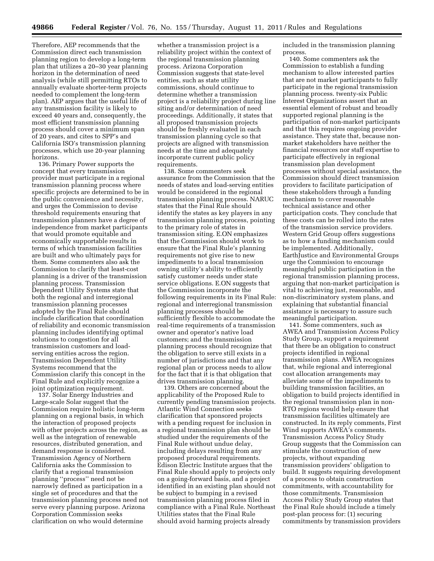Therefore, AEP recommends that the Commission direct each transmission planning region to develop a long-term plan that utilizes a 20–30 year planning horizon in the determination of need analysis (while still permitting RTOs to annually evaluate shorter-term projects needed to complement the long-term plan). AEP argues that the useful life of any transmission facility is likely to exceed 40 years and, consequently, the most efficient transmission planning process should cover a minimum span of 20 years, and cites to SPP's and California ISO's transmission planning processes, which use 20-year planning horizons.

136. Primary Power supports the concept that every transmission provider must participate in a regional transmission planning process where specific projects are determined to be in the public convenience and necessity, and urges the Commission to devise threshold requirements ensuring that transmission planners have a degree of independence from market participants that would promote equitable and economically supportable results in terms of which transmission facilities are built and who ultimately pays for them. Some commenters also ask the Commission to clarify that least-cost planning is a driver of the transmission planning process. Transmission Dependent Utility Systems state that both the regional and interregional transmission planning processes adopted by the Final Rule should include clarification that coordination of reliability and economic transmission planning includes identifying optimal solutions to congestion for all transmission customers and loadserving entities across the region. Transmission Dependent Utility Systems recommend that the Commission clarify this concept in the Final Rule and explicitly recognize a joint optimization requirement.

137. Solar Energy Industries and Large-scale Solar suggest that the Commission require holistic long-term planning on a regional basis, in which the interaction of proposed projects with other projects across the region, as well as the integration of renewable resources, distributed generation, and demand response is considered. Transmission Agency of Northern California asks the Commission to clarify that a regional transmission planning ''process'' need not be narrowly defined as participation in a single set of procedures and that the transmission planning process need not serve every planning purpose. Arizona Corporation Commission seeks clarification on who would determine

whether a transmission project is a reliability project within the context of the regional transmission planning process. Arizona Corporation Commission suggests that state-level entities, such as state utility commissions, should continue to determine whether a transmission project is a reliability project during line siting and/or determination of need proceedings. Additionally, it states that all proposed transmission projects should be freshly evaluated in each transmission planning cycle so that projects are aligned with transmission needs at the time and adequately incorporate current public policy requirements.

138. Some commenters seek assurance from the Commission that the needs of states and load-serving entities would be considered in the regional transmission planning process. NARUC states that the Final Rule should identify the states as key players in any transmission planning process, pointing to the primary role of states in transmission siting. E.ON emphasizes that the Commission should work to ensure that the Final Rule's planning requirements not give rise to new impediments to a local transmission owning utility's ability to efficiently satisfy customer needs under state service obligations. E.ON suggests that the Commission incorporate the following requirements in its Final Rule: regional and interregional transmission planning processes should be sufficiently flexible to accommodate the real-time requirements of a transmission owner and operator's native load customers; and the transmission planning process should recognize that the obligation to serve still exists in a number of jurisdictions and that any regional plan or process needs to allow for the fact that it is that obligation that drives transmission planning.

139. Others are concerned about the applicability of the Proposed Rule to currently pending transmission projects. Atlantic Wind Connection seeks clarification that sponsored projects with a pending request for inclusion in a regional transmission plan should be studied under the requirements of the Final Rule without undue delay, including delays resulting from any proposed procedural requirements. Edison Electric Institute argues that the Final Rule should apply to projects only on a going-forward basis, and a project identified in an existing plan should not be subject to bumping in a revised transmission planning process filed in compliance with a Final Rule. Northeast Utilities states that the Final Rule should avoid harming projects already

included in the transmission planning process.

140. Some commenters ask the Commission to establish a funding mechanism to allow interested parties that are not market participants to fully participate in the regional transmission planning process. twenty-six Public Interest Organizations assert that an essential element of robust and broadly supported regional planning is the participation of non-market participants and that this requires ongoing provider assistance. They state that, because nonmarket stakeholders have neither the financial resources nor staff expertise to participate effectively in regional transmission plan development processes without special assistance, the Commission should direct transmission providers to facilitate participation of these stakeholders through a funding mechanism to cover reasonable technical assistance and other participation costs. They conclude that these costs can be rolled into the rates of the transmission service providers. Western Grid Group offers suggestions as to how a funding mechanism could be implemented. Additionally, EarthJustice and Environmental Groups urge the Commission to encourage meaningful public participation in the regional transmission planning process, arguing that non-market participation is vital to achieving just, reasonable, and non-discriminatory system plans, and explaining that substantial financial assistance is necessary to assure such meaningful participation.

141. Some commenters, such as AWEA and Transmission Access Policy Study Group, support a requirement that there be an obligation to construct projects identified in regional transmission plans. AWEA recognizes that, while regional and interregional cost allocation arrangements may alleviate some of the impediments to building transmission facilities, an obligation to build projects identified in the regional transmission plan in non-RTO regions would help ensure that transmission facilities ultimately are constructed. In its reply comments, First Wind supports AWEA's comments. Transmission Access Policy Study Group suggests that the Commission can stimulate the construction of new projects, without expanding transmission providers' obligation to build. It suggests requiring development of a process to obtain construction commitments, with accountability for those commitments. Transmission Access Policy Study Group states that the Final Rule should include a timely post-plan process for: (1) securing commitments by transmission providers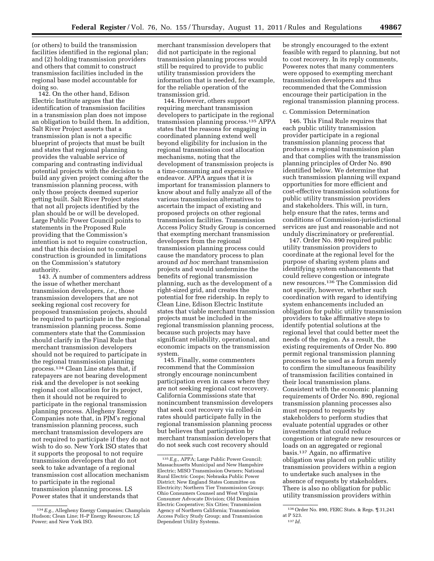(or others) to build the transmission facilities identified in the regional plan; and (2) holding transmission providers and others that commit to construct transmission facilities included in the regional base model accountable for doing so.

142. On the other hand, Edison Electric Institute argues that the identification of transmission facilities in a transmission plan does not impose an obligation to build them. In addition, Salt River Project asserts that a transmission plan is not a specific blueprint of projects that must be built and states that regional planning provides the valuable service of comparing and contrasting individual potential projects with the decision to build any given project coming after the transmission planning process, with only those projects deemed superior getting built. Salt River Project states that not all projects identified by the plan should be or will be developed. Large Public Power Council points to statements in the Proposed Rule providing that the Commission's intention is not to require construction, and that this decision not to compel construction is grounded in limitations on the Commission's statutory authority.

143. A number of commenters address the issue of whether merchant transmission developers, *i.e.,* those transmission developers that are not seeking regional cost recovery for proposed transmission projects, should be required to participate in the regional transmission planning process. Some commenters state that the Commission should clarify in the Final Rule that merchant transmission developers should not be required to participate in the regional transmission planning process.134 Clean Line states that, if ratepayers are not bearing development risk and the developer is not seeking regional cost allocation for its project, then it should not be required to participate in the regional transmission planning process. Allegheny Energy Companies note that, in PJM's regional transmission planning process, such merchant transmission developers are not required to participate if they do not wish to do so. New York ISO states that it supports the proposal to not require transmission developers that do not seek to take advantage of a regional transmission cost allocation mechanism to participate in the regional transmission planning process. LS Power states that it understands that

merchant transmission developers that did not participate in the regional transmission planning process would still be required to provide to public utility transmission providers the information that is needed, for example, for the reliable operation of the transmission grid.

144. However, others support requiring merchant transmission developers to participate in the regional transmission planning process.135 APPA states that the reasons for engaging in coordinated planning extend well beyond eligibility for inclusion in the regional transmission cost allocation mechanisms, noting that the development of transmission projects is a time-consuming and expensive endeavor. APPA argues that it is important for transmission planners to know about and fully analyze all of the various transmission alternatives to ascertain the impact of existing and proposed projects on other regional transmission facilities. Transmission Access Policy Study Group is concerned that exempting merchant transmission developers from the regional transmission planning process could cause the mandatory process to plan around *ad hoc* merchant transmission projects and would undermine the benefits of regional transmission planning, such as the development of a right-sized grid, and creates the potential for free ridership. In reply to Clean Line, Edison Electric Institute states that viable merchant transmission projects must be included in the regional transmission planning process, because such projects may have significant reliability, operational, and economic impacts on the transmission system.

145. Finally, some commenters recommend that the Commission strongly encourage nonincumbent participation even in cases where they are not seeking regional cost recovery. California Commissions state that nonincumbent transmission developers that seek cost recovery via rolled-in rates should participate fully in the regional transmission planning process but believes that participation by merchant transmission developers that do not seek such cost recovery should

be strongly encouraged to the extent feasible with regard to planning, but not to cost recovery. In its reply comments, Powerex notes that many commenters were opposed to exempting merchant transmission developers and thus recommended that the Commission encourage their participation in the regional transmission planning process.

#### c. Commission Determination

146. This Final Rule requires that each public utility transmission provider participate in a regional transmission planning process that produces a regional transmission plan and that complies with the transmission planning principles of Order No. 890 identified below. We determine that such transmission planning will expand opportunities for more efficient and cost-effective transmission solutions for public utility transmission providers and stakeholders. This will, in turn, help ensure that the rates, terms and conditions of Commission-jurisdictional services are just and reasonable and not unduly discriminatory or preferential.

147. Order No. 890 required public utility transmission providers to coordinate at the regional level for the purpose of sharing system plans and identifying system enhancements that could relieve congestion or integrate new resources.136 The Commission did not specify, however, whether such coordination with regard to identifying system enhancements included an obligation for public utility transmission providers to take affirmative steps to identify potential solutions at the regional level that could better meet the needs of the region. As a result, the existing requirements of Order No. 890 permit regional transmission planning processes to be used as a forum merely to confirm the simultaneous feasibility of transmission facilities contained in their local transmission plans. Consistent with the economic planning requirements of Order No. 890, regional transmission planning processes also must respond to requests by stakeholders to perform studies that evaluate potential upgrades or other investments that could reduce congestion or integrate new resources or loads on an aggregated or regional basis.137 Again, no affirmative obligation was placed on public utility transmission providers within a region to undertake such analyses in the absence of requests by stakeholders. There is also no obligation for public utility transmission providers within

<sup>134</sup>*E.g.,* Allegheny Energy Companies; Champlain Hudson; Clean Line; H–P Energy Resources; LS Power; and New York ISO.

<sup>135</sup>*E.g.,* APPA; Large Public Power Council; Massachusetts Municipal and New Hampshire Electric; MISO Transmission Owners; National Rural Electric Coops; Nebraska Public Power District; New England States Committee on Electricity; Northern Tier Transmission Group; Ohio Consumers Counsel and West Virginia Consumer Advocate Division; Old Dominion Electric Cooperative; Six Cities; Transmission Agency of Northern California; Transmission Access Policy Study Group; and Transmission Dependent Utility Systems.

 $^{\overline{136}}$  Order No. 890, FERC Stats. & Regs. [[  $\overline{31,241}$ at P 523. 137 *Id.*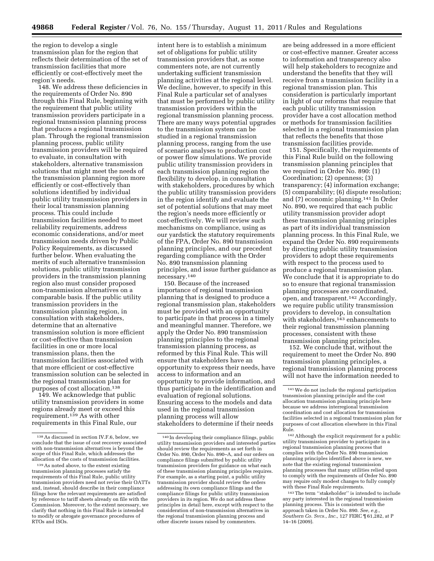the region to develop a single transmission plan for the region that reflects their determination of the set of transmission facilities that more efficiently or cost-effectively meet the region's needs.

148. We address these deficiencies in the requirements of Order No. 890 through this Final Rule, beginning with the requirement that public utility transmission providers participate in a regional transmission planning process that produces a regional transmission plan. Through the regional transmission planning process, public utility transmission providers will be required to evaluate, in consultation with stakeholders, alternative transmission solutions that might meet the needs of the transmission planning region more efficiently or cost-effectively than solutions identified by individual public utility transmission providers in their local transmission planning process. This could include transmission facilities needed to meet reliability requirements, address economic considerations, and/or meet transmission needs driven by Public Policy Requirements, as discussed further below. When evaluating the merits of such alternative transmission solutions, public utility transmission providers in the transmission planning region also must consider proposed non-transmission alternatives on a comparable basis. If the public utility transmission providers in the transmission planning region, in consultation with stakeholders, determine that an alternative transmission solution is more efficient or cost-effective than transmission facilities in one or more local transmission plans, then the transmission facilities associated with that more efficient or cost-effective transmission solution can be selected in the regional transmission plan for purposes of cost allocation.138

149. We acknowledge that public utility transmission providers in some regions already meet or exceed this requirement.<sup>139</sup> As with other requirements in this Final Rule, our

intent here is to establish a minimum set of obligations for public utility transmission providers that, as some commenters note, are not currently undertaking sufficient transmission planning activities at the regional level. We decline, however, to specify in this Final Rule a particular set of analyses that must be performed by public utility transmission providers within the regional transmission planning process. There are many ways potential upgrades to the transmission system can be studied in a regional transmission planning process, ranging from the use of scenario analyses to production cost or power flow simulations. We provide public utility transmission providers in each transmission planning region the flexibility to develop, in consultation with stakeholders, procedures by which the public utility transmission providers in the region identify and evaluate the set of potential solutions that may meet the region's needs more efficiently or cost-effectively. We will review such mechanisms on compliance, using as our yardstick the statutory requirements of the FPA, Order No. 890 transmission planning principles, and our precedent regarding compliance with the Order No. 890 transmission planning principles, and issue further guidance as necessary.140

150. Because of the increased importance of regional transmission planning that is designed to produce a regional transmission plan, stakeholders must be provided with an opportunity to participate in that process in a timely and meaningful manner. Therefore, we apply the Order No. 890 transmission planning principles to the regional transmission planning process, as reformed by this Final Rule. This will ensure that stakeholders have an opportunity to express their needs, have access to information and an opportunity to provide information, and thus participate in the identification and evaluation of regional solutions. Ensuring access to the models and data used in the regional transmission planning process will allow stakeholders to determine if their needs

are being addressed in a more efficient or cost-effective manner. Greater access to information and transparency also will help stakeholders to recognize and understand the benefits that they will receive from a transmission facility in a regional transmission plan. This consideration is particularly important in light of our reforms that require that each public utility transmission provider have a cost allocation method or methods for transmission facilities selected in a regional transmission plan that reflects the benefits that those transmission facilities provide.

151. Specifically, the requirements of this Final Rule build on the following transmission planning principles that we required in Order No. 890: (1) Coordination; (2) openness; (3) transparency; (4) information exchange; (5) comparability; (6) dispute resolution; and (7) economic planning.141 In Order No. 890, we required that each public utility transmission provider adopt these transmission planning principles as part of its individual transmission planning process. In this Final Rule, we expand the Order No. 890 requirements by directing public utility transmission providers to adopt these requirements with respect to the process used to produce a regional transmission plan. We conclude that it is appropriate to do so to ensure that regional transmission planning processes are coordinated, open, and transparent.142 Accordingly, we require public utility transmission providers to develop, in consultation with stakeholders, $143$  enhancements to their regional transmission planning processes, consistent with these transmission planning principles.

152. We conclude that, without the requirement to meet the Order No. 890 transmission planning principles, a regional transmission planning process will not have the information needed to

<sup>138</sup>As discussed in section IV.F.6, below, we conclude that the issue of cost recovery associated with non-transmission alternatives is beyond the scope of this Final Rule, which addresses the allocation of the costs of transmission facilities.

<sup>139</sup>As noted above, to the extent existing transmission planning processes satisfy the requirements of this Final Rule, public utility transmission providers need not revise their OATTs and, instead, should describe in their compliance filings how the relevant requirements are satisfied by reference to tariff sheets already on file with the Commission. Moreover, to the extent necessary, we clarify that nothing in this Final Rule is intended to modify or abrogate governance procedures of RTOs and ISOs.

<sup>140</sup> In developing their compliance filings, public utility transmission providers and interested parties should review the requirements as set forth in Order No. 890, Order No. 890–A, and our orders on compliance filings submitted by public utility transmission providers for guidance on what each of these transmission planning principles requires. For example, as a starting point, a public utility transmission provider should review the orders addressing its own compliance filings and the compliance filings for public utility transmission providers in its region. We do not address these principles in detail here, except with respect to the consideration of non-transmission alternatives in the regional transmission planning process and other discrete issues raised by commenters.

<sup>141</sup>We do not include the regional participation transmission planning principle and the cost allocation transmission planning principle here because we address interregional transmission coordination and cost allocation for transmission facilities selected in a regional transmission plan for purposes of cost allocation elsewhere in this Final Rule.

<sup>142</sup>Although the explicit requirement for a public utility transmission provider to participate in a regional transmission planning process that complies with the Order No. 890 transmission planning principles identified above is new, we note that the existing regional transmission planning processes that many utilities relied upon to comply with the requirements of Order No. 890 may require only modest changes to fully comply with these Final Rule requirements.

<sup>143</sup>The term ''stakeholder'' is intended to include any party interested in the regional transmission planning process. This is consistent with the approach taken in Order No. 890. *See, e.g., Southern Co. Svcs., Inc.,* 127 FERC ¶ 61,282, at P 14–16 (2009).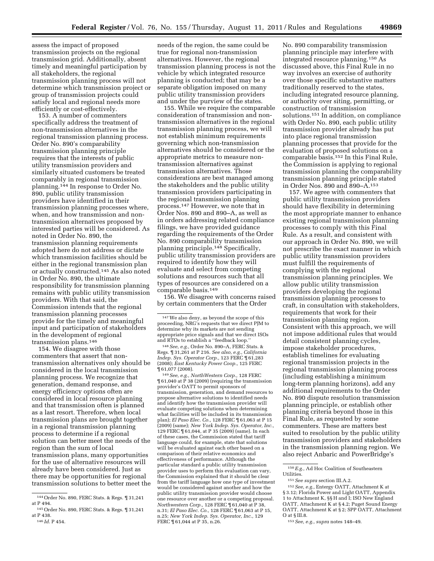assess the impact of proposed transmission projects on the regional transmission grid. Additionally, absent timely and meaningful participation by all stakeholders, the regional transmission planning process will not determine which transmission project or group of transmission projects could satisfy local and regional needs more efficiently or cost-effectively.

153. A number of commenters specifically address the treatment of non-transmission alternatives in the regional transmission planning process. Order No. 890's comparability transmission planning principle requires that the interests of public utility transmission providers and similarly situated customers be treated comparably in regional transmission planning.144 In response to Order No. 890, public utility transmission providers have identified in their transmission planning processes where, when, and how transmission and nontransmission alternatives proposed by interested parties will be considered. As noted in Order No. 890, the transmission planning requirements adopted here do not address or dictate which transmission facilities should be either in the regional transmission plan or actually constructed.145 As also noted in Order No. 890, the ultimate responsibility for transmission planning remains with public utility transmission providers. With that said, the Commission intends that the regional transmission planning processes provide for the timely and meaningful input and participation of stakeholders in the development of regional transmission plans.146

154. We disagree with those commenters that assert that nontransmission alternatives only should be considered in the local transmission planning process. We recognize that generation, demand response, and energy efficiency options often are considered in local resource planning and that transmission often is planned as a last resort. Therefore, when local transmission plans are brought together in a regional transmission planning process to determine if a regional solution can better meet the needs of the region than the sum of local transmission plans, many opportunities for the use of alternative resources will already have been considered. Just as there may be opportunities for regional transmission solutions to better meet the

146 *Id.* P 454.

needs of the region, the same could be true for regional non-transmission alternatives. However, the regional transmission planning process is not the vehicle by which integrated resource planning is conducted; that may be a separate obligation imposed on many public utility transmission providers and under the purview of the states.

155. While we require the comparable consideration of transmission and nontransmission alternatives in the regional transmission planning process, we will not establish minimum requirements governing which non-transmission alternatives should be considered or the appropriate metrics to measure nontransmission alternatives against transmission alternatives. Those considerations are best managed among the stakeholders and the public utility transmission providers participating in the regional transmission planning process.147 However, we note that in Order Nos. 890 and 890–A, as well as in orders addressing related compliance filings, we have provided guidance regarding the requirements of the Order No. 890 comparability transmission planning principle.148 Specifically, public utility transmission providers are required to identify how they will evaluate and select from competing solutions and resources such that all types of resources are considered on a comparable basis.149

156. We disagree with concerns raised by certain commenters that the Order

148*See, e.g.,* Order No. 890–A, FERC Stats. & Regs. ¶ 31,261 at P 216. *See also, e.g., California Indep. Sys. Operator Corp.,* 123 FERC ¶ 61,283 (2008); *East Kentucky Power Coop.,* 125 FERC ¶ 61,077 (2008).

149*See, e.g., NorthWestern Corp.,* 128 FERC ¶ 61,040 at P 38 (2009) (requiring the transmission provider's OATT to permit sponsors of transmission, generation, and demand resources to propose alternative solutions to identified needs and identify how the transmission provider will evaluate competing solutions when determining what facilities will be included in its transmission plan); *El Paso Elec. Co.,* 128 FERC ¶ 61,063 at P 15 (2009) (same); *New York Indep. Sys. Operator, Inc.,*  129 FERC ¶ 61,044, at P 35 (2009) (same). In each of these cases, the Commission stated that tariff language could, for example, state that solutions will be evaluated against each other based on a comparison of their relative economics and effectiveness of performance. Although the particular standard a public utility transmission provider uses to perform this evaluation can vary, the Commission explained that it should be clear from the tariff language how one type of investment would be considered against another and how the public utility transmission provider would choose one resource over another or a competing proposal. *Northwestern Corp.,* 128 FERC ¶ 61,040 at P 38, n.31; *El Paso Elec. Co.,* 128 FERC ¶ 61,063 at P 15, n.25; *New York Indep. Sys. Operator, Inc.,* 129 FERC ¶ 61,044 at P 35, n.26.

No. 890 comparability transmission planning principle may interfere with integrated resource planning.150 As discussed above, this Final Rule in no way involves an exercise of authority over those specific substantive matters traditionally reserved to the states, including integrated resource planning, or authority over siting, permitting, or construction of transmission solutions.151 In addition, on compliance with Order No. 890, each public utility transmission provider already has put into place regional transmission planning processes that provide for the evaluation of proposed solutions on a comparable basis.152 In this Final Rule, the Commission is applying to regional transmission planning the comparability transmission planning principle stated in Order Nos. 890 and 890–A.153

157. We agree with commenters that public utility transmission providers should have flexibility in determining the most appropriate manner to enhance existing regional transmission planning processes to comply with this Final Rule. As a result, and consistent with our approach in Order No. 890, we will not prescribe the exact manner in which public utility transmission providers must fulfill the requirements of complying with the regional transmission planning principles. We allow public utility transmission providers developing the regional transmission planning processes to craft, in consultation with stakeholders, requirements that work for their transmission planning region. Consistent with this approach, we will not impose additional rules that would detail consistent planning cycles, impose stakeholder procedures, establish timelines for evaluating regional transmission projects in the regional transmission planning process (including establishing a minimum long-term planning horizons), add any additional requirements to the Order No. 890 dispute resolution transmission planning principle, or establish other planning criteria beyond those in this Final Rule, as requested by some commenters. These are matters best suited to resolution by the public utility transmission providers and stakeholders in the transmission planning region. We also reject Anbaric and PowerBridge's

<sup>144</sup>Order No. 890, FERC Stats. & Regs. ¶ 31,241 at P 494.

<sup>145</sup>Order No. 890, FERC Stats. & Regs. ¶ 31,241 at P 438.

<sup>147</sup>We also deny, as beyond the scope of this proceeding, NRG's requests that we direct PJM to determine why its markets are not sending appropriate price signals and that we direct ISOs and RTOs to establish a ''feedback loop.''

<sup>150</sup>*E.g.,* Ad Hoc Coalition of Southeastern Utilities.

<sup>151</sup>*See supra* section III.A.2.

<sup>152</sup>*See, e.g.,* Entergy OATT, Attachment K at § 3.12; Florida Power and Light OATT, Appendix 1 to Attachment K, §§ H and I; ISO New England OATT, Attachment K at § 4.2; Puget Sound Energy OATT, Attachment K at § 2; SPP OATT, Attachment O at § III.8.

<sup>153</sup>*See, e.g., supra* notes 148–49.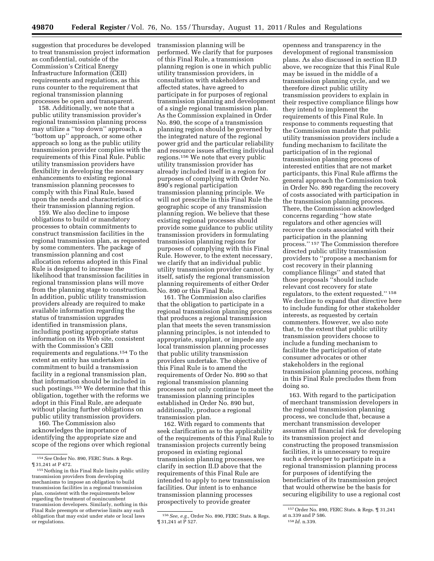suggestion that procedures be developed transmission planning will be to treat transmission project information as confidential, outside of the Commission's Critical Energy Infrastructure Information (CEII) requirements and regulations, as this runs counter to the requirement that regional transmission planning processes be open and transparent.

158. Additionally, we note that a public utility transmission provider's regional transmission planning process may utilize a ''top down'' approach, a ''bottom up'' approach, or some other approach so long as the public utility transmission provider complies with the requirements of this Final Rule. Public utility transmission providers have flexibility in developing the necessary enhancements to existing regional transmission planning processes to comply with this Final Rule, based upon the needs and characteristics of their transmission planning region.

159. We also decline to impose obligations to build or mandatory processes to obtain commitments to construct transmission facilities in the regional transmission plan, as requested by some commenters. The package of transmission planning and cost allocation reforms adopted in this Final Rule is designed to increase the likelihood that transmission facilities in regional transmission plans will move from the planning stage to construction. In addition, public utility transmission providers already are required to make available information regarding the status of transmission upgrades identified in transmission plans, including posting appropriate status information on its Web site, consistent with the Commission's CEII requirements and regulations.154 To the extent an entity has undertaken a commitment to build a transmission facility in a regional transmission plan, that information should be included in such postings.155 We determine that this obligation, together with the reforms we adopt in this Final Rule, are adequate without placing further obligations on public utility transmission providers.

160. The Commission also acknowledges the importance of identifying the appropriate size and scope of the regions over which regional

performed. We clarify that for purposes of this Final Rule, a transmission planning region is one in which public utility transmission providers, in consultation with stakeholders and affected states, have agreed to participate in for purposes of regional transmission planning and development of a single regional transmission plan. As the Commission explained in Order No. 890, the scope of a transmission planning region should be governed by the integrated nature of the regional power grid and the particular reliability and resource issues affecting individual regions.156 We note that every public utility transmission provider has already included itself in a region for purposes of complying with Order No. 890's regional participation transmission planning principle. We will not prescribe in this Final Rule the geographic scope of any transmission planning region. We believe that these existing regional processes should provide some guidance to public utility transmission providers in formulating transmission planning regions for purposes of complying with this Final Rule. However, to the extent necessary, we clarify that an individual public utility transmission provider cannot, by itself, satisfy the regional transmission planning requirements of either Order No. 890 or this Final Rule.

161. The Commission also clarifies that the obligation to participate in a regional transmission planning process that produces a regional transmission plan that meets the seven transmission planning principles, is not intended to appropriate, supplant, or impede any local transmission planning processes that public utility transmission providers undertake. The objective of this Final Rule is to amend the requirements of Order No. 890 so that regional transmission planning processes not only continue to meet the transmission planning principles established in Order No. 890 but, additionally, produce a regional transmission plan.

162. With regard to comments that seek clarification as to the applicability of the requirements of this Final Rule to transmission projects currently being proposed in existing regional transmission planning processes, we clarify in section II.D above that the requirements of this Final Rule are intended to apply to new transmission facilities. Our intent is to enhance transmission planning processes prospectively to provide greater

openness and transparency in the development of regional transmission plans. As also discussed in section II.D above, we recognize that this Final Rule may be issued in the middle of a transmission planning cycle, and we therefore direct public utility transmission providers to explain in their respective compliance filings how they intend to implement the requirements of this Final Rule. In response to comments requesting that the Commission mandate that public utility transmission providers include a funding mechanism to facilitate the participation of in the regional transmission planning process of interested entities that are not market participants, this Final Rule affirms the general approach the Commission took in Order No. 890 regarding the recovery of costs associated with participation in the transmission planning process. There, the Commission acknowledged concerns regarding ''how state regulators and other agencies will recover the costs associated with their participation in the planning process.'' 157 The Commission therefore directed public utility transmission providers to ''propose a mechanism for cost recovery in their planning compliance filings'' and stated that those proposals ''should include relevant cost recovery for state regulators, to the extent requested.'' 158 We decline to expand that directive here to include funding for other stakeholder interests, as requested by certain commenters. However, we also note that, to the extent that public utility transmission providers choose to include a funding mechanism to facilitate the participation of state consumer advocates or other stakeholders in the regional transmission planning process, nothing in this Final Rule precludes them from doing so.

163. With regard to the participation of merchant transmission developers in the regional transmission planning process, we conclude that, because a merchant transmission developer assumes all financial risk for developing its transmission project and constructing the proposed transmission facilities, it is unnecessary to require such a developer to participate in a regional transmission planning process for purposes of identifying the beneficiaries of its transmission project that would otherwise be the basis for securing eligibility to use a regional cost

<sup>154</sup>*See* Order No. 890, FERC Stats. & Regs. ¶ 31,241 at P 472.

<sup>155</sup>Nothing in this Final Rule limits public utility transmission providers from developing mechanisms to impose an obligation to build transmission facilities in a regional transmission plan, consistent with the requirements below regarding the treatment of nonincumbent transmission developers. Similarly, nothing in this Final Rule preempts or otherwise limits any such obligation that may exist under state or local laws or regulations.

<sup>156</sup>*See, e.g.,* Order No. 890, FERC Stats. & Regs. ¶ 31,241 at P 527.

<sup>157</sup>Order No. 890, FERC Stats. & Regs. ¶ 31,241 at n.339 and P 586.

<sup>158</sup> *Id.* n.339.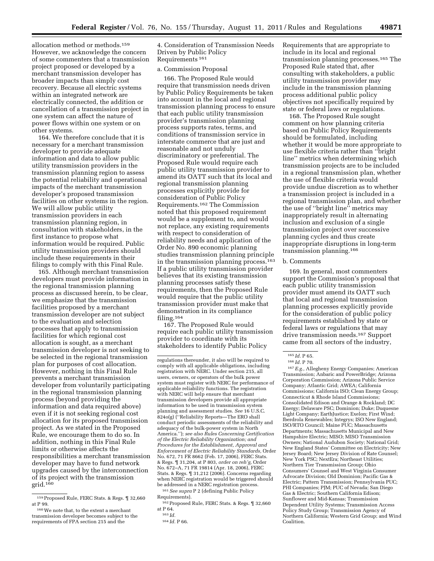allocation method or methods.159 However, we acknowledge the concern of some commenters that a transmission project proposed or developed by a merchant transmission developer has broader impacts than simply cost recovery. Because all electric systems within an integrated network are electrically connected, the addition or cancellation of a transmission project in one system can affect the nature of power flows within one system or on other systems.

164. We therefore conclude that it is necessary for a merchant transmission developer to provide adequate information and data to allow public utility transmission providers in the transmission planning region to assess the potential reliability and operational impacts of the merchant transmission developer's proposed transmission facilities on other systems in the region. We will allow public utility transmission providers in each transmission planning region, in consultation with stakeholders, in the first instance to propose what information would be required. Public utility transmission providers should include these requirements in their filings to comply with this Final Rule.

165. Although merchant transmission developers must provide information in the regional transmission planning process as discussed herein, to be clear, we emphasize that the transmission facilities proposed by a merchant transmission developer are not subject to the evaluation and selection processes that apply to transmission facilities for which regional cost allocation is sought, as a merchant transmission developer is not seeking to be selected in the regional transmission plan for purposes of cost allocation. However, nothing in this Final Rule prevents a merchant transmission developer from voluntarily participating in the regional transmission planning process (beyond providing the information and data required above) even if it is not seeking regional cost allocation for its proposed transmission project. As we stated in the Proposed Rule, we encourage them to do so. In addition, nothing in this Final Rule limits or otherwise affects the responsibilities a merchant transmission developer may have to fund network upgrades caused by the interconnection of its project with the transmission grid.160

4. Consideration of Transmission Needs Driven by Public Policy Requirements 161

# a. Commission Proposal

166. The Proposed Rule would require that transmission needs driven by Public Policy Requirements be taken into account in the local and regional transmission planning process to ensure that each public utility transmission provider's transmission planning process supports rates, terms, and conditions of transmission service in interstate commerce that are just and reasonable and not unduly discriminatory or preferential. The Proposed Rule would require each public utility transmission provider to amend its OATT such that its local and regional transmission planning processes explicitly provide for consideration of Public Policy Requirements.162 The Commission noted that this proposed requirement would be a supplement to, and would not replace, any existing requirements with respect to consideration of reliability needs and application of the Order No. 890 economic planning studies transmission planning principle in the transmission planning process.163 If a public utility transmission provider believes that its existing transmission planning processes satisfy these requirements, then the Proposed Rule would require that the public utility transmission provider must make that demonstration in its compliance filing.164

167. The Proposed Rule would require each public utility transmission provider to coordinate with its stakeholders to identify Public Policy

161*See supra* P 2 (defining Public Policy Requirements).

Requirements that are appropriate to include in its local and regional transmission planning processes.165 The Proposed Rule stated that, after consulting with stakeholders, a public utility transmission provider may include in the transmission planning process additional public policy objectives not specifically required by state or federal laws or regulations.

168. The Proposed Rule sought comment on how planning criteria based on Public Policy Requirements should be formulated, including whether it would be more appropriate to use flexible criteria rather than ''bright line'' metrics when determining which transmission projects are to be included in a regional transmission plan, whether the use of flexible criteria would provide undue discretion as to whether a transmission project is included in a regional transmission plan, and whether the use of ''bright line'' metrics may inappropriately result in alternating inclusion and exclusion of a single transmission project over successive planning cycles and thus create inappropriate disruptions in long-term transmission planning.166

## b. Comments

169. In general, most commenters support the Commission's proposal that each public utility transmission provider must amend its OATT such that local and regional transmission planning processes explicitly provide for the consideration of public policy requirements established by state or federal laws or regulations that may drive transmission needs.167 Support came from all sectors of the industry,

167*E.g.,* Allegheny Energy Companies; American Transmission; Anbaric and PowerBridge; Arizona Corporation Commission; Arizona Public Service Company; Atlantic Grid; AWEA; California Commissions; California ISO; Clean Energy Group; Connecticut & Rhode Island Commissions; Consolidated Edison and Orange & Rockland; DC Energy; Delaware PSC; Dominion; Duke; Duquesne Light Company; EarthJustice; Exelon; First Wind; Iberdrola Renewables; Integrys; ISO New England; ISO/RTO Council; Maine PUC; Massachusetts Departments; Massachusetts Municipal and New Hampshire Electric; MISO; MISO Transmission Owners; National Audubon Society; National Grid; New England States' Committee on Electricity; New Jersey Board; New Jersey Division of Rate Counsel; New York PSC; NextEra; Northeast Utilities; Northern Tier Transmission Group; Ohio Consumers' Counsel and West Virginia Consumer Advocate Division; Old Dominion; Pacific Gas & Electric; Pattern Transmission; Pennsylvania PUC; PHI Companies; PJM; PUC of Nevada; San Diego Gas & Electric; Southern California Edison; Sunflower and Mid-Kansas; Transmission Dependent Utility Systems; Transmission Access Policy Study Group; Transmission Agency of Northern California; Western Grid Group; and Wind Coalition.

<sup>159</sup>Proposed Rule, FERC Stats. & Regs. ¶ 32,660 at P 99.

<sup>160</sup>We note that, to the extent a merchant transmission developer becomes subject to the requirements of FPA section 215 and the

regulations thereunder, it also will be required to comply with all applicable obligations, including registration with NERC. Under section 215, all users, owners, or operators of the bulk power system must register with NERC for performance of applicable reliability functions. The registration with NERC will help ensure that merchant transmission developers provide all appropriate information to be used in transmission system planning and assessment studies. *See* 16 U.S.C. 824o(g) (''Reliability Reports—The ERO shall conduct periodic assessments of the reliability and adequacy of the bulk-power system in North America.''); *see also Rules Concerning Certification of the Electric Reliability Organization; and Procedures for the Establishment, Approval and Enforcement of Electric Reliability Standards,* Order No. 672, 71 FR 8662 (Feb. 17, 2006), FERC Stats. & Regs. ¶ 31,204, at P 803, *order on reh'g,* Order No. 672–A, 71 FR 19814 (Apr. 18, 2006), FERC Stats. & Regs. ¶ 31,212 (2006). Concerns regarding when NERC registration would be triggered should be addressed in a NERC registration process.

<sup>162</sup>Proposed Rule, FERC Stats. & Regs. ¶ 32,660 at P 64.

<sup>163</sup> *Id.* 

<sup>164</sup> *Id.* P 66.

<sup>165</sup> *Id.* P 65.

<sup>166</sup> *Id.* P 70.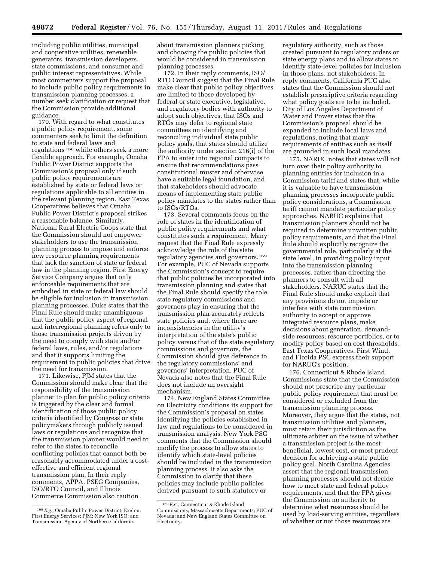including public utilities, municipal and cooperative utilities, renewable generators, transmission developers, state commissions, and consumer and public interest representatives. While most commenters support the proposal to include public policy requirements in transmission planning processes, a number seek clarification or request that the Commission provide additional guidance.

170. With regard to what constitutes a public policy requirement, some commenters seek to limit the definition to state and federal laws and regulations 168 while others seek a more flexible approach. For example, Omaha Public Power District supports the Commission's proposal only if such public policy requirements are established by state or federal laws or regulations applicable to all entities in the relevant planning region. East Texas Cooperatives believes that Omaha Public Power District's proposal strikes a reasonable balance. Similarly, National Rural Electric Coops state that the Commission should not empower stakeholders to use the transmission planning process to impose and enforce new resource planning requirements that lack the sanction of state or federal law in the planning region. First Energy Service Company argues that only enforceable requirements that are embodied in state or federal law should be eligible for inclusion in transmission planning processes. Duke states that the Final Rule should make unambiguous that the public policy aspect of regional and interregional planning refers only to those transmission projects driven by the need to comply with state and/or federal laws, rules, and/or regulations and that it supports limiting the requirement to public policies that drive the need for transmission.

171. Likewise, PJM states that the Commission should make clear that the responsibility of the transmission planner to plan for public policy criteria is triggered by the clear and formal identification of those public policy criteria identified by Congress or state policymakers through publicly issued laws or regulations and recognize that the transmission planner would need to refer to the states to reconcile conflicting policies that cannot both be reasonably accommodated under a costeffective and efficient regional transmission plan. In their reply comments, APPA, PSEG Companies, ISO/RTO Council, and Illinois Commerce Commission also caution

about transmission planners picking and choosing the public policies that would be considered in transmission planning processes.

172. In their reply comments, ISO/ RTO Council suggest that the Final Rule make clear that public policy objectives are limited to those developed by federal or state executive, legislative, and regulatory bodies with authority to adopt such objectives, that ISOs and RTOs may defer to regional state committees on identifying and reconciling individual state public policy goals, that states should utilize the authority under section 216(i) of the FPA to enter into regional compacts to ensure that recommendations pass constitutional muster and otherwise have a suitable legal foundation, and that stakeholders should advocate means of implementing state public policy mandates to the states rather than to ISOs/RTOs.

173. Several comments focus on the role of states in the identification of public policy requirements and what constitutes such a requirement. Many request that the Final Rule expressly acknowledge the role of the state regulatory agencies and governors.169 For example, PUC of Nevada supports the Commission's concept to require that public policies be incorporated into transmission planning and states that the Final Rule should specify the role state regulatory commissions and governors play in ensuring that the transmission plan accurately reflects state policies and, where there are inconsistencies in the utility's interpretation of the state's public policy versus that of the state regulatory commissions and governors, the Commission should give deference to the regulatory commissions' and governors' interpretation. PUC of Nevada also notes that the Final Rule does not include an oversight mechanism.

174. New England States Committee on Electricity conditions its support for the Commission's proposal on states identifying the policies established in law and regulations to be considered in transmission analysis. New York PSC comments that the Commission should modify the process to allow states to identify which state-level policies should be included in the transmission planning process. It also asks the Commission to clarify that these policies may include public policies derived pursuant to such statutory or

regulatory authority, such as those created pursuant to regulatory orders or state energy plans and to allow states to identify state-level policies for inclusion in those plans, not stakeholders. In reply comments, California PUC also states that the Commission should not establish prescriptive criteria regarding what policy goals are to be included. City of Los Angeles Department of Water and Power states that the Commission's proposal should be expanded to include local laws and regulations, noting that many requirements of entities such as itself are grounded in such local mandates.

175. NARUC notes that states will not turn over their policy authority to planning entities for inclusion in a Commission tariff and states that, while it is valuable to have transmission planning processes incorporate public policy considerations, a Commission tariff cannot mandate particular policy approaches. NARUC explains that transmission planners should not be required to determine unwritten public policy requirements, and that the Final Rule should explicitly recognize the governmental role, particularly at the state level, in providing policy input into the transmission planning processes, rather than directing the planners to consult with all stakeholders. NARUC states that the Final Rule should make explicit that any provisions do not impede or interfere with state commission authority to accept or approve integrated resource plans, make decisions about generation, demandside resources, resource portfolios, or to modify policy based on cost thresholds. East Texas Cooperatives, First Wind, and Florida PSC express their support for NARUC's position.

176. Connecticut & Rhode Island Commissions state that the Commission should not prescribe any particular public policy requirement that must be considered or excluded from the transmission planning process. Moreover, they argue that the states, not transmission utilities and planners, must retain their jurisdiction as the ultimate arbiter on the issue of whether a transmission project is the most beneficial, lowest cost, or most prudent decision for achieving a state public policy goal. North Carolina Agencies assert that the regional transmission planning processes should not decide how to meet state and federal policy requirements, and that the FPA gives the Commission no authority to determine what resources should be used by load-serving entities, regardless of whether or not those resources are

<sup>168</sup>*E.g.,* Omaha Public Power District; Exelon; First Energy Services; PJM; New York ISO; and Transmission Agency of Northern California.

<sup>169</sup>*E.g.,* Connecticut & Rhode Island Commissions; Massachusetts Departments; PUC of Nevada; and New England States Committee on Electricity.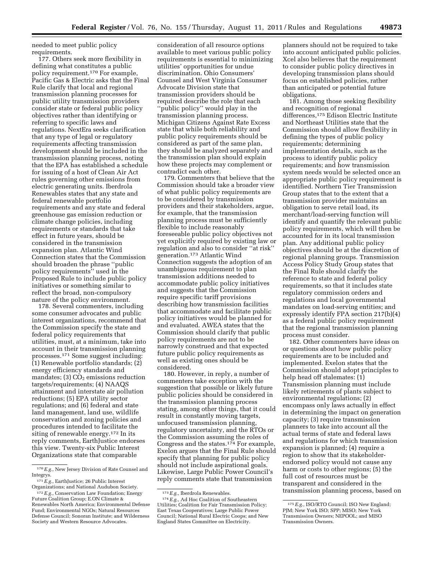needed to meet public policy requirements.

177. Others seek more flexibility in defining what constitutes a public policy requirement.170 For example, Pacific Gas & Electric asks that the Final Rule clarify that local and regional transmission planning processes for public utility transmission providers consider state or federal public policy objectives rather than identifying or referring to specific laws and regulations. NextEra seeks clarification that any type of legal or regulatory requirements affecting transmission development should be included in the transmission planning process, noting that the EPA has established a schedule for issuing of a host of Clean Air Act rules governing other emissions from electric generating units. Iberdrola Renewables states that any state and federal renewable portfolio requirements and any state and federal greenhouse gas emission reduction or climate change policies, including requirements or standards that take effect in future years, should be considered in the transmission expansion plan. Atlantic Wind Connection states that the Commission should broaden the phrase ''public policy requirements'' used in the Proposed Rule to include public policy initiatives or something similar to reflect the broad, non-compulsory nature of the policy environment.

178. Several commenters, including some consumer advocates and public interest organizations, recommend that the Commission specify the state and federal policy requirements that utilities, must, at a minimum, take into account in their transmission planning processes.171 Some suggest including: (1) Renewable portfolio standards; (2) energy efficiency standards and mandates; (3)  $CO<sub>2</sub>$  emissions reduction targets/requirements; (4) NAAQS attainment and interstate air pollution reductions; (5) EPA utility sector regulations; and (6) federal and state land management, land use, wildlife conservation and zoning policies and procedures intended to facilitate the siting of renewable energy.<sup>172</sup> In its reply comments, EarthJustice endorses this view. Twenty-six Public Interest Organizations state that comparable

consideration of all resource options available to meet various public policy requirements is essential to minimizing utilities' opportunities for undue discrimination. Ohio Consumers' Counsel and West Virginia Consumer Advocate Division state that transmission providers should be required describe the role that each ''public policy'' would play in the transmission planning process. Michigan Citizens Against Rate Excess state that while both reliability and public policy requirements should be considered as part of the same plan, they should be analyzed separately and the transmission plan should explain how these projects may complement or contradict each other.

179. Commenters that believe that the Commission should take a broader view of what public policy requirements are to be considered by transmission providers and their stakeholders, argue, for example, that the transmission planning process must be sufficiently flexible to include reasonably foreseeable public policy objectives not yet explicitly required by existing law or regulation and also to consider ''at risk'' generation.173 Atlantic Wind Connection suggests the adoption of an unambiguous requirement to plan transmission additions needed to accommodate public policy initiatives and suggests that the Commission require specific tariff provisions describing how transmission facilities that accommodate and facilitate public policy initiatives would be planned for and evaluated. AWEA states that the Commission should clarify that public policy requirements are not to be narrowly construed and that expected future public policy requirements as well as existing ones should be considered.

180. However, in reply, a number of commenters take exception with the suggestion that possible or likely future public policies should be considered in the transmission planning process stating, among other things, that it could result in constantly moving targets, unfocused transmission planning, regulatory uncertainty, and the RTOs or the Commission assuming the roles of Congress and the states.174 For example, Exelon argues that the Final Rule should specify that planning for public policy should not include aspirational goals. Likewise, Large Public Power Council's reply comments state that transmission

planners should not be required to take into account anticipated public policies. Xcel also believes that the requirement to consider public policy directives in developing transmission plans should focus on established policies, rather than anticipated or potential future obligations.

181. Among those seeking flexibility and recognition of regional differences,175 Edison Electric Institute and Northeast Utilities state that the Commission should allow flexibility in defining the types of public policy requirements; determining implementation details, such as the process to identify public policy requirements; and how transmission system needs would be selected once an appropriate public policy requirement is identified. Northern Tier Transmission Group states that to the extent that a transmission provider maintains an obligation to serve retail load, its merchant/load-serving function will identify and quantify the relevant public policy requirements, which will then be accounted for in its local transmission plan. Any additional public policy objectives should be at the discretion of regional planning groups. Transmission Access Policy Study Group states that the Final Rule should clarify the reference to state and federal policy requirements, so that it includes state regulatory commission orders and regulations and local governmental mandates on load-serving entities; and expressly identify FPA section 217(b)(4) as a federal public policy requirement that the regional transmission planning process must consider.

182. Other commenters have ideas on or questions about how public policy requirements are to be included and implemented. Exelon states that the Commission should adopt principles to help head off stalemates: (1) Transmission planning must include likely retirements of plants subject to environmental regulations; (2) encompass only laws actually in effect in determining the impact on generation capacity; (3) require transmission planners to take into account all the actual terms of state and federal laws and regulations for which transmission expansion is planned; (4) require a region to show that its stakeholderendorsed policy would not cause any harm or costs to other regions; (5) the full cost of resources must be transparent and considered in the transmission planning process, based on

<sup>170</sup>*E.g.,* New Jersey Division of Rate Counsel and Integrys.

<sup>171</sup>*E.g.,* EarthJustice; 26 Public Interest Organizations; and National Audubon Society.

<sup>172</sup>*E.g.,* Conservation Law Foundation; Energy Future Coalition Group; E.ON Climate & Renewables North America; Environmental Defense Fund; Environmental NGOs; Natural Resources Defense Council; Sonoran Institute; and Wilderness Society and Western Resource Advocates.

<sup>173</sup>*E.g.,* Iberdrola Renewables. 174*E.g.,* Ad Hoc Coalition of Southeastern Utilities; Coalition for Fair Transmission Policy; East Texas Cooperatives; Large Public Power Council; National Rural Electric Coops; and New England States Committee on Electricity.

<sup>175</sup>*E.g.,* ISO/RTO Council; ISO New England; PJM; New York ISO; SPP; MISO; New York Transmission Owners; NEPOOL; and MISO Transmission Owners.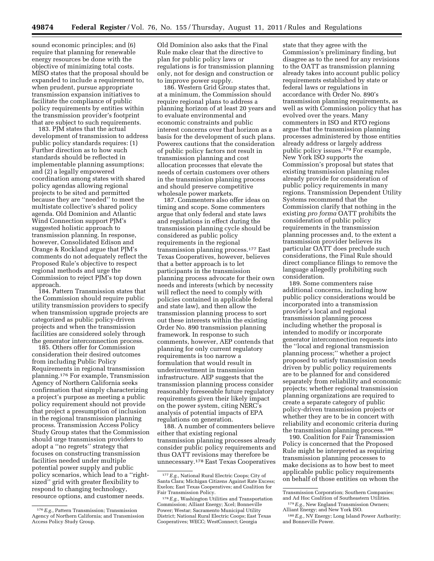sound economic principles; and (6) require that planning for renewable energy resources be done with the objective of minimizing total costs. MISO states that the proposal should be expanded to include a requirement to, when prudent, pursue appropriate transmission expansion initiatives to facilitate the compliance of public policy requirements by entities within the transmission provider's footprint that are subject to such requirements.

183. PJM states that the actual development of transmission to address public policy standards requires: (1) Further direction as to how such standards should be reflected in implementable planning assumptions; and (2) a legally empowered coordination among states with shared policy agendas allowing regional projects to be sited and permitted because they are ''needed'' to meet the multistate collective's shared policy agenda. Old Dominion and Atlantic Wind Connection support PJM's suggested holistic approach to transmission planning. In response, however, Consolidated Edison and Orange & Rockland argue that PJM's comments do not adequately reflect the Proposed Rule's objective to respect regional methods and urge the Commission to reject PJM's top down approach.

184. Pattern Transmission states that the Commission should require public utility transmission providers to specify when transmission upgrade projects are categorized as public policy-driven projects and when the transmission facilities are considered solely through the generator interconnection process.

185. Others offer for Commission consideration their desired outcomes from including Public Policy Requirements in regional transmission planning.176 For example, Transmission Agency of Northern California seeks confirmation that simply characterizing a project's purpose as meeting a public policy requirement should not provide that project a presumption of inclusion in the regional transmission planning process. Transmission Access Policy Study Group states that the Commission should urge transmission providers to adopt a ''no regrets'' strategy that focuses on constructing transmission facilities needed under multiple potential power supply and public policy scenarios, which lead to a ''rightsized'' grid with greater flexibility to respond to changing technology, resource options, and customer needs.

Old Dominion also asks that the Final Rule make clear that the directive to plan for public policy laws or regulations is for transmission planning only, not for design and construction or to improve power supply.

186. Western Grid Group states that, at a minimum, the Commission should require regional plans to address a planning horizon of at least 20 years and to evaluate environmental and economic constraints and public interest concerns over that horizon as a basis for the development of such plans. Powerex cautions that the consideration of public policy factors not result in transmission planning and cost allocation processes that elevate the needs of certain customers over others in the transmission planning process and should preserve competitive wholesale power markets.

187. Commenters also offer ideas on timing and scope. Some commenters argue that only federal and state laws and regulations in effect during the transmission planning cycle should be considered as public policy requirements in the regional transmission planning process.177 East Texas Cooperatives, however, believes that a better approach is to let participants in the transmission planning process advocate for their own needs and interests (which by necessity will reflect the need to comply with policies contained in applicable federal and state law), and then allow the transmission planning process to sort out these interests within the existing Order No. 890 transmission planning framework. In response to such comments, however, AEP contends that planning for only current regulatory requirements is too narrow a formulation that would result in underinvestment in transmission infrastructure. AEP suggests that the transmission planning process consider reasonably foreseeable future regulatory requirements given their likely impact on the power system, citing NERC's analysis of potential impacts of EPA regulations on generation.

188. A number of commenters believe either that existing regional transmission planning processes already consider public policy requirements and thus OATT revisions may therefore be unnecessary.178 East Texas Cooperatives

state that they agree with the Commission's preliminary finding, but disagree as to the need for any revisions to the OATT as transmission planning already takes into account public policy requirements established by state or federal laws or regulations in accordance with Order No. 890's transmission planning requirements, as well as with Commission policy that has evolved over the years. Many commenters in ISO and RTO regions argue that the transmission planning processes administered by those entities already address or largely address public policy issues.179 For example, New York ISO supports the Commission's proposal but states that existing transmission planning rules already provide for consideration of public policy requirements in many regions. Transmission Dependent Utility Systems recommend that the Commission clarify that nothing in the existing *pro forma* OATT prohibits the consideration of public policy requirements in the transmission planning processes and, to the extent a transmission provider believes its particular OATT does preclude such considerations, the Final Rule should direct compliance filings to remove the language allegedly prohibiting such consideration.

189. Some commenters raise additional concerns, including how public policy considerations would be incorporated into a transmission provider's local and regional transmission planning process including whether the proposal is intended to modify or incorporate generator interconnection requests into the ''local and regional transmission planning process;'' whether a project proposed to satisfy transmission needs driven by public policy requirements are to be planned for and considered separately from reliability and economic projects; whether regional transmission planning organizations are required to create a separate category of public policy-driven transmission projects or whether they are to be in concert with reliability and economic criteria during the transmission planning process.<sup>180</sup>

190. Coalition for Fair Transmission Policy is concerned that the Proposed Rule might be interpreted as requiring transmission planning processes to make decisions as to how best to meet applicable public policy requirements on behalf of those entities on whom the

<sup>176</sup>*E.g.,* Pattern Transmission; Transmission Agency of Northern California; and Transmission Access Policy Study Group.

<sup>177</sup>*E.g.,* National Rural Electric Coops; City of Santa Clara; Michigan Citizens Against Rate Excess; Exelon; East Texas Cooperatives; and Coalition for Fair Transmission Policy.

<sup>178</sup>*E.g.,* Washington Utilities and Transportation Commission; Alliant Energy; Xcel; Bonneville Power; Westar; Sacramento Municipal Utility District; National Rural Electric Coops; East Texas Cooperatives; WECC; WestConnect; Georgia

Transmission Corporation; Southern Companies; and Ad Hoc Coalition of Southeastern Utilities.<br><sup>179</sup> E.g., New England Transmission Owners;<br>Alliant Energy; and New York ISO.

<sup>&</sup>lt;sup>180</sup> E.g., NV Energy; Long Island Power Authority; and Bonneville Power.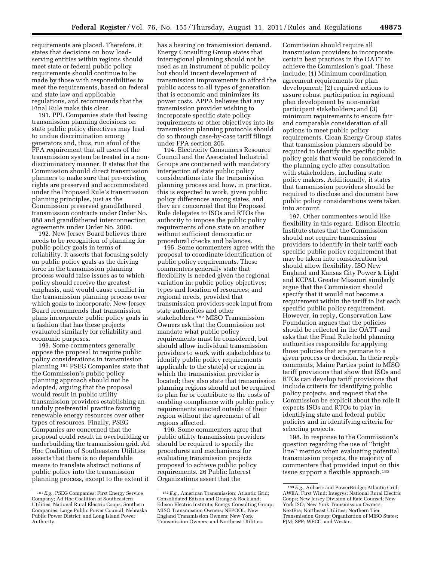requirements are placed. Therefore, it states that decisions on how loadserving entities within regions should meet state or federal public policy requirements should continue to be made by those with responsibilities to meet the requirements, based on federal and state law and applicable regulations, and recommends that the Final Rule make this clear.

191. PPL Companies state that basing transmission planning decisions on state public policy directives may lead to undue discrimination among generators and, thus, run afoul of the FPA requirement that all users of the transmission system be treated in a nondiscriminatory manner. It states that the Commission should direct transmission planners to make sure that pre-existing rights are preserved and accommodated under the Proposed Rule's transmission planning principles, just as the Commission preserved grandfathered transmission contracts under Order No. 888 and grandfathered interconnection agreements under Order No. 2000.

192. New Jersey Board believes there needs to be recognition of planning for public policy goals in terms of reliability. It asserts that focusing solely on public policy goals as the driving force in the transmission planning process would raise issues as to which policy should receive the greatest emphasis, and would cause conflict in the transmission planning process over which goals to incorporate. New Jersey Board recommends that transmission plans incorporate public policy goals in a fashion that has these projects evaluated similarly for reliability and economic purposes.

193. Some commenters generally oppose the proposal to require public policy considerations in transmission planning.181 PSEG Companies state that the Commission's public policy planning approach should not be adopted, arguing that the proposal would result in public utility transmission providers establishing an unduly preferential practice favoring renewable energy resources over other types of resources. Finally, PSEG Companies are concerned that the proposal could result in overbuilding or underbuilding the transmission grid. Ad Hoc Coalition of Southeastern Utilities asserts that there is no dependable means to translate abstract notions of public policy into the transmission planning process, except to the extent it

has a bearing on transmission demand. Energy Consulting Group states that interregional planning should not be used as an instrument of public policy but should incent development of transmission improvements to afford the public access to all types of generation that is economic and minimizes its power costs. APPA believes that any transmission provider wishing to incorporate specific state policy requirements or other objectives into its transmission planning protocols should do so through case-by-case tariff filings under FPA section 205.

194. Electricity Consumers Resource Council and the Associated Industrial Groups are concerned with mandatory interjection of state public policy considerations into the transmission planning process and how, in practice, this is expected to work, given public policy differences among states, and they are concerned that the Proposed Rule delegates to ISOs and RTOs the authority to impose the public policy requirements of one state on another without sufficient democratic or procedural checks and balances.

195. Some commenters agree with the proposal to coordinate identification of public policy requirements. These commenters generally state that flexibility is needed given the regional variation in: public policy objectives; types and location of resources; and regional needs, provided that transmission providers seek input from state authorities and other stakeholders.182 MISO Transmission Owners ask that the Commission not mandate what public policy requirements must be considered, but should allow individual transmission providers to work with stakeholders to identify public policy requirements applicable to the state(s) or region in which the transmission provider is located; they also state that transmission planning regions should not be required to plan for or contribute to the costs of enabling compliance with public policy requirements enacted outside of their region without the agreement of all regions affected.

196. Some commenters agree that public utility transmission providers should be required to specify the procedures and mechanisms for evaluating transmission projects proposed to achieve public policy requirements. 26 Public Interest Organizations assert that the

Commission should require all transmission providers to incorporate certain best practices in the OATT to achieve the Commission's goal. These include: (1) Minimum coordination agreement requirements for plan development; (2) required actions to assure robust participation in regional plan development by non-market participant stakeholders; and (3) minimum requirements to ensure fair and comparable consideration of all options to meet public policy requirements. Clean Energy Group states that transmission planners should be required to identify the specific public policy goals that would be considered in the planning cycle after consultation with stakeholders, including state policy makers. Additionally, it states that transmission providers should be required to disclose and document how public policy considerations were taken into account.

197. Other commenters would like flexibility in this regard. Edison Electric Institute states that the Commission should not require transmission providers to identify in their tariff each specific public policy requirement that may be taken into consideration but should allow flexibility. ISO New England and Kansas City Power & Light and KCP&L Greater Missouri similarly argue that the Commission should specify that it would not become a requirement within the tariff to list each specific public policy requirement. However, in reply, Conservation Law Foundation argues that the policies should be reflected in the OATT and asks that the Final Rule hold planning authorities responsible for applying those policies that are germane to a given process or decision. In their reply comments, Maine Parties point to MISO tariff provisions that show that ISOs and RTOs can develop tariff provisions that include criteria for identifying public policy projects, and request that the Commission be explicit about the role it expects ISOs and RTOs to play in identifying state and federal public policies and in identifying criteria for selecting projects.

198. In response to the Commission's question regarding the use of ''bright line'' metrics when evaluating potential transmission projects, the majority of commenters that provided input on this issue support a flexible approach.183

<sup>181</sup>*E.g.,* PSEG Companies; First Energy Service Company; Ad Hoc Coalition of Southeastern Utilities; National Rural Electric Coops; Southern Companies; Large Public Power Council; Nebraska Public Power District; and Long Island Power Authority.

<sup>182</sup>*E.g.,* American Transmission; Atlantic Grid; Consolidated Edison and Orange & Rockland; Edison Electric Institute; Energy Consulting Group; MISO Transmission Owners; NEPOOL; New England Transmission Owners; New York Transmission Owners; and Northeast Utilities.

<sup>183</sup>*E.g.,* Anbaric and PowerBridge; Atlantic Grid; AWEA; First Wind; Integrys; National Rural Electric Coops; New Jersey Division of Rate Counsel; New York ISO; New York Transmission Owners; NextEra; Northeast Utilities; Northern Tier Transmission Group; Organization of MISO States; PJM; SPP; WECC; and Westar.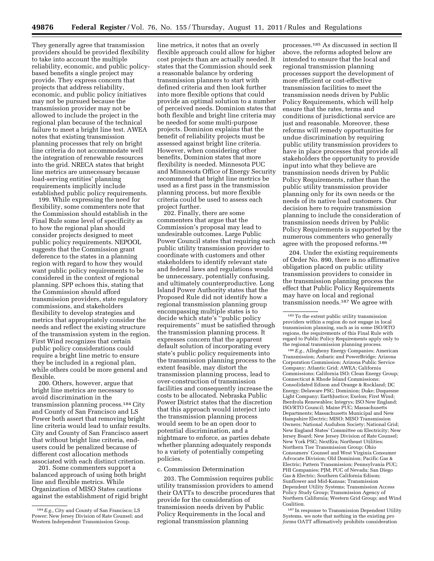They generally agree that transmission providers should be provided flexibility to take into account the multiple reliability, economic, and public policybased benefits a single project may provide. They express concern that projects that address reliability, economic, and public policy initiatives may not be pursued because the transmission provider may not be allowed to include the project in the regional plan because of the technical failure to meet a bright line test. AWEA notes that existing transmission planning processes that rely on bright line criteria do not accommodate well the integration of renewable resources into the grid. NRECA states that bright line metrics are unnecessary because load-serving entities' planning requirements implicitly include established public policy requirements.

199. While expressing the need for flexibility, some commenters note that the Commission should establish in the Final Rule some level of specificity as to how the regional plan should consider projects designed to meet public policy requirements. NEPOOL suggests that the Commission grant deference to the states in a planning region with regard to how they would want public policy requirements to be considered in the context of regional planning. SPP echoes this, stating that the Commission should afford transmission providers, state regulatory commissions, and stakeholders flexibility to develop strategies and metrics that appropriately consider the needs and reflect the existing structure of the transmission system in the region. First Wind recognizes that certain public policy considerations could require a bright line metric to ensure they be included in a regional plan, while others could be more general and flexible.

200. Others, however, argue that bright line metrics are necessary to avoid discrimination in the transmission planning process.184 City and County of San Francisco and LS Power both assert that removing bright line criteria would lead to unfair results. City and County of San Francisco assert that without bright line criteria, endusers could be penalized because of different cost allocation methods associated with each distinct criterion.

201. Some commenters support a balanced approach of using both bright line and flexible metrics. While Organization of MISO States cautions against the establishment of rigid bright

line metrics, it notes that an overly flexible approach could allow for higher cost projects than are actually needed. It states that the Commission should seek a reasonable balance by ordering transmission planners to start with defined criteria and then look further into more flexible options that could provide an optimal solution to a number of perceived needs. Dominion states that both flexible and bright line criteria may be needed for some multi-purpose projects. Dominion explains that the benefit of reliability projects must be assessed against bright line criteria. However, when considering other benefits, Dominion states that more flexibility is needed. Minnesota PUC and Minnesota Office of Energy Security recommend that bright line metrics be used as a first pass in the transmission planning process, but more flexible criteria could be used to assess each project further.

202. Finally, there are some commenters that argue that the Commission's proposal may lead to undesirable outcomes. Large Public Power Council states that requiring each public utility transmission provider to coordinate with customers and other stakeholders to identify relevant state and federal laws and regulations would be unnecessary, potentially confusing, and ultimately counterproductive. Long Island Power Authority states that the Proposed Rule did not identify how a regional transmission planning group encompassing multiple states is to decide which state's ''public policy requirements'' must be satisfied through the transmission planning process. It expresses concern that the apparent default solution of incorporating every state's public policy requirements into the transmission planning process to the extent feasible, may distort the transmission planning process, lead to over-construction of transmission facilities and consequently increase the costs to be allocated. Nebraska Public Power District states that the discretion that this approach would interject into the transmission planning process would seem to be an open door to potential discrimination, and a nightmare to enforce, as parties debate whether planning adequately responds to a variety of potentially competing policies.

#### c. Commission Determination

203. The Commission requires public utility transmission providers to amend their OATTs to describe procedures that provide for the consideration of transmission needs driven by Public Policy Requirements in the local and regional transmission planning

processes.185 As discussed in section II above, the reforms adopted below are intended to ensure that the local and regional transmission planning processes support the development of more efficient or cost-effective transmission facilities to meet the transmission needs driven by Public Policy Requirements, which will help ensure that the rates, terms and conditions of jurisdictional service are just and reasonable. Moreover, these reforms will remedy opportunities for undue discrimination by requiring public utility transmission providers to have in place processes that provide all stakeholders the opportunity to provide input into what they believe are transmission needs driven by Public Policy Requirements, rather than the public utility transmission provider planning only for its own needs or the needs of its native load customers. Our decision here to require transmission planning to include the consideration of transmission needs driven by Public Policy Requirements is supported by the numerous commenters who generally agree with the proposed reforms.186

204. Under the existing requirements of Order No. 890, there is no affirmative obligation placed on public utility transmission providers to consider in the transmission planning process the effect that Public Policy Requirements may have on local and regional transmission needs.187 We agree with

186*E.g.,* Allegheny Energy Companies; American Transmission; Anbaric and PowerBridge; Arizona Corporation Commission; Arizona Public Service Company; Atlantic Grid; AWEA; California Commissions; California ISO; Clean Energy Group; Connecticut & Rhode Island Commissions; Consolidated Edison and Orange & Rockland; DC Energy; Delaware PSC; Dominion; Duke; Duquesne Light Company; EarthJustice; Exelon; First Wind; Iberdrola Renewables; Integrys; ISO New England; ISO/RTO Council; Maine PUC; Massachusetts Departments; Massachusetts Municipal and New Hampshire Electric; MISO; MISO Transmission Owners; National Audubon Society; National Grid; New England States' Committee on Electricity; New Jersey Board; New Jersey Division of Rate Counsel; New York PSC; NextEra; Northeast Utilities; Northern Tier Transmission Group; Ohio Consumers' Counsel and West Virginia Consumer Advocate Division; Old Dominion; Pacific Gas & Electric; Pattern Transmission; Pennsylvania PUC; PHI Companies; PJM; PUC of Nevada; San Diego Gas & Electric; Southern California Edison; Sunflower and Mid-Kansas; Transmission Dependent Utility Systems; Transmission Access Policy Study Group; Transmission Agency of Northern California; Western Grid Group; and Wind Coalition.

187 In response to Transmission Dependent Utility Systems, we note that nothing in the existing *pro forma* OATT affirmatively prohibits consideration

<sup>184</sup>*E.g.,* City and County of San Francisco; LS Power; New Jersey Division of Rate Counsel; and Western Independent Transmission Group.

<sup>185</sup>To the extent public utility transmission providers within a region do not engage in local transmission planning, such as in some ISO/RTO regions, the requirements of this Final Rule with regard to Public Policy Requirements apply only to the regional transmission planning process.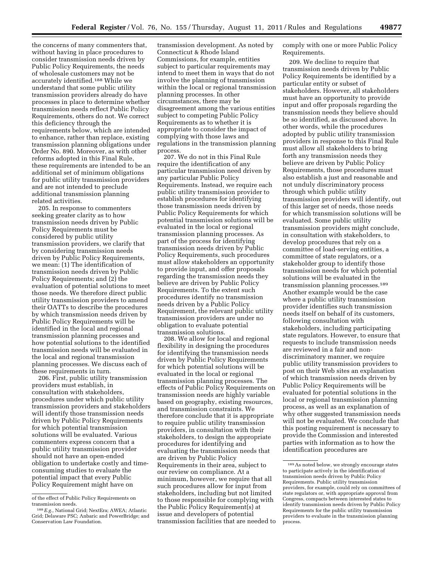the concerns of many commenters that, without having in place procedures to consider transmission needs driven by Public Policy Requirements, the needs of wholesale customers may not be accurately identified.188 While we understand that some public utility transmission providers already do have processes in place to determine whether transmission needs reflect Public Policy Requirements, others do not. We correct this deficiency through the requirements below, which are intended to enhance, rather than replace, existing transmission planning obligations under Order No. 890. Moreover, as with other reforms adopted in this Final Rule, these requirements are intended to be an additional set of minimum obligations for public utility transmission providers and are not intended to preclude additional transmission planning related activities.

205. In response to commenters seeking greater clarity as to how transmission needs driven by Public Policy Requirements must be considered by public utility transmission providers, we clarify that by considering transmission needs driven by Public Policy Requirements, we mean: (1) The identification of transmission needs driven by Public Policy Requirements; and (2) the evaluation of potential solutions to meet those needs. We therefore direct public utility transmission providers to amend their OATTs to describe the procedures by which transmission needs driven by Public Policy Requirements will be identified in the local and regional transmission planning processes and how potential solutions to the identified transmission needs will be evaluated in the local and regional transmission planning processes. We discuss each of these requirements in turn.

206. First, public utility transmission providers must establish, in consultation with stakeholders, procedures under which public utility transmission providers and stakeholders will identify those transmission needs driven by Public Policy Requirements for which potential transmission solutions will be evaluated. Various commenters express concern that a public utility transmission provider should not have an open-ended obligation to undertake costly and timeconsuming studies to evaluate the potential impact that every Public Policy Requirement might have on

transmission development. As noted by Connecticut & Rhode Island Commissions, for example, entities subject to particular requirements may intend to meet them in ways that do not involve the planning of transmission within the local or regional transmission planning processes. In other circumstances, there may be disagreement among the various entities subject to competing Public Policy Requirements as to whether it is appropriate to consider the impact of complying with those laws and regulations in the transmission planning process.

207. We do not in this Final Rule require the identification of any particular transmission need driven by any particular Public Policy Requirements. Instead, we require each public utility transmission provider to establish procedures for identifying those transmission needs driven by Public Policy Requirements for which potential transmission solutions will be evaluated in the local or regional transmission planning processes. As part of the process for identifying transmission needs driven by Public Policy Requirements, such procedures must allow stakeholders an opportunity to provide input, and offer proposals regarding the transmission needs they believe are driven by Public Policy Requirements. To the extent such procedures identify no transmission needs driven by a Public Policy Requirement, the relevant public utility transmission providers are under no obligation to evaluate potential transmission solutions.

208. We allow for local and regional flexibility in designing the procedures for identifying the transmission needs driven by Public Policy Requirements for which potential solutions will be evaluated in the local or regional transmission planning processes. The effects of Public Policy Requirements on transmission needs are highly variable based on geography, existing resources, and transmission constraints. We therefore conclude that it is appropriate to require public utility transmission providers, in consultation with their stakeholders, to design the appropriate procedures for identifying and evaluating the transmission needs that are driven by Public Policy Requirements in their area, subject to our review on compliance. At a minimum, however, we require that all such procedures allow for input from stakeholders, including but not limited to those responsible for complying with the Public Policy Requirement(s) at issue and developers of potential transmission facilities that are needed to comply with one or more Public Policy Requirements.

209. We decline to require that transmission needs driven by Public Policy Requirements be identified by a particular entity or subset of stakeholders. However, all stakeholders must have an opportunity to provide input and offer proposals regarding the transmission needs they believe should be so identified, as discussed above. In other words, while the procedures adopted by public utility transmission providers in response to this Final Rule must allow all stakeholders to bring forth any transmission needs they believe are driven by Public Policy Requirements, those procedures must also establish a just and reasonable and not unduly discriminatory process through which public utility transmission providers will identify, out of this larger set of needs, those needs for which transmission solutions will be evaluated. Some public utility transmission providers might conclude, in consultation with stakeholders, to develop procedures that rely on a committee of load-serving entities, a committee of state regulators, or a stakeholder group to identify those transmission needs for which potential solutions will be evaluated in the transmission planning processes.189 Another example would be the case where a public utility transmission provider identifies such transmission needs itself on behalf of its customers, following consultation with stakeholders, including participating state regulators. However, to ensure that requests to include transmission needs are reviewed in a fair and nondiscriminatory manner, we require public utility transmission providers to post on their Web sites an explanation of which transmission needs driven by Public Policy Requirements will be evaluated for potential solutions in the local or regional transmission planning process, as well as an explanation of why other suggested transmission needs will not be evaluated. We conclude that this posting requirement is necessary to provide the Commission and interested parties with information as to how the identification procedures are

of the effect of Public Policy Requirements on transmission needs.

<sup>188</sup>*E.g.,* National Grid; NextEra; AWEA; Atlantic Grid; Delaware PSC; Anbaric and PowerBridge; and Conservation Law Foundation.

<sup>189</sup>As noted below, we strongly encourage states to participate actively in the identification of transmission needs driven by Public Policy Requirements. Public utility transmission providers, for example, could rely on committees of state regulators or, with appropriate approval from Congress, compacts between interested states to identify transmission needs driven by Public Policy Requirements for the public utility transmission providers to evaluate in the transmission planning process.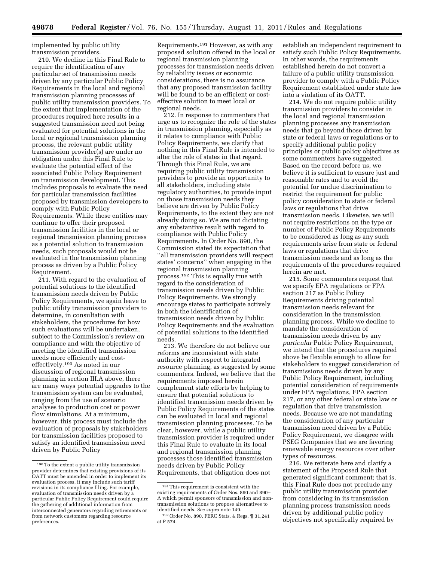implemented by public utility transmission providers.

210. We decline in this Final Rule to require the identification of any particular set of transmission needs driven by any particular Public Policy Requirements in the local and regional transmission planning processes of public utility transmission providers. To the extent that implementation of the procedures required here results in a suggested transmission need not being evaluated for potential solutions in the local or regional transmission planning process, the relevant public utility transmission provider(s) are under no obligation under this Final Rule to evaluate the potential effect of the associated Public Policy Requirement on transmission development. This includes proposals to evaluate the need for particular transmission facilities proposed by transmission developers to comply with Public Policy Requirements. While these entities may continue to offer their proposed transmission facilities in the local or regional transmission planning process as a potential solution to transmission needs, such proposals would not be evaluated in the transmission planning process as driven by a Public Policy Requirement.

211. With regard to the evaluation of potential solutions to the identified transmission needs driven by Public Policy Requirements, we again leave to public utility transmission providers to determine, in consultation with stakeholders, the procedures for how such evaluations will be undertaken, subject to the Commission's review on compliance and with the objective of meeting the identified transmission needs more efficiently and costeffectively.190 As noted in our discussion of regional transmission planning in section III.A above, there are many ways potential upgrades to the transmission system can be evaluated, ranging from the use of scenario analyses to production cost or power flow simulations. At a minimum, however, this process must include the evaluation of proposals by stakeholders for transmission facilities proposed to satisfy an identified transmission need driven by Public Policy

Requirements.191 However, as with any proposed solution offered in the local or regional transmission planning processes for transmission needs driven by reliability issues or economic considerations, there is no assurance that any proposed transmission facility will be found to be an efficient or costeffective solution to meet local or regional needs.

212. In response to commenters that urge us to recognize the role of the states in transmission planning, especially as it relates to compliance with Public Policy Requirements, we clarify that nothing in this Final Rule is intended to alter the role of states in that regard. Through this Final Rule, we are requiring public utility transmission providers to provide an opportunity to all stakeholders, including state regulatory authorities, to provide input on those transmission needs they believe are driven by Public Policy Requirements, to the extent they are not already doing so. We are not dictating any substantive result with regard to compliance with Public Policy Requirements. In Order No. 890, the Commission stated its expectation that ''all transmission providers will respect states' concerns'' when engaging in the regional transmission planning process.192 This is equally true with regard to the consideration of transmission needs driven by Public Policy Requirements. We strongly encourage states to participate actively in both the identification of transmission needs driven by Public Policy Requirements and the evaluation of potential solutions to the identified needs.

213. We therefore do not believe our reforms are inconsistent with state authority with respect to integrated resource planning, as suggested by some commenters. Indeed, we believe that the requirements imposed herein complement state efforts by helping to ensure that potential solutions to identified transmission needs driven by Public Policy Requirements of the states can be evaluated in local and regional transmission planning processes. To be clear, however, while a public utility transmission provider is required under this Final Rule to evaluate in its local and regional transmission planning processes those identified transmission needs driven by Public Policy Requirements, that obligation does not

establish an independent requirement to satisfy such Public Policy Requirements. In other words, the requirements established herein do not convert a failure of a public utility transmission provider to comply with a Public Policy Requirement established under state law into a violation of its OATT.

214. We do not require public utility transmission providers to consider in the local and regional transmission planning processes any transmission needs that go beyond those driven by state or federal laws or regulations or to specify additional public policy principles or public policy objectives as some commenters have suggested. Based on the record before us, we believe it is sufficient to ensure just and reasonable rates and to avoid the potential for undue discrimination to restrict the requirement for public policy consideration to state or federal laws or regulations that drive transmission needs. Likewise, we will not require restrictions on the type or number of Public Policy Requirements to be considered as long as any such requirements arise from state or federal laws or regulations that drive transmission needs and as long as the requirements of the procedures required herein are met.

215. Some commenters request that we specify EPA regulations or FPA section 217 as Public Policy Requirements driving potential transmission needs relevant for consideration in the transmission planning process. While we decline to mandate the consideration of transmission needs driven by any *particular* Public Policy Requirement, we intend that the procedures required above be flexible enough to allow for stakeholders to suggest consideration of transmissions needs driven by any Public Policy Requirement, including potential consideration of requirements under EPA regulations, FPA section 217, or any other federal or state law or regulation that drive transmission needs. Because we are not mandating the consideration of any particular transmission need driven by a Public Policy Requirement, we disagree with PSEG Companies that we are favoring renewable energy resources over other types of resources.

216. We reiterate here and clarify a statement of the Proposed Rule that generated significant comment; that is, this Final Rule does not preclude any public utility transmission provider from considering in its transmission planning process transmission needs driven by additional public policy objectives not specifically required by

<sup>190</sup>To the extent a public utility transmission provider determines that existing provisions of its OATT must be amended in order to implement its evaluation process, it may include such tariff revisions in its compliance filing. For example, evaluation of transmission needs driven by a particular Public Policy Requirement could require the gathering of additional information from interconnected generators regarding retirements or from network customers regarding resource preferences.

 $^{\rm 191}$  This requirement is consistent with the existing requirements of Order Nos. 890 and 890– A which permit sponsors of transmission and nontransmission solutions to propose alternatives to identified needs. *See supra* note 149.

<sup>192</sup>Order No. 890, FERC Stats. & Regs. ¶ 31,241 at P 574.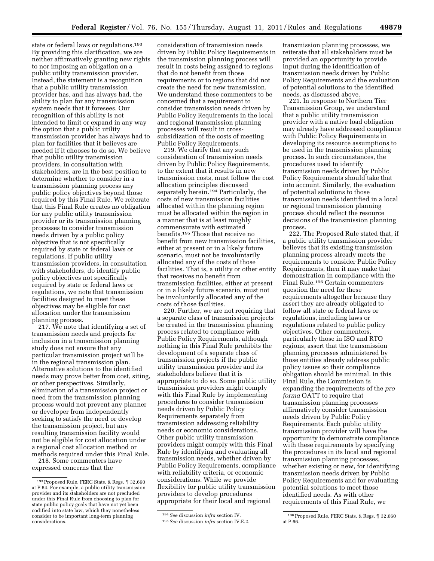state or federal laws or regulations.<sup>193</sup> By providing this clarification, we are neither affirmatively granting new rights to nor imposing an obligation on a public utility transmission provider. Instead, the statement is a recognition that a public utility transmission provider has, and has always had, the ability to plan for any transmission system needs that it foresees. Our recognition of this ability is not intended to limit or expand in any way the option that a public utility transmission provider has always had to plan for facilities that it believes are needed if it chooses to do so. We believe that public utility transmission providers, in consultation with stakeholders, are in the best position to determine whether to consider in a transmission planning process any public policy objectives beyond those required by this Final Rule. We reiterate that this Final Rule creates no obligation for any public utility transmission provider or its transmission planning processes to consider transmission needs driven by a public policy objective that is not specifically required by state or federal laws or regulations. If public utility transmission providers, in consultation with stakeholders, do identify public policy objectives not specifically required by state or federal laws or regulations, we note that transmission facilities designed to meet these objectives may be eligible for cost allocation under the transmission planning process.

217. We note that identifying a set of transmission needs and projects for inclusion in a transmission planning study does not ensure that any particular transmission project will be in the regional transmission plan. Alternative solutions to the identified needs may prove better from cost, siting, or other perspectives. Similarly, elimination of a transmission project or need from the transmission planning process would not prevent any planner or developer from independently seeking to satisfy the need or develop the transmission project, but any resulting transmission facility would not be eligible for cost allocation under a regional cost allocation method or methods required under this Final Rule.

218. Some commenters have expressed concerns that the

consideration of transmission needs driven by Public Policy Requirements in the transmission planning process will result in costs being assigned to regions that do not benefit from those requirements or to regions that did not create the need for new transmission. We understand these commenters to be concerned that a requirement to consider transmission needs driven by Public Policy Requirements in the local and regional transmission planning processes will result in crosssubsidization of the costs of meeting Public Policy Requirements.

219. We clarify that any such consideration of transmission needs driven by Public Policy Requirements, to the extent that it results in new transmission costs, must follow the cost allocation principles discussed separately herein.194 Particularly, the costs of new transmission facilities allocated within the planning region must be allocated within the region in a manner that is at least roughly commensurate with estimated benefits.195 Those that receive no benefit from new transmission facilities, either at present or in a likely future scenario, must not be involuntarily allocated any of the costs of those facilities. That is, a utility or other entity that receives no benefit from transmission facilities, either at present or in a likely future scenario, must not be involuntarily allocated any of the costs of those facilities.

220. Further, we are not requiring that a separate class of transmission projects be created in the transmission planning process related to compliance with Public Policy Requirements, although nothing in this Final Rule prohibits the development of a separate class of transmission projects if the public utility transmission provider and its stakeholders believe that it is appropriate to do so. Some public utility transmission providers might comply with this Final Rule by implementing procedures to consider transmission needs driven by Public Policy Requirements separately from transmission addressing reliability needs or economic considerations. Other public utility transmission providers might comply with this Final Rule by identifying and evaluating all transmission needs, whether driven by Public Policy Requirements, compliance with reliability criteria, or economic considerations. While we provide flexibility for public utility transmission providers to develop procedures appropriate for their local and regional

transmission planning processes, we reiterate that all stakeholders must be provided an opportunity to provide input during the identification of transmission needs driven by Public Policy Requirements and the evaluation of potential solutions to the identified needs, as discussed above.

221. In response to Northern Tier Transmission Group, we understand that a public utility transmission provider with a native load obligation may already have addressed compliance with Public Policy Requirements in developing its resource assumptions to be used in the transmission planning process. In such circumstances, the procedures used to identify transmission needs driven by Public Policy Requirements should take that into account. Similarly, the evaluation of potential solutions to those transmission needs identified in a local or regional transmission planning process should reflect the resource decisions of the transmission planning process.

222. The Proposed Rule stated that, if a public utility transmission provider believes that its existing transmission planning process already meets the requirements to consider Public Policy Requirements, then it may make that demonstration in compliance with the Final Rule.196 Certain commenters question the need for these requirements altogether because they assert they are already obligated to follow all state or federal laws or regulations, including laws or regulations related to public policy objectives. Other commenters, particularly those in ISO and RTO regions, assert that the transmission planning processes administered by those entities already address public policy issues so their compliance obligation should be minimal. In this Final Rule, the Commission is expanding the requirements of the *pro forma* OATT to require that transmission planning processes affirmatively consider transmission needs driven by Public Policy Requirements. Each public utility transmission provider will have the opportunity to demonstrate compliance with these requirements by specifying the procedures in its local and regional transmission planning processes, whether existing or new, for identifying transmission needs driven by Public Policy Requirements and for evaluating potential solutions to meet those identified needs. As with other requirements of this Final Rule, we

<sup>193</sup>Proposed Rule, FERC Stats. & Regs. ¶ 32,660 at P 64. For example, a public utility transmission provider and its stakeholders are not precluded under this Final Rule from choosing to plan for state public policy goals that have not yet been codified into state law, which they nonetheless consider to be important long-term planning considerations.

<sup>194</sup>*See* discussion *infra* section IV.

<sup>195</sup>*See* discussion *infra* section IV.E.2.

<sup>196</sup>Proposed Rule, FERC Stats. & Regs. ¶ 32,660 at P 66.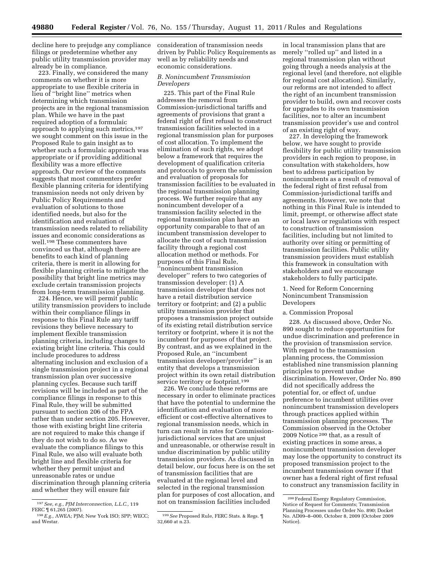decline here to prejudge any compliance filings or predetermine whether any public utility transmission provider may already be in compliance.

223. Finally, we considered the many comments on whether it is more appropriate to use flexible criteria in lieu of ''bright line'' metrics when determining which transmission projects are in the regional transmission plan. While we have in the past required adoption of a formulaic approach to applying such metrics,197 we sought comment on this issue in the Proposed Rule to gain insight as to whether such a formulaic approach was appropriate or if providing additional flexibility was a more effective approach. Our review of the comments suggests that most commenters prefer flexible planning criteria for identifying transmission needs not only driven by Public Policy Requirements and evaluation of solutions to those identified needs, but also for the identification and evaluation of transmission needs related to reliability issues and economic considerations as well.198 These commenters have convinced us that, although there are benefits to each kind of planning criteria, there is merit in allowing for flexible planning criteria to mitigate the possibility that bright line metrics may exclude certain transmission projects from long-term transmission planning.

224. Hence, we will permit public utility transmission providers to include within their compliance filings in response to this Final Rule any tariff revisions they believe necessary to implement flexible transmission planning criteria, including changes to existing bright line criteria. This could include procedures to address alternating inclusion and exclusion of a single transmission project in a regional transmission plan over successive planning cycles. Because such tariff revisions will be included as part of the compliance filings in response to this Final Rule, they will be submitted pursuant to section 206 of the FPA rather than under section 205. However, those with existing bright line criteria are not required to make this change if they do not wish to do so. As we evaluate the compliance filings to this Final Rule, we also will evaluate both bright line and flexible criteria for whether they permit unjust and unreasonable rates or undue discrimination through planning criteria and whether they will ensure fair

consideration of transmission needs driven by Public Policy Requirements as well as by reliability needs and economic considerations.

# *B. Nonincumbent Transmission Developers*

225. This part of the Final Rule addresses the removal from Commission-jurisdictional tariffs and agreements of provisions that grant a federal right of first refusal to construct transmission facilities selected in a regional transmission plan for purposes of cost allocation. To implement the elimination of such rights, we adopt below a framework that requires the development of qualification criteria and protocols to govern the submission and evaluation of proposals for transmission facilities to be evaluated in the regional transmission planning process. We further require that any nonincumbent developer of a transmission facility selected in the regional transmission plan have an opportunity comparable to that of an incumbent transmission developer to allocate the cost of such transmission facility through a regional cost allocation method or methods. For purposes of this Final Rule, ''nonincumbent transmission developer'' refers to two categories of transmission developer: (1) A transmission developer that does not have a retail distribution service territory or footprint; and (2) a public utility transmission provider that proposes a transmission project outside of its existing retail distribution service territory or footprint, where it is not the incumbent for purposes of that project. By contrast, and as we explained in the Proposed Rule, an ''incumbent transmission developer/provider'' is an entity that develops a transmission project within its own retail distribution service territory or footprint.<sup>199</sup>

226. We conclude these reforms are necessary in order to eliminate practices that have the potential to undermine the identification and evaluation of more efficient or cost-effective alternatives to regional transmission needs, which in turn can result in rates for Commissionjurisdictional services that are unjust and unreasonable, or otherwise result in undue discrimination by public utility transmission providers. As discussed in detail below, our focus here is on the set of transmission facilities that are evaluated at the regional level and selected in the regional transmission plan for purposes of cost allocation, and not on transmission facilities included

in local transmission plans that are merely ''rolled up'' and listed in a regional transmission plan without going through a needs analysis at the regional level (and therefore, not eligible for regional cost allocation). Similarly, our reforms are not intended to affect the right of an incumbent transmission provider to build, own and recover costs for upgrades to its own transmission facilities, nor to alter an incumbent transmission provider's use and control of an existing right of way.

227. In developing the framework below, we have sought to provide flexibility for public utility transmission providers in each region to propose, in consultation with stakeholders, how best to address participation by nonincumbents as a result of removal of the federal right of first refusal from Commission-jurisdictional tariffs and agreements. However, we note that nothing in this Final Rule is intended to limit, preempt, or otherwise affect state or local laws or regulations with respect to construction of transmission facilities, including but not limited to authority over siting or permitting of transmission facilities. Public utility transmission providers must establish this framework in consultation with stakeholders and we encourage stakeholders to fully participate.

## 1. Need for Reform Concerning Nonincumbent Transmission Developers

### a. Commission Proposal

228. As discussed above, Order No. 890 sought to reduce opportunities for undue discrimination and preference in the provision of transmission service. With regard to the transmission planning process, the Commission established nine transmission planning principles to prevent undue discrimination. However, Order No. 890 did not specifically address the potential for, or effect of, undue preference to incumbent utilities over nonincumbent transmission developers through practices applied within transmission planning processes. The Commission observed in the October 2009 Notice 200 that, as a result of existing practices in some areas, a nonincumbent transmission developer may lose the opportunity to construct its proposed transmission project to the incumbent transmission owner if that owner has a federal right of first refusal to construct any transmission facility in

<sup>197</sup>*See, e.g., PJM Interconnection, L.L.C.,* 119 FERC ¶ 61,265 (2007).

<sup>198</sup>*E.g.,* AWEA; PJM; New York ISO; SPP; WECC; and Westar.

<sup>199</sup>*See* Proposed Rule, FERC Stats. & Regs. ¶ 32,660 at n.23.

<sup>200</sup>Federal Energy Regulatory Commission, Notice of Request for Comments; Transmission Planning Processes under Order No. 890; Docket No. AD09–8–000, October 8, 2009 (October 2009 Notice).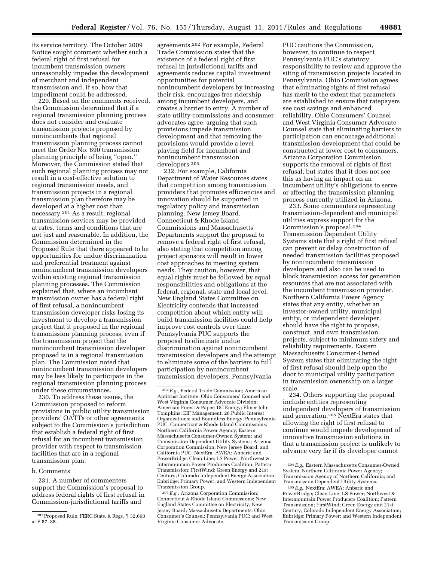its service territory. The October 2009 Notice sought comment whether such a federal right of first refusal for incumbent transmission owners unreasonably impedes the development of merchant and independent transmission and, if so, how that impediment could be addressed.

229. Based on the comments received, the Commission determined that if a regional transmission planning process does not consider and evaluate transmission projects proposed by nonincumbents that regional transmission planning process cannot meet the Order No. 890 transmission planning principle of being ''open.'' Moreover, the Commission stated that such regional planning process may not result in a cost-effective solution to regional transmission needs, and transmission projects in a regional transmission plan therefore may be developed at a higher cost than necessary.201 As a result, regional transmission services may be provided at rates, terms and conditions that are not just and reasonable. In addition, the Commission determined in the Proposed Rule that there appeared to be opportunities for undue discrimination and preferential treatment against nonincumbent transmission developers within existing regional transmission planning processes. The Commission explained that, where an incumbent transmission owner has a federal right of first refusal, a nonincumbent transmission developer risks losing its investment to develop a transmission project that it proposed in the regional transmission planning process, even if the transmission project that the nonincumbent transmission developer proposed is in a regional transmission plan. The Commission noted that nonincumbent transmission developers may be less likely to participate in the regional transmission planning process under these circumstances.

230. To address these issues, the Commission proposed to reform provisions in public utility transmission providers' OATTs or other agreements subject to the Commission's jurisdiction that establish a federal right of first refusal for an incumbent transmission provider with respect to transmission facilities that are in a regional transmission plan.

## b. Comments

231. A number of commenters support the Commission's proposal to address federal rights of first refusal in Commission-jurisdictional tariffs and

agreements.202 For example, Federal Trade Commission states that the existence of a federal right of first refusal in jurisdictional tariffs and agreements reduces capital investment opportunities for potential nonincumbent developers by increasing their risk, encourages free ridership among incumbent developers, and creates a barrier to entry. A number of state utility commissions and consumer advocates agree, arguing that such provisions impede transmission development and that removing the provisions would provide a level playing field for incumbent and nonincumbent transmission developers.203

232. For example, California Department of Water Resources states that competition among transmission providers that promotes efficiencies and innovation should be supported in regulatory policy and transmission planning. New Jersey Board, Connecticut & Rhode Island Commissions and Massachusetts Departments support the proposal to remove a federal right of first refusal, also stating that competition among project sponsors will result in lower cost approaches to meeting system needs. They caution, however, that equal rights must be followed by equal responsibilities and obligations at the federal, regional, state and local level. New England States Committee on Electricity contends that increased competition about which entity will build transmission facilities could help improve cost controls over time. Pennsylvania PUC supports the proposal to eliminate undue discrimination against nonincumbent transmission developers and the attempt to eliminate some of the barriers to full participation by nonincumbent transmission developers. Pennsylvania

203*E.g.,* Arizona Corporation Commission; Connecticut & Rhode Island Commissions; New England States Committee on Electricity; New Jersey Board; Massachusetts Departments; Ohio Consumer's Counsel; Pennsylvania PUC; and West Virginia Consumer Advocate.

PUC cautions the Commission, however, to continue to respect Pennsylvania PUC's statutory responsibility to review and approve the siting of transmission projects located in Pennsylvania. Ohio Commission agrees that eliminating rights of first refusal has merit to the extent that parameters are established to ensure that ratepayers see cost savings and enhanced reliability. Ohio Consumers' Counsel and West Virginia Consumer Advocate Counsel state that eliminating barriers to participation can encourage additional transmission development that could be constructed at lower cost to consumers. Arizona Corporation Commission supports the removal of rights of first refusal, but states that it does not see this as having an impact on an incumbent utility's obligations to serve or affecting the transmission planning process currently utilized in Arizona.

233. Some commenters representing transmission-dependent and municipal utilities express support for the Commission's proposal.204 Transmission Dependent Utility Systems state that a right of first refusal can prevent or delay construction of needed transmission facilities proposed by nonincumbent transmission developers and also can be used to block transmission access for generation resources that are not associated with the incumbent transmission provider. Northern California Power Agency states that any entity, whether an investor-owned utility, municipal entity, or independent developer, should have the right to propose, construct, and own transmission projects, subject to minimum safety and reliability requirements. Eastern Massachusetts Consumer-Owned System states that eliminating the right of first refusal should help open the door to municipal utility participation in transmission ownership on a larger scale.

234. Others supporting the proposal include entities representing independent developers of transmission and generation.205 NextEra states that allowing the right of first refusal to continue would impede development of innovative transmission solutions in that a transmission project is unlikely to advance very far if its developer cannot

<sup>201</sup>Proposed Rule, FERC Stats. & Regs. ¶ 32,660 at P 87–88.

<sup>202</sup>*E.g.,* Federal Trade Commission; American Antitrust Institute; Ohio Consumers' Counsel and West Virginia Consumer Advocate Division; American Forest & Paper; DC Energy; Elmer John Tompkins; EIF Management; 26 Public Interest Organizations; and Boundless Energy; Pennsylvania PUC; Connecticut & Rhode Island Commissions; Northern California Power Agency; Eastern Massachusetts Consumer-Owned System; and Transmission Dependent Utility Systems; Arizona Corporation Commission; New Jersey Board; and California PUC; NextEra; AWEA; Anbaric and PowerBridge; Clean Line; LS Power; Northwest & Intermountain Power Producers Coalition; Pattern Transmission; FirstWind; Green Energy and 21st Century; Colorado Independent Energy Association; Enbridge; Primary Power; and Western Independent Transmission Group.

<sup>204</sup>*E.g.*, Eastern Massachusetts Consumer-Owned System; Northern California Power Agency; Transmission Agency of Northern California; and Transmission Dependent Utility Systems.

<sup>205</sup>*E.g.*, NextEra; AWEA; Anbaric and PowerBridge; Clean Line; LS Power; Northwest & Intermountain Power Producers Coalition; Pattern Transmission; FirstWind; Green Energy and 21st Century; Colorado Independent Energy Association; Enbridge; Primary Power; and Western Independent Transmission Group.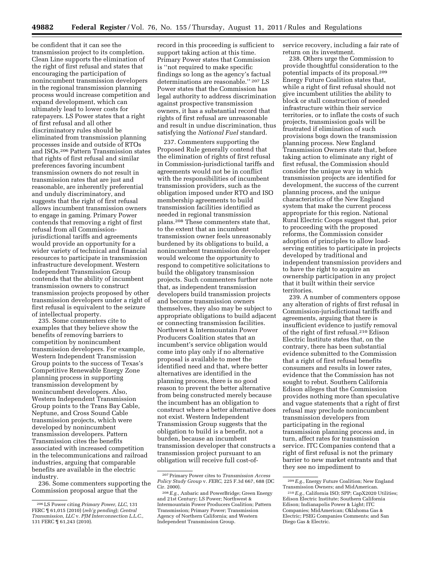be confident that it can see the transmission project to its completion. Clean Line supports the elimination of the right of first refusal and states that encouraging the participation of nonincumbent transmission developers in the regional transmission planning process would increase competition and expand development, which can ultimately lead to lower costs for ratepayers. LS Power states that a right of first refusal and all other discriminatory rules should be eliminated from transmission planning processes inside and outside of RTOs and ISOs.206 Pattern Transmission states that rights of first refusal and similar preferences favoring incumbent transmission owners do not result in transmission rates that are just and reasonable, are inherently preferential and unduly discriminatory, and suggests that the right of first refusal allows incumbent transmission owners to engage in gaming. Primary Power contends that removing a right of first refusal from all Commissionjurisdictional tariffs and agreements would provide an opportunity for a wider variety of technical and financial resources to participate in transmission infrastructure development. Western Independent Transmission Group contends that the ability of incumbent transmission owners to construct transmission projects proposed by other transmission developers under a right of first refusal is equivalent to the seizure of intellectual property.

235. Some commenters cite to examples that they believe show the benefits of removing barriers to competition by nonincumbent transmission developers. For example, Western Independent Transmission Group points to the success of Texas's Competitive Renewable Energy Zone planning process in supporting transmission development by nonincumbent developers. Also, Western Independent Transmission Group points to the Trans Bay Cable, Neptune, and Cross Sound Cable transmission projects, which were developed by nonincumbent transmission developers. Pattern Transmission cites the benefits associated with increased competition in the telecommunications and railroad industries, arguing that comparable benefits are available in the electric industry.

236. Some commenters supporting the Commission proposal argue that the

record in this proceeding is sufficient to support taking action at this time. Primary Power states that Commission is ''not required to make specific findings so long as the agency's factual determinations are reasonable.'' 207 LS Power states that the Commission has legal authority to address discrimination against prospective transmission owners, it has a substantial record that rights of first refusal are unreasonable and result in undue discrimination, thus satisfying the *National Fuel* standard.

237. Commenters supporting the Proposed Rule generally contend that the elimination of rights of first refusal in Commission-jurisdictional tariffs and agreements would not be in conflict with the responsibilities of incumbent transmission providers, such as the obligation imposed under RTO and ISO membership agreements to build transmission facilities identified as needed in regional transmission plans.208 These commenters state that, to the extent that an incumbent transmission owner feels unreasonably burdened by its obligations to build, a nonincumbent transmission developer would welcome the opportunity to respond to competitive solicitations to build the obligatory transmission projects. Such commenters further note that, as independent transmission developers build transmission projects and become transmission owners themselves, they also may be subject to appropriate obligations to build adjacent or connecting transmission facilities. Northwest & Intermountain Power Producers Coalition states that an incumbent's service obligation would come into play only if no alternative proposal is available to meet the identified need and that, where better alternatives are identified in the planning process, there is no good reason to prevent the better alternative from being constructed merely because the incumbent has an obligation to construct where a better alternative does not exist. Western Independent Transmission Group suggests that the obligation to build is a benefit, not a burden, because an incumbent transmission developer that constructs a transmission project pursuant to an obligation will receive full cost-ofservice recovery, including a fair rate of return on its investment.

238. Others urge the Commission to provide thoughtful consideration to the potential impacts of its proposal.209 Energy Future Coalition states that, while a right of first refusal should not give incumbent utilities the ability to block or stall construction of needed infrastructure within their service territories, or to inflate the costs of such projects, transmission goals will be frustrated if elimination of such provisions bogs down the transmission planning process. New England Transmission Owners state that, before taking action to eliminate any right of first refusal, the Commission should consider the unique way in which transmission projects are identified for development, the success of the current planning process, and the unique characteristics of the New England system that make the current process appropriate for this region. National Rural Electric Coops suggest that, prior to proceeding with the proposed reforms, the Commission consider adoption of principles to allow loadserving entities to participate in projects developed by traditional and independent transmission providers and to have the right to acquire an ownership participation in any project that it built within their service territories.

239. A number of commenters oppose any alteration of rights of first refusal in Commission-jurisdictional tariffs and agreements, arguing that there is insufficient evidence to justify removal of the right of first refusal.210 Edison Electric Institute states that, on the contrary, there has been substantial evidence submitted to the Commission that a right of first refusal benefits consumers and results in lower rates, evidence that the Commission has not sought to rebut. Southern California Edison alleges that the Commission provides nothing more than speculative and vague statements that a right of first refusal may preclude nonincumbent transmission developers from participating in the regional transmission planning process and, in turn, affect rates for transmission service. ITC Companies contend that a right of first refusal is not the primary barrier to new market entrants and that they see no impediment to

<sup>206</sup>LS Power citing *Primary Power, LLC*, 131 FERC ¶ 61,015 (2010) (*reh'g pending*); *Central Transmission, LLC* v. *PJM Interconnection L.L.C.*, 131 FERC ¶ 61,243 (2010).

<sup>207</sup>Primary Power cites to *Transmission Access Policy Study Group* v. *FERC*, 225 F.3d 667, 688 (DC Cir. 2000).

<sup>208</sup>*E.g.*, Anbaric and PowerBridge; Green Energy and 21st Century; LS Power; Northwest & Intermountain Power Producers Coalition; Pattern Transmission; Primary Power; Transmission Agency of Northern California; and Western Independent Transmission Group.

<sup>209</sup>*E.g.*, Energy Future Coalition; New England Transmission Owners; and MidAmerican.

<sup>210</sup>*E.g.*, California ISO; SPP; CapX2020 Utilities; Edison Electric Institute; Southern California Edison; Indianapolis Power & Light; ITC Companies; MidAmerican; Oklahoma Gas & Electric; PSEG Companies Comments; and San Diego Gas & Electric.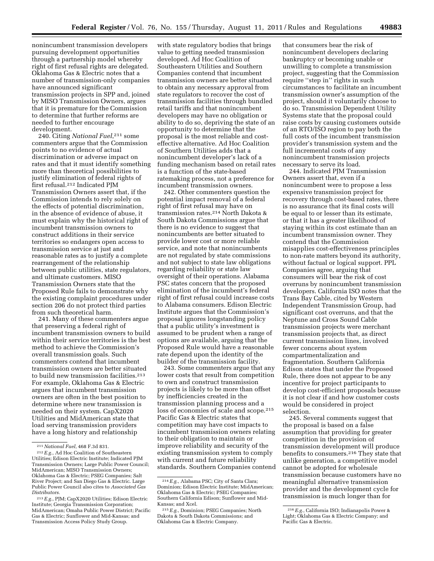nonincumbent transmission developers pursuing development opportunities through a partnership model whereby right of first refusal rights are delegated. Oklahoma Gas & Electric notes that a number of transmission-only companies have announced significant transmission projects in SPP and, joined by MISO Transmission Owners, argues that it is premature for the Commission to determine that further reforms are needed to further encourage development.

240. Citing *National Fuel*,211 some commenters argue that the Commission points to no evidence of actual discrimination or adverse impact on rates and that it must identify something more than theoretical possibilities to justify elimination of federal rights of first refusal.212 Indicated PJM Transmission Owners assert that, if the Commission intends to rely solely on the effects of potential discrimination, in the absence of evidence of abuse, it must explain why the historical right of incumbent transmission owners to construct additions in their service territories so endangers open access to transmission service at just and reasonable rates as to justify a complete rearrangement of the relationship between public utilities, state regulators, and ultimate customers. MISO Transmission Owners state that the Proposed Rule fails to demonstrate why the existing complaint procedures under section 206 do not protect third parties from such theoretical harm.

241. Many of these commenters argue that preserving a federal right of incumbent transmission owners to build within their service territories is the best method to achieve the Commission's overall transmission goals. Such commenters contend that incumbent transmission owners are better situated to build new transmission facilities.<sup>213</sup> For example, Oklahoma Gas & Electric argues that incumbent transmission owners are often in the best position to determine where new transmission is needed on their system. CapX2020 Utilities and MidAmerican state that load serving transmission providers have a long history and relationship

with state regulatory bodies that brings value to getting needed transmission developed. Ad Hoc Coalition of Southeastern Utilities and Southern Companies contend that incumbent transmission owners are better situated to obtain any necessary approval from state regulators to recover the cost of transmission facilities through bundled retail tariffs and that nonincumbent developers may have no obligation or ability to do so, depriving the state of an opportunity to determine that the proposal is the most reliable and costeffective alternative. Ad Hoc Coalition of Southern Utilities adds that a nonincumbent developer's lack of a funding mechanism based on retail rates is a function of the state-based ratemaking process, not a preference for incumbent transmission owners.

242. Other commenters question the potential impact removal of a federal right of first refusal may have on transmission rates.214 North Dakota & South Dakota Commissions argue that there is no evidence to suggest that nonincumbents are better situated to provide lower cost or more reliable service, and note that nonincumbents are not regulated by state commissions and not subject to state law obligations regarding reliability or state law oversight of their operations. Alabama PSC states concern that the proposed elimination of the incumbent's federal right of first refusal could increase costs to Alabama consumers. Edison Electric Institute argues that the Commission's proposal ignores longstanding policy that a public utility's investment is assumed to be prudent when a range of options are available, arguing that the Proposed Rule would have a reasonable rate depend upon the identity of the builder of the transmission facility.

243. Some commenters argue that any lower costs that result from competition to own and construct transmission projects is likely to be more than offset by inefficiencies created in the transmission planning process and a loss of economies of scale and scope.215 Pacific Gas & Electric states that competition may have cost impacts to incumbent transmission owners relating to their obligation to maintain or improve reliability and security of the existing transmission system to comply with current and future reliability standards. Southern Companies contend

that consumers bear the risk of nonincumbent developers declaring bankruptcy or becoming unable or unwilling to complete a transmission project, suggesting that the Commission require "step in" rights in such circumstances to facilitate an incumbent transmission owner's assumption of the project, should it voluntarily choose to do so. Transmission Dependent Utility Systems state that the proposal could raise costs by causing customers outside of an RTO/ISO region to pay both the full costs of the incumbent transmission provider's transmission system and the full incremental costs of any nonincumbent transmission projects necessary to serve its load.

244. Indicated PJM Transmission Owners assert that, even if a nonincumbent were to propose a less expensive transmission project for recovery through cost-based rates, there is no assurance that its final costs will be equal to or lesser than its estimate, or that it has a greater likelihood of staying within its cost estimate than an incumbent transmission owner. They contend that the Commission misapplies cost-effectiveness principles to non-rate matters beyond its authority, without factual or logical support. PPL Companies agree, arguing that consumers will bear the risk of cost overruns by nonincumbent transmission developers. California ISO notes that the Trans Bay Cable, cited by Western Independent Transmission Group, had significant cost overruns, and that the Neptune and Cross Sound Cable transmission projects were merchant transmission projects that, as direct current transmission lines, involved fewer concerns about system compartmentalization and fragmentation. Southern California Edison states that under the Proposed Rule, there does not appear to be any incentive for project participants to develop cost-efficient proposals because it is not clear if and how customer costs would be considered in project selection.

245. Several comments suggest that the proposal is based on a false assumption that providing for greater competition in the provision of transmission development will produce benefits to consumers.216 They state that unlike generation, a competitive model cannot be adopted for wholesale transmission because customers have no meaningful alternative transmission provider and the development cycle for transmission is much longer than for

<sup>211</sup>*National Fuel*, 468 F.3d 831.

<sup>212</sup>*E.g.*, Ad Hoc Coalition of Southeastern Utilities; Edison Electric Institute; Indicated PJM Transmission Owners; Large Public Power Council; MidAmerican; MISO Transmission Owners; Oklahoma Gas & Electric; PSEG Companies; Salt River Project; and San Diego Gas & Electric. Large Public Power Council also cites to *Associated Gas Distributors.* 

<sup>213</sup>*E.g.*, PJM; CapX2020 Utilities; Edison Electric Institute; Georgia Transmission Corporation; MidAmerican; Omaha Public Power District; Pacific Gas & Electric; Sunflower and Mid-Kansas; and Transmission Access Policy Study Group.

<sup>214</sup>*E.g.*, Alabama PSC; City of Santa Clara; Dominion; Edison Electric Institute; MidAmerican; Oklahoma Gas & Electric; PSEG Companies; Southern California Edison; Sunflower and Mid-Kansas; and Xcel.

<sup>215</sup>*E.g.*, Dominion; PSEG Companies; North Dakota & South Dakota Commissions; and Oklahoma Gas & Electric Company.

<sup>216</sup>*E.g.*, California ISO; Indianapolis Power & Light; Oklahoma Gas & Electric Company; and Pacific Gas & Electric.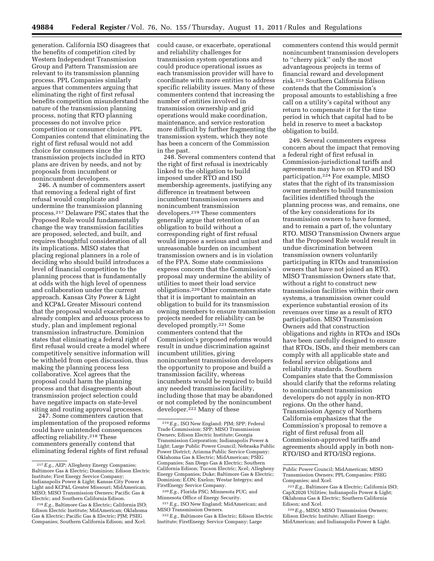generation. California ISO disagrees that the benefits of competition cited by Western Independent Transmission Group and Pattern Transmission are relevant to its transmission planning process. PPL Companies similarly argues that commenters arguing that eliminating the right of first refusal benefits competition misunderstand the nature of the transmission planning process, noting that RTO planning processes do not involve price competition or consumer choice. PPL Companies contend that eliminating the right of first refusal would not add choice for consumers since the transmission projects included in RTO plans are driven by needs, and not by proposals from incumbent or nonincumbent developers.

246. A number of commenters assert that removing a federal right of first refusal would complicate and undermine the transmission planning process.217 Delaware PSC states that the Proposed Rule would fundamentally change the way transmission facilities are proposed, selected, and built, and requires thoughtful consideration of all its implications. MISO states that placing regional planners in a role of deciding who should build introduces a level of financial competition to the planning process that is fundamentally at odds with the high level of openness and collaboration under the current approach. Kansas City Power & Light and KCP&L Greater Missouri contend that the proposal would exacerbate an already complex and arduous process to study, plan and implement regional transmission infrastructure. Dominion states that eliminating a federal right of first refusal would create a model where competitively sensitive information will be withheld from open discussion, thus making the planning process less collaborative. Xcel agrees that the proposal could harm the planning process and that disagreements about transmission project selection could have negative impacts on state-level siting and routing approval processes.

247. Some commenters caution that implementation of the proposed reforms could have unintended consequences affecting reliability.218 These commenters generally contend that eliminating federal rights of first refusal

could cause, or exacerbate, operational and reliability challenges for transmission system operations and could produce operational issues as each transmission provider will have to coordinate with more entities to address specific reliability issues. Many of these commenters contend that increasing the number of entities involved in transmission ownership and grid operations would make coordination, maintenance, and service restoration more difficult by further fragmenting the transmission system, which they note has been a concern of the Commission in the past.

248. Several commenters contend that the right of first refusal is inextricably linked to the obligation to build imposed under RTO and ISO membership agreements, justifying any difference in treatment between incumbent transmission owners and nonincumbent transmission developers.219 These commenters generally argue that retention of an obligation to build without a corresponding right of first refusal would impose a serious and unjust and unreasonable burden on incumbent transmission owners and is in violation of the FPA. Some state commissions express concern that the Commission's proposal may undermine the ability of utilities to meet their load service obligations.220 Other commenters state that it is important to maintain an obligation to build for its transmission owning members to ensure transmission projects needed for reliability can be developed promptly.221 Some commenters contend that the Commission's proposed reforms would result in undue discrimination against incumbent utilities, giving nonincumbent transmission developers the opportunity to propose and build a transmission facility, whereas incumbents would be required to build any needed transmission facility, including those that may be abandoned or not completed by the nonincumbent developer.<sup>222</sup> Many of these

222*E.g.*, Baltimore Gas & Electric; Edison Electric Institute; FirstEnergy Service Company; Large

commenters contend this would permit nonincumbent transmission developers to ''cherry pick'' only the most advantageous projects in terms of financial reward and development risk.223 Southern California Edison contends that the Commission's proposal amounts to establishing a free call on a utility's capital without any return to compensate it for the time period in which that capital had to be held in reserve to meet a backstop obligation to build.

249. Several commenters express concern about the impact that removing a federal right of first refusal in Commission-jurisdictional tariffs and agreements may have on RTO and ISO participation.224 For example, MISO states that the right of its transmission owner members to build transmission facilities identified through the planning process was, and remains, one of the key considerations for its transmission owners to have formed, and to remain a part of, the voluntary RTO. MISO Transmission Owners argue that the Proposed Rule would result in undue discrimination between transmission owners voluntarily participating in RTOs and transmission owners that have not joined an RTO. MISO Transmission Owners state that, without a right to construct new transmission facilities within their own systems, a transmission owner could experience substantial erosion of its revenues over time as a result of RTO participation. MISO Transmission Owners add that construction obligations and rights in RTOs and ISOs have been carefully designed to ensure that RTOs, ISOs, and their members can comply with all applicable state and federal service obligations and reliability standards. Southern Companies state that the Commission should clarify that the reforms relating to nonincumbent transmission developers do not apply in non-RTO regions. On the other hand, Transmission Agency of Northern California emphasizes that the Commission's proposal to remove a right of first refusal from all Commission-approved tariffs and agreements should apply in both non-RTO/ISO and RTO/ISO regions.

<sup>217</sup>*E.g.*, AEP; Allegheny Energy Companies; Baltimore Gas & Electric; Dominion; Edison Electric Institute; First Energy Service Company; Indianapolis Power & Light; Kansas City Power & Light and KCP&L Greater Missouri; MidAmerican; MISO; MISO Transmission Owners; Pacific Gas & Electric; and Southern California Edison.

<sup>218</sup>*E.g.*, Baltimore Gas & Electric; California ISO; Edison Electric Institute; MidAmerican; Oklahoma Gas & Electric; Pacific Gas & Electric; PJM; PSEG Companies; Southern California Edison; and Xcel.

<sup>219</sup>*E.g.*, ISO New England; PJM; SPP; Federal Trade Commission; SPP; MISO Transmission Owners; Edison Electric Institute; Georgia Transmission Corporation; Indianapolis Power & Light; Large Public Power Council; Nebraska Public Power District; Arizona Public Service Company; Oklahoma Gas & Electric; MidAmerican; PSEG Companies; San Diego Gas & Electric; Southern California Edison; Tucson Electric; Xcel; Allegheny Energy Companies; Duke; Baltimore Gas & Electric; Dominion; E.ON; Exelon; Westar Integrys; and FirstEnergy Service Company.

<sup>220</sup>*E.g.*, Florida PSC; Minnesota PUC; and Minnesota Office of Energy Security.

<sup>221</sup>*E.g.*, ISO New England; MidAmerican; and MISO Transmission Owners.

Public Power Council; MidAmerican; MISO Transmission Owners; PPL Companies; PSEG Companies; and Xcel.

<sup>223</sup>*E.g.*, Baltimore Gas & Electric; California ISO; CapX2020 Utilities; Indianapolis Power & Light; Oklahoma Gas & Electric; Southern California Edison; and Xcel.

<sup>224</sup>*E.g.*, MISO; MISO Transmission Owners; Edison Electric Institute; Alliant Energy; MidAmerican; and Indianapolis Power & Light.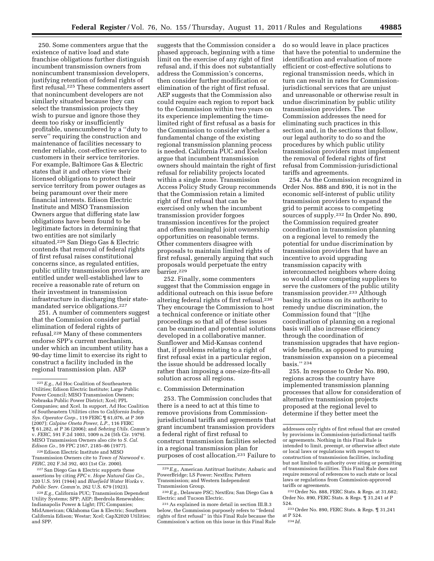250. Some commenters argue that the existence of native load and state franchise obligations further distinguish incumbent transmission owners from nonincumbent transmission developers, justifying retention of federal rights of first refusal.225 These commenters assert that nonincumbent developers are not similarly situated because they can select the transmission projects they wish to pursue and ignore those they deem too risky or insufficiently profitable, unencumbered by a ''duty to serve'' requiring the construction and maintenance of facilities necessary to render reliable, cost-effective service to customers in their service territories. For example, Baltimore Gas & Electric states that it and others view their licensed obligations to protect their service territory from power outages as being paramount over their mere financial interests. Edison Electric Institute and MISO Transmission Owners argue that differing state law obligations have been found to be legitimate factors in determining that two entities are not similarly situated.226 San Diego Gas & Electric contends that removal of federal rights of first refusal raises constitutional concerns since, as regulated entities, public utility transmission providers are entitled under well-established law to receive a reasonable rate of return on their investment in transmission infrastructure in discharging their statemandated service obligations.227

251. A number of commenters suggest that the Commission consider partial elimination of federal rights of refusal.228 Many of these commenters endorse SPP's current mechanism, under which an incumbent utility has a 90-day time limit to exercise its right to construct a facility included in the regional transmission plan. AEP

226Edison Electric Institute and MISO Transmission Owners cite to *Town of Norwood* v. *FERC*, 202 F.3d 392, 403 (1st Cir. 2000).

227San Diego Gas & Electric supports these assertions by citing *FPC* v. *Hope Natural Gas Co.*, 320 U.S. 591 (1944) and *Bluefield Water Works* v. *Public Serv. Comm'n*, 262 U.S. 679 (1923).

suggests that the Commission consider a phased approach, beginning with a time limit on the exercise of any right of first refusal and, if this does not substantially address the Commission's concerns, then consider further modification or elimination of the right of first refusal. AEP suggests that the Commission also could require each region to report back to the Commission within two years on its experience implementing the timelimited right of first refusal as a basis for the Commission to consider whether a fundamental change of the existing regional transmission planning process is needed. California PUC and Exelon argue that incumbent transmission owners should maintain the right of first refusal for reliability projects located within a single zone. Transmission Access Policy Study Group recommends that the Commission retain a limited right of first refusal that can be exercised only when the incumbent transmission provider forgoes transmission incentives for the project and offers meaningful joint ownership opportunities on reasonable terms. Other commenters disagree with proposals to maintain limited rights of first refusal, generally arguing that such proposals would perpetuate the entry barrier.229

252. Finally, some commenters suggest that the Commission engage in additional outreach on this issue before altering federal rights of first refusal.230 They encourage the Commission to host a technical conference or initiate other proceedings so that all of these issues can be examined and potential solutions developed in a collaborative manner. Sunflower and Mid-Kansas contend that, if problems relating to a right of first refusal exist in a particular region, the issue should be addressed locally rather than imposing a one-size-fits-all solution across all regions.

c. Commission Determination

253. The Commission concludes that there is a need to act at this time to remove provisions from Commissionjurisdictional tariffs and agreements that grant incumbent transmission providers a federal right of first refusal to construct transmission facilities selected in a regional transmission plan for purposes of cost allocation.231 Failure to

do so would leave in place practices that have the potential to undermine the identification and evaluation of more efficient or cost-effective solutions to regional transmission needs, which in turn can result in rates for Commissionjurisdictional services that are unjust and unreasonable or otherwise result in undue discrimination by public utility transmission providers. The Commission addresses the need for eliminating such practices in this section and, in the sections that follow, our legal authority to do so and the procedures by which public utility transmission providers must implement the removal of federal rights of first refusal from Commission-jurisdictional tariffs and agreements.

254. As the Commission recognized in Order Nos. 888 and 890, it is not in the economic self-interest of public utility transmission providers to expand the grid to permit access to competing sources of supply.232 In Order No. 890, the Commission required greater coordination in transmission planning on a regional level to remedy the potential for undue discrimination by transmission providers that have an incentive to avoid upgrading transmission capacity with interconnected neighbors where doing so would allow competing suppliers to serve the customers of the public utility transmission provider.233 Although basing its actions on its authority to remedy undue discrimination, the Commission found that ''[t]he coordination of planning on a regional basis will also increase efficiency through the coordination of transmission upgrades that have regionwide benefits, as opposed to pursuing transmission expansion on a piecemeal basis.'' 234

255. In response to Order No. 890, regions across the country have implemented transmission planning processes that allow for consideration of alternative transmission projects proposed at the regional level to determine if they better meet the

232Order No. 888, FERC Stats. & Regs. at 31,682; Order No. 890, FERC Stats. & Regs. ¶ 31,241 at P 524.

<sup>225</sup>*E.g.*, Ad Hoc Coalition of Southeastern Utilities; Edison Electric Institute; Large Public Power Council; MISO Transmission Owners; Nebraska Public Power District; Xcel; PPL Companies; and Xcel. In support, Ad Hoc Coalition of Southeastern Utilities cites to *California Indep. Sys. Operator Corp.*, 119 FERC ¶ 61,076, at P 369 (2007); *Calpine Oneta Power, L.P.*, 116 FERC ¶ 61,282, at P 36 (2006); and *Sebring Utils. Comm'n*  v. *FERC*, 591 F.2d 1003, 1009 n.24 (5th Cir. 1979). MISO Transmission Owners also cite to *S. Cal. Edison Co.*, 59 FPC 2167, 2185–86 (1977).

<sup>228</sup>*E.g.,* California PUC; Transmission Dependent Utility Systems; SPP; AEP; Iberdrola Renewables; Indianapolis Power & Light; ITC Companies; MidAmerican; Oklahoma Gas & Electric; Southern California Edison; Westar; Xcel; CapX2020 Utilities; and SPP.

<sup>229</sup>*E.g,,* American Antitrust Institute; Anbaric and PowerBridge; LS Power; NextEra; Pattern Transmission; and Western Independent Transmission Group.

<sup>230</sup>*E.g.,* Delaware PSC; NextEra; San Diego Gas & Electric; and Tucson Electric.

<sup>231</sup>As explained in more detail in section III.B.3 below, the Commission purposely refers to ''federal rights of first refusal'' in this Final Rule because the Commission's action on this issue in this Final Rule

addresses only rights of first refusal that are created by provisions in Commission-jurisdictional tariffs or agreements. Nothing in this Final Rule is intended to limit, preempt, or otherwise affect state or local laws or regulations with respect to construction of transmission facilities, including but not limited to authority over siting or permitting of transmission facilities. This Final Rule does not require removal of references to such state or local laws or regulations from Commission-approved tariffs or agreements.

<sup>233</sup>Order No. 890, FERC Stats. & Regs. ¶ 31,241 at P 524.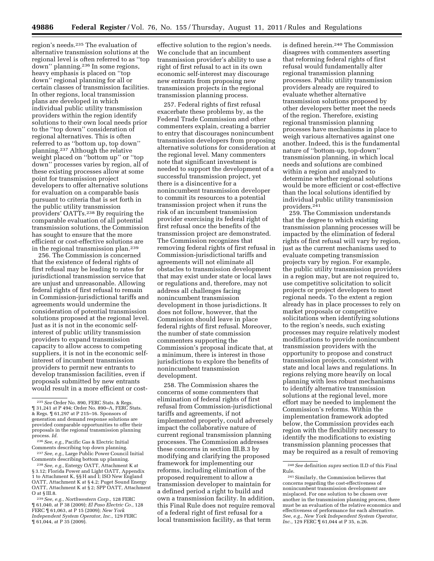region's needs.235 The evaluation of alternative transmission solutions at the regional level is often referred to as ''top down'' planning.236 In some regions, heavy emphasis is placed on ''top down'' regional planning for all or certain classes of transmission facilities. In other regions, local transmission plans are developed in which individual public utility transmission providers within the region identify solutions to their own local needs prior to the ''top down'' consideration of regional alternatives. This is often referred to as ''bottom up, top down'' planning.237 Although the relative weight placed on ''bottom up'' or ''top down'' processes varies by region, all of these existing processes allow at some point for transmission project developers to offer alternative solutions for evaluation on a comparable basis pursuant to criteria that is set forth in the public utility transmission providers' OATTs.<sup>238</sup> By requiring the comparable evaluation of all potential transmission solutions, the Commission has sought to ensure that the more efficient or cost-effective solutions are in the regional transmission plan.239

256. The Commission is concerned that the existence of federal rights of first refusal may be leading to rates for jurisdictional transmission service that are unjust and unreasonable. Allowing federal rights of first refusal to remain in Commission-jurisdictional tariffs and agreements would undermine the consideration of potential transmission solutions proposed at the regional level. Just as it is not in the economic selfinterest of public utility transmission providers to expand transmission capacity to allow access to competing suppliers, it is not in the economic selfinterest of incumbent transmission providers to permit new entrants to develop transmission facilities, even if proposals submitted by new entrants would result in a more efficient or cost-

Comments describing top down planning. 237*See, e.g.,* Large Public Power Council Initial <sup>238</sup> See, e.g., Entergy OATT, Attachment K at

§ 3.12; Florida Power and Light OATT, Appendix 1 to Attachment K, §§ H and I; ISO New England OATT, Attachment K at § 4.2; Puget Sound Energy OATT, Attachment K at § 2; SPP OATT, Attachment O at § III.8.

239*See, e.g., Northwestern Corp.,* 128 FERC ¶ 61,040, at P 38 (2009); *El Paso Electric Co.,* 128 FERC ¶ 61,063, at P 15 (2009); *New York Independent System Operator, Inc.,* 129 FERC ¶ 61,044, at P 35 (2009).

effective solution to the region's needs. We conclude that an incumbent transmission provider's ability to use a right of first refusal to act in its own economic self-interest may discourage new entrants from proposing new transmission projects in the regional transmission planning process.

257. Federal rights of first refusal exacerbate these problems by, as the Federal Trade Commission and other commenters explain, creating a barrier to entry that discourages nonincumbent transmission developers from proposing alternative solutions for consideration at the regional level. Many commenters note that significant investment is needed to support the development of a successful transmission project, yet there is a disincentive for a nonincumbent transmission developer to commit its resources to a potential transmission project when it runs the risk of an incumbent transmission provider exercising its federal right of first refusal once the benefits of the transmission project are demonstrated. The Commission recognizes that removing federal rights of first refusal in Commission-jurisdictional tariffs and agreements will not eliminate all obstacles to transmission development that may exist under state or local laws or regulations and, therefore, may not address all challenges facing nonincumbent transmission development in those jurisdictions. It does not follow, however, that the Commission should leave in place federal rights of first refusal. Moreover, the number of state commission commenters supporting the Commission's proposal indicate that, at a minimum, there is interest in those jurisdictions to explore the benefits of nonincumbent transmission development.

258. The Commission shares the concerns of some commenters that elimination of federal rights of first refusal from Commission-jurisdictional tariffs and agreements, if not implemented properly, could adversely impact the collaborative nature of current regional transmission planning processes. The Commission addresses these concerns in section III.B.3 by modifying and clarifying the proposed framework for implementing our reforms, including elimination of the proposed requirement to allow a transmission developer to maintain for a defined period a right to build and own a transmission facility. In addition, this Final Rule does not require removal of a federal right of first refusal for a local transmission facility, as that term

is defined herein.240 The Commission disagrees with commenters asserting that reforming federal rights of first refusal would fundamentally alter regional transmission planning processes. Public utility transmission providers already are required to evaluate whether alternative transmission solutions proposed by other developers better meet the needs of the region. Therefore, existing regional transmission planning processes have mechanisms in place to weigh various alternatives against one another. Indeed, this is the fundamental nature of ''bottom-up, top-down'' transmission planning, in which local needs and solutions are combined within a region and analyzed to determine whether regional solutions would be more efficient or cost-effective than the local solutions identified by individual public utility transmission providers.241

259. The Commission understands that the degree to which existing transmission planning processes will be impacted by the elimination of federal rights of first refusal will vary by region, just as the current mechanisms used to evaluate competing transmission projects vary by region. For example, the public utility transmission providers in a region may, but are not required to, use competitive solicitation to solicit projects or project developers to meet regional needs. To the extent a region already has in place processes to rely on market proposals or competitive solicitations when identifying solutions to the region's needs, such existing processes may require relatively modest modifications to provide nonincumbent transmission providers with the opportunity to propose and construct transmission projects, consistent with state and local laws and regulations. In regions relying more heavily on local planning with less robust mechanisms to identify alternative transmission solutions at the regional level, more effort may be needed to implement the Commission's reforms. Within the implementation framework adopted below, the Commission provides each region with the flexibility necessary to identify the modifications to existing transmission planning processes that may be required as a result of removing

<sup>235</sup>*See* Order No. 890, FERC Stats. & Regs. ¶ 31,241 at P 494; Order No. 890–A, FERC Stats. & Regs. ¶ 61,297 at P 215–16. Sponsors of generation and demand response solutions are provided comparable opportunities to offer their proposals in the regional transmission planning process. *Id.* 

<sup>236</sup>*See, e.g.,* Pacific Gas & Electric Initial

<sup>240</sup>*See* definition *supra* section II.D of this Final

<sup>&</sup>lt;sup>241</sup> Similarly, the Commission believes that concerns regarding the cost-effectiveness of nonincumbent transmission development are misplaced. For one solution to be chosen over another in the transmission planning process, there must be an evaluation of the relative economics and effectiveness of performance for each alternative. *See, e.g., New York Independent System Operator, Inc.,* 129 FERC  $\text{\textsf{T}}$  61,044 at P 35, n.26.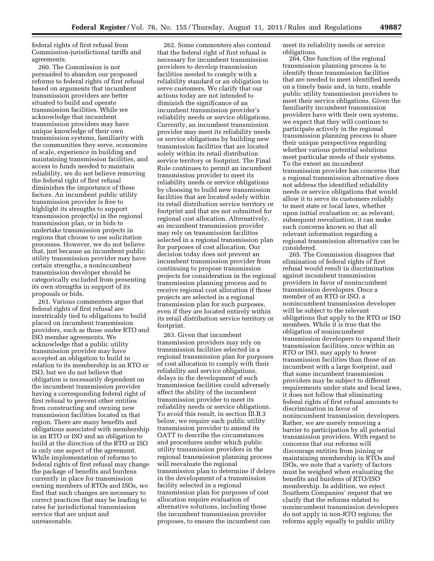federal rights of first refusal from Commission-jurisdictional tariffs and agreements.

260. The Commission is not persuaded to abandon our proposed reforms to federal rights of first refusal based on arguments that incumbent transmission providers are better situated to build and operate transmission facilities. While we acknowledge that incumbent transmission providers may have unique knowledge of their own transmission systems, familiarity with the communities they serve, economies of scale, experience in building and maintaining transmission facilities, and access to funds needed to maintain reliability, we do not believe removing the federal right of first refusal diminishes the importance of these factors. An incumbent public utility transmission provider is free to highlight its strengths to support transmission project(s) in the regional transmission plan, or in bids to undertake transmission projects in regions that choose to use solicitation processes. However, we do not believe that, just because an incumbent public utility transmission provider may have certain strengths, a nonincumbent transmission developer should be categorically excluded from presenting its own strengths in support of its proposals or bids.

261. Various commenters argue that federal rights of first refusal are inextricably tied to obligations to build placed on incumbent transmission providers, such as those under RTO and ISO member agreements. We acknowledge that a public utility transmission provider may have accepted an obligation to build in relation to its membership in an RTO or ISO, but we do not believe that obligation is necessarily dependent on the incumbent transmission provider having a corresponding federal right of first refusal to prevent other entities from constructing and owning new transmission facilities located in that region. There are many benefits and obligations associated with membership in an RTO or ISO and an obligation to build at the direction of the RTO or ISO is only one aspect of the agreement. While implementation of reforms to federal rights of first refusal may change the package of benefits and burdens currently in place for transmission owning members of RTOs and ISOs, we find that such changes are necessary to correct practices that may be leading to rates for jurisdictional transmission service that are unjust and unreasonable.

262. Some commenters also contend that the federal right of first refusal is necessary for incumbent transmission providers to develop transmission facilities needed to comply with a reliability standard or an obligation to serve customers. We clarify that our actions today are not intended to diminish the significance of an incumbent transmission provider's reliability needs or service obligations. Currently, an incumbent transmission provider may meet its reliability needs or service obligations by building new transmission facilities that are located solely within its retail distribution service territory or footprint. The Final Rule continues to permit an incumbent transmission provider to meet its reliability needs or service obligations by choosing to build new transmission facilities that are located solely within its retail distribution service territory or footprint and that are not submitted for regional cost allocation. Alternatively, an incumbent transmission provider may rely on transmission facilities selected in a regional transmission plan for purposes of cost allocation. Our decision today does not prevent an incumbent transmission provider from continuing to propose transmission projects for consideration in the regional transmission planning process and to receive regional cost allocation if those projects are selected in a regional transmission plan for such purposes, even if they are located entirely within its retail distribution service territory or footprint.

263. Given that incumbent transmission providers may rely on transmission facilities selected in a regional transmission plan for purposes of cost allocation to comply with their reliability and service obligations, delays in the development of such transmission facilities could adversely affect the ability of the incumbent transmission provider to meet its reliability needs or service obligations. To avoid this result, in section III.B.3 below, we require each public utility transmission provider to amend its OATT to describe the circumstances and procedures under which public utility transmission providers in the regional transmission planning process will reevaluate the regional transmission plan to determine if delays in the development of a transmission facility selected in a regional transmission plan for purposes of cost allocation require evaluation of alternative solutions, including those the incumbent transmission provider proposes, to ensure the incumbent can

meet its reliability needs or service obligations.

264. One function of the regional transmission planning process is to identify those transmission facilities that are needed to meet identified needs on a timely basis and, in turn, enable public utility transmission providers to meet their service obligations. Given the familiarity incumbent transmission providers have with their own systems, we expect that they will continue to participate actively in the regional transmission planning process to share their unique perspectives regarding whether various potential solutions meet particular needs of their systems. To the extent an incumbent transmission provider has concerns that a regional transmission alternative does not address the identified reliability needs or service obligations that would allow it to serve its customers reliably to meet state or local laws, whether upon initial evaluation or, as relevant, subsequent reevaluation, it can make such concerns known so that all relevant information regarding a regional transmission alternative can be considered.

265. The Commission disagrees that elimination of federal rights of first refusal would result in discrimination against incumbent transmission providers in favor of nonincumbent transmission developers. Once a member of an RTO or ISO, a nonincumbent transmission developer will be subject to the relevant obligations that apply to the RTO or ISO members. While it is true that the obligation of nonincumbent transmission developers to expand their transmission facilities, once within an RTO or ISO, may apply to fewer transmission facilities than those of an incumbent with a large footprint, and that some incumbent transmission providers may be subject to different requirements under state and local laws, it does not follow that eliminating federal rights of first refusal amounts to discrimination in favor of nonincumbent transmission developers. Rather, we are merely removing a barrier to participation by all potential transmission providers. With regard to concerns that our reforms will discourage entities from joining or maintaining membership in RTOs and ISOs, we note that a variety of factors must be weighed when evaluating the benefits and burdens of RTO/ISO membership. In addition, we reject Southern Companies' request that we clarify that the reforms related to nonincumbent transmission developers do not apply in non-RTO regions; the reforms apply equally to public utility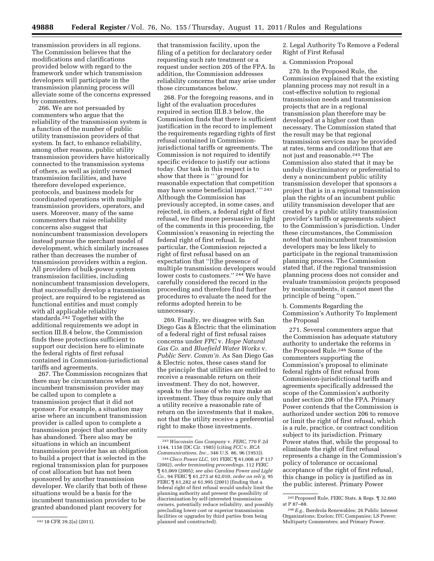transmission providers in all regions. The Commission believes that the modifications and clarifications provided below with regard to the framework under which transmission developers will participate in the transmission planning process will alleviate some of the concerns expressed by commenters.

266. We are not persuaded by commenters who argue that the reliability of the transmission system is a function of the number of public utility transmission providers of that system. In fact, to enhance reliability, among other reasons, public utility transmission providers have historically connected to the transmission systems of others, as well as jointly owned transmission facilities, and have therefore developed experience, protocols, and business models for coordinated operations with multiple transmission providers, operators, and users. Moreover, many of the same commenters that raise reliability concerns also suggest that nonincumbent transmission developers instead pursue the merchant model of development, which similarly increases rather than decreases the number of transmission providers within a region. All providers of bulk-power system transmission facilities, including nonincumbent transmission developers, that successfully develop a transmission project, are required to be registered as functional entities and must comply with all applicable reliability standards.242 Together with the additional requirements we adopt in section III.B.4 below, the Commission finds these protections sufficient to support our decision here to eliminate the federal rights of first refusal contained in Commission-jurisdictional tariffs and agreements.

267. The Commission recognizes that there may be circumstances when an incumbent transmission provider may be called upon to complete a transmission project that it did not sponsor. For example, a situation may arise where an incumbent transmission provider is called upon to complete a transmission project that another entity has abandoned. There also may be situations in which an incumbent transmission provider has an obligation to build a project that is selected in the regional transmission plan for purposes of cost allocation but has not been sponsored by another transmission developer. We clarify that both of these situations would be a basis for the incumbent transmission provider to be granted abandoned plant recovery for

that transmission facility, upon the filing of a petition for declaratory order requesting such rate treatment or a request under section 205 of the FPA. In addition, the Commission addresses reliability concerns that may arise under those circumstances below.

268. For the foregoing reasons, and in light of the evaluation procedures required in section III.B.3 below, the Commission finds that there is sufficient justification in the record to implement the requirements regarding rights of first refusal contained in Commissionjurisdictional tariffs or agreements. The Commission is not required to identify specific evidence to justify our actions today. Our task in this respect is to show that there is '' 'ground for reasonable expectation that competition may have some beneficial impact.' '' 243 Although the Commission has previously accepted, in some cases, and rejected, in others, a federal right of first refusal, we find more persuasive in light of the comments in this proceeding, the Commission's reasoning in rejecting the federal right of first refusal. In particular, the Commission rejected a right of first refusal based on an expectation that ''[t]he presence of multiple transmission developers would lower costs to customers.'' 244 We have carefully considered the record in the proceeding and therefore find further procedures to evaluate the need for the reforms adopted herein to be unnecessary.

269. Finally, we disagree with San Diego Gas & Electric that the elimination of a federal right of first refusal raises concerns under *FPC* v. *Hope Natural Gas Co.* and *Bluefield Water Works* v. *Public Serv. Comm'n.* As San Diego Gas & Electric notes, these cases stand for the principle that utilities are entitled to receive a reasonable return on their investment. They do not, however, speak to the issue of who may make an investment. They thus require only that a utility receive a reasonable rate of return on the investments that it makes, not that the utility receive a preferential right to make those investments.

2. Legal Authority To Remove a Federal Right of First Refusal

### a. Commission Proposal

270. In the Proposed Rule, the Commission explained that the existing planning process may not result in a cost-effective solution to regional transmission needs and transmission projects that are in a regional transmission plan therefore may be developed at a higher cost than necessary. The Commission stated that the result may be that regional transmission services may be provided at rates, terms and conditions that are not just and reasonable.245 The Commission also stated that it may be unduly discriminatory or preferential to deny a nonincumbent public utility transmission developer that sponsors a project that is in a regional transmission plan the rights of an incumbent public utility transmission developer that are created by a public utility transmission provider's tariffs or agreements subject to the Commission's jurisdiction. Under these circumstances, the Commission noted that nonincumbent transmission developers may be less likely to participate in the regional transmission planning process. The Commission stated that, if the regional transmission planning process does not consider and evaluate transmission projects proposed by nonincumbents, it cannot meet the principle of being ''open.''

## b. Comments Regarding the Commission's Authority To Implement the Proposal

271. Several commenters argue that the Commission has adequate statutory authority to undertake the reforms in the Proposed Rule.246 Some of the commenters supporting the Commission's proposal to eliminate federal rights of first refusal from Commission-jurisdictional tariffs and agreements specifically addressed the scope of the Commission's authority under section 206 of the FPA. Primary Power contends that the Commission is authorized under section 206 to remove or limit the right of first refusal, which is a rule, practice, or contract condition subject to its jurisdiction. Primary Power states that, while the proposal to eliminate the right of first refusal represents a change in the Commission's policy of tolerance or occasional acceptance of the right of first refusal, this change in policy is justified as in the public interest. Primary Power

<sup>242</sup> 18 CFR 39.2(a) (2011).

<sup>243</sup>*Wisconsin Gas Company* v. *FERC,* 770 F.2d 1144, 1158 (DC Cir. 1985) (citing *FCC* v. *RCA Communications, Inc.,* 346 U.S. 86, 96 (1953)).

<sup>244</sup>*Cleco Power LLC,* 101 FERC ¶ 61,008 at P 117 (2002), *order terminating proceedings,* 112 FERC ¶ 61,069 (2005); *see also Carolina Power and Light Co.,* 94 FERC ¶ 61,273 at 62,010, *order on reh'g,* 95 FERC ¶ 61,282 at 61,995 (2001) (finding that a federal right of first refusal would unduly limit the planning authority and present the possibility of discrimination by self-interested transmission owners, potentially reduce reliability, and possibly precluding lower cost or superior transmission facilities or upgrades by third parties from being planned and constructed).

<sup>245</sup>Proposed Rule, FERC Stats. & Regs. ¶ 32,660 at P 87–88.

<sup>246</sup>*E.g.,* Iberdrola Renewables; 26 Public Interest Organizations; Exelon; ITC Companies; LS Power; Multiparty Commenters; and Primary Power.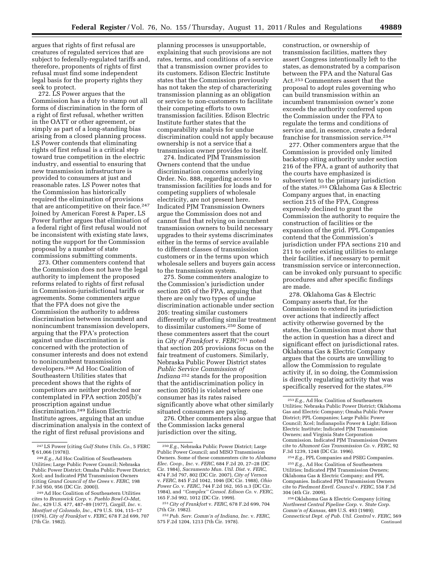argues that rights of first refusal are creatures of regulated services that are subject to federally-regulated tariffs and, therefore, proponents of rights of first refusal must find some independent legal basis for the property rights they seek to protect.

272. LS Power argues that the Commission has a duty to stamp out all forms of discrimination in the form of a right of first refusal, whether written in the OATT or other agreement, or simply as part of a long-standing bias arising from a closed planning process. LS Power contends that eliminating rights of first refusal is a critical step toward true competition in the electric industry, and essential to ensuring that new transmission infrastructure is provided to consumers at just and reasonable rates. LS Power notes that the Commission has historically required the elimination of provisions that are anticompetitive on their face.<sup>247</sup> Joined by American Forest & Paper, LS Power further argues that elimination of a federal right of first refusal would not be inconsistent with existing state laws, noting the support for the Commission proposal by a number of state commissions submitting comments.

273. Other commenters contend that the Commission does not have the legal authority to implement the proposed reforms related to rights of first refusal in Commission-jurisdictional tariffs or agreements. Some commenters argue that the FPA does not give the Commission the authority to address discrimination between incumbent and nonincumbent transmission developers, arguing that the FPA's protection against undue discrimination is concerned with the protection of consumer interests and does not extend to nonincumbent transmission developers.248 Ad Hoc Coalition of Southeastern Utilities states that precedent shows that the rights of competitors are neither protected nor contemplated in FPA section 205(b)'s proscription against undue discrimination.249 Edison Electric Institute agrees, arguing that an undue discrimination analysis in the context of the right of first refusal provisions and

planning processes is unsupportable, explaining that such provisions are not rates, terms, and conditions of a service that a transmission owner provides to its customers. Edison Electric Institute states that the Commission previously has not taken the step of characterizing transmission planning as an obligation or service to non-customers to facilitate their competing efforts to own transmission facilities. Edison Electric Institute further states that the comparability analysis for undue discrimination could not apply because ownership is not a service that a transmission owner provides to itself.

274. Indicated PJM Transmission Owners contend that the undue discrimination concerns underlying Order. No. 888, regarding access to transmission facilities for loads and for competing suppliers of wholesale electricity, are not present here. Indicated PJM Transmission Owners argue the Commission does not and cannot find that relying on incumbent transmission owners to build necessary upgrades to their systems discriminates either in the terms of service available to different classes of transmission customers or in the terms upon which wholesale sellers and buyers gain access to the transmission system.

275. Some commenters analogize to the Commission's jurisdiction under section 205 of the FPA, arguing that there are only two types of undue discrimination actionable under section 205: treating similar customers differently or affording similar treatment to dissimilar customers.250 Some of these commenters assert that the court in *City of Frankfort* v. *FERC* 251 noted that section 205 provisions focus on the fair treatment of customers. Similarly, Nebraska Public Power District states *Public Service Commission of Indiana* 252 stands for the proposition that the antidiscrimination policy in section 205(b) is violated where one consumer has its rates raised significantly above what other similarly situated consumers are paying.

276. Other commenters also argue that the Commission lacks general jurisdiction over the siting,

construction, or ownership of transmission facilities, matters they assert Congress intentionally left to the states, as demonstrated by a comparison between the FPA and the Natural Gas Act.253 Commenters assert that the proposal to adopt rules governing who can build transmission within an incumbent transmission owner's zone exceeds the authority conferred upon the Commission under the FPA to regulate the terms and conditions of service and, in essence, create a federal franchise for transmission service.254

277. Other commenters argue that the Commission is provided only limited backstop siting authority under section 216 of the FPA, a grant of authority that the courts have emphasized is subservient to the primary jurisdiction of the states.255 Oklahoma Gas & Electric Company argues that, in enacting section 215 of the FPA, Congress expressly declined to grant the Commission the authority to require the construction of facilities or the expansion of the grid. PPL Companies contend that the Commission's jurisdiction under FPA sections 210 and 211 to order existing utilities to enlarge their facilities, if necessary to permit transmission service or interconnection, can be invoked only pursuant to specific procedures and after specific findings are made.

278. Oklahoma Gas & Electric Company asserts that, for the Commission to extend its jurisdiction over actions that indirectly affect activity otherwise governed by the states, the Commission must show that the action in question has a direct and significant effect on jurisdictional rates. Oklahoma Gas & Electric Company argues that the courts are unwilling to allow the Commission to regulate activity if, in so doing, the Commission is directly regulating activity that was specifically reserved for the states.<sup>256</sup>

254*E.g.,* PPL Companies and PSEG Companies. 255*E.g.,* Ad Hoc Coalition of Southeastern Utilities; Indicated PJM Transmission Owners; Oklahoma Gas & Electric Company; and PPL Companies. Indicated PJM Transmission Owners cite to *Piedmont Envtl. Council* v. *FERC,* 558 F.3d 304 (4th Cir. 2009).

<sup>247</sup>LS Power (citing *Gulf States Utils. Co.,* 5 FERC ¶ 61,066 (1978)).

<sup>248</sup>*E.g.,* Ad Hoc Coalition of Southeastern Utilities; Large Public Power Council; Nebraska Public Power District; Omaha Public Power District; Xcel; and Indicated PJM Transmission Owners (citing *Grand Council of the Crees* v. *FERC,* 198 F.3d 950, 956 (DC Cir. 2000)).

<sup>249</sup>Ad Hoc Coalition of Southeastern Utilities cites to *Brunswick Corp.* v. *Pueblo Bowl-O–Mat, Inc.,* 429 U.S. 477, 487–89 (1977), *Cargill, Inc.* v. *Montfort of Colorado, Inc.,* 479 U.S. 104, 115–17 (1976), *City of Frankfort* v. *FERC,* 678 F.2d 699, 707 (7th Cir. 1982).

<sup>250</sup>*E.g.,* Nebraska Public Power District; Large Public Power Council; and MISO Transmission Owners. Some of these commenters cite to *Alabama Elec. Coop., Inc.* v. *FERC,* 684 F.2d 20, 27–28 (DC Cir. 1984), *Sacramento Mun. Util. Dist.* v. *FERC,*  474 F.3d 797, 802 (DC Cir. 2007), *City of Vernon*  v. *FERC,* 845 F.2d 1042, 1046 (DC Cir. 1988), *Ohio Power Co.* v. *FERC,* 744 F.2d 162, 165 n.3 (DC Cir. 1984), and *''Complex'' Consol. Edison Co.* v. *FERC,*  165 F.3d 992, 1012 (DC Cir. 1999).

<sup>251</sup>*City of Frankfort* v. *FERC,* 678 F.2d 699, 704 (7th Cir. 1982).

<sup>252</sup>*Pub. Serv. Comm'n of Indiana, Inc.* v. *FERC,*  575 F.2d 1204, 1213 (7th Cir. 1978).

<sup>253</sup>*E.g.,* Ad Hoc Coalition of Southeastern Utilities; Nebraska Public Power District; Oklahoma Gas and Electric Company; Omaha Public Power District; PPL Companies; Large Public Power Council; Xcel; Indianapolis Power & Light; Edison Electric Institute; Indicated PJM Transmission Owners; and Virginia State Corporation Commission. Indicated PJM Transmission Owners cite to *Altamont Gas Transmission Co.* v. *FERC,* 92 F.3d 1239, 1248 (DC Cir. 1996).

<sup>256</sup>Oklahoma Gas & Electric Company (citing *Northwest Central Pipeline Corp.* v. *State Corp. Comm'n of Kansas,* 489 U.S. 493 (1989); *Connecticut Dept. of Pub. Util. Control* v. *FERC,* 569 Continued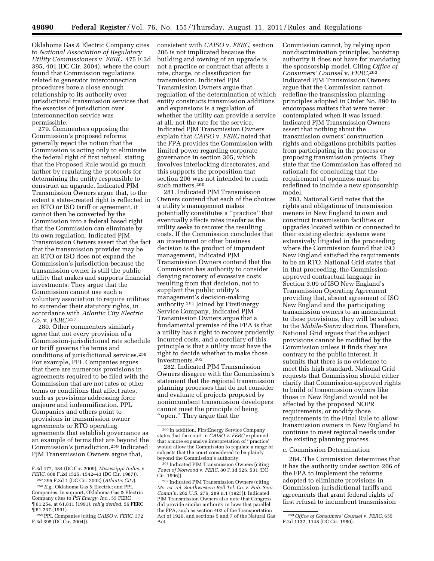Oklahoma Gas & Electric Company cites to *National Association of Regulatory Utility Commissioners* v. *FERC,* 475 F.3d 395, 401 (DC Cir. 2004), where the court found that Commission regulations related to generator interconnection procedures bore a close enough relationship to its authority over jurisdictional transmission services that the exercise of jurisdiction over interconnection service was permissible.

279. Commenters opposing the Commission's proposed reforms generally reject the notion that the Commission is acting only to eliminate the federal right of first refusal, stating that the Proposed Rule would go much farther by regulating the protocols for determining the entity responsible to construct an upgrade. Indicated PJM Transmission Owners argue that, to the extent a state-created right is reflected in an RTO or ISO tariff or agreement, it cannot then be converted by the Commission into a federal based right that the Commission can eliminate by its own regulation. Indicated PJM Transmission Owners assert that the fact that the transmission provider may be an RTO or ISO does not expand the Commission's jurisdiction because the transmission owner is still the public utility that makes and supports financial investments. They argue that the Commission cannot use such a voluntary association to require utilities to surrender their statutory rights, in accordance with *Atlantic City Electric Co.* v. *FERC.*257

280. Other commenters similarly agree that not every provision of a Commission-jurisdictional rate schedule or tariff governs the terms and conditions of jurisdictional services.258 For example, PPL Companies argues that there are numerous provisions in agreements required to be filed with the Commission that are not rates or other terms or conditions that affect rates, such as provisions addressing force majeure and indemnification. PPL Companies and others point to provisions in transmission owner agreements or RTO operating agreements that establish governance as an example of terms that are beyond the Commission's jurisdiction.259 Indicated PJM Transmission Owners argue that,

consistent with *CAISO* v. *FERC,* section 206 is not implicated because the building and owning of an upgrade is not a practice or contract that affects a rate, charge, or classification for transmission. Indicated PJM Transmission Owners argue that regulation of the determination of which entity constructs transmission additions and expansions is a regulation of whether the utility can provide a service at all, not the rate for the service. Indicated PJM Transmission Owners explain that *CAISO* v. *FERC* noted that the FPA provides the Commission with limited power regarding corporate governance in section 305, which involves interlocking directorates, and this supports the proposition that section 206 was not intended to reach such matters.260

281. Indicated PJM Transmission Owners contend that each of the choices a utility's management makes potentially constitutes a ''practice'' that eventually affects rates insofar as the utility seeks to recover the resulting costs. If the Commission concludes that an investment or other business decision is the product of imprudent management, Indicated PJM Transmission Owners contend that the Commission has authority to consider denying recovery of excessive costs resulting from that decision, not to supplant the public utility's management's decision-making authority.261 Joined by FirstEnergy Service Company, Indicated PJM Transmission Owners argue that a fundamental premise of the FPA is that a utility has a right to recover prudently incurred costs, and a corollary of this principle is that a utility must have the right to decide whether to make those investments.262

282. Indicated PJM Transmission Owners disagree with the Commission's statement that the regional transmission planning processes that do not consider and evaluate of projects proposed by nonincumbent transmission developers cannot meet the principle of being ''open.'' They argue that the

261 Indicated PJM Transmission Owners (citing *Town of Norwood* v. *FERC,* 80 F.3d 526, 531 (DC Cir. 1996)).

Commission cannot, by relying upon nondiscrimination principles, bootstrap authority it does not have for mandating the sponsorship model. Citing *Office of Consumers' Counsel* v. *FERC,*263 Indicated PJM Transmission Owners argue that the Commission cannot redefine the transmission planning principles adopted in Order No. 890 to encompass matters that were never contemplated when it was issued. Indicated PJM Transmission Owners assert that nothing about the transmission owners' construction rights and obligations prohibits parties from participating in the process or proposing transmission projects. They state that the Commission has offered no rationale for concluding that the requirement of openness must be redefined to include a new sponsorship model.

283. National Grid notes that the rights and obligations of transmission owners in New England to own and construct transmission facilities or upgrades located within or connected to their existing electric systems were extensively litigated in the proceeding where the Commission found that ISO New England satisfied the requirements to be an RTO. National Grid states that in that proceeding, the Commissionapproved contractual language in Section 3.09 of ISO New England's Transmission Operating Agreement providing that, absent agreement of ISO New England and the participating transmission owners to an amendment to these provisions, they will be subject to the *Mobile-Sierra* doctrine. Therefore, National Grid argues that the subject provisions cannot be modified by the Commission unless it finds they are contrary to the public interest. It submits that there is no evidence to meet this high standard. National Grid requests that Commission should either clarify that Commission-approved rights to build of transmission owners like those in New England would not be affected by the proposed NOPR requirements, or modify those requirements in the Final Rule to allow transmission owners in New England to continue to meet regional needs under the existing planning process.

#### c. Commission Determination

284. The Commission determines that it has the authority under section 206 of the FPA to implement the reforms adopted to eliminate provisions in Commission-jurisdictional tariffs and agreements that grant federal rights of first refusal to incumbent transmission

F.3d 477, 484 (DC Cir. 2009); *Mississippi Indus.* v. *FERC,* 808 F.2d 1525, 1542–43 (DC Cir. 1987)).

<sup>257</sup> 295 F.3d 1 (DC Cir. 2002) (*Atlantic City*).

<sup>258</sup>*E.g.,* Oklahoma Gas & Electric; and PPL Companies. In support, Oklahoma Gas & Electric Company cites to *PSI Energy, Inc.,* 55 FERC ¶ 61,254, at 61,811 (1991), *reh'g denied,* 56 FERC ¶ 61,237 (1991).

<sup>259</sup>PPL Companies (citing *CAISO* v. *FERC,* 372 F.3d 395 (DC Cir. 2004)).

<sup>260</sup> In addition, FirstEnergy Service Company states that the court in *CAISO* v. *FERC* explained that a more expansive interpretation of ''practice'' would allow the Commission to regulate a range of subjects that the court considered to be plainly beyond the Commission's authority.

<sup>262</sup> Indicated PJM Transmission Owners (citing *Mo. ex. rel. Southwestern Bell Tel. Co.* v. *Pub. Serv. Comm'n,* 262 U.S. 276, 289 n.1 (1923)). Indicated PJM Transmission Owners also note that Congress did provide similar authority in laws that parallel the FPA, such as section 402 of the Transportation Act of 1920, and sections 5 and 7 of the Natural Gas Act.

<sup>263</sup>*Office of Consumers' Counsel* v. *FERC,* 655 F.2d 1132, 1148 (DC Cir. 1980).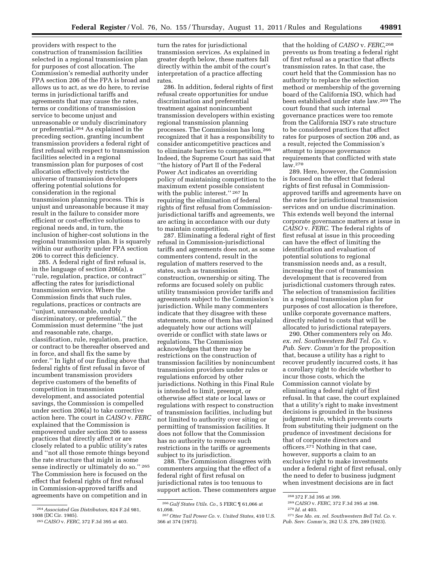providers with respect to the construction of transmission facilities selected in a regional transmission plan for purposes of cost allocation. The Commission's remedial authority under FPA section 206 of the FPA is broad and allows us to act, as we do here, to revise terms in jurisdictional tariffs and agreements that may cause the rates, terms or conditions of transmission service to become unjust and unreasonable or unduly discriminatory or preferential.264 As explained in the preceding section, granting incumbent transmission providers a federal right of first refusal with respect to transmission facilities selected in a regional transmission plan for purposes of cost allocation effectively restricts the universe of transmission developers offering potential solutions for consideration in the regional transmission planning process. This is unjust and unreasonable because it may result in the failure to consider more efficient or cost-effective solutions to regional needs and, in turn, the inclusion of higher-cost solutions in the regional transmission plan. It is squarely within our authority under FPA section 206 to correct this deficiency.

285. A federal right of first refusal is, in the language of section 206(a), a ''rule, regulation, practice, or contract'' affecting the rates for jurisdictional transmission service. Where the Commission finds that such rules, regulations, practices or contracts are ''unjust, unreasonable, unduly discriminatory, or preferential,'' the Commission must determine ''the just and reasonable rate, charge, classification, rule, regulation, practice, or contract to be thereafter observed and in force, and shall fix the same by order.'' In light of our finding above that federal rights of first refusal in favor of incumbent transmission providers deprive customers of the benefits of competition in transmission development, and associated potential savings, the Commission is compelled under section 206(a) to take corrective action here. The court in *CAISO* v. *FERC*  explained that the Commission is empowered under section 206 to assess practices that directly affect or are closely related to a public utility's rates and ''not all those remote things beyond the rate structure that might in some sense indirectly or ultimately do so."<sup>265</sup> The Commission here is focused on the effect that federal rights of first refusal in Commission-approved tariffs and agreements have on competition and in

turn the rates for jurisdictional transmission services. As explained in greater depth below, these matters fall directly within the ambit of the court's interpretation of a practice affecting rates.

286. In addition, federal rights of first refusal create opportunities for undue discrimination and preferential treatment against nonincumbent transmission developers within existing regional transmission planning processes. The Commission has long recognized that it has a responsibility to consider anticompetitive practices and to eliminate barriers to competition.266 Indeed, the Supreme Court has said that ''the history of Part II of the Federal Power Act indicates an overriding policy of maintaining competition to the maximum extent possible consistent with the public interest.'' 267 In requiring the elimination of federal rights of first refusal from Commissionjurisdictional tariffs and agreements, we are acting in accordance with our duty to maintain competition.

287. Eliminating a federal right of first refusal in Commission-jurisdictional tariffs and agreements does not, as some commenters contend, result in the regulation of matters reserved to the states, such as transmission construction, ownership or siting. The reforms are focused solely on public utility transmission provider tariffs and agreements subject to the Commission's jurisdiction. While many commenters indicate that they disagree with these statements, none of them has explained adequately how our actions will override or conflict with state laws or regulations. The Commission acknowledges that there may be restrictions on the construction of transmission facilities by nonincumbent transmission providers under rules or regulations enforced by other jurisdictions. Nothing in this Final Rule is intended to limit, preempt, or otherwise affect state or local laws or regulations with respect to construction of transmission facilities, including but not limited to authority over siting or permitting of transmission facilities. It does not follow that the Commission has no authority to remove such restrictions in the tariffs or agreements subject to its jurisdiction.

288. The Commission disagrees with commenters arguing that the effect of a federal right of first refusal on jurisdictional rates is too tenuous to support action. These commenters argue

that the holding of *CAISO* v. *FERC,*268 prevents us from treating a federal right of first refusal as a practice that affects transmission rates. In that case, the court held that the Commission has no authority to replace the selection method or membership of the governing board of the California ISO, which had been established under state law.269 The court found that such internal governance practices were too remote from the California ISO's rate structure to be considered practices that affect rates for purposes of section 206 and, as a result, rejected the Commission's attempt to impose governance requirements that conflicted with state law.270

289. Here, however, the Commission is focused on the effect that federal rights of first refusal in Commissionapproved tariffs and agreements have on the rates for jurisdictional transmission services and on undue discrimination. This extends well beyond the internal corporate governance matters at issue in *CAISO* v. *FERC.* The federal rights of first refusal at issue in this proceeding can have the effect of limiting the identification and evaluation of potential solutions to regional transmission needs and, as a result, increasing the cost of transmission development that is recovered from jurisdictional customers through rates. The selection of transmission facilities in a regional transmission plan for purposes of cost allocation is therefore, unlike corporate governance matters, directly related to costs that will be allocated to jurisdictional ratepayers.

290. Other commenters rely on *Mo. ex. rel. Southwestern Bell Tel. Co.* v. *Pub. Serv. Comm'n* for the proposition that, because a utility has a right to recover prudently incurred costs, it has a corollary right to decide whether to incur those costs, which the Commission cannot violate by eliminating a federal right of first refusal. In that case, the court explained that a utility's right to make investment decisions is grounded in the business judgment rule, which prevents courts from substituting their judgment on the prudence of investment decisions for that of corporate directors and officers.271 Nothing in that case, however, supports a claim to an exclusive right to make investments under a federal right of first refusal, only the need to defer to business judgment when investment decisions are in fact

<sup>264</sup>*Associated Gas Distributors,* 824 F.2d 981, 1008 (DC Cir. 1985).

<sup>265</sup>*CAISO* v. *FERC,* 372 F.3d 395 at 403.

<sup>266</sup> *Gulf States Utils. Co.,* 5 FERC ¶ 61,066 at 61,098.

<sup>267</sup>*Otter Tail Power Co.* v. *United States,* 410 U.S. 366 at 374 (1973).

<sup>268</sup> 372 F.3d 395 at 399.

<sup>269</sup>*CAISO* v. *FERC,* 372 F.3d 395 at 398.

<sup>270</sup> *Id.* at 403.

<sup>271</sup>*See Mo. ex. rel. Southwestern Bell Tel. Co.* v. *Pub. Serv. Comm'n,* 262 U.S. 276, 289 (1923).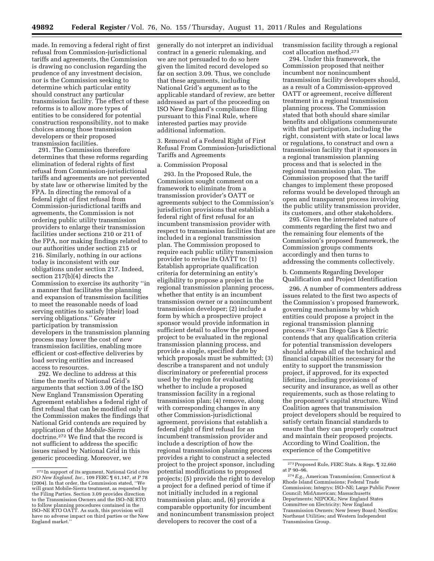made. In removing a federal right of first refusal from Commission-jurisdictional tariffs and agreements, the Commission is drawing no conclusion regarding the prudence of any investment decision, nor is the Commission seeking to determine which particular entity should construct any particular transmission facility. The effect of these reforms is to allow more types of entities to be considered for potential construction responsibility, not to make choices among those transmission developers or their proposed transmission facilities.

291. The Commission therefore determines that these reforms regarding elimination of federal rights of first refusal from Commission-jurisdictional tariffs and agreements are not prevented by state law or otherwise limited by the FPA. In directing the removal of a federal right of first refusal from Commission-jurisdictional tariffs and agreements, the Commission is not ordering public utility transmission providers to enlarge their transmission facilities under sections 210 or 211 of the FPA, nor making findings related to our authorities under section 215 or 216. Similarly, nothing in our actions today is inconsistent with our obligations under section 217. Indeed, section 217(b)(4) directs the Commission to exercise its authority ''in a manner that facilitates the planning and expansion of transmission facilities to meet the reasonable needs of load serving entities to satisfy [their] load serving obligations.'' Greater participation by transmission developers in the transmission planning process may lower the cost of new transmission facilities, enabling more efficient or cost-effective deliveries by load serving entities and increased access to resources.

292. We decline to address at this time the merits of National Grid's arguments that section 3.09 of the ISO New England Transmission Operating Agreement establishes a federal right of first refusal that can be modified only if the Commission makes the findings that National Grid contends are required by application of the *Mobile*-*Sierra*  doctrine.272 We find that the record is not sufficient to address the specific issues raised by National Grid in this generic proceeding. Moreover, we

generally do not interpret an individual contract in a generic rulemaking, and we are not persuaded to do so here given the limited record developed so far on section 3.09. Thus, we conclude that these arguments, including National Grid's argument as to the applicable standard of review, are better addressed as part of the proceeding on ISO New England's compliance filing pursuant to this Final Rule, where interested parties may provide additional information.

3. Removal of a Federal Right of First Refusal From Commission-Jurisdictional Tariffs and Agreements

### a. Commission Proposal

293. In the Proposed Rule, the Commission sought comment on a framework to eliminate from a transmission provider's OATT or agreements subject to the Commission's jurisdiction provisions that establish a federal right of first refusal for an incumbent transmission provider with respect to transmission facilities that are included in a regional transmission plan. The Commission proposed to require each public utility transmission provider to revise its OATT to: (1) Establish appropriate qualification criteria for determining an entity's eligibility to propose a project in the regional transmission planning process, whether that entity is an incumbent transmission owner or a nonincumbent transmission developer; (2) include a form by which a prospective project sponsor would provide information in sufficient detail to allow the proposed project to be evaluated in the regional transmission planning process, and provide a single, specified date by which proposals must be submitted; (3) describe a transparent and not unduly discriminatory or preferential process used by the region for evaluating whether to include a proposed transmission facility in a regional transmission plan; (4) remove, along with corresponding changes in any other Commission-jurisdictional agreement, provisions that establish a federal right of first refusal for an incumbent transmission provider and include a description of how the regional transmission planning process provides a right to construct a selected project to the project sponsor, including potential modifications to proposed projects; (5) provide the right to develop a project for a defined period of time if not initially included in a regional transmission plan; and, (6) provide a comparable opportunity for incumbent and nonincumbent transmission project developers to recover the cost of a

transmission facility through a regional cost allocation method.273

294. Under this framework, the Commission proposed that neither incumbent nor nonincumbent transmission facility developers should, as a result of a Commission-approved OATT or agreement, receive different treatment in a regional transmission planning process. The Commission stated that both should share similar benefits and obligations commensurate with that participation, including the right, consistent with state or local laws or regulations, to construct and own a transmission facility that it sponsors in a regional transmission planning process and that is selected in the regional transmission plan. The Commission proposed that the tariff changes to implement these proposed reforms would be developed through an open and transparent process involving the public utility transmission provider, its customers, and other stakeholders.

295. Given the interrelated nature of comments regarding the first two and the remaining four elements of the Commission's proposed framework, the Commission groups comments accordingly and then turns to addressing the comments collectively.

b. Comments Regarding Developer Qualification and Project Identification

296. A number of commenters address issues related to the first two aspects of the Commission's proposed framework, governing mechanisms by which entities could propose a project in the regional transmission planning process.274 San Diego Gas & Electric contends that any qualification criteria for potential transmission developers should address all of the technical and financial capabilities necessary for the entity to support the transmission project, if approved, for its expected lifetime, including provisions of security and insurance, as well as other requirements, such as those relating to the proponent's capital structure. Wind Coalition agrees that transmission project developers should be required to satisfy certain financial standards to ensure that they can properly construct and maintain their proposed projects. According to Wind Coalition, the experience of the Competitive

<sup>272</sup> In support of its argument, National Grid cites *ISO New England, Inc.,* 109 FERC ¶ 61,147, at P 78 (2004). In that order, the Commission stated, ''We will grant Mobile-Sierra treatment, as requested by the Filing Parties. Section 3.09 provides direction to the Transmission Owners and the ISO–NE RTO to follow planning procedures contained in the ISO–NE RTO OATT. As such, this provision will have no adverse impact on third parties or the New England market.''

<sup>273</sup>Proposed Rule, FERC Stats. & Regs. ¶ 32,660 at P 90–96.

<sup>274</sup>*E.g.,* American Transmission; Connecticut & Rhode Island Commissions; Federal Trade Commission; Integrys; ISO–NE; Large Public Power Council; MidAmerican; Massachusetts Departments; NEPOOL; New England States Committee on Electricity; New England Transmission Owners; New Jersey Board; NextEra; Northeast Utilities; and Western Independent Transmission Group.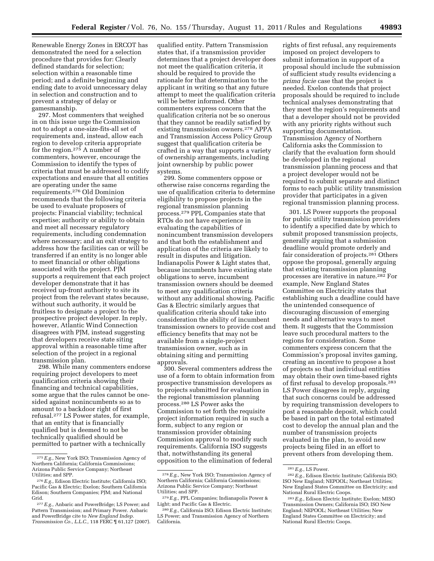Renewable Energy Zones in ERCOT has demonstrated the need for a selection procedure that provides for: Clearly defined standards for selection; selection within a reasonable time period; and a definite beginning and ending date to avoid unnecessary delay in selection and construction and to prevent a strategy of delay or gamesmanship.

297. Most commenters that weighed in on this issue urge the Commission not to adopt a one-size-fits-all set of requirements and, instead, allow each region to develop criteria appropriate for the region.275 A number of commenters, however, encourage the Commission to identify the types of criteria that must be addressed to codify expectations and ensure that all entities are operating under the same requirements.276 Old Dominion recommends that the following criteria be used to evaluate proposers of projects: Financial viability; technical expertise; authority or ability to obtain and meet all necessary regulatory requirements, including condemnation where necessary; and an exit strategy to address how the facilities can or will be transferred if an entity is no longer able to meet financial or other obligations associated with the project. PJM supports a requirement that each project developer demonstrate that it has received up-front authority to site its project from the relevant states because, without such authority, it would be fruitless to designate a project to the prospective project developer. In reply, however, Atlantic Wind Connection disagrees with PJM, instead suggesting that developers receive state siting approval within a reasonable time after selection of the project in a regional transmission plan.

298. While many commenters endorse requiring project developers to meet qualification criteria showing their financing and technical capabilities, some argue that the rules cannot be onesided against nonincumbents so as to amount to a backdoor right of first refusal.277 LS Power states, for example, that an entity that is financially qualified but is deemed to not be technically qualified should be permitted to partner with a technically

qualified entity. Pattern Transmission states that, if a transmission provider determines that a project developer does not meet the qualification criteria, it should be required to provide the rationale for that determination to the applicant in writing so that any future attempt to meet the qualification criteria will be better informed. Other commenters express concern that the qualification criteria not be so onerous that they cannot be readily satisfied by existing transmission owners.278 APPA and Transmission Access Policy Group suggest that qualification criteria be crafted in a way that supports a variety of ownership arrangements, including joint ownership by public power systems.

299. Some commenters oppose or otherwise raise concerns regarding the use of qualification criteria to determine eligibility to propose projects in the regional transmission planning process.279 PPL Companies state that RTOs do not have experience in evaluating the capabilities of nonincumbent transmission developers and that both the establishment and application of the criteria are likely to result in disputes and litigation. Indianapolis Power & Light states that, because incumbents have existing state obligations to serve, incumbent transmission owners should be deemed to meet any qualification criteria without any additional showing. Pacific Gas & Electric similarly argues that qualification criteria should take into consideration the ability of incumbent transmission owners to provide cost and efficiency benefits that may not be available from a single-project transmission owner, such as in obtaining siting and permitting approvals.

300. Several commenters address the use of a form to obtain information from prospective transmission developers as to projects submitted for evaluation in the regional transmission planning process.280 LS Power asks the Commission to set forth the requisite project information required in such a form, subject to any region or transmission provider obtaining Commission approval to modify such requirements. California ISO suggests that, notwithstanding its general opposition to the elimination of federal

rights of first refusal, any requirements imposed on project developers to submit information in support of a proposal should include the submission of sufficient study results evidencing a *prima facie* case that the project is needed. Exelon contends that project proposals should be required to include technical analyses demonstrating that they meet the region's requirements and that a developer should not be provided with any priority rights without such supporting documentation. Transmission Agency of Northern California asks the Commission to clarify that the evaluation form should be developed in the regional transmission planning process and that a project developer would not be required to submit separate and distinct forms to each public utility transmission provider that participates in a given regional transmission planning process.

301. LS Power supports the proposal for public utility transmission providers to identify a specified date by which to submit proposed transmission projects, generally arguing that a submission deadline would promote orderly and fair consideration of projects.281 Others oppose the proposal, generally arguing that existing transmission planning processes are iterative in nature.282 For example, New England States Committee on Electricity states that establishing such a deadline could have the unintended consequence of discouraging discussion of emerging needs and alternative ways to meet them. It suggests that the Commission leave such procedural matters to the regions for consideration. Some commenters express concern that the Commission's proposal invites gaming, creating an incentive to propose a host of projects so that individual entities may obtain their own time-based rights of first refusal to develop proposals.283 LS Power disagrees in reply, arguing that such concerns could be addressed by requiring transmission developers to post a reasonable deposit, which could be based in part on the total estimated cost to develop the annual plan and the number of transmission projects evaluated in the plan, to avoid new projects being filed in an effort to prevent others from developing them.

<sup>275</sup>*E.g.,* New York ISO; Transmission Agency of Northern California; California Commissions; Arizona Public Service Company; Northeast Utilities; and SPP.

<sup>276</sup>*E.g.,* Edison Electric Institute; California ISO; Pacific Gas & Electric; Exelon; Southern California Edison; Southern Companies; PJM; and National Grid.

<sup>277</sup>*E.g.,* Anbaric and PowerBridge; LS Power; and Pattern Transmission; and Primary Power. Anbaric and PowerBridge cite to *New England Indep. Transmission Co., L.L.C.,* 118 FERC ¶ 61,127 (2007).

<sup>278</sup>*E.g.,* New York ISO; Transmission Agency of Northern California; California Commissions; Arizona Public Service Company; Northeast Utilities; and SPP.

<sup>279</sup>*E.g.,* PPL Companies; Indianapolis Power & Light; and Pacific Gas & Electric.

<sup>280</sup>*E.g.,* California ISO; Edison Electric Institute; LS Power; and Transmission Agency of Northern California.

<sup>281</sup>*E.g.,* LS Power.

<sup>282</sup>*E.g.,* Edison Electric Institute; California ISO; ISO New England; NEPOOL; Northeast Utilities; New England States Committee on Electricity; and National Rural Electric Coops.

<sup>283</sup>*E.g.,* Edison Electric Institute; Exelon; MISO Transmission Owners; California ISO; ISO New England; NEPOOL; Northeast Utilities; New England States Committee on Electricity; and National Rural Electric Coops.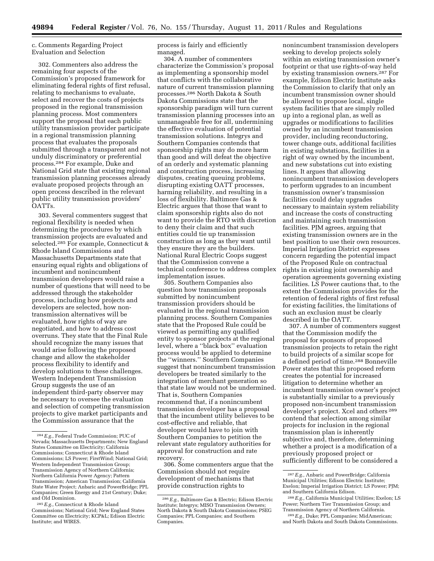c. Comments Regarding Project Evaluation and Selection

302. Commenters also address the remaining four aspects of the Commission's proposed framework for eliminating federal rights of first refusal, relating to mechanisms to evaluate, select and recover the costs of projects proposed in the regional transmission planning process. Most commenters support the proposal that each public utility transmission provider participate in a regional transmission planning process that evaluates the proposals submitted through a transparent and not unduly discriminatory or preferential process.284 For example, Duke and National Grid state that existing regional transmission planning processes already evaluate proposed projects through an open process described in the relevant public utility transmission providers' OATTs.

303. Several commenters suggest that regional flexibility is needed when determining the procedures by which transmission projects are evaluated and selected.285 For example, Connecticut & Rhode Island Commissions and Massachusetts Departments state that ensuring equal rights and obligations of incumbent and nonincumbent transmission developers would raise a number of questions that will need to be addressed through the stakeholder process, including how projects and developers are selected, how nontransmission alternatives will be evaluated, how rights of way are negotiated, and how to address cost overruns. They state that the Final Rule should recognize the many issues that would arise following the proposed change and allow the stakeholder process flexibility to identify and develop solutions to these challenges. Western Independent Transmission Group suggests the use of an independent third-party observer may be necessary to oversee the evaluation and selection of competing transmission projects to give market participants and the Commission assurance that the

process is fairly and efficiently managed.

304. A number of commenters characterize the Commission's proposal as implementing a sponsorship model that conflicts with the collaborative nature of current transmission planning processes.286 North Dakota & South Dakota Commissions state that the sponsorship paradigm will turn current transmission planning processes into an unmanageable free for all, undermining the effective evaluation of potential transmission solutions. Integrys and Southern Companies contends that sponsorship rights may do more harm than good and will defeat the objective of an orderly and systematic planning and construction process, increasing disputes, creating queuing problems, disrupting existing OATT processes, harming reliability, and resulting in a loss of flexibility. Baltimore Gas & Electric argues that those that want to claim sponsorship rights also do not want to provide the RTO with discretion to deny their claim and that such entities could tie up transmission construction as long as they want until they ensure they are the builders. National Rural Electric Coops suggest that the Commission convene a technical conference to address complex implementation issues.

305. Southern Companies also question how transmission proposals submitted by nonincumbent transmission providers should be evaluated in the regional transmission planning process. Southern Companies state that the Proposed Rule could be viewed as permitting any qualified entity to sponsor projects at the regional level, where a ''black box'' evaluation process would be applied to determine the ''winners.'' Southern Companies suggest that nonincumbent transmission developers be treated similarly to the integration of merchant generation so that state law would not be undermined. That is, Southern Companies recommend that, if a nonincumbent transmission developer has a proposal that the incumbent utility believes to be cost-effective and reliable, that developer would have to join with Southern Companies to petition the relevant state regulatory authorities for approval for construction and rate recovery.

306. Some commenters argue that the Commission should not require development of mechanisms that provide construction rights to

nonincumbent transmission developers seeking to develop projects solely within an existing transmission owner's footprint or that use rights-of-way held by existing transmission owners.287 For example, Edison Electric Institute asks the Commission to clarify that only an incumbent transmission owner should be allowed to propose local, single system facilities that are simply rolled up into a regional plan, as well as upgrades or modifications to facilities owned by an incumbent transmission provider, including reconductoring, tower change outs, additional facilities in existing substations, facilities in a right of way owned by the incumbent, and new substations cut into existing lines. It argues that allowing nonincumbent transmission developers to perform upgrades to an incumbent transmission owner's transmission facilities could delay upgrades necessary to maintain system reliability and increase the costs of constructing and maintaining such transmission facilities. PJM agrees, arguing that existing transmission owners are in the best position to use their own resources. Imperial Irrigation District expresses concern regarding the potential impact of the Proposed Rule on contractual rights in existing joint ownership and operation agreements governing existing facilities. LS Power cautions that, to the extent the Commission provides for the retention of federal rights of first refusal for existing facilities, the limitations of such an exclusion must be clearly described in the OATT.

307. A number of commenters suggest that the Commission modify the proposal for sponsors of proposed transmission projects to retain the right to build projects of a similar scope for a defined period of time.288 Bonneville Power states that this proposed reform creates the potential for increased litigation to determine whether an incumbent transmission owner's project is substantially similar to a previously proposed non-incumbent transmission developer's project. Xcel and others 289 contend that selection among similar projects for inclusion in the regional transmission plan is inherently subjective and, therefore, determining whether a project is a modification of a previously proposed project or sufficiently different to be considered a

<sup>284</sup>*E.g.,* Federal Trade Commission; PUC of Nevada; Massachusetts Departments; New England States Committee on Electricity; California Commissions; Connecticut & Rhode Island Commissions; LS Power; FirstWind; National Grid; Western Independent Transmission Group; Transmission Agency of Northern California; Northern California Power Agency; Pattern Transmission; American Transmission; California State Water Project; Anbaric and PowerBridge; PPL Companies; Green Energy and 21st Century; Duke; and Old Dominion.

<sup>285</sup>*E.g.,* Connecticut & Rhode Island Commissions; National Grid; New England States Committee on Electricity; KCP&L; Edison Electric Institute; and WIRES.

<sup>286</sup>*E.g.,* Baltimore Gas & Electric; Edison Electric Institute; Integrys; MISO Transmission Owners; North Dakota & South Dakota Commissions; PSEG Companies; PPL Companies; and Southern Companies.

<sup>287</sup>*E.g.,* Anbaric and PowerBridge; California Municipal Utilities; Edison Electric Institute; Exelon; Imperial Irrigation District; LS Power; PJM; and Southern California Edison.

<sup>288</sup>*E.g.,* California Municipal Utilities; Exelon; LS Power; Northern Tier Transmission Group; and Transmission Agency of Northern California.

<sup>289</sup>*E.g.,* Duke; PPL Companies; MidAmerican; and North Dakota and South Dakota Commissions.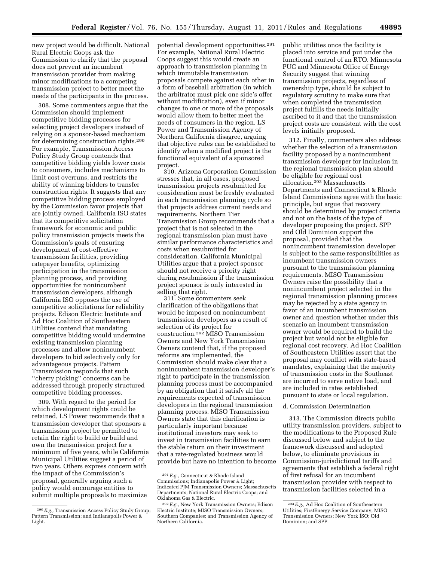new project would be difficult. National Rural Electric Coops ask the Commission to clarify that the proposal does not prevent an incumbent transmission provider from making minor modifications to a competing transmission project to better meet the needs of the participants in the process.

308. Some commenters argue that the Commission should implement competitive bidding processes for selecting project developers instead of relying on a sponsor-based mechanism for determining construction rights.290 For example, Transmission Access Policy Study Group contends that competitive bidding yields lower costs to consumers, includes mechanisms to limit cost overruns, and restricts the ability of winning bidders to transfer construction rights. It suggests that any competitive bidding process employed by the Commission favor projects that are jointly owned. California ISO states that its competitive solicitation framework for economic and public policy transmission projects meets the Commission's goals of ensuring development of cost-effective transmission facilities, providing ratepayer benefits, optimizing participation in the transmission planning process, and providing opportunities for nonincumbent transmission developers, although California ISO opposes the use of competitive solicitations for reliability projects. Edison Electric Institute and Ad Hoc Coalition of Southeastern Utilities contend that mandating competitive bidding would undermine existing transmission planning processes and allow nonincumbent developers to bid selectively only for advantageous projects. Pattern Transmission responds that such ''cherry picking'' concerns can be addressed through properly structured competitive bidding processes.

309. With regard to the period for which development rights could be retained, LS Power recommends that a transmission developer that sponsors a transmission project be permitted to retain the right to build or build and own the transmission project for a minimum of five years, while California Municipal Utilities suggest a period of two years. Others express concern with the impact of the Commission's proposal, generally arguing such a policy would encourage entities to submit multiple proposals to maximize

potential development opportunities.291 For example, National Rural Electric Coops suggest this would create an approach to transmission planning in which immutable transmission proposals compete against each other in a form of baseball arbitration (in which the arbitrator must pick one side's offer without modification), even if minor changes to one or more of the proposals would allow them to better meet the needs of consumers in the region. LS Power and Transmission Agency of Northern California disagree, arguing that objective rules can be established to identify when a modified project is the functional equivalent of a sponsored project.

310. Arizona Corporation Commission stresses that, in all cases, proposed transmission projects resubmitted for consideration must be freshly evaluated in each transmission planning cycle so that projects address current needs and requirements. Northern Tier Transmission Group recommends that a project that is not selected in the regional transmission plan must have similar performance characteristics and costs when resubmitted for consideration. California Municipal Utilities argue that a project sponsor should not receive a priority right during resubmission if the transmission project sponsor is only interested in selling that right.

311. Some commenters seek clarification of the obligations that would be imposed on nonincumbent transmission developers as a result of selection of its project for construction.292 MISO Transmission Owners and New York Transmission Owners contend that, if the proposed reforms are implemented, the Commission should make clear that a nonincumbent transmission developer's right to participate in the transmission planning process must be accompanied by an obligation that it satisfy all the requirements expected of transmission developers in the regional transmission planning process. MISO Transmission Owners state that this clarification is particularly important because institutional investors may seek to invest in transmission facilities to earn the stable return on their investment that a rate-regulated business would provide but have no intention to become public utilities once the facility is placed into service and put under the functional control of an RTO. Minnesota PUC and Minnesota Office of Energy Security suggest that winning transmission projects, regardless of ownership type, should be subject to regulatory scrutiny to make sure that when completed the transmission project fulfills the needs initially ascribed to it and that the transmission project costs are consistent with the cost levels initially proposed.

312. Finally, commenters also address whether the selection of a transmission facility proposed by a nonincumbent transmission developer for inclusion in the regional transmission plan should be eligible for regional cost allocation.293 Massachusetts Departments and Connecticut & Rhode Island Commissions agree with the basic principle, but argue that recovery should be determined by project criteria and not on the basis of the type of developer proposing the project. SPP and Old Dominion support the proposal, provided that the nonincumbent transmission developer is subject to the same responsibilities as incumbent transmission owners pursuant to the transmission planning requirements. MISO Transmission Owners raise the possibility that a nonincumbent project selected in the regional transmission planning process may be rejected by a state agency in favor of an incumbent transmission owner and question whether under this scenario an incumbent transmission owner would be required to build the project but would not be eligible for regional cost recovery. Ad Hoc Coalition of Southeastern Utilities assert that the proposal may conflict with state-based mandates, explaining that the majority of transmission costs in the Southeast are incurred to serve native load, and are included in rates established pursuant to state or local regulation.

### d. Commission Determination

313. The Commission directs public utility transmission providers, subject to the modifications to the Proposed Rule discussed below and subject to the framework discussed and adopted below, to eliminate provisions in Commission-jurisdictional tariffs and agreements that establish a federal right of first refusal for an incumbent transmission provider with respect to transmission facilities selected in a

<sup>290</sup>*E.g.,* Transmission Access Policy Study Group; Pattern Transmission; and Indianapolis Power & Light.

<sup>291</sup>*E.g.,* Connecticut & Rhode Island Commissions; Indianapolis Power & Light; Indicated PJM Transmission Owners; Massachusetts Departments; National Rural Electric Coops; and Oklahoma Gas & Electric.

<sup>292</sup>*E.g.,* New York Transmission Owners; Edison Electric Institute; MISO Transmission Owners; Southern Companies; and Transmission Agency of Northern California.

<sup>293</sup>*E.g.,* Ad Hoc Coalition of Southeastern Utilities; FirstEnergy Service Company; MISO Transmission Owners; New York ISO; Old Dominion; and SPP.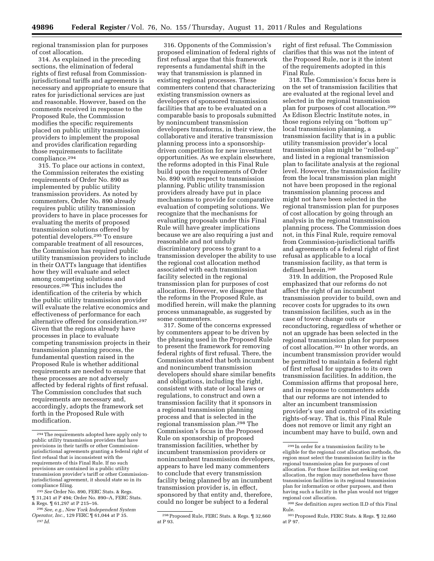regional transmission plan for purposes of cost allocation.

314. As explained in the preceding sections, the elimination of federal rights of first refusal from Commissionjurisdictional tariffs and agreements is necessary and appropriate to ensure that rates for jurisdictional services are just and reasonable. However, based on the comments received in response to the Proposed Rule, the Commission modifies the specific requirements placed on public utility transmission providers to implement the proposal and provides clarification regarding those requirements to facilitate compliance.294

315. To place our actions in context, the Commission reiterates the existing requirements of Order No. 890 as implemented by public utility transmission providers. As noted by commenters, Order No. 890 already requires public utility transmission providers to have in place processes for evaluating the merits of proposed transmission solutions offered by potential developers.295 To ensure comparable treatment of all resources, the Commission has required public utility transmission providers to include in their OATTs language that identifies how they will evaluate and select among competing solutions and resources.296 This includes the identification of the criteria by which the public utility transmission provider will evaluate the relative economics and effectiveness of performance for each alternative offered for consideration.297 Given that the regions already have processes in place to evaluate competing transmission projects in their transmission planning process, the fundamental question raised in the Proposed Rule is whether additional requirements are needed to ensure that these processes are not adversely affected by federal rights of first refusal. The Commission concludes that such requirements are necessary and, accordingly, adopts the framework set forth in the Proposed Rule with modification.

316. Opponents of the Commission's proposed elimination of federal rights of first refusal argue that this framework represents a fundamental shift in the way that transmission is planned in existing regional processes. These commenters contend that characterizing existing transmission owners as developers of sponsored transmission facilities that are to be evaluated on a comparable basis to proposals submitted by nonincumbent transmission developers transforms, in their view, the collaborative and iterative transmission planning process into a sponsorshipdriven competition for new investment opportunities. As we explain elsewhere, the reforms adopted in this Final Rule build upon the requirements of Order No. 890 with respect to transmission planning. Public utility transmission providers already have put in place mechanisms to provide for comparative evaluation of competing solutions. We recognize that the mechanisms for evaluating proposals under this Final Rule will have greater implications because we are also requiring a just and reasonable and not unduly discriminatory process to grant to a transmission developer the ability to use the regional cost allocation method associated with each transmission facility selected in the regional transmission plan for purposes of cost allocation. However, we disagree that the reforms in the Proposed Rule, as modified herein, will make the planning process unmanageable, as suggested by some commenters.

317. Some of the concerns expressed by commenters appear to be driven by the phrasing used in the Proposed Rule to present the framework for removing federal rights of first refusal. There, the Commission stated that both incumbent and nonincumbent transmission developers should share similar benefits and obligations, including the right, consistent with state or local laws or regulations, to construct and own a transmission facility that it sponsors in a regional transmission planning process and that is selected in the regional transmission plan.298 The Commission's focus in the Proposed Rule on sponsorship of proposed transmission facilities, whether by incumbent transmission providers or nonincumbent transmission developers, appears to have led many commenters to conclude that every transmission facility being planned by an incumbent transmission provider is, in effect, sponsored by that entity and, therefore, could no longer be subject to a federal

right of first refusal. The Commission clarifies that this was not the intent of the Proposed Rule, nor is it the intent of the requirements adopted in this Final Rule.

318. The Commission's focus here is on the set of transmission facilities that are evaluated at the regional level and selected in the regional transmission plan for purposes of cost allocation.299 As Edison Electric Institute notes, in those regions relying on ''bottom up'' local transmission planning, a transmission facility that is in a public utility transmission provider's local transmission plan might be ''rolled-up'' and listed in a regional transmission plan to facilitate analysis at the regional level. However, the transmission facility from the local transmission plan might not have been proposed in the regional transmission planning process and might not have been selected in the regional transmission plan for purposes of cost allocation by going through an analysis in the regional transmission planning process. The Commission does not, in this Final Rule, require removal from Commission-jurisdictional tariffs and agreements of a federal right of first refusal as applicable to a local transmission facility, as that term is defined herein.300

319. In addition, the Proposed Rule emphasized that our reforms do not affect the right of an incumbent transmission provider to build, own and recover costs for upgrades to its own transmission facilities, such as in the case of tower change outs or reconductoring, regardless of whether or not an upgrade has been selected in the regional transmission plan for purposes of cost allocation.301 In other words, an incumbent transmission provider would be permitted to maintain a federal right of first refusal for upgrades to its own transmission facilities. In addition, the Commission affirms that proposal here, and in response to commenters adds that our reforms are not intended to alter an incumbent transmission provider's use and control of its existing rights-of-way. That is, this Final Rule does not remove or limit any right an incumbent may have to build, own and

<sup>294</sup>The requirements adopted here apply only to public utility transmission providers that have provisions in their tariffs or other Commissionjurisdictional agreements granting a federal right of first refusal that is inconsistent with the requirements of this Final Rule. If no such provisions are contained in a public utility transmission provider's tariff or other Commissionjurisdictional agreement, it should state so in its compliance filing.

<sup>295</sup>*See* Order No. 890, FERC Stats. & Regs. ¶ 31,241 at P 494; Order No. 890–A, FERC Stats. & Regs. ¶ 61,297 at P 215–16.

<sup>296</sup>*See, e.g., New York Independent System Operator, Inc.,* 129 FERC ¶ 61,044 at P 35. 297 *Id.* 

<sup>298</sup>Proposed Rule, FERC Stats. & Regs. ¶ 32,660 at P 93.

<sup>299</sup> In order for a transmission facility to be eligible for the regional cost allocation methods, the region must select the transmission facility in the regional transmission plan for purposes of cost allocation. For those facilities not seeking cost allocation, the region may nonetheless have those transmission facilities in its regional transmission plan for information or other purposes, and then having such a facility in the plan would not trigger regional cost allocation.

<sup>300</sup>*See* definition *supra* section II.D of this Final Rule.

<sup>301</sup>Proposed Rule, FERC Stats. & Regs. ¶ 32,660 at P 97.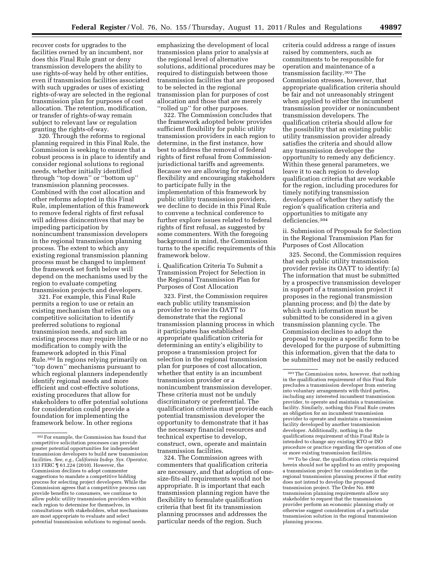recover costs for upgrades to the facilities owned by an incumbent, nor does this Final Rule grant or deny transmission developers the ability to use rights-of-way held by other entities, even if transmission facilities associated with such upgrades or uses of existing rights-of-way are selected in the regional transmission plan for purposes of cost allocation. The retention, modification, or transfer of rights-of-way remain subject to relevant law or regulation granting the rights-of-way.

320. Through the reforms to regional planning required in this Final Rule, the Commission is seeking to ensure that a robust process is in place to identify and consider regional solutions to regional needs, whether initially identified through ''top down'' or ''bottom up'' transmission planning processes. Combined with the cost allocation and other reforms adopted in this Final Rule, implementation of this framework to remove federal rights of first refusal will address disincentives that may be impeding participation by nonincumbent transmission developers in the regional transmission planning process. The extent to which any existing regional transmission planning process must be changed to implement the framework set forth below will depend on the mechanisms used by the region to evaluate competing transmission projects and developers.

321. For example, this Final Rule permits a region to use or retain an existing mechanism that relies on a competitive solicitation to identify preferred solutions to regional transmission needs, and such an existing process may require little or no modification to comply with the framework adopted in this Final Rule.302 In regions relying primarily on ''top down'' mechanisms pursuant to which regional planners independently identify regional needs and more efficient and cost-effective solutions, existing procedures that allow for stakeholders to offer potential solutions for consideration could provide a foundation for implementing the framework below. In other regions

emphasizing the development of local transmission plans prior to analysis at the regional level of alternative solutions, additional procedures may be required to distinguish between those transmission facilities that are proposed to be selected in the regional transmission plan for purposes of cost allocation and those that are merely ''rolled up'' for other purposes.

322. The Commission concludes that the framework adopted below provides sufficient flexibility for public utility transmission providers in each region to determine, in the first instance, how best to address the removal of federal rights of first refusal from Commissionjurisdictional tariffs and agreements. Because we are allowing for regional flexibility and encouraging stakeholders to participate fully in the implementation of this framework by public utility transmission providers, we decline to decide in this Final Rule to convene a technical conference to further explore issues related to federal rights of first refusal, as suggested by some commenters. With the foregoing background in mind, the Commission turns to the specific requirements of this framework below.

i. Qualification Criteria To Submit a Transmission Project for Selection in the Regional Transmission Plan for Purposes of Cost Allocation

323. First, the Commission requires each public utility transmission provider to revise its OATT to demonstrate that the regional transmission planning process in which it participates has established appropriate qualification criteria for determining an entity's eligibility to propose a transmission project for selection in the regional transmission plan for purposes of cost allocation, whether that entity is an incumbent transmission provider or a nonincumbent transmission developer. These criteria must not be unduly discriminatory or preferential. The qualification criteria must provide each potential transmission developer the opportunity to demonstrate that it has the necessary financial resources and technical expertise to develop, construct, own, operate and maintain transmission facilities.

324. The Commission agrees with commenters that qualification criteria are necessary, and that adoption of onesize-fits-all requirements would not be appropriate. It is important that each transmission planning region have the flexibility to formulate qualification criteria that best fit its transmission planning processes and addresses the particular needs of the region. Such

criteria could address a range of issues raised by commenters, such as commitments to be responsible for operation and maintenance of a transmission facility.303 The Commission stresses, however, that appropriate qualification criteria should be fair and not unreasonably stringent when applied to either the incumbent transmission provider or nonincumbent transmission developers. The qualification criteria should allow for the possibility that an existing public utility transmission provider already satisfies the criteria and should allow any transmission developer the opportunity to remedy any deficiency. Within these general parameters, we leave it to each region to develop qualification criteria that are workable for the region, including procedures for timely notifying transmission developers of whether they satisfy the region's qualification criteria and opportunities to mitigate any deficiencies.304

ii. Submission of Proposals for Selection in the Regional Transmission Plan for Purposes of Cost Allocation

325. Second, the Commission requires that each public utility transmission provider revise its OATT to identify: (a) The information that must be submitted by a prospective transmission developer in support of a transmission project it proposes in the regional transmission planning process; and (b) the date by which such information must be submitted to be considered in a given transmission planning cycle. The Commission declines to adopt the proposal to require a specific form to be developed for the purpose of submitting this information, given that the data to be submitted may not be easily reduced

304To be clear, the qualification criteria required herein should not be applied to an entity proposing a transmission project for consideration in the regional transmission planning process if that entity does not intend to develop the proposed transmission project. The Order No. 890 transmission planning requirements allow any stakeholder to request that the transmission provider perform an economic planning study or otherwise suggest consideration of a particular transmission solution in the regional transmission planning process.

<sup>302</sup>For example, the Commission has found that competitive solicitation processes can provide greater potential opportunities for independent transmission developers to build new transmission facilities. *See, e.g., California Indep. Sys. Operator,*  133 FERC ¶ 61,224 (2010). However, the Commission declines to adopt commenter suggestions to mandate a competitive bidding process for selecting project developers. While the Commission agrees that a competitive process can provide benefits to consumers, we continue to allow public utility transmission providers within each region to determine for themselves, in consultations with stakeholders, what mechanisms are most appropriate to evaluate and select potential transmission solutions to regional needs.

<sup>303</sup>The Commission notes, however, that nothing in the qualification requirement of this Final Rule precludes a transmission developer from entering into voluntary arrangements with third parties, including any interested incumbent transmission provider, to operate and maintain a transmission facility. Similarly, nothing this Final Rule creates an obligation for an incumbent transmission provider to operate and maintain a transmission facility developed by another transmission developer. Additionally, nothing in the qualifications requirement of this Final Rule is intended to change any existing RTO or ISO procedure or practice regarding the operation of one or more existing transmission facilities.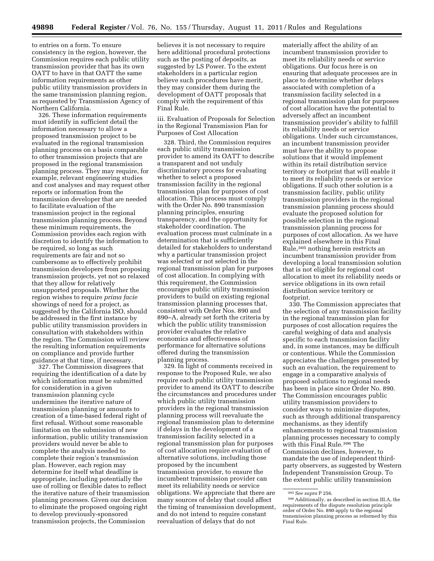to entries on a form. To ensure consistency in the region, however, the Commission requires each public utility transmission provider that has its own OATT to have in that OATT the same information requirements as other public utility transmission providers in the same transmission planning region, as requested by Transmission Agency of Northern California.

326. These information requirements must identify in sufficient detail the information necessary to allow a proposed transmission project to be evaluated in the regional transmission planning process on a basis comparable to other transmission projects that are proposed in the regional transmission planning process. They may require, for example, relevant engineering studies and cost analyses and may request other reports or information from the transmission developer that are needed to facilitate evaluation of the transmission project in the regional transmission planning process. Beyond these minimum requirements, the Commission provides each region with discretion to identify the information to be required, so long as such requirements are fair and not so cumbersome as to effectively prohibit transmission developers from proposing transmission projects, yet not so relaxed that they allow for relatively unsupported proposals. Whether the region wishes to require *prima facie*  showings of need for a project, as suggested by the California ISO, should be addressed in the first instance by public utility transmission providers in consultation with stakeholders within the region. The Commission will review the resulting information requirements on compliance and provide further guidance at that time, if necessary.

327. The Commission disagrees that requiring the identification of a date by which information must be submitted for consideration in a given transmission planning cycle undermines the iterative nature of transmission planning or amounts to creation of a time-based federal right of first refusal. Without some reasonable limitation on the submission of new information, public utility transmission providers would never be able to complete the analysis needed to complete their region's transmission plan. However, each region may determine for itself what deadline is appropriate, including potentially the use of rolling or flexible dates to reflect the iterative nature of their transmission planning processes. Given our decision to eliminate the proposed ongoing right to develop previously-sponsored transmission projects, the Commission

believes it is not necessary to require here additional procedural protections such as the posting of deposits, as suggested by LS Power. To the extent stakeholders in a particular region believe such procedures have merit, they may consider them during the development of OATT proposals that comply with the requirement of this Final Rule.

iii. Evaluation of Proposals for Selection in the Regional Transmission Plan for Purposes of Cost Allocation

328. Third, the Commission requires each public utility transmission provider to amend its OATT to describe a transparent and not unduly discriminatory process for evaluating whether to select a proposed transmission facility in the regional transmission plan for purposes of cost allocation. This process must comply with the Order No. 890 transmission planning principles, ensuring transparency, and the opportunity for stakeholder coordination. The evaluation process must culminate in a determination that is sufficiently detailed for stakeholders to understand why a particular transmission project was selected or not selected in the regional transmission plan for purposes of cost allocation. In complying with this requirement, the Commission encourages public utility transmission providers to build on existing regional transmission planning processes that, consistent with Order Nos. 890 and 890–A, already set forth the criteria by which the public utility transmission provider evaluates the relative economics and effectiveness of performance for alternative solutions offered during the transmission planning process.

329. In light of comments received in response to the Proposed Rule, we also require each public utility transmission provider to amend its OATT to describe the circumstances and procedures under which public utility transmission providers in the regional transmission planning process will reevaluate the regional transmission plan to determine if delays in the development of a transmission facility selected in a regional transmission plan for purposes of cost allocation require evaluation of alternative solutions, including those proposed by the incumbent transmission provider, to ensure the incumbent transmission provider can meet its reliability needs or service obligations. We appreciate that there are many sources of delay that could affect the timing of transmission development, and do not intend to require constant reevaluation of delays that do not

materially affect the ability of an incumbent transmission provider to meet its reliability needs or service obligations. Our focus here is on ensuring that adequate processes are in place to determine whether delays associated with completion of a transmission facility selected in a regional transmission plan for purposes of cost allocation have the potential to adversely affect an incumbent transmission provider's ability to fulfill its reliability needs or service obligations. Under such circumstances, an incumbent transmission provider must have the ability to propose solutions that it would implement within its retail distribution service territory or footprint that will enable it to meet its reliability needs or service obligations. If such other solution is a transmission facility, public utility transmission providers in the regional transmission planning process should evaluate the proposed solution for possible selection in the regional transmission planning process for purposes of cost allocation. As we have explained elsewhere in this Final Rule,305 nothing herein restricts an incumbent transmission provider from developing a local transmission solution that is not eligible for regional cost allocation to meet its reliability needs or service obligations in its own retail distribution service territory or footprint.

330. The Commission appreciates that the selection of any transmission facility in the regional transmission plan for purposes of cost allocation requires the careful weighing of data and analysis specific to each transmission facility and, in some instances, may be difficult or contentious. While the Commission appreciates the challenges presented by such an evaluation, the requirement to engage in a comparative analysis of proposed solutions to regional needs has been in place since Order No. 890. The Commission encourages public utility transmission providers to consider ways to minimize disputes, such as through additional transparency mechanisms, as they identify enhancements to regional transmission planning processes necessary to comply with this Final Rule.306 The Commission declines, however, to mandate the use of independent thirdparty observers, as suggested by Western Independent Transmission Group. To the extent public utility transmission

<sup>305</sup>*See supra* P 256. 306Additionally, as described in section III.A, the requirements of the dispute resolution principle order of Order No. 890 apply to the regional transmission planning process as reformed by this Final Rule.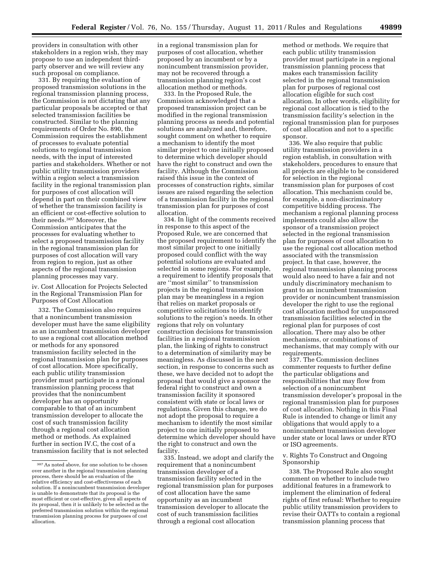providers in consultation with other stakeholders in a region wish, they may propose to use an independent thirdparty observer and we will review any such proposal on compliance.

331. By requiring the evaluation of proposed transmission solutions in the regional transmission planning process, the Commission is not dictating that any particular proposals be accepted or that selected transmission facilities be constructed. Similar to the planning requirements of Order No. 890, the Commission requires the establishment of processes to evaluate potential solutions to regional transmission needs, with the input of interested parties and stakeholders. Whether or not public utility transmission providers within a region select a transmission facility in the regional transmission plan for purposes of cost allocation will depend in part on their combined view of whether the transmission facility is an efficient or cost-effective solution to their needs.307 Moreover, the Commission anticipates that the processes for evaluating whether to select a proposed transmission facility in the regional transmission plan for purposes of cost allocation will vary from region to region, just as other aspects of the regional transmission planning processes may vary.

iv. Cost Allocation for Projects Selected in the Regional Transmission Plan for Purposes of Cost Allocation

332. The Commission also requires that a nonincumbent transmission developer must have the same eligibility as an incumbent transmission developer to use a regional cost allocation method or methods for any sponsored transmission facility selected in the regional transmission plan for purposes of cost allocation. More specifically, each public utility transmission provider must participate in a regional transmission planning process that provides that the nonincumbent developer has an opportunity comparable to that of an incumbent transmission developer to allocate the cost of such transmission facility through a regional cost allocation method or methods. As explained further in section IV.C, the cost of a transmission facility that is not selected

in a regional transmission plan for purposes of cost allocation, whether proposed by an incumbent or by a nonincumbent transmission provider, may not be recovered through a transmission planning region's cost allocation method or methods.

333. In the Proposed Rule, the Commission acknowledged that a proposed transmission project can be modified in the regional transmission planning process as needs and potential solutions are analyzed and, therefore, sought comment on whether to require a mechanism to identify the most similar project to one initially proposed to determine which developer should have the right to construct and own the facility. Although the Commission raised this issue in the context of processes of construction rights, similar issues are raised regarding the selection of a transmission facility in the regional transmission plan for purposes of cost allocation.

334. In light of the comments received in response to this aspect of the Proposed Rule, we are concerned that the proposed requirement to identify the most similar project to one initially proposed could conflict with the way potential solutions are evaluated and selected in some regions. For example, a requirement to identify proposals that are ''most similar'' to transmission projects in the regional transmission plan may be meaningless in a region that relies on market proposals or competitive solicitations to identify solutions to the region's needs. In other regions that rely on voluntary construction decisions for transmission facilities in a regional transmission plan, the linking of rights to construct to a determination of similarity may be meaningless. As discussed in the next section, in response to concerns such as these, we have decided not to adopt the proposal that would give a sponsor the federal right to construct and own a transmission facility it sponsored consistent with state or local laws or regulations. Given this change, we do not adopt the proposal to require a mechanism to identify the most similar project to one initially proposed to determine which developer should have the right to construct and own the facility.

335. Instead, we adopt and clarify the requirement that a nonincumbent transmission developer of a transmission facility selected in the regional transmission plan for purposes of cost allocation have the same opportunity as an incumbent transmission developer to allocate the cost of such transmission facilities through a regional cost allocation

method or methods. We require that each public utility transmission provider must participate in a regional transmission planning process that makes each transmission facility selected in the regional transmission plan for purposes of regional cost allocation eligible for such cost allocation. In other words, eligibility for regional cost allocation is tied to the transmission facility's selection in the regional transmission plan for purposes of cost allocation and not to a specific sponsor.

336. We also require that public utility transmission providers in a region establish, in consultation with stakeholders, procedures to ensure that all projects are eligible to be considered for selection in the regional transmission plan for purposes of cost allocation. This mechanism could be, for example, a non-discriminatory competitive bidding process. The mechanism a regional planning process implements could also allow the sponsor of a transmission project selected in the regional transmission plan for purposes of cost allocation to use the regional cost allocation method associated with the transmission project. In that case, however, the regional transmission planning process would also need to have a fair and not unduly discriminatory mechanism to grant to an incumbent transmission provider or nonincumbent transmission developer the right to use the regional cost allocation method for unsponsored transmission facilities selected in the regional plan for purposes of cost allocation. There may also be other mechanisms, or combinations of mechanisms, that may comply with our requirements.

337. The Commission declines commenter requests to further define the particular obligations and responsibilities that may flow from selection of a nonincumbent transmission developer's proposal in the regional transmission plan for purposes of cost allocation. Nothing in this Final Rule is intended to change or limit any obligations that would apply to a nonincumbent transmission developer under state or local laws or under RTO or ISO agreements.

## v. Rights To Construct and Ongoing Sponsorship

338. The Proposed Rule also sought comment on whether to include two additional features in a framework to implement the elimination of federal rights of first refusal: Whether to require public utility transmission providers to revise their OATTs to contain a regional transmission planning process that

<sup>307</sup>As noted above, for one solution to be chosen over another in the regional transmission planning process, there should be an evaluation of the relative efficiency and cost-effectiveness of each solution. If a nonincumbent transmission developer is unable to demonstrate that its proposal is the most efficient or cost-effective, given all aspects of its proposal, then it is unlikely to be selected as the preferred transmission solution within the regional transmission planning process for purposes of cost allocation.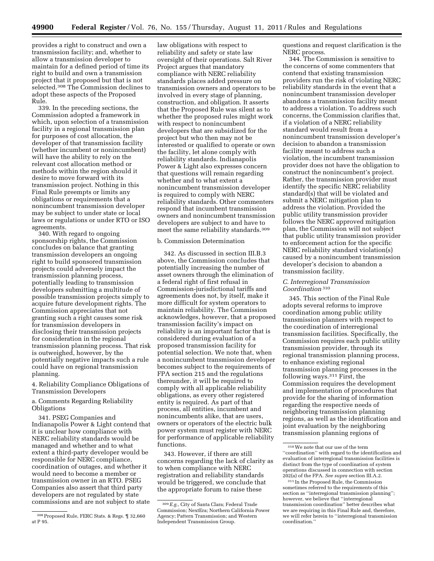provides a right to construct and own a transmission facility; and, whether to allow a transmission developer to maintain for a defined period of time its right to build and own a transmission project that it proposed but that is not selected.308 The Commission declines to adopt these aspects of the Proposed Rule.

339. In the preceding sections, the Commission adopted a framework in which, upon selection of a transmission facility in a regional transmission plan for purposes of cost allocation, the developer of that transmission facility (whether incumbent or nonincumbent) will have the ability to rely on the relevant cost allocation method or methods within the region should it desire to move forward with its transmission project. Nothing in this Final Rule preempts or limits any obligations or requirements that a nonincumbent transmission developer may be subject to under state or local laws or regulations or under RTO or ISO agreements.

340. With regard to ongoing sponsorship rights, the Commission concludes on balance that granting transmission developers an ongoing right to build sponsored transmission projects could adversely impact the transmission planning process, potentially leading to transmission developers submitting a multitude of possible transmission projects simply to acquire future development rights. The Commission appreciates that not granting such a right causes some risk for transmission developers in disclosing their transmission projects for consideration in the regional transmission planning process. That risk is outweighed, however, by the potentially negative impacts such a rule could have on regional transmission planning.

## 4. Reliability Compliance Obligations of Transmission Developers

a. Comments Regarding Reliability Obligations

341. PSEG Companies and Indianapolis Power & Light contend that it is unclear how compliance with NERC reliability standards would be managed and whether and to what extent a third-party developer would be responsible for NERC compliance, coordination of outages, and whether it would need to become a member or transmission owner in an RTO. PSEG Companies also assert that third party developers are not regulated by state commissions and are not subject to state

law obligations with respect to reliability and safety or state law oversight of their operations. Salt River Project argues that mandatory compliance with NERC reliability standards places added pressure on transmission owners and operators to be involved in every stage of planning, construction, and obligation. It asserts that the Proposed Rule was silent as to whether the proposed rules might work with respect to nonincumbent developers that are subsidized for the project but who then may not be interested or qualified to operate or own the facility, let alone comply with reliability standards. Indianapolis Power & Light also expresses concern that questions will remain regarding whether and to what extent a nonincumbent transmission developer is required to comply with NERC reliability standards. Other commenters respond that incumbent transmission owners and nonincumbent transmission developers are subject to and have to meet the same reliability standards.309

# b. Commission Determination

342. As discussed in section III.B.3 above, the Commission concludes that potentially increasing the number of asset owners through the elimination of a federal right of first refusal in Commission-jurisdictional tariffs and agreements does not, by itself, make it more difficult for system operators to maintain reliability. The Commission acknowledges, however, that a proposed transmission facility's impact on reliability is an important factor that is considered during evaluation of a proposed transmission facility for potential selection. We note that, when a nonincumbent transmission developer becomes subject to the requirements of FPA section 215 and the regulations thereunder, it will be required to comply with all applicable reliability obligations, as every other registered entity is required. As part of that process, all entities, incumbent and nonincumbents alike, that are users, owners or operators of the electric bulk power system must register with NERC for performance of applicable reliability functions.

343. However, if there are still concerns regarding the lack of clarity as to when compliance with NERC registration and reliability standards would be triggered, we conclude that the appropriate forum to raise these

questions and request clarification is the NERC process.

344. The Commission is sensitive to the concerns of some commenters that contend that existing transmission providers run the risk of violating NERC reliability standards in the event that a nonincumbent transmission developer abandons a transmission facility meant to address a violation. To address such concerns, the Commission clarifies that, if a violation of a NERC reliability standard would result from a nonincumbent transmission developer's decision to abandon a transmission facility meant to address such a violation, the incumbent transmission provider does not have the obligation to construct the nonincumbent's project. Rather, the transmission provider must identify the specific NERC reliability standard(s) that will be violated and submit a NERC mitigation plan to address the violation. Provided the public utility transmission provider follows the NERC approved mitigation plan, the Commission will not subject that public utility transmission provider to enforcement action for the specific NERC reliability standard violation(s) caused by a nonincumbent transmission developer's decision to abandon a transmission facility.

## *C. Interregional Transmission Coordination* 310

345. This section of the Final Rule adopts several reforms to improve coordination among public utility transmission planners with respect to the coordination of interregional transmission facilities. Specifically, the Commission requires each public utility transmission provider, through its regional transmission planning process, to enhance existing regional transmission planning processes in the following ways.311 First, the Commission requires the development and implementation of procedures that provide for the sharing of information regarding the respective needs of neighboring transmission planning regions, as well as the identification and joint evaluation by the neighboring transmission planning regions of

<sup>308</sup>Proposed Rule, FERC Stats. & Regs. ¶ 32,660 at P 95.

<sup>309</sup>*E.g.,* City of Santa Clara; Federal Trade Commission; NextEra; Northern California Power Agency; Pattern Transmission; and Western Independent Transmission Group.

<sup>310</sup>We note that our use of the term ''coordination'' with regard to the identification and evaluation of interregional transmission facilities is distinct from the type of coordination of system operations discussed in connection with section 202(a) of the FPA. *See supra* section III.A.2.

<sup>311</sup> In the Proposed Rule, the Commission sometimes referred to the requirements of this section as ''interregional transmission planning''; however, we believe that ''interregional transmission coordination'' better describes what we are requiring in this Final Rule and, therefore, we will refer herein to ''interregional transmission coordination.''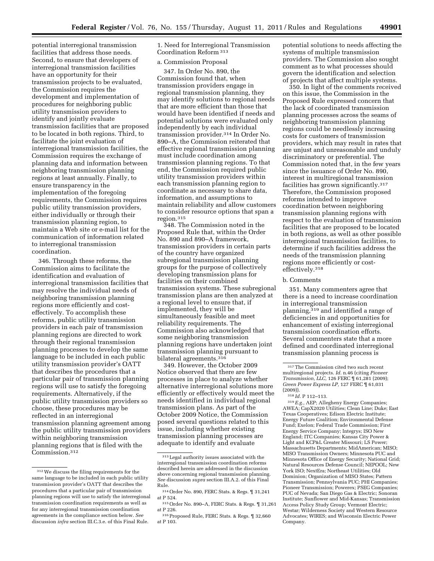potential interregional transmission facilities that address those needs. Second, to ensure that developers of interregional transmission facilities have an opportunity for their transmission projects to be evaluated, the Commission requires the development and implementation of procedures for neighboring public utility transmission providers to identify and jointly evaluate transmission facilities that are proposed to be located in both regions. Third, to facilitate the joint evaluation of interregional transmission facilities, the Commission requires the exchange of planning data and information between neighboring transmission planning regions at least annually. Finally, to ensure transparency in the implementation of the foregoing requirements, the Commission requires public utility transmission providers, either individually or through their transmission planning region, to maintain a Web site or e-mail list for the communication of information related to interregional transmission coordination.

346. Through these reforms, the Commission aims to facilitate the identification and evaluation of interregional transmission facilities that may resolve the individual needs of neighboring transmission planning regions more efficiently and costeffectively. To accomplish these reforms, public utility transmission providers in each pair of transmission planning regions are directed to work through their regional transmission planning processes to develop the same language to be included in each public utility transmission provider's OATT that describes the procedures that a particular pair of transmission planning regions will use to satisfy the foregoing requirements. Alternatively, if the public utility transmission providers so choose, these procedures may be reflected in an interregional transmission planning agreement among the public utility transmission providers within neighboring transmission planning regions that is filed with the Commission.312

1. Need for Interregional Transmission Coordination Reform 313

## a. Commission Proposal

347. In Order No. 890, the Commission found that, when transmission providers engage in regional transmission planning, they may identify solutions to regional needs that are more efficient than those that would have been identified if needs and potential solutions were evaluated only independently by each individual transmission provider.314 In Order No. 890–A, the Commission reiterated that effective regional transmission planning must include coordination among transmission planning regions. To that end, the Commission required public utility transmission providers within each transmission planning region to coordinate as necessary to share data, information, and assumptions to maintain reliability and allow customers to consider resource options that span a region.315

348. The Commission noted in the Proposed Rule that, within the Order No. 890 and 890–A framework, transmission providers in certain parts of the country have organized subregional transmission planning groups for the purpose of collectively developing transmission plans for facilities on their combined transmission systems. These subregional transmission plans are then analyzed at a regional level to ensure that, if implemented, they will be simultaneously feasible and meet reliability requirements. The Commission also acknowledged that some neighboring transmission planning regions have undertaken joint transmission planning pursuant to bilateral agreements.316

349. However, the October 2009 Notice observed that there are few processes in place to analyze whether alternative interregional solutions more efficiently or effectively would meet the needs identified in individual regional transmission plans. As part of the October 2009 Notice, the Commission posed several questions related to this issue, including whether existing transmission planning processes are adequate to identify and evaluate

potential solutions to needs affecting the systems of multiple transmission providers. The Commission also sought comment as to what processes should govern the identification and selection of projects that affect multiple systems.

350. In light of the comments received on this issue, the Commission in the Proposed Rule expressed concern that the lack of coordinated transmission planning processes across the seams of neighboring transmission planning regions could be needlessly increasing costs for customers of transmission providers, which may result in rates that are unjust and unreasonable and unduly discriminatory or preferential. The Commission noted that, in the few years since the issuance of Order No. 890, interest in multiregional transmission facilities has grown significantly.317 Therefore, the Commission proposed reforms intended to improve coordination between neighboring transmission planning regions with respect to the evaluation of transmission facilities that are proposed to be located in both regions, as well as other possible interregional transmission facilities, to determine if such facilities address the needs of the transmission planning regions more efficiently or costeffectively.318

## b. Comments

351. Many commenters agree that there is a need to increase coordination in interregional transmission planning,319 and identified a range of deficiencies in and opportunities for enhancement of existing interregional transmission coordination efforts. Several commenters state that a more defined and coordinated interregional transmission planning process is

319*E.g.,* AEP; Allegheny Energy Companies; AWEA; CapX2020 Utilities; Clean Line; Duke; East Texas Cooperatives; Edison Electric Institute; Energy Future Coalition; Environmental Defense Fund; Exelon; Federal Trade Commission; First Energy Service Company; Integrys; ISO New England; ITC Companies; Kansas City Power & Light and KCP&L Greater Missouri; LS Power; Massachusetts Departments; MidAmerican; MISO; MISO Transmission Owners; Minnesota PUC and Minnesota Office of Energy Security; National Grid; Natural Resources Defense Council; NEPOOL; New York ISO; NextEra; Northeast Utilities; Old Dominion; Organization of MISO States; Pattern Transmission; Pennsylvania PUC; PHI Companies; Pioneer Transmission; Powerex; PSEG Companies; PUC of Nevada; San Diego Gas & Electric; Sonoran Institute; Sunflower and Mid-Kansas; Transmission Access Policy Study Group; Vermont Electric; Westar; Wilderness Society and Western Resource Advocates; WIRES; and Wisconsin Electric Power Company.

<sup>312</sup>We discuss the filing requirements for the same language to be included in each public utility transmission provider's OATT that describes the procedures that a particular pair of transmission planning regions will use to satisfy the interregional transmission coordination requirements as well as for any interregional transmission coordination agreements in the compliance section below. *See*  discussion *infra* section III.C.3.e. of this Final Rule.

 $^{\rm 313}\!\, {\rm Legal}$  authority issues associated with the interregional transmission coordination reforms described herein are addressed in the discussion above concerning regional transmission planning. *See* discussion *supra* section III.A.2. of this Final Rule.

<sup>314</sup>Order No. 890, FERC Stats. & Regs. ¶ 31,241 at P 524.

<sup>315</sup>Order No. 890–A, FERC Stats. & Regs. ¶ 31,261 at P 226.

<sup>316</sup>Proposed Rule, FERC Stats. & Regs. ¶ 32,660 at P 103.

 $^{\rm 317}\rm{The}$  Commission cited two such recent multiregional projects. *Id.* n.46 (citing *Pioneer Transmission, LLC,* 126 FERC ¶ 61,281 (2009); *Green Power Express LP,* 127 FERC ¶ 61,031 (2009)).

<sup>318</sup> *Id.* P 112–113.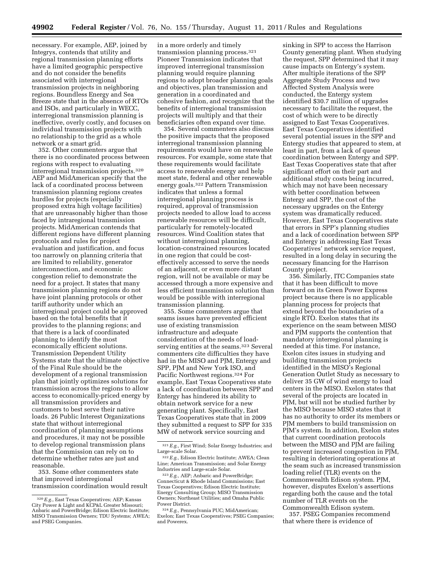necessary. For example, AEP, joined by Integrys, contends that utility and regional transmission planning efforts have a limited geographic perspective and do not consider the benefits associated with interregional transmission projects in neighboring regions. Boundless Energy and Sea Breeze state that in the absence of RTOs and ISOs, and particularly in WECC, interregional transmission planning is ineffective, overly costly, and focuses on individual transmission projects with no relationship to the grid as a whole network or a smart grid.

352. Other commenters argue that there is no coordinated process between regions with respect to evaluating interregional transmission projects.320 AEP and MidAmerican specify that the lack of a coordinated process between transmission planning regions creates hurdles for projects (especially proposed extra high voltage facilities) that are unreasonably higher than those faced by intraregional transmission projects. MidAmerican contends that different regions have different planning protocols and rules for project evaluation and justification, and focus too narrowly on planning criteria that are limited to reliability, generator interconnection, and economic congestion relief to demonstrate the need for a project. It states that many transmission planning regions do not have joint planning protocols or other tariff authority under which an interregional project could be approved based on the total benefits that it provides to the planning regions; and that there is a lack of coordinated planning to identify the most economically efficient solutions. Transmission Dependent Utility Systems state that the ultimate objective of the Final Rule should be the development of a regional transmission plan that jointly optimizes solutions for transmission across the regions to allow access to economically-priced energy by all transmission providers and customers to best serve their native loads. 26 Public Interest Organizations state that without interregional coordination of planning assumptions and procedures, it may not be possible to develop regional transmission plans that the Commission can rely on to determine whether rates are just and reasonable.

353. Some other commenters state that improved interregional transmission coordination would result in a more orderly and timely transmission planning process.321 Pioneer Transmission indicates that improved interregional transmission planning would require planning regions to adopt broader planning goals and objectives, plan transmission and generation in a coordinated and cohesive fashion, and recognize that the benefits of interregional transmission projects will multiply and that their beneficiaries often expand over time.

354. Several commenters also discuss the positive impacts that the proposed interregional transmission planning requirements would have on renewable resources. For example, some state that these requirements would facilitate access to renewable energy and help meet state, federal and other renewable energy goals.322 Pattern Transmission indicates that unless a formal interregional planning process is required, approval of transmission projects needed to allow load to access renewable resources will be difficult, particularly for remotely-located resources. Wind Coalition states that without interregional planning, location-constrained resources located in one region that could be costeffectively accessed to serve the needs of an adjacent, or even more distant region, will not be available or may be accessed through a more expensive and less efficient transmission solution than would be possible with interregional transmission planning.

355. Some commenters argue that seams issues have prevented efficient use of existing transmission infrastructure and adequate consideration of the needs of loadserving entities at the seams.<sup>323</sup> Several commenters cite difficulties they have had in the MISO and PJM, Entergy and SPP, PJM and New York ISO, and Pacific Northwest regions.324 For example, East Texas Cooperatives state a lack of coordination between SPP and Entergy has hindered its ability to obtain network service for a new generating plant. Specifically, East Texas Cooperatives state that in 2009 they submitted a request to SPP for 335 MW of network service sourcing and

sinking in SPP to access the Harrison County generating plant. When studying the request, SPP determined that it may cause impacts on Entergy's system. After multiple iterations of the SPP Aggregate Study Process and two Affected System Analysis were conducted, the Entergy system identified \$30.7 million of upgrades necessary to facilitate the request, the cost of which were to be directly assigned to East Texas Cooperatives. East Texas Cooperatives identified several potential issues in the SPP and Entergy studies that appeared to stem, at least in part, from a lack of queue coordination between Entergy and SPP. East Texas Cooperatives state that after significant effort on their part and additional study costs being incurred, which may not have been necessary with better coordination between Entergy and SPP, the cost of the necessary upgrades on the Entergy system was dramatically reduced. However, East Texas Cooperatives state that errors in SPP's planning studies and a lack of coordination between SPP and Entergy in addressing East Texas Cooperatives' network service request, resulted in a long delay in securing the necessary financing for the Harrison County project.

356. Similarly, ITC Companies state that it has been difficult to move forward on its Green Power Express project because there is no applicable planning process for projects that extend beyond the boundaries of a single RTO. Exelon states that its experience on the seam between MISO and PJM supports the contention that mandatory interregional planning is needed at this time. For instance, Exelon cites issues in studying and building transmission projects identified in the MISO's Regional Generation Outlet Study as necessary to deliver 35 GW of wind energy to load centers in the MISO. Exelon states that several of the projects are located in PJM, but will not be studied further by the MISO because MISO states that it has no authority to order its members or PJM members to build transmission on PJM's system. In addition, Exelon states that current coordination protocols between the MISO and PJM are failing to prevent increased congestion in PJM, resulting in deteriorating operations at the seam such as increased transmission loading relief (TLR) events on the Commonwealth Edison system. PJM, however, disputes Exelon's assertions regarding both the cause and the total number of TLR events on the Commonwealth Edison system.

357. PSEG Companies recommend that where there is evidence of

<sup>320</sup>*E.g.,* East Texas Cooperatives; AEP; Kansas City Power & Light and KCP&L Greater Missouri; Anbaric and PowerBridge; Edison Electric Institute; MISO Transmission Owners; TDU Systems; AWEA; and PSEG Companies.

<sup>321</sup>*E.g.,* First Wind; Solar Energy Industries; and Large-scale Solar.

<sup>322</sup>*E.g.,* Edison Electric Institute; AWEA; Clean Line; American Transmission; and Solar Energy Industries and Large-scale Solar.

<sup>323</sup>*E.g.,* AEP; Anbaric and PowerBridge; Connecticut & Rhode Island Commissions; East Texas Cooperatives; Edison Electric Institute; Energy Consulting Group; MISO Transmission Owners; Northeast Utilities; and Omaha Public Power District.

<sup>324</sup>*E.g.,* Pennsylvania PUC; MidAmerican; Exelon; East Texas Cooperatives; PSEG Companies; and Powerex.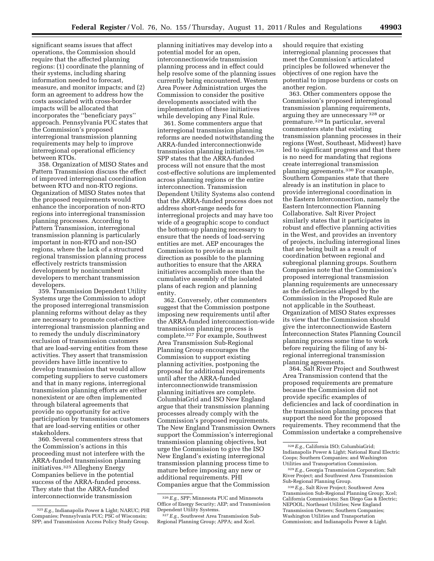significant seams issues that affect operations, the Commission should require that the affected planning regions: (1) coordinate the planning of their systems, including sharing information needed to forecast, measure, and monitor impacts; and (2) form an agreement to address how the costs associated with cross-border impacts will be allocated that incorporates the ''beneficiary pays'' approach. Pennsylvania PUC states that the Commission's proposed interregional transmission planning requirements may help to improve interregional operational efficiency between RTOs.

358. Organization of MISO States and Pattern Transmission discuss the effect of improved interregional coordination between RTO and non-RTO regions. Organization of MISO States notes that the proposed requirements would enhance the incorporation of non-RTO regions into interregional transmission planning processes. According to Pattern Transmission, interregional transmission planning is particularly important in non-RTO and non-ISO regions, where the lack of a structured regional transmission planning process effectively restricts transmission development by nonincumbent developers to merchant transmission developers.

359. Transmission Dependent Utility Systems urge the Commission to adopt the proposed interregional transmission planning reforms without delay as they are necessary to promote cost-effective interregional transmission planning and to remedy the unduly discriminatory exclusion of transmission customers that are load-serving entities from these activities. They assert that transmission providers have little incentive to develop transmission that would allow competing suppliers to serve customers and that in many regions, interregional transmission planning efforts are either nonexistent or are often implemented through bilateral agreements that provide no opportunity for active participation by transmission customers that are load-serving entities or other stakeholders.

360. Several commenters stress that the Commission's actions in this proceeding must not interfere with the ARRA-funded transmission planning initiatives.325 Allegheny Energy Companies believe in the potential success of the ARRA-funded process. They state that the ARRA-funded interconnectionwide transmission

planning initiatives may develop into a potential model for an open, interconnectionwide transmission planning process and in effect could help resolve some of the planning issues currently being encountered. Western Area Power Administration urges the Commission to consider the positive developments associated with the implementation of these initiatives while developing any Final Rule.

361. Some commenters argue that interregional transmission planning reforms are needed notwithstanding the ARRA-funded interconnectionwide transmission planning initiatives.326 SPP states that the ARRA-funded process will not ensure that the most cost-effective solutions are implemented across planning regions or the entire interconnection. Transmission Dependent Utility Systems also contend that the ARRA-funded process does not address short-range needs for interregional projects and may have too wide of a geographic scope to conduct the bottom-up planning necessary to ensure that the needs of load-serving entities are met. AEP encourages the Commission to provide as much direction as possible to the planning authorities to ensure that the ARRA initiatives accomplish more than the cumulative assembly of the isolated plans of each region and planning entity.

362. Conversely, other commenters suggest that the Commission postpone imposing new requirements until after the ARRA-funded interconnection-wide transmission planning process is complete.327 For example, Southwest Area Transmission Sub-Regional Planning Group encourages the Commission to support existing planning activities, postponing the proposal for additional requirements until after the ARRA-funded interconnectionwide transmission planning initiatives are complete. ColumbiaGrid and ISO New England argue that their transmission planning processes already comply with the Commission's proposed requirements. The New England Transmission Owners support the Commission's interregional transmission planning objectives, but urge the Commission to give the ISO New England's existing interregional transmission planning process time to mature before imposing any new or additional requirements. PHI Companies argue that the Commission

should require that existing interregional planning processes that meet the Commission's articulated principles be followed whenever the objectives of one region have the potential to impose burdens or costs on another region.

363. Other commenters oppose the Commission's proposed interregional transmission planning requirements, arguing they are unnecessary 328 or premature.<sup>329</sup> In particular, several commenters state that existing transmission planning processes in their regions (West, Southeast, Midwest) have led to significant progress and that there is no need for mandating that regions create interregional transmission planning agreements.330 For example, Southern Companies state that there already is an institution in place to provide interregional coordination in the Eastern Interconnection, namely the Eastern Interconnection Planning Collaborative. Salt River Project similarly states that it participates in robust and effective planning activities in the West, and provides an inventory of projects, including interregional lines that are being built as a result of coordination between regional and subregional planning groups. Southern Companies note that the Commission's proposed interregional transmission planning requirements are unnecessary as the deficiencies alleged by the Commission in the Proposed Rule are not applicable in the Southeast. Organization of MISO States expresses its view that the Commission should give the interconnectionwide Eastern Interconnection States Planning Council planning process some time to work before requiring the filing of any biregional interregional transmission planning agreements.

364. Salt River Project and Southwest Area Transmission contend that the proposed requirements are premature because the Commission did not provide specific examples of deficiencies and lack of coordination in the transmission planning process that support the need for the proposed requirements. They recommend that the Commission undertake a comprehensive

<sup>325</sup>*E.g.,* Indianapolis Power & Light; NARUC; PHI Companies; Pennsylvania PUC; PSC of Wisconsin; SPP; and Transmission Access Policy Study Group.

<sup>326</sup>*E.g.,* SPP; Minnesota PUC and Minnesota Office of Energy Security; AEP; and Transmission Dependent Utility Systems.

<sup>327</sup>*E.g.,* Southwest Area Transmission Sub-Regional Planning Group; APPA; and Xcel.

<sup>328</sup>*E.g.,* California ISO; ColumbiaGrid; Indianapolis Power & Light; National Rural Electric Coops; Southern Companies; and Washington Utilities and Transportation Commission.

<sup>329</sup>*E.g.,* Georgia Transmission Corporation; Salt River Project; and Southwest Area Transmission Sub-Regional Planning Group.

<sup>330</sup>*E.g.,* Salt River Project; Southwest Area Transmission Sub-Regional Planning Group; Xcel; California Commissions; San Diego Gas & Electric; NEPOOL; Northeast Utilities; New England Transmission Owners; Southern Companies; Washington Utilities and Transportation Commission; and Indianapolis Power & Light.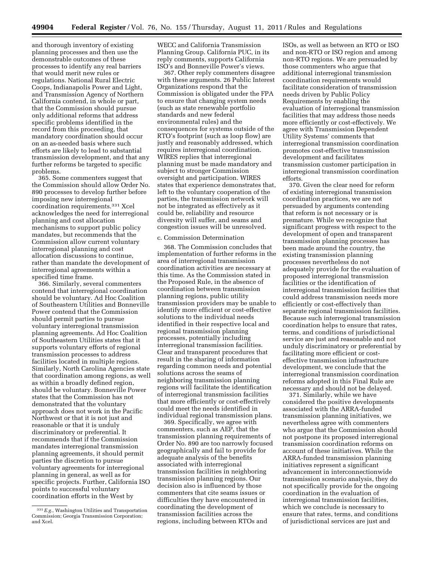and thorough inventory of existing planning processes and then use the demonstrable outcomes of these processes to identify any real barriers that would merit new rules or regulations. National Rural Electric Coops, Indianapolis Power and Light, and Transmission Agency of Northern California contend, in whole or part, that the Commission should pursue only additional reforms that address specific problems identified in the record from this proceeding, that mandatory coordination should occur on an as-needed basis where such efforts are likely to lead to substantial transmission development, and that any further reforms be targeted to specific problems.

365. Some commenters suggest that the Commission should allow Order No. 890 processes to develop further before imposing new interregional coordination requirements.331 Xcel acknowledges the need for interregional planning and cost allocation mechanisms to support public policy mandates, but recommends that the Commission allow current voluntary interregional planning and cost allocation discussions to continue, rather than mandate the development of interregional agreements within a specified time frame.

366. Similarly, several commenters contend that interregional coordination should be voluntary. Ad Hoc Coalition of Southeastern Utilities and Bonneville Power contend that the Commission should permit parties to pursue voluntary interregional transmission planning agreements. Ad Hoc Coalition of Southeastern Utilities states that it supports voluntary efforts of regional transmission processes to address facilities located in multiple regions. Similarly, North Carolina Agencies state that coordination among regions, as well as within a broadly defined region, should be voluntary. Bonneville Power states that the Commission has not demonstrated that the voluntary approach does not work in the Pacific Northwest or that it is not just and reasonable or that it is unduly discriminatory or preferential. It recommends that if the Commission mandates interregional transmission planning agreements, it should permit parties the discretion to pursue voluntary agreements for interregional planning in general, as well as for specific projects. Further, California ISO points to successful voluntary coordination efforts in the West by

WECC and California Transmission Planning Group. California PUC, in its reply comments, supports California ISO's and Bonneville Power's views.

367. Other reply commenters disagree with these arguments. 26 Public Interest Organizations respond that the Commission is obligated under the FPA to ensure that changing system needs (such as state renewable portfolio standards and new federal environmental rules) and the consequences for systems outside of the RTO's footprint (such as loop flow) are justly and reasonably addressed, which requires interregional coordination. WIRES replies that interregional planning must be made mandatory and subject to stronger Commission oversight and participation. WIRES states that experience demonstrates that, left to the voluntary cooperation of the parties, the transmission network will not be integrated as effectively as it could be, reliability and resource diversity will suffer, and seams and congestion issues will be unresolved.

### c. Commission Determination

368. The Commission concludes that implementation of further reforms in the area of interregional transmission coordination activities are necessary at this time. As the Commission stated in the Proposed Rule, in the absence of coordination between transmission planning regions, public utility transmission providers may be unable to identify more efficient or cost-effective solutions to the individual needs identified in their respective local and regional transmission planning processes, potentially including interregional transmission facilities. Clear and transparent procedures that result in the sharing of information regarding common needs and potential solutions across the seams of neighboring transmission planning regions will facilitate the identification of interregional transmission facilities that more efficiently or cost-effectively could meet the needs identified in individual regional transmission plans.

369. Specifically, we agree with commenters, such as AEP, that the transmission planning requirements of Order No. 890 are too narrowly focused geographically and fail to provide for adequate analysis of the benefits associated with interregional transmission facilities in neighboring transmission planning regions. Our decision also is influenced by those commenters that cite seams issues or difficulties they have encountered in coordinating the development of transmission facilities across the regions, including between RTOs and

ISOs, as well as between an RTO or ISO and non-RTO or ISO region and among non-RTO regions. We are persuaded by those commenters who argue that additional interregional transmission coordination requirements would facilitate consideration of transmission needs driven by Public Policy Requirements by enabling the evaluation of interregional transmission facilities that may address those needs more efficiently or cost-effectively. We agree with Transmission Dependent Utility Systems' comments that interregional transmission coordination promotes cost-effective transmission development and facilitates transmission customer participation in interregional transmission coordination efforts.

370. Given the clear need for reform of existing interregional transmission coordination practices, we are not persuaded by arguments contending that reform is not necessary or is premature. While we recognize that significant progress with respect to the development of open and transparent transmission planning processes has been made around the country, the existing transmission planning processes nevertheless do not adequately provide for the evaluation of proposed interregional transmission facilities or the identification of interregional transmission facilities that could address transmission needs more efficiently or cost-effectively than separate regional transmission facilities. Because such interregional transmission coordination helps to ensure that rates, terms, and conditions of jurisdictional service are just and reasonable and not unduly discriminatory or preferential by facilitating more efficient or costeffective transmission infrastructure development, we conclude that the interregional transmission coordination reforms adopted in this Final Rule are necessary and should not be delayed.

371. Similarly, while we have considered the positive developments associated with the ARRA-funded transmission planning initiatives, we nevertheless agree with commenters who argue that the Commission should not postpone its proposed interregional transmission coordination reforms on account of these initiatives. While the ARRA-funded transmission planning initiatives represent a significant advancement in interconnectionwide transmission scenario analysis, they do not specifically provide for the ongoing coordination in the evaluation of interregional transmission facilities, which we conclude is necessary to ensure that rates, terms, and conditions of jurisdictional services are just and

<sup>331</sup>*E.g.*, Washington Utilities and Transportation Commission; Georgia Transmission Corporation; and Xcel.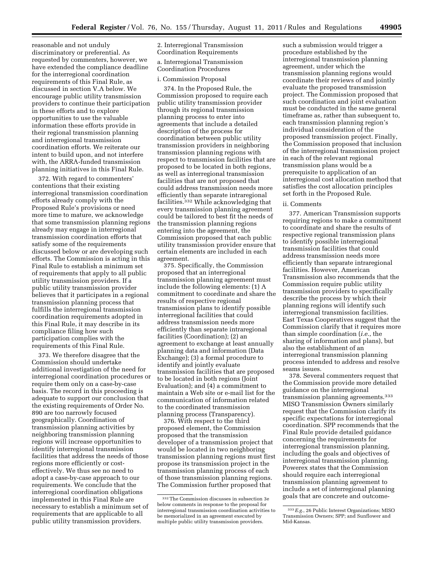reasonable and not unduly discriminatory or preferential. As requested by commenters, however, we have extended the compliance deadline for the interregional coordination requirements of this Final Rule, as discussed in section V.A below. We encourage public utility transmission providers to continue their participation in these efforts and to explore opportunities to use the valuable information these efforts provide in their regional transmission planning and interregional transmission coordination efforts. We reiterate our intent to build upon, and not interfere with, the ARRA-funded transmission planning initiatives in this Final Rule.

372. With regard to commenters' contentions that their existing interregional transmission coordination efforts already comply with the Proposed Rule's provisions or need more time to mature, we acknowledge that some transmission planning regions already may engage in interregional transmission coordination efforts that satisfy some of the requirements discussed below or are developing such efforts. The Commission is acting in this Final Rule to establish a minimum set of requirements that apply to all public utility transmission providers. If a public utility transmission provider believes that it participates in a regional transmission planning process that fulfills the interregional transmission coordination requirements adopted in this Final Rule, it may describe in its compliance filing how such participation complies with the requirements of this Final Rule.

373. We therefore disagree that the Commission should undertake additional investigation of the need for interregional coordination procedures or require them only on a case-by-case basis. The record in this proceeding is adequate to support our conclusion that the existing requirements of Order No. 890 are too narrowly focused geographically. Coordination of transmission planning activities by neighboring transmission planning regions will increase opportunities to identify interregional transmission facilities that address the needs of those regions more efficiently or costeffectively. We thus see no need to adopt a case-by-case approach to our requirements. We conclude that the interregional coordination obligations implemented in this Final Rule are necessary to establish a minimum set of requirements that are applicable to all public utility transmission providers.

2. Interregional Transmission Coordination Requirements

#### a. Interregional Transmission Coordination Procedures

#### i. Commission Proposal

374. In the Proposed Rule, the Commission proposed to require each public utility transmission provider through its regional transmission planning process to enter into agreements that include a detailed description of the process for coordination between public utility transmission providers in neighboring transmission planning regions with respect to transmission facilities that are proposed to be located in both regions, as well as interregional transmission facilities that are not proposed that could address transmission needs more efficiently than separate intraregional facilities.332 While acknowledging that every transmission planning agreement could be tailored to best fit the needs of the transmission planning regions entering into the agreement, the Commission proposed that each public utility transmission provider ensure that certain elements are included in each agreement.

375. Specifically, the Commission proposed that an interregional transmission planning agreement must include the following elements: (1) A commitment to coordinate and share the results of respective regional transmission plans to identify possible interregional facilities that could address transmission needs more efficiently than separate intraregional facilities (Coordination); (2) an agreement to exchange at least annually planning data and information (Data Exchange); (3) a formal procedure to identify and jointly evaluate transmission facilities that are proposed to be located in both regions (Joint Evaluation); and (4) a commitment to maintain a Web site or e-mail list for the communication of information related to the coordinated transmission planning process (Transparency).

376. With respect to the third proposed element, the Commission proposed that the transmission developer of a transmission project that would be located in two neighboring transmission planning regions must first propose its transmission project in the transmission planning process of each of those transmission planning regions. The Commission further proposed that

such a submission would trigger a procedure established by the interregional transmission planning agreement, under which the transmission planning regions would coordinate their reviews of and jointly evaluate the proposed transmission project. The Commission proposed that such coordination and joint evaluation must be conducted in the same general timeframe as, rather than subsequent to, each transmission planning region's individual consideration of the proposed transmission project. Finally, the Commission proposed that inclusion of the interregional transmission project in each of the relevant regional transmission plans would be a prerequisite to application of an interregional cost allocation method that satisfies the cost allocation principles set forth in the Proposed Rule.

#### ii. Comments

377. American Transmission supports requiring regions to make a commitment to coordinate and share the results of respective regional transmission plans to identify possible interregional transmission facilities that could address transmission needs more efficiently than separate intraregional facilities. However, American Transmission also recommends that the Commission require public utility transmission providers to specifically describe the process by which their planning regions will identify such interregional transmission facilities. East Texas Cooperatives suggest that the Commission clarify that it requires more than simple coordination (*i.e.*, the sharing of information and plans), but also the establishment of an interregional transmission planning process intended to address and resolve seams issues.

378. Several commenters request that the Commission provide more detailed guidance on the interregional transmission planning agreements.333 MISO Transmission Owners similarly request that the Commission clarify its specific expectations for interregional coordination. SPP recommends that the Final Rule provide detailed guidance concerning the requirements for interregional transmission planning, including the goals and objectives of interregional transmission planning. Powerex states that the Commission should require each interregional transmission planning agreement to include a set of interregional planning goals that are concrete and outcome-

<sup>332</sup>The Commission discusses in subsection 3e below comments in response to the proposal for interregional transmission coordination activities to be memorialized in an agreement executed by multiple public utility transmission providers.

<sup>333</sup>*E.g.*, 26 Public Interest Organizations; MISO Transmission Owners; SPP; and Sunflower and Mid-Kansas.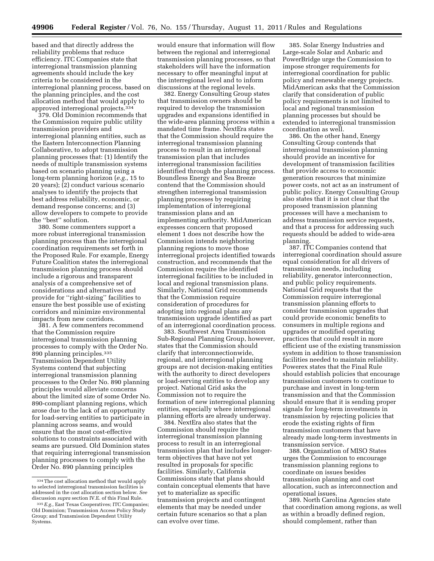based and that directly address the reliability problems that reduce efficiency. ITC Companies state that interregional transmission planning agreements should include the key criteria to be considered in the interregional planning process, based on the planning principles, and the cost allocation method that would apply to approved interregional projects.334

379. Old Dominion recommends that the Commission require public utility transmission providers and interregional planning entities, such as the Eastern Interconnection Planning Collaborative, to adopt transmission planning processes that: (1) Identify the needs of multiple transmission systems based on scenario planning using a long-term planning horizon (*e.g.*, 15 to 20 years); (2) conduct various scenario analyses to identify the projects that best address reliability, economic, or demand response concerns; and (3) allow developers to compete to provide the ''best'' solution.

380. Some commenters support a more robust interregional transmission planning process than the interregional coordination requirements set forth in the Proposed Rule. For example, Energy Future Coalition states the interregional transmission planning process should include a rigorous and transparent analysis of a comprehensive set of considerations and alternatives and provide for ''right-sizing'' facilities to ensure the best possible use of existing corridors and minimize environmental impacts from new corridors.

381. A few commenters recommend that the Commission require interregional transmission planning processes to comply with the Order No. 890 planning principles.335 Transmission Dependent Utility Systems contend that subjecting interregional transmission planning processes to the Order No. 890 planning principles would alleviate concerns about the limited size of some Order No. 890-compliant planning regions, which arose due to the lack of an opportunity for load-serving entities to participate in planning across seams, and would ensure that the most cost-effective solutions to constraints associated with seams are pursued. Old Dominion states that requiring interregional transmission planning processes to comply with the Order No. 890 planning principles

would ensure that information will flow between the regional and interregional transmission planning processes, so that stakeholders will have the information necessary to offer meaningful input at the interregional level and to inform discussions at the regional levels.

382. Energy Consulting Group states that transmission owners should be required to develop the transmission upgrades and expansions identified in the wide-area planning process within a mandated time frame. NextEra states that the Commission should require the interregional transmission planning process to result in an interregional transmission plan that includes interregional transmission facilities identified through the planning process. Boundless Energy and Sea Breeze contend that the Commission should strengthen interregional transmission planning processes by requiring implementation of interregional transmission plans and an implementing authority. MidAmerican expresses concern that proposed element 1 does not describe how the Commission intends neighboring planning regions to move those interregional projects identified towards construction, and recommends that the Commission require the identified interregional facilities to be included in local and regional transmission plans. Similarly, National Grid recommends that the Commission require consideration of procedures for adopting into regional plans any transmission upgrade identified as part of an interregional coordination process.

383. Southwest Area Transmission Sub-Regional Planning Group, however, states that the Commission should clarify that interconnectionwide, regional, and interregional planning groups are not decision-making entities with the authority to direct developers or load-serving entities to develop any project. National Grid asks the Commission not to require the formation of new interregional planning entities, especially where interregional planning efforts are already underway.

384. NextEra also states that the Commission should require the interregional transmission planning process to result in an interregional transmission plan that includes longerterm objectives that have not yet resulted in proposals for specific facilities. Similarly, California Commissions state that plans should contain conceptual elements that have yet to materialize as specific transmission projects and contingent elements that may be needed under certain future scenarios so that a plan can evolve over time.

385. Solar Energy Industries and Large-scale Solar and Anbaric and PowerBridge urge the Commission to impose stronger requirements for interregional coordination for public policy and renewable energy projects. MidAmerican asks that the Commission clarify that consideration of public policy requirements is not limited to local and regional transmission planning processes but should be extended to interregional transmission coordination as well.

386. On the other hand, Energy Consulting Group contends that interregional transmission planning should provide an incentive for development of transmission facilities that provide access to economic generation resources that minimize power costs, not act as an instrument of public policy. Energy Consulting Group also states that it is not clear that the proposed transmission planning processes will have a mechanism to address transmission service requests, and that a process for addressing such requests should be added to wide-area planning.

387. ITC Companies contend that interregional coordination should assure equal consideration for all drivers of transmission needs, including reliability, generator interconnection, and public policy requirements. National Grid requests that the Commission require interregional transmission planning efforts to consider transmission upgrades that could provide economic benefits to consumers in multiple regions and upgrades or modified operating practices that could result in more efficient use of the existing transmission system in addition to those transmission facilities needed to maintain reliability. Powerex states that the Final Rule should establish policies that encourage transmission customers to continue to purchase and invest in long-term transmission and that the Commission should ensure that it is sending proper signals for long-term investments in transmission by rejecting policies that erode the existing rights of firm transmission customers that have already made long-term investments in transmission service.

388. Organization of MISO States urges the Commission to encourage transmission planning regions to coordinate on issues besides transmission planning and cost allocation, such as interconnection and operational issues.

389. North Carolina Agencies state that coordination among regions, as well as within a broadly defined region, should complement, rather than

<sup>334</sup>The cost allocation method that would apply to selected interregional transmission facilities is addressed in the cost allocation section below. *See*  discussion *supra* section IV.E. of this Final Rule.

<sup>335</sup>*E.g.,* East Texas Cooperatives; ITC Companies; Old Dominion; Transmission Access Policy Study Group; and Transmission Dependent Utility Systems.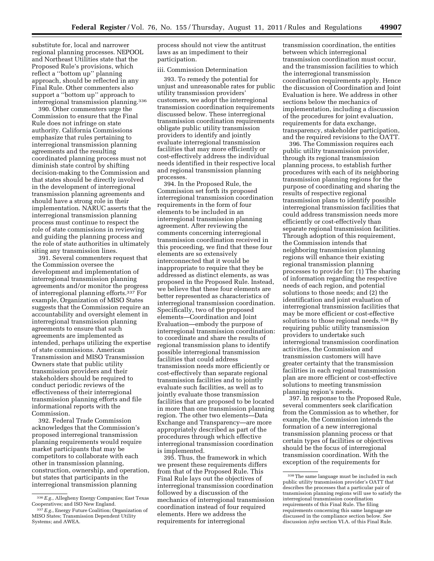substitute for, local and narrower regional planning processes. NEPOOL and Northeast Utilities state that the Proposed Rule's provisions, which reflect a ''bottom up'' planning approach, should be reflected in any Final Rule. Other commenters also support a ''bottom up'' approach to interregional transmission planning.336

390. Other commenters urge the Commission to ensure that the Final Rule does not infringe on state authority. California Commissions emphasize that rules pertaining to interregional transmission planning agreements and the resulting coordinated planning process must not diminish state control by shifting decision-making to the Commission and that states should be directly involved in the development of interregional transmission planning agreements and should have a strong role in their implementation. NARUC asserts that the interregional transmission planning process must continue to respect the role of state commissions in reviewing and guiding the planning process and the role of state authorities in ultimately siting any transmission lines.

391. Several commenters request that the Commission oversee the development and implementation of interregional transmission planning agreements and/or monitor the progress of interregional planning efforts.337 For example, Organization of MISO States suggests that the Commission require an accountability and oversight element in interregional transmission planning agreements to ensure that such agreements are implemented as intended, perhaps utilizing the expertise of state commissions. American Transmission and MISO Transmission Owners state that public utility transmission providers and their stakeholders should be required to conduct periodic reviews of the effectiveness of their interregional transmission planning efforts and file informational reports with the Commission.

392. Federal Trade Commission acknowledges that the Commission's proposed interregional transmission planning requirements would require market participants that may be competitors to collaborate with each other in transmission planning, construction, ownership, and operation, but states that participants in the interregional transmission planning

process should not view the antitrust laws as an impediment to their participation.

# iii. Commission Determination

393. To remedy the potential for unjust and unreasonable rates for public utility transmission providers' customers, we adopt the interregional transmission coordination requirements discussed below. These interregional transmission coordination requirements obligate public utility transmission providers to identify and jointly evaluate interregional transmission facilities that may more efficiently or cost-effectively address the individual needs identified in their respective local and regional transmission planning processes.

394. In the Proposed Rule, the Commission set forth its proposed interregional transmission coordination requirements in the form of four elements to be included in an interregional transmission planning agreement. After reviewing the comments concerning interregional transmission coordination received in this proceeding, we find that these four elements are so extensively interconnected that it would be inappropriate to require that they be addressed as distinct elements, as was proposed in the Proposed Rule. Instead, we believe that these four elements are better represented as characteristics of interregional transmission coordination. Specifically, two of the proposed elements—Coordination and Joint Evaluation—embody the purpose of interregional transmission coordination: to coordinate and share the results of regional transmission plans to identify possible interregional transmission facilities that could address transmission needs more efficiently or cost-effectively than separate regional transmission facilities and to jointly evaluate such facilities, as well as to jointly evaluate those transmission facilities that are proposed to be located in more than one transmission planning region. The other two elements—Data Exchange and Transparency—are more appropriately described as part of the procedures through which effective interregional transmission coordination is implemented.

395. Thus, the framework in which we present these requirements differs from that of the Proposed Rule. This Final Rule lays out the objectives of interregional transmission coordination followed by a discussion of the mechanics of interregional transmission coordination instead of four required elements. Here we address the requirements for interregional

transmission coordination, the entities between which interregional transmission coordination must occur, and the transmission facilities to which the interregional transmission coordination requirements apply. Hence the discussion of Coordination and Joint Evaluation is here. We address in other sections below the mechanics of implementation, including a discussion of the procedures for joint evaluation, requirements for data exchange, transparency, stakeholder participation, and the required revisions to the OATT.

396. The Commission requires each public utility transmission provider, through its regional transmission planning process, to establish further procedures with each of its neighboring transmission planning regions for the purpose of coordinating and sharing the results of respective regional transmission plans to identify possible interregional transmission facilities that could address transmission needs more efficiently or cost-effectively than separate regional transmission facilities. Through adoption of this requirement, the Commission intends that neighboring transmission planning regions will enhance their existing regional transmission planning processes to provide for: (1) The sharing of information regarding the respective needs of each region, and potential solutions to those needs; and (2) the identification and joint evaluation of interregional transmission facilities that may be more efficient or cost-effective solutions to those regional needs.<sup>338</sup> By requiring public utility transmission providers to undertake such interregional transmission coordination activities, the Commission and transmission customers will have greater certainty that the transmission facilities in each regional transmission plan are more efficient or cost-effective solutions to meeting transmission planning region's needs.

397. In response to the Proposed Rule, several commenters seek clarification from the Commission as to whether, for example, the Commission intends the formation of a new interregional transmission planning process or that certain types of facilities or objectives should be the focus of interregional transmission coordination. With the exception of the requirements for

<sup>336</sup>*E.g.*, Allegheny Energy Companies; East Texas Cooperatives; and ISO New England.

<sup>337</sup>*E.g.*, Energy Future Coalition; Organization of MISO States; Transmission Dependent Utility Systems; and AWEA.

<sup>338</sup>The same language must be included in each public utility transmission provider's OATT that describes the processes that a particular pair of transmission planning regions will use to satisfy the interregional transmission coordination requirements of this Final Rule. The filing requirements concerning this same language are discussed in the compliance section below. *See*  discussion *infra* section VI.A. of this Final Rule.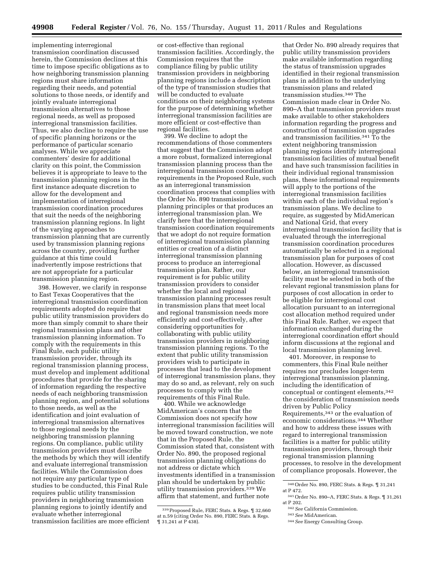implementing interregional transmission coordination discussed herein, the Commission declines at this time to impose specific obligations as to how neighboring transmission planning regions must share information regarding their needs, and potential solutions to those needs, or identify and jointly evaluate interregional transmission alternatives to those regional needs, as well as proposed interregional transmission facilities. Thus, we also decline to require the use of specific planning horizons or the performance of particular scenario analyses. While we appreciate commenters' desire for additional clarity on this point, the Commission believes it is appropriate to leave to the transmission planning regions in the first instance adequate discretion to allow for the development and implementation of interregional transmission coordination procedures that suit the needs of the neighboring transmission planning regions. In light of the varying approaches to transmission planning that are currently used by transmission planning regions across the country, providing further guidance at this time could inadvertently impose restrictions that are not appropriate for a particular transmission planning region.

398. However, we clarify in response to East Texas Cooperatives that the interregional transmission coordination requirements adopted do require that public utility transmission providers do more than simply commit to share their regional transmission plans and other transmission planning information. To comply with the requirements in this Final Rule, each public utility transmission provider, through its regional transmission planning process, must develop and implement additional procedures that provide for the sharing of information regarding the respective needs of each neighboring transmission planning region, and potential solutions to those needs, as well as the identification and joint evaluation of interregional transmission alternatives to those regional needs by the neighboring transmission planning regions. On compliance, public utility transmission providers must describe the methods by which they will identify and evaluate interregional transmission facilities. While the Commission does not require any particular type of studies to be conducted, this Final Rule requires public utility transmission providers in neighboring transmission planning regions to jointly identify and evaluate whether interregional transmission facilities are more efficient

or cost-effective than regional transmission facilities. Accordingly, the Commission requires that the compliance filing by public utility transmission providers in neighboring planning regions include a description of the type of transmission studies that will be conducted to evaluate conditions on their neighboring systems for the purpose of determining whether interregional transmission facilities are more efficient or cost-effective than regional facilities.

399. We decline to adopt the recommendations of those commenters that suggest that the Commission adopt a more robust, formalized interregional transmission planning process than the interregional transmission coordination requirements in the Proposed Rule, such as an interregional transmission coordination process that complies with the Order No. 890 transmission planning principles or that produces an interregional transmission plan. We clarify here that the interregional transmission coordination requirements that we adopt do not require formation of interregional transmission planning entities or creation of a distinct interregional transmission planning process to produce an interregional transmission plan. Rather, our requirement is for public utility transmission providers to consider whether the local and regional transmission planning processes result in transmission plans that meet local and regional transmission needs more efficiently and cost-effectively, after considering opportunities for collaborating with public utility transmission providers in neighboring transmission planning regions. To the extent that public utility transmission providers wish to participate in processes that lead to the development of interregional transmission plans, they may do so and, as relevant, rely on such processes to comply with the requirements of this Final Rule.

400. While we acknowledge MidAmerican's concern that the Commission does not specify how interregional transmission facilities will be moved toward construction, we note that in the Proposed Rule, the Commission stated that, consistent with Order No. 890, the proposed regional transmission planning obligations do not address or dictate which investments identified in a transmission plan should be undertaken by public utility transmission providers.339 We affirm that statement, and further note

that Order No. 890 already requires that public utility transmission providers make available information regarding the status of transmission upgrades identified in their regional transmission plans in addition to the underlying transmission plans and related transmission studies.340 The Commission made clear in Order No. 890–A that transmission providers must make available to other stakeholders information regarding the progress and construction of transmission upgrades and transmission facilities.341 To the extent neighboring transmission planning regions identify interregional transmission facilities of mutual benefit and have such transmission facilities in their individual regional transmission plans, these informational requirements will apply to the portions of the interregional transmission facilities within each of the individual region's transmission plans. We decline to require, as suggested by MidAmerican and National Grid, that every interregional transmission facility that is evaluated through the interregional transmission coordination procedures automatically be selected in a regional transmission plan for purposes of cost allocation. However, as discussed below, an interregional transmission facility must be selected in both of the relevant regional transmission plans for purposes of cost allocation in order to be eligible for interregional cost allocation pursuant to an interregional cost allocation method required under this Final Rule. Rather, we expect that information exchanged during the interregional coordination effort should inform discussions at the regional and local transmission planning level.

401. Moreover, in response to commenters, this Final Rule neither requires nor precludes longer-term interregional transmission planning, including the identification of conceptual or contingent elements,342 the consideration of transmission needs driven by Public Policy Requirements,343 or the evaluation of economic considerations.344 Whether and how to address these issues with regard to interregional transmission facilities is a matter for public utility transmission providers, through their regional transmission planning processes, to resolve in the development of compliance proposals. However, the

<sup>339</sup>Proposed Rule, FERC Stats. & Regs. ¶ 32,660 at n.59 (citing Order No. 890, FERC Stats. & Regs. ¶ 31,241 at P 438).

<sup>340</sup>Order No. 890, FERC Stats. & Regs. ¶ 31,241 at P 472.

<sup>341</sup>Order No. 890–A, FERC Stats. & Regs. ¶ 31,261 at P 202.

<sup>342</sup>*See* California Commission.

<sup>343</sup>*See* MidAmerican.

<sup>344</sup>*See* Energy Consulting Group.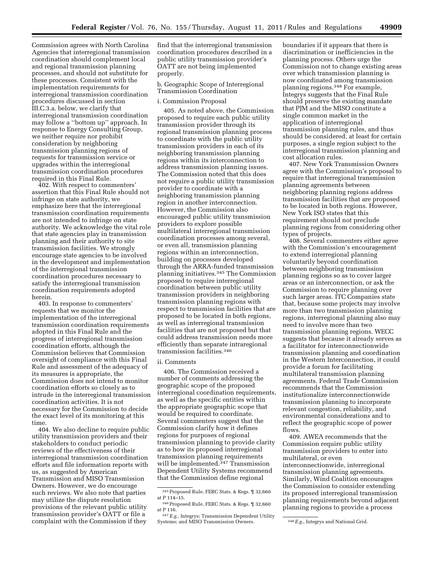Commission agrees with North Carolina Agencies that interregional transmission coordination should complement local and regional transmission planning processes, and should not substitute for these processes. Consistent with the implementation requirements for interregional transmission coordination procedures discussed in section III.C.3.a. below, we clarify that interregional transmission coordination may follow a ''bottom up'' approach. In response to Energy Consulting Group, we neither require nor prohibit consideration by neighboring transmission planning regions of requests for transmission service or upgrades within the interregional transmission coordination procedures required in this Final Rule.

402. With respect to commenters' assertion that this Final Rule should not infringe on state authority, we emphasize here that the interregional transmission coordination requirements are not intended to infringe on state authority. We acknowledge the vital role that state agencies play in transmission planning and their authority to site transmission facilities. We strongly encourage state agencies to be involved in the development and implementation of the interregional transmission coordination procedures necessary to satisfy the interregional transmission coordination requirements adopted herein.

403. In response to commenters' requests that we monitor the implementation of the interregional transmission coordination requirements adopted in this Final Rule and the progress of interregional transmission coordination efforts, although the Commission believes that Commission oversight of compliance with this Final Rule and assessment of the adequacy of its measures is appropriate, the Commission does not intend to monitor coordination efforts so closely as to intrude in the interregional transmission coordination activities. It is not necessary for the Commission to decide the exact level of its monitoring at this time.

404. We also decline to require public utility transmission providers and their stakeholders to conduct periodic reviews of the effectiveness of their interregional transmission coordination efforts and file information reports with us, as suggested by American Transmission and MISO Transmission Owners. However, we do encourage such reviews. We also note that parties may utilize the dispute resolution provisions of the relevant public utility transmission provider's OATT or file a complaint with the Commission if they

find that the interregional transmission coordination procedures described in a public utility transmission provider's OATT are not being implemented properly.

b. Geographic Scope of Interregional Transmission Coordination

i. Commission Proposal

405. As noted above, the Commission proposed to require each public utility transmission provider through its regional transmission planning process to coordinate with the public utility transmission providers in each of its neighboring transmission planning regions within its interconnection to address transmission planning issues. The Commission noted that this does not require a public utility transmission provider to coordinate with a neighboring transmission planning region in another interconnection. However, the Commission also encouraged public utility transmission providers to explore possible multilateral interregional transmission coordination processes among several, or even all, transmission planning regions within an interconnection, building on processes developed through the ARRA-funded transmission planning initiatives.345 The Commission proposed to require interregional coordination between public utility transmission providers in neighboring transmission planning regions with respect to transmission facilities that are proposed to be located in both regions, as well as interregional transmission facilities that are not proposed but that could address transmission needs more efficiently than separate intraregional transmission facilities.346

#### ii. Comments

406. The Commission received a number of comments addressing the geographic scope of the proposed interregional coordination requirements, as well as the specific entities within the appropriate geographic scope that would be required to coordinate. Several commenters suggest that the Commission clarify how it defines regions for purposes of regional transmission planning to provide clarity as to how its proposed interregional transmission planning requirements will be implemented.<sup>347</sup> Transmission Dependent Utility Systems recommend that the Commission define regional

boundaries if it appears that there is discrimination or inefficiencies in the planning process. Others urge the Commission not to change existing areas over which transmission planning is now coordinated among transmission planning regions.348 For example, Integrys suggests that the Final Rule should preserve the existing mandate that PJM and the MISO constitute a single common market in the application of interregional transmission planning rules, and thus should be considered, at least for certain purposes, a single region subject to the interregional transmission planning and cost allocation rules.

407. New York Transmission Owners agree with the Commission's proposal to require that interregional transmission planning agreements between neighboring planning regions address transmission facilities that are proposed to be located in both regions. However, New York ISO states that this requirement should not preclude planning regions from considering other types of projects.

408. Several commenters either agree with the Commission's encouragement to extend interregional planning voluntarily beyond coordination between neighboring transmission planning regions so as to cover larger areas or an interconnection, or ask the Commission to require planning over such larger areas. ITC Companies state that, because some projects may involve more than two transmission planning regions, interregional planning also may need to involve more than two transmission planning regions. WECC suggests that because it already serves as a facilitator for interconnectionwide transmission planning and coordination in the Western Interconnection, it could provide a forum for facilitating multilateral transmission planning agreements. Federal Trade Commission recommends that the Commission institutionalize interconnectionwide transmission planning to incorporate relevant congestion, reliability, and environmental considerations and to reflect the geographic scope of power flows.

409. AWEA recommends that the Commission require public utility transmission providers to enter into multilateral, or even interconnectionwide, interregional transmission planning agreements. Similarly, Wind Coalition encourages the Commission to consider extending its proposed interregional transmission planning requirements beyond adjacent planning regions to provide a process

<sup>345</sup>Proposed Rule, FERC Stats. & Regs. ¶ 32,660 at P 114–15.

<sup>346</sup>Proposed Rule, FERC Stats. & Regs. ¶ 32,660 at P 116.

<sup>347</sup>*E.g.,* Integrys; Transmission Dependent Utility Systems; and MISO Transmission Owners. <sup>348</sup> E.g., Integrys and National Grid.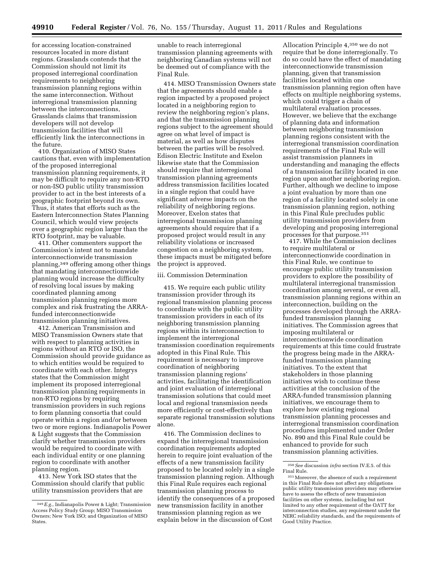for accessing location-constrained resources located in more distant regions. Grasslands contends that the Commission should not limit its proposed interregional coordination requirements to neighboring transmission planning regions within the same interconnection. Without interregional transmission planning between the interconnections, Grasslands claims that transmission developers will not develop transmission facilities that will efficiently link the interconnections in the future.

410. Organization of MISO States cautions that, even with implementation of the proposed interregional transmission planning requirements, it may be difficult to require any non-RTO or non-ISO public utility transmission provider to act in the best interests of a geographic footprint beyond its own. Thus, it states that efforts such as the Eastern Interconnection States Planning Council, which would view projects over a geographic region larger than the RTO footprint, may be valuable.

411. Other commenters support the Commission's intent not to mandate interconnectionwide transmission planning,349 offering among other things that mandating interconnectionwide planning would increase the difficulty of resolving local issues by making coordinated planning among transmission planning regions more complex and risk frustrating the ARRAfunded interconnectionwide transmission planning initiatives.

412. American Transmission and MISO Transmission Owners state that with respect to planning activities in regions without an RTO or ISO, the Commission should provide guidance as to which entities would be required to coordinate with each other. Integrys states that the Commission might implement its proposed interregional transmission planning requirements in non-RTO regions by requiring transmission providers in such regions to form planning consortia that could operate within a region and/or between two or more regions. Indianapolis Power & Light suggests that the Commission clarify whether transmission providers would be required to coordinate with each individual entity or one planning region to coordinate with another planning region.

413. New York ISO states that the Commission should clarify that public utility transmission providers that are

unable to reach interregional transmission planning agreements with neighboring Canadian systems will not be deemed out of compliance with the Final Rule.

414. MISO Transmission Owners state that the agreements should enable a region impacted by a proposed project located in a neighboring region to review the neighboring region's plans, and that the transmission planning regions subject to the agreement should agree on what level of impact is material, as well as how disputes between the parties will be resolved. Edison Electric Institute and Exelon likewise state that the Commission should require that interregional transmission planning agreements address transmission facilities located in a single region that could have significant adverse impacts on the reliability of neighboring regions. Moreover, Exelon states that interregional transmission planning agreements should require that if a proposed project would result in any reliability violations or increased congestion on a neighboring system, these impacts must be mitigated before the project is approved.

### iii. Commission Determination

415. We require each public utility transmission provider through its regional transmission planning process to coordinate with the public utility transmission providers in each of its neighboring transmission planning regions within its interconnection to implement the interregional transmission coordination requirements adopted in this Final Rule. This requirement is necessary to improve coordination of neighboring transmission planning regions' activities, facilitating the identification and joint evaluation of interregional transmission solutions that could meet local and regional transmission needs more efficiently or cost-effectively than separate regional transmission solutions alone.

416. The Commission declines to expand the interregional transmission coordination requirements adopted herein to require joint evaluation of the effects of a new transmission facility proposed to be located solely in a single transmission planning region. Although this Final Rule requires each regional transmission planning process to identify the consequences of a proposed new transmission facility in another transmission planning region as we explain below in the discussion of Cost

Allocation Principle 4,350 we do not require that be done interregionally. To do so could have the effect of mandating interconnectionwide transmission planning, given that transmission facilities located within one transmission planning region often have effects on multiple neighboring systems, which could trigger a chain of multilateral evaluation processes. However, we believe that the exchange of planning data and information between neighboring transmission planning regions consistent with the interregional transmission coordination requirements of the Final Rule will assist transmission planners in understanding and managing the effects of a transmission facility located in one region upon another neighboring region. Further, although we decline to impose a joint evaluation by more than one region of a facility located solely in one transmission planning region, nothing in this Final Rule precludes public utility transmission providers from developing and proposing interregional processes for that purpose.351

417. While the Commission declines to require multilateral or interconnectionwide coordination in this Final Rule, we continue to encourage public utility transmission providers to explore the possibility of multilateral interregional transmission coordination among several, or even all, transmission planning regions within an interconnection, building on the processes developed through the ARRAfunded transmission planning initiatives. The Commission agrees that imposing multilateral or interconnectionwide coordination requirements at this time could frustrate the progress being made in the ARRAfunded transmission planning initiatives. To the extent that stakeholders in those planning initiatives wish to continue these activities at the conclusion of the ARRA-funded transmission planning initiatives, we encourage them to explore how existing regional transmission planning processes and interregional transmission coordination procedures implemented under Order No. 890 and this Final Rule could be enhanced to provide for such transmission planning activities.

<sup>349</sup>*E.g.,* Indianapolis Power & Light; Transmission Access Policy Study Group; MISO Transmission Owners; New York ISO; and Organization of MISO States.

<sup>350</sup>*See* discussion *infra* section IV.E.5. of this

<sup>&</sup>lt;sup>351</sup> Moreover, the absence of such a requirement in this Final Rule does not affect any obligations public utility transmission providers may otherwise have to assess the effects of new transmission facilities on other systems, including but not limited to any other requirement of the OATT for interconnection studies, any requirement under the NERC reliability standards, and the requirements of Good Utility Practice.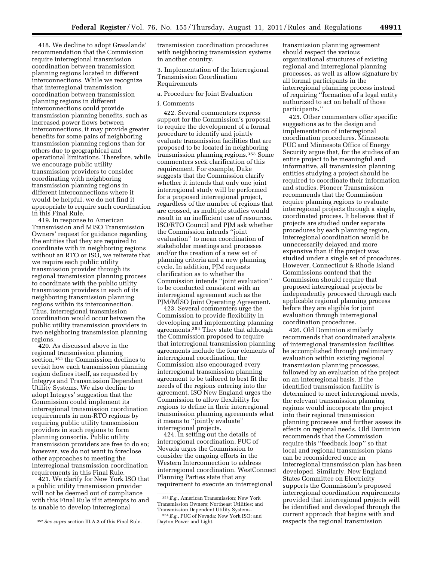418. We decline to adopt Grasslands' recommendation that the Commission require interregional transmission coordination between transmission planning regions located in different interconnections. While we recognize that interregional transmission coordination between transmission planning regions in different interconnections could provide transmission planning benefits, such as increased power flows between interconnections, it may provide greater benefits for some pairs of neighboring transmission planning regions than for others due to geographical and operational limitations. Therefore, while we encourage public utility transmission providers to consider coordinating with neighboring transmission planning regions in different interconnections where it would be helpful, we do not find it appropriate to require such coordination in this Final Rule.

419. In response to American Transmission and MISO Transmission Owners' request for guidance regarding the entities that they are required to coordinate with in neighboring regions without an RTO or ISO, we reiterate that we require each public utility transmission provider through its regional transmission planning process to coordinate with the public utility transmission providers in each of its neighboring transmission planning regions within its interconnection. Thus, interregional transmission coordination would occur between the public utility transmission providers in two neighboring transmission planning regions.

420. As discussed above in the regional transmission planning section,352 the Commission declines to revisit how each transmission planning region defines itself, as requested by Integrys and Transmission Dependent Utility Systems. We also decline to adopt Integrys' suggestion that the Commission could implement its interregional transmission coordination requirements in non-RTO regions by requiring public utility transmission providers in such regions to form planning consortia. Public utility transmission providers are free to do so; however, we do not want to foreclose other approaches to meeting the interregional transmission coordination requirements in this Final Rule.

421. We clarify for New York ISO that a public utility transmission provider will not be deemed out of compliance with this Final Rule if it attempts to and is unable to develop interregional

transmission coordination procedures with neighboring transmission systems in another country.

3. Implementation of the Interregional Transmission Coordination Requirements

### a. Procedure for Joint Evaluation

## i. Comments

422. Several commenters express support for the Commission's proposal to require the development of a formal procedure to identify and jointly evaluate transmission facilities that are proposed to be located in neighboring transmission planning regions.353 Some commenters seek clarification of this requirement. For example, Duke suggests that the Commission clarify whether it intends that only one joint interregional study will be performed for a proposed interregional project, regardless of the number of regions that are crossed, as multiple studies would result in an inefficient use of resources. ISO/RTO Council and PJM ask whether the Commission intends ''joint evaluation'' to mean coordination of stakeholder meetings and processes and/or the creation of a new set of planning criteria and a new planning cycle. In addition, PJM requests clarification as to whether the Commission intends ''joint evaluation'' to be conducted consistent with an interregional agreement such as the PJM/MISO Joint Operating Agreement.

423. Several commenters urge the Commission to provide flexibility in developing and implementing planning agreements.354 They state that although the Commission proposed to require that interregional transmission planning agreements include the four elements of interregional coordination, the Commission also encouraged every interregional transmission planning agreement to be tailored to best fit the needs of the regions entering into the agreement. ISO New England urges the Commission to allow flexibility for regions to define in their interregional transmission planning agreements what it means to ''jointly evaluate'' interregional projects.

424. In setting out the details of interregional coordination, PUC of Nevada urges the Commission to consider the ongoing efforts in the Western Interconnection to address interregional coordination. WestConnect Planning Parties state that any requirement to execute an interregional

transmission planning agreement should respect the various organizational structures of existing regional and interregional planning processes, as well as allow signature by all formal participants in the interregional planning process instead of requiring ''formation of a legal entity authorized to act on behalf of those participants.''

425. Other commenters offer specific suggestions as to the design and implementation of interregional coordination procedures. Minnesota PUC and Minnesota Office of Energy Security argue that, for the studies of an entire project to be meaningful and informative, all transmission planning entities studying a project should be required to coordinate their information and studies. Pioneer Transmission recommends that the Commission require planning regions to evaluate interregional projects through a single, coordinated process. It believes that if projects are studied under separate procedures by each planning region, interregional coordination would be unnecessarily delayed and more expensive than if the project was studied under a single set of procedures. However, Connecticut & Rhode Island Commissions contend that the Commission should require that proposed interregional projects be independently processed through each applicable regional planning process before they are eligible for joint evaluation through interregional coordination procedures.

426. Old Dominion similarly recommends that coordinated analysis of interregional transmission facilities be accomplished through preliminary evaluation within existing regional transmission planning processes, followed by an evaluation of the project on an interregional basis. If the identified transmission facility is determined to meet interregional needs, the relevant transmission planning regions would incorporate the project into their regional transmission planning processes and further assess its effects on regional needs. Old Dominion recommends that the Commission require this ''feedback loop'' so that local and regional transmission plans can be reconsidered once an interregional transmission plan has been developed. Similarly, New England States Committee on Electricity supports the Commission's proposed interregional coordination requirements provided that interregional projects will be identified and developed through the current approach that begins with and respects the regional transmission

<sup>352</sup>*See supra* section III.A.3 of this Final Rule.

<sup>353</sup>*E.g.,* American Transmission; New York Transmission Owners; Northeast Utilities; and Transmission Dependent Utility Systems.

<sup>354</sup>*E.g.,* PUC of Nevada; New York ISO; and Dayton Power and Light.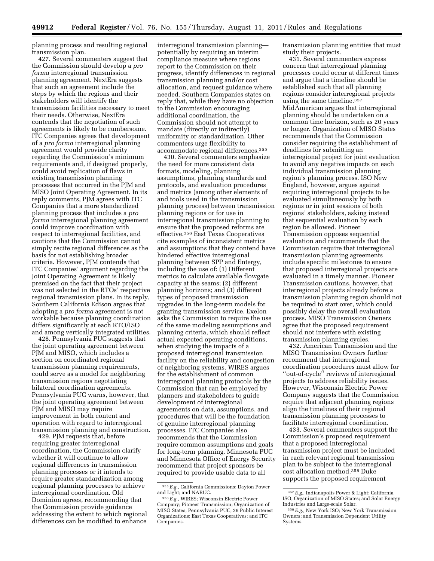planning process and resulting regional transmission plan.

427. Several commenters suggest that the Commission should develop a *pro forma* interregional transmission planning agreement. NextEra suggests that such an agreement include the steps by which the regions and their stakeholders will identify the transmission facilities necessary to meet their needs. Otherwise, NextEra contends that the negotiation of such agreements is likely to be cumbersome. ITC Companies agrees that development of a *pro forma* interregional planning agreement would provide clarity regarding the Commission's minimum requirements and, if designed properly, could avoid replication of flaws in existing transmission planning processes that occurred in the PJM and MISO Joint Operating Agreement. In its reply comments, PJM agrees with ITC Companies that a more standardized planning process that includes a *pro forma* interregional planning agreement could improve coordination with respect to interregional facilities, and cautions that the Commission cannot simply recite regional differences as the basis for not establishing broader criteria. However, PJM contends that ITC Companies' argument regarding the Joint Operating Agreement is likely premised on the fact that their project was not selected in the RTOs' respective regional transmission plans. In its reply, Southern California Edison argues that adopting a *pro forma* agreement is not workable because planning coordination differs significantly at each RTO/ISO and among vertically integrated utilities.

428. Pennsylvania PUC suggests that the joint operating agreement between PJM and MISO, which includes a section on coordinated regional transmission planning requirements, could serve as a model for neighboring transmission regions negotiating bilateral coordination agreements. Pennsylvania PUC warns, however, that the joint operating agreement between PJM and MISO may require improvement in both content and operation with regard to interregional transmission planning and construction.

429. PJM requests that, before requiring greater interregional coordination, the Commission clarify whether it will continue to allow regional differences in transmission planning processes or it intends to require greater standardization among regional planning processes to achieve interregional coordination. Old Dominion agrees, recommending that the Commission provide guidance addressing the extent to which regional differences can be modified to enhance

interregional transmission planning potentially by requiring an interim compliance measure where regions report to the Commission on their progress, identify differences in regional transmission planning and/or cost allocation, and request guidance where needed. Southern Companies states on reply that, while they have no objection to the Commission encouraging additional coordination, the Commission should not attempt to mandate (directly or indirectly) uniformity or standardization. Other commenters urge flexibility to accommodate regional differences.355

430. Several commenters emphasize the need for more consistent data formats, modeling, planning assumptions, planning standards and protocols, and evaluation procedures and metrics (among other elements of and tools used in the transmission planning process) between transmission planning regions or for use in interregional transmission planning to ensure that the proposed reforms are effective.356 East Texas Cooperatives cite examples of inconsistent metrics and assumptions that they contend have hindered effective interregional planning between SPP and Entergy, including the use of: (1) Different metrics to calculate available flowgate capacity at the seams; (2) different planning horizons; and (3) different types of proposed transmission upgrades in the long-term models for granting transmission service. Exelon asks the Commission to require the use of the same modeling assumptions and planning criteria, which should reflect actual expected operating conditions, when studying the impacts of a proposed interregional transmission facility on the reliability and congestion of neighboring systems. WIRES argues for the establishment of common interregional planning protocols by the Commission that can be employed by planners and stakeholders to guide development of interregional agreements on data, assumptions, and procedures that will be the foundation of genuine interregional planning processes. ITC Companies also recommends that the Commission require common assumptions and goals for long-term planning. Minnesota PUC and Minnesota Office of Energy Security recommend that project sponsors be required to provide usable data to all

transmission planning entities that must study their projects.

431. Several commenters express concern that interregional planning processes could occur at different times and argue that a timeline should be established such that all planning regions consider interregional projects using the same timeline.357 MidAmerican argues that interregional planning should be undertaken on a common time horizon, such as 20 years or longer. Organization of MISO States recommends that the Commission consider requiring the establishment of deadlines for submitting an interregional project for joint evaluation to avoid any negative impacts on each individual transmission planning region's planning process. ISO New England, however, argues against requiring interregional projects to be evaluated simultaneously by both regions or in joint sessions of both regions' stakeholders, asking instead that sequential evaluation by each region be allowed. Pioneer Transmission opposes sequential evaluation and recommends that the Commission require that interregional transmission planning agreements include specific milestones to ensure that proposed interregional projects are evaluated in a timely manner. Pioneer Transmission cautions, however, that interregional projects already before a transmission planning region should not be required to start over, which could possibly delay the overall evaluation process. MISO Transmission Owners agree that the proposed requirement should not interfere with existing transmission planning cycles.

432. American Transmission and the MISO Transmission Owners further recommend that interregional coordination procedures must allow for ''out-of-cycle'' reviews of interregional projects to address reliability issues. However, Wisconsin Electric Power Company suggests that the Commission require that adjacent planning regions align the timelines of their regional transmission planning processes to facilitate interregional coordination.

433. Several commenters support the Commission's proposed requirement that a proposed interregional transmission project must be included in each relevant regional transmission plan to be subject to the interregional cost allocation method.358 Duke supports the proposed requirement

<sup>355</sup>*E.g.,* California Commissions; Dayton Power and Light; and NARUC.

<sup>356</sup>*E.g.,* WIRES; Wisconsin Electric Power Company; Pioneer Transmission; Organization of MISO States; Pennsylvania PUC; 26 Public Interest Organizations; East Texas Cooperatives; and ITC Companies.

<sup>357</sup>*E.g.,* Indianapolis Power & Light; California ISO; Organization of MISO States; and Solar Energy Industries and Large-scale Solar.

<sup>358</sup>*E.g.,* New York ISO; New York Transmission Owners; and Transmission Dependent Utility Systems.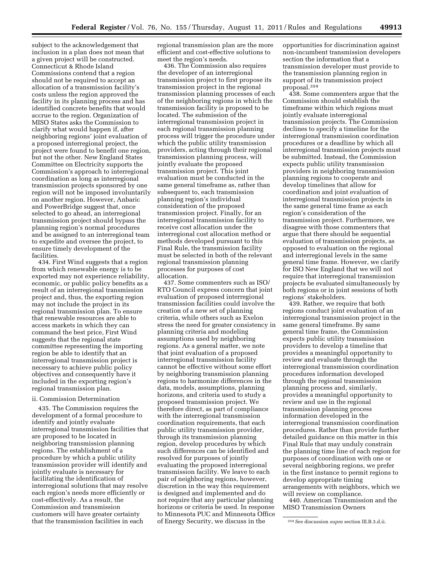subject to the acknowledgement that inclusion in a plan does not mean that a given project will be constructed. Connecticut & Rhode Island Commissions contend that a region should not be required to accept an allocation of a transmission facility's costs unless the region approved the facility in its planning process and has identified concrete benefits that would accrue to the region. Organization of MISO States asks the Commission to clarify what would happen if, after neighboring regions' joint evaluation of a proposed interregional project, the project were found to benefit one region, but not the other. New England States Committee on Electricity supports the Commission's approach to interregional coordination as long as interregional transmission projects sponsored by one region will not be imposed involuntarily on another region. However, Anbaric and PowerBridge suggest that, once selected to go ahead, an interregional transmission project should bypass the planning region's normal procedures and be assigned to an interregional team to expedite and oversee the project, to ensure timely development of the facilities.

434. First Wind suggests that a region from which renewable energy is to be exported may not experience reliability, economic, or public policy benefits as a result of an interregional transmission project and, thus, the exporting region may not include the project in its regional transmission plan. To ensure that renewable resources are able to access markets in which they can command the best price, First Wind suggests that the regional state committee representing the importing region be able to identify that an interregional transmission project is necessary to achieve public policy objectives and consequently have it included in the exporting region's regional transmission plan.

# ii. Commission Determination

435. The Commission requires the development of a formal procedure to identify and jointly evaluate interregional transmission facilities that are proposed to be located in neighboring transmission planning regions. The establishment of a procedure by which a public utility transmission provider will identify and jointly evaluate is necessary for facilitating the identification of interregional solutions that may resolve each region's needs more efficiently or cost-effectively. As a result, the Commission and transmission customers will have greater certainty that the transmission facilities in each

regional transmission plan are the more efficient and cost-effective solutions to meet the region's needs.

436. The Commission also requires the developer of an interregional transmission project to first propose its transmission project in the regional transmission planning processes of each of the neighboring regions in which the transmission facility is proposed to be located. The submission of the interregional transmission project in each regional transmission planning process will trigger the procedure under which the public utility transmission providers, acting through their regional transmission planning process, will jointly evaluate the proposed transmission project. This joint evaluation must be conducted in the same general timeframe as, rather than subsequent to, each transmission planning region's individual consideration of the proposed transmission project. Finally, for an interregional transmission facility to receive cost allocation under the interregional cost allocation method or methods developed pursuant to this Final Rule, the transmission facility must be selected in both of the relevant regional transmission planning processes for purposes of cost allocation.

437. Some commenters such as ISO/ RTO Council express concern that joint evaluation of proposed interregional transmission facilities could involve the creation of a new set of planning criteria, while others such as Exelon stress the need for greater consistency in planning criteria and modeling assumptions used by neighboring regions. As a general matter, we note that joint evaluation of a proposed interregional transmission facility cannot be effective without some effort by neighboring transmission planning regions to harmonize differences in the data, models, assumptions, planning horizons, and criteria used to study a proposed transmission project. We therefore direct, as part of compliance with the interregional transmission coordination requirements, that each public utility transmission provider, through its transmission planning region, develop procedures by which such differences can be identified and resolved for purposes of jointly evaluating the proposed interregional transmission facility. We leave to each pair of neighboring regions, however, discretion in the way this requirement is designed and implemented and do not require that any particular planning horizons or criteria be used. In response to Minnesota PUC and Minnesota Office of Energy Security, we discuss in the

opportunities for discrimination against non-incumbent transmission developers section the information that a transmission developer must provide to the transmission planning region in support of its transmission project proposal.359

438. Some commenters argue that the Commission should establish the timeframe within which regions must jointly evaluate interregional transmission projects. The Commission declines to specify a timeline for the interregional transmission coordination procedures or a deadline by which all interregional transmission projects must be submitted. Instead, the Commission expects public utility transmission providers in neighboring transmission planning regions to cooperate and develop timelines that allow for coordination and joint evaluation of interregional transmission projects in the same general time frame as each region's consideration of the transmission project. Furthermore, we disagree with those commenters that argue that there should be sequential evaluation of transmission projects, as opposed to evaluation on the regional and interregional levels in the same general time frame. However, we clarify for ISO New England that we will not require that interregional transmission projects be evaluated simultaneously by both regions or in joint sessions of both regions' stakeholders.

439. Rather, we require that both regions conduct joint evaluation of an interregional transmission project in the same general timeframe. By same general time frame, the Commission expects public utility transmission providers to develop a timeline that provides a meaningful opportunity to review and evaluate through the interregional transmission coordination procedures information developed through the regional transmission planning process and, similarly, provides a meaningful opportunity to review and use in the regional transmission planning process information developed in the interregional transmission coordination procedures. Rather than provide further detailed guidance on this matter in this Final Rule that may unduly constrain the planning time line of each region for purposes of coordination with one or several neighboring regions, we prefer in the first instance to permit regions to develop appropriate timing arrangements with neighbors, which we will review on compliance.

440. American Transmission and the MISO Transmission Owners

<sup>359</sup>*See* discussion *supra* section III.B.3.d.ii.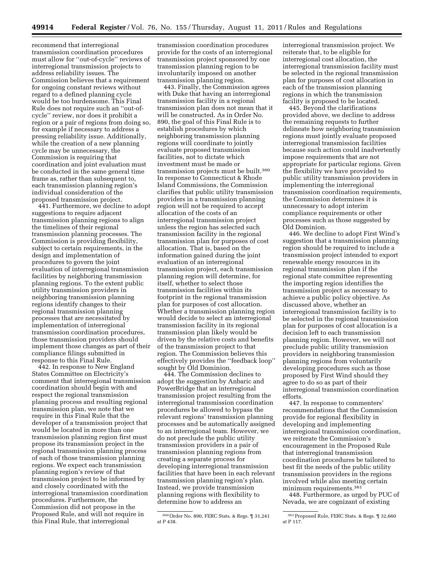recommend that interregional transmission coordination procedures must allow for ''out-of-cycle'' reviews of interregional transmission projects to address reliability issues. The Commission believes that a requirement for ongoing constant reviews without regard to a defined planning cycle would be too burdensome. This Final Rule does not require such an ''out-ofcycle'' review, nor does it prohibit a region or a pair of regions from doing so, for example if necessary to address a pressing reliability issue. Additionally, while the creation of a new planning cycle may be unnecessary, the Commission is requiring that coordination and joint evaluation must be conducted in the same general time frame as, rather than subsequent to, each transmission planning region's individual consideration of the proposed transmission project.

441. Furthermore, we decline to adopt suggestions to require adjacent transmission planning regions to align the timelines of their regional transmission planning processes. The Commission is providing flexibility, subject to certain requirements, in the design and implementation of procedures to govern the joint evaluation of interregional transmission facilities by neighboring transmission planning regions. To the extent public utility transmission providers in neighboring transmission planning regions identify changes to their regional transmission planning processes that are necessitated by implementation of interregional transmission coordination procedures, those transmission providers should implement those changes as part of their compliance filings submitted in response to this Final Rule.

442. In response to New England States Committee on Electricity's comment that interregional transmission coordination should begin with and respect the regional transmission planning process and resulting regional transmission plan, we note that we require in this Final Rule that the developer of a transmission project that would be located in more than one transmission planning region first must propose its transmission project in the regional transmission planning process of each of those transmission planning regions. We expect each transmission planning region's review of that transmission project to be informed by and closely coordinated with the interregional transmission coordination procedures. Furthermore, the Commission did not propose in the Proposed Rule, and will not require in this Final Rule, that interregional

transmission coordination procedures provide for the costs of an interregional transmission project sponsored by one transmission planning region to be involuntarily imposed on another transmission planning region.

443. Finally, the Commission agrees with Duke that having an interregional transmission facility in a regional transmission plan does not mean that it will be constructed. As in Order No. 890, the goal of this Final Rule is to establish procedures by which neighboring transmission planning regions will coordinate to jointly evaluate proposed transmission facilities, not to dictate which investment must be made or transmission projects must be built.360 In response to Connecticut & Rhode Island Commissions, the Commission clarifies that public utility transmission providers in a transmission planning region will not be required to accept allocation of the costs of an interregional transmission project unless the region has selected such transmission facility in the regional transmission plan for purposes of cost allocation. That is, based on the information gained during the joint evaluation of an interregional transmission project, each transmission planning region will determine, for itself, whether to select those transmission facilities within its footprint in the regional transmission plan for purposes of cost allocation. Whether a transmission planning region would decide to select an interregional transmission facility in its regional transmission plan likely would be driven by the relative costs and benefits of the transmission project to that region. The Commission believes this effectively provides the ''feedback loop'' sought by Old Dominion.

444. The Commission declines to adopt the suggestion by Anbaric and PowerBridge that an interregional transmission project resulting from the interregional transmission coordination procedures be allowed to bypass the relevant regions' transmission planning processes and be automatically assigned to an interregional team. However, we do not preclude the public utility transmission providers in a pair of transmission planning regions from creating a separate process for developing interregional transmission facilities that have been in each relevant transmission planning region's plan. Instead, we provide transmission planning regions with flexibility to determine how to address an

interregional transmission project. We reiterate that, to be eligible for interregional cost allocation, the interregional transmission facility must be selected in the regional transmission plan for purposes of cost allocation in each of the transmission planning regions in which the transmission facility is proposed to be located.

445. Beyond the clarifications provided above, we decline to address the remaining requests to further delineate how neighboring transmission regions must jointly evaluate proposed interregional transmission facilities because such action could inadvertently impose requirements that are not appropriate for particular regions. Given the flexibility we have provided to public utility transmission providers in implementing the interregional transmission coordination requirements, the Commission determines it is unnecessary to adopt interim compliance requirements or other processes such as those suggested by Old Dominion.

446. We decline to adopt First Wind's suggestion that a transmission planning region should be required to include a transmission project intended to export renewable energy resources in its regional transmission plan if the regional state committee representing the importing region identifies the transmission project as necessary to achieve a public policy objective. As discussed above, whether an interregional transmission facility is to be selected in the regional transmission plan for purposes of cost allocation is a decision left to each transmission planning region. However, we will not preclude public utility transmission providers in neighboring transmission planning regions from voluntarily developing procedures such as those proposed by First Wind should they agree to do so as part of their interregional transmission coordination efforts.

447. In response to commenters' recommendations that the Commission provide for regional flexibility in developing and implementing interregional transmission coordination, we reiterate the Commission's encouragement in the Proposed Rule that interregional transmission coordination procedures be tailored to best fit the needs of the public utility transmission providers in the regions involved while also meeting certain minimum requirements.361

448. Furthermore, as urged by PUC of Nevada, we are cognizant of existing

<sup>360</sup>Order No. 890, FERC Stats. & Regs. ¶ 31,241 at P 438.

<sup>361</sup>Proposed Rule, FERC Stats. & Regs. ¶ 32,660 at P 117.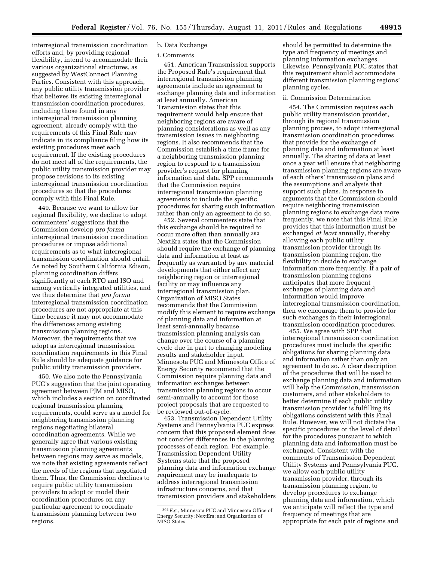interregional transmission coordination efforts and, by providing regional flexibility, intend to accommodate their various organizational structures, as suggested by WestConnect Planning Parties. Consistent with this approach, any public utility transmission provider that believes its existing interregional transmission coordination procedures, including those found in any interregional transmission planning agreement, already comply with the requirements of this Final Rule may indicate in its compliance filing how its existing procedures meet each requirement. If the existing procedures do not meet all of the requirements, the public utility transmission provider may propose revisions to its existing interregional transmission coordination procedures so that the procedures comply with this Final Rule.

449. Because we want to allow for regional flexibility, we decline to adopt commenters' suggestions that the Commission develop *pro forma*  interregional transmission coordination procedures or impose additional requirements as to what interregional transmission coordination should entail. As noted by Southern California Edison, planning coordination differs significantly at each RTO and ISO and among vertically integrated utilities, and we thus determine that *pro forma*  interregional transmission coordination procedures are not appropriate at this time because it may not accommodate the differences among existing transmission planning regions. Moreover, the requirements that we adopt as interregional transmission coordination requirements in this Final Rule should be adequate guidance for public utility transmission providers.

450. We also note the Pennsylvania PUC's suggestion that the joint operating agreement between PJM and MISO, which includes a section on coordinated regional transmission planning requirements, could serve as a model for neighboring transmission planning regions negotiating bilateral coordination agreements. While we generally agree that various existing transmission planning agreements between regions may serve as models, we note that existing agreements reflect the needs of the regions that negotiated them. Thus, the Commission declines to require public utility transmission providers to adopt or model their coordination procedures on any particular agreement to coordinate transmission planning between two regions.

# b. Data Exchange

# i. Comments

451. American Transmission supports the Proposed Rule's requirement that interregional transmission planning agreements include an agreement to exchange planning data and information at least annually. American Transmission states that this requirement would help ensure that neighboring regions are aware of planning considerations as well as any transmission issues in neighboring regions. It also recommends that the Commission establish a time frame for a neighboring transmission planning region to respond to a transmission provider's request for planning information and data. SPP recommends that the Commission require interregional transmission planning agreements to include the specific procedures for sharing such information rather than only an agreement to do so.

452. Several commenters state that this exchange should be required to occur more often than annually.362 NextEra states that the Commission should require the exchange of planning data and information at least as frequently as warranted by any material developments that either affect any neighboring region or interregional facility or may influence any interregional transmission plan. Organization of MISO States recommends that the Commission modify this element to require exchange of planning data and information at least semi-annually because transmission planning analysis can change over the course of a planning cycle due in part to changing modeling results and stakeholder input. Minnesota PUC and Minnesota Office of Energy Security recommend that the Commission require planning data and information exchanges between transmission planning regions to occur semi-annually to account for those project proposals that are requested to be reviewed out-of-cycle.

453. Transmission Dependent Utility Systems and Pennsylvania PUC express concern that this proposed element does not consider differences in the planning processes of each region. For example, Transmission Dependent Utility Systems state that the proposed planning data and information exchange requirement may be inadequate to address interregional transmission infrastructure concerns, and that transmission providers and stakeholders

should be permitted to determine the type and frequency of meetings and planning information exchanges. Likewise, Pennsylvania PUC states that this requirement should accommodate different transmission planning regions' planning cycles.

## ii. Commission Determination

454. The Commission requires each public utility transmission provider, through its regional transmission planning process, to adopt interregional transmission coordination procedures that provide for the exchange of planning data and information at least annually. The sharing of data at least once a year will ensure that neighboring transmission planning regions are aware of each others' transmission plans and the assumptions and analysis that support such plans. In response to arguments that the Commission should require neighboring transmission planning regions to exchange data more frequently, we note that this Final Rule provides that this information must be exchanged *at least* annually, thereby allowing each public utility transmission provider through its transmission planning region, the flexibility to decide to exchange information more frequently. If a pair of transmission planning regions anticipates that more frequent exchanges of planning data and information would improve interregional transmission coordination, then we encourage them to provide for such exchanges in their interregional transmission coordination procedures.

455. We agree with SPP that interregional transmission coordination procedures must include the specific obligations for sharing planning data and information rather than only an agreement to do so. A clear description of the procedures that will be used to exchange planning data and information will help the Commission, transmission customers, and other stakeholders to better determine if each public utility transmission provider is fulfilling its obligations consistent with this Final Rule. However, we will not dictate the specific procedures or the level of detail for the procedures pursuant to which planning data and information must be exchanged. Consistent with the comments of Transmission Dependent Utility Systems and Pennsylvania PUC, we allow each public utility transmission provider, through its transmission planning region, to develop procedures to exchange planning data and information, which we anticipate will reflect the type and frequency of meetings that are appropriate for each pair of regions and

<sup>362</sup>*E.g.,* Minnesota PUC and Minnesota Office of Energy Security; NextEra; and Organization of MISO States.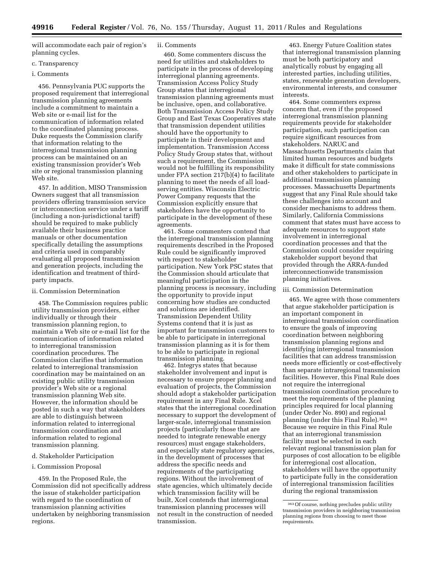will accommodate each pair of region's planning cycles.

### c. Transparency

# i. Comments

456. Pennsylvania PUC supports the proposed requirement that interregional transmission planning agreements include a commitment to maintain a Web site or e-mail list for the communication of information related to the coordinated planning process. Duke requests the Commission clarify that information relating to the interregional transmission planning process can be maintained on an existing transmission provider's Web site or regional transmission planning Web site.

457. In addition, MISO Transmission Owners suggest that all transmission providers offering transmission service or interconnection service under a tariff (including a non-jurisdictional tariff) should be required to make publicly available their business practice manuals or other documentation specifically detailing the assumptions and criteria used in comparably evaluating all proposed transmission and generation projects, including the identification and treatment of thirdparty impacts.

### ii. Commission Determination

458. The Commission requires public utility transmission providers, either individually or through their transmission planning region, to maintain a Web site or e-mail list for the communication of information related to interregional transmission coordination procedures. The Commission clarifies that information related to interregional transmission coordination may be maintained on an existing public utility transmission provider's Web site or a regional transmission planning Web site. However, the information should be posted in such a way that stakeholders are able to distinguish between information related to interregional transmission coordination and information related to regional transmission planning.

## d. Stakeholder Participation

## i. Commission Proposal

459. In the Proposed Rule, the Commission did not specifically address the issue of stakeholder participation with regard to the coordination of transmission planning activities undertaken by neighboring transmission regions.

# ii. Comments

460. Some commenters discuss the need for utilities and stakeholders to participate in the process of developing interregional planning agreements. Transmission Access Policy Study Group states that interregional transmission planning agreements must be inclusive, open, and collaborative. Both Transmission Access Policy Study Group and East Texas Cooperatives state that transmission dependent utilities should have the opportunity to participate in their development and implementation. Transmission Access Policy Study Group states that, without such a requirement, the Commission would not be fulfilling its responsibility under FPA section 217(b)(4) to facilitate planning to meet the needs of all loadserving entities. Wisconsin Electric Power Company requests that the Commission explicitly ensure that stakeholders have the opportunity to participate in the development of these agreements.

461. Some commenters contend that the interregional transmission planning requirements described in the Proposed Rule could be significantly improved with respect to stakeholder participation. New York PSC states that the Commission should articulate that meaningful participation in the planning process is necessary, including the opportunity to provide input concerning how studies are conducted and solutions are identified. Transmission Dependent Utility Systems contend that it is just as important for transmission customers to be able to participate in interregional transmission planning as it is for them to be able to participate in regional transmission planning.

462. Integrys states that because stakeholder involvement and input is necessary to ensure proper planning and evaluation of projects, the Commission should adopt a stakeholder participation requirement in any Final Rule. Xcel states that the interregional coordination necessary to support the development of larger-scale, interregional transmission projects (particularly those that are needed to integrate renewable energy resources) must engage stakeholders, and especially state regulatory agencies, in the development of processes that address the specific needs and requirements of the participating regions. Without the involvement of state agencies, which ultimately decide which transmission facility will be built, Xcel contends that interregional transmission planning processes will not result in the construction of needed transmission.

463. Energy Future Coalition states that interregional transmission planning must be both participatory and analytically robust by engaging all interested parties, including utilities, states, renewable generation developers, environmental interests, and consumer interests.

464. Some commenters express concern that, even if the proposed interregional transmission planning requirements provide for stakeholder participation, such participation can require significant resources from stakeholders. NARUC and Massachusetts Departments claim that limited human resources and budgets make it difficult for state commissions and other stakeholders to participate in additional transmission planning processes. Massachusetts Departments suggest that any Final Rule should take these challenges into account and consider mechanisms to address them. Similarly, California Commissions comment that states must have access to adequate resources to support state involvement in interregional coordination processes and that the Commission could consider requiring stakeholder support beyond that provided through the ARRA-funded interconnectionwide transmission planning initiatives.

# iii. Commission Determination

465. We agree with those commenters that argue stakeholder participation is an important component in interregional transmission coordination to ensure the goals of improving coordination between neighboring transmission planning regions and identifying interregional transmission facilities that can address transmission needs more efficiently or cost-effectively than separate intraregional transmission facilities. However, this Final Rule does not require the interregional transmission coordination procedure to meet the requirements of the planning principles required for local planning (under Order No. 890) and regional planning (under this Final Rule).363 Because we require in this Final Rule that an interregional transmission facility must be selected in each relevant regional transmission plan for purposes of cost allocation to be eligible for interregional cost allocation, stakeholders will have the opportunity to participate fully in the consideration of interregional transmission facilities during the regional transmission

<sup>363</sup>Of course, nothing precludes public utility transmission providers in neighboring transmission planning regions from choosing to meet those requirements.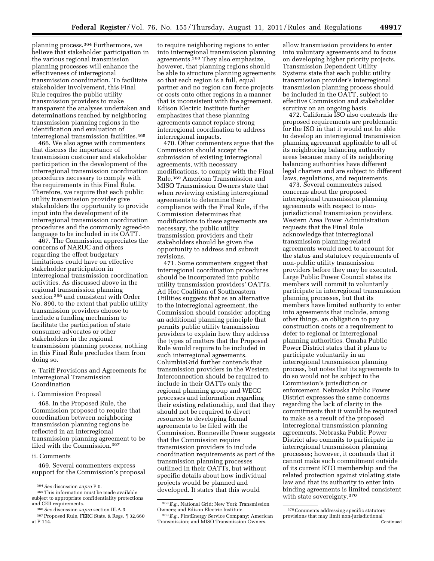planning process.364 Furthermore, we believe that stakeholder participation in the various regional transmission planning processes will enhance the effectiveness of interregional transmission coordination. To facilitate stakeholder involvement, this Final Rule requires the public utility transmission providers to make transparent the analyses undertaken and determinations reached by neighboring transmission planning regions in the identification and evaluation of interregional transmission facilities.365

466. We also agree with commenters that discuss the importance of transmission customer and stakeholder participation in the development of the interregional transmission coordination procedures necessary to comply with the requirements in this Final Rule. Therefore, we require that each public utility transmission provider give stakeholders the opportunity to provide input into the development of its interregional transmission coordination procedures and the commonly agreed-to language to be included in its OATT.

467. The Commission appreciates the concerns of NARUC and others regarding the effect budgetary limitations could have on effective stakeholder participation in interregional transmission coordination activities. As discussed above in the regional transmission planning section 366 and consistent with Order No. 890, to the extent that public utility transmission providers choose to include a funding mechanism to facilitate the participation of state consumer advocates or other stakeholders in the regional transmission planning process, nothing in this Final Rule precludes them from doing so.

e. Tariff Provisions and Agreements for Interregional Transmission Coordination

i. Commission Proposal

468. In the Proposed Rule, the Commission proposed to require that coordination between neighboring transmission planning regions be reflected in an interregional transmission planning agreement to be filed with the Commission.367

# ii. Comments

469. Several commenters express support for the Commission's proposal

to require neighboring regions to enter into interregional transmission planning agreements.368 They also emphasize, however, that planning regions should be able to structure planning agreements so that each region is a full, equal partner and no region can force projects or costs onto other regions in a manner that is inconsistent with the agreement. Edison Electric Institute further emphasizes that these planning agreements cannot replace strong interregional coordination to address interregional impacts.

470. Other commenters argue that the Commission should accept the submission of existing interregional agreements, with necessary modifications, to comply with the Final Rule.369 American Transmission and MISO Transmission Owners state that when reviewing existing interregional agreements to determine their compliance with the Final Rule, if the Commission determines that modifications to these agreements are necessary, the public utility transmission providers and their stakeholders should be given the opportunity to address and submit revisions.

471. Some commenters suggest that interregional coordination procedures should be incorporated into public utility transmission providers' OATTs. Ad Hoc Coalition of Southeastern Utilities suggests that as an alternative to the interregional agreement, the Commission should consider adopting an additional planning principle that permits public utility transmission providers to explain how they address the types of matters that the Proposed Rule would require to be included in such interregional agreements. ColumbiaGrid further contends that transmission providers in the Western Interconnection should be required to include in their OATTs only the regional planning group and WECC processes and information regarding their existing relationship, and that they should not be required to divert resources to developing formal agreements to be filed with the Commission. Bonneville Power suggests that the Commission require transmission providers to include coordination requirements as part of the transmission planning processes outlined in their OATTs, but without specific details about how individual projects would be planned and developed. It states that this would

allow transmission providers to enter into voluntary agreements and to focus on developing higher priority projects. Transmission Dependent Utility Systems state that each public utility transmission provider's interregional transmission planning process should be included in the OATT, subject to effective Commission and stakeholder scrutiny on an ongoing basis.

472. California ISO also contends the proposed requirements are problematic for the ISO in that it would not be able to develop an interregional transmission planning agreement applicable to all of its neighboring balancing authority areas because many of its neighboring balancing authorities have different legal charters and are subject to different laws, regulations, and requirements.

473. Several commenters raised concerns about the proposed interregional transmission planning agreements with respect to nonjurisdictional transmission providers. Western Area Power Administration requests that the Final Rule acknowledge that interregional transmission planning-related agreements would need to account for the status and statutory requirements of non-public utility transmission providers before they may be executed. Large Public Power Council states its members will commit to voluntarily participate in interregional transmission planning processes, but that its members have limited authority to enter into agreements that include, among other things, an obligation to pay construction costs or a requirement to defer to regional or interregional planning authorities. Omaha Public Power District states that it plans to participate voluntarily in an interregional transmission planning process, but notes that its agreements to do so would not be subject to the Commission's jurisdiction or enforcement. Nebraska Public Power District expresses the same concerns regarding the lack of clarity in the commitments that it would be required to make as a result of the proposed interregional transmission planning agreements. Nebraska Public Power District also commits to participate in interregional transmission planning processes; however, it contends that it cannot make such commitment outside of its current RTO membership and the related protection against violating state law and that its authority to enter into binding agreements is limited consistent with state sovereignty.370

<sup>364</sup>*See* discussion *supra* P 0. 365This information must be made available subject to appropriate confidentiality protections

<sup>&</sup>lt;sup>366</sup> See discussion *supra* section III.A.3.<br><sup>367</sup> Proposed Rule, FERC Stats. & Regs. ¶ 32,660

at P 114.

<sup>368</sup>*E.g.,* National Grid; New York Transmission Owners; and Edison Electric Institute.

<sup>369</sup>*E.g.,* FirstEnergy Service Company; American Transmission; and MISO Transmission Owners.

<sup>370</sup>Comments addressing specific statutory provisions that may limit non-jurisdictional Continued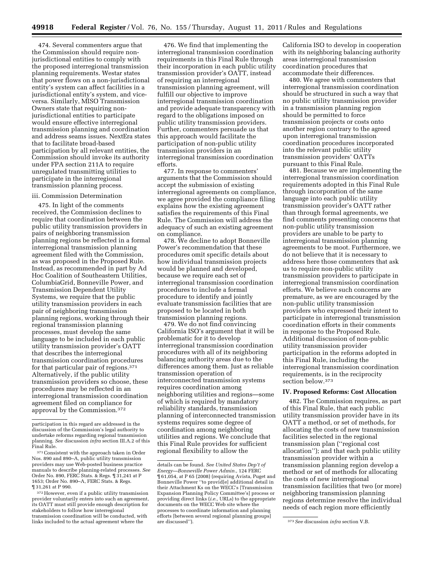474. Several commenters argue that the Commission should require nonjurisdictional entities to comply with the proposed interregional transmission planning requirements. Westar states that power flows on a non-jurisdictional entity's system can affect facilities in a jurisdictional entity's system, and viceversa. Similarly, MISO Transmission Owners state that requiring nonjurisdictional entities to participate would ensure effective interregional transmission planning and coordination and address seams issues. NextEra states that to facilitate broad-based participation by all relevant entities, the Commission should invoke its authority under FPA section 211A to require unregulated transmitting utilities to participate in the interregional transmission planning process.

## iii. Commission Determination

475. In light of the comments received, the Commission declines to require that coordination between the public utility transmission providers in pairs of neighboring transmission planning regions be reflected in a formal interregional transmission planning agreement filed with the Commission, as was proposed in the Proposed Rule. Instead, as recommended in part by Ad Hoc Coalition of Southeastern Utilities, ColumbiaGrid, Bonneville Power, and Transmission Dependent Utility Systems, we require that the public utility transmission providers in each pair of neighboring transmission planning regions, working through their regional transmission planning processes, must develop the same language to be included in each public utility transmission provider's OATT that describes the interregional transmission coordination procedures for that particular pair of regions.371 Alternatively, if the public utility transmission providers so choose, these procedures may be reflected in an interregional transmission coordination agreement filed on compliance for approval by the Commission.372

476. We find that implementing the interregional transmission coordination requirements in this Final Rule through their incorporation in each public utility transmission provider's OATT, instead of requiring an interregional transmission planning agreement, will fulfill our objective to improve interregional transmission coordination and provide adequate transparency with regard to the obligations imposed on public utility transmission providers. Further, commenters persuade us that this approach would facilitate the participation of non-public utility transmission providers in an interregional transmission coordination efforts.

477. In response to commenters' arguments that the Commission should accept the submission of existing interregional agreements on compliance, we agree provided the compliance filing explains how the existing agreement satisfies the requirements of this Final Rule. The Commission will address the adequacy of such an existing agreement on compliance.

478. We decline to adopt Bonneville Power's recommendation that these procedures omit specific details about how individual transmission projects would be planned and developed, because we require each set of interregional transmission coordination procedures to include a formal procedure to identify and jointly evaluate transmission facilities that are proposed to be located in both transmission planning regions.

479. We do not find convincing California ISO's argument that it will be problematic for it to develop interregional transmission coordination procedures with all of its neighboring balancing authority areas due to the differences among them. Just as reliable transmission operation of interconnected transmission systems requires coordination among neighboring utilities and regions—some of which is required by mandatory reliability standards, transmission planning of interconnected transmission systems requires some degree of coordination among neighboring utilities and regions. We conclude that this Final Rule provides for sufficient regional flexibility to allow the

California ISO to develop in cooperation with its neighboring balancing authority areas interregional transmission coordination procedures that accommodate their differences.

480. We agree with commenters that interregional transmission coordination should be structured in such a way that no public utility transmission provider in a transmission planning region should be permitted to force transmission projects or costs onto another region contrary to the agreed upon interregional transmission coordination procedures incorporated into the relevant public utility transmission providers' OATTs pursuant to this Final Rule.

481. Because we are implementing the interregional transmission coordination requirements adopted in this Final Rule through incorporation of the same language into each public utility transmission provider's OATT rather than through formal agreements, we find comments presenting concerns that non-public utility transmission providers are unable to be party to interregional transmission planning agreements to be moot. Furthermore, we do not believe that it is necessary to address here those commenters that ask us to require non-public utility transmission providers to participate in interregional transmission coordination efforts. We believe such concerns are premature, as we are encouraged by the non-public utility transmission providers who expressed their intent to participate in interregional transmission coordination efforts in their comments in response to the Proposed Rule. Additional discussion of non-public utility transmission provider participation in the reforms adopted in this Final Rule, including the interregional transmission coordination requirements, is in the reciprocity section below.373

## **IV. Proposed Reforms: Cost Allocation**

482. The Commission requires, as part of this Final Rule, that each public utility transmission provider have in its OATT a method, or set of methods, for allocating the costs of new transmission facilities selected in the regional transmission plan (''regional cost allocation''); and that each public utility transmission provider within a transmission planning region develop a method or set of methods for allocating the costs of new interregional transmission facilities that two (or more) neighboring transmission planning regions determine resolve the individual needs of each region more efficiently

participation in this regard are addressed in the discussion of the Commission's legal authority to undertake reforms regarding regional transmission planning. *See* discussion *infra* section III.A.2 of this Final Rule.

<sup>371</sup> Consistent with the approach taken in Order Nos. 890 and 890–A, public utility transmission providers may use Web-posted business practice manuals to describe planning-related processes. *See*  Order No. 890, FERC Stats. & Regs. ¶ 31,241 at P 1653; Order No. 890–A, FERC Stats. & Regs. ¶ 31,261 at P 990.

<sup>372</sup>However, even if a public utility transmission provider voluntarily enters into such an agreement, its OATT must still provide enough description for stakeholders to follow how interregional transmission coordination will be conducted, with links included to the actual agreement where the

details can be found. *See United States Dep't of Energy—Bonneville Power Admin.,* 124 FERC ¶ 61,054, at P 65 (2008) (requiring Avista, Puget and Bonneville Power ''to provid[e] additional detail in their Attachment Ks on the WECC's [Transmission Expansion Planning Policy Committee's] process or providing direct links (*i.e.,* URLs) to the appropriate documents on the WECC Web site where the processes to coordinate information and planning efforts [between several regional planning groups]

<sup>&</sup>lt;sup>373</sup> See discussion *infra* section V.B.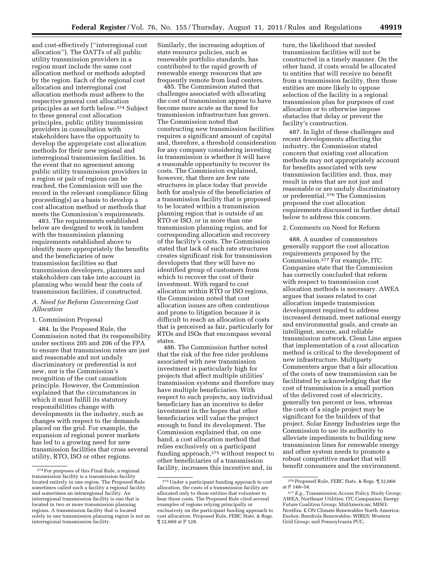and cost-effectively (''interregional cost allocation''). The OATTs of all public utility transmission providers in a region must include the same cost allocation method or methods adopted by the region. Each of the regional cost allocation and interregional cost allocation methods must adhere to the respective general cost allocation principles as set forth below.374 Subject to these general cost allocation principles, public utility transmission providers in consultation with stakeholders have the opportunity to develop the appropriate cost allocation methods for their new regional and interregional transmission facilities. In the event that no agreement among public utility transmission providers in a region or pair of regions can be reached, the Commission will use the record in the relevant compliance filing proceeding(s) as a basis to develop a cost allocation method or methods that meets the Commission's requirements.

483. The requirements established below are designed to work in tandem with the transmission planning requirements established above to identify more appropriately the benefits and the beneficiaries of new transmission facilities so that transmission developers, planners and stakeholders can take into account in planning who would bear the costs of transmission facilities, if constructed.

# *A. Need for Reform Concerning Cost Allocation*

# 1. Commission Proposal

484. In the Proposed Rule, the Commission noted that its responsibility under sections 205 and 206 of the FPA to ensure that transmission rates are just and reasonable and not unduly discriminatory or preferential is not new, nor is the Commission's recognition of the cost causation principle. However, the Commission explained that the circumstances in which it must fulfill its statutory responsibilities change with developments in the industry, such as changes with respect to the demands placed on the grid. For example, the expansion of regional power markets has led to a growing need for new transmission facilities that cross several utility, RTO, ISO or other regions.

Similarly, the increasing adoption of state resource policies, such as renewable portfolio standards, has contributed to the rapid growth of renewable energy resources that are frequently remote from load centers.

485. The Commission stated that challenges associated with allocating the cost of transmission appear to have become more acute as the need for transmission infrastructure has grown. The Commission noted that constructing new transmission facilities requires a significant amount of capital and, therefore, a threshold consideration for any company considering investing in transmission is whether it will have a reasonable opportunity to recover its costs. The Commission explained, however, that there are few rate structures in place today that provide both for analysis of the beneficiaries of a transmission facility that is proposed to be located within a transmission planning region that is outside of an RTO or ISO, or in more than one transmission planning region, and for corresponding allocation and recovery of the facility's costs. The Commission stated that lack of such rate structures creates significant risk for transmission developers that they will have no identified group of customers from which to recover the cost of their investment. With regard to cost allocation within RTO or ISO regions, the Commission noted that cost allocation issues are often contentious and prone to litigation because it is difficult to reach an allocation of costs that is perceived as fair, particularly for RTOs and ISOs that encompass several states.

486. The Commission further noted that the risk of the free rider problems associated with new transmission investment is particularly high for projects that affect multiple utilities' transmission systems and therefore may have multiple beneficiaries. With respect to such projects, any individual beneficiary has an incentive to defer investment in the hopes that other beneficiaries will value the project enough to fund its development. The Commission explained that, on one hand, a cost allocation method that relies exclusively on a participant funding approach,375 without respect to other beneficiaries of a transmission facility, increases this incentive and, in

turn, the likelihood that needed transmission facilities will not be constructed in a timely manner. On the other hand, if costs would be allocated to entities that will receive no benefit from a transmission facility, then those entities are more likely to oppose selection of the facility in a regional transmission plan for purposes of cost allocation or to otherwise impose obstacles that delay or prevent the facility's construction.

487. In light of these challenges and recent developments affecting the industry, the Commission stated concern that existing cost allocation methods may not appropriately account for benefits associated with new transmission facilities and, thus, may result in rates that are not just and reasonable or are unduly discriminatory or preferential.376 The Commission proposed the cost allocation requirements discussed in further detail below to address this concern.

### 2. Comments on Need for Reform

488. A number of commenters generally support the cost allocation requirements proposed by the Commission.377 For example, ITC Companies state that the Commission has correctly concluded that reform with respect to transmission cost allocation methods is necessary. AWEA argues that issues related to cost allocation impede transmission development required to address increased demand, meet national energy and environmental goals, and create an intelligent, secure, and reliable transmission network. Clean Line argues that implementation of a cost allocation method is critical to the development of new infrastructure. Multiparty Commenters argue that a fair allocation of the costs of new transmission can be facilitated by acknowledging that the cost of transmission is a small portion of the delivered cost of electricity, generally ten percent or less, whereas the costs of a single project may be significant for the builders of that project. Solar Energy Industries urge the Commission to use its authority to alleviate impediments to building new transmission lines for renewable energy and other system needs to promote a robust competitive market that will benefit consumers and the environment.

<sup>374</sup>For purposes of this Final Rule, a regional transmission facility is a transmission facility located entirely in one region. The Proposed Rule sometimes called such a facility a regional facility and sometimes an intraregional facility. An interregional transmission facility is one that is located in two or more transmission planning regions. A transmission facility that is located solely in one transmission planning region is not an interregional transmission facility.

<sup>375</sup>Under a participant funding approach to cost allocation, the costs of a transmission facility are allocated only to those entities that volunteer to bear those costs. The Proposed Rule cited several examples of regions relying principally or exclusively on the participant funding approach to cost allocation. Proposed Rule, FERC Stats. & Regs. ¶ 32,660 at P 128.

<sup>376</sup>Proposed Rule, FERC Stats. & Regs. ¶ 32,660 at P 148–54.

<sup>377</sup>*E.g.,* Transmission Access Policy Study Group; AWEA; Northeast Utilities; ITC Companies; Energy Future Coalition Group; MidAmerican; MISO; NextEra; E.ON Climate Renewables North America; Exelon; Iberdrola Renewables; WIRES; Western Grid Group; and Pennsylvania PUC.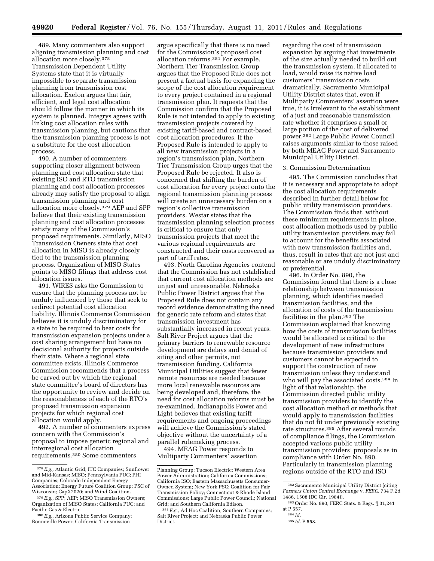489. Many commenters also support aligning transmission planning and cost allocation more closely.378 Transmission Dependent Utility Systems state that it is virtually impossible to separate transmission planning from transmission cost allocation. Exelon argues that fair, efficient, and legal cost allocation should follow the manner in which its system is planned. Integrys agrees with linking cost allocation rules with transmission planning, but cautions that the transmission planning process is not a substitute for the cost allocation process.

490. A number of commenters supporting closer alignment between planning and cost allocation state that existing ISO and RTO transmission planning and cost allocation processes already may satisfy the proposal to align transmission planning and cost allocation more closely.379 AEP and SPP believe that their existing transmission planning and cost allocation processes satisfy many of the Commission's proposed requirements. Similarly, MISO Transmission Owners state that cost allocation in MISO is already closely tied to the transmission planning process. Organization of MISO States points to MISO filings that address cost allocation issues.

491. WIRES asks the Commission to ensure that the planning process not be unduly influenced by those that seek to redirect potential cost allocation liability. Illinois Commerce Commission believes it is unduly discriminatory for a state to be required to bear costs for transmission expansion projects under a cost sharing arrangement but have no decisional authority for projects outside their state. Where a regional state committee exists, Illinois Commerce Commission recommends that a process be carved out by which the regional state committee's board of directors has the opportunity to review and decide on the reasonableness of each of the RTO's proposed transmission expansion projects for which regional cost allocation would apply.

492. A number of commenters express concern with the Commission's proposal to impose generic regional and interregional cost allocation requirements.380 Some commenters

argue specifically that there is no need for the Commission's proposed cost allocation reforms.381 For example, Northern Tier Transmission Group argues that the Proposed Rule does not present a factual basis for expanding the scope of the cost allocation requirement to every project contained in a regional transmission plan. It requests that the Commission confirm that the Proposed Rule is not intended to apply to existing transmission projects covered by existing tariff-based and contract-based cost allocation procedures. If the Proposed Rule is intended to apply to all new transmission projects in a region's transmission plan, Northern Tier Transmission Group urges that the Proposed Rule be rejected. It also is concerned that shifting the burden of cost allocation for every project onto the regional transmission planning process will create an unnecessary burden on a region's collective transmission providers. Westar states that the transmission planning selection process is critical to ensure that only transmission projects that meet the various regional requirements are constructed and their costs recovered as part of tariff rates.

493. North Carolina Agencies contend that the Commission has not established that current cost allocation methods are unjust and unreasonable. Nebraska Public Power District argues that the Proposed Rule does not contain any record evidence demonstrating the need for generic rate reform and states that transmission investment has substantially increased in recent years. Salt River Project argues that the primary barriers to renewable resource development are delays and denial of siting and other permits, not transmission funding. California Municipal Utilities suggest that fewer remote resources are needed because more local renewable resources are being developed and, therefore, the need for cost allocation reforms must be re-examined. Indianapolis Power and Light believes that existing tariff requirements and ongoing proceedings will achieve the Commission's stated objective without the uncertainty of a parallel rulemaking process.

494. MEAG Power responds to Multiparty Commenters' assertion

regarding the cost of transmission expansion by arguing that investments of the size actually needed to build out the transmission system, if allocated to load, would raise its native load customers' transmission costs dramatically. Sacramento Municipal Utility District states that, even if Multiparty Commenters' assertion were true, it is irrelevant to the establishment of a just and reasonable transmission rate whether it comprises a small or large portion of the cost of delivered power.382 Large Public Power Council raises arguments similar to those raised by both MEAG Power and Sacramento Municipal Utility District.

### 3. Commission Determination

495. The Commission concludes that it is necessary and appropriate to adopt the cost allocation requirements described in further detail below for public utility transmission providers. The Commission finds that, without these minimum requirements in place, cost allocation methods used by public utility transmission providers may fail to account for the benefits associated with new transmission facilities and, thus, result in rates that are not just and reasonable or are unduly discriminatory or preferential.

496. In Order No. 890, the Commission found that there is a close relationship between transmission planning, which identifies needed transmission facilities, and the allocation of costs of the transmission facilities in the plan.383 The Commission explained that knowing how the costs of transmission facilities would be allocated is critical to the development of new infrastructure because transmission providers and customers cannot be expected to support the construction of new transmission unless they understand who will pay the associated costs.<sup>384</sup> In light of that relationship, the Commission directed public utility transmission providers to identify the cost allocation method or methods that would apply to transmission facilities that do not fit under previously existing rate structures.385 After several rounds of compliance filings, the Commission accepted various public utility transmission providers' proposals as in compliance with Order No. 890. Particularly in transmission planning regions outside of the RTO and ISO

<sup>378</sup>*E.g.,* Atlantic Grid; ITC Companies; Sunflower and Mid-Kansas; MISO; Pennsylvania PUC; PHI Companies; Colorado Independent Energy Association; Energy Future Coalition Group; PSC of Wisconsin; CapX2020; and Wind Coalition.

<sup>379</sup>*E.g.,* SPP; AEP; MISO Transmission Owners; Organization of MISO States; California PUC; and Pacific Gas & Electric.

<sup>380</sup>*E.g.,* Arizona Public Service Company; Bonneville Power; California Transmission

Planning Group; Tucson Electric; Western Area Power Administration; California Commissions; California ISO; Eastern Massachusetts Consumer-Owned System; New York PSC; Coalition for Fair Transmission Policy; Connecticut & Rhode Island Commissions; Large Public Power Council; National Grid; and Southern California Edison.

<sup>381</sup>*E.g.,* Ad Hoc Coalition; Southern Companies; Salt River Project; and Nebraska Public Power District.

<sup>382</sup>Sacramento Municipal Utility District (citing *Farmers Union Central Exchange* v. *FERC,* 734 F.2d 1486, 1508 (DC Cir. 1984)).

<sup>383</sup>Order No. 890, FERC Stats. & Regs. ¶ 31,241 at P 557.

<sup>384</sup> *Id.* 

<sup>385</sup> *Id.* P 558.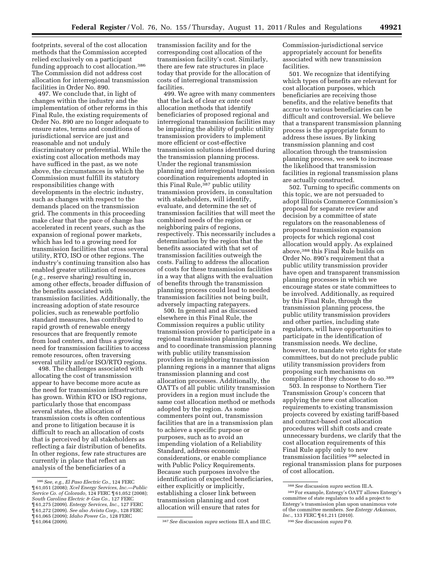footprints, several of the cost allocation methods that the Commission accepted relied exclusively on a participant funding approach to cost allocation.386 The Commission did not address cost allocation for interregional transmission facilities in Order No. 890.

497. We conclude that, in light of changes within the industry and the implementation of other reforms in this Final Rule, the existing requirements of Order No. 890 are no longer adequate to ensure rates, terms and conditions of jurisdictional service are just and reasonable and not unduly discriminatory or preferential. While the existing cost allocation methods may have sufficed in the past, as we note above, the circumstances in which the Commission must fulfill its statutory responsibilities change with developments in the electric industry, such as changes with respect to the demands placed on the transmission grid. The comments in this proceeding make clear that the pace of change has accelerated in recent years, such as the expansion of regional power markets, which has led to a growing need for transmission facilities that cross several utility, RTO, ISO or other regions. The industry's continuing transition also has enabled greater utilization of resources (*e.g.,* reserve sharing) resulting in, among other effects, broader diffusion of the benefits associated with transmission facilities. Additionally, the increasing adoption of state resource policies, such as renewable portfolio standard measures, has contributed to rapid growth of renewable energy resources that are frequently remote from load centers, and thus a growing need for transmission facilities to access remote resources, often traversing several utility and/or ISO/RTO regions.

498. The challenges associated with allocating the cost of transmission appear to have become more acute as the need for transmission infrastructure has grown. Within RTO or ISO regions, particularly those that encompass several states, the allocation of transmission costs is often contentious and prone to litigation because it is difficult to reach an allocation of costs that is perceived by all stakeholders as reflecting a fair distribution of benefits. In other regions, few rate structures are currently in place that reflect an analysis of the beneficiaries of a

transmission facility and for the corresponding cost allocation of the transmission facility's cost. Similarly, there are few rate structures in place today that provide for the allocation of costs of interregional transmission facilities.

499. We agree with many commenters that the lack of clear *ex ante* cost allocation methods that identify beneficiaries of proposed regional and interregional transmission facilities may be impairing the ability of public utility transmission providers to implement more efficient or cost-effective transmission solutions identified during the transmission planning process. Under the regional transmission planning and interregional transmission coordination requirements adopted in this Final Rule,387 public utility transmission providers, in consultation with stakeholders, will identify, evaluate, and determine the set of transmission facilities that will meet the combined needs of the region or neighboring pairs of regions, respectively. This necessarily includes a determination by the region that the benefits associated with that set of transmission facilities outweigh the costs. Failing to address the allocation of costs for these transmission facilities in a way that aligns with the evaluation of benefits through the transmission planning process could lead to needed transmission facilities not being built, adversely impacting ratepayers.

500. In general and as discussed elsewhere in this Final Rule, the Commission requires a public utility transmission provider to participate in a regional transmission planning process and to coordinate transmission planning with public utility transmission providers in neighboring transmission planning regions in a manner that aligns transmission planning and cost allocation processes. Additionally, the OATTs of all public utility transmission providers in a region must include the same cost allocation method or methods adopted by the region. As some commenters point out, transmission facilities that are in a transmission plan to achieve a specific purpose or purposes, such as to avoid an impending violation of a Reliability Standard, address economic considerations, or enable compliance with Public Policy Requirements. Because such purposes involve the identification of expected beneficiaries, either explicitly or implicitly, establishing a closer link between transmission planning and cost allocation will ensure that rates for

Commission-jurisdictional service appropriately account for benefits associated with new transmission facilities.

501. We recognize that identifying which types of benefits are relevant for cost allocation purposes, which beneficiaries are receiving those benefits, and the relative benefits that accrue to various beneficiaries can be difficult and controversial. We believe that a transparent transmission planning process is the appropriate forum to address these issues. By linking transmission planning and cost allocation through the transmission planning process, we seek to increase the likelihood that transmission facilities in regional transmission plans are actually constructed.

502. Turning to specific comments on this topic, we are not persuaded to adopt Illinois Commerce Commission's proposal for separate review and decision by a committee of state regulators on the reasonableness of proposed transmission expansion projects for which regional cost allocation would apply. As explained above,388 this Final Rule builds on Order No. 890's requirement that a public utility transmission provider have open and transparent transmission planning processes in which we encourage states or state committees to be involved. Additionally, as required by this Final Rule, through the transmission planning process, the public utility transmission providers and other parties, including state regulators, will have opportunities to participate in the identification of transmission needs. We decline, however, to mandate veto rights for state committees, but do not preclude public utility transmission providers from proposing such mechanisms on compliance if they choose to do so.389

503. In response to Northern Tier Transmission Group's concern that applying the new cost allocation requirements to existing transmission projects covered by existing tariff-based and contract-based cost allocation procedures will shift costs and create unnecessary burdens, we clarify that the cost allocation requirements of this Final Rule apply only to new transmission facilities 390 selected in regional transmission plans for purposes of cost allocation.

<sup>386</sup>*See, e.g., El Paso Electric Co.,* 124 FERC ¶ 61,051 (2008); *Xcel Energy Services, Inc.—Public Service Co. of Colorado,* 124 FERC ¶ 61,052 (2008); *South Carolina Electric & Gas Co.,* 127 FERC ¶ 61,275 (2009). *Entergy Services, Inc.,* 127 FERC ¶ 61,272 (2009). *See also Avista Corp.,* 128 FERC ¶ 61,065 (2009); *Idaho Power Co.,* 128 FERC

<sup>¶ 61,064 (2009). 387</sup>*See* discussion *supra* sections III.A and III.C.

<sup>388</sup>*See* discussion *supra* section III.A.

<sup>389</sup>For example, Entergy's OATT allows Entergy's committee of state regulators to add a project to Entergy's transmission plan upon unanimous vote of the committee members. *See Entergy Arkansas, Inc.,* 133 FERC ¶ 61,211 (2010).

<sup>390</sup>*See* discussion *supra* P 0.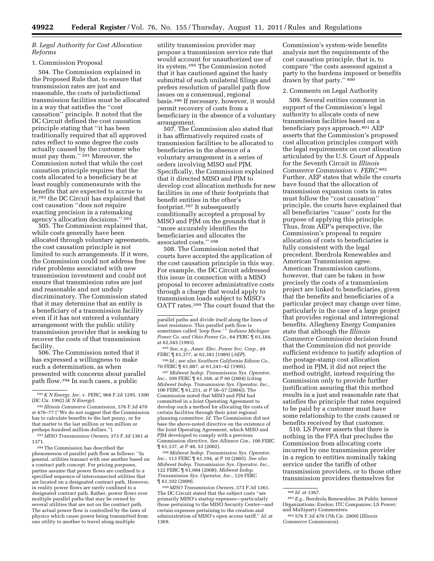# *B. Legal Authority for Cost Allocation Reforms*

### 1. Commission Proposal

504. The Commission explained in the Proposed Rule that, to ensure that transmission rates are just and reasonable, the costs of jurisdictional transmission facilities must be allocated in a way that satisfies the ''cost causation'' principle. It noted that the DC Circuit defined the cost causation principle stating that ''it has been traditionally required that all approved rates reflect to some degree the costs actually caused by the customer who must pay them."<sup>391</sup> Moreover, the Commission noted that while the cost causation principle requires that the costs allocated to a beneficiary be at least roughly commensurate with the benefits that are expected to accrue to it,392 the DC Circuit has explained that cost causation ''does not require exacting precision in a ratemaking agency's allocation decisions.'' 393

505. The Commission explained that, while costs generally have been allocated through voluntary agreements, the cost causation principle is not limited to such arrangements. If it were, the Commission could not address free rider problems associated with new transmission investment and could not ensure that transmission rates are just and reasonable and not unduly discriminatory. The Commission stated that it may determine that an entity is a beneficiary of a transmission facility even if it has not entered a voluntary arrangement with the public utility transmission provider that is seeking to recover the costs of that transmission facility.

506. The Commission noted that it has expressed a willingness to make such a determination, as when presented with concerns about parallel path flow.394 In such cases, a public

394The Commission has described the phenomenon of parallel path flow as follows: ''In general, utilities transact with one another based on a contract path concept. For pricing purposes, parties assume that power flows are confined to a specified sequence of interconnected utilities that are located on a designated contract path. However, in reality power flows are rarely confined to a designated contract path. Rather, power flows over multiple parallel paths that may be owned by several utilities that are not on the contract path. The actual power flow is controlled by the laws of physics which cause power being transmitted from one utility to another to travel along multiple

utility transmission provider may propose a transmission service rate that would account for unauthorized use of its system.395 The Commission noted that it has cautioned against the hasty submittal of such unilateral filings and prefers resolution of parallel path flow issues on a consensual, regional basis.396 If necessary, however, it would permit recovery of costs from a beneficiary in the absence of a voluntary arrangement.

507. The Commission also stated that it has affirmatively required costs of transmission facilities to be allocated to beneficiaries in the absence of a voluntary arrangement in a series of orders involving MISO and PJM. Specifically, the Commission explained that it directed MISO and PJM to develop cost allocation methods for new facilities in one of their footprints that benefit entities in the other's footprint.397 It subsequently conditionally accepted a proposal by MISO and PJM on the grounds that it ''more accurately identifies the beneficiaries and allocates the associated costs.'' 398

508. The Commission noted that courts have accepted the application of the cost causation principle in this way. For example, the DC Circuit addressed this issue in connection with a MISO proposal to recover administrative costs through a charge that would apply to transmission loads subject to MISO's OATT rates.399 The court found that the

395*See, e.g., Amer. Elec. Power Svc. Corp.,* 49 FERC ¶ 61,377, at 62,381 (1989) (*AEP*).

396 *Id.; see also Southern California Edison Co.,*  70 FERC ¶ 61,087, at 61,241–42 (1995).

397*Midwest Indep. Transmission Sys. Operator, Inc.,* 109 FERC ¶ 61,168, at P 60 (2004) (citing *Midwest Indep. Transmission Sys. Operator, Inc.,*  106 FERC ¶ 61,251, at P 56–57 (2004)). The Commission noted that MISO and PJM had committed in a Joint Operating Agreement to develop such a method for allocating the costs of certain facilities through their joint regional planning committee. *Id.* The Commission did not base the above-noted directive on the existence of the Joint Operating Agreement, which MISO and PJM developed to comply with a previous Commission directive. *See Alliance Cos.,* 100 FERC ¶ 61,137, at P 48, 53 (2002).

398*Midwest Indep. Transmission Sys. Operator, Inc.,* 113 FERC ¶ 61,194, at P 10 (2005). *See also Midwest Indep. Transmission Sys. Operator, Inc.,*  122 FERC ¶ 61,084 (2008); *Midwest Indep. Transmission Sys. Operator, Inc.,* 129 FERC ¶ 61,102 (2009).

399*MISO Transmission Owners,* 373 F.3d 1361. The DC Circuit stated that the subject costs ''are primarily MISO's startup expenses—particularly those pertaining to the MISO Security Center—and certain expenses pertaining to the creation and administration of MISO's open access tariff.'' *Id.* at 1369.

Commission's system-wide benefits analysis met the requirements of the cost causation principle, that is, to compare ''the costs assessed against a party to the burdens imposed or benefits drawn by that party.'' 400

### 2. Comments on Legal Authority

509. Several entities comment in support of the Commission's legal authority to allocate costs of new transmission facilities based on a beneficiary pays approach.401 AEP asserts that the Commission's proposed cost allocation principles comport with the legal requirements on cost allocation articulated by the U.S. Court of Appeals for the Seventh Circuit in *Illinois Commerce Commission* v. *FERC.*402 Further, AEP states that while the courts have found that the allocation of transmission expansion costs in rates must follow the ''cost causation'' principle, the courts have explained that all beneficiaries ''cause'' costs for the purpose of applying this principle. Thus, from AEP's perspective, the Commission's proposal to require allocation of costs to beneficiaries is fully consistent with the legal precedent. Iberdrola Renewables and American Transmission agree. American Transmission cautions, however, that care be taken in how precisely the costs of a transmission project are linked to beneficiaries, given that the benefits and beneficiaries of a particular project may change over time, particularly in the case of a large project that provides regional and interregional benefits. Allegheny Energy Companies state that although the *Illinois Commerce Commission* decision found that the Commission did not provide sufficient evidence to justify adoption of the postage-stamp cost allocation method in PJM, it did not reject the method outright, instead requiring the Commission only to provide further justification assuring that this method results in a just and reasonable rate that satisfies the principle that rates required to be paid by a customer must have some relationship to the costs caused or benefits received by that customer.

510. LS Power asserts that there is nothing in the FPA that precludes the Commission from allocating costs incurred by one transmission provider in a region to entities nominally taking service under the tariffs of other transmission providers, or to those other transmission providers themselves for

<sup>391</sup>*K N Energy, Inc.* v. *FERC,* 968 F.2d 1295, 1300 (DC Cir. 1992) (*K N Energy*).

<sup>392</sup> *Illinois Commerce Commission,* 576 F.3d 470 at 476–77 (''We do not suggest that the Commission has to calculate benefits to the last penny, or for that matter to the last million or ten million or perhaps hundred million dollars.'').

<sup>393</sup>*MISO Transmission Owners,* 373 F.3d 1361 at 1371.

parallel paths and divide itself along the lines of least resistance. This parallel path flow is sometimes called 'loop flow.' '' *Indiana Michigan Power Co. and Ohio Power Co.,* 64 FERC ¶ 61,184, at 62,545 (1993).

<sup>400</sup> *Id.* at 1367. 401*E.g.,* Iberdrola Renewables; 26 Public Interest Organizations; Exelon; ITC Companies; LS Power;

and Multiparty Commenters. 402 576 F.3d 470 (7th Cir. 2009) (*Illinois Commerce Commission*).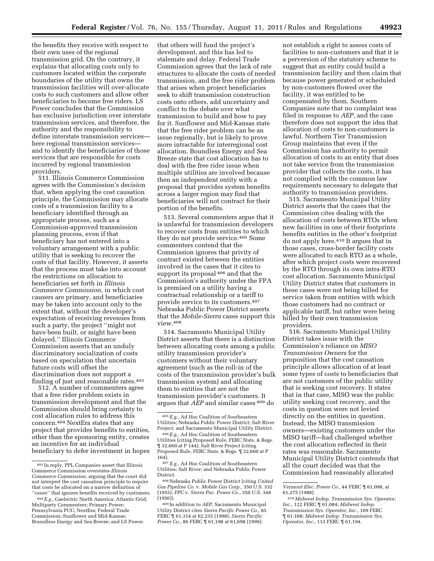the benefits they receive with respect to their own uses of the regional transmission grid. On the contrary, it explains that allocating costs only to customers located within the corporate boundaries of the utility that owns the transmission facilities will over-allocate costs to such customers and allow other beneficiaries to become free riders. LS Power concludes that the Commission has exclusive jurisdiction over interstate transmission services, and therefore, the authority and the responsibility to define interstate transmission services here regional transmission services and to identify the beneficiaries of those services that are responsible for costs incurred by regional transmission providers.

511. Illinois Commerce Commission agrees with the Commission's decision that, when applying the cost causation principle, the Commission may allocate costs of a transmission facility to a beneficiary identified through an appropriate process, such as a Commission-approved transmission planning process, even if that beneficiary has not entered into a voluntary arrangement with a public utility that is seeking to recover the costs of that facility. However, it asserts that the process must take into account the restrictions on allocation to beneficiaries set forth in *Illinois Commerce Commission,* in which cost causers are primary, and beneficiaries may be taken into account only to the extent that, without the developer's expectation of receiving revenues from such a party, the project ''might not have been built, or might have been delayed.'' Illinois Commerce Commission asserts that an unduly discriminatory socialization of costs based on speculation that uncertain future costs will offset the discrimination does not support a finding of just and reasonable rates.<sup>403</sup>

512. A number of commenters agree that a free rider problem exists in transmission development and that the Commission should bring certainty to cost allocation rules to address this concern.404 NextEra states that any project that provides benefits to entities, other than the sponsoring entity, creates an incentive for an individual beneficiary to defer investment in hopes

that others will fund the project's development, and this has led to stalemate and delay. Federal Trade Commission agrees that the lack of rate structures to allocate the costs of needed transmission, and the free rider problem that arises when project beneficiaries seek to shift transmission construction costs onto others, add uncertainty and conflict to the debate over what transmission to build and how to pay for it. Sunflower and Mid-Kansas state that the free rider problem can be an issue regionally, but is likely to prove more intractable for interregional cost allocation. Boundless Energy and Sea Breeze state that cost allocation has to deal with the free rider issue when multiple utilities are involved because then an independent entity with a proposal that provides system benefits across a larger region may find that beneficiaries will not contract for their portion of the benefits.

513. Several commenters argue that it is unlawful for transmission developers to recover costs from entities to which they do not provide service.405 Some commenters contend that the Commission ignores that privity of contract existed between the entities involved in the cases that it cites to support its proposal 406 and that the Commission's authority under the FPA is premised on a utility having a contractual relationship or a tariff to provide service to its customers.407 Nebraska Public Power District asserts that the *Mobile-Sierra* cases support this view.408

514. Sacramento Municipal Utility District asserts that there is a distinction between allocating costs among a public utility transmission provider's customers without their voluntary agreement (such as the roll-in of the costs of the transmission provider's bulk transmission system) and allocating them to entities that are not the transmission provider's customers. It argues that *AEP* and similar cases 409 do

not establish a right to assess costs of facilities to non-customers and that it is a perversion of the statutory scheme to suggest that an entity could build a transmission facility and then claim that because power generated or scheduled by non-customers flowed over the facility, it was entitled to be compensated by them. Southern Companies note that no complaint was filed in response to *AEP,* and the case therefore does not support the idea that allocation of costs to non-customers is lawful. Northern Tier Transmission Group maintains that even if the Commission has authority to permit allocation of costs to an entity that does not take service from the transmission provider that collects the costs, it has not complied with the common law requirements necessary to delegate that authority to transmission providers.

515. Sacramento Municipal Utility District asserts that the cases that the Commission cites dealing with the allocation of costs between RTOs when new facilities in one of their footprints benefits entities in the other's footprint do not apply here.410 It argues that in those cases, cross-border facility costs were allocated to each RTO as a whole, after which project costs were recovered by the RTO through its own intra-RTO cost allocation. Sacramento Municipal Utility District states that customers in these cases were not being billed for service taken from entities with which those customers had no contract or applicable tariff, but rather were being billed by their own transmission providers.

516. Sacramento Municipal Utility District takes issue with the Commission's reliance on *MISO Transmission Owners* for the proposition that the cost causation principle allows allocation of at least some types of costs to beneficiaries that are not customers of the public utility that is seeking cost recovery. It states that in that case, MISO was the public utility seeking cost recovery, and the costs in question were not levied directly on the entities in question. Instead, the MISO transmission owners—existing customers under the MISO tariff—had challenged whether the cost allocation reflected in their rates was reasonable. Sacramento Municipal Utility District contends that all the court decided was that the Commission had reasonably allocated

<sup>403</sup> In reply, PPL Companies assert that Illinois Commerce Commission overstates *Illinois Commerce Commission,* arguing that the court did not interpret the cost causation principle to require that costs be allocated on a narrow definition of ''cause'' that ignores benefits received by customers.

<sup>404</sup>*E.g.,* Gaelectric North America; Atlantic Grid; Multiparty Commenters; Primary Power; Pennsylvania PUC; NextEra; Federal Trade Commission; Sunflower and Mid-Kansas; Boundless Energy and Sea Breeze; and LS Power.

<sup>405</sup>*E.g.,* Ad Hoc Coalition of Southeastern Utilities; Nebraska Public Power District; Salt River Project; and Sacramento Municipal Utility District.

<sup>406</sup>*E.g.,* Ad Hoc Coalition of Southeastern Utilities (citing Proposed Rule, FERC Stats. & Regs. ¶ 32,660 at P 144); Salt River Project (citing Proposed Rule, FERC Stats. & Regs. ¶ 32,660 at P 164).

<sup>407</sup>*E.g.,* Ad Hoc Coalition of Southeastern Utilities; Salt River; and Nebraska Public Power District.

<sup>408</sup>Nebraska Public Power District (citing *United Gas Pipeline Co.* v. *Mobile Gas Corp.,* 350 U.S. 332 (1955); *FPC* v. *Sierra Pac. Power Co.,* 350 U.S. 348 (1956)).

<sup>409</sup> In addition to *AEP,* Sacramento Municipal Utility District cites *Sierra Pacific Power Co.,* 85 FERC ¶ 61,314 at 62,235 (1998); *Sierra Pacific Power Co., 86 FERC* 1 61,198 at 61,698 (1999);

*Vermont Elec. Power Co.,* 44 FERC ¶ 61,098, at 61,275 (1988).

<sup>410</sup> *Midwest Indep. Transmission Sys. Operator, Inc.,* 122 FERC ¶ 61,084; *Midwest Indep. Transmission Sys. Operator, Inc.,* 109 FERC ¶ 61,168; *Midwest Indep. Transmission Sys. Operator, Inc.,* 113 FERC ¶ 61,194.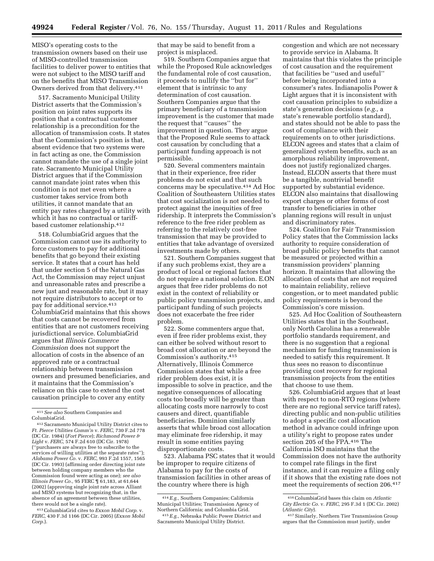MISO's operating costs to the transmission owners based on their use of MISO-controlled transmission facilities to deliver power to entities that were not subject to the MISO tariff and on the benefits that MISO Transmission Owners derived from that delivery.411

517. Sacramento Municipal Utility District asserts that the Commission's position on joint rates supports its position that a contractual customer relationship is a precondition for the allocation of transmission costs. It states that the Commission's position is that, absent evidence that two systems were in fact acting as one, the Commission cannot mandate the use of a single joint rate. Sacramento Municipal Utility District argues that if the Commission cannot mandate joint rates when this condition is not met even where a customer takes service from both utilities, it cannot mandate that an entity pay rates charged by a utility with which it has no contractual or tariffbased customer relationship.412

518. ColumbiaGrid argues that the Commission cannot use its authority to force customers to pay for additional benefits that go beyond their existing service. It states that a court has held that under section 5 of the Natural Gas Act, the Commission may reject unjust and unreasonable rates and prescribe a new just and reasonable rate, but it may not require distributors to accept or to pay for additional service.413 ColumbiaGrid maintains that this shows that costs cannot be recovered from entities that are not customers receiving jurisdictional service. ColumbiaGrid argues that *Illinois Commerce Commission* does not support the allocation of costs in the absence of an approved rate or a contractual relationship between transmission owners and presumed beneficiaries, and it maintains that the Commission's reliance on this case to extend the cost causation principle to cover any entity

411*See also* Southern Companies and ColumbiaGrid.

413ColumbiaGrid cites to *Exxon Mobil Corp.* v. *FERC,* 430 F.3d 1166 (DC Cir. 2005) (*Exxon Mobil Corp.*).

that may be said to benefit from a project is misplaced.

519. Southern Companies argue that while the Proposed Rule acknowledges the fundamental role of cost causation, it proceeds to nullify the ''but for'' element that is intrinsic to any determination of cost causation. Southern Companies argue that the primary beneficiary of a transmission improvement is the customer that made the request that ''causes'' the improvement in question. They argue that the Proposed Rule seems to attack cost causation by concluding that a participant funding approach is not permissible.

520. Several commenters maintain that in their experience, free rider problems do not exist and that such concerns may be speculative.414 Ad Hoc Coalition of Southeastern Utilities states that cost socialization is not needed to protect against the inequities of free ridership. It interprets the Commission's reference to the free rider problem as referring to the relatively cost-free transmission that may be provided to entities that take advantage of oversized investments made by others.

521. Southern Companies suggest that if any such problems exist, they are a product of local or regional factors that do not require a national solution. E.ON argues that free rider problems do not exist in the context of reliability or public policy transmission projects, and participant funding of such projects does not exacerbate the free rider problem.

522. Some commenters argue that, even if free rider problems exist, they can either be solved without resort to broad cost allocation or are beyond the Commission's authority.415 Alternatively, Illinois Commerce Commission states that while a free rider problem does exist, it is impossible to solve in practice, and the negative consequences of allocating costs too broadly will be greater than allocating costs more narrowly to cost causers and direct, quantifiable beneficiaries. Dominion similarly asserts that while broad cost allocation may eliminate free ridership, it may result in some entities paying disproportionate costs.

523. Alabama PSC states that it would be improper to require citizens of Alabama to pay for the costs of transmission facilities in other areas of the country where there is high

congestion and which are not necessary to provide service in Alabama. It maintains that this violates the principle of cost causation and the requirement that facilities be ''used and useful'' before being incorporated into a consumer's rates. Indianapolis Power & Light argues that it is inconsistent with cost causation principles to subsidize a state's generation decisions (*e.g.,* a state's renewable portfolio standard), and states should not be able to pass the cost of compliance with their requirements on to other jurisdictions. ELCON agrees and states that a claim of generalized system benefits, such as an amorphous reliability improvement, does not justify regionalized charges. Instead, ELCON asserts that there must be a tangible, nontrivial benefit supported by substantial evidence. ELCON also maintains that disallowing export charges or other forms of cost transfer to beneficiaries in other planning regions will result in unjust and discriminatory rates.

524. Coalition for Fair Transmission Policy states that the Commission lacks authority to require consideration of broad public policy benefits that cannot be measured or projected within a transmission providers' planning horizon. It maintains that allowing the allocation of costs that are not required to maintain reliability, relieve congestion, or to meet mandated public policy requirements is beyond the Commission's core mission.

525. Ad Hoc Coalition of Southeastern Utilities states that in the Southeast, only North Carolina has a renewable portfolio standards requirement, and there is no suggestion that a regional mechanism for funding transmission is needed to satisfy this requirement. It thus sees no reason to discontinue providing cost recovery for regional transmission projects from the entities that choose to use them.

526. ColumbiaGrid argues that at least with respect to non-RTO regions (where there are no regional service tariff rates), directing public and non-public utilities to adopt a specific cost allocation method in advance could infringe upon a utility's right to propose rates under section 205 of the FPA.416 The California ISO maintains that the Commission does not have the authority to compel rate filings in the first instance, and it can require a filing only if it shows that the existing rate does not meet the requirements of section 206.417

<sup>412</sup>Sacramento Municipal Utility District cites to *Ft. Pierce Utilities Comm'n* v. *FERC,* 730 F.2d 778 (DC Cir. 1984) (*Fort Pierce*); *Richmond Power & Light* v. *FERC,* 574 F.2d 610 (DC Cir. 1978) (''purchasers are always free to subscribe to the services of willing utilities at the separate rates''); *Alabama Power Co.* v. *FERC,* 993 F.2d 1557, 1565 (DC Cir. 1993) (affirming order directing joint rate between holding company members who the Commission found were acting as one); *see also Illinois Power Co.,* 95 FERC ¶ 61,183, at 61,644 (2002) (approving single joint rate across Alliant and MISO systems but recognizing that, in the absence of an agreement between these utilities, there would not be a single rate).

<sup>414</sup>*E.g.,* Southern Companies; California Municipal Utilities; Transmission Agency of Northern California; and Columbia Grid.

<sup>415</sup>*E.g.,* Nebraska Public Power District and Sacramento Municipal Utility District.

<sup>416</sup>ColumbiaGrid bases this claim on *Atlantic City Electric Co.* v. *FERC,* 295 F.3d 1 (DC Cir. 2002) (*Atlantic City*).

<sup>417</sup>Similarly, Northern Tier Transmission Group argues that the Commission must justify, under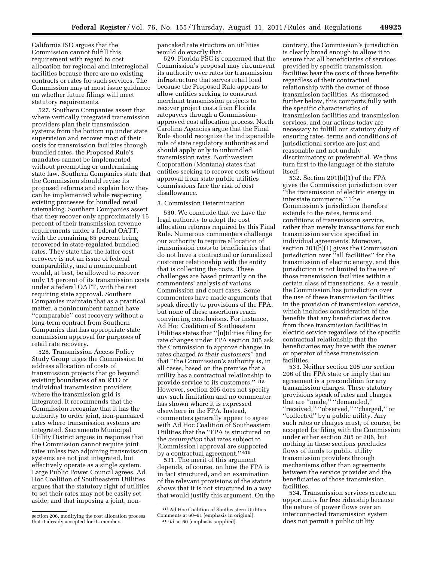California ISO argues that the Commission cannot fulfill this requirement with regard to cost allocation for regional and interregional facilities because there are no existing contracts or rates for such services. The Commission may at most issue guidance on whether future filings will meet statutory requirements.

527. Southern Companies assert that where vertically integrated transmission providers plan their transmission systems from the bottom up under state supervision and recover most of their costs for transmission facilities through bundled rates, the Proposed Rule's mandates cannot be implemented without preempting or undermining state law. Southern Companies state that the Commission should revise its proposed reforms and explain how they can be implemented while respecting existing processes for bundled retail ratemaking. Southern Companies assert that they recover only approximately 15 percent of their transmission revenue requirements under a federal OATT, with the remaining 85 percent being recovered in state-regulated bundled rates. They state that the latter cost recovery is not an issue of federal comparability, and a nonincumbent would, at best, be allowed to recover only 15 percent of its transmission costs under a federal OATT, with the rest requiring state approval. Southern Companies maintain that as a practical matter, a nonincumbent cannot have ''comparable'' cost recovery without a long-term contract from Southern Companies that has appropriate state commission approval for purposes of retail rate recovery.

528. Transmission Access Policy Study Group urges the Commission to address allocation of costs of transmission projects that go beyond existing boundaries of an RTO or individual transmission providers where the transmission grid is integrated. It recommends that the Commission recognize that it has the authority to order joint, non-pancaked rates where transmission systems are integrated. Sacramento Municipal Utility District argues in response that the Commission cannot require joint rates unless two adjoining transmission systems are not just integrated, but effectively operate as a single system. Large Public Power Council agrees. Ad Hoc Coalition of Southeastern Utilities argues that the statutory right of utilities to set their rates may not be easily set aside, and that imposing a joint, nonpancaked rate structure on utilities would do exactly that.

529. Florida PSC is concerned that the Commission's proposal may circumvent its authority over rates for transmission infrastructure that serves retail load because the Proposed Rule appears to allow entities seeking to construct merchant transmission projects to recover project costs from Florida ratepayers through a Commissionapproved cost allocation process. North Carolina Agencies argue that the Final Rule should recognize the indispensible role of state regulatory authorities and should apply only to unbundled transmission rates. Northwestern Corporation (Montana) states that entities seeking to recover costs without approval from state public utilities commissions face the risk of cost disallowance.

## 3. Commission Determination

530. We conclude that we have the legal authority to adopt the cost allocation reforms required by this Final Rule. Numerous commenters challenge our authority to require allocation of transmission costs to beneficiaries that do not have a contractual or formalized customer relationship with the entity that is collecting the costs. These challenges are based primarily on the commenters' analysis of various Commission and court cases. Some commenters have made arguments that speak directly to provisions of the FPA, but none of these assertions reach convincing conclusions. For instance, Ad Hoc Coalition of Southeastern Utilities states that ''[u]tilities filing for rate changes under FPA section 205 ask the Commission to approve changes in rates charged *to their customers*'' and that ''the Commission's authority is, in all cases, based on the premise that a utility has a contractual relationship to provide service to its customers.'' 418 However, section 205 does not specify any such limitation and no commenter has shown where it is expressed elsewhere in the FPA. Instead, commenters generally appear to agree with Ad Hoc Coalition of Southeastern Utilities that the ''FPA is structured on the *assumption* that rates subject to [Commission] approval are supported by a contractual agreement.'' 419

531. The merit of this argument depends, of course, on how the FPA is in fact structured, and an examination of the relevant provisions of the statute shows that it is not structured in a way that would justify this argument. On the

contrary, the Commission's jurisdiction is clearly broad enough to allow it to ensure that all beneficiaries of services provided by specific transmission facilities bear the costs of those benefits regardless of their contractual relationship with the owner of those transmission facilities. As discussed further below, this comports fully with the specific characteristics of transmission facilities and transmission services, and our actions today are necessary to fulfill our statutory duty of ensuring rates, terms and conditions of jurisdictional service are just and reasonable and not unduly discriminatory or preferential. We thus turn first to the language of the statute itself.

532. Section 201(b)(1) of the FPA gives the Commission jurisdiction over ''the transmission of electric energy in interstate commerce.'' The Commission's jurisdiction therefore extends to the rates, terms and conditions of transmission service, rather than merely transactions for such transmission service specified in individual agreements. Moreover, section 201(b)(1) gives the Commission jurisdiction over ''all facilities'' for the transmission of electric energy, and this jurisdiction is not limited to the use of those transmission facilities within a certain class of transactions. As a result, the Commission has jurisdiction over the use of these transmission facilities in the provision of transmission service, which includes consideration of the benefits that any beneficiaries derive from those transmission facilities in electric service regardless of the specific contractual relationship that the beneficiaries may have with the owner or operator of these transmission facilities.

533. Neither section 205 nor section 206 of the FPA state or imply that an agreement is a precondition for any transmission charges. These statutory provisions speak of rates and charges that are ''made,'' ''demanded,'' ''received,'' ''observed,'' ''charged,'' or ''collected'' by a public utility. Any such rates or charges must, of course, be accepted for filing with the Commission under either section 205 or 206, but nothing in these sections precludes flows of funds to public utility transmission providers through mechanisms other than agreements between the service provider and the beneficiaries of those transmission facilities.

534. Transmission services create an opportunity for free ridership because the nature of power flows over an interconnected transmission system does not permit a public utility

section 206, modifying the cost allocation process that it already accepted for its members.

<sup>418</sup>Ad Hoc Coalition of Southeastern Utilities Comments at 60–61 (emphasis in original). 419 *Id.* at 60 (emphasis supplied).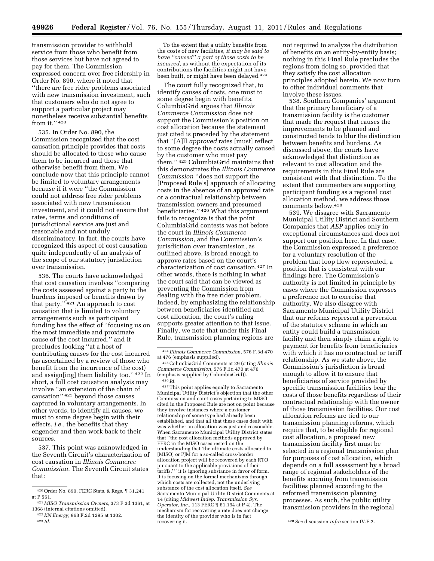transmission provider to withhold service from those who benefit from those services but have not agreed to pay for them. The Commission expressed concern over free ridership in Order No. 890, where it noted that ''there are free rider problems associated with new transmission investment, such that customers who do not agree to support a particular project may nonetheless receive substantial benefits from it.'' 420

535. In Order No. 890, the Commission recognized that the cost causation principle provides that costs should be allocated to those who cause them to be incurred and those that otherwise benefit from them. We conclude now that this principle cannot be limited to voluntary arrangements because if it were ''the Commission could not address free rider problems associated with new transmission investment, and it could not ensure that rates, terms and conditions of jurisdictional service are just and reasonable and not unduly discriminatory. In fact, the courts have recognized this aspect of cost causation quite independently of an analysis of the scope of our statutory jurisdiction over transmission.

536. The courts have acknowledged that cost causation involves ''comparing the costs assessed against a party to the burdens imposed or benefits drawn by that party.'' 421 An approach to cost causation that is limited to voluntary arrangements such as participant funding has the effect of ''focusing us on the most immediate and proximate cause of the cost incurred,'' and it precludes looking ''at a host of contributing causes for the cost incurred (as ascertained by a review of those who benefit from the incurrence of the cost) and assign[ing] them liability too.'' 422 In short, a full cost causation analysis may involve ''an extension of the chain of causation'' 423 beyond those causes captured in voluntary arrangements. In other words, to identify all causes, we must to some degree begin with their effects, *i.e.,* the benefits that they engender and then work back to their sources.

537. This point was acknowledged in the Seventh Circuit's characterization of cost causation in *Illinois Commerce Commission.* The Seventh Circuit states that:

To the extent that a utility benefits from the costs of new facilities, *it may be said to have ''caused'' a part of those costs to be incurred,* as without the expectation of its contributions the facilities might not have been built, or might have been delayed.424

The court fully recognized that, to identify causes of costs, one must to some degree begin with benefits. ColumbiaGrid argues that *Illinois Commerce Commission* does not support the Commission's position on cost allocation because the statement just cited is preceded by the statement that ''[A]ll *approved* rates [must] reflect to some degree the costs actually caused by the customer who must pay them.'' 425 ColumbiaGrid maintains that this demonstrates the *Illinois Commerce Commission* ''does not support the [Proposed Rule's] approach of allocating costs in the absence of an approved rate or a contractual relationship between transmission owners and presumed beneficiaries.'' 426 What this argument fails to recognize is that the point ColumbiaGrid contests was not before the court in *Illinois Commerce Commission,* and the Commission's jurisdiction over transmission, as outlined above, is broad enough to approve rates based on the court's characterization of cost causation.427 In other words, there is nothing in what the court said that can be viewed as preventing the Commission from dealing with the free rider problem. Indeed, by emphasizing the relationship between beneficiaries identified and cost allocation, the court's ruling supports greater attention to that issue. Finally, we note that under this Final Rule, transmission planning regions are

427This point applies equally to Sacramento Municipal Utility District's objection that the other Commission and court cases pertaining to MISO cited in the Proposed Rule are not on point because they involve instances where a customer relationship of some type had already been established, and that all that these cases dealt with was whether an allocation was just and reasonable. When Sacramento Municipal Utility District states that ''the cost allocation methods approved by FERC in the MISO cases rested on the understanding that 'the ultimate costs allocated to [MISO] or PJM for a so-called cross-border allocation project will be recovered by each RTO pursuant to the applicable provisions of their tariffs,'" it is ignoring substance in favor of form. It is focusing on the formal mechanisms through which costs are collected, not the underlying substance of the cost allocation itself. *See*  Sacramento Municipal Utility District Comments at 14 (citing *Midwest Indep. Transmission Sys. Operator, Inc.,* 113 FERC ¶ 61,194 at P 4). The mechanism for recovering a rate does not change the identity of the provider who is in fact

not required to analyze the distribution of benefits on an entity-by-entity basis; nothing in this Final Rule precludes the regions from doing so, provided that they satisfy the cost allocation principles adopted herein. We now turn to other individual comments that involve these issues.

538. Southern Companies' argument that the primary beneficiary of a transmission facility is the customer that made the request that causes the improvements to be planned and constructed tends to blur the distinction between benefits and burdens. As discussed above, the courts have acknowledged that distinction as relevant to cost allocation and the requirements in this Final Rule are consistent with that distinction. To the extent that commenters are supporting participant funding as a regional cost allocation method, we address those comments below.428

539. We disagree with Sacramento Municipal Utility District and Southern Companies that *AEP* applies only in exceptional circumstances and does not support our position here. In that case, the Commission expressed a preference for a voluntary resolution of the problem that loop flow represented, a position that is consistent with our findings here. The Commission's authority is not limited in principle by cases where the Commission expresses a preference not to exercise that authority. We also disagree with Sacramento Municipal Utility District that our reforms represent a perversion of the statutory scheme in which an entity could build a transmission facility and then simply claim a right to payment for benefits from beneficiaries with which it has no contractual or tariff relationship. As we state above, the Commission's jurisdiction is broad enough to allow it to ensure that beneficiaries of service provided by specific transmission facilities bear the costs of those benefits regardless of their contractual relationship with the owner of those transmission facilities. Our cost allocation reforms are tied to our transmission planning reforms, which require that, to be eligible for regional cost allocation, a proposed new transmission facility first must be selected in a regional transmission plan for purposes of cost allocation, which depends on a full assessment by a broad range of regional stakeholders of the benefits accruing from transmission facilities planned according to the reformed transmission planning processes. As such, the public utility transmission providers in the regional

<sup>420</sup>Order No. 890, FERC Stats. & Regs. ¶ 31,241 at P 561.

<sup>421</sup>*MISO Transmission Owners,* 373 F.3d 1361, at 1368 (internal citations omitted).

<sup>422</sup>*KN Energy,* 968 F.2d 1295 at 1302. 423 *Id.* 

<sup>424</sup> *Illinois Commerce Commission,* 576 F.3d 470 at 476 (emphasis supplied).

<sup>425</sup>ColumbiaGrid Comments at 29 (citing *Illinois Commerce Commission,* 576 F.3d 470 at 476 (emphasis supplied by ColumbiaGrid)).  $^{426}\,Id.$ 

<sup>&</sup>lt;sup>428</sup> See discussion *infra* section IV.F.2.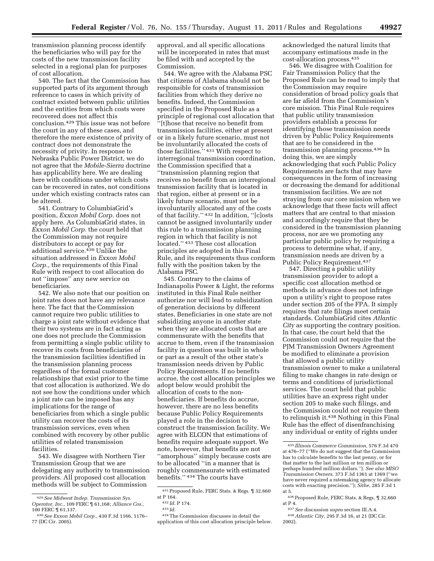transmission planning process identify the beneficiaries who will pay for the costs of the new transmission facility selected in a regional plan for purposes of cost allocation.

540. The fact that the Commission has supported parts of its argument through reference to cases in which privity of contract existed between public utilities and the entities from which costs were recovered does not affect this conclusion.429 This issue was not before the court in any of these cases, and therefore the mere existence of privity of contract does not demonstrate the necessity of privity. In response to Nebraska Public Power District, we do not agree that the *Mobile-Sierra* doctrine has applicability here. We are dealing here with conditions under which costs can be recovered in rates, not conditions under which existing contracts rates can be altered.

541. Contrary to ColumbiaGrid's position, *Exxon Mobil Corp.* does not apply here. As ColumbiaGrid states, in *Exxon Mobil Corp.* the court held that the Commission may not require distributors to accept or pay for additional service.430 Unlike the situation addressed in *Exxon Mobil Corp.,* the requirements of this Final Rule with respect to cost allocation do not ''impose'' any new service on beneficiaries.

542. We also note that our position on joint rates does not have any relevance here. The fact that the Commission cannot require two public utilities to charge a joint rate without evidence that their two systems are in fact acting as one does not preclude the Commission from permitting a single public utility to recover its costs from beneficiaries of the transmission facilities identified in the transmission planning process regardless of the formal customer relationships that exist prior to the time that cost allocation is authorized. We do not see how the conditions under which a joint rate can be imposed has any implications for the range of beneficiaries from which a single public utility can recover the costs of its transmission services, even when combined with recovery by other public utilities of related transmission facilities.

543. We disagree with Northern Tier Transmission Group that we are delegating any authority to transmission providers. All proposed cost allocation methods will be subject to Commission

approval, and all specific allocations will be incorporated in rates that must be filed with and accepted by the Commission.

544. We agree with the Alabama PSC that citizens of Alabama should not be responsible for costs of transmission facilities from which they derive no benefits. Indeed, the Commission specified in the Proposed Rule as a principle of regional cost allocation that ''[t]hose that receive no benefit from transmission facilities, either at present or in a likely future scenario, must not be involuntarily allocated the costs of those facilities.'' 431 With respect to interregional transmission coordination, the Commission specified that a ''transmission planning region that receives no benefit from an interregional transmission facility that is located in that region, either at present or in a likely future scenario, must not be involuntarily allocated any of the costs of that facility.'' 432 In addition, ''[c]osts cannot be assigned involuntarily under this rule to a transmission planning region in which that facility is not located.'' 433 These cost allocation principles are adopted in this Final Rule, and its requirements thus conform fully with the position taken by the Alabama PSC.

545. Contrary to the claims of Indianapolis Power & Light, the reforms instituted in this Final Rule neither authorize nor will lead to subsidization of generation decisions by different states. Beneficiaries in one state are not subsidizing anyone in another state when they are allocated costs that are commensurate with the benefits that accrue to them, even if the transmission facility in question was built in whole or part as a result of the other state's transmission needs driven by Public Policy Requirements. If no benefits accrue, the cost allocation principles we adopt below would prohibit the allocation of costs to the nonbeneficiaries. If benefits do accrue, however, there are no less benefits because Public Policy Requirements played a role in the decision to construct the transmission facility. We agree with ELCON that estimations of benefits require adequate support. We note, however, that benefits are not ''amorphous'' simply because costs are to be allocated ''in a manner that is roughly commensurate with estimated benefits.'' 434 The courts have

acknowledged the natural limits that accompany estimations made in the cost-allocation process.435

546. We disagree with Coalition for Fair Transmission Policy that the Proposed Rule can be read to imply that the Commission may require consideration of broad policy goals that are far afield from the Commission's core mission. This Final Rule requires that public utility transmission providers establish a process for identifying those transmission needs driven by Public Policy Requirements that are to be considered in the transmission planning process.436 In doing this, we are simply acknowledging that such Public Policy Requirements are facts that may have consequences in the form of increasing or decreasing the demand for additional transmission facilities. We are not straying from our core mission when we acknowledge that these facts will affect matters that are central to that mission and accordingly require that they be considered in the transmission planning process, nor are we promoting any particular public policy by requiring a process to determine what, if any, transmission needs are driven by a Public Policy Requirement.<sup>437</sup>

547. Directing a public utility transmission provider to adopt a specific cost allocation method or methods in advance does not infringe upon a utility's right to propose rates under section 205 of the FPA. It simply requires that rate filings meet certain standards. ColumbiaGrid cites *Atlantic City* as supporting the contrary position. In that case, the court held that the Commission could not require that the PJM Transmission Owners Agreement be modified to eliminate a provision that allowed a public utility transmission owner to make a unilateral filing to make changes in rate design or terms and conditions of jurisdictional services. The court held that public utilities have an express right under section 205 to make such filings, and the Commission could not require them to relinquish it.438 Nothing in this Final Rule has the effect of disenfranchising any individual or entity of rights under

<sup>429</sup>*See Midwest Indep. Transmission Sys. Operator, Inc.,* 109 FERC ¶ 61,168; *Alliance Cos.,*  100 FERC ¶ 61,137.

<sup>430</sup>*See Exxon Mobil Corp.,* 430 F.3d 1166, 1176– 77 (DC Cir. 2005).

<sup>431</sup>Proposed Rule, FERC Stats. & Regs. ¶ 32,660 at P 164.

<sup>432</sup> *Id.* P 174.

<sup>433</sup> *Id.* 

<sup>434</sup>The Commission discusses in detail the application of this cost allocation principle below.

<sup>435</sup> *Illinois Commerce Commission,* 576 F.3d 470 at 476–77 (''We do not suggest that the Commission has to calculate benefits to the last penny, or for that matter to the last million or ten million or perhaps hundred million dollars.''). *See also MISO Transmission Owners,* 373 F.3d 1361 at 1369 (''we have never required a ratemaking agency to allocate costs with exacting precision.''); *Sithe,* 285 F.3d 1 at 5.

<sup>436</sup>Proposed Rule, FERC Stats. & Regs. ¶ 32,660 at P 4.

<sup>437</sup>*See* discussion *supra* section III.A.4.

<sup>438</sup>*Atlantic City,* 295 F.3d 16, at 21 (DC Cir. 2002).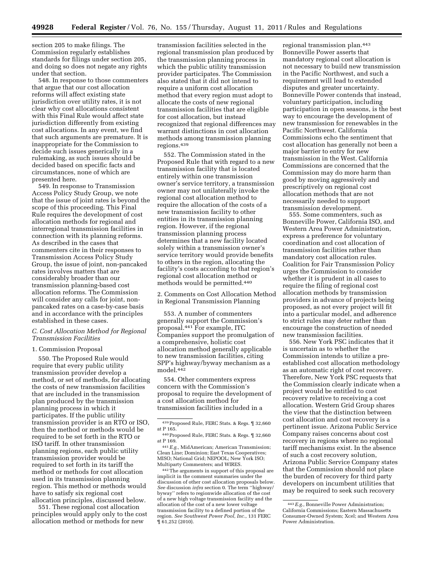section 205 to make filings. The Commission regularly establishes standards for filings under section 205, and doing so does not negate any rights under that section.

548. In response to those commenters that argue that our cost allocation reforms will affect existing state jurisdiction over utility rates, it is not clear why cost allocations consistent with this Final Rule would affect state jurisdiction differently from existing cost allocations. In any event, we find that such arguments are premature. It is inappropriate for the Commission to decide such issues generically in a rulemaking, as such issues should be decided based on specific facts and circumstances, none of which are presented here.

549. In response to Transmission Access Policy Study Group, we note that the issue of joint rates is beyond the scope of this proceeding. This Final Rule requires the development of cost allocation methods for regional and interregional transmission facilities in connection with its planning reforms. As described in the cases that commenters cite in their responses to Transmission Access Policy Study Group, the issue of joint, non-pancaked rates involves matters that are considerably broader than our transmission planning-based cost allocation reforms. The Commission will consider any calls for joint, nonpancaked rates on a case-by-case basis and in accordance with the principles established in these cases.

# *C. Cost Allocation Method for Regional Transmission Facilities*

# 1. Commission Proposal

550. The Proposed Rule would require that every public utility transmission provider develop a method, or set of methods, for allocating the costs of new transmission facilities that are included in the transmission plan produced by the transmission planning process in which it participates. If the public utility transmission provider is an RTO or ISO, then the method or methods would be required to be set forth in the RTO or ISO tariff. In other transmission planning regions, each public utility transmission provider would be required to set forth in its tariff the method or methods for cost allocation used in its transmission planning region. This method or methods would have to satisfy six regional cost allocation principles, discussed below.

551. These regional cost allocation principles would apply only to the cost allocation method or methods for new

transmission facilities selected in the regional transmission plan produced by the transmission planning process in which the public utility transmission provider participates. The Commission also stated that it did not intend to require a uniform cost allocation method that every region must adopt to allocate the costs of new regional transmission facilities that are eligible for cost allocation, but instead recognized that regional differences may warrant distinctions in cost allocation methods among transmission planning regions.439

552. The Commission stated in the Proposed Rule that with regard to a new transmission facility that is located entirely within one transmission owner's service territory, a transmission owner may not unilaterally invoke the regional cost allocation method to require the allocation of the costs of a new transmission facility to other entities in its transmission planning region. However, if the regional transmission planning process determines that a new facility located solely within a transmission owner's service territory would provide benefits to others in the region, allocating the facility's costs according to that region's regional cost allocation method or methods would be permitted.440

2. Comments on Cost Allocation Method in Regional Transmission Planning

553. A number of commenters generally support the Commission's proposal.441 For example, ITC Companies support the promulgation of a comprehensive, holistic cost allocation method generally applicable to new transmission facilities, citing SPP's highway/byway mechanism as a model.442

554. Other commenters express concern with the Commission's proposal to require the development of a cost allocation method for transmission facilities included in a

442The arguments in support of this proposal are implicit in the comment summaries under the discussion of other cost allocation proposals below. *See* discussion *infra* section 0. The term ''highway/ byway'' refers to regionwide allocation of the cost of a new high voltage transmission facility and the allocation of the cost of a new lower voltage transmission facility to a defined portion of the region. *See Southwest Power Pool, Inc.,* 131 FERC ¶ 61,252 (2010).

regional transmission plan.443 Bonneville Power asserts that mandatory regional cost allocation is not necessary to build new transmission in the Pacific Northwest, and such a requirement will lead to extended disputes and greater uncertainty. Bonneville Power contends that instead, voluntary participation, including participation in open seasons, is the best way to encourage the development of new transmission for renewables in the Pacific Northwest. California Commissions echo the sentiment that cost allocation has generally not been a major barrier to entry for new transmission in the West. California Commissions are concerned that the Commission may do more harm than good by moving aggressively and prescriptively on regional cost allocation methods that are not necessarily needed to support transmission development.

555. Some commenters, such as Bonneville Power, California ISO, and Western Area Power Administration, express a preference for voluntary coordination and cost allocation of transmission facilities rather than mandatory cost allocation rules. Coalition for Fair Transmission Policy urges the Commission to consider whether it is prudent in all cases to require the filing of regional cost allocation methods by transmission providers in advance of projects being proposed, as not every project will fit into a particular model, and adherence to strict rules may deter rather than encourage the construction of needed new transmission facilities.

556. New York PSC indicates that it is uncertain as to whether the Commission intends to utilize a preestablished cost allocation methodology as an automatic right of cost recovery. Therefore, New York PSC requests that the Commission clearly indicate when a project would be entitled to cost recovery relative to receiving a cost allocation. Western Grid Group shares the view that the distinction between cost allocation and cost recovery is a pertinent issue. Arizona Public Service Company raises concerns about cost recovery in regions where no regional tariff mechanisms exist. In the absence of such a cost recovery solution, Arizona Public Service Company states that the Commission should not place the burden of recovery for third party developers on incumbent utilities that may be required to seek such recovery

<sup>439</sup>Proposed Rule, FERC Stats. & Regs. ¶ 32,660 at P 165.

<sup>440</sup>Proposed Rule, FERC Stats. & Regs. ¶ 32,660 at P 169.

<sup>441</sup>*E.g.,* MidAmerican; American Transmission; Clean Line; Dominion; East Texas Cooperatives; MISO; National Grid; NEPOOL; New York ISO; Multiparty Commenters; and WIRES.

<sup>443</sup>*E.g.,* Bonneville Power Administration; California Commissions; Eastern Massachusetts Consumer-Owned System; Xcel; and Western Area Power Administration.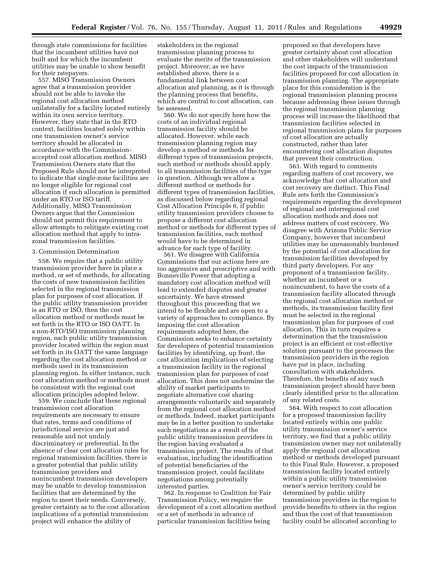through state commissions for facilities that the incumbent utilities have not built and for which the incumbent utilities may be unable to show benefit for their ratepayers.

557. MISO Transmission Owners agree that a transmission provider should not be able to invoke the regional cost allocation method unilaterally for a facility located entirely within its own service territory. However, they state that in the RTO context, facilities located solely within one transmission owner's service territory should be allocated in accordance with the Commissionaccepted cost allocation method. MISO Transmission Owners state that the Proposed Rule should not be interpreted to indicate that single-zone facilities are no longer eligible for regional cost allocation if such allocation is permitted under an RTO or ISO tariff. Additionally, MISO Transmission Owners argue that the Commission should not permit this requirement to allow attempts to relitigate existing cost allocation method that apply to intrazonal transmission facilities.

### 3. Commission Determination

558. We require that a public utility transmission provider have in place a method, or set of methods, for allocating the costs of new transmission facilities selected in the regional transmission plan for purposes of cost allocation. If the public utility transmission provider is an RTO or ISO, then the cost allocation method or methods must be set forth in the RTO or ISO OATT. In a non-RTO/ISO transmission planning region, each public utility transmission provider located within the region must set forth in its OATT the same language regarding the cost allocation method or methods used in its transmission planning region. In either instance, such cost allocation method or methods must be consistent with the regional cost allocation principles adopted below.

559. We conclude that these regional transmission cost allocation requirements are necessary to ensure that rates, terms and conditions of jurisdictional service are just and reasonable and not unduly discriminatory or preferential. In the absence of clear cost allocation rules for regional transmission facilities, there is a greater potential that public utility transmission providers and nonincumbent transmission developers may be unable to develop transmission facilities that are determined by the region to meet their needs. Conversely, greater certainty as to the cost allocation implications of a potential transmission project will enhance the ability of

stakeholders in the regional transmission planning process to evaluate the merits of the transmission project. Moreover, as we have established above, there is a fundamental link between cost allocation and planning, as it is through the planning process that benefits, which are central to cost allocation, can be assessed.

560. We do not specify here how the costs of an individual regional transmission facility should be allocated. However, while each transmission planning region may develop a method or methods for different types of transmission projects, such method or methods should apply to all transmission facilities of the type in question. Although we allow a different method or methods for different types of transmission facilities, as discussed below regarding regional Cost Allocation Principle 6, if public utility transmission providers choose to propose a different cost allocation method or methods for different types of transmission facilities, each method would have to be determined in advance for each type of facility.

561. We disagree with California Commissions that our actions here are too aggressive and prescriptive and with Bonneville Power that adopting a mandatory cost allocation method will lead to extended disputes and greater uncertainty. We have stressed throughout this proceeding that we intend to be flexible and are open to a variety of approaches to compliance. By imposing the cost allocation requirements adopted here, the Commission seeks to enhance certainty for developers of potential transmission facilities by identifying, up front, the cost allocation implications of selecting a transmission facility in the regional transmission plan for purposes of cost allocation. This does not undermine the ability of market participants to negotiate alternative cost sharing arrangements voluntarily and separately from the regional cost allocation method or methods. Indeed, market participants may be in a better position to undertake such negotiations as a result of the public utility transmission providers in the region having evaluated a transmission project. The results of that evaluation, including the identification of potential beneficiaries of the transmission project, could facilitate negotiations among potentially interested parties.

562. In response to Coalition for Fair Transmission Policy, we require the development of a cost allocation method or a set of methods in advance of particular transmission facilities being

proposed so that developers have greater certainty about cost allocation and other stakeholders will understand the cost impacts of the transmission facilities proposed for cost allocation in transmission planning. The appropriate place for this consideration is the regional transmission planning process because addressing these issues through the regional transmission planning process will increase the likelihood that transmission facilities selected in regional transmission plans for purposes of cost allocation are actually constructed, rather than later encountering cost allocation disputes that prevent their construction.

563. With regard to comments regarding matters of cost recovery, we acknowledge that cost allocation and cost recovery are distinct. This Final Rule sets forth the Commission's requirements regarding the development of regional and interregional cost allocation methods and does not address matters of cost recovery. We disagree with Arizona Public Service Company, however that incumbent utilities may be unreasonably burdened by the potential of cost allocation for transmission facilities developed by third party developers. For any proponent of a transmission facility, whether an incumbent or a nonincumbent, to have the costs of a transmission facility allocated through the regional cost allocation method or methods, its transmission facility first must be selected in the regional transmission plan for purposes of cost allocation. This in turn requires a determination that the transmission project is an efficient or cost-effective solution pursuant to the processes the transmission providers in the region have put in place, including consultation with stakeholders. Therefore, the benefits of any such transmission project should have been clearly identified prior to the allocation of any related costs.

564. With respect to cost allocation for a proposed transmission facility located entirely within one public utility transmission owner's service territory, we find that a public utility transmission owner may not unilaterally apply the regional cost allocation method or methods developed pursuant to this Final Rule. However, a proposed transmission facility located entirely within a public utility transmission owner's service territory could be determined by public utility transmission providers in the region to provide benefits to others in the region and thus the cost of that transmission facility could be allocated according to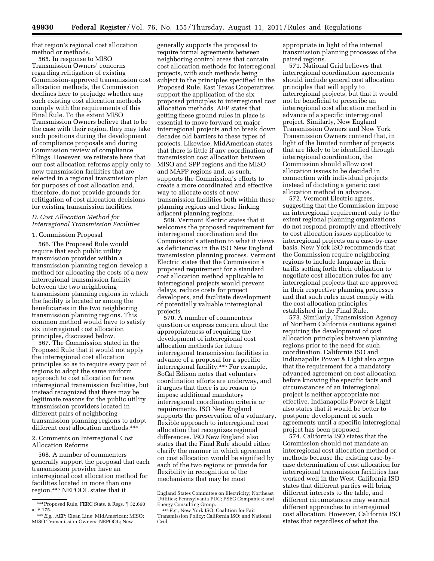that region's regional cost allocation method or methods.

565. In response to MISO Transmission Owners' concerns regarding relitigation of existing Commission-approved transmission cost allocation methods, the Commission declines here to prejudge whether any such existing cost allocation methods comply with the requirements of this Final Rule. To the extent MISO Transmission Owners believe that to be the case with their region, they may take such positions during the development of compliance proposals and during Commission review of compliance filings. However, we reiterate here that our cost allocation reforms apply only to new transmission facilities that are selected in a regional transmission plan for purposes of cost allocation and, therefore, do not provide grounds for relitigation of cost allocation decisions for existing transmission facilities.

# *D. Cost Allocation Method for Interregional Transmission Facilities*

#### 1. Commission Proposal

566. The Proposed Rule would require that each public utility transmission provider within a transmission planning region develop a method for allocating the costs of a new interregional transmission facility between the two neighboring transmission planning regions in which the facility is located or among the beneficiaries in the two neighboring transmission planning regions. This common method would have to satisfy six interregional cost allocation principles, discussed below.

567. The Commission stated in the Proposed Rule that it would not apply the interregional cost allocation principles so as to require every pair of regions to adopt the same uniform approach to cost allocation for new interregional transmission facilities, but instead recognized that there may be legitimate reasons for the public utility transmission providers located in different pairs of neighboring transmission planning regions to adopt different cost allocation methods.444

2. Comments on Interregional Cost Allocation Reforms

568. A number of commenters generally support the proposal that each transmission provider have an interregional cost allocation method for facilities located in more than one region.445 NEPOOL states that it

generally supports the proposal to require formal agreements between neighboring control areas that contain cost allocation methods for interregional projects, with such methods being subject to the principles specified in the Proposed Rule. East Texas Cooperatives support the application of the six proposed principles to interregional cost allocation methods. AEP states that getting these ground rules in place is essential to move forward on major interregional projects and to break down decades old barriers to these types of projects. Likewise, MidAmerican states that there is little if any coordination of transmission cost allocation between MISO and SPP regions and the MISO and MAPP regions and, as such, supports the Commission's efforts to create a more coordinated and effective way to allocate costs of new transmission facilities both within these planning regions and those linking adjacent planning regions.

569. Vermont Electric states that it welcomes the proposed requirement for interregional coordination and the Commission's attention to what it views as deficiencies in the ISO New England transmission planning process. Vermont Electric states that the Commission's proposed requirement for a standard cost allocation method applicable to interregional projects would prevent delays, reduce costs for project developers, and facilitate development of potentially valuable interregional projects.

570. A number of commenters question or express concern about the appropriateness of requiring the development of interregional cost allocation methods for future interregional transmission facilities in advance of a proposal for a specific interregional facility.446 For example, SoCal Edison notes that voluntary coordination efforts are underway, and it argues that there is no reason to impose additional mandatory interregional coordination criteria or requirements. ISO New England supports the preservation of a voluntary, flexible approach to interregional cost allocation that recognizes regional differences. ISO New England also states that the Final Rule should either clarify the manner in which agreement on cost allocation would be signified by each of the two regions or provide for flexibility in recognition of the mechanisms that may be most

appropriate in light of the internal transmission planning processes of the paired regions.

571. National Grid believes that interregional coordination agreements should include general cost allocation principles that will apply to interregional projects, but that it would not be beneficial to prescribe an interregional cost allocation method in advance of a specific interregional project. Similarly, New England Transmission Owners and New York Transmission Owners contend that, in light of the limited number of projects that are likely to be identified through interregional coordination, the Commission should allow cost allocation issues to be decided in connection with individual projects instead of dictating a generic cost allocation method in advance.

572. Vermont Electric agrees, suggesting that the Commission impose an interregional requirement only to the extent regional planning organizations do not respond promptly and effectively to cost allocation issues applicable to interregional projects on a case-by-case basis. New York ISO recommends that the Commission require neighboring regions to include language in their tariffs setting forth their obligation to negotiate cost allocation rules for any interregional projects that are approved in their respective planning processes and that such rules must comply with the cost allocation principles established in the Final Rule.

573. Similarly, Transmission Agency of Northern California cautions against requiring the development of cost allocation principles between planning regions prior to the need for such coordination. California ISO and Indianapolis Power & Light also argue that the requirement for a mandatory advanced agreement on cost allocation before knowing the specific facts and circumstances of an interregional project is neither appropriate nor effective. Indianapolis Power & Light also states that it would be better to postpone development of such agreements until a specific interregional project has been proposed.

574. California ISO states that the Commission should not mandate an interregional cost allocation method or methods because the existing case-bycase determination of cost allocation for interregional transmission facilities has worked well in the West. California ISO states that different parties will bring different interests to the table, and different circumstances may warrant different approaches to interregional cost allocation. However, California ISO states that regardless of what the

<sup>444</sup>Proposed Rule, FERC Stats. & Regs. ¶ 32,660 at P 175.

<sup>445</sup>*E.g.,* AEP; Clean Line; MidAmerican; MISO; MISO Transmission Owners; NEPOOL; New

England States Committee on Electricity; Northeast Utilities; Pennsylvania PUC; PSEG Companies; and Energy Consulting Group. 446*E.g.,* New York ISO; Coalition for Fair

Transmission Policy; California ISO; and National Grid.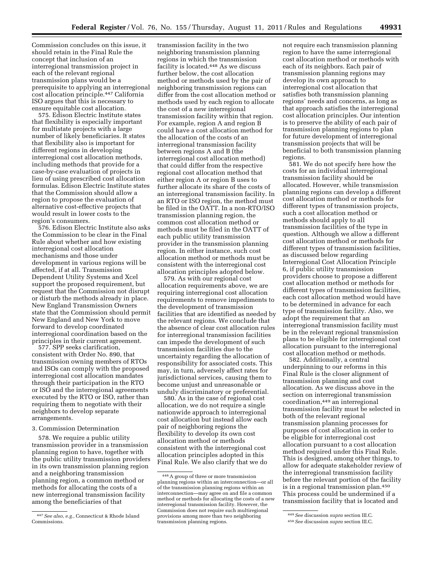Commission concludes on this issue, it should retain in the Final Rule the concept that inclusion of an interregional transmission project in each of the relevant regional transmission plans would be a prerequisite to applying an interregional cost allocation principle.447 California ISO argues that this is necessary to ensure equitable cost allocation.

575. Edison Electric Institute states that flexibility is especially important for multistate projects with a large number of likely beneficiaries. It states that flexibility also is important for different regions in developing interregional cost allocation methods, including methods that provide for a case-by-case evaluation of projects in lieu of using prescribed cost allocation formulas. Edison Electric Institute states that the Commission should allow a region to propose the evaluation of alternative cost-effective projects that would result in lower costs to the region's consumers.

576. Edison Electric Institute also asks the Commission to be clear in the Final Rule about whether and how existing interregional cost allocation mechanisms and those under development in various regions will be affected, if at all. Transmission Dependent Utility Systems and Xcel support the proposed requirement, but request that the Commission not disrupt or disturb the methods already in place. New England Transmission Owners state that the Commission should permit New England and New York to move forward to develop coordinated interregional coordination based on the principles in their current agreement.

577. SPP seeks clarification, consistent with Order No. 890, that transmission owning members of RTOs and ISOs can comply with the proposed interregional cost allocation mandates through their participation in the RTO or ISO and the interregional agreements executed by the RTO or ISO, rather than requiring them to negotiate with their neighbors to develop separate arrangements.

# 3. Commission Determination

578. We require a public utility transmission provider in a transmission planning region to have, together with the public utility transmission providers in its own transmission planning region and a neighboring transmission planning region, a common method or methods for allocating the costs of a new interregional transmission facility among the beneficiaries of that

transmission facility in the two neighboring transmission planning regions in which the transmission facility is located.448 As we discuss further below, the cost allocation method or methods used by the pair of neighboring transmission regions can differ from the cost allocation method or methods used by each region to allocate the cost of a new interregional transmission facility within that region. For example, region A and region B could have a cost allocation method for the allocation of the costs of an interregional transmission facility between regions A and B (the interregional cost allocation method) that could differ from the respective regional cost allocation method that either region A or region B uses to further allocate its share of the costs of an interregional transmission facility. In an RTO or ISO region, the method must be filed in the OATT. In a non-RTO/ISO transmission planning region, the common cost allocation method or methods must be filed in the OATT of each public utility transmission provider in the transmission planning region. In either instance, such cost allocation method or methods must be consistent with the interregional cost allocation principles adopted below.

579. As with our regional cost allocation requirements above, we are requiring interregional cost allocation requirements to remove impediments to the development of transmission facilities that are identified as needed by the relevant regions. We conclude that the absence of clear cost allocation rules for interregional transmission facilities can impede the development of such transmission facilities due to the uncertainty regarding the allocation of responsibility for associated costs. This may, in turn, adversely affect rates for jurisdictional services, causing them to become unjust and unreasonable or unduly discriminatory or preferential.

580. As in the case of regional cost allocation, we do not require a single nationwide approach to interregional cost allocation but instead allow each pair of neighboring regions the flexibility to develop its own cost allocation method or methods consistent with the interregional cost allocation principles adopted in this Final Rule. We also clarify that we do not require each transmission planning region to have the same interregional cost allocation method or methods with each of its neighbors. Each pair of transmission planning regions may develop its own approach to interregional cost allocation that satisfies both transmission planning regions' needs and concerns, as long as that approach satisfies the interregional cost allocation principles. Our intention is to preserve the ability of each pair of transmission planning regions to plan for future development of interregional transmission projects that will be beneficial to both transmission planning regions.

581. We do not specify here how the costs for an individual interregional transmission facility should be allocated. However, while transmission planning regions can develop a different cost allocation method or methods for different types of transmission projects, such a cost allocation method or methods should apply to all transmission facilities of the type in question. Although we allow a different cost allocation method or methods for different types of transmission facilities, as discussed below regarding Interregional Cost Allocation Principle 6, if public utility transmission providers choose to propose a different cost allocation method or methods for different types of transmission facilities, each cost allocation method would have to be determined in advance for each type of transmission facility. Also, we adopt the requirement that an interregional transmission facility must be in the relevant regional transmission plans to be eligible for interregional cost allocation pursuant to the interregional cost allocation method or methods.

582. Additionally, a central underpinning to our reforms in this Final Rule is the closer alignment of transmission planning and cost allocation. As we discuss above in the section on interregional transmission coordination,449 an interregional transmission facility must be selected in both of the relevant regional transmission planning processes for purposes of cost allocation in order to be eligible for interregional cost allocation pursuant to a cost allocation method required under this Final Rule. This is designed, among other things, to allow for adequate stakeholder review of the interregional transmission facility before the relevant portion of the facility is in a regional transmission plan.450 This process could be undermined if a transmission facility that is located and

<sup>447</sup>*See also, e.g.,* Connecticut & Rhode Island Commissions.

<sup>448</sup>A group of three or more transmission planning regions within an interconnection—or all of the transmission planning regions within an interconnection—may agree on and file a common method or methods for allocating the costs of a new interregional transmission facility. However, the Commission does not require such multiregional provisions among more than two neighboring transmission planning regions.

<sup>449</sup>*See* discussion *supra* section III.C.

<sup>450</sup>*See* discussion *supra* section III.C.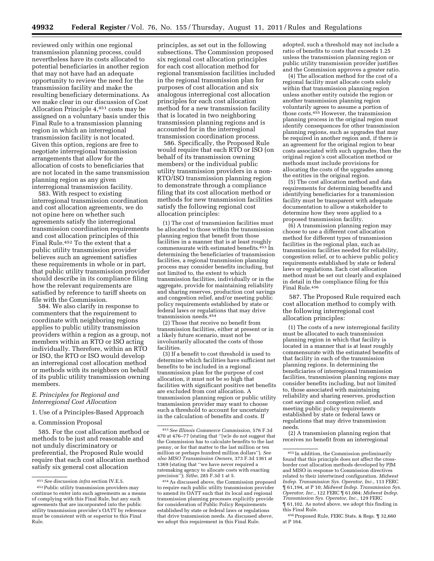reviewed only within one regional transmission planning process, could nevertheless have its costs allocated to potential beneficiaries in another region that may not have had an adequate opportunity to review the need for the transmission facility and make the resulting beneficiary determinations. As we make clear in our discussion of Cost Allocation Principle 4,451 costs may be assigned on a voluntary basis under this Final Rule to a transmission planning region in which an interregional transmission facility is not located. Given this option, regions are free to negotiate interregional transmission arrangements that allow for the allocation of costs to beneficiaries that are not located in the same transmission planning region as any given interregional transmission facility.

583. With respect to existing interregional transmission coordination and cost allocation agreements, we do not opine here on whether such agreements satisfy the interregional transmission coordination requirements and cost allocation principles of this Final Rule.452 To the extent that a public utility transmission provider believes such an agreement satisfies these requirements in whole or in part, that public utility transmission provider should describe in its compliance filing how the relevant requirements are satisfied by reference to tariff sheets on file with the Commission.

584. We also clarify in response to commenters that the requirement to coordinate with neighboring regions applies to public utility transmission providers within a region as a group, not members within an RTO or ISO acting individually. Therefore, within an RTO or ISO, the RTO or ISO would develop an interregional cost allocation method or methods with its neighbors on behalf of its public utility transmission owning members.

# *E. Principles for Regional and Interregional Cost Allocation*

1. Use of a Principles-Based Approach

a. Commission Proposal

585. For the cost allocation method or methods to be just and reasonable and not unduly discriminatory or preferential, the Proposed Rule would require that each cost allocation method satisfy six general cost allocation

principles, as set out in the following subsections. The Commission proposed six regional cost allocation principles for each cost allocation method for regional transmission facilities included in the regional transmission plan for purposes of cost allocation and six analogous interregional cost allocation principles for each cost allocation method for a new transmission facility that is located in two neighboring transmission planning regions and is accounted for in the interregional transmission coordination process.

586. Specifically, the Proposed Rule would require that each RTO or ISO (on behalf of its transmission owning members) or the individual public utility transmission providers in a non-RTO/ISO transmission planning region to demonstrate through a compliance filing that its cost allocation method or methods for new transmission facilities satisfy the following regional cost allocation principles:

(1) The cost of transmission facilities must be allocated to those within the transmission planning region that benefit from those facilities in a manner that is at least roughly commensurate with estimated benefits.<sup>453</sup> In determining the beneficiaries of transmission facilities, a regional transmission planning process may consider benefits including, but not limited to, the extent to which transmission facilities, individually or in the aggregate, provide for maintaining reliability and sharing reserves, production cost savings and congestion relief, and/or meeting public policy requirements established by state or federal laws or regulations that may drive transmission needs.454

(2) Those that receive no benefit from transmission facilities, either at present or in a likely future scenario, must not be involuntarily allocated the costs of those facilities.

(3) If a benefit to cost threshold is used to determine which facilities have sufficient net benefits to be included in a regional transmission plan for the purpose of cost allocation, it must not be so high that facilities with significant positive net benefits are excluded from cost allocation. A transmission planning region or public utility transmission provider may want to choose such a threshold to account for uncertainty in the calculation of benefits and costs. If

adopted, such a threshold may not include a ratio of benefits to costs that exceeds 1.25 unless the transmission planning region or public utility transmission provider justifies and the Commission approves a greater ratio.

(4) The allocation method for the cost of a regional facility must allocate costs solely within that transmission planning region unless another entity outside the region or another transmission planning region voluntarily agrees to assume a portion of those costs.455 However, the transmission planning process in the original region must identify consequences for other transmission planning regions, such as upgrades that may be required in another region and, if there is an agreement for the original region to bear costs associated with such upgrades, then the original region's cost allocation method or methods must include provisions for allocating the costs of the upgrades among the entities in the original region.

(5) The cost allocation method and data requirements for determining benefits and identifying beneficiaries for a transmission facility must be transparent with adequate documentation to allow a stakeholder to determine how they were applied to a proposed transmission facility.

(6) A transmission planning region may choose to use a different cost allocation method for different types of transmission facilities in the regional plan, such as transmission facilities needed for reliability, congestion relief, or to achieve public policy requirements established by state or federal laws or regulations. Each cost allocation method must be set out clearly and explained in detail in the compliance filing for this Final Rule.456

587. The Proposed Rule required each cost allocation method to comply with the following interregional cost allocation principles:

(1) The costs of a new interregional facility must be allocated to each transmission planning region in which that facility is located in a manner that is at least roughly commensurate with the estimated benefits of that facility in each of the transmission planning regions. In determining the beneficiaries of interregional transmission facilities, transmission planning regions may consider benefits including, but not limited to, those associated with maintaining reliability and sharing reserves, production cost savings and congestion relief, and meeting public policy requirements established by state or federal laws or regulations that may drive transmission needs.

(2) A transmission planning region that receives no benefit from an interregional

<sup>451</sup>*See* discussion *infra* section IV.E.5.

<sup>452</sup>Public utility transmission providers may continue to enter into such agreements as a means of complying with this Final Rule, but any such agreements that are incorporated into the public utility transmission provider's OATT by reference must be consistent with or superior to this Final Rule.

<sup>453</sup>*See Illinois Commerce Commission,* 576 F.3d 470 at 476–77 (stating that ''[w]e do not suggest that the Commission has to calculate benefits to the last penny, or for that matter to the last million or ten million or perhaps hundred million dollars''). *See also MISO Transmission Owners,* 373 F.3d 1361 at 1369 (stating that ''we have never required a ratemaking agency to allocate costs with exacting precision''); *Sithe,* 285 F.3d 1 at 5.

<sup>454</sup>As discussed above, the Commission proposed to require each public utility transmission provider to amend its OATT such that its local and regional transmission planning processes explicitly provide for consideration of Public Policy Requirements established by state or federal laws or regulations that drive transmission needs. As discussed above, we adopt this requirement in this Final Rule.

<sup>455</sup> In addition, the Commission preliminarily found that this principle does not affect the crossborder cost allocation methods developed by PJM and MISO in response to Commission directives related to their intertwined configuration. *Midwest Indep. Transmission Sys. Operator, Inc.,* 113 FERC ¶ 61,194, at P 10; *Midwest Indep. Transmission Sys. Operator, Inc.,* 122 FERC ¶ 61,084; *Midwest Indep. Transmission Sys. Operator, Inc.,* 129 FERC ¶ 61,102. As noted above, we adopt this finding in this Final Rule.

<sup>456</sup>Proposed Rule, FERC Stats. & Regs. ¶ 32,660 at P 164.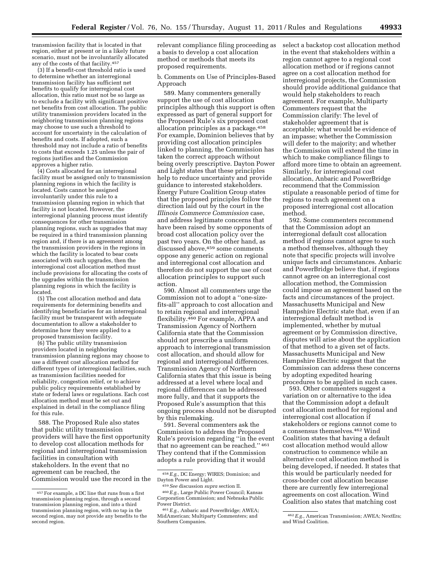transmission facility that is located in that region, either at present or in a likely future scenario, must not be involuntarily allocated any of the costs of that facility.457

(3) If a benefit-cost threshold ratio is used to determine whether an interregional transmission facility has sufficient net benefits to qualify for interregional cost allocation, this ratio must not be so large as to exclude a facility with significant positive net benefits from cost allocation. The public utility transmission providers located in the neighboring transmission planning regions may choose to use such a threshold to account for uncertainty in the calculation of benefits and costs. If adopted, such a threshold may not include a ratio of benefits to costs that exceeds 1.25 unless the pair of regions justifies and the Commission approves a higher ratio.

(4) Costs allocated for an interregional facility must be assigned only to transmission planning regions in which the facility is located. Costs cannot be assigned involuntarily under this rule to a transmission planning region in which that facility is not located. However, the interregional planning process must identify consequences for other transmission planning regions, such as upgrades that may be required in a third transmission planning region and, if there is an agreement among the transmission providers in the regions in which the facility is located to bear costs associated with such upgrades, then the interregional cost allocation method must include provisions for allocating the costs of the upgrades within the transmission planning regions in which the facility is located.

(5) The cost allocation method and data requirements for determining benefits and identifying beneficiaries for an interregional facility must be transparent with adequate documentation to allow a stakeholder to determine how they were applied to a proposed transmission facility.

(6) The public utility transmission providers located in neighboring transmission planning regions may choose to use a different cost allocation method for different types of interregional facilities, such as transmission facilities needed for reliability, congestion relief, or to achieve public policy requirements established by state or federal laws or regulations. Each cost allocation method must be set out and explained in detail in the compliance filing for this rule.

588. The Proposed Rule also states that public utility transmission providers will have the first opportunity to develop cost allocation methods for regional and interregional transmission facilities in consultation with stakeholders. In the event that no agreement can be reached, the Commission would use the record in the

relevant compliance filing proceeding as a basis to develop a cost allocation method or methods that meets its proposed requirements.

b. Comments on Use of Principles-Based Approach

589. Many commenters generally support the use of cost allocation principles although this support is often expressed as part of general support for the Proposed Rule's six proposed cost allocation principles as a package.458 For example, Dominion believes that by providing cost allocation principles linked to planning, the Commission has taken the correct approach without being overly prescriptive. Dayton Power and Light states that these principles help to reduce uncertainty and provide guidance to interested stakeholders. Energy Future Coalition Group states that the proposed principles follow the direction laid out by the court in the *Illinois Commerce Commission* case, and address legitimate concerns that have been raised by some opponents of broad cost allocation policy over the past two years. On the other hand, as discussed above,459 some comments oppose any generic action on regional and interregional cost allocation and therefore do not support the use of cost allocation principles to support such action.

590. Almost all commenters urge the Commission not to adopt a ''one-sizefits-all'' approach to cost allocation and to retain regional and interregional flexibility.460 For example, APPA and Transmission Agency of Northern California state that the Commission should not prescribe a uniform approach to interregional transmission cost allocation, and should allow for regional and interregional differences. Transmission Agency of Northern California states that this issue is being addressed at a level where local and regional differences can be addressed more fully, and that it supports the Proposed Rule's assumption that this ongoing process should not be disrupted by this rulemaking.

591. Several commenters ask the Commission to address the Proposed Rule's provision regarding ''in the event that no agreement can be reached.'' 461 They contend that if the Commission adopts a rule providing that it would

select a backstop cost allocation method in the event that stakeholders within a region cannot agree to a regional cost allocation method or if regions cannot agree on a cost allocation method for interregional projects, the Commission should provide additional guidance that would help stakeholders to reach agreement. For example, Multiparty Commenters request that the Commission clarify: The level of stakeholder agreement that is acceptable; what would be evidence of an impasse; whether the Commission will defer to the majority; and whether the Commission will extend the time in which to make compliance filings to afford more time to obtain an agreement. Similarly, for interregional cost allocation, Anbaric and PowerBridge recommend that the Commission stipulate a reasonable period of time for regions to reach agreement on a proposed interregional cost allocation method.

592. Some commenters recommend that the Commission adopt an interregional default cost allocation method if regions cannot agree to such a method themselves, although they note that specific projects will involve unique facts and circumstances. Anbaric and PowerBridge believe that, if regions cannot agree on an interregional cost allocation method, the Commission could impose an agreement based on the facts and circumstances of the project. Massachusetts Municipal and New Hampshire Electric state that, even if an interregional default method is implemented, whether by mutual agreement or by Commission directive, disputes will arise about the application of that method to a given set of facts. Massachusetts Municipal and New Hampshire Electric suggest that the Commission can address these concerns by adopting expedited hearing procedures to be applied in such cases.

593. Other commenters suggest a variation on or alternative to the idea that the Commission adopt a default cost allocation method for regional and interregional cost allocation if stakeholders or regions cannot come to a consensus themselves.462 Wind Coalition states that having a default cost allocation method would allow construction to commence while an alternative cost allocation method is being developed, if needed. It states that this would be particularly needed for cross-border cost allocation because there are currently few interregional agreements on cost allocation. Wind Coalition also states that matching cost

<sup>457</sup>For example, a DC line that runs from a first transmission planning region, through a second transmission planning region, and into a third transmission planning region, with no tap in the second region, may not provide any benefits to the second region.

<sup>458</sup>*E.g.,* DC Energy; WIRES; Dominion; and Dayton Power and Light.

<sup>459</sup>*See* discussion *supra* section II.

<sup>460</sup>*E.g.,* Large Public Power Council; Kansas Corporation Commission; and Nebraska Public Power District.

<sup>461</sup>*E.g.,* Anbaric and PowerBridge; AWEA; MidAmerican; Multiparty Commenters; and Southern Companies.

<sup>462</sup>*E.g.,* American Transmission; AWEA; NextEra; and Wind Coalition.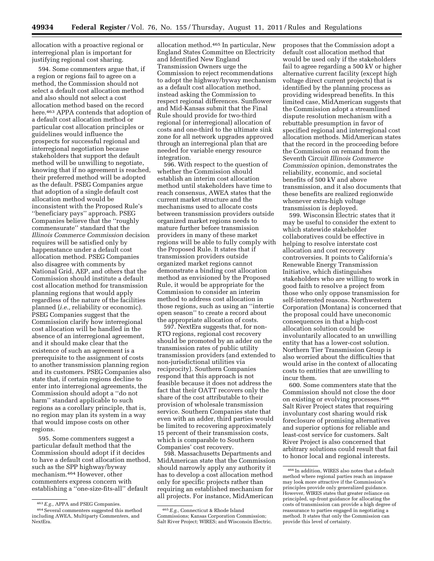allocation with a proactive regional or interregional plan is important for justifying regional cost sharing.

594. Some commenters argue that, if a region or regions fail to agree on a method, the Commission should not select a default cost allocation method and also should not select a cost allocation method based on the record here.463 APPA contends that adoption of a default cost allocation method or particular cost allocation principles or guidelines would influence the prospects for successful regional and interregional negotiation because stakeholders that support the default method will be unwilling to negotiate, knowing that if no agreement is reached, their preferred method will be adopted as the default. PSEG Companies argue that adoption of a single default cost allocation method would be inconsistent with the Proposed Rule's ''beneficiary pays'' approach. PSEG Companies believe that the ''roughly commensurate'' standard that the *Illinois Commerce Commission* decision requires will be satisfied only by happenstance under a default cost allocation method. PSEG Companies also disagree with comments by National Grid, AEP, and others that the Commission should institute a default cost allocation method for transmission planning regions that would apply regardless of the nature of the facilities planned (*i.e.,* reliability or economic). PSEG Companies suggest that the Commission clarify how interregional cost allocation will be handled in the absence of an interregional agreement, and it should make clear that the existence of such an agreement is a prerequisite to the assignment of costs to another transmission planning region and its customers. PSEG Companies also state that, if certain regions decline to enter into interregional agreements, the Commission should adopt a ''do not harm'' standard applicable to such regions as a corollary principle, that is, no region may plan its system in a way that would impose costs on other regions.

595. Some commenters suggest a particular default method that the Commission should adopt if it decides to have a default cost allocation method, such as the SPP highway/byway mechanism.464 However, other commenters express concern with establishing a ''one-size-fits-all'' default

allocation method.465 In particular, New England States Committee on Electricity and Identified New England Transmission Owners urge the Commission to reject recommendations to adopt the highway/byway mechanism as a default cost allocation method, instead asking the Commission to respect regional differences. Sunflower and Mid-Kansas submit that the Final Rule should provide for two-third regional (or interregional) allocation of costs and one-third to the ultimate sink zone for all network upgrades approved through an interregional plan that are needed for variable energy resource integration.

596. With respect to the question of whether the Commission should establish an interim cost allocation method until stakeholders have time to reach consensus, AWEA states that the current market structure and the mechanisms used to allocate costs between transmission providers outside organized market regions needs to mature further before transmission providers in many of these market regions will be able to fully comply with the Proposed Rule. It states that if transmission providers outside organized market regions cannot demonstrate a binding cost allocation method as envisioned by the Proposed Rule, it would be appropriate for the Commission to consider an interim method to address cost allocation in those regions, such as using an ''intertie open season'' to create a record about the appropriate allocation of costs.

597. NextEra suggests that, for non-RTO regions, regional cost recovery should be promoted by an adder on the transmission rates of public utility transmission providers (and extended to non-jurisdictional utilities via reciprocity). Southern Companies respond that this approach is not feasible because it does not address the fact that their OATT recovers only the share of the cost attributable to their provision of wholesale transmission service. Southern Companies state that even with an adder, third parties would be limited to recovering approximately 15 percent of their transmission costs, which is comparable to Southern Companies' cost recovery.

598. Massachusetts Departments and MidAmerican state that the Commission should narrowly apply any authority it has to develop a cost allocation method only for specific projects rather than requiring an established mechanism for all projects. For instance, MidAmerican

proposes that the Commission adopt a default cost allocation method that would be used only if the stakeholders fail to agree regarding a 500 kV or higher alternative current facility (except high voltage direct current projects) that is identified by the planning process as providing widespread benefits. In this limited case, MidAmerican suggests that the Commission adopt a streamlined dispute resolution mechanism with a rebuttable presumption in favor of specified regional and interregional cost allocation methods. MidAmerican states that the record in the proceeding before the Commission on remand from the Seventh Circuit *Illinois Commerce Commission* opinion, demonstrates the reliability, economic, and societal benefits of 500 kV and above transmission, and it also documents that these benefits are realized regionwide whenever extra-high voltage transmission is deployed.

599. Wisconsin Electric states that it may be useful to consider the extent to which statewide stakeholder collaboratives could be effective in helping to resolve interstate cost allocation and cost recovery controversies. It points to California's Renewable Energy Transmission Initiative, which distinguishes stakeholders who are willing to work in good faith to resolve a project from those who only oppose transmission for self-interested reasons. Northwestern Corporation (Montana) is concerned that the proposal could have uneconomic consequences in that a high-cost allocation solution could be involuntarily allocated to an unwilling entity that has a lower-cost solution. Northern Tier Transmission Group is also worried about the difficulties that would arise in the context of allocating costs to entities that are unwilling to incur them.

600. Some commenters state that the Commission should not close the door on existing or evolving processes.466 Salt River Project states that requiring involuntary cost sharing would risk foreclosure of promising alternatives and superior options for reliable and least-cost service for customers. Salt River Project is also concerned that arbitrary solutions could result that fail to honor local and regional interests.

<sup>463</sup>*E.g.,* APPA and PSEG Companies.

<sup>464</sup>Several commenters suggested this method including AWEA, Multiparty Commenters, and NextEra.

<sup>465</sup>*E.g.,* Connecticut & Rhode Island Commissions; Kansas Corporation Commission; Salt River Project; WIRES; and Wisconsin Electric.

<sup>466</sup> In addition, WIRES also notes that a default method where regional parties reach an impasse may look more attractive if the Commission's principles provide only generalized guidance. However, WIRES states that greater reliance on principled, up-front guidance for allocating the costs of transmission can provide a high degree of reassurance to parties engaged in negotiating a method. It states that only the Commission can provide this level of certainty.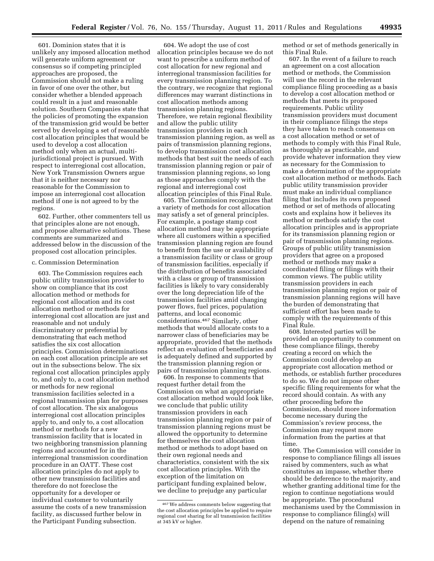601. Dominion states that it is unlikely any imposed allocation method will generate uniform agreement or consensus so if competing principled approaches are proposed, the Commission should not make a ruling in favor of one over the other, but consider whether a blended approach could result in a just and reasonable solution. Southern Companies state that the policies of promoting the expansion of the transmission grid would be better served by developing a set of reasonable cost allocation principles that would be used to develop a cost allocation method only when an actual, multijurisdictional project is pursued. With respect to interregional cost allocation, New York Transmission Owners argue that it is neither necessary nor reasonable for the Commission to impose an interregional cost allocation method if one is not agreed to by the regions.

602. Further, other commenters tell us that principles alone are not enough, and propose alternative solutions. These comments are summarized and addressed below in the discussion of the proposed cost allocation principles.

#### c. Commission Determination

603. The Commission requires each public utility transmission provider to show on compliance that its cost allocation method or methods for regional cost allocation and its cost allocation method or methods for interregional cost allocation are just and reasonable and not unduly discriminatory or preferential by demonstrating that each method satisfies the six cost allocation principles. Commission determinations on each cost allocation principle are set out in the subsections below. The six regional cost allocation principles apply to, and only to, a cost allocation method or methods for new regional transmission facilities selected in a regional transmission plan for purposes of cost allocation. The six analogous interregional cost allocation principles apply to, and only to, a cost allocation method or methods for a new transmission facility that is located in two neighboring transmission planning regions and accounted for in the interregional transmission coordination procedure in an OATT. These cost allocation principles do not apply to other new transmission facilities and therefore do not foreclose the opportunity for a developer or individual customer to voluntarily assume the costs of a new transmission facility, as discussed further below in the Participant Funding subsection.

604. We adopt the use of cost allocation principles because we do not want to prescribe a uniform method of cost allocation for new regional and interregional transmission facilities for every transmission planning region. To the contrary, we recognize that regional differences may warrant distinctions in cost allocation methods among transmission planning regions. Therefore, we retain regional flexibility and allow the public utility transmission providers in each transmission planning region, as well as pairs of transmission planning regions, to develop transmission cost allocation methods that best suit the needs of each transmission planning region or pair of transmission planning regions, so long as those approaches comply with the regional and interregional cost allocation principles of this Final Rule.

605. The Commission recognizes that a variety of methods for cost allocation may satisfy a set of general principles. For example, a postage stamp cost allocation method may be appropriate where all customers within a specified transmission planning region are found to benefit from the use or availability of a transmission facility or class or group of transmission facilities, especially if the distribution of benefits associated with a class or group of transmission facilities is likely to vary considerably over the long depreciation life of the transmission facilities amid changing power flows, fuel prices, population patterns, and local economic considerations.467 Similarly, other methods that would allocate costs to a narrower class of beneficiaries may be appropriate, provided that the methods reflect an evaluation of beneficiaries and is adequately defined and supported by the transmission planning region or pairs of transmission planning regions.

606. In response to comments that request further detail from the Commission on what an appropriate cost allocation method would look like, we conclude that public utility transmission providers in each transmission planning region or pair of transmission planning regions must be allowed the opportunity to determine for themselves the cost allocation method or methods to adopt based on their own regional needs and characteristics, consistent with the six cost allocation principles. With the exception of the limitation on participant funding explained below, we decline to prejudge any particular

method or set of methods generically in this Final Rule.

607. In the event of a failure to reach an agreement on a cost allocation method or methods, the Commission will use the record in the relevant compliance filing proceeding as a basis to develop a cost allocation method or methods that meets its proposed requirements. Public utility transmission providers must document in their compliance filings the steps they have taken to reach consensus on a cost allocation method or set of methods to comply with this Final Rule, as thoroughly as practicable, and provide whatever information they view as necessary for the Commission to make a determination of the appropriate cost allocation method or methods. Each public utility transmission provider must make an individual compliance filing that includes its own proposed method or set of methods of allocating costs and explains how it believes its method or methods satisfy the cost allocation principles and is appropriate for its transmission planning region or pair of transmission planning regions. Groups of public utility transmission providers that agree on a proposed method or methods may make a coordinated filing or filings with their common views. The public utility transmission providers in each transmission planning region or pair of transmission planning regions will have the burden of demonstrating that sufficient effort has been made to comply with the requirements of this Final Rule.

608. Interested parties will be provided an opportunity to comment on these compliance filings, thereby creating a record on which the Commission could develop an appropriate cost allocation method or methods, or establish further procedures to do so. We do not impose other specific filing requirements for what the record should contain. As with any other proceeding before the Commission, should more information become necessary during the Commission's review process, the Commission may request more information from the parties at that time

609. The Commission will consider in response to compliance filings all issues raised by commenters, such as what constitutes an impasse, whether there should be deference to the majority, and whether granting additional time for the region to continue negotiations would be appropriate. The procedural mechanisms used by the Commission in response to compliance filing(s) will depend on the nature of remaining

<sup>467</sup>We address comments below suggesting that the cost allocation principles be applied to require regional cost sharing for all transmission facilities at 345 kV or higher.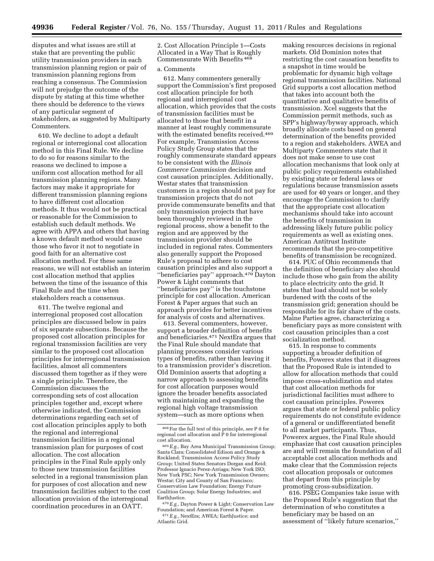disputes and what issues are still at stake that are preventing the public utility transmission providers in each transmission planning region or pair of transmission planning regions from reaching a consensus. The Commission will not prejudge the outcome of the dispute by stating at this time whether there should be deference to the views of any particular segment of stakeholders, as suggested by Multiparty Commenters.

610. We decline to adopt a default regional or interregional cost allocation method in this Final Rule. We decline to do so for reasons similar to the reasons we declined to impose a uniform cost allocation method for all transmission planning regions. Many factors may make it appropriate for different transmission planning regions to have different cost allocation methods. It thus would not be practical or reasonable for the Commission to establish such default methods. We agree with APPA and others that having a known default method would cause those who favor it not to negotiate in good faith for an alternative cost allocation method. For these same reasons, we will not establish an interim cost allocation method that applies between the time of the issuance of this Final Rule and the time when stakeholders reach a consensus.

611. The twelve regional and interregional proposed cost allocation principles are discussed below in pairs of six separate subsections. Because the proposed cost allocation principles for regional transmission facilities are very similar to the proposed cost allocation principles for interregional transmission facilities, almost all commenters discussed them together as if they were a single principle. Therefore, the Commission discusses the corresponding sets of cost allocation principles together and, except where otherwise indicated, the Commission determinations regarding each set of cost allocation principles apply to both the regional and interregional transmission facilities in a regional transmission plan for purposes of cost allocation. The cost allocation principles in the Final Rule apply only to those new transmission facilities selected in a regional transmission plan for purposes of cost allocation and new transmission facilities subject to the cost allocation provision of the interregional coordination procedures in an OATT.

2. Cost Allocation Principle 1—Costs Allocated in a Way That is Roughly Commensurate With Benefits <sup>468</sup>

# a. Comments

612. Many commenters generally support the Commission's first proposed cost allocation principle for both regional and interregional cost allocation, which provides that the costs of transmission facilities must be allocated to those that benefit in a manner at least roughly commensurate with the estimated benefits received.<sup>469</sup> For example, Transmission Access Policy Study Group states that the roughly commensurate standard appears to be consistent with the *Illinois Commerce Commission* decision and cost causation principles. Additionally, Westar states that transmission customers in a region should not pay for transmission projects that do not provide commensurate benefits and that only transmission projects that have been thoroughly reviewed in the regional process, show a benefit to the region and are approved by the transmission provider should be included in regional rates. Commenters also generally support the Proposed Rule's proposal to adhere to cost causation principles and also support a ''beneficiaries pay'' approach.470 Dayton Power & Light comments that ''beneficiaries pay'' is the touchstone principle for cost allocation. American Forest & Paper argues that such an approach provides for better incentives for analysis of costs and alternatives.

613. Several commenters, however, support a broader definition of benefits and beneficiaries.471 NextEra argues that the Final Rule should mandate that planning processes consider various types of benefits, rather than leaving it to a transmission provider's discretion. Old Dominion asserts that adopting a narrow approach to assessing benefits for cost allocation purposes would ignore the broader benefits associated with maintaining and expanding the regional high voltage transmission system—such as more options when

making resources decisions in regional markets. Old Dominion notes that restricting the cost causation benefits to a snapshot in time would be problematic for dynamic high voltage regional transmission facilities. National Grid supports a cost allocation method that takes into account both the quantitative and qualitative benefits of transmission. Xcel suggests that the Commission permit methods, such as SPP's highway/byway approach, which broadly allocate costs based on general determination of the benefits provided to a region and stakeholders. AWEA and Multiparty Commenters state that it does not make sense to use cost allocation mechanisms that look only at public policy requirements established by existing state or federal laws or regulations because transmission assets are used for 40 years or longer, and they encourage the Commission to clarify that the appropriate cost allocation mechanisms should take into account the benefits of transmission in addressing likely future public policy requirements as well as existing ones. American Antitrust Institute recommends that the pro-competitive benefits of transmission be recognized.

614. PUC of Ohio recommends that the definition of beneficiary also should include those who gain from the ability to place electricity onto the grid. It states that load should not be solely burdened with the costs of the transmission grid; generation should be responsible for its fair share of the costs. Maine Parties agree, characterizing a beneficiary pays as more consistent with cost causation principles than a cost socialization method.

615. In response to comments supporting a broader definition of benefits, Powerex states that it disagrees that the Proposed Rule is intended to allow for allocation methods that could impose cross-subsidization and states that cost allocation methods for jurisdictional facilities must adhere to cost causation principles. Powerex argues that state or federal public policy requirements do not constitute evidence of a general or undifferentiated benefit to all market participants. Thus, Powerex argues, the Final Rule should emphasize that cost causation principles are and will remain the foundation of all acceptable cost allocation methods and make clear that the Commission rejects cost allocation proposals or outcomes that depart from this principle by promoting cross-subsidization.

616. PSEG Companies take issue with the Proposed Rule's suggestion that the determination of who constitutes a beneficiary may be based on an assessment of ''likely future scenarios,''

<sup>468</sup>For the full text of this principle, *see* P 0 for regional cost allocation and P 0 for interregional cost allocation.

<sup>469</sup>*E.g.,* Bay Area Municipal Transmission Group; Santa Clara; Consolidated Edison and Orange & Rockland; Transmission Access Policy Study Group; United States Senators Dorgan and Reid; Professor Ignacio Perez-Arriaga; New York ISO; New York PSC; New York Transmission Owners; Westar; City and County of San Francisco; Conservation Law Foundation; Energy Future Coalition Group; Solar Energy Industries; and EarthJustice.

<sup>470</sup>*E.g.,* Dayton Power & Light; Conservation Law Foundation; and American Forest & Paper. 471*E.g.,* NextEra; AWEA; EarthJustice; and Atlantic Grid.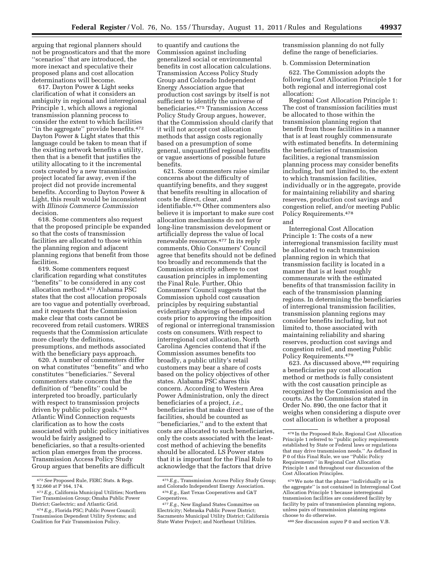arguing that regional planners should not be prognosticators and that the more ''scenarios'' that are introduced, the more inexact and speculative their proposed plans and cost allocation determinations will become.

617. Dayton Power & Light seeks clarification of what it considers an ambiguity in regional and interregional Principle 1, which allows a regional transmission planning process to consider the extent to which facilities "in the aggregate" provide benefits.<sup>472</sup> Dayton Power & Light states that this language could be taken to mean that if the existing network benefits a utility, then that is a benefit that justifies the utility allocating to it the incremental costs created by a new transmission project located far away, even if the project did not provide incremental benefits. According to Dayton Power & Light, this result would be inconsistent with *Illinois Commerce Commission*  decision.

618. Some commenters also request that the proposed principle be expanded so that the costs of transmission facilities are allocated to those within the planning region and adjacent planning regions that benefit from those facilities.

619. Some commenters request clarification regarding what constitutes ''benefits'' to be considered in any cost allocation method.473 Alabama PSC states that the cost allocation proposals are too vague and potentially overbroad, and it requests that the Commission make clear that costs cannot be recovered from retail customers. WIRES requests that the Commission articulate more clearly the definitions, presumptions, and methods associated with the beneficiary pays approach.

620. A number of commenters differ on what constitutes ''benefits'' and who constitutes ''beneficiaries.'' Several commenters state concern that the definition of ''benefits'' could be interpreted too broadly, particularly with respect to transmission projects driven by public policy goals.474 Atlantic Wind Connection requests clarification as to how the costs associated with public policy initiatives would be fairly assigned to beneficiaries, so that a results-oriented action plan emerges from the process. Transmission Access Policy Study Group argues that benefits are difficult

to quantify and cautions the Commission against including generalized social or environmental benefits in cost allocation calculations. Transmission Access Policy Study Group and Colorado Independent Energy Association argue that production cost savings by itself is not sufficient to identify the universe of beneficiaries.475 Transmission Access Policy Study Group argues, however, that the Commission should clarify that it will not accept cost allocation methods that assign costs regionally based on a presumption of some general, unquantified regional benefits or vague assertions of possible future benefits.

621. Some commenters raise similar concerns about the difficulty of quantifying benefits, and they suggest that benefits resulting in allocation of costs be direct, clear, and identifiable.476 Other commenters also believe it is important to make sure cost allocation mechanisms do not favor long-line transmission development or artificially depress the value of local renewable resources.477 In its reply comments, Ohio Consumers' Council agree that benefits should not be defined too broadly and recommends that the Commission strictly adhere to cost causation principles in implementing the Final Rule. Further, Ohio Consumers' Council suggests that the Commission uphold cost causation principles by requiring substantial evidentiary showings of benefits and costs prior to approving the imposition of regional or interregional transmission costs on consumers. With respect to interregional cost allocation, North Carolina Agencies contend that if the Commission assumes benefits too broadly, a public utility's retail customers may bear a share of costs based on the policy objectives of other states. Alabama PSC shares this concern. According to Western Area Power Administration, only the direct beneficiaries of a project, *i.e.,*  beneficiaries that make direct use of the facilities, should be counted as ''beneficiaries,'' and to the extent that costs are allocated to such beneficiaries, only the costs associated with the leastcost method of achieving the benefits should be allocated. LS Power states that it is important for the Final Rule to acknowledge that the factors that drive

transmission planning do not fully define the range of beneficiaries.

## b. Commission Determination

622. The Commission adopts the following Cost Allocation Principle 1 for both regional and interregional cost allocation:

Regional Cost Allocation Principle 1: The cost of transmission facilities must be allocated to those within the transmission planning region that benefit from those facilities in a manner that is at least roughly commensurate with estimated benefits. In determining the beneficiaries of transmission facilities, a regional transmission planning process may consider benefits including, but not limited to, the extent to which transmission facilities, individually or in the aggregate, provide for maintaining reliability and sharing reserves, production cost savings and congestion relief, and/or meeting Public Policy Requirements.478

and

Interregional Cost Allocation Principle 1: The costs of a new interregional transmission facility must be allocated to each transmission planning region in which that transmission facility is located in a manner that is at least roughly commensurate with the estimated benefits of that transmission facility in each of the transmission planning regions. In determining the beneficiaries of interregional transmission facilities, transmission planning regions may consider benefits including, but not limited to, those associated with maintaining reliability and sharing reserves, production cost savings and congestion relief, and meeting Public Policy Requirements.479

623. As discussed above, 480 requiring a beneficiaries pay cost allocation method or methods is fully consistent with the cost causation principle as recognized by the Commission and the courts. As the Commission stated in Order No. 890, the one factor that it weighs when considering a dispute over cost allocation is whether a proposal

480*See* discussion *supra* P 0 and section V.B.

<sup>472</sup>*See* Proposed Rule, FERC Stats. & Regs. ¶ 32,660 at P 164, 174.

<sup>473</sup>*E.g.,* California Municipal Utilities; Northern Tier Transmission Group; Omaha Public Power District; Gaelectric; and Atlantic Grid.

<sup>474</sup>*E.g.,* Florida PSC; Public Power Council; Transmission Dependent Utility Systems; and Coalition for Fair Transmission Policy.

<sup>475</sup>*E.g.,* Transmission Access Policy Study Group; and Colorado Independent Energy Association. 476*E.g.,* East Texas Cooperatives and G&T Cooperatives.

<sup>477</sup>*E.g.,* New England States Committee on Electricity; Nebraska Public Power District; Sacramento Municipal Utility District; California State Water Project; and Northeast Utilities.

<sup>478</sup> In the Proposed Rule, Regional Cost Allocation Principle 1 referred to ''public policy requirements established by State or Federal laws or regulations that may drive transmission needs.'' As defined in P 0 of this Final Rule, we use ''Public Policy Requirements'' in Regional Cost Allocation Principle 1 and throughout our discussion of the Cost Allocation Principles.

<sup>479</sup>We note that the phrase ''individually or in the aggregate'' is not contained in Interregional Cost Allocation Principle 1 because interregional transmission facilities are considered facility by facility by pairs of transmission planning regions, unless pairs of transmission planning regions choose to do otherwise.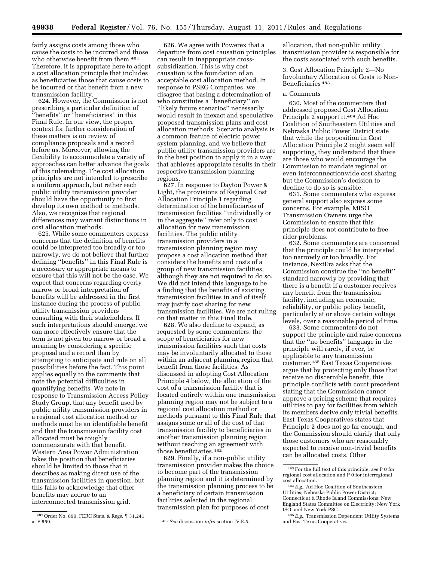fairly assigns costs among those who cause the costs to be incurred and those who otherwise benefit from them.481 Therefore, it is appropriate here to adopt a cost allocation principle that includes as beneficiaries those that cause costs to be incurred or that benefit from a new transmission facility.

624. However, the Commission is not prescribing a particular definition of ''benefits'' or ''beneficiaries'' in this Final Rule. In our view, the proper context for further consideration of these matters is on review of compliance proposals and a record before us. Moreover, allowing the flexibility to accommodate a variety of approaches can better advance the goals of this rulemaking. The cost allocation principles are not intended to prescribe a uniform approach, but rather each public utility transmission provider should have the opportunity to first develop its own method or methods. Also, we recognize that regional differences may warrant distinctions in cost allocation methods.

625. While some commenters express concerns that the definition of benefits could be interpreted too broadly or too narrowly, we do not believe that further defining ''benefits'' in this Final Rule is a necessary or appropriate means to ensure that this will not be the case. We expect that concerns regarding overly narrow or broad interpretation of benefits will be addressed in the first instance during the process of public utility transmission providers consulting with their stakeholders. If such interpretations should emerge, we can more effectively ensure that the term is not given too narrow or broad a meaning by considering a specific proposal and a record than by attempting to anticipate and rule on all possibilities before the fact. This point applies equally to the comments that note the potential difficulties in quantifying benefits. We note in response to Transmission Access Policy Study Group, that any benefit used by public utility transmission providers in a regional cost allocation method or methods must be an identifiable benefit and that the transmission facility cost allocated must be roughly commensurate with that benefit. Western Area Power Administration takes the position that beneficiaries should be limited to those that it describes as making direct use of the transmission facilities in question, but this fails to acknowledge that other benefits may accrue to an

interconnected transmission grid.

626. We agree with Powerex that a departure from cost causation principles can result in inappropriate crosssubsidization. This is why cost causation is the foundation of an acceptable cost allocation method. In response to PSEG Companies, we disagree that basing a determination of who constitutes a ''beneficiary'' on ''likely future scenarios'' necessarily would result in inexact and speculative proposed transmission plans and cost allocation methods. Scenario analysis is a common feature of electric power system planning, and we believe that public utility transmission providers are in the best position to apply it in a way that achieves appropriate results in their respective transmission planning regions.

627. In response to Dayton Power & Light, the provisions of Regional Cost Allocation Principle 1 regarding determination of the beneficiaries of transmission facilities ''individually or in the aggregate'' refer only to cost allocation for new transmission facilities. The public utility transmission providers in a transmission planning region may propose a cost allocation method that considers the benefits and costs of a group of new transmission facilities, although they are not required to do so. We did not intend this language to be a finding that the benefits of existing transmission facilities in and of itself may justify cost sharing for new transmission facilities. We are not ruling on that matter in this Final Rule.

628. We also decline to expand, as requested by some commenters, the scope of beneficiaries for new transmission facilities such that costs may be involuntarily allocated to those within an adjacent planning region that benefit from those facilities. As discussed in adopting Cost Allocation Principle 4 below, the allocation of the cost of a transmission facility that is located entirely within one transmission planning region may not be subject to a regional cost allocation method or methods pursuant to this Final Rule that assigns some or all of the cost of that transmission facility to beneficiaries in another transmission planning region without reaching an agreement with those beneficiaries.482

629. Finally, if a non-public utility transmission provider makes the choice to become part of the transmission planning region and it is determined by the transmission planning process to be a beneficiary of certain transmission facilities selected in the regional transmission plan for purposes of cost

allocation, that non-public utility transmission provider is responsible for the costs associated with such benefits.

3. Cost Allocation Principle 2—No Involuntary Allocation of Costs to Non-Beneficiaries 483

# a. Comments

630. Most of the commenters that addressed proposed Cost Allocation Principle 2 support it.484 Ad Hoc Coalition of Southeastern Utilities and Nebraska Public Power District state that while the proposition in Cost Allocation Principle 2 might seem self supporting, they understand that there are those who would encourage the Commission to mandate regional or even interconnectionwide cost sharing, but the Commission's decision to decline to do so is sensible.

631. Some commenters who express general support also express some concerns. For example, MISO Transmission Owners urge the Commission to ensure that this principle does not contribute to free rider problems.

632. Some commenters are concerned that the principle could be interpreted too narrowly or too broadly. For instance, NextEra asks that the Commission construe the ''no benefit'' standard narrowly by providing that there is a benefit if a customer receives any benefit from the transmission facility, including an economic, reliability, or public policy benefit, particularly at or above certain voltage levels, over a reasonable period of time.

633. Some commenters do not support the principle and raise concerns that the ''no benefits'' language in the principle will rarely, if ever, be applicable to any transmission customer.485 East Texas Cooperatives argue that by protecting only those that receive no discernible benefit, this principle conflicts with court precedent stating that the Commission cannot approve a pricing scheme that requires utilities to pay for facilities from which its members derive only trivial benefits. East Texas Cooperatives states that Principle 2 does not go far enough, and the Commission should clarify that only those customers who are reasonably expected to receive non-trivial benefits can be allocated costs. Other

<sup>481</sup>Order No. 890, FERC Stats. & Regs. ¶ 31,241

<sup>&</sup>lt;sup>482</sup> See discussion *infra* section IV.E.5.

<sup>483</sup>For the full text of this principle, *see* P 0 for regional cost allocation and  $\overrightarrow{P}$  0 for interregional cost allocation.

<sup>484</sup>*E.g.,* Ad Hoc Coalition of Southeastern Utilities; Nebraska Public Power District; Connecticut & Rhode Island Commissions; New England States Committee on Electricity; New York ISO; and New York PSC.

<sup>485</sup>*E.g.,* Transmission Dependent Utility Systems and East Texas Cooperatives.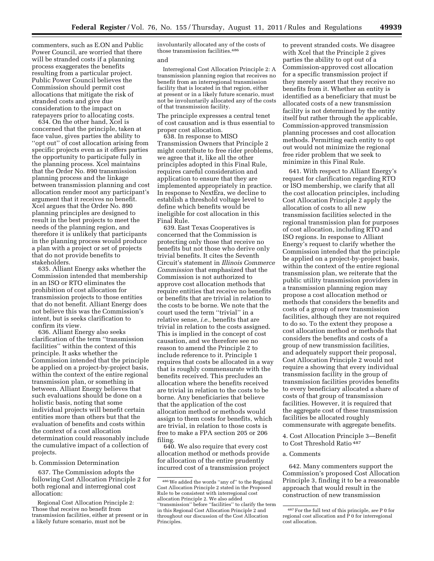commenters, such as E.ON and Public Power Council, are worried that there will be stranded costs if a planning process exaggerates the benefits resulting from a particular project. Public Power Council believes the Commission should permit cost allocations that mitigate the risk of stranded costs and give due consideration to the impact on ratepayers prior to allocating costs.

634. On the other hand, Xcel is concerned that the principle, taken at face value, gives parties the ability to "opt out" of cost allocation arising from specific projects even as it offers parties the opportunity to participate fully in the planning process. Xcel maintains that the Order No. 890 transmission planning process and the linkage between transmission planning and cost allocation render moot any participant's argument that it receives no benefit. Xcel argues that the Order No. 890 planning principles are designed to result in the best projects to meet the needs of the planning region, and therefore it is unlikely that participants in the planning process would produce a plan with a project or set of projects that do not provide benefits to stakeholders.

635. Alliant Energy asks whether the Commission intended that membership in an ISO or RTO eliminates the prohibition of cost allocation for transmission projects to those entities that do not benefit. Alliant Energy does not believe this was the Commission's intent, but is seeks clarification to confirm its view.

636. Alliant Energy also seeks clarification of the term ''transmission facilities'' within the context of this principle. It asks whether the Commission intended that the principle be applied on a project-by-project basis, within the context of the entire regional transmission plan, or something in between. Alliant Energy believes that such evaluations should be done on a holistic basis, noting that some individual projects will benefit certain entities more than others but that the evaluation of benefits and costs within the context of a cost allocation determination could reasonably include the cumulative impact of a collection of projects.

b. Commission Determination

637. The Commission adopts the following Cost Allocation Principle 2 for both regional and interregional cost allocation:

Regional Cost Allocation Principle 2: Those that receive no benefit from transmission facilities, either at present or in a likely future scenario, must not be

involuntarily allocated any of the costs of those transmission facilities.486 and

Interregional Cost Allocation Principle 2: A transmission planning region that receives no benefit from an interregional transmission facility that is located in that region, either at present or in a likely future scenario, must not be involuntarily allocated any of the costs of that transmission facility.

The principle expresses a central tenet of cost causation and is thus essential to proper cost allocation.

638. In response to MISO Transmission Owners that Principle 2 might contribute to free rider problems, we agree that it, like all the other principles adopted in this Final Rule, requires careful consideration and application to ensure that they are implemented appropriately in practice. In response to NextEra, we decline to establish a threshold voltage level to define which benefits would be ineligible for cost allocation in this Final Rule.

639. East Texas Cooperatives is concerned that the Commission is protecting only those that receive no benefits but not those who derive only trivial benefits. It cites the Seventh Circuit's statement in *Illinois Commerce Commission* that emphasized that the Commission is not authorized to approve cost allocation methods that require entities that receive no benefits or benefits that are trivial in relation to the costs to be borne. We note that the court used the term ''trivial'' in a relative sense, *i.e.,* benefits that are trivial in relation to the costs assigned. This is implied in the concept of cost causation, and we therefore see no reason to amend the Principle 2 to include reference to it. Principle 1 requires that costs be allocated in a way that is roughly commensurate with the benefits received. This precludes an allocation where the benefits received are trivial in relation to the costs to be borne. Any beneficiaries that believe that the application of the cost allocation method or methods would assign to them costs for benefits, which are trivial, in relation to those costs is free to make a FPA section 205 or 206 filing.

640. We also require that every cost allocation method or methods provide for allocation of the entire prudently incurred cost of a transmission project

to prevent stranded costs. We disagree with Xcel that the Principle 2 gives parties the ability to opt out of a Commission-approved cost allocation for a specific transmission project if they merely assert that they receive no benefits from it. Whether an entity is identified as a beneficiary that must be allocated costs of a new transmission facility is not determined by the entity itself but rather through the applicable, Commission-approved transmission planning processes and cost allocation methods. Permitting each entity to opt out would not minimize the regional free rider problem that we seek to minimize in this Final Rule.

641. With respect to Alliant Energy's request for clarification regarding RTO or ISO membership, we clarify that all the cost allocation principles, including Cost Allocation Principle 2 apply the allocation of costs to all new transmission facilities selected in the regional transmission plan for purposes of cost allocation, including RTO and ISO regions. In response to Alliant Energy's request to clarify whether the Commission intended that the principle be applied on a project-by-project basis, within the context of the entire regional transmission plan, we reiterate that the public utility transmission providers in a transmission planning region may propose a cost allocation method or methods that considers the benefits and costs of a group of new transmission facilities, although they are not required to do so. To the extent they propose a cost allocation method or methods that considers the benefits and costs of a group of new transmission facilities, and adequately support their proposal, Cost Allocation Principle 2 would not require a showing that every individual transmission facility in the group of transmission facilities provides benefits to every beneficiary allocated a share of costs of that group of transmission facilities. However, it is required that the aggregate cost of these transmission facilities be allocated roughly commensurate with aggregate benefits.

4. Cost Allocation Principle 3—Benefit to Cost Threshold Ratio 487

# a. Comments

642. Many commenters support the Commission's proposed Cost Allocation Principle 3, finding it to be a reasonable approach that would result in the construction of new transmission

<sup>486</sup>We added the words ''any of'' to the Regional Cost Allocation Principle 2 stated in the Proposed Rule to be consistent with interregional cost allocation Principle 2. We also added ''transmission'' before ''facilities'' to clarify the term in this Regional Cost Allocation Principle 2 and throughout our discussion of the Cost Allocation Principles.

<sup>487</sup>For the full text of this principle, *see* P 0 for regional cost allocation and P 0 for interregional cost allocation.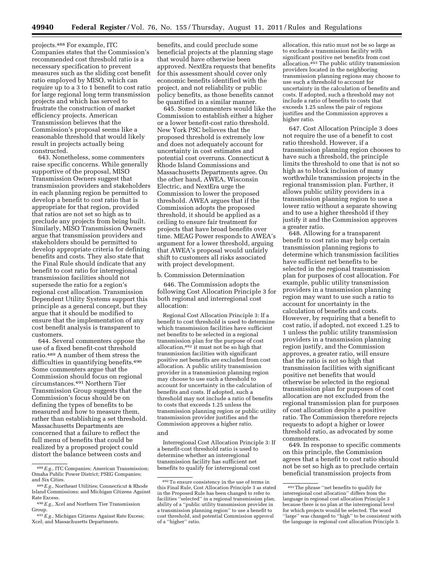projects.488 For example, ITC Companies states that the Commission's recommended cost threshold ratio is a necessary specification to prevent measures such as the sliding cost benefit ratio employed by MISO, which can require up to a 3 to 1 benefit to cost ratio for large regional long term transmission projects and which has served to frustrate the construction of market efficiency projects. American Transmission believes that the Commission's proposal seems like a reasonable threshold that would likely result in projects actually being constructed.

643. Nonetheless, some commenters raise specific concerns. While generally supportive of the proposal, MISO Transmission Owners suggest that transmission providers and stakeholders in each planning region be permitted to develop a benefit to cost ratio that is appropriate for that region, provided that ratios are not set so high as to preclude any projects from being built. Similarly, MISO Transmission Owners argue that transmission providers and stakeholders should be permitted to develop appropriate criteria for defining benefits and costs. They also state that the Final Rule should indicate that any benefit to cost ratio for interregional transmission facilities should not supersede the ratio for a region's regional cost allocation. Transmission Dependent Utility Systems support this principle as a general concept, but they argue that it should be modified to ensure that the implementation of any cost benefit analysis is transparent to customers.

644. Several commenters oppose the use of a fixed benefit-cost threshold ratio.489 A number of them stress the difficulties in quantifying benefits.490 Some commenters argue that the Commission should focus on regional circumstances.491 Northern Tier Transmission Group suggests that the Commission's focus should be on defining the types of benefits to be measured and how to measure them, rather than establishing a set threshold. Massachusetts Departments are concerned that a failure to reflect the full menu of benefits that could be realized by a proposed project could distort the balance between costs and

benefits, and could preclude some beneficial projects at the planning stage that would have otherwise been approved. NextEra requests that benefits for this assessment should cover only economic benefits identified with the project, and not reliability or public policy benefits, as those benefits cannot be quantified in a similar manner.

645. Some commenters would like the Commission to establish either a higher or a lower benefit-cost ratio threshold. New York PSC believes that the proposed threshold is extremely low and does not adequately account for uncertainty in cost estimates and potential cost overruns. Connecticut & Rhode Island Commissions and Massachusetts Departments agree. On the other hand, AWEA, Wisconsin Electric, and NextEra urge the Commission to lower the proposed threshold. AWEA argues that if the Commission adopts the proposed threshold, it should be applied as a ceiling to ensure fair treatment for projects that have broad benefits over time. MEAG Power responds to AWEA's argument for a lower threshold, arguing that AWEA's proposal would unfairly shift to customers all risks associated with project development.

## b. Commission Determination

646. The Commission adopts the following Cost Allocation Principle 3 for both regional and interregional cost allocation:

Regional Cost Allocation Principle 3: If a benefit to cost threshold is used to determine which transmission facilities have sufficient net benefits to be selected in a regional transmission plan for the purpose of cost allocation,492 it must not be so high that transmission facilities with significant positive net benefits are excluded from cost allocation. A public utility transmission provider in a transmission planning region may choose to use such a threshold to account for uncertainty in the calculation of benefits and costs. If adopted, such a threshold may not include a ratio of benefits to costs that exceeds 1.25 unless the transmission planning region or public utility transmission provider justifies and the Commission approves a higher ratio. and

Interregional Cost Allocation Principle 3: If a benefit-cost threshold ratio is used to determine whether an interregional transmission facility has sufficient net benefits to qualify for interregional cost

allocation, this ratio must not be so large as to exclude a transmission facility with significant positive net benefits from cost allocation.493 The public utility transmission providers located in the neighboring transmission planning regions may choose to use such a threshold to account for uncertainty in the calculation of benefits and costs. If adopted, such a threshold may not include a ratio of benefits to costs that exceeds 1.25 unless the pair of regions justifies and the Commission approves a higher ratio.

647. Cost Allocation Principle 3 does not require the use of a benefit to cost ratio threshold. However, if a transmission planning region chooses to have such a threshold, the principle limits the threshold to one that is not so high as to block inclusion of many worthwhile transmission projects in the regional transmission plan. Further, it allows public utility providers in a transmission planning region to use a lower ratio without a separate showing and to use a higher threshold if they justify it and the Commission approves a greater ratio.

648. Allowing for a transparent benefit to cost ratio may help certain transmission planning regions to determine which transmission facilities have sufficient net benefits to be selected in the regional transmission plan for purposes of cost allocation. For example, public utility transmission providers in a transmission planning region may want to use such a ratio to account for uncertainty in the calculation of benefits and costs. However, by requiring that a benefit to cost ratio, if adopted, not exceed 1.25 to 1 unless the public utility transmission providers in a transmission planning region justify, and the Commission approves, a greater ratio, will ensure that the ratio is not so high that transmission facilities with significant positive net benefits that would otherwise be selected in the regional transmission plan for purposes of cost allocation are not excluded from the regional transmission plan for purposes of cost allocation despite a positive ratio. The Commission therefore rejects requests to adopt a higher or lower threshold ratio, as advocated by some commenters.

649. In response to specific comments on this principle, the Commission agrees that a benefit to cost ratio should not be set so high as to preclude certain beneficial transmission projects from

<sup>488</sup>*E.g.,* ITC Companies; American Transmission; Omaha Public Power District; PSEG Companies; and Six Cities.

<sup>489</sup>*E.g.,* Northeast Utilities; Connecticut & Rhode Island Commissions; and Michigan Citizens Against Rate Excess.

<sup>490</sup>*E.g.,* Xcel and Northern Tier Transmission Group.

<sup>491</sup>*E.g.,* Michigan Citizens Against Rate Excess; Xcel; and Massachusetts Departments.

<sup>492</sup>To ensure consistency in the use of terms in this Final Rule, Cost Allocation Principle 3 as stated in the Proposed Rule has been changed to refer to facilities ''selected'' in a regional transmission plan, ability of a ''public utility transmission provider in a transmission planning region'' to use a benefit to cost threshold, and potential Commission approval of a ''higher'' ratio.

<sup>493</sup>The phrase ''net benefits to qualify for interregional cost allocation'' differs from the language in regional cost allocation Principle 3 because there is no plan at the interregional level for which projects would be selected. The word "large" was changed to "high" to be consistent with the language in regional cost allocation Principle 3.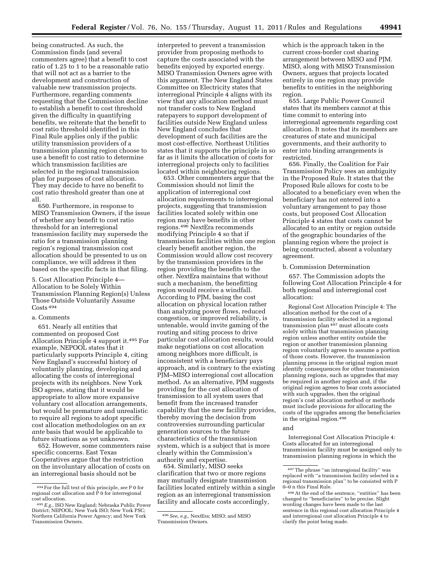being constructed. As such, the Commission finds (and several commenters agree) that a benefit to cost ratio of 1.25 to 1 to be a reasonable ratio that will not act as a barrier to the development and construction of valuable new transmission projects. Furthermore, regarding comments requesting that the Commission decline to establish a benefit to cost threshold given the difficulty in quantifying benefits, we reiterate that the benefit to cost ratio threshold identified in this Final Rule applies only if the public utility transmission providers of a transmission planning region choose to use a benefit to cost ratio to determine which transmission facilities are selected in the regional transmission plan for purposes of cost allocation. They may decide to have no benefit to cost ratio threshold greater than one at all.

650. Furthermore, in response to MISO Transmission Owners, if the issue of whether any benefit to cost ratio threshold for an interregional transmission facility may supersede the ratio for a transmission planning region's regional transmission cost allocation should be presented to us on compliance, we will address it then based on the specific facts in that filing.

5. Cost Allocation Principle 4— Allocation to be Solely Within Transmission Planning Region(s) Unless Those Outside Voluntarily Assume Costs 494

### a. Comments

651. Nearly all entities that commented on proposed Cost Allocation Principle 4 support it.495 For example, NEPOOL states that it particularly supports Principle 4, citing New England's successful history of voluntarily planning, developing and allocating the costs of interregional projects with its neighbors. New York ISO agrees, stating that it would be appropriate to allow more expansive voluntary cost allocation arrangements, but would be premature and unrealistic to require all regions to adopt specific cost allocation methodologies on an *ex ante* basis that would be applicable to future situations as yet unknown.

652. However, some commenters raise specific concerns. East Texas Cooperatives argue that the restriction on the involuntary allocation of costs on an interregional basis should not be

interpreted to prevent a transmission provider from proposing methods to capture the costs associated with the benefits enjoyed by exported energy. MISO Transmission Owners agree with this argument. The New England States Committee on Electricity states that interregional Principle 4 aligns with its view that any allocation method must not transfer costs to New England ratepayers to support development of facilities outside New England unless New England concludes that development of such facilities are the most cost-effective. Northeast Utilities states that it supports the principle in so far as it limits the allocation of costs for interregional projects only to facilities located within neighboring regions.

653. Other commenters argue that the Commission should not limit the application of interregional cost allocation requirements to interregional projects, suggesting that transmission facilities located solely within one region may have benefits in other regions.496 NextEra recommends modifying Principle 4 so that if transmission facilities within one region clearly benefit another region, the Commission would allow cost recovery by the transmission providers in the region providing the benefits to the other. NextEra maintains that without such a mechanism, the benefitting region would receive a windfall. According to PJM, basing the cost allocation on physical location rather than analyzing power flows, reduced congestion, or improved reliability, is untenable, would invite gaming of the routing and siting process to drive particular cost allocation results, would make negotiations on cost allocation among neighbors more difficult, is inconsistent with a beneficiary pays approach, and is contrary to the existing PJM–MISO interregional cost allocation method. As an alternative, PJM suggests providing for the cost allocation of transmission to all system users that benefit from the increased transfer capability that the new facility provides, thereby moving the decision from controversies surrounding particular generation sources to the future characteristics of the transmission system, which is a subject that is more clearly within the Commission's authority and expertise.

654. Similarly, MISO seeks clarification that two or more regions may mutually designate transmission facilities located entirely within a single region as an interregional transmission facility and allocate costs accordingly,

which is the approach taken in the current cross-border cost sharing arrangement between MISO and PJM. MISO, along with MISO Transmission Owners, argues that projects located entirely in one region may provide benefits to entities in the neighboring region.

655. Large Public Power Council states that its members cannot at this time commit to entering into interregional agreements regarding cost allocation. It notes that its members are creatures of state and municipal governments, and their authority to enter into binding arrangements is restricted.

656. Finally, the Coalition for Fair Transmission Policy sees an ambiguity in the Proposed Rule. It states that the Proposed Rule allows for costs to be allocated to a beneficiary even when the beneficiary has not entered into a voluntary arrangement to pay those costs, but proposed Cost Allocation Principle 4 states that costs cannot be allocated to an entity or region outside of the geographic boundaries of the planning region where the project is being constructed, absent a voluntary agreement.

### b. Commission Determination

657. The Commission adopts the following Cost Allocation Principle 4 for both regional and interregional cost allocation:

Regional Cost Allocation Principle 4: The allocation method for the cost of a transmission facility selected in a regional transmission plan <sup>497</sup> must allocate costs solely within that transmission planning region unless another entity outside the region or another transmission planning region voluntarily agrees to assume a portion of those costs. However, the transmission planning process in the original region must identify consequences for other transmission planning regions, such as upgrades that may be required in another region and, if the original region agrees to bear costs associated with such upgrades, then the original region's cost allocation method or methods must include provisions for allocating the costs of the upgrades among the beneficiaries in the original region.498

#### and

Interregional Cost Allocation Principle 4: Costs allocated for an interregional transmission facility must be assigned only to transmission planning regions in which the

<sup>494</sup>For the full text of this principle, *see* P 0 for regional cost allocation and  $\hat{P}$  0 for interregional cost allocation.

<sup>&</sup>lt;sup>495</sup> E.g., ISO New England; Nebraska Public Power District; NEPOOL; New York ISO; New York PSC; Northern California Power Agency; and New York Transmission Owners.

<sup>496</sup>*See, e.g.,* NextEra; MISO; and MISO Transmission Owners.

<sup>497</sup>The phrase ''an intraregional facility'' was replaced with ''a transmission facility selected in a regional transmission plan'' to be consisted with P 0–0 n this Final Rule.

<sup>498</sup>At the end of the sentence, ''entities'' has been changed to ''beneficiaries'' to be precise. Slight wording changes have been made to the last sentence in this regional cost allocation Principle 4 and interregional cost allocation Principle 4 to clarify the point being made.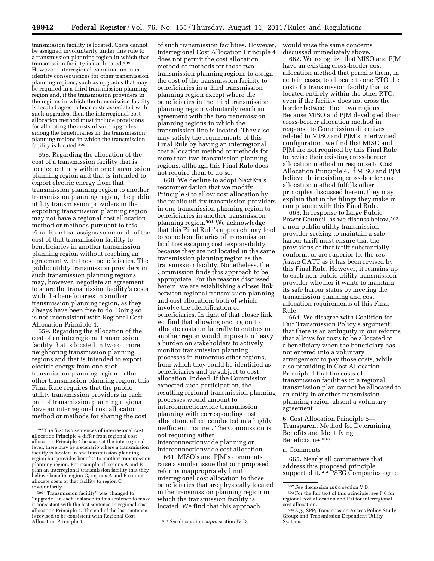transmission facility is located. Costs cannot be assigned involuntarily under this rule to a transmission planning region in which that transmission facility is not located.499 However, interregional coordination must identify consequences for other transmission planning regions, such as upgrades that may be required in a third transmission planning region and, if the transmission providers in the regions in which the transmission facility is located agree to bear costs associated with such upgrades, then the interregional cost allocation method must include provisions for allocating the costs of such upgrades among the beneficiaries in the transmission planning regions in which the transmission facility is located.500

658. Regarding the allocation of the cost of a transmission facility that is located entirely within one transmission planning region and that is intended to export electric energy from that transmission planning region to another transmission planning region, the public utility transmission providers in the exporting transmission planning region may not have a regional cost allocation method or methods pursuant to this Final Rule that assigns some or all of the cost of that transmission facility to beneficiaries in another transmission planning region without reaching an agreement with those beneficiaries. The public utility transmission providers in such transmission planning regions may, however, negotiate an agreement to share the transmission facility's costs with the beneficiaries in another transmission planning region, as they always have been free to do. Doing so is not inconsistent with Regional Cost Allocation Principle 4.

659. Regarding the allocation of the cost of an interregional transmission facility that is located in two or more neighboring transmission planning regions and that is intended to export electric energy from one such transmission planning region to the other transmission planning region, this Final Rule requires that the public utility transmission providers in each pair of transmission planning regions have an interregional cost allocation method or methods for sharing the cost

of such transmission facilities. However, Interregional Cost Allocation Principle 4 does not permit the cost allocation method or methods for those two transmission planning regions to assign the cost of the transmission facility to beneficiaries in a third transmission planning region except where the beneficiaries in the third transmission planning region voluntarily reach an agreement with the two transmission planning regions in which the transmission line is located. They also may satisfy the requirements of this Final Rule by having an interregional cost allocation method or methods for more than two transmission planning regions, although this Final Rule does not require them to do so.

660. We decline to adopt NextEra's recommendation that we modify Principle 4 to allow cost allocation by the public utility transmission providers in one transmission planning region to beneficiaries in another transmission planning region.501 We acknowledge that this Final Rule's approach may lead to some beneficiaries of transmission facilities escaping cost responsibility because they are not located in the same transmission planning region as the transmission facility. Nonetheless, the Commission finds this approach to be appropriate. For the reasons discussed herein, we are establishing a closer link between regional transmission planning and cost allocation, both of which involve the identification of beneficiaries. In light of that closer link, we find that allowing one region to allocate costs unilaterally to entities in another region would impose too heavy a burden on stakeholders to actively monitor transmission planning processes in numerous other regions, from which they could be identified as beneficiaries and be subject to cost allocation. Indeed, if the Commission expected such participation, the resulting regional transmission planning processes would amount to interconnectionwide transmission planning with corresponding cost allocation, albeit conducted in a highly inefficient manner. The Commission is not requiring either interconnectionwide planning or interconnectionwide cost allocation.

661. MISO's and PJM's comments raise a similar issue that our proposed reforms inappropriately limit interregional cost allocation to those beneficiaries that are physically located in the transmission planning region in which the transmission facility is located. We find that this approach

would raise the same concerns discussed immediately above.

662. We recognize that MISO and PJM have an existing cross-border cost allocation method that permits them, in certain cases, to allocate to one RTO the cost of a transmission facility that is located entirely within the other RTO, even if the facility does not cross the border between their two regions. Because MISO and PJM developed their cross-border allocation method in response to Commission directives related to MISO and PJM's intertwined configuration, we find that MISO and PJM are not required by this Final Rule to revise their existing cross-border allocation method in response to Cost Allocation Principle 4. If MISO and PJM believe their existing cross-border cost allocation method fulfills other principles discussed herein, they may explain that in the filings they make in compliance with this Final Rule.

663. In response to Large Public Power Council, as we discuss below,502 a non-public utility transmission provider seeking to maintain a safe harbor tariff must ensure that the provisions of that tariff substantially conform, or are superior to, the *pro forma* OATT as it has been revised by this Final Rule. However, it remains up to each non-public utility transmission provider whether it wants to maintain its safe harbor status by meeting the transmission planning and cost allocation requirements of this Final Rule.

664. We disagree with Coalition for Fair Transmission Policy's argument that there is an ambiguity in our reforms that allows for costs to be allocated to a beneficiary when the beneficiary has not entered into a voluntary arrangement to pay those costs, while also providing in Cost Allocation Principle 4 that the costs of transmission facilities in a regional transmission plan cannot be allocated to an entity in another transmission planning region, absent a voluntary agreement.

6. Cost Allocation Principle 5— Transparent Method for Determining Benefits and Identifying Beneficiaries 503

#### a. Comments

665. Nearly all commenters that address this proposed principle supported it.<sup>504</sup> PSEG Companies agree

<sup>499</sup>The first two sentences of interregional cost allocation Principle 4 differ from regional cost allocation Principle 4 because at the interregional level, there may be a scenario where a transmission facility is located in one transmission planning region but provides benefits to another transmission planning region. For example, if regions A and B plan an interregional transmission facility that they believe benefits region C, regions A and B cannot allocate costs of that facility to region C involuntarily.

<sup>500</sup> ''Transmission facility'' was changed to ''upgrade'' in each instance in this sentence to make it consistent with the last sentence in regional cost allocation Principle 4. The end of the last sentence is revised to be consistent with Regional Cost

 $501$  See discussion *supra* section IV.D.

<sup>502</sup>*See* discussion *infra* section V.B. 503For the full text of this principle, *see* P 0 for regional cost allocation and P 0 for interregional

cost allocation. 504*E.g.,* SPP; Transmission Access Policy Study Group; and Transmission Dependent Utility Systems.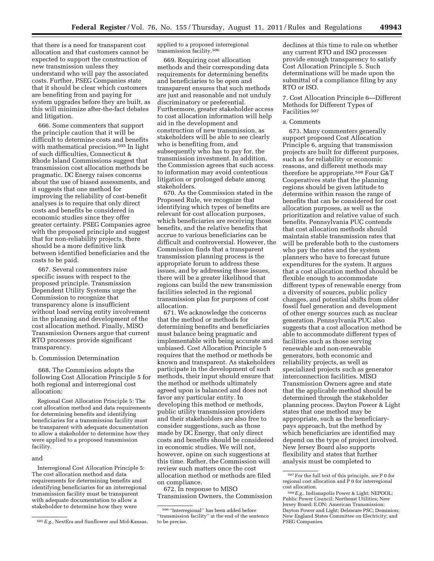that there is a need for transparent cost allocation and that customers cannot be expected to support the construction of new transmission unless they understand who will pay the associated costs. Further, PSEG Companies state that it should be clear which customers are benefiting from and paying for system upgrades before they are built, as this will minimize after-the-fact debates and litigation.

666. Some commenters that support the principle caution that it will be difficult to determine costs and benefits with mathematical precision.<sup>505</sup> In light of such difficulties, Connecticut & Rhode Island Commissions suggest that transmission cost allocation methods be pragmatic. DC Energy raises concerns about the use of biased assessments, and it suggests that one method for improving the reliability of cost-benefit analyses is to require that only direct costs and benefits be considered in economic studies since they offer greater certainty. PSEG Companies agree with the proposed principle and suggest that for non-reliability projects, there should be a more definitive link between identified beneficiaries and the costs to be paid.

667. Several commenters raise specific issues with respect to the proposed principle. Transmission Dependent Utility Systems urge the Commission to recognize that transparency alone is insufficient without load serving entity involvement in the planning and development of the cost allocation method. Finally, MISO Transmission Owners argue that current RTO processes provide significant transparency.

### b. Commission Determination

668. The Commission adopts the following Cost Allocation Principle 5 for both regional and interregional cost allocation:

Regional Cost Allocation Principle 5: The cost allocation method and data requirements for determining benefits and identifying beneficiaries for a transmission facility must be transparent with adequate documentation to allow a stakeholder to determine how they were applied to a proposed transmission facility.

### and

Interregional Cost Allocation Principle 5: The cost allocation method and data requirements for determining benefits and identifying beneficiaries for an interregional transmission facility must be transparent with adequate documentation to allow a stakeholder to determine how they were

applied to a proposed interregional transmission facility.506

669. Requiring cost allocation methods and their corresponding data requirements for determining benefits and beneficiaries to be open and transparent ensures that such methods are just and reasonable and not unduly discriminatory or preferential. Furthermore, greater stakeholder access to cost allocation information will help aid in the development and construction of new transmission, as stakeholders will be able to see clearly who is benefiting from, and subsequently who has to pay for, the transmission investment. In addition, the Commission agrees that such access to information may avoid contentious litigation or prolonged debate among stakeholders.

670. As the Commission stated in the Proposed Rule, we recognize that identifying which types of benefits are relevant for cost allocation purposes, which beneficiaries are receiving those benefits, and the relative benefits that accrue to various beneficiaries can be difficult and controversial. However, the Commission finds that a transparent transmission planning process is the appropriate forum to address these issues, and by addressing these issues, there will be a greater likelihood that regions can build the new transmission facilities selected in the regional transmission plan for purposes of cost allocation.

671. We acknowledge the concerns that the method or methods for determining benefits and beneficiaries must balance being pragmatic and implementable with being accurate and unbiased. Cost Allocation Principle 5 requires that the method or methods be known and transparent. As stakeholders participate in the development of such methods, their input should ensure that the method or methods ultimately agreed upon is balanced and does not favor any particular entity. In developing this method or methods, public utility transmission providers and their stakeholders are also free to consider suggestions, such as those made by DC Energy, that only direct costs and benefits should be considered in economic studies. We will not, however, opine on such suggestions at this time. Rather, the Commission will review such matters once the cost allocation method or methods are filed on compliance.

672. In response to MISO Transmission Owners, the Commission

declines at this time to rule on whether any current RTO and ISO processes provide enough transparency to satisfy Cost Allocation Principle 5. Such determinations will be made upon the submittal of a compliance filing by any RTO or ISO.

7. Cost Allocation Principle 6—Different Methods for Different Types of Facilities 507

# a. Comments

673. Many commenters generally support proposed Cost Allocation Principle 6, arguing that transmission projects are built for different purposes, such as for reliability or economic reasons, and different methods may therefore be appropriate.508 Four G&T Cooperatives state that the planning regions should be given latitude to determine within reason the range of benefits that can be considered for cost allocation purposes, as well as the prioritization and relative value of such benefits. Pennsylvania PUC contends that cost allocation methods should maintain stable transmission rates that will be preferable both to the customers who pay the rates and the system planners who have to forecast future expenditures for the system. It argues that a cost allocation method should be flexible enough to accommodate different types of renewable energy from a diversity of sources, public policy changes, and potential shifts from older fossil fuel generation and development of other energy sources such as nuclear generation. Pennsylvania PUC also suggests that a cost allocation method be able to accommodate different types of facilities such as those serving renewable and non-renewable generators, both economic and reliability projects, as well as specialized projects such as generator interconnection facilities. MISO Transmission Owners agree and state that the applicable method should be determined through the stakeholder planning process. Dayton Power & Light states that one method may be appropriate, such as the beneficiarypays approach, but the method by which beneficiaries are identified may depend on the type of project involved. New Jersey Board also supports flexibility and states that further analysis must be completed to

<sup>505</sup>*E.g.,* NextEra and Sunflower and Mid-Kansas.

<sup>506</sup> ''Interregional'' has been added before ''transmission facility'' at the end of the sentence to be precise.

<sup>507</sup>For the full text of this principle, *see* P 0 for regional cost allocation and P 0 for interregional cost allocation.

<sup>508</sup>*E.g.,* Indianapolis Power & Light; NEPOOL; Public Power Council; Northeast Utilities; New Jersey Board; E.ON; American Transmission; Dayton Power and Light; Delaware PSC; Dominion; New England States Committee on Electricity; and PSEG Companies.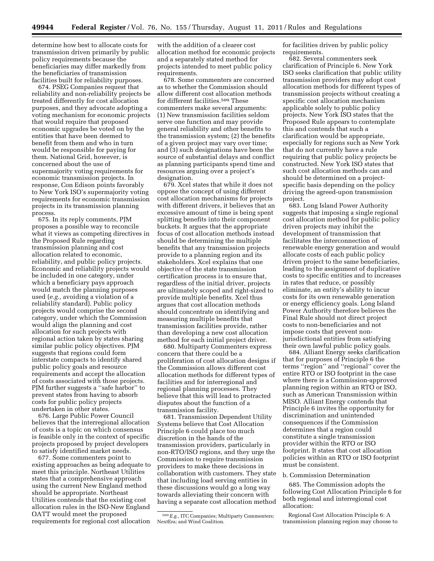determine how best to allocate costs for transmission driven primarily by public policy requirements because the beneficiaries may differ markedly from the beneficiaries of transmission facilities built for reliability purposes.

674. PSEG Companies request that reliability and non-reliability projects be treated differently for cost allocation purposes, and they advocate adopting a voting mechanism for economic projects that would require that proposed economic upgrades be voted on by the entities that have been deemed to benefit from them and who in turn would be responsible for paying for them. National Grid, however, is concerned about the use of supermajority voting requirements for economic transmission projects. In response, Con Edison points favorably to New York ISO's supermajority voting requirements for economic transmission projects in its transmission planning process.

675. In its reply comments, PJM proposes a possible way to reconcile what it views as competing directives in the Proposed Rule regarding transmission planning and cost allocation related to economic, reliability, and public policy projects. Economic and reliability projects would be included in one category, under which a beneficiary pays approach would match the planning purposes used (*e.g.,* avoiding a violation of a reliability standard). Public policy projects would comprise the second category, under which the Commission would align the planning and cost allocation for such projects with regional action taken by states sharing similar public policy objectives. PJM suggests that regions could form interstate compacts to identify shared public policy goals and resource requirements and accept the allocation of costs associated with those projects. PJM further suggests a ''safe harbor'' to prevent states from having to absorb costs for public policy projects undertaken in other states.

676. Large Public Power Council believes that the interregional allocation of costs is a topic on which consensus is feasible only in the context of specific projects proposed by project developers to satisfy identified market needs.

677. Some commenters point to existing approaches as being adequate to meet this principle. Northeast Utilities states that a comprehensive approach using the current New England method should be appropriate. Northeast Utilities contends that the existing cost allocation rules in the ISO-New England OATT would meet the proposed requirements for regional cost allocation

with the addition of a clearer cost allocation method for economic projects and a separately stated method for projects intended to meet public policy requirements.

678. Some commenters are concerned as to whether the Commission should allow different cost allocation methods for different facilities.509 These commenters make several arguments: (1) New transmission facilities seldom serve one function and may provide general reliability and other benefits to the transmission system; (2) the benefits of a given project may vary over time; and (3) such designations have been the source of substantial delays and conflict as planning participants spend time and resources arguing over a project's designation.

679. Xcel states that while it does not oppose the concept of using different cost allocation mechanisms for projects with different drivers, it believes that an excessive amount of time is being spent splitting benefits into their component buckets. It argues that the appropriate focus of cost allocation methods instead should be determining the multiple benefits that any transmission projects provide to a planning region and its stakeholders. Xcel explains that one objective of the state transmission certification process is to ensure that, regardless of the initial driver, projects are ultimately scoped and right-sized to provide multiple benefits. Xcel thus argues that cost allocation methods should concentrate on identifying and measuring multiple benefits that transmission facilities provide, rather than developing a new cost allocation method for each initial project driver.

680. Multiparty Commenters express concern that there could be a proliferation of cost allocation designs if the Commission allows different cost allocation methods for different types of facilities and for interregional and regional planning processes. They believe that this will lead to protracted disputes about the function of a transmission facility.

681. Transmission Dependent Utility Systems believe that Cost Allocation Principle 6 could place too much discretion in the hands of the transmission providers, particularly in non-RTO/ISO regions, and they urge the Commission to require transmission providers to make these decisions in collaboration with customers. They state that including load serving entities in these discussions would go a long way towards alleviating their concern with having a separate cost allocation method

for facilities driven by public policy requirements.

682. Several commenters seek clarification of Principle 6. New York ISO seeks clarification that public utility transmission providers may adopt cost allocation methods for different types of transmission projects without creating a specific cost allocation mechanism applicable solely to public policy projects. New York ISO states that the Proposed Rule appears to contemplate this and contends that such a clarification would be appropriate, especially for regions such as New York that do not currently have a rule requiring that public policy projects be constructed. New York ISO states that such cost allocation methods can and should be determined on a projectspecific basis depending on the policy driving the agreed-upon transmission project.

683. Long Island Power Authority suggests that imposing a single regional cost allocation method for public policy driven projects may inhibit the development of transmission that facilitates the interconnection of renewable energy generation and would allocate costs of each public policy driven project to the same beneficiaries, leading to the assignment of duplicative costs to specific entities and to increases in rates that reduce, or possibly eliminate, an entity's ability to incur costs for its own renewable generation or energy efficiency goals. Long Island Power Authority therefore believes the Final Rule should not direct project costs to non-beneficiaries and not impose costs that prevent nonjurisdictional entities from satisfying their own lawful public policy goals.

684. Alliant Energy seeks clarification that for purposes of Principle 6 the terms ''region'' and ''regional'' cover the entire RTO or ISO footprint in the case where there is a Commission-approved planning region within an RTO or ISO, such as American Transmission within MISO. Alliant Energy contends that Principle 6 invites the opportunity for discrimination and unintended consequences if the Commission determines that a region could constitute a single transmission provider within the RTO or ISO footprint. It states that cost allocation policies within an RTO or ISO footprint must be consistent.

## b. Commission Determination

685. The Commission adopts the following Cost Allocation Principle 6 for both regional and interregional cost allocation:

Regional Cost Allocation Principle 6: A transmission planning region may choose to

<sup>509</sup>*E.g.,* ITC Companies; Multiparty Commenters; NextEra; and Wind Coalition.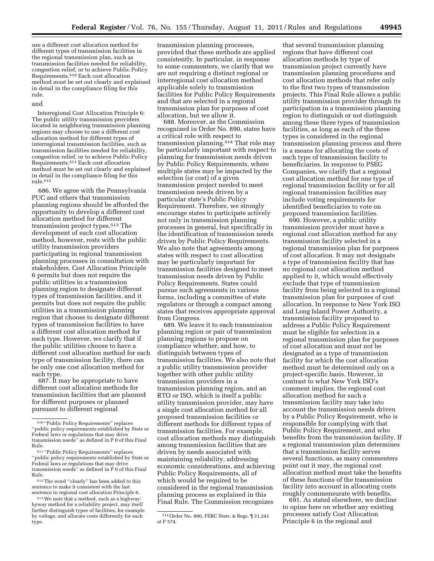use a different cost allocation method for different types of transmission facilities in the regional transmission plan, such as transmission facilities needed for reliability, congestion relief, or to achieve Public Policy Requirements.510 Each cost allocation method must be set out clearly and explained in detail in the compliance filing for this rule.

# and

Interregional Cost Allocation Principle 6: The public utility transmission providers located in neighboring transmission planning regions may choose to use a different cost allocation method for different types of interregional transmission facilities, such as transmission facilities needed for reliability, congestion relief, or to achieve Public Policy Requirements.511 Each cost allocation method must be set out clearly and explained in detail in the compliance filing for this rule.512

686. We agree with the Pennsylvania PUC and others that transmission planning regions should be afforded the opportunity to develop a different cost allocation method for different transmission project types.513 The development of such cost allocation method, however, rests with the public utility transmission providers participating in regional transmission planning processes in consultation with stakeholders. Cost Allocation Principle 6 permits but does not require the public utilities in a transmission planning region to designate different types of transmission facilities, and it permits but does not require the public utilities in a transmission planning region that choose to designate different types of transmission facilities to have a different cost allocation method for each type. However, we clarify that if the public utilities choose to have a different cost allocation method for each type of transmission facility, there can be only one cost allocation method for each type.

687. It may be appropriate to have different cost allocation methods for transmission facilities that are planned for different purposes or planned pursuant to different regional

transmission planning processes, provided that these methods are applied consistently. In particular, in response to some commenters, we clarify that we are not requiring a distinct regional or interregional cost allocation method applicable solely to transmission facilities for Public Policy Requirements and that are selected in a regional transmission plan for purposes of cost allocation, but we allow it.

688. Moreover, as the Commission recognized in Order No. 890, states have a critical role with respect to transmission planning.514 That role may be particularly important with respect to planning for transmission needs driven by Public Policy Requirements, where multiple states may be impacted by the selection (or cost) of a given transmission project needed to meet transmission needs driven by a particular state's Public Policy Requirement. Therefore, we strongly encourage states to participate actively not only in transmission planning processes in general, but specifically in the identification of transmission needs driven by Public Policy Requirements. We also note that agreements among states with respect to cost allocation may be particularly important for transmission facilities designed to meet transmission needs driven by Public Policy Requirements. States could pursue such agreements in various forms, including a committee of state regulators or through a compact among states that receives appropriate approval from Congress.

689. We leave it to each transmission planning region or pair of transmission planning regions to propose on compliance whether, and how, to distinguish between types of transmission facilities. We also note that a public utility transmission provider together with other public utility transmission providers in a transmission planning region, and an RTO or ISO, which is itself a public utility transmission provider, may have a single cost allocation method for all proposed transmission facilities or different methods for different types of transmission facilities. For example, cost allocation methods may distinguish among transmission facilities that are driven by needs associated with maintaining reliability, addressing economic considerations, and achieving Public Policy Requirements, all of which would be required to be considered in the regional transmission planning process as explained in this Final Rule. The Commission recognizes

that several transmission planning regions that have different cost allocation methods by type of transmission project currently have transmission planning procedures and cost allocation methods that refer only to the first two types of transmission projects. This Final Rule allows a public utility transmission provider through its participation in a transmission planning region to distinguish or not distinguish among these three types of transmission facilities, as long as each of the three types is considered in the regional transmission planning process and there is a means for allocating the costs of each type of transmission facility to beneficiaries. In response to PSEG Companies, we clarify that a regional cost allocation method for one type of regional transmission facility or for all regional transmission facilities may include voting requirements for identified beneficiaries to vote on proposed transmission facilities.

690. However, a public utility transmission provider must have a regional cost allocation method for any transmission facility selected in a regional transmission plan for purposes of cost allocation. It may not designate a type of transmission facility that has no regional cost allocation method applied to it, which would effectively exclude that type of transmission facility from being selected in a regional transmission plan for purposes of cost allocation. In response to New York ISO and Long Island Power Authority, a transmission facility proposed to address a Public Policy Requirement must be eligible for selection in a regional transmission plan for purposes of cost allocation and must not be designated as a type of transmission facility for which the cost allocation method must be determined only on a project-specific basis. However, in contrast to what New York ISO's comment implies, the regional cost allocation method for such a transmission facility may take into account the transmission needs driven by a Public Policy Requirement, who is responsible for complying with that Public Policy Requirement, and who benefits from the transmission facility. If a regional transmission plan determines that a transmission facility serves several functions, as many commenters point out it may, the regional cost allocation method must take the benefits of these functions of the transmission facility into account in allocating costs roughly commensurate with benefits.

691. As stated elsewhere, we decline to opine here on whether any existing processes satisfy Cost Allocation Principle 6 in the regional and

<sup>510</sup> ''Public Policy Requirements'' replaces ''public policy requirements established by State or Federal laws or regulations that may drive transmission needs" as defined in  $\overline{P}$  0 of this Final Rule.

<sup>511</sup> ''Public Policy Requirements'' replaces ''public policy requirements established by State or Federal laws or regulations that may drive transmission needs'' as defined in P 0 of this Final Rule.

<sup>512</sup>The word ''clearly'' has been added to this sentence to make it consistent with the last sentence in regional cost allocation Principle 6.

<sup>513</sup>We note that a method, such as a highwaybyway method for a reliability project, may itself further distinguish types of facilities, for example by voltage, and allocate costs differently for each type.

<sup>514</sup>Order No. 890, FERC Stats. & Regs. ¶ 31,241 at P 574.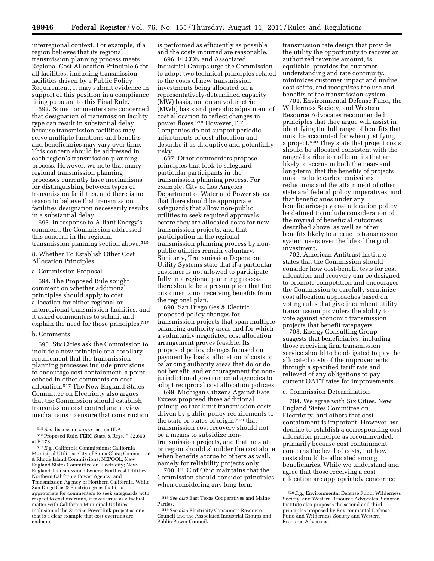interregional context. For example, if a region believes that its regional transmission planning process meets Regional Cost Allocation Principle 6 for all facilities, including transmission facilities driven by a Public Policy Requirement, it may submit evidence in support of this position in a compliance filing pursuant to this Final Rule.

692. Some commenters are concerned that designation of transmission facility type can result in substantial delay because transmission facilities may serve multiple functions and benefits and beneficiaries may vary over time. This concern should be addressed in each region's transmission planning process. However, we note that many regional transmission planning processes currently have mechanisms for distinguishing between types of transmission facilities, and there is no reason to believe that transmission facilities designation necessarily results in a substantial delay.

693. In response to Alliant Energy's comment, the Commission addressed this concern in the regional transmission planning section above.515

8. Whether To Establish Other Cost Allocation Principles

a. Commission Proposal

694. The Proposed Rule sought comment on whether additional principles should apply to cost allocation for either regional or interregional transmission facilities, and it asked commenters to submit and explain the need for those principles.<sup>516</sup>

## b. Comments

695. Six Cities ask the Commission to include a new principle or a corollary requirement that the transmission planning processes include provisions to encourage cost containment, a point echoed in other comments on cost allocation.517 The New England States Committee on Electricity also argues that the Commission should establish transmission cost control and review mechanisms to ensure that construction is performed as efficiently as possible and the costs incurred are reasonable.

696. ELCON and Associated Industrial Groups urge the Commission to adopt two technical principles related to the costs of new transmission investments being allocated on a representatively-determined capacity (MW) basis, not on an volumetric (MWh) basis and periodic adjustment of cost allocation to reflect changes in power flows.518 However, ITC Companies do not support periodic adjustments of cost allocation and describe it as disruptive and potentially risky.

697. Other commenters propose principles that look to safeguard particular participants in the transmission planning process. For example, City of Los Angeles Department of Water and Power states that there should be appropriate safeguards that allow non-public utilities to seek required approvals before they are allocated costs for new transmission projects, and that participation in the regional transmission planning process by nonpublic utilities remain voluntary. Similarly, Transmission Dependent Utility Systems state that if a particular customer is not allowed to participate fully in a regional planning process, there should be a presumption that the customer is not receiving benefits from the regional plan.

698. San Diego Gas & Electric proposed policy changes for transmission projects that span multiple balancing authority areas and for which a voluntarily negotiated cost allocation arrangement proves feasible. Its proposed policy changes focused on payment by loads, allocation of costs to balancing authority areas that do or do not benefit, and encouragement for nonjurisdictional governmental agencies to adopt reciprocal cost allocation policies.

699. Michigan Citizens Against Rate Excess proposed three additional principles that limit transmission costs driven by public policy requirements to the state or states of origin,519 that transmission cost recovery should not be a means to subsidize nontransmission projects, and that no state or region should shoulder the cost alone when benefits accrue to others as well, namely for reliability projects only.

700. PUC of Ohio maintains that the Commission should consider principles when considering any long-term

transmission rate design that provide the utility the opportunity to recover an authorized revenue amount, is equitable, provides for customer understanding and rate continuity, minimizes customer impact and undue cost shifts, and recognizes the use and benefits of the transmission system.

701. Environmental Defense Fund, the Wilderness Society, and Western Resource Advocates recommended principles that they argue will assist in identifying the full range of benefits that must be accounted for when justifying a project.520 They state that project costs should be allocated consistent with the range/distribution of benefits that are likely to accrue in both the near- and long-term, that the benefits of projects must include carbon emissions reductions and the attainment of other state and federal policy imperatives, and that beneficiaries under any beneficiaries-pay cost allocation policy be defined to include consideration of the myriad of beneficial outcomes described above, as well as other benefits likely to accrue to transmission system users over the life of the grid investment.

702. American Antitrust Institute states that the Commission should consider how cost-benefit tests for cost allocation and recovery can be designed to promote competition and encourages the Commission to carefully scrutinize cost allocation approaches based on voting rules that give incumbent utility transmission providers the ability to vote against economic transmission projects that benefit ratepayers.

703. Energy Consulting Group suggests that beneficiaries, including those receiving firm transmission service should to be obligated to pay the allocated costs of the improvements through a specified tariff rate and relieved of any obligations to pay current OATT rates for improvements.

# c. Commission Determination

704. We agree with Six Cities, New England States Committee on Electricity, and others that cost containment is important. However, we decline to establish a corresponding cost allocation principle as recommended, primarily because cost containment concerns the level of costs, not how costs should be allocated among beneficiaries. While we understand and agree that those receiving a cost allocation are appropriately concerned

<sup>515</sup>*See* discussion *supra* section III.A. 516Proposed Rule, FERC Stats. & Regs. ¶ 32,660

at P 178.

<sup>517</sup>*E.g.,* California Commissions; California Municipal Utilities; City of Santa Clara; Connecticut & Rhode Island Commissions; NEPOOL; New England States Committee on Electricity; New England Transmission Owners; Northeast Utilities; Northern California Power Agency; and Transmission Agency of Northern California. While San Diego Gas & Electric agrees that it is appropriate for commenters to seek safeguards with respect to cost overruns, it takes issue as a factual matter with California Municipal Utilities' inclusion of the Sunrise-Powerlink project as one that is a clear example that cost overruns are endemic.

<sup>518</sup>*See also* East Texas Cooperatives and Maine Parties.

<sup>519</sup>*See also* Electricity Consumers Resource Council and the Associated Industrial Groups and Public Power Council.

<sup>520</sup>*E.g.,* Environmental Defense Fund; Wilderness Society; and Western Resource Advocates. Sonoran Institute also proposes the second and third principles proposed by Environmental Defense Fund and Wilderness Society and Western Resource Advocates.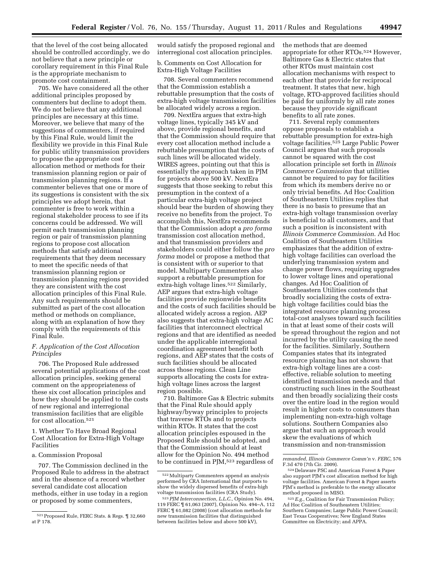that the level of the cost being allocated should be controlled accordingly, we do not believe that a new principle or corollary requirement in this Final Rule is the appropriate mechanism to promote cost containment.

705. We have considered all the other additional principles proposed by commenters but decline to adopt them. We do not believe that any additional principles are necessary at this time. Moreover, we believe that many of the suggestions of commenters, if required by this Final Rule, would limit the flexibility we provide in this Final Rule for public utility transmission providers to propose the appropriate cost allocation method or methods for their transmission planning region or pair of transmission planning regions. If a commenter believes that one or more of its suggestions is consistent with the six principles we adopt herein, that commenter is free to work within a regional stakeholder process to see if its concerns could be addressed. We will permit each transmission planning region or pair of transmission planning regions to propose cost allocation methods that satisfy additional requirements that they deem necessary to meet the specific needs of that transmission planning region or transmission planning regions provided they are consistent with the cost allocation principles of this Final Rule. Any such requirements should be submitted as part of the cost allocation method or methods on compliance, along with an explanation of how they comply with the requirements of this Final Rule.

# *F. Application of the Cost Allocation Principles*

706. The Proposed Rule addressed several potential applications of the cost allocation principles, seeking general comment on the appropriateness of these six cost allocation principles and how they should be applied to the costs of new regional and interregional transmission facilities that are eligible for cost allocation.521

1. Whether To Have Broad Regional Cost Allocation for Extra-High Voltage Facilities

a. Commission Proposal

707. The Commission declined in the Proposed Rule to address in the abstract and in the absence of a record whether several candidate cost allocation methods, either in use today in a region or proposed by some commenters,

would satisfy the proposed regional and interregional cost allocation principles.

b. Comments on Cost Allocation for Extra-High Voltage Facilities

708. Several commenters recommend that the Commission establish a rebuttable presumption that the costs of extra-high voltage transmission facilities be allocated widely across a region.

709. NextEra argues that extra-high voltage lines, typically 345 kV and above, provide regional benefits, and that the Commission should require that every cost allocation method include a rebuttable presumption that the costs of such lines will be allocated widely. WIRES agrees, pointing out that this is essentially the approach taken in PJM for projects above 500 kV. NextEra suggests that those seeking to rebut this presumption in the context of a particular extra-high voltage project should bear the burden of showing they receive no benefits from the project. To accomplish this, NextEra recommends that the Commission adopt a *pro forma*  transmission cost allocation method, and that transmission providers and stakeholders could either follow the *pro forma* model or propose a method that is consistent with or superior to that model. Multiparty Commenters also support a rebuttable presumption for extra-high voltage lines.522 Similarly, AEP argues that extra-high voltage facilities provide regionwide benefits and the costs of such facilities should be allocated widely across a region. AEP also suggests that extra-high voltage AC facilities that interconnect electrical regions and that are identified as needed under the applicable interregional coordination agreement benefit both regions, and AEP states that the costs of such facilities should be allocated across those regions. Clean Line supports allocating the costs for extrahigh voltage lines across the largest region possible.

710. Baltimore Gas & Electric submits that the Final Rule should apply highway/byway principles to projects that traverse RTOs and to projects within RTOs. It states that the cost allocation principles espoused in the Proposed Rule should be adopted, and that the Commission should at least allow for the Opinion No. 494 method to be continued in PJM,523 regardless of the methods that are deemed appropriate for other RTOs.524 However, Baltimore Gas & Electric states that other RTOs must maintain cost allocation mechanisms with respect to each other that provide for reciprocal treatment. It states that new, high voltage, RTO-approved facilities should be paid for uniformly by all rate zones because they provide significant benefits to all rate zones.

711. Several reply commenters oppose proposals to establish a rebuttable presumption for extra-high voltage facilities.525 Large Public Power Council argues that such proposals cannot be squared with the cost allocation principle set forth in *Illinois Commerce Commission* that utilities cannot be required to pay for facilities from which its members derive no or only trivial benefits. Ad Hoc Coalition of Southeastern Utilities replies that there is no basis to presume that an extra-high voltage transmission overlay is beneficial to all customers, and that such a position is inconsistent with *Illinois Commerce Commission*. Ad Hoc Coalition of Southeastern Utilities emphasizes that the addition of extrahigh voltage facilities can overload the underlying transmission system and change power flows, requiring upgrades to lower voltage lines and operational changes. Ad Hoc Coalition of Southeastern Utilities contends that broadly socializing the costs of extrahigh voltage facilities could bias the integrated resource planning process total-cost analyses toward such facilities in that at least some of their costs will be spread throughout the region and not incurred by the utility causing the need for the facilities. Similarly, Southern Companies states that its integrated resource planning has not shown that extra-high voltage lines are a costeffective, reliable solution to meeting identified transmission needs and that constructing such lines in the Southeast and then broadly socializing their costs over the entire load in the region would result in higher costs to consumers than implementing non-extra-high voltage solutions. Southern Companies also argue that such an approach would skew the evaluations of which transmission and non-transmission

<sup>521</sup>Proposed Rule, FERC Stats. & Regs. ¶ 32,660 at P 178.

<sup>522</sup>Multiparty Commenters append an analysis performed by CRA International that purports to show the widely dispersed benefits of extra-high voltage transmission facilities (CRA Study).

<sup>523</sup>*PJM Interconnection, L.L.C.,* Opinion No. 494, 119 FERC ¶ 61,063 (2007), Opinion No. 494–A, 112 FERC ¶ 61,082 (2008) (cost allocation methods for new transmission facilities that distinguished between facilities below and above 500 kV),

*remanded, Illinois Commerce Comm'n* v. *FERC,* 576 F.3d 470 (7th Cir. 2009).

<sup>524</sup> Delaware PSC and American Forest & Paper also support PJM's cost allocation method for high voltage facilities. American Forest & Paper asserts PJM's method is preferable to the energy allocator method proposed in MISO.

<sup>525</sup>*E.g.*, Coalition for Fair Transmission Policy; Ad Hoc Coalition of Southeastern Utilities; Southern Companies; Large Public Power Council; East Texas Cooperatives; New England States Committee on Electricity; and APPA.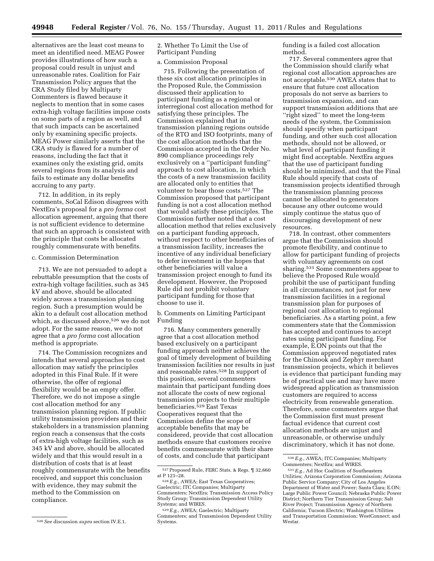alternatives are the least cost means to meet an identified need. MEAG Power provides illustrations of how such a proposal could result in unjust and unreasonable rates. Coalition for Fair Transmission Policy argues that the CRA Study filed by Multiparty Commenters is flawed because it neglects to mention that in some cases extra-high voltage facilities impose costs on some parts of a region as well, and that such impacts can be ascertained only by examining specific projects. MEAG Power similarly asserts that the CRA study is flawed for a number of reasons, including the fact that it examines only the existing grid, omits several regions from its analysis and fails to estimate any dollar benefits accruing to any party.

712. In addition, in its reply comments, SoCal Edison disagrees with NextEra's proposal for a *pro forma* cost allocation agreement, arguing that there is not sufficient evidence to determine that such an approach is consistent with the principle that costs be allocated roughly commensurate with benefits.

## c. Commission Determination

713. We are not persuaded to adopt a rebuttable presumption that the costs of extra-high voltage facilities, such as 345 kV and above, should be allocated widely across a transmission planning region. Such a presumption would be akin to a default cost allocation method which, as discussed above,<sup>526</sup> we do not adopt. For the same reason, we do not agree that a *pro forma* cost allocation method is appropriate.

714. The Commission recognizes and intends that several approaches to cost allocation may satisfy the principles adopted in this Final Rule. If it were otherwise, the offer of regional flexibility would be an empty offer. Therefore, we do not impose a single cost allocation method for any transmission planning region. If public utility transmission providers and their stakeholders in a transmission planning region reach a consensus that the costs of extra-high voltage facilities, such as 345 kV and above, should be allocated widely and that this would result in a distribution of costs that is at least roughly commensurate with the benefits received, and support this conclusion with evidence, they may submit the method to the Commission on compliance.

526*See* discussion *supra* section IV.E.1.

2. Whether To Limit the Use of Participant Funding

# a. Commission Proposal

715. Following the presentation of these six cost allocation principles in the Proposed Rule, the Commission discussed their application to participant funding as a regional or interregional cost allocation method for satisfying these principles. The Commission explained that in transmission planning regions outside of the RTO and ISO footprints, many of the cost allocation methods that the Commission accepted in the Order No. 890 compliance proceedings rely exclusively on a ''participant funding'' approach to cost allocation, in which the costs of a new transmission facility are allocated only to entities that volunteer to bear those costs.527 The Commission proposed that participant funding is not a cost allocation method that would satisfy these principles. The Commission further noted that a cost allocation method that relies exclusively on a participant funding approach, without respect to other beneficiaries of a transmission facility, increases the incentive of any individual beneficiary to defer investment in the hopes that other beneficiaries will value a transmission project enough to fund its development. However, the Proposed Rule did not prohibit voluntary participant funding for those that choose to use it.

b. Comments on Limiting Participant Funding

716. Many commenters generally agree that a cost allocation method based exclusively on a participant funding approach neither achieves the goal of timely development of building transmission facilities nor results in just and reasonable rates.528 In support of this position, several commenters maintain that participant funding does not allocate the costs of new regional transmission projects to their multiple beneficiaries.529 East Texas Cooperatives request that the Commission define the scope of acceptable benefits that may be considered, provide that cost allocation methods ensure that customers receive benefits commensurate with their share of costs, and conclude that participant

funding is a failed cost allocation method.

717. Several commenters agree that the Commission should clarify what regional cost allocation approaches are not acceptable.530 AWEA states that to ensure that future cost allocation proposals do not serve as barriers to transmission expansion, and can support transmission additions that are ''right sized'' to meet the long-term needs of the system, the Commission should specify when participant funding, and other such cost allocation methods, should not be allowed, or what level of participant funding it might find acceptable. NextEra argues that the use of participant funding should be minimized, and that the Final Rule should specify that costs of transmission projects identified through the transmission planning process cannot be allocated to generators because any other outcome would simply continue the status quo of discouraging development of new resources.

718. In contrast, other commenters argue that the Commission should promote flexibility, and continue to allow for participant funding of projects with voluntary agreements on cost sharing.531 Some commenters appear to believe the Proposed Rule would prohibit the use of participant funding in all circumstances, not just for new transmission facilities in a regional transmission plan for purposes of regional cost allocation to regional beneficiaries. As a starting point, a few commenters state that the Commission has accepted and continues to accept rates using participant funding. For example, E.ON points out that the Commission approved negotiated rates for the Chinook and Zephyr merchant transmission projects, which it believes is evidence that participant funding may be of practical use and may have more widespread application as transmission customers are required to access electricity from renewable generation. Therefore, some commenters argue that the Commission first must present factual evidence that current cost allocation methods are unjust and unreasonable, or otherwise unduly discriminatory, which it has not done.

<sup>527</sup>Proposed Rule, FERC Stats. & Regs. ¶ 32,660 at P 121–28.<br><sup>528</sup> E.g., AWEA; East Texas Cooperatives;

Gaelectric; ITC Companies; Multiparty Commenters; NextEra; Transmission Access Policy Study Group; Transmission Dependent Utility Systems; and WIRES.

<sup>529</sup>*E.g.*, AWEA; Gaelectric; Multiparty Commenters; and Transmission Dependent Utility Systems.

<sup>530</sup>*E.g.*, AWEA; ITC Companies; Multiparty Commenters; NextEra; and WIRES.

<sup>531</sup>*E.g.*, Ad Hoc Coalition of Southeastern Utilities; Arizona Corporation Commission; Arizona Public Service Company; City of Los Angeles Department of Water and Power; Santa Clara; E.ON; Large Public Power Council; Nebraska Public Power District; Northern Tier Transmission Group; Salt River Project; Transmission Agency of Northern California; Tucson Electric; Washington Utilities and Transportation Commission; WestConnect; and Westar.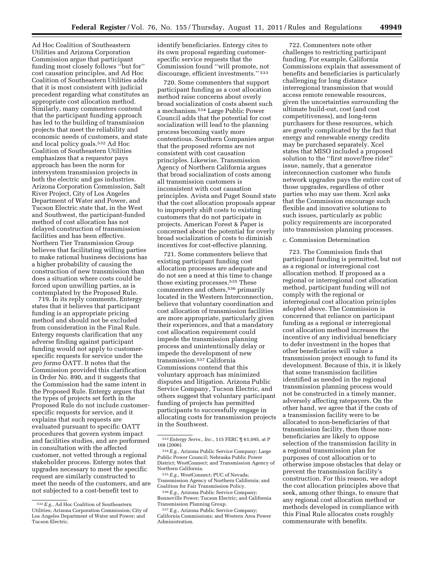Ad Hoc Coalition of Southeastern Utilities and Arizona Corporation Commission argue that participant funding most closely follows ''but for'' cost causation principles, and Ad Hoc Coalition of Southeastern Utilities adds that it is most consistent with judicial precedent regarding what constitutes an appropriate cost allocation method. Similarly, many commenters contend that the participant funding approach has led to the building of transmission projects that meet the reliability and economic needs of customers, and state and local policy goals.532 Ad Hoc Coalition of Southeastern Utilities emphasizes that a requestor pays approach has been the norm for intersystem transmission projects in both the electric and gas industries. Arizona Corporation Commission, Salt River Project, City of Los Angeles Department of Water and Power, and Tucson Electric state that, in the West and Southwest, the participant-funded method of cost allocation has not delayed construction of transmission facilities and has been effective. Northern Tier Transmission Group believes that facilitating willing parties to make rational business decisions has a higher probability of causing the construction of new transmission than does a situation where costs could be forced upon unwilling parties, as is contemplated by the Proposed Rule.

719. In its reply comments, Entergy states that it believes that participant funding is an appropriate pricing method and should not be excluded from consideration in the Final Rule. Entergy requests clarification that any adverse finding against participant funding would not apply to customerspecific requests for service under the *pro forma* OATT. It notes that the Commission provided this clarification in Order No. 890, and it suggests that the Commission had the same intent in the Proposed Rule. Entergy argues that the types of projects set forth in the Proposed Rule do not include customerspecific requests for service, and it explains that such requests are evaluated pursuant to specific OATT procedures that govern system impact and facilities studies, and are performed in consultation with the affected customer, not vetted through a regional stakeholder process. Entergy notes that upgrades necessary to meet the specific request are similarly constructed to meet the needs of the customers, and are not subjected to a cost-benefit test to

identify beneficiaries. Entergy cites to its own proposal regarding customerspecific service requests that the Commission found ''will promote, not discourage, efficient investments.'' 533

720. Some commenters that support participant funding as a cost allocation method raise concerns about overly broad socialization of costs absent such a mechanism.534 Large Public Power Council adds that the potential for cost socialization will lead to the planning process becoming vastly more contentious. Southern Companies argue that the proposed reforms are not consistent with cost causation principles. Likewise, Transmission Agency of Northern California argues that broad socialization of costs among all transmission customers is inconsistent with cost causation principles. Avista and Puget Sound state that the cost allocation proposals appear to improperly shift costs to existing customers that do not participate in projects. American Forest & Paper is concerned about the potential for overly broad socialization of costs to diminish incentives for cost-effective planning.

721. Some commenters believe that existing participant funding cost allocation processes are adequate and do not see a need at this time to change those existing processes.535 These commenters and others,536 primarily located in the Western Interconnection, believe that voluntary coordination and cost allocation of transmission facilities are more appropriate, particularly given their experiences, and that a mandatory cost allocation requirement could impede the transmission planning process and unintentionally delay or impede the development of new transmission.537 California Commissions contend that this voluntary approach has minimized disputes and litigation. Arizona Public Service Company, Tucson Electric, and others suggest that voluntary participant funding of projects has permitted participants to successfully engage in allocating costs for transmission projects in the Southwest.

535*E.g.*, WestConnect; PUC of Nevada; Transmission Agency of Northern California; and Coalition for Fair Transmission Policy.

722. Commenters note other challenges to restricting participant funding. For example, California Commissions explain that assessment of benefits and beneficiaries is particularly challenging for long distance interregional transmission that would access remote renewable resources, given the uncertainties surrounding the ultimate build-out, cost (and cost competitiveness), and long-term purchasers for these resources, which are greatly complicated by the fact that energy and renewable energy credits may be purchased separately. Xcel states that MISO included a proposed solution to the ''first move/free rider'' issue, namely, that a generator interconnection customer who funds network upgrades pays the entire cost of those upgrades, regardless of other parties who may use them. Xcel asks that the Commission encourage such flexible and innovative solutions to such issues, particularly as public policy requirements are incorporated into transmission planning processes.

## c. Commission Determination

723. The Commission finds that participant funding is permitted, but not as a regional or interregional cost allocation method. If proposed as a regional or interregional cost allocation method, participant funding will not comply with the regional or interregional cost allocation principles adopted above. The Commission is concerned that reliance on participant funding as a regional or interregional cost allocation method increases the incentive of any individual beneficiary to defer investment in the hopes that other beneficiaries will value a transmission project enough to fund its development. Because of this, it is likely that some transmission facilities identified as needed in the regional transmission planning process would not be constructed in a timely manner, adversely affecting ratepayers. On the other hand, we agree that if the costs of a transmission facility were to be allocated to non-beneficiaries of that transmission facility, then those nonbeneficiaries are likely to oppose selection of the transmission facility in a regional transmission plan for purposes of cost allocation or to otherwise impose obstacles that delay or prevent the transmission facility's construction. For this reason, we adopt the cost allocation principles above that seek, among other things, to ensure that any regional cost allocation method or methods developed in compliance with this Final Rule allocates costs roughly commensurate with benefits.

<sup>532</sup>*E.g.*, Ad Hoc Coalition of Southeastern Utilities; Arizona Corporation Commission; City of Los Angeles Department of Water and Power; and Tucson Electric.

<sup>533</sup>*Entergy Servs., Inc.*, 115 FERC ¶ 61,095, at P 168 (2006).

<sup>534</sup>*E.g.*, Arizona Public Service Company; Large Public Power Council; Nebraska Public Power District; WestConnect; and Transmission Agency of Northern California.

<sup>536</sup>*E.g.*, Arizona Public Service Company; Bonneville Power; Tucson Electric; and California Transmission Planning Group.

<sup>537</sup>*E.g.*, Arizona Public Service Company; California Commissions; and Western Area Power Administration.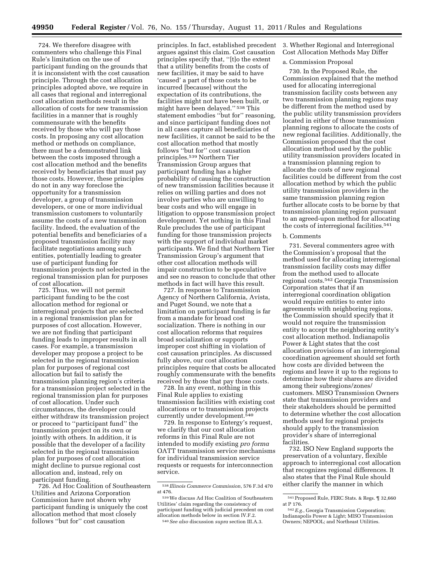724. We therefore disagree with commenters who challenge this Final Rule's limitation on the use of participant funding on the grounds that it is inconsistent with the cost causation principle. Through the cost allocation principles adopted above, we require in all cases that regional and interregional cost allocation methods result in the allocation of costs for new transmission facilities in a manner that is roughly commensurate with the benefits received by those who will pay those costs. In proposing any cost allocation method or methods on compliance, there must be a demonstrated link between the costs imposed through a cost allocation method and the benefits received by beneficiaries that must pay those costs. However, these principles do not in any way foreclose the opportunity for a transmission developer, a group of transmission developers, or one or more individual transmission customers to voluntarily assume the costs of a new transmission facility. Indeed, the evaluation of the potential benefits and beneficiaries of a proposed transmission facility may facilitate negotiations among such entities, potentially leading to greater use of participant funding for transmission projects not selected in the regional transmission plan for purposes of cost allocation.

725. Thus, we will not permit participant funding to be the cost allocation method for regional or interregional projects that are selected in a regional transmission plan for purposes of cost allocation. However, we are not finding that participant funding leads to improper results in all cases. For example, a transmission developer may propose a project to be selected in the regional transmission plan for purposes of regional cost allocation but fail to satisfy the transmission planning region's criteria for a transmission project selected in the regional transmission plan for purposes of cost allocation. Under such circumstances, the developer could either withdraw its transmission project or proceed to ''participant fund'' the transmission project on its own or jointly with others. In addition, it is possible that the developer of a facility selected in the regional transmission plan for purposes of cost allocation might decline to pursue regional cost allocation and, instead, rely on participant funding.

726. Ad Hoc Coalition of Southeastern Utilities and Arizona Corporation Commission have not shown why participant funding is uniquely the cost allocation method that most closely follows ''but for'' cost causation

principles. In fact, established precedent argues against this claim. Cost causation principles specify that, ''[t]o the extent that a utility benefits from the costs of new facilities, it may be said to have 'caused' a part of those costs to be incurred [because] without the expectation of its contributions, the facilities might not have been built, or might have been delayed.'' 538 This statement embodies ''but for'' reasoning, and since participant funding does not in all cases capture all beneficiaries of new facilities, it cannot be said to be the cost allocation method that mostly follows ''but for'' cost causation principles.539 Northern Tier Transmission Group argues that participant funding has a higher probability of causing the construction of new transmission facilities because it relies on willing parties and does not involve parties who are unwilling to bear costs and who will engage in litigation to oppose transmission project development. Yet nothing in this Final Rule precludes the use of participant funding for those transmission projects with the support of individual market participants. We find that Northern Tier Transmission Group's argument that other cost allocation methods will impair construction to be speculative and see no reason to conclude that other methods in fact will have this result.

727. In response to Transmission Agency of Northern California, Avista, and Puget Sound, we note that a limitation on participant funding is far from a mandate for broad cost socialization. There is nothing in our cost allocation reforms that requires broad socialization or supports improper cost shifting in violation of cost causation principles. As discussed fully above, our cost allocation principles require that costs be allocated roughly commensurate with the benefits received by those that pay those costs.

728. In any event, nothing in this Final Rule applies to existing transmission facilities with existing cost allocations or to transmission projects currently under development.540

729. In response to Entergy's request, we clarify that our cost allocation reforms in this Final Rule are not intended to modify existing *pro forma*  OATT transmission service mechanisms for individual transmission service requests or requests for interconnection service.

3. Whether Regional and Interregional Cost Allocation Methods May Differ

# a. Commission Proposal

730. In the Proposed Rule, the Commission explained that the method used for allocating interregional transmission facility costs between any two transmission planning regions may be different from the method used by the public utility transmission providers located in either of those transmission planning regions to allocate the costs of new regional facilities. Additionally, the Commission proposed that the cost allocation method used by the public utility transmission providers located in a transmission planning region to allocate the costs of new regional facilities could be different from the cost allocation method by which the public utility transmission providers in the same transmission planning region further allocate costs to be borne by that transmission planning region pursuant to an agreed-upon method for allocating the costs of interregional facilities.541

#### b. Comments

731. Several commenters agree with the Commission's proposal that the method used for allocating interregional transmission facility costs may differ from the method used to allocate regional costs.542 Georgia Transmission Corporation states that if an interregional coordination obligation would require entities to enter into agreements with neighboring regions, the Commission should specify that it would not require the transmission entity to accept the neighboring entity's cost allocation method. Indianapolis Power & Light states that the cost allocation provisions of an interregional coordination agreement should set forth how costs are divided between the regions and leave it up to the regions to determine how their shares are divided among their subregions/zones/ customers. MISO Transmission Owners state that transmission providers and their stakeholders should be permitted to determine whether the cost allocation methods used for regional projects should apply to the transmission provider's share of interregional facilities.

732. ISO New England supports the preservation of a voluntary, flexible approach to interregional cost allocation that recognizes regional differences. It also states that the Final Rule should either clarify the manner in which

<sup>538</sup> *Illinois Commerce Commission*, 576 F.3d 470 at 476.

<sup>539</sup>We discuss Ad Hoc Coalition of Southeastern Utilities' claim regarding the consistency of participant funding with judicial precedent on cost allocation methods below in section IV.F.2. 540*See also* discussion *supra* section III.A.3.

<sup>541</sup>Proposed Rule, FERC Stats. & Regs. ¶ 32,660 at P 176.

<sup>542</sup>*E.g.*, Georgia Transmission Corporation; Indianapolis Power & Light; MISO Transmission Owners; NEPOOL; and Northeast Utilities.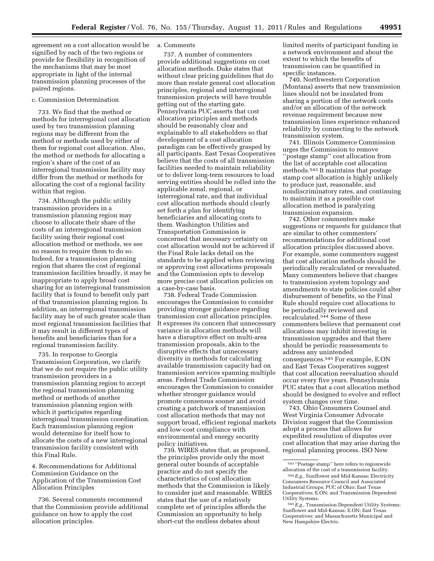agreement on a cost allocation would be signified by each of the two regions or provide for flexibility in recognition of the mechanisms that may be most appropriate in light of the internal transmission planning processes of the paired regions.

## c. Commission Determination

733. We find that the method or methods for interregional cost allocation used by two transmission planning regions may be different from the method or methods used by either of them for regional cost allocation. Also, the method or methods for allocating a region's share of the cost of an interregional transmission facility may differ from the method or methods for allocating the cost of a regional facility within that region.

734. Although the public utility transmission providers in a transmission planning region may choose to allocate their share of the costs of an interregional transmission facility using their regional cost allocation method or methods, we see no reason to require them to do so. Indeed, for a transmission planning region that shares the cost of regional transmission facilities broadly, it may be inappropriate to apply broad cost sharing for an interregional transmission facility that is found to benefit only part of that transmission planning region. In addition, an interregional transmission facility may be of such greater scale than most regional transmission facilities that it may result in different types of benefits and beneficiaries than for a regional transmission facility.

735. In response to Georgia Transmission Corporation, we clarify that we do not require the public utility transmission providers in a transmission planning region to accept the regional transmission planning method or methods of another transmission planning region with which it participates regarding interregional transmission coordination. Each transmission planning region would determine for itself how to allocate the costs of a new interregional transmission facility consistent with this Final Rule.

4. Recommendations for Additional Commission Guidance on the Application of the Transmission Cost Allocation Principles

736. Several comments recommend that the Commission provide additional guidance on how to apply the cost allocation principles.

# a. Comments

737. A number of commenters provide additional suggestions on cost allocation methods. Duke states that without clear pricing guidelines that do more than restate general cost allocation principles, regional and interregional transmission projects will have trouble getting out of the starting gate. Pennsylvania PUC asserts that cost allocation principles and methods should be reasonably clear and explainable to all stakeholders so that development of a cost allocation paradigm can be effectively grasped by all participants. East Texas Cooperatives believe that the costs of all transmission facilities needed to maintain reliability or to deliver long-term resources to load serving entities should be rolled into the applicable zonal, regional, or interregional rate, and that individual cost allocation methods should clearly set forth a plan for identifying beneficiaries and allocating costs to them. Washington Utilities and Transportation Commission is concerned that necessary certainty on cost allocation would not be achieved if the Final Rule lacks detail on the standards to be applied when reviewing or approving cost allocations proposals and the Commission opts to develop more precise cost allocation policies on a case-by-case basis.

738. Federal Trade Commission encourages the Commission to consider providing stronger guidance regarding transmission cost allocation principles. It expresses its concern that unnecessary variance in allocation methods will have a disruptive effect on multi-area transmission proposals, akin to the disruptive effects that unnecessary diversity in methods for calculating available transmission capacity had on transmission services spanning multiple areas. Federal Trade Commission encourages the Commission to consider whether stronger guidance would promote consensus sooner and avoid creating a patchwork of transmission cost allocation methods that may not support broad, efficient regional markets and low-cost compliance with environmental and energy security policy initiatives.

739. WIRES states that, as proposed, the principles provide only the most general outer bounds of acceptable practice and do not specify the characteristics of cost allocation methods that the Commission is likely to consider just and reasonable. WIRES states that the use of a relatively complete set of principles affords the Commission an opportunity to help short-cut the endless debates about

limited merits of participant funding in a network environment and about the extent to which the benefits of transmission can be quantified in specific instances.

740. Northwestern Corporation (Montana) asserts that new transmission lines should not be insulated from sharing a portion of the network costs and/or an allocation of the network revenue requirement because new transmission lines experience enhanced reliability by connecting to the network transmission system.

741. Illinois Commerce Commission urges the Commission to remove ''postage stamp'' cost allocation from the list of acceptable cost allocation methods.543 It maintains that postage stamp cost allocation is highly unlikely to produce just, reasonable, and nondiscriminatory rates, and continuing to maintain it as a possible cost allocation method is paralyzing transmission expansion.

742. Other commenters make suggestions or requests for guidance that are similar to other commenters' recommendations for additional cost allocation principles discussed above. For example, some commenters suggest that cost allocation methods should be periodically recalculated or reevaluated. Many commenters believe that changes to transmission system topology and amendments to state policies could alter disbursement of benefits, so the Final Rule should require cost allocations to be periodically reviewed and recalculated.544 Some of these commenters believe that permanent cost allocations may inhibit investing in transmission upgrades and that there should be periodic reassessments to address any unintended consequences.545 For example, E.ON and East Texas Cooperatives suggest that cost allocation reevaluation should occur every five years. Pennsylvania PUC states that a cost allocation method should be designed to evolve and reflect system changes over time.

743. Ohio Consumers Counsel and West Virginia Consumer Advocate Division suggest that the Commission adopt a process that allows for expedited resolution of disputes over cost allocation that may arise during the regional planning process. ISO New

<sup>543</sup> ''Postage stamp'' here refers to regionwide allocation of the cost of a transmission facility.

<sup>544</sup>*E.g.,* Sunflower and Mid-Kansas; Electricity Consumers Resource Council and Associated Industrial Groups; PUC of Ohio; East Texas Cooperatives; E.ON; and Transmission Dependent Utility Systems.

<sup>545</sup>*E.g.,* Transmission Dependent Utility Systems; Sunflower and Mid-Kansas; E.ON; East Texas Cooperatives; and Massachusetts Municipal and New Hampshire Electric.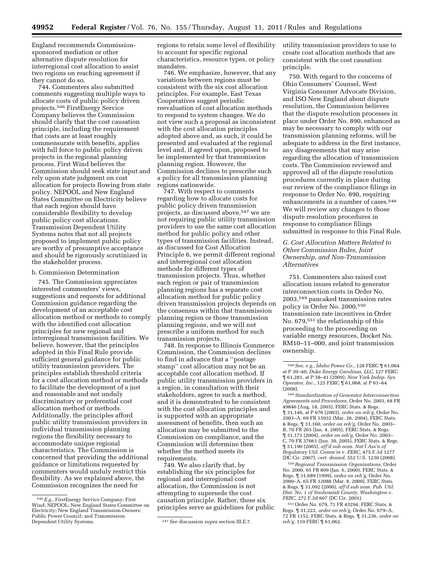England recommends Commissionsponsored mediation or other alternative dispute resolution for interregional cost allocation to assist two regions on reaching agreement if they cannot do so.

744. Commenters also submitted comments suggesting multiple ways to allocate costs of public policy driven projects.546 FirstEnergy Service Company believes the Commission should clarify that the cost causation principle, including the requirement that costs are at least roughly commensurate with benefits, applies with full force to public policy driven projects in the regional planning process. First Wind believes the Commission should seek state input and rely upon state judgment on cost allocation for projects flowing from state policy. NEPOOL and New England States Committee on Electricity believe that each region should have considerable flexibility to develop public policy cost allocations. Transmission Dependent Utility Systems notes that not all projects proposed to implement public policy are worthy of presumptive acceptance and should be rigorously scrutinized in the stakeholder process.

### b. Commission Determination

745. The Commission appreciates interested commenters' views, suggestions and requests for additional Commission guidance regarding the development of an acceptable cost allocation method or methods to comply with the identified cost allocation principles for new regional and interregional transmission facilities. We believe, however, that the principles adopted in this Final Rule provide sufficient general guidance for public utility transmission providers. The principles establish threshold criteria for a cost allocation method or methods to facilitate the development of a just and reasonable and not unduly discriminatory or preferential cost allocation method or methods. Additionally, the principles afford public utility transmission providers in individual transmission planning regions the flexibility necessary to accommodate unique regional characteristics. The Commission is concerned that providing the additional guidance or limitations requested by commenters would unduly restrict this flexibility. As we explained above, the Commission recognizes the need for

regions to retain some level of flexibility to account for specific regional characteristics, resource types, or policy mandates.

746. We emphasize, however, that any variations between regions must be consistent with the six cost allocation principles. For example, East Texas Cooperatives suggest periodic reevaluation of cost allocation methods to respond to system changes. We do not view such a proposal as inconsistent with the cost allocation principles adopted above and, as such, it could be presented and evaluated at the regional level and, if agreed upon, proposed to be implemented by that transmission planning region. However, the Commission declines to prescribe such a policy for all transmission planning regions nationwide.

747. With respect to comments regarding how to allocate costs for public policy driven transmission projects, as discussed above,547 we are not requiring public utility transmission providers to use the same cost allocation method for public policy and other types of transmission facilities. Instead, as discussed for Cost Allocation Principle 6, we permit different regional and interregional cost allocation methods for different types of transmission projects. Thus, whether each region or pair of transmission planning regions has a separate cost allocation method for public policy driven transmission projects depends on the consensus within that transmission planning region or those transmission planning regions, and we will not prescribe a uniform method for such transmission projects.

748. In response to Illinois Commerce Commission, the Commission declines to find in advance that a ''postage stamp'' cost allocation may not be an acceptable cost allocation method. If public utility transmission providers in a region, in consultation with their stakeholders, agree to such a method, and it is demonstrated to be consistent with the cost allocation principles and is supported with an appropriate assessment of benefits, then such an allocation may be submitted to the Commission on compliance, and the Commission will determine then whether the method meets its requirements.

749. We also clarify that, by establishing the six principles for regional and interregional cost allocation, the Commission is not attempting to supersede the cost causation principle. Rather, these six principles serve as guidelines for public utility transmission providers to use to create cost allocation methods that are consistent with the cost causation principle.

750. With regard to the concerns of Ohio Consumers' Counsel, West Virginia Consumer Advocate Division, and ISO New England about dispute resolution, the Commission believes that the dispute resolution processes in place under Order No. 890, enhanced as may be necessary to comply with our transmission planning reforms, will be adequate to address in the first instance, any disagreements that may arise regarding the allocation of transmission costs. The Commission reviewed and approved all of the dispute resolution procedures currently in place during our review of the compliance filings in response to Order No. 890, requiring enhancements in a number of cases.<sup>548</sup> We will review any changes to those dispute resolution procedures in response to compliance filings submitted in response to this Final Rule.

# *G. Cost Allocation Matters Related to Other Commission Rules, Joint Ownership, and Non-Transmission Alternatives*

751. Commenters also raised cost allocation issues related to generator interconnection costs in Order No. 2003,549 pancaked transmission rates policy in Order No. 2000,550 transmission rate incentives in Order No. 679,551 the relationship of this proceeding to the proceeding on variable energy resources, Docket No. RM10–11–000, and joint transmission ownership.

549*Standardization of Generator Interconnection Agreements and Procedures,* Order No. 2003, 68 FR 49846 (Aug. 18, 2003), FERC Stats. & Regs. ¶ 31,146, at P 676 (2003), *order on reh'g,* Order No. 2003–A, 69 FR 15932 (Mar. 26, 2004), FERC Stats. & Regs. ¶ 31,160, *order on reh'g,* Order No. 2003– B, 70 FR 265 (Jan. 4, 2005), FERC Stats. & Regs. ¶ 31,171 (2004), *order on reh'g,* Order No. 2003– C, 70 FR 37661 (Jun. 30, 2005), FERC Stats. & Regs. ¶ 31,190 (2005), *aff'd sub nom. Nat'l Ass'n of Regulatory Util. Comm'rs* v. *FERC,* 475 F.3d 1277 (DC Cir. 2007), *cert. denied,* 552 U.S. 1230 (2008).

550*Regional Transmission Organizations,* Order No. 2000, 65 FR 809 (Jan. 6, 2000), FERC Stats. & Regs. ¶ 31,089 (1999), *order on reh'g,* Order No. 2000–A, 65 FR 12088 (Mar. 8, 2000), FERC Stats. & Regs. ¶ 31,092 (2000), *aff'd sub nom. Pub. Util. Dist. No. 1 of Snohomish County, Washington* v. *FERC,* 272 F.3d 607 (DC Cir. 2001).

551Order No. 679, 71 FR 43294, FERC Stats. & Regs. ¶ 31,222, *order on reh'g,* Order No. 679–A, 72 FR 1152, FERC Stats. & Regs. ¶ 31,236, *order on reh'g,* 119 FERC ¶ 61,062.

<sup>546</sup>*E.g.,* FirstEnergy Service Company; First Wind; NEPOOL; New England States Committee on Electricity; New England Transmission Owners; Public Power Council; and Transmission

 $547$  See discussion *supra* section III.E.7.

<sup>548</sup>*See, e.g., Idaho Power Co.,* 128 FERC ¶ 61,064 at P 30–40; *Duke Energy Carolinas, LLC,* 127 FERC ¶ 61,281, at P 38–41 (2009); *New York Indep. Sys. Operator, Inc.,* 125 FERC ¶ 61,068, at P 61–64  $(2008)$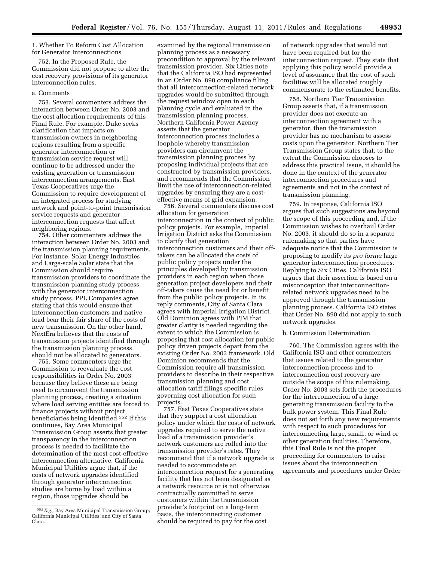# 1. Whether To Reform Cost Allocation for Generator Interconnections

752. In the Proposed Rule, the Commission did not propose to alter the cost recovery provisions of its generator interconnection rules.

# a. Comments

753. Several commenters address the interaction between Order No. 2003 and the cost allocation requirements of this Final Rule. For example, Duke seeks clarification that impacts on transmission owners in neighboring regions resulting from a specific generator interconnection or transmission service request will continue to be addressed under the existing generation or transmission interconnection arrangements. East Texas Cooperatives urge the Commission to require development of an integrated process for studying network and point-to-point transmission service requests and generator interconnection requests that affect neighboring regions.

754. Other commenters address the interaction between Order No. 2003 and the transmission planning requirements. For instance, Solar Energy Industries and Large-scale Solar state that the Commission should require transmission providers to coordinate the transmission planning study process with the generator interconnection study process. PPL Companies agree stating that this would ensure that interconnection customers and native load bear their fair share of the costs of new transmission. On the other hand, NextEra believes that the costs of transmission projects identified through the transmission planning process should not be allocated to generators.

755. Some commenters urge the Commission to reevaluate the cost responsibilities in Order No. 2003 because they believe these are being used to circumvent the transmission planning process, creating a situation where load serving entities are forced to finance projects without project beneficiaries being identified.552 If this continues, Bay Area Municipal Transmission Group asserts that greater transparency in the interconnection process is needed to facilitate the determination of the most cost-effective interconnection alternative. California Municipal Utilities argue that, if the costs of network upgrades identified through generator interconnection studies are borne by load within a region, those upgrades should be

examined by the regional transmission planning process as a necessary precondition to approval by the relevant transmission provider. Six Cities note that the California ISO had represented in an Order No. 890 compliance filing that all interconnection-related network upgrades would be submitted through the request window open in each planning cycle and evaluated in the transmission planning process. Northern California Power Agency asserts that the generator interconnection process includes a loophole whereby transmission providers can circumvent the transmission planning process by proposing individual projects that are constructed by transmission providers, and recommends that the Commission limit the use of interconnection-related upgrades by ensuring they are a costeffective means of grid expansion.

756. Several commenters discuss cost allocation for generation interconnection in the context of public policy projects. For example, Imperial Irrigation District asks the Commission to clarify that generation interconnection customers and their offtakers can be allocated the costs of public policy projects under the principles developed by transmission providers in each region when those generation project developers and their off-takers cause the need for or benefit from the public policy projects. In its reply comments, City of Santa Clara agrees with Imperial Irrigation District. Old Dominion agrees with PJM that greater clarity is needed regarding the extent to which the Commission is proposing that cost allocation for public policy driven projects depart from the existing Order No. 2003 framework. Old Dominion recommends that the Commission require all transmission providers to describe in their respective transmission planning and cost allocation tariff filings specific rules governing cost allocation for such projects.

757. East Texas Cooperatives state that they support a cost allocation policy under which the costs of network upgrades required to serve the native load of a transmission provider's network customers are rolled into the transmission provider's rates. They recommend that if a network upgrade is needed to accommodate an interconnection request for a generating facility that has not been designated as a network resource or is not otherwise contractually committed to serve customers within the transmission provider's footprint on a long-term basis, the interconnecting customer should be required to pay for the cost

of network upgrades that would not have been required but for the interconnection request. They state that applying this policy would provide a level of assurance that the cost of such facilities will be allocated roughly commensurate to the estimated benefits.

758. Northern Tier Transmission Group asserts that, if a transmission provider does not execute an interconnection agreement with a generator, then the transmission provider has no mechanism to assess costs upon the generator. Northern Tier Transmission Group states that, to the extent the Commission chooses to address this practical issue, it should be done in the context of the generator interconnection procedures and agreements and not in the context of transmission planning.

759. In response, California ISO argues that such suggestions are beyond the scope of this proceeding and, if the Commission wishes to overhaul Order No. 2003, it should do so in a separate rulemaking so that parties have adequate notice that the Commission is proposing to modify its *pro forma* large generator interconnection procedures. Replying to Six Cities, California ISO argues that their assertion is based on a misconception that interconnectionrelated network upgrades need to be approved through the transmission planning process. California ISO states that Order No. 890 did not apply to such network upgrades.

# b. Commission Determination

760. The Commission agrees with the California ISO and other commenters that issues related to the generator interconnection process and to interconnection cost recovery are outside the scope of this rulemaking. Order No. 2003 sets forth the procedures for the interconnection of a large generating transmission facility to the bulk power system. This Final Rule does not set forth any new requirements with respect to such procedures for interconnecting large, small, or wind or other generation facilities. Therefore, this Final Rule is not the proper proceeding for commenters to raise issues about the interconnection agreements and procedures under Order

<sup>552</sup>*E.g.,* Bay Area Municipal Transmission Group; California Municipal Utilities; and City of Santa Clara.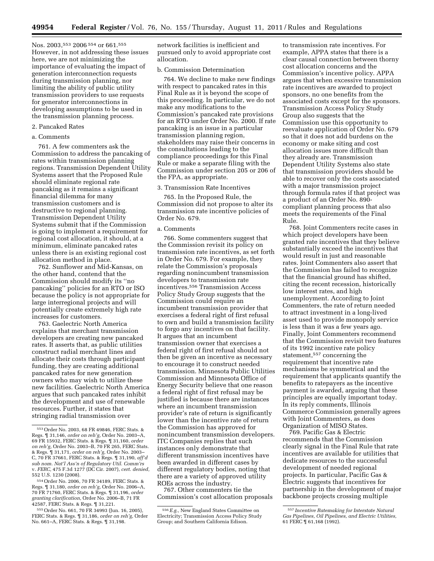Nos. 2003,553 2006 554 or 661.555 However, in not addressing these issues here, we are not minimizing the importance of evaluating the impact of generation interconnection requests during transmission planning, nor limiting the ability of public utility transmission providers to use requests for generator interconnections in developing assumptions to be used in the transmission planning process.

## 2. Pancaked Rates

# a. Comments

761. A few commenters ask the Commission to address the pancaking of rates within transmission planning regions. Transmission Dependent Utility Systems assert that the Proposed Rule should eliminate regional rate pancaking as it remains a significant financial dilemma for many transmission customers and is destructive to regional planning. Transmission Dependent Utility Systems submit that if the Commission is going to implement a requirement for regional cost allocation, it should, at a minimum, eliminate pancaked rates unless there is an existing regional cost allocation method in place.

762. Sunflower and Mid-Kansas, on the other hand, contend that the Commission should modify its ''no pancaking'' policies for an RTO or ISO because the policy is not appropriate for large interregional projects and will potentially create extremely high rate increases for customers.

763. Gaelectric North America explains that merchant transmission developers are creating new pancaked rates. It asserts that, as public utilities construct radial merchant lines and allocate their costs through participant funding, they are creating additional pancaked rates for new generation owners who may wish to utilize these new facilities. Gaelectric North America argues that such pancaked rates inhibit the development and use of renewable resources. Further, it states that stringing radial transmission over

network facilities is inefficient and pursued only to avoid appropriate cost allocation.

# b. Commission Determination

764. We decline to make new findings with respect to pancaked rates in this Final Rule as it is beyond the scope of this proceeding. In particular, we do not make any modifications to the Commission's pancaked rate provisions for an RTO under Order No. 2000. If rate pancaking is an issue in a particular transmission planning region, stakeholders may raise their concerns in the consultations leading to the compliance proceedings for this Final Rule or make a separate filing with the Commission under section 205 or 206 of the FPA, as appropriate.

#### 3. Transmission Rate Incentives

765. In the Proposed Rule, the Commission did not propose to alter its transmission rate incentive policies of Order No. 679.

### a. Comments

766. Some commenters suggest that the Commission revisit its policy on transmission rate incentives, as set forth in Order No. 679. For example, they relate the Commission's proposals regarding nonincumbent transmission developers to transmission rate incentives.556 Transmission Access Policy Study Group suggests that the Commission could require an incumbent transmission provider that exercises a federal right of first refusal to own and build a transmission facility to forgo any incentives on that facility. It argues that an incumbent transmission owner that exercises a federal right of first refusal should not then be given an incentive as necessary to encourage it to construct needed transmission. Minnesota Public Utilities Commission and Minnesota Office of Energy Security believe that one reason a federal right of first refusal may be justified is because there are instances where an incumbent transmission provider's rate of return is significantly lower than the incentive rate of return the Commission has approved for nonincumbent transmission developers. ITC Companies replies that such instances only demonstrate that different transmission incentives have been awarded in different cases by different regulatory bodies, noting that there are a variety of approved utility ROEs across the industry.

767. Other commenters tie the Commission's cost allocation proposals

to transmission rate incentives. For example, APPA states that there is a clear causal connection between thorny cost allocation concerns and the Commission's incentive policy. APPA argues that when excessive transmission rate incentives are awarded to project sponsors, no one benefits from the associated costs except for the sponsors. Transmission Access Policy Study Group also suggests that the Commission use this opportunity to reevaluate application of Order No. 679 so that it does not add burdens on the economy or make siting and cost allocation issues more difficult than they already are. Transmission Dependent Utility Systems also state that transmission providers should be able to recover only the costs associated with a major transmission project through formula rates if that project was a product of an Order No. 890 compliant planning process that also meets the requirements of the Final Rule.

768. Joint Commenters recite cases in which project developers have been granted rate incentives that they believe substantially exceed the incentives that would result in just and reasonable rates. Joint Commenters also assert that the Commission has failed to recognize that the financial ground has shifted, citing the recent recession, historically low interest rates, and high unemployment. According to Joint Commenters, the rate of return needed to attract investment in a long-lived asset used to provide monopoly service is less than it was a few years ago. Finally, Joint Commenters recommend that the Commission revisit two features of its 1992 incentive rate policy statement,557 concerning the requirement that incentive rate mechanisms be symmetrical and the requirement that applicants quantify the benefits to ratepayers as the incentive payment is awarded, arguing that these principles are equally important today. In its reply comments, Illinois Commerce Commission generally agrees with Joint Commenters, as does Organization of MISO States.

769. Pacific Gas & Electric recommends that the Commission clearly signal in the Final Rule that rate incentives are available for utilities that dedicate resources to the successful development of needed regional projects. In particular, Pacific Gas & Electric suggests that incentives for partnership in the development of major backbone projects crossing multiple

<sup>553</sup>Order No. 2003, 68 FR 49846, FERC Stats. & Regs. ¶ 31,146, *order on reh'g,* Order No. 2003–A, 69 FR 15932, FERC Stats. & Regs. ¶ 31,160, *order on reh'g,* Order No. 2003–B, 70 FR 265, FERC Stats. & Regs. ¶ 31,171, *order on reh'g,* Order No. 2003– C, 70 FR 37661, FERC Stats. & Regs. ¶ 31,190, *aff'd sub nom. Nat'l Ass'n of Regulatory Util. Comm'rs*  v. *FERC,* 475 F.3d 1277 (DC Cir. 2007), *cert. denied,*  552 U.S. 1230 (2008).

<sup>554</sup>Order No. 2006, 70 FR 34189, FERC Stats. & Regs. ¶ 31,180, *order on reh'g,* Order No. 2006–A, 70 FR 71760, FERC Stats. & Regs. ¶ 31,196, *order granting clarification,* Order No. 2006–B, 71 FR 42587, FERC Stats. & Regs. ¶ 31,221.

<sup>555</sup>Order No. 661, 70 FR 34993 (Jun. 16, 2005), FERC Stats. & Regs. ¶ 31,186, *order on reh'g,* Order No. 661–A, FERC Stats. & Regs. ¶ 31,198.

<sup>556</sup>*E.g.,* New England States Committee on Electricity; Transmission Access Policy Study Group; and Southern California Edison.

<sup>557</sup> *Incentive Ratemaking for Interstate Natural Gas Pipelines, Oil Pipelines, and Electric Utilities,*  61 FERC ¶ 61,168 (1992).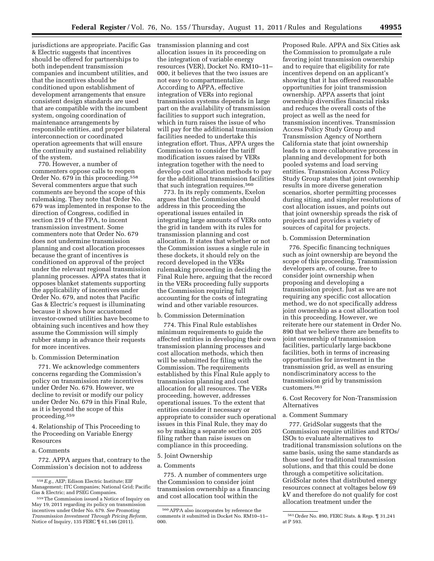jurisdictions are appropriate. Pacific Gas transmission planning and cost & Electric suggests that incentives should be offered for partnerships to both independent transmission companies and incumbent utilities, and that the incentives should be conditioned upon establishment of development arrangements that ensure consistent design standards are used that are compatible with the incumbent system, ongoing coordination of maintenance arrangements by responsible entities, and proper bilateral interconnection or coordinated operation agreements that will ensure the continuity and sustained reliability of the system.

770. However, a number of commenters oppose calls to reopen Order No. 679 in this proceeding.558 Several commenters argue that such comments are beyond the scope of this rulemaking. They note that Order No. 679 was implemented in response to the direction of Congress, codified in section 219 of the FPA, to incent transmission investment. Some commenters note that Order No. 679 does not undermine transmission planning and cost allocation processes because the grant of incentives is conditioned on approval of the project under the relevant regional transmission planning processes. APPA states that it opposes blanket statements supporting the applicability of incentives under Order No. 679, and notes that Pacific Gas & Electric's request is illuminating because it shows how accustomed investor-owned utilities have become to obtaining such incentives and how they assume the Commission will simply rubber stamp in advance their requests for more incentives.

# b. Commission Determination

771. We acknowledge commenters concerns regarding the Commission's policy on transmission rate incentives under Order No. 679. However, we decline to revisit or modify our policy under Order No. 679 in this Final Rule, as it is beyond the scope of this proceeding.559

4. Relationship of This Proceeding to the Proceeding on Variable Energy Resources

# a. Comments

772. APPA argues that, contrary to the Commission's decision not to address

allocation issues in its proceeding on the integration of variable energy resources (VER), Docket No. RM10–11– 000, it believes that the two issues are not easy to compartmentalize. According to APPA, effective integration of VERs into regional transmission systems depends in large part on the availability of transmission facilities to support such integration, which in turn raises the issue of who will pay for the additional transmission facilities needed to undertake this integration effort. Thus, APPA urges the Commission to consider the tariff modification issues raised by VERs integration together with the need to develop cost allocation methods to pay for the additional transmission facilities that such integration requires.<sup>560</sup>

773. In its reply comments, Exelon argues that the Commission should address in this proceeding the operational issues entailed in integrating large amounts of VERs onto the grid in tandem with its rules for transmission planning and cost allocation. It states that whether or not the Commission issues a single rule in these dockets, it should rely on the record developed in the VERs rulemaking proceeding in deciding the Final Rule here, arguing that the record in the VERs proceeding fully supports the Commission requiring full accounting for the costs of integrating wind and other variable resources.

## b. Commission Determination

774. This Final Rule establishes minimum requirements to guide the affected entities in developing their own transmission planning processes and cost allocation methods, which then will be submitted for filing with the Commission. The requirements established by this Final Rule apply to transmission planning and cost allocation for all resources. The VERs proceeding, however, addresses operational issues. To the extent that entities consider it necessary or appropriate to consider such operational issues in this Final Rule, they may do so by making a separate section 205 filing rather than raise issues on compliance in this proceeding.

# 5. Joint Ownership

## a. Comments

775. A number of commenters urge the Commission to consider joint transmission ownership as a financing and cost allocation tool within the

Proposed Rule. APPA and Six Cities ask the Commission to promulgate a rule favoring joint transmission ownership and to require that eligibility for rate incentives depend on an applicant's showing that it has offered reasonable opportunities for joint transmission ownership. APPA asserts that joint ownership diversifies financial risks and reduces the overall costs of the project as well as the need for transmission incentives. Transmission Access Policy Study Group and Transmission Agency of Northern California state that joint ownership leads to a more collaborative process in planning and development for both pooled systems and load serving entities. Transmission Access Policy Study Group states that joint ownership results in more diverse generation scenarios, shorter permitting processes during siting, and simpler resolutions of cost allocation issues, and points out that joint ownership spreads the risk of projects and provides a variety of sources of capital for projects.

## b. Commission Determination

776. Specific financing techniques such as joint ownership are beyond the scope of this proceeding. Transmission developers are, of course, free to consider joint ownership when proposing and developing a transmission project. Just as we are not requiring any specific cost allocation method, we do not specifically address joint ownership as a cost allocation tool in this proceeding. However, we reiterate here our statement in Order No. 890 that we believe there are benefits to joint ownership of transmission facilities, particularly large backbone facilities, both in terms of increasing opportunities for investment in the transmission grid, as well as ensuring nondiscriminatory access to the transmission grid by transmission customers.561

6. Cost Recovery for Non-Transmission Alternatives

#### a. Comment Summary

777. GridSolar suggests that the Commission require utilities and RTOs/ ISOs to evaluate alternatives to traditional transmission solutions on the same basis, using the same standards as those used for traditional transmission solutions, and that this could be done through a competitive solicitation. GridSolar notes that distributed energy resources connect at voltages below 69 kV and therefore do not qualify for cost allocation treatment under the

<sup>558</sup>*E.g.,* AEP; Edison Electric Institute; EIF Management; ITC Companies; National Grid; Pacific Gas & Electric; and PSEG Companies.

<sup>559</sup>The Commission issued a Notice of Inquiry on May 19, 2011 regarding its policy on transmission incentives under Order No. 679. *See Promoting Transmission Investment Through Pricing Reform,*  Notice of Inquiry, 135 FERC ¶ 61,146 (2011).

<sup>560</sup>APPA also incorporates by reference the comments it submitted in Docket No. RM10–11– 000.

<sup>561</sup>Order No. 890, FERC Stats. & Regs. ¶ 31,241 at P 593.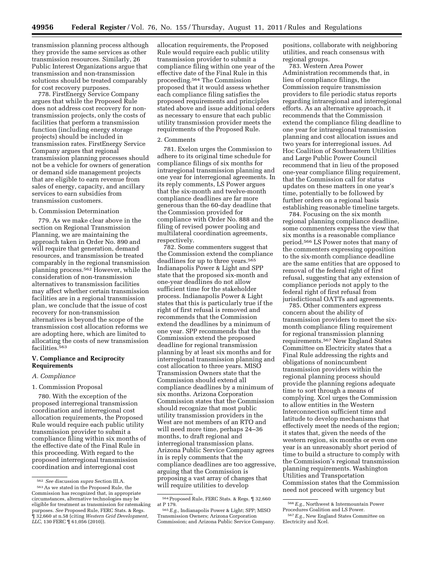transmission planning process although they provide the same services as other transmission resources. Similarly, 26 Public Interest Organizations argue that transmission and non-transmission solutions should be treated comparably for cost recovery purposes.

778. FirstEnergy Service Company argues that while the Proposed Rule does not address cost recovery for nontransmission projects, only the costs of facilities that perform a transmission function (including energy storage projects) should be included in transmission rates. FirstEnergy Service Company argues that regional transmission planning processes should not be a vehicle for owners of generation or demand side management projects that are eligible to earn revenue from sales of energy, capacity, and ancillary services to earn subsidies from transmission customers.

## b. Commission Determination

779. As we make clear above in the section on Regional Transmission Planning, we are maintaining the approach taken in Order No. 890 and will require that generation, demand resources, and transmission be treated comparably in the regional transmission planning process.562 However, while the consideration of non-transmission alternatives to transmission facilities may affect whether certain transmission facilities are in a regional transmission plan, we conclude that the issue of cost recovery for non-transmission alternatives is beyond the scope of the transmission cost allocation reforms we are adopting here, which are limited to allocating the costs of new transmission facilities.563

# **V. Compliance and Reciprocity Requirements**

# *A. Compliance*

## 1. Commission Proposal

780. With the exception of the proposed interregional transmission coordination and interregional cost allocation requirements, the Proposed Rule would require each public utility transmission provider to submit a compliance filing within six months of the effective date of the Final Rule in this proceeding. With regard to the proposed interregional transmission coordination and interregional cost

563As we stated in the Proposed Rule, the Commission has recognized that, in appropriate circumstances, alternative technologies may be eligible for treatment as transmission for ratemaking purposes. *See* Proposed Rule, FERC Stats. & Regs. ¶ 32,660 at n.58 (citing *Western Grid Development, LLC,* 130 FERC ¶ 61,056 (2010)).

allocation requirements, the Proposed Rule would require each public utility transmission provider to submit a compliance filing within one year of the effective date of the Final Rule in this proceeding.564 The Commission proposed that it would assess whether each compliance filing satisfies the proposed requirements and principles stated above and issue additional orders as necessary to ensure that each public utility transmission provider meets the requirements of the Proposed Rule.

### 2. Comments

781. Exelon urges the Commission to adhere to its original time schedule for compliance filings of six months for intraregional transmission planning and one year for interregional agreements. In its reply comments, LS Power argues that the six-month and twelve-month compliance deadlines are far more generous than the 60-day deadline that the Commission provided for compliance with Order No. 888 and the filing of revised power pooling and multilateral coordination agreements, respectively.

782. Some commenters suggest that the Commission extend the compliance deadlines for up to three years.<sup>565</sup> Indianapolis Power & Light and SPP state that the proposed six-month and one-year deadlines do not allow sufficient time for the stakeholder process. Indianapolis Power & Light states that this is particularly true if the right of first refusal is removed and recommends that the Commission extend the deadlines by a minimum of one year. SPP recommends that the Commission extend the proposed deadline for regional transmission planning by at least six months and for interregional transmission planning and cost allocation to three years. MISO Transmission Owners state that the Commission should extend all compliance deadlines by a minimum of six months. Arizona Corporation Commission states that the Commission should recognize that most public utility transmission providers in the West are not members of an RTO and will need more time, perhaps 24–36 months, to draft regional and interregional transmission plans. Arizona Public Service Company agrees in is reply comments that the compliance deadlines are too aggressive, arguing that the Commission is proposing a vast array of changes that will require utilities to develop

positions, collaborate with neighboring utilities, and reach consensus with regional groups.

783. Western Area Power Administration recommends that, in lieu of compliance filings, the Commission require transmission providers to file periodic status reports regarding intraregional and interregional efforts. As an alternative approach, it recommends that the Commission extend the compliance filing deadline to one year for intraregional transmission planning and cost allocation issues and two years for interregional issues. Ad Hoc Coalition of Southeastern Utilities and Large Public Power Council recommend that in lieu of the proposed one-year compliance filing requirement, that the Commission call for status updates on these matters in one year's time, potentially to be followed by further orders on a regional basis establishing reasonable timeline targets.

784. Focusing on the six month regional planning compliance deadline, some commenters express the view that six months is a reasonable compliance period.566 LS Power notes that many of the commenters expressing opposition to the six-month compliance deadline are the same entities that are opposed to removal of the federal right of first refusal, suggesting that any extension of compliance periods not apply to the federal right of first refusal from jurisdictional OATTs and agreements.

785. Other commenters express concern about the ability of transmission providers to meet the sixmonth compliance filing requirement for regional transmission planning requirements.567 New England States Committee on Electricity states that a Final Rule addressing the rights and obligations of nonincumbent transmission providers within the regional planning process should provide the planning regions adequate time to sort through a means of complying. Xcel urges the Commission to allow entities in the Western Interconnection sufficient time and latitude to develop mechanisms that effectively meet the needs of the region; it states that, given the needs of the western region, six months or even one year is an unreasonably short period of time to build a structure to comply with the Commission's regional transmission planning requirements. Washington Utilities and Transportation Commission states that the Commission need not proceed with urgency but

<sup>562</sup> *See* discussion *supra* Section III.A.

<sup>564</sup>Proposed Rule, FERC Stats. & Regs. ¶ 32,660 at P 179. 565*E.g.,* Indianapolis Power & Light; SPP; MISO

Transmission Owners; Arizona Corporation Commission; and Arizona Public Service Company.

<sup>566</sup>*E.g.,* Northwest & Intermountain Power Procedures Coalition and LS Power.

<sup>567</sup>*E.g.,* New England States Committee on Electricity and Xcel.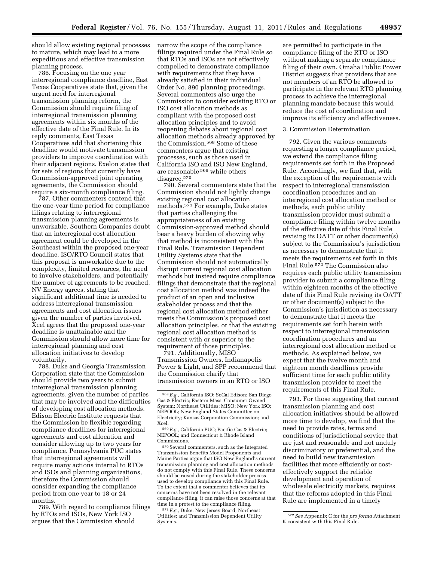should allow existing regional processes to mature, which may lead to a more expeditious and effective transmission planning process.

786. Focusing on the one year interregional compliance deadline, East Texas Cooperatives state that, given the urgent need for interregional transmission planning reform, the Commission should require filing of interregional transmission planning agreements within six months of the effective date of the Final Rule. In its reply comments, East Texas Cooperatives add that shortening this deadline would motivate transmission providers to improve coordination with their adjacent regions. Exelon states that for sets of regions that currently have Commission-approved joint operating agreements, the Commission should require a six-month compliance filing.

787. Other commenters contend that the one-year time period for compliance filings relating to interregional transmission planning agreements is unworkable. Southern Companies doubt that an interregional cost allocation agreement could be developed in the Southeast within the proposed one-year deadline. ISO/RTO Council states that this proposal is unworkable due to the complexity, limited resources, the need to involve stakeholders, and potentially the number of agreements to be reached. NV Energy agrees, stating that significant additional time is needed to address interregional transmission agreements and cost allocation issues given the number of parties involved. Xcel agrees that the proposed one-year deadline is unattainable and the Commission should allow more time for interregional planning and cost allocation initiatives to develop voluntarily.

788. Duke and Georgia Transmission Corporation state that the Commission should provide two years to submit interregional transmission planning agreements, given the number of parties that may be involved and the difficulties of developing cost allocation methods. Edison Electric Institute requests that the Commission be flexible regarding compliance deadlines for interregional agreements and cost allocation and consider allowing up to two years for compliance. Pennsylvania PUC states that interregional agreements will require many actions internal to RTOs and ISOs and planning organizations, therefore the Commission should consider expanding the compliance period from one year to 18 or 24 months.

789. With regard to compliance filings by RTOs and ISOs, New York ISO argues that the Commission should

narrow the scope of the compliance filings required under the Final Rule so that RTOs and ISOs are not effectively compelled to demonstrate compliance with requirements that they have already satisfied in their individual Order No. 890 planning proceedings. Several commenters also urge the Commission to consider existing RTO or ISO cost allocation methods as compliant with the proposed cost allocation principles and to avoid reopening debates about regional cost allocation methods already approved by the Commission.568 Some of these commenters argue that existing processes, such as those used in California ISO and ISO New England, are reasonable 569 while others disagree.<sup>570</sup>

790. Several commenters state that the Commission should not lightly change existing regional cost allocation methods.571 For example, Duke states that parties challenging the appropriateness of an existing Commission-approved method should bear a heavy burden of showing why that method is inconsistent with the Final Rule. Transmission Dependent Utility Systems state that the Commission should not automatically disrupt current regional cost allocation methods but instead require compliance filings that demonstrate that the regional cost allocation method was indeed the product of an open and inclusive stakeholder process and that the regional cost allocation method either meets the Commission's proposed cost allocation principles, or that the existing regional cost allocation method is consistent with or superior to the requirement of those principles.

791. Additionally, MISO Transmission Owners, Indianapolis Power & Light, and SPP recommend that the Commission clarify that transmission owners in an RTO or ISO

571*E.g.,* Duke; New Jersey Board; Northeast Utilities; and Transmission Dependent Utility Systems.

are permitted to participate in the compliance filing of the RTO or ISO without making a separate compliance filing of their own. Omaha Public Power District suggests that providers that are not members of an RTO be allowed to participate in the relevant RTO planning process to achieve the interregional planning mandate because this would reduce the cost of coordination and improve its efficiency and effectiveness.

### 3. Commission Determination

792. Given the various comments requesting a longer compliance period, we extend the compliance filing requirements set forth in the Proposed Rule. Accordingly, we find that, with the exception of the requirements with respect to interregional transmission coordination procedures and an interregional cost allocation method or methods, each public utility transmission provider must submit a compliance filing within twelve months of the effective date of this Final Rule revising its OATT or other document(s) subject to the Commission's jurisdiction as necessary to demonstrate that it meets the requirements set forth in this Final Rule.572 The Commission also requires each public utility transmission provider to submit a compliance filing within eighteen months of the effective date of this Final Rule revising its OATT or other document(s) subject to the Commission's jurisdiction as necessary to demonstrate that it meets the requirements set forth herein with respect to interregional transmission coordination procedures and an interregional cost allocation method or methods. As explained below, we expect that the twelve month and eighteen month deadlines provide sufficient time for each public utility transmission provider to meet the requirements of this Final Rule.

793. For those suggesting that current transmission planning and cost allocation initiatives should be allowed more time to develop, we find that the need to provide rates, terms and conditions of jurisdictional service that are just and reasonable and not unduly discriminatory or preferential, and the need to build new transmission facilities that more efficiently or costeffectively support the reliable development and operation of wholesale electricity markets, requires that the reforms adopted in this Final Rule are implemented in a timely

<sup>568</sup>*E.g.,* California ISO; SoCal Edison; San Diego Gas & Electric; Eastern Mass. Consumer Owned System; Northeast Utilities; MISO; New York ISO; NEPOOL; New England States Committee on Electricity; Kansas Corporation Commission; and Xcel.

<sup>569</sup>*E.g.,* California PUC; Pacific Gas & Electric; NEPOOL; and Connecticut & Rhode Island Commissions.

<sup>570</sup>Several commenters, such as the Integrated Transmission Benefits Model Proponents and Maine Parties argue that ISO New England's current transmission planning and cost allocation methods do not comply with this Final Rule. These concerns should be raised during the stakeholder process used to develop compliance with this Final Rule. To the extent that a commenter believes that its concerns have not been resolved in the relevant compliance filing, it can raise those concerns at that time in a protest to the compliance filing.

<sup>572</sup>*See* Appendix C for the *pro forma* Attachment K consistent with this Final Rule.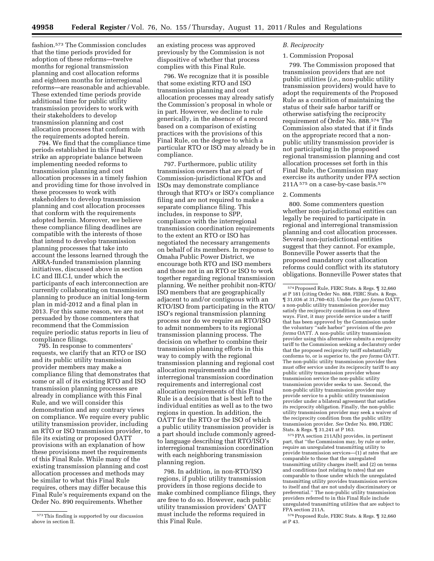fashion.573 The Commission concludes that the time periods provided for adoption of these reforms—twelve months for regional transmission planning and cost allocation reforms and eighteen months for interregional reforms—are reasonable and achievable. These extended time periods provide additional time for public utility transmission providers to work with their stakeholders to develop transmission planning and cost allocation processes that conform with the requirements adopted herein.

794. We find that the compliance time periods established in this Final Rule strike an appropriate balance between implementing needed reforms to transmission planning and cost allocation processes in a timely fashion and providing time for those involved in these processes to work with stakeholders to develop transmission planning and cost allocation processes that conform with the requirements adopted herein. Moreover, we believe these compliance filing deadlines are compatible with the interests of those that intend to develop transmission planning processes that take into account the lessons learned through the ARRA-funded transmission planning initiatives, discussed above in section I.C and III.C.I, under which the participants of each interconnection are currently collaborating on transmission planning to produce an initial long-term plan in mid-2012 and a final plan in 2013. For this same reason, we are not persuaded by those commenters that recommend that the Commission require periodic status reports in lieu of compliance filings.

795. In response to commenters' requests, we clarify that an RTO or ISO and its public utility transmission provider members may make a compliance filing that demonstrates that some or all of its existing RTO and ISO transmission planning processes are already in compliance with this Final Rule, and we will consider this demonstration and any contrary views on compliance. We require every public utility transmission provider, including an RTO or ISO transmission provider, to file its existing or proposed OATT provisions with an explanation of how these provisions meet the requirements of this Final Rule. While many of the existing transmission planning and cost allocation processes and methods may be similar to what this Final Rule requires, others may differ because this Final Rule's requirements expand on the Order No. 890 requirements. Whether

an existing process was approved previously by the Commission is not dispositive of whether that process complies with this Final Rule.

796. We recognize that it is possible that some existing RTO and ISO transmission planning and cost allocation processes may already satisfy the Commission's proposal in whole or in part. However, we decline to rule generically, in the absence of a record based on a comparison of existing practices with the provisions of this Final Rule, on the degree to which a particular RTO or ISO may already be in compliance.

797. Furthermore, public utility transmission owners that are part of Commission-jurisdictional RTOs and ISOs may demonstrate compliance through that RTO's or ISO's compliance filing and are not required to make a separate compliance filing. This includes, in response to SPP, compliance with the interregional transmission coordination requirements to the extent an RTO or ISO has negotiated the necessary arrangements on behalf of its members. In response to Omaha Public Power District, we encourage both RTO and ISO members and those not in an RTO or ISO to work together regarding regional transmission planning. We neither prohibit non-RTO/ ISO members that are geographically adjacent to and/or contiguous with an RTO/ISO from participating in the RTO/ ISO's regional transmission planning process nor do we require an RTO/ISO to admit nonmembers to its regional transmission planning process. The decision on whether to combine their transmission planning efforts in this way to comply with the regional transmission planning and regional cost allocation requirements and the interregional transmission coordination requirements and interregional cost allocation requirements of this Final Rule is a decision that is best left to the individual entities as well as to the two regions in question. In addition, the OATT for the RTO or the ISO of which a public utility transmission provider is a part should include commonly agreedto language describing that RTO/ISO's interregional transmission coordination with each neighboring transmission planning region.

798. In addition, in non-RTO/ISO regions, if public utility transmission providers in those regions decide to make combined compliance filings, they are free to do so. However, each public utility transmission providers' OATT must include the reforms required in this Final Rule.

# *B. Reciprocity*

# 1. Commission Proposal

799. The Commission proposed that transmission providers that are not public utilities (*i.e.,* non-public utility transmission providers) would have to adopt the requirements of the Proposed Rule as a condition of maintaining the status of their safe harbor tariff or otherwise satisfying the reciprocity requirement of Order No. 888.574 The Commission also stated that if it finds on the appropriate record that a nonpublic utility transmission provider is not participating in the proposed regional transmission planning and cost allocation processes set forth in this Final Rule, the Commission may exercise its authority under FPA section 211A 575 on a case-by-case basis.576

#### 2. Comments

800. Some commenters question whether non-jurisdictional entities can legally be required to participate in regional and interregional transmission planning and cost allocation processes. Several non-jurisdictional entities suggest that they cannot. For example, Bonneville Power asserts that the proposed mandatory cost allocation reforms could conflict with its statutory obligations. Bonneville Power states that

575FPA section 211A(b) provides, in pertinent part, that ''the Commission may, by rule or order, require an unregulated transmitting utility to provide transmission services—(1) at rates that are comparable to those that the unregulated transmitting utility charges itself; and (2) on terms and conditions (not relating to rates) that are comparable to those under which the unregulated transmitting utility provides transmission services to itself and that are not unduly discriminatory or preferential.'' The non-public utility transmission providers referred to in this Final Rule include unregulated transmitting utilities that are subject to FPA section 211A.

576 Proposed Rule, FERC Stats. & Regs. 1 32,660 at P 43.

<sup>573</sup>This finding is supported by our discussion above in section II.

<sup>574</sup>Proposed Rule, FERC Stats. & Regs. ¶ 32,660 at P 181 (citing Order No. 888, FERC Stats. & Reg ¶ 31,036 at 31,760–63). Under the *pro forma* OATT, a non-public utility transmission provider may satisfy the reciprocity condition in one of three ways. First, it may provide service under a tariff that has been approved by the Commission under the voluntary ''safe harbor'' provision of the *pro forma* OATT. A non-public utility transmission provider using this alternative submits a reciprocity tariff to the Commission seeking a declaratory order that the proposed reciprocity tariff substantially conforms to, or is superior to, the *pro forma* OATT. The non-public utility transmission provider then must offer service under its reciprocity tariff to any public utility transmission provider whose transmission service the non-public utility transmission provider seeks to use. Second, the non-public utility transmission provider may provide service to a public utility transmission provider under a bilateral agreement that satisfies its reciprocity obligation. Finally, the non-public utility transmission provider may seek a waiver of the reciprocity condition from the public utility transmission provider. *See* Order No. 890, FERC Stats. & Regs. ¶ 31,241 at P 163.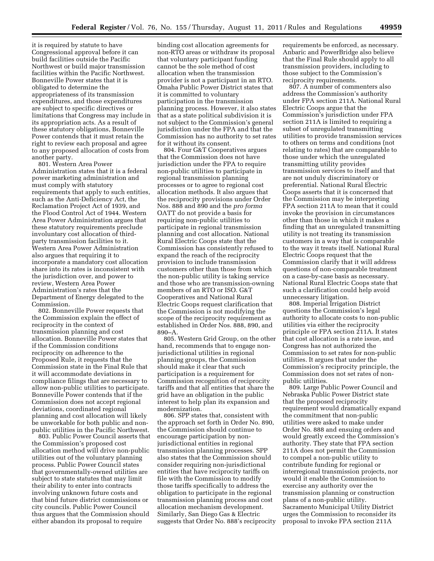it is required by statute to have Congressional approval before it can build facilities outside the Pacific Northwest or build major transmission facilities within the Pacific Northwest. Bonneville Power states that it is obligated to determine the appropriateness of its transmission expenditures, and those expenditures are subject to specific directives or limitations that Congress may include in its appropriation acts. As a result of these statutory obligations, Bonneville Power contends that it must retain the right to review each proposal and agree to any proposed allocation of costs from another party.

801. Western Area Power Administration states that it is a federal power marketing administration and must comply with statutory requirements that apply to such entities, such as the Anti-Deficiency Act, the Reclamation Project Act of 1939, and the Flood Control Act of 1944. Western Area Power Administration argues that these statutory requirements preclude involuntary cost allocation of thirdparty transmission facilities to it. Western Area Power Administration also argues that requiring it to incorporate a mandatory cost allocation share into its rates is inconsistent with the jurisdiction over, and power to review, Western Area Power Administration's rates that the Department of Energy delegated to the Commission.

802. Bonneville Power requests that the Commission explain the effect of reciprocity in the context of transmission planning and cost allocation. Bonneville Power states that if the Commission conditions reciprocity on adherence to the Proposed Rule, it requests that the Commission state in the Final Rule that it will accommodate deviations in compliance filings that are necessary to allow non-public utilities to participate. Bonneville Power contends that if the Commission does not accept regional deviations, coordinated regional planning and cost allocation will likely be unworkable for both public and nonpublic utilities in the Pacific Northwest.

803. Public Power Council asserts that the Commission's proposed cost allocation method will drive non-public utilities out of the voluntary planning process. Public Power Council states that governmentally-owned utilities are subject to state statutes that may limit their ability to enter into contracts involving unknown future costs and that bind future district commissions or city councils. Public Power Council thus argues that the Commission should either abandon its proposal to require

binding cost allocation agreements for non-RTO areas or withdraw its proposal that voluntary participant funding cannot be the sole method of cost allocation when the transmission provider is not a participant in an RTO. Omaha Public Power District states that it is committed to voluntary participation in the transmission planning process. However, it also states that as a state political subdivision it is not subject to the Commission's general jurisdiction under the FPA and that the Commission has no authority to set rates for it without its consent.

804. Four G&T Cooperatives argues that the Commission does not have jurisdiction under the FPA to require non-public utilities to participate in regional transmission planning processes or to agree to regional cost allocation methods. It also argues that the reciprocity provisions under Order Nos. 888 and 890 and the *pro forma*  OATT do not provide a basis for requiring non-public utilities to participate in regional transmission planning and cost allocation. National Rural Electric Coops state that the Commission has consistently refused to expand the reach of the reciprocity provision to include transmission customers other than those from which the non-public utility is taking service and those who are transmission-owning members of an RTO or ISO. G&T Cooperatives and National Rural Electric Coops request clarification that the Commission is not modifying the scope of the reciprocity requirement as established in Order Nos. 888, 890, and 890–A.

805. Western Grid Group, on the other hand, recommends that to engage nonjurisdictional utilities in regional planning groups, the Commission should make it clear that such participation is a requirement for Commission recognition of reciprocity tariffs and that all entities that share the grid have an obligation in the public interest to help plan its expansion and modernization.

806. SPP states that, consistent with the approach set forth in Order No. 890, the Commission should continue to encourage participation by nonjurisdictional entities in regional transmission planning processes. SPP also states that the Commission should consider requiring non-jurisdictional entities that have reciprocity tariffs on file with the Commission to modify those tariffs specifically to address the obligation to participate in the regional transmission planning process and cost allocation mechanism development. Similarly, San Diego Gas & Electric suggests that Order No. 888's reciprocity requirements be enforced, as necessary. Anbaric and PowerBridge also believe that the Final Rule should apply to all transmission providers, including to those subject to the Commission's reciprocity requirements.

807. A number of commenters also address the Commission's authority under FPA section 211A. National Rural Electric Coops argue that the Commission's jurisdiction under FPA section 211A is limited to requiring a subset of unregulated transmitting utilities to provide transmission services to others on terms and conditions (not relating to rates) that are comparable to those under which the unregulated transmitting utility provides transmission services to itself and that are not unduly discriminatory or preferential. National Rural Electric Coops asserts that it is concerned that the Commission may be interpreting FPA section 211A to mean that it could invoke the provision in circumstances other than those in which it makes a finding that an unregulated transmitting utility is not treating its transmission customers in a way that is comparable to the way it treats itself. National Rural Electric Coops request that the Commission clarify that it will address questions of non-comparable treatment on a case-by-case basis as necessary. National Rural Electric Coops state that such a clarification could help avoid unnecessary litigation.

808. Imperial Irrigation District questions the Commission's legal authority to allocate costs to non-public utilities via either the reciprocity principle or FPA section 211A. It states that cost allocation is a rate issue, and Congress has not authorized the Commission to set rates for non-public utilities. It argues that under the Commission's reciprocity principle, the Commission does not set rates of nonpublic utilities.

809. Large Public Power Council and Nebraska Public Power District state that the proposed reciprocity requirement would dramatically expand the commitment that non-public utilities were asked to make under Order No. 888 and ensuing orders and would greatly exceed the Commission's authority. They state that FPA section 211A does not permit the Commission to compel a non-public utility to contribute funding for regional or interregional transmission projects, nor would it enable the Commission to exercise any authority over the transmission planning or construction plans of a non-public utility. Sacramento Municipal Utility District urges the Commission to reconsider its proposal to invoke FPA section 211A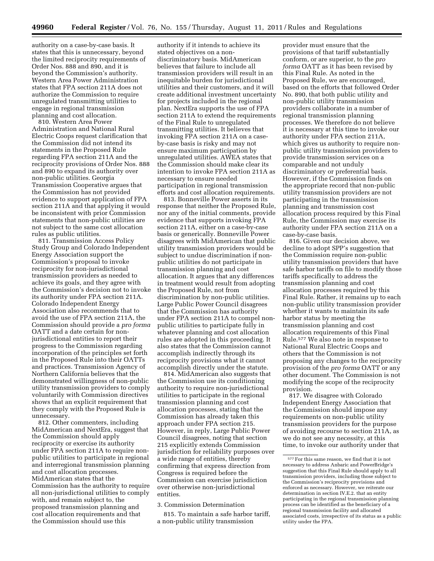authority on a case-by-case basis. It states that this is unnecessary, beyond the limited reciprocity requirements of Order Nos. 888 and 890, and it is beyond the Commission's authority. Western Area Power Administration states that FPA section 211A does not authorize the Commission to require unregulated transmitting utilities to engage in regional transmission planning and cost allocation.

810. Western Area Power Administration and National Rural Electric Coops request clarification that the Commission did not intend its statements in the Proposed Rule regarding FPA section 211A and the reciprocity provisions of Order Nos. 888 and 890 to expand its authority over non-public utilities. Georgia Transmission Cooperative argues that the Commission has not provided evidence to support application of FPA section 211A and that applying it would be inconsistent with prior Commission statements that non-public utilities are not subject to the same cost allocation rules as public utilities.

811. Transmission Access Policy Study Group and Colorado Independent Energy Association support the Commission's proposal to invoke reciprocity for non-jurisdictional transmission providers as needed to achieve its goals, and they agree with the Commission's decision not to invoke its authority under FPA section 211A. Colorado Independent Energy Association also recommends that to avoid the use of FPA section 211A, the Commission should provide a *pro forma*  OATT and a date certain for nonjurisdictional entities to report their progress to the Commission regarding incorporation of the principles set forth in the Proposed Rule into their OATTs and practices. Transmission Agency of Northern California believes that the demonstrated willingness of non-public utility transmission providers to comply voluntarily with Commission directives shows that an explicit requirement that they comply with the Proposed Rule is unnecessary.

812. Other commenters, including MidAmerican and NextEra, suggest that the Commission should apply reciprocity or exercise its authority under FPA section 211A to require nonpublic utilities to participate in regional and interregional transmission planning and cost allocation processes. MidAmerican states that the Commission has the authority to require all non-jurisdictional utilities to comply with, and remain subject to, the proposed transmission planning and cost allocation requirements and that the Commission should use this

authority if it intends to achieve its stated objectives on a nondiscriminatory basis. MidAmerican believes that failure to include all transmission providers will result in an inequitable burden for jurisdictional utilities and their customers, and it will create additional investment uncertainty for projects included in the regional plan. NextEra supports the use of FPA section 211A to extend the requirements of the Final Rule to unregulated transmitting utilities. It believes that invoking FPA section 211A on a caseby-case basis is risky and may not ensure maximum participation by unregulated utilities. AWEA states that the Commission should make clear its intention to invoke FPA section 211A as necessary to ensure needed participation in regional transmission efforts and cost allocation requirements.

813. Bonneville Power asserts in its response that neither the Proposed Rule, nor any of the initial comments, provide evidence that supports invoking FPA section 211A, either on a case-by-case basis or generically. Bonneville Power disagrees with MidAmerican that public utility transmission providers would be subject to undue discrimination if nonpublic utilities do not participate in transmission planning and cost allocation. It argues that any differences in treatment would result from adopting the Proposed Rule, not from discrimination by non-public utilities. Large Public Power Council disagrees that the Commission has authority under FPA section 211A to compel nonpublic utilities to participate fully in whatever planning and cost allocation rules are adopted in this proceeding. It also states that the Commission cannot accomplish indirectly through its reciprocity provisions what it cannot accomplish directly under the statute.

814. MidAmerican also suggests that the Commission use its conditioning authority to require non-jurisdictional utilities to participate in the regional transmission planning and cost allocation processes, stating that the Commission has already taken this approach under FPA section 215. However, in reply, Large Public Power Council disagrees, noting that section 215 explicitly extends Commission jurisdiction for reliability purposes over a wide range of entities, thereby confirming that express direction from Congress is required before the Commission can exercise jurisdiction over otherwise non-jurisdictional entities.

3. Commission Determination

815. To maintain a safe harbor tariff, a non-public utility transmission

provider must ensure that the provisions of that tariff substantially conform, or are superior, to the *pro forma* OATT as it has been revised by this Final Rule. As noted in the Proposed Rule, we are encouraged, based on the efforts that followed Order No. 890, that both public utility and non-public utility transmission providers collaborate in a number of regional transmission planning processes. We therefore do not believe it is necessary at this time to invoke our authority under FPA section 211A, which gives us authority to require nonpublic utility transmission providers to provide transmission services on a comparable and not unduly discriminatory or preferential basis. However, if the Commission finds on the appropriate record that non-public utility transmission providers are not participating in the transmission planning and transmission cost allocation process required by this Final Rule, the Commission may exercise its authority under FPA section 211A on a case-by-case basis.

816. Given our decision above, we decline to adopt SPP's suggestion that the Commission require non-public utility transmission providers that have safe harbor tariffs on file to modify those tariffs specifically to address the transmission planning and cost allocation processes required by this Final Rule. Rather, it remains up to each non-public utility transmission provider whether it wants to maintain its safe harbor status by meeting the transmission planning and cost allocation requirements of this Final Rule.577 We also note in response to National Rural Electric Coops and others that the Commission is not proposing any changes to the reciprocity provision of the *pro forma* OATT or any other document. The Commission is not modifying the scope of the reciprocity provision.

817. We disagree with Colorado Independent Energy Association that the Commission should impose any requirements on non-public utility transmission providers for the purpose of avoiding recourse to section 211A, as we do not see any necessity, at this time, to invoke our authority under that

 $\mathrm{^{577}For}$  this same reason, we find that it is not necessary to address Anbaric and PowerBridge's suggestion that this Final Rule should apply to all transmission providers, including those subject to the Commission's reciprocity provisions and enforced as necessary. However, we reiterate our determination in section IV.E.2. that an entity participating in the regional transmission planning process can be identified as the beneficiary of a regional transmission facility and allocated associated costs, irrespective of its status as a public utility under the FPA.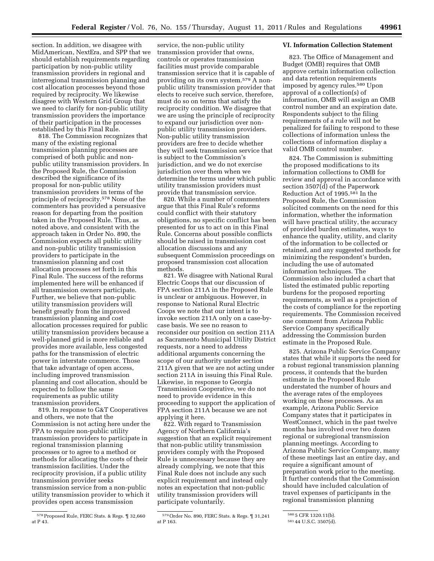section. In addition, we disagree with MidAmerican, NextEra, and SPP that we should establish requirements regarding participation by non-public utility transmission providers in regional and interregional transmission planning and cost allocation processes beyond those required by reciprocity. We likewise disagree with Western Grid Group that we need to clarify for non-public utility transmission providers the importance of their participation in the processes established by this Final Rule.

818. The Commission recognizes that many of the existing regional transmission planning processes are comprised of both public and nonpublic utility transmission providers. In the Proposed Rule, the Commission described the significance of its proposal for non-public utility transmission providers in terms of the principle of reciprocity.578 None of the commenters has provided a persuasive reason for departing from the position taken in the Proposed Rule. Thus, as noted above, and consistent with the approach taken in Order No. 890, the Commission expects all public utility and non-public utility transmission providers to participate in the transmission planning and cost allocation processes set forth in this Final Rule. The success of the reforms implemented here will be enhanced if all transmission owners participate. Further, we believe that non-public utility transmission providers will benefit greatly from the improved transmission planning and cost allocation processes required for public utility transmission providers because a well-planned grid is more reliable and provides more available, less congested paths for the transmission of electric power in interstate commerce. Those that take advantage of open access, including improved transmission planning and cost allocation, should be expected to follow the same requirements as public utility transmission providers.

819. In response to G&T Cooperatives and others, we note that the Commission is not acting here under the FPA to require non-public utility transmission providers to participate in regional transmission planning processes or to agree to a method or methods for allocating the costs of their transmission facilities. Under the reciprocity provision, if a public utility transmission provider seeks transmission service from a non-public utility transmission provider to which it provides open access transmission

service, the non-public utility transmission provider that owns, controls or operates transmission facilities must provide comparable transmission service that it is capable of providing on its own system.579 A nonpublic utility transmission provider that elects to receive such service, therefore, must do so on terms that satisfy the reciprocity condition. We disagree that we are using the principle of reciprocity to expand our jurisdiction over nonpublic utility transmission providers. Non-public utility transmission providers are free to decide whether they will seek transmission service that is subject to the Commission's jurisdiction, and we do not exercise jurisdiction over them when we determine the terms under which public utility transmission providers must provide that transmission service.

820. While a number of commenters argue that this Final Rule's reforms could conflict with their statutory obligations, no specific conflict has been presented for us to act on in this Final Rule. Concerns about possible conflicts should be raised in transmission cost allocation discussions and any subsequent Commission proceedings on proposed transmission cost allocation methods.

821. We disagree with National Rural Electric Coops that our discussion of FPA section 211A in the Proposed Rule is unclear or ambiguous. However, in response to National Rural Electric Coops we note that our intent is to invoke section 211A only on a case-bycase basis. We see no reason to reconsider our position on section 211A as Sacramento Municipal Utility District requests, nor a need to address additional arguments concerning the scope of our authority under section 211A given that we are not acting under section 211A in issuing this Final Rule. Likewise, in response to Georgia Transmission Cooperative, we do not need to provide evidence in this proceeding to support the application of FPA section 211A because we are not applying it here.

822. With regard to Transmission Agency of Northern California's suggestion that an explicit requirement that non-public utility transmission providers comply with the Proposed Rule is unnecessary because they are already complying, we note that this Final Rule does not include any such explicit requirement and instead only notes an expectation that non-public utility transmission providers will participate voluntarily.

#### **VI. Information Collection Statement**

823. The Office of Management and Budget (OMB) requires that OMB approve certain information collection and data retention requirements imposed by agency rules.580 Upon approval of a collection(s) of information, OMB will assign an OMB control number and an expiration date. Respondents subject to the filing requirements of a rule will not be penalized for failing to respond to these collections of information unless the collections of information display a valid OMB control number.

824. The Commission is submitting the proposed modifications to its information collections to OMB for review and approval in accordance with section 3507(d) of the Paperwork Reduction Act of 1995.581 In the Proposed Rule, the Commission solicited comments on the need for this information, whether the information will have practical utility, the accuracy of provided burden estimates, ways to enhance the quality, utility, and clarity of the information to be collected or retained, and any suggested methods for minimizing the respondent's burden, including the use of automated information techniques. The Commission also included a chart that listed the estimated public reporting burdens for the proposed reporting requirements, as well as a projection of the costs of compliance for the reporting requirements. The Commission received one comment from Arizona Public Service Company specifically addressing the Commission burden estimate in the Proposed Rule.

825. Arizona Public Service Company states that while it supports the need for a robust regional transmission planning process, it contends that the burden estimate in the Proposed Rule understated the number of hours and the average rates of the employees working on these processes. As an example, Arizona Public Service Company states that it participates in WestConnect, which in the past twelve months has involved over two dozen regional or subregional transmission planning meetings. According to Arizona Public Service Company, many of these meetings last an entire day, and require a significant amount of preparation work prior to the meeting. It further contends that the Commission should have included calculation of travel expenses of participants in the regional transmission planning

<sup>578</sup>Proposed Rule, FERC Stats. & Regs. ¶ 32,660 at P 43.

<sup>579</sup>Order No. 890, FERC Stats. & Regs. ¶ 31,241 at P 163.

<sup>580</sup> 5 CFR 1320.11(b).

<sup>581</sup> 44 U.S.C. 3507(d).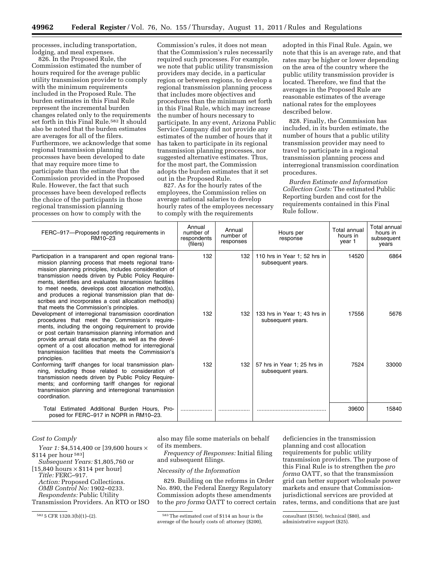processes, including transportation, lodging, and meal expenses.

826. In the Proposed Rule, the Commission estimated the number of hours required for the average public utility transmission provider to comply with the minimum requirements included in the Proposed Rule. The burden estimates in this Final Rule represent the incremental burden changes related only to the requirements set forth in this Final Rule.<sup>582</sup> It should also be noted that the burden estimates are averages for all of the filers. Furthermore, we acknowledge that some regional transmission planning processes have been developed to date that may require more time to participate than the estimate that the Commission provided in the Proposed Rule. However, the fact that such processes have been developed reflects the choice of the participants in those regional transmission planning processes on how to comply with the

Commission's rules, it does not mean that the Commission's rules necessarily required such processes. For example, we note that public utility transmission providers may decide, in a particular region or between regions, to develop a regional transmission planning process that includes more objectives and procedures than the minimum set forth in this Final Rule, which may increase the number of hours necessary to participate. In any event, Arizona Public Service Company did not provide any estimates of the number of hours that it has taken to participate in its regional transmission planning processes, nor suggested alternative estimates. Thus, for the most part, the Commission adopts the burden estimates that it set out in the Proposed Rule.

827. As for the hourly rates of the employees, the Commission relies on average national salaries to develop hourly rates of the employees necessary to comply with the requirements

adopted in this Final Rule. Again, we note that this is an average rate, and that rates may be higher or lower depending on the area of the country where the public utility transmission provider is located. Therefore, we find that the averages in the Proposed Rule are reasonable estimates of the average national rates for the employees described below.

828. Finally, the Commission has included, in its burden estimate, the number of hours that a public utility transmission provider may need to travel to participate in a regional transmission planning process and interregional transmission coordination procedures.

*Burden Estimate and Information Collection Costs:* The estimated Public Reporting burden and cost for the requirements contained in this Final Rule follow.

| FERC-917-Proposed reporting requirements in<br>RM10-23                                                                                                                                                                                                                                                                                                                                                                                                                                                    | Annual<br>number of<br>respondents<br>(filers) | Annual<br>number of<br>responses | Hours per<br>response                             | Total annual<br>hours in<br>vear 1 | Total annual<br>hours in<br>subsequent<br>years |
|-----------------------------------------------------------------------------------------------------------------------------------------------------------------------------------------------------------------------------------------------------------------------------------------------------------------------------------------------------------------------------------------------------------------------------------------------------------------------------------------------------------|------------------------------------------------|----------------------------------|---------------------------------------------------|------------------------------------|-------------------------------------------------|
| Participation in a transparent and open regional trans-<br>mission planning process that meets regional trans-<br>mission planning principles, includes consideration of<br>transmission needs driven by Public Policy Require-<br>ments, identifies and evaluates transmission facilities<br>to meet needs, develops cost allocation method(s),<br>and produces a regional transmission plan that de-<br>scribes and incorporates a cost allocation method(s)<br>that meets the Commission's principles. | 132                                            | 132                              | 110 hrs in Year 1; 52 hrs in<br>subsequent years. | 14520                              | 6864                                            |
| Development of interregional transmission coordination<br>procedures that meet the Commission's require-<br>ments, including the ongoing requirement to provide<br>or post certain transmission planning information and<br>provide annual data exchange, as well as the devel-<br>opment of a cost allocation method for interregional<br>transmission facilities that meets the Commission's<br>principles.                                                                                             | 132                                            | 132                              | 133 hrs in Year 1; 43 hrs in<br>subsequent years. | 17556                              | 5676                                            |
| Conforming tariff changes for local transmission plan-<br>ning, including those related to consideration of<br>transmission needs driven by Public Policy Require-<br>ments; and conforming tariff changes for regional<br>transmission planning and interregional transmission<br>coordination.                                                                                                                                                                                                          | 132                                            | 132                              | 57 hrs in Year 1; 25 hrs in<br>subsequent years.  | 7524                               | 33000                                           |
| Total Estimated Additional Burden Hours. Pro-<br>posed for FERC-917 in NOPR in RM10-23.                                                                                                                                                                                                                                                                                                                                                                                                                   |                                                |                                  |                                                   | 39600                              | 15840                                           |

## *Cost to Comply*

*Year 1:* \$4,514,400 or [39,600 hours × \$114 per hour 583] *Subsequent Years:* \$1,805,760 or

 $[15,840 \text{ hours} \times $114 \text{ per hour}]$ *Title:* FERC–917.

*Action:* Proposed Collections. *OMB Control No:* 1902–0233. *Respondents:* Public Utility

Transmission Providers. An RTO or ISO

also may file some materials on behalf of its members.

*Frequency of Responses:* Initial filing and subsequent filings.

# *Necessity of the Information*

829. Building on the reforms in Order No. 890, the Federal Energy Regulatory Commission adopts these amendments to the *pro forma* OATT to correct certain

 $582\,5$  CFR 1320.3(b)(1)–(2).  $583\,7$ he estimated cost of \$114 an hour is the average of the hourly costs of: attorney (\$200),

deficiencies in the transmission planning and cost allocation requirements for public utility transmission providers. The purpose of this Final Rule is to strengthen the *pro forma* OATT, so that the transmission grid can better support wholesale power markets and ensure that Commissionjurisdictional services are provided at rates, terms, and conditions that are just

consultant (\$150), technical (\$80), and administrative support (\$25).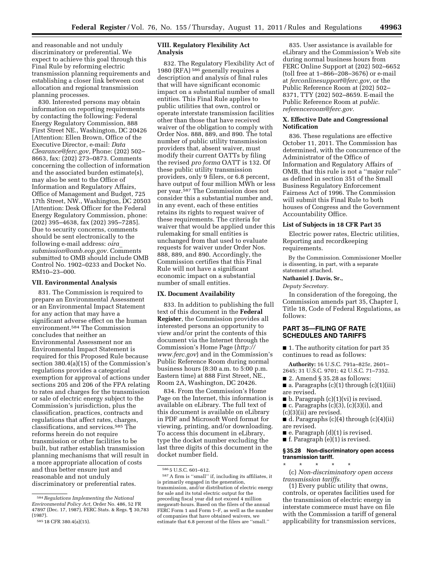and reasonable and not unduly discriminatory or preferential. We expect to achieve this goal through this Final Rule by reforming electric transmission planning requirements and establishing a closer link between cost allocation and regional transmission planning processes.

830. Interested persons may obtain information on reporting requirements by contacting the following: Federal Energy Regulatory Commission, 888 First Street NE., Washington, DC 20426 [Attention: Ellen Brown, Office of the Executive Director, e-mail: *[Data](mailto:DataClearance@ferc.gov) [Clearance@ferc.gov,](mailto:DataClearance@ferc.gov)* Phone: (202) 502– 8663, fax: (202) 273–0873. Comments concerning the collection of information and the associated burden estimate(s), may also be sent to the Office of Information and Regulatory Affairs, Office of Management and Budget, 725 17th Street, NW., Washington, DC 20503 [Attention: Desk Officer for the Federal Energy Regulatory Commission, phone:  $(202)$  395–4638, fax  $(202)$  395–7285]. Due to security concerns, comments should be sent electronically to the following e-mail address: *[oira](mailto:oira_submission@omb.eop.gov)*\_ *[submission@omb.eop.gov.](mailto:oira_submission@omb.eop.gov)* Comments submitted to OMB should include OMB Control No. 1902–0233 and Docket No. RM10–23–000.

## **VII. Environmental Analysis**

831. The Commission is required to prepare an Environmental Assessment or an Environmental Impact Statement for any action that may have a significant adverse effect on the human environment.584 The Commission concludes that neither an Environmental Assessment nor an Environmental Impact Statement is required for this Proposed Rule because section 380.4(a)(15) of the Commission's regulations provides a categorical exemption for approval of actions under sections 205 and 206 of the FPA relating to rates and charges for the transmission or sale of electric energy subject to the Commission's jurisdiction, plus the classification, practices, contracts and regulations that affect rates, charges, classifications, and services.585 The reforms herein do not require transmission or other facilities to be built, but rather establish transmission planning mechanisms that will result in a more appropriate allocation of costs and thus better ensure just and reasonable and not unduly discriminatory or preferential rates.

## **VIII. Regulatory Flexibility Act Analysis**

832. The Regulatory Flexibility Act of 1980 (RFA) 586 generally requires a description and analysis of final rules that will have significant economic impact on a substantial number of small entities. This Final Rule applies to public utilities that own, control or operate interstate transmission facilities other than those that have received waiver of the obligation to comply with Order Nos. 888, 889, and 890. The total number of public utility transmission providers that, absent waiver, must modify their current OATTs by filing the revised *pro forma* OATT is 132. Of these public utility transmission providers, only 9 filers, or 6.8 percent, have output of four million MWh or less per year.587 The Commission does not consider this a substantial number and, in any event, each of these entities retains its rights to request waiver of these requirements. The criteria for waiver that would be applied under this rulemaking for small entities is unchanged from that used to evaluate requests for waiver under Order Nos. 888, 889, and 890. Accordingly, the Commission certifies that this Final Rule will not have a significant economic impact on a substantial number of small entities.

### **IX. Document Availability**

833. In addition to publishing the full text of this document in the **Federal Register**, the Commission provides all interested persons an opportunity to view and/or print the contents of this document via the Internet through the Commission's Home Page (*[http://](http://www.ferc.gov) [www.ferc.gov](http://www.ferc.gov)*) and in the Commission's Public Reference Room during normal business hours (8:30 a.m. to 5:00 p.m. Eastern time) at 888 First Street, NE., Room 2A, Washington, DC 20426.

834. From the Commission's Home Page on the Internet, this information is available on eLibrary. The full text of this document is available on eLibrary in PDF and Microsoft Word format for viewing, printing, and/or downloading. To access this document in eLibrary, type the docket number excluding the last three digits of this document in the docket number field.

835. User assistance is available for eLibrary and the Commission's Web site during normal business hours from FERC Online Support at (202) 502–6652 (toll free at 1–866–208–3676) or e-mail at *[ferconlinesupport@ferc.gov,](mailto:ferconlinesupport@ferc.gov)* or the Public Reference Room at (202) 502– 8371, TTY (202) 502–8659. E-mail the Public Reference Room at *public. referenceroom@ferc.gov.* 

# **X. Effective Date and Congressional Notification**

836. These regulations are effective October 11, 2011. The Commission has determined, with the concurrence of the Administrator of the Office of Information and Regulatory Affairs of OMB, that this rule is not a ''major rule'' as defined in section 351 of the Small Business Regulatory Enforcement Fairness Act of 1996. The Commission will submit this Final Rule to both houses of Congress and the Government Accountability Office.

# **List of Subjects in 18 CFR Part 35**

Electric power rates, Electric utilities, Reporting and recordkeeping requirements.

By the Commission. Commissioner Moeller is dissenting, in part, with a separate statement attached.

#### **Nathaniel J. Davis, Sr.,**

*Deputy Secretary.* 

In consideration of the foregoing, the Commission amends part 35, Chapter I, Title 18, Code of Federal Regulations, as follows:

# **PART 35—FILING OF RATE SCHEDULES AND TARIFFS**

■ 1. The authority citation for part 35 continues to read as follows:

**Authority:** 16 U.S.C. 791a–825r, 2601– 2645; 31 U.S.C. 9701; 42 U.S.C. 71–7352.

- 2. Amend § 35.28 as follows:
- a. Paragraphs (c)(1) through (c)(1)(iii) are revised.
- $\blacksquare$  b. Paragraph  $(c)(1)(vi)$  is revised.
- $\blacksquare$  c. Paragraphs (c)(3), (c)(3)(i), and
- (c)(3)(ii) are revised.
- d. Paragraphs (c)(4) through (c)(4)(ii) are revised.
- e. Paragraph (d)(1) is revised.
- f. Paragraph (e)(1) is revised.

# **§ 35.28 Non-discriminatory open access transmission tariff.**

\* \* \* \* \* (c) *Non-discriminatory open access transmission tariffs.* 

(1) Every public utility that owns, controls, or operates facilities used for the transmission of electric energy in interstate commerce must have on file with the Commission a tariff of general applicability for transmission services,

<sup>584</sup>*Regulations Implementing the National Environmental Policy Act,* Order No. 486, 52 FR 47897 (Dec. 17, 1987), FERC Stats. & Regs. ¶ 30,783 (1987).

<sup>586</sup> 5 U.S.C. 601–612.

<sup>587</sup>A firm is ''small'' if, including its affiliates, it is primarily engaged in the generation, transmission, and/or distribution of electric energy for sale and its total electric output for the preceding fiscal year did not exceed 4 million megawatt-hours. Based on the filers of the annual FERC Form 1 and Form 1–F, as well as the number of companies that have obtained waivers, we estimate that 6.8 percent of the filers are ''small.''

<sup>585</sup> 18 CFR 380.4(a)(15).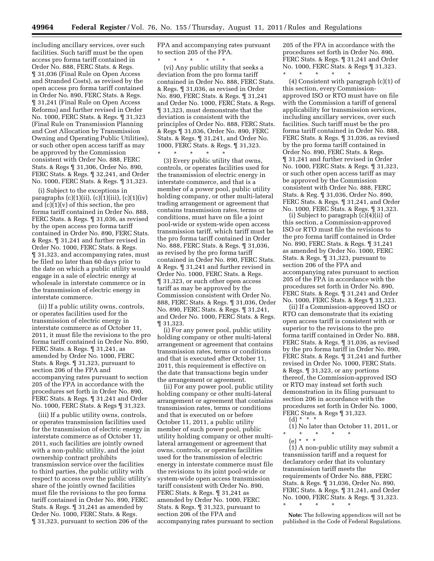including ancillary services, over such facilities. Such tariff must be the open access pro forma tariff contained in Order No. 888, FERC Stats. & Regs. ¶ 31,036 (Final Rule on Open Access and Stranded Costs), as revised by the open access pro forma tariff contained in Order No. 890, FERC Stats. & Regs. ¶ 31,241 (Final Rule on Open Access Reforms) and further revised in Order No. 1000, FERC Stats. & Regs. ¶ 31,323 (Final Rule on Transmission Planning and Cost Allocation by Transmission Owning and Operating Public Utilities), or such other open access tariff as may be approved by the Commission consistent with Order No. 888, FERC Stats. & Regs ¶ 31,306, Order No. 890, FERC Stats. & Regs. ¶ 32,241, and Order No. 1000, FERC Stats. & Regs. ¶ 31,323.

(i) Subject to the exceptions in paragraphs  $(c)(1)(ii)$ ,  $(c)(1)(iii)$ ,  $(c)(1)(iv)$ and (c)(1)(v) of this section, the pro forma tariff contained in Order No. 888, FERC Stats. & Regs. ¶ 31,036, as revised by the open access pro forma tariff contained in Order No. 890, FERC Stats. & Regs. ¶ 31,241 and further revised in Order No. 1000, FERC Stats. & Regs. ¶ 31,323, and accompanying rates, must be filed no later than 60 days prior to the date on which a public utility would engage in a sale of electric energy at wholesale in interstate commerce or in the transmission of electric energy in interstate commerce.

(ii) If a public utility owns, controls, or operates facilities used for the transmission of electric energy in interstate commerce as of October 11, 2011, it must file the revisions to the pro forma tariff contained in Order No. 890, FERC Stats. & Regs. ¶ 31,241, as amended by Order No. 1000, FERC Stats. & Regs. ¶ 31,323, pursuant to section 206 of the FPA and accompanying rates pursuant to section 205 of the FPA in accordance with the procedures set forth in Order No. 890, FERC Stats. & Regs. ¶ 31,241 and Order No. 1000, FERC Stats. & Regs ¶ 31,323.

(iii) If a public utility owns, controls, or operates transmission facilities used for the transmission of electric energy in interstate commerce as of October 11, 2011, such facilities are jointly owned with a non-public utility, and the joint ownership contract prohibits transmission service over the facilities to third parties, the public utility with respect to access over the public utility's share of the jointly owned facilities must file the revisions to the pro forma tariff contained in Order No. 890, FERC Stats. & Regs. ¶ 31,241 as amended by Order No. 1000, FERC Stats. & Regs. ¶ 31,323, pursuant to section 206 of the

FPA and accompanying rates pursuant to section 205 of the FPA. \* \* \* \* \*

(vi) Any public utility that seeks a deviation from the pro forma tariff contained in Order No. 888, FERC Stats. & Regs. ¶ 31,036, as revised in Order No. 890, FERC Stats. & Regs. ¶ 31,241 and Order No. 1000, FERC Stats. & Regs. ¶ 31,323, must demonstrate that the deviation is consistent with the principles of Order No. 888, FERC Stats. & Regs ¶ 31,036, Order No. 890, FERC Stats. & Regs. ¶ 31,241, and Order No. 1000, FERC Stats. & Regs. ¶ 31,323.  $\star$   $\qquad$   $\star$   $\qquad$   $\star$ 

(3) Every public utility that owns, controls, or operates facilities used for the transmission of electric energy in interstate commerce, and that is a member of a power pool, public utility holding company, or other multi-lateral trading arrangement or agreement that contains transmission rates, terms or conditions, must have on file a joint pool-wide or system-wide open access transmission tariff, which tariff must be the pro forma tariff contained in Order No. 888, FERC Stats. & Regs. ¶ 31,036, as revised by the pro forma tariff contained in Order No. 890, FERC Stats. & Regs. ¶ 31,241 and further revised in Order No. 1000, FERC Stats. & Regs. ¶ 31,323, or such other open access tariff as may be approved by the Commission consistent with Order No. 888, FERC Stats. & Regs. ¶ 31,036, Order No. 890, FERC Stats. & Regs. ¶ 31,241, and Order No. 1000, FERC Stats. & Regs. ¶ 31,323.

(i) For any power pool, public utility holding company or other multi-lateral arrangement or agreement that contains transmission rates, terms or conditions and that is executed after October 11, 2011, this requirement is effective on the date that transactions begin under the arrangement or agreement.

(ii) For any power pool, public utility holding company or other multi-lateral arrangement or agreement that contains transmission rates, terms or conditions and that is executed on or before October 11, 2011, a public utility member of such power pool, public utility holding company or other multilateral arrangement or agreement that owns, controls, or operates facilities used for the transmission of electric energy in interstate commerce must file the revisions to its joint pool-wide or system-wide open access transmission tariff consistent with Order No. 890, FERC Stats. & Regs. ¶ 31,241 as amended by Order No. 1000, FERC Stats. & Regs. ¶ 31,323, pursuant to section 206 of the FPA and accompanying rates pursuant to section

205 of the FPA in accordance with the procedures set forth in Order No. 890, FERC Stats. & Regs. ¶ 31,241 and Order No. 1000, FERC Stats. & Regs ¶ 31,323.

\* \* \* \* \*

(4) Consistent with paragraph (c)(1) of this section, every Commissionapproved ISO or RTO must have on file with the Commission a tariff of general applicability for transmission services, including ancillary services, over such facilities. Such tariff must be the pro forma tariff contained in Order No. 888, FERC Stats. & Regs. ¶ 31,036, as revised by the pro forma tariff contained in Order No. 890, FERC Stats. & Regs. ¶ 31,241 and further revised in Order No. 1000, FERC Stats. & Regs. ¶ 31,323, or such other open access tariff as may be approved by the Commission consistent with Order No. 888, FERC Stats. & Reg. ¶ 31,036, Order No. 890, FERC Stats. & Regs. ¶ 31,241, and Order No. 1000, FERC Stats. & Regs. ¶ 31,323.

(i) Subject to paragraph (c)(4)(ii) of this section, a Commission-approved ISO or RTO must file the revisions to the pro forma tariff contained in Order No. 890, FERC Stats. & Regs. ¶ 31,241 as amended by Order No. 1000, FERC Stats. & Regs. ¶ 31,323, pursuant to section 206 of the FPA and accompanying rates pursuant to section 205 of the FPA in accordance with the procedures set forth in Order No. 890, FERC Stats. & Regs. ¶ 31,241 and Order No. 1000, FERC Stats. & Regs ¶ 31,323.

(ii) If a Commission-approved ISO or RTO can demonstrate that its existing open access tariff is consistent with or superior to the revisions to the pro forma tariff contained in Order No. 888, FERC Stats. & Regs. ¶ 31,036, as revised by the pro forma tariff in Order No. 890, FERC Stats. & Regs. ¶ 31,241 and further revised in Order No. 1000, FERC Stats. & Regs. ¶ 31,323, or any portions thereof, the Commission-approved ISO or RTO may instead set forth such demonstration in its filing pursuant to section 206 in accordance with the procedures set forth in Order No. 1000, FERC Stats. & Regs ¶ 31,323. (d) \* \* \*

(1) No later than October 11, 2011, or

\* \* \* \* \* (e) \* \* \*

(1) A non-public utility may submit a transmission tariff and a request for declaratory order that its voluntary transmission tariff meets the requirements of Order No. 888, FERC Stats. & Regs. ¶ 31,036, Order No. 890, FERC Stats. & Regs. ¶ 31,241, and Order No. 1000, FERC Stats. & Regs. ¶ 31,323. \* \* \* \* \*

**Note:** The following appendices will not be

published in the Code of Federal Regulations.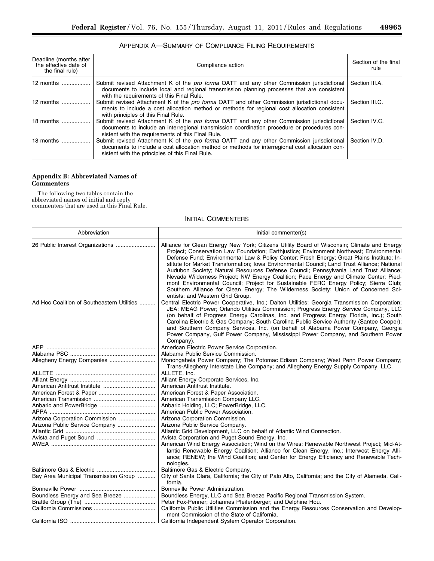٠

| Deadline (months after<br>the effective date of<br>the final rule) | Compliance action                                                                                                                                                                                                                               | Section of the final<br>rule |
|--------------------------------------------------------------------|-------------------------------------------------------------------------------------------------------------------------------------------------------------------------------------------------------------------------------------------------|------------------------------|
| 12 months                                                          | Submit revised Attachment K of the pro forma OATT and any other Commission jurisdictional<br>documents to include local and regional transmission planning processes that are consistent<br>with the requirements of this Final Rule.           | Section III.A.               |
| 12 months                                                          | Submit revised Attachment K of the pro forma OATT and other Commission jurisdictional docu-<br>ments to include a cost allocation method or methods for regional cost allocation consistent<br>with principles of this Final Rule.              | Section III.C.               |
| 18 months                                                          | Submit revised Attachment K of the pro forma OATT and any other Commission jurisdictional<br>documents to include an interregional transmission coordination procedure or procedures con-<br>sistent with the requirements of this Final Rule.  | Section IV.C.                |
| 18 months                                                          | Submit revised Attachment K of the pro forma OATT and any other Commission jurisdictional<br>documents to include a cost allocation method or methods for interregional cost allocation con-<br>sistent with the principles of this Final Rule. | Section IV.D.                |

# APPENDIX A—SUMMARY OF COMPLIANCE FILING REQUIREMENTS

# **Appendix B: Abbreviated Names of Commenters**

The following two tables contain the abbreviated names of initial and reply commenters that are used in this Final Rule.

# INITIAL COMMENTERS

| Abbreviation                               | Initial commenter(s)                                                                                                                                                                                                                                                                                                                                                                                                                                                                                                                                                                                                                                                                                                                                                                       |
|--------------------------------------------|--------------------------------------------------------------------------------------------------------------------------------------------------------------------------------------------------------------------------------------------------------------------------------------------------------------------------------------------------------------------------------------------------------------------------------------------------------------------------------------------------------------------------------------------------------------------------------------------------------------------------------------------------------------------------------------------------------------------------------------------------------------------------------------------|
|                                            | Alliance for Clean Energy New York; Citizens Utility Board of Wisconsin; Climate and Energy<br>Project; Conservation Law Foundation; Earthjustice; Environment Northeast; Environmental<br>Defense Fund; Environmental Law & Policy Center; Fresh Energy; Great Plains Institute; In-<br>stitute for Market Transformation; Iowa Environmental Council; Land Trust Alliance; National<br>Audubon Society; Natural Resources Defense Council; Pennsylvania Land Trust Alliance;<br>Nevada Wilderness Project; NW Energy Coalition; Pace Energy and Climate Center; Pied-<br>mont Environmental Council; Project for Sustainable FERC Energy Policy; Sierra Club;<br>Southern Alliance for Clean Energy; The Wilderness Society; Union of Concerned Sci-<br>entists; and Western Grid Group. |
| Ad Hoc Coalition of Southeastern Utilities | Central Electric Power Cooperative, Inc.; Dalton Utilities; Georgia Transmission Corporation;<br>JEA; MEAG Power; Orlando Utilities Commission; Progress Energy Service Company, LLC<br>(on behalf of Progress Energy Carolinas, Inc. and Progress Energy Florida, Inc.); South<br>Carolina Electric & Gas Company; South Carolina Public Service Authority (Santee Cooper);<br>and Southern Company Services, Inc. (on behalf of Alabama Power Company, Georgia<br>Power Company, Gulf Power Company, Mississippi Power Company, and Southern Power<br>Company).                                                                                                                                                                                                                          |
|                                            | American Electric Power Service Corporation.                                                                                                                                                                                                                                                                                                                                                                                                                                                                                                                                                                                                                                                                                                                                               |
|                                            | Alabama Public Service Commission.                                                                                                                                                                                                                                                                                                                                                                                                                                                                                                                                                                                                                                                                                                                                                         |
| Allegheny Energy Companies                 | Monongahela Power Company; The Potomac Edison Company; West Penn Power Company;<br>Trans-Allegheny Interstate Line Company; and Allegheny Energy Supply Company, LLC.                                                                                                                                                                                                                                                                                                                                                                                                                                                                                                                                                                                                                      |
|                                            | ALLETE, Inc.                                                                                                                                                                                                                                                                                                                                                                                                                                                                                                                                                                                                                                                                                                                                                                               |
|                                            | Alliant Energy Corporate Services, Inc.                                                                                                                                                                                                                                                                                                                                                                                                                                                                                                                                                                                                                                                                                                                                                    |
|                                            | American Antitrust Institute.                                                                                                                                                                                                                                                                                                                                                                                                                                                                                                                                                                                                                                                                                                                                                              |
|                                            | American Forest & Paper Association.                                                                                                                                                                                                                                                                                                                                                                                                                                                                                                                                                                                                                                                                                                                                                       |
|                                            | American Transmission Company LLC.                                                                                                                                                                                                                                                                                                                                                                                                                                                                                                                                                                                                                                                                                                                                                         |
|                                            | Anbaric Holding, LLC; PowerBridge, LLC.                                                                                                                                                                                                                                                                                                                                                                                                                                                                                                                                                                                                                                                                                                                                                    |
|                                            | American Public Power Association.                                                                                                                                                                                                                                                                                                                                                                                                                                                                                                                                                                                                                                                                                                                                                         |
| Arizona Corporation Commission             | Arizona Corporation Commission.                                                                                                                                                                                                                                                                                                                                                                                                                                                                                                                                                                                                                                                                                                                                                            |
| Arizona Public Service Company             | Arizona Public Service Company.                                                                                                                                                                                                                                                                                                                                                                                                                                                                                                                                                                                                                                                                                                                                                            |
|                                            | Atlantic Grid Development, LLC on behalf of Atlantic Wind Connection.                                                                                                                                                                                                                                                                                                                                                                                                                                                                                                                                                                                                                                                                                                                      |
|                                            | Avista Corporation and Puget Sound Energy, Inc.                                                                                                                                                                                                                                                                                                                                                                                                                                                                                                                                                                                                                                                                                                                                            |
|                                            | American Wind Energy Association; Wind on the Wires; Renewable Northwest Project; Mid-At-<br>lantic Renewable Energy Coalition; Alliance for Clean Energy, Inc.; Interwest Energy Alli-<br>ance; RENEW; the Wind Coalition; and Center for Energy Efficiency and Renewable Tech-<br>nologies.                                                                                                                                                                                                                                                                                                                                                                                                                                                                                              |
|                                            | Baltimore Gas & Electric Company.                                                                                                                                                                                                                                                                                                                                                                                                                                                                                                                                                                                                                                                                                                                                                          |
| Bay Area Municipal Transmission Group      | City of Santa Clara, California; the City of Palo Alto, California; and the City of Alameda, Cali-<br>fornia.                                                                                                                                                                                                                                                                                                                                                                                                                                                                                                                                                                                                                                                                              |
|                                            | Bonneville Power Administration.                                                                                                                                                                                                                                                                                                                                                                                                                                                                                                                                                                                                                                                                                                                                                           |
| Boundless Energy and Sea Breeze            | Boundless Energy, LLC and Sea Breeze Pacific Regional Transmission System.                                                                                                                                                                                                                                                                                                                                                                                                                                                                                                                                                                                                                                                                                                                 |
|                                            | Peter Fox-Penner; Johannes Pfeifenberger; and Delphine Hou.                                                                                                                                                                                                                                                                                                                                                                                                                                                                                                                                                                                                                                                                                                                                |
|                                            | California Public Utilities Commission and the Energy Resources Conservation and Develop-<br>ment Commission of the State of California.                                                                                                                                                                                                                                                                                                                                                                                                                                                                                                                                                                                                                                                   |
|                                            |                                                                                                                                                                                                                                                                                                                                                                                                                                                                                                                                                                                                                                                                                                                                                                                            |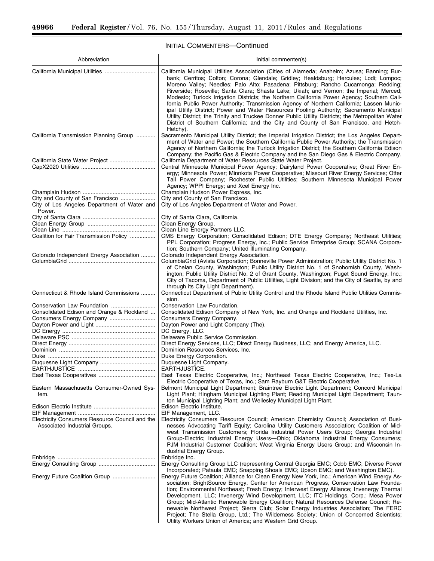#### Abbreviation **Initial commenter(s)** and  $\blacksquare$ California Municipal Utilities ................................ California Municipal Utilities Association (Cities of Alameda; Anaheim; Azusa; Banning; Burbank; Cerritos; Colton; Corona; Glendale; Gridley; Healdsburg; Hercules; Lodi; Lompoc; Moreno Valley; Needles; Palo Alto; Pasadena; Pittsburg; Rancho Cucamonga; Redding; Riverside; Roseville; Santa Clara; Shasta Lake; Ukiah; and Vernon; the Imperial; Merced; Modesto; Turlock Irrigation Districts; the Northern California Power Agency; Southern California Public Power Authority; Transmission Agency of Northern California; Lassen Municipal Utility District; Power and Water Resources Pooling Authority; Sacramento Municipal Utility District; the Trinity and Truckee Donner Public Utility Districts; the Metropolitan Water District of Southern California; and the City and County of San Francisco, and Hetch-Hetchy). California Transmission Planning Group ............ Sacramento Municipal Utility District; the Imperial Irrigation District; the Los Angeles Department of Water and Power; the Southern California Public Power Authority; the Transmission Agency of Northern California; the Turlock Irrigation District; the Southern California Edison Company; the Pacific Gas & Electric Company and the San Diego Gas & Electric Company. California State Water Project ............................. California Department of Water Resources State Water Project. Central Minnesota Municipal Power Agency; Dairyland Power Cooperative; Great River Energy; Minnesota Power; Minnkota Power Cooperative; Missouri River Energy Services; Otter Tail Power Company; Rochester Public Utilities; Southern Minnesota Municipal Power Agency; WPPI Energy; and Xcel Energy Inc.<br>Champlain Hudson Power Express, Inc. Champlain Hudson .............................................. Champlain Hudson Power Express, Inc. City and County of San Francisco ...................... City and County of San Francisco. City of Los Angeles Department of Water and Power. City of Los Angeles Department of Water and Power. City of Santa Clara .............................................. City of Santa Clara, California. Clean Energy Group ........................................... Clean Energy Group. Clean Line ........................................................... Clean Line Energy Partners LLC. CMS Energy Corporation; Consolidated Edison; DTE Energy Company; Northeast Utilities; PPL Corporation; Progress Energy, Inc.; Public Service Enterprise Group; SCANA Corporation; Southern Company; United Illuminating Company. Colorado Independent Energy Association ......... Colorado Independent Energy Association. ColumbiaGrid (Avista Corporation; Bonneville Power Administration; Public Utility District No. 1 of Chelan County, Washington; Public Utility District No. 1 of Snohomish County, Washington; Public Utility District No. 2 of Grant County, Washington; Puget Sound Energy, Inc.; City of Tacoma, Department of Public Utilities, Light Division; and the City of Seattle, by and through its City Light Department). Connecticut & Rhode Island Commissions ......... Connecticut Department of Public Utility Control and the Rhode Island Public Utilities Commission.<br>Conservation Law Foundation. Conservation Law Foundation ............................ Conservation Law Foundation. Consolidated Edison Company of New York, Inc. and Orange and Rockland Utilities, Inc. Consumers Energy Company. Consumers Energy Company ............................. Consumers Energy Company. Dayton Power and Light ...................................... Dayton Power and Light Company (The). DC Energy ........................................................... DC Energy, LLC. Delaware PSC ..................................................... Delaware Public Service Commission. Direct Energy ....................................................... Direct Energy Services, LLC; Direct Energy Business, LLC; and Energy America, LLC. Dominion ............................................................. Dominion Resources Services, Inc. Duke .................................................................... Duke Energy Corporation. Duquesne Light Company ................................... Duquesne Light Company. EARTHJUSTICE ................................................. EARTHJUSTICE. East Texas Cooperatives .................................... East Texas Electric Cooperative, Inc.; Northeast Texas Electric Cooperative, Inc.; Tex-La Electric Cooperative of Texas, Inc.; Sam Rayburn G&T Electric Cooperative. Eastern Massachusetts Consumer-Owned System. Belmont Municipal Light Department; Braintree Electric Light Department; Concord Municipal Light Plant; Hingham Municipal Lighting Plant; Reading Municipal Light Department; Taunton Municipal Lighting Plant; and Wellesley Municipal Light Plant. Edison Electric Institute ....................................... Edison Electric Institute. EIF Management ................................................. EIF Management, LLC. Electricity Consumers Resource Council and the Associated Industrial Groups. Electricity Consumers Resource Council; American Chemistry Council; Association of Businesses Advocating Tariff Equity; Carolina Utility Customers Association; Coalition of Midwest Transmission Customers; Florida Industrial Power Users Group; Georgia Industrial Group-Electric; Industrial Energy Users—Ohio; Oklahoma Industrial Energy Consumers; PJM Industrial Customer Coalition; West Virginia Energy Users Group; and Wisconsin Industrial Energy Group. Enbridge .............................................................. Enbridge Inc. Energy Consulting Group LLC (representing Central Georgia EMC; Cobb EMC; Diverse Power Incorporated; Pataula EMC; Snapping Shoals EMC; Upson EMC; and Washington EMC). Energy Future Coalition Group ........................... Energy Future Coalition; Alliance for Clean Energy New York, Inc.; American Wind Energy Association; BrightSource Energy, Center for American Progress, Conservation Law Foundation; Environmental Northeast; Fresh Energy; Interwest Energy Alliance; Invenergy Thermal Development, LLC; Invenergy Wind Development, LLC; ITC Holdings, Corp.; Mesa Power Group; Mid-Atlantic Renewable Energy Coalition; Natural Resources Defense Council; Re-

newable Northwest Project; Sierra Club; Solar Energy Industries Association; The FERC Project; The Stella Group, Ltd.; The Wilderness Society; Union of Concerned Scientists;

Utility Workers Union of America; and Western Grid Group.

## INITIAL COMMENTERS—Continued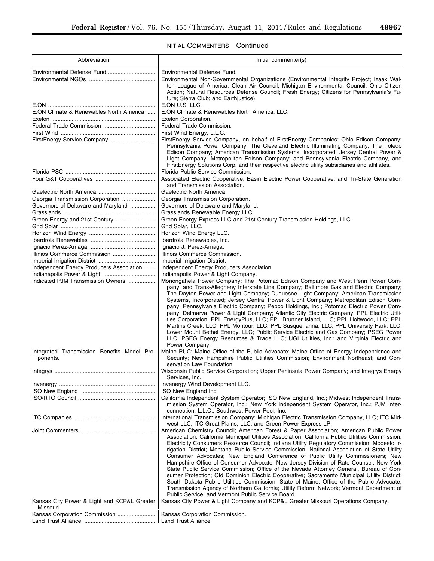# INITIAL COMMENTERS—Continued

| Abbreviation                                                                              | Initial commenter(s)                                                                                                                                                                                                                                                                                                                                                                                                                                                                                                                                                                                                                                                                                                                                                                                                                                                                                                                                                                                      |
|-------------------------------------------------------------------------------------------|-----------------------------------------------------------------------------------------------------------------------------------------------------------------------------------------------------------------------------------------------------------------------------------------------------------------------------------------------------------------------------------------------------------------------------------------------------------------------------------------------------------------------------------------------------------------------------------------------------------------------------------------------------------------------------------------------------------------------------------------------------------------------------------------------------------------------------------------------------------------------------------------------------------------------------------------------------------------------------------------------------------|
| Environmental Defense Fund                                                                | Environmental Defense Fund.                                                                                                                                                                                                                                                                                                                                                                                                                                                                                                                                                                                                                                                                                                                                                                                                                                                                                                                                                                               |
|                                                                                           | Environmental Non-Governmental Organizations (Environmental Integrity Project; Izaak Wal-<br>ton League of America; Clean Air Council; Michigan Environmental Council; Ohio Citizen<br>Action; Natural Resources Defense Council; Fresh Energy; Citizens for Pennsylvania's Fu-<br>ture; Sierra Club; and Earthjustice).                                                                                                                                                                                                                                                                                                                                                                                                                                                                                                                                                                                                                                                                                  |
|                                                                                           | E.ON U.S. LLC.                                                                                                                                                                                                                                                                                                                                                                                                                                                                                                                                                                                                                                                                                                                                                                                                                                                                                                                                                                                            |
| E.ON Climate & Renewables North America                                                   | E.ON Climate & Renewables North America, LLC.                                                                                                                                                                                                                                                                                                                                                                                                                                                                                                                                                                                                                                                                                                                                                                                                                                                                                                                                                             |
|                                                                                           | Exelon Corporation.                                                                                                                                                                                                                                                                                                                                                                                                                                                                                                                                                                                                                                                                                                                                                                                                                                                                                                                                                                                       |
|                                                                                           | Federal Trade Commission.                                                                                                                                                                                                                                                                                                                                                                                                                                                                                                                                                                                                                                                                                                                                                                                                                                                                                                                                                                                 |
|                                                                                           | First Wind Energy, L.L.C.                                                                                                                                                                                                                                                                                                                                                                                                                                                                                                                                                                                                                                                                                                                                                                                                                                                                                                                                                                                 |
| FirstEnergy Service Company                                                               | FirstEnergy Service Company, on behalf of FirstEnergy Companies: Ohio Edison Company;<br>Pennsylvania Power Company; The Cleveland Electric Illuminating Company; The Toledo<br>Edison Company; American Transmission Systems, Incorporated; Jersey Central Power &<br>Light Company; Metropolitan Edison Company; and Pennsylvania Electric Company, and<br>FirstEnergy Solutions Corp. and their respective electric utility subsidiaries and affiliates.                                                                                                                                                                                                                                                                                                                                                                                                                                                                                                                                               |
|                                                                                           | Florida Public Service Commission.                                                                                                                                                                                                                                                                                                                                                                                                                                                                                                                                                                                                                                                                                                                                                                                                                                                                                                                                                                        |
|                                                                                           | Associated Electric Cooperative; Basin Electric Power Cooperative; and Tri-State Generation<br>and Transmission Association.                                                                                                                                                                                                                                                                                                                                                                                                                                                                                                                                                                                                                                                                                                                                                                                                                                                                              |
|                                                                                           | Gaelectric North America.                                                                                                                                                                                                                                                                                                                                                                                                                                                                                                                                                                                                                                                                                                                                                                                                                                                                                                                                                                                 |
| Georgia Transmission Corporation                                                          | Georgia Transmission Corporation.                                                                                                                                                                                                                                                                                                                                                                                                                                                                                                                                                                                                                                                                                                                                                                                                                                                                                                                                                                         |
| Governors of Delaware and Maryland                                                        | Governors of Delaware and Maryland.                                                                                                                                                                                                                                                                                                                                                                                                                                                                                                                                                                                                                                                                                                                                                                                                                                                                                                                                                                       |
|                                                                                           | Grasslands Renewable Energy LLC.                                                                                                                                                                                                                                                                                                                                                                                                                                                                                                                                                                                                                                                                                                                                                                                                                                                                                                                                                                          |
| Green Energy and 21st Century                                                             | Green Energy Express LLC and 21st Century Transmission Holdings, LLC.                                                                                                                                                                                                                                                                                                                                                                                                                                                                                                                                                                                                                                                                                                                                                                                                                                                                                                                                     |
|                                                                                           | Grid Solar, LLC.                                                                                                                                                                                                                                                                                                                                                                                                                                                                                                                                                                                                                                                                                                                                                                                                                                                                                                                                                                                          |
|                                                                                           | Horizon Wind Energy LLC.                                                                                                                                                                                                                                                                                                                                                                                                                                                                                                                                                                                                                                                                                                                                                                                                                                                                                                                                                                                  |
|                                                                                           | Iberdrola Renewables, Inc.                                                                                                                                                                                                                                                                                                                                                                                                                                                                                                                                                                                                                                                                                                                                                                                                                                                                                                                                                                                |
| Illinios Commerce Commission                                                              | Ignacio J. Perez-Arriaga.                                                                                                                                                                                                                                                                                                                                                                                                                                                                                                                                                                                                                                                                                                                                                                                                                                                                                                                                                                                 |
|                                                                                           | Illinois Commerce Commission.<br>Imperial Irrigation District.                                                                                                                                                                                                                                                                                                                                                                                                                                                                                                                                                                                                                                                                                                                                                                                                                                                                                                                                            |
| Independent Energy Producers Association                                                  | Independent Energy Producers Association.                                                                                                                                                                                                                                                                                                                                                                                                                                                                                                                                                                                                                                                                                                                                                                                                                                                                                                                                                                 |
| Indianapolis Power & Light                                                                | Indianapolis Power & Light Company.                                                                                                                                                                                                                                                                                                                                                                                                                                                                                                                                                                                                                                                                                                                                                                                                                                                                                                                                                                       |
| Indicated PJM Transmission Owners                                                         | Monongahela Power Company; The Potomac Edison Company and West Penn Power Com-<br>pany; and Trans-Allegheny Interstate Line Company; Baltimore Gas and Electric Company;<br>The Dayton Power and Light Company; Duquesne Light Company; American Transmission<br>Systems, Incorporated; Jersey Central Power & Light Company; Metropolitan Edison Com-<br>pany; Pennsylvania Electric Company; Pepco Holdings, Inc.; Potomac Electric Power Com-<br>pany; Delmarva Power & Light Company; Atlantic City Electric Company; PPL Electric Utili-<br>ties Corporation; PPL EnergyPlus, LLC; PPL Brunner Island, LLC; PPL Holtwood, LLC; PPL<br>Martins Creek, LLC; PPL Montour, LLC; PPL Susquehanna, LLC; PPL University Park, LLC;<br>Lower Mount Bethel Energy, LLC; Public Service Electric and Gas Company; PSEG Power<br>LLC; PSEG Energy Resources & Trade LLC; UGI Utilities, Inc.; and Virginia Electric and<br>Power Company.                                                                       |
| Integrated Transmission Benefits Model Pro-<br>ponents.                                   | Maine PUC; Maine Office of the Public Advocate; Maine Office of Energy Independence and<br>Security; New Hampshire Public Utilities Commission; Environment Northeast; and Con-<br>servation Law Foundation.                                                                                                                                                                                                                                                                                                                                                                                                                                                                                                                                                                                                                                                                                                                                                                                              |
|                                                                                           | Wisconsin Public Service Corporation; Upper Peninsula Power Company; and Integrys Energy<br>Services, Inc.                                                                                                                                                                                                                                                                                                                                                                                                                                                                                                                                                                                                                                                                                                                                                                                                                                                                                                |
|                                                                                           | Invenergy Wind Development LLC.                                                                                                                                                                                                                                                                                                                                                                                                                                                                                                                                                                                                                                                                                                                                                                                                                                                                                                                                                                           |
|                                                                                           | ISO New England Inc.<br>California Independent System Operator; ISO New England, Inc.; Midwest Independent Trans-<br>mission System Operator, Inc.; New York Independent System Operator, Inc.; PJM Inter-<br>connection, L.L.C.; Southwest Power Pool, Inc.                                                                                                                                                                                                                                                                                                                                                                                                                                                                                                                                                                                                                                                                                                                                              |
|                                                                                           | International Transmission Company; Michigan Electric Transmission Company, LLC; ITC Mid-<br>west LLC; ITC Great Plains, LLC; and Green Power Express LP.                                                                                                                                                                                                                                                                                                                                                                                                                                                                                                                                                                                                                                                                                                                                                                                                                                                 |
|                                                                                           | American Chemistry Council; American Forest & Paper Association; American Public Power<br>Association; California Municipal Utilities Association; California Public Utilities Commission;<br>Electricity Consumers Resource Council; Indiana Utility Regulatory Commission; Modesto Ir-<br>rigation District; Montana Public Service Commission; National Association of State Utility<br>Consumer Advocates; New England Conference of Public Utility Commissioners; New<br>Hampshire Office of Consumer Advocate; New Jersey Division of Rate Counsel; New York<br>State Public Service Commission; Office of the Nevada Attorney General, Bureau of Con-<br>sumer Protection; Old Dominion Electric Cooperative; Sacramento Municipal Utility District;<br>South Dakota Public Utilities Commission; State of Maine, Office of the Public Advocate;<br>Transmission Agency of Northern California; Utility Reform Network; Vermont Department of<br>Public Service; and Vermont Public Service Board. |
| Kansas City Power & Light and KCP&L Greater<br>Missouri.<br>Kansas Corporation Commission | Kansas City Power & Light Company and KCP&L Greater Missouri Operations Company.<br>Kansas Corporation Commission.                                                                                                                                                                                                                                                                                                                                                                                                                                                                                                                                                                                                                                                                                                                                                                                                                                                                                        |
|                                                                                           | Land Trust Alliance.                                                                                                                                                                                                                                                                                                                                                                                                                                                                                                                                                                                                                                                                                                                                                                                                                                                                                                                                                                                      |
|                                                                                           |                                                                                                                                                                                                                                                                                                                                                                                                                                                                                                                                                                                                                                                                                                                                                                                                                                                                                                                                                                                                           |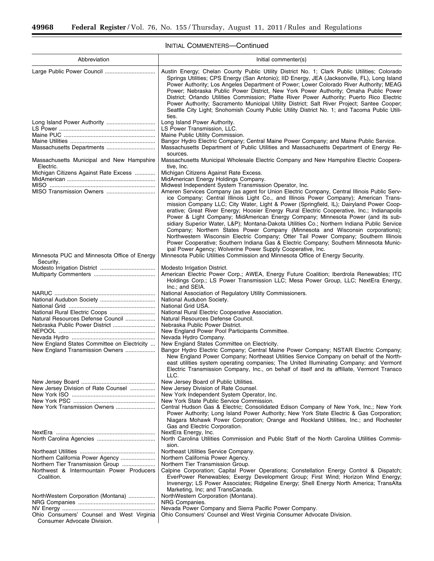Ξ

# INITIAL COMMENTERS—Continued

۲

| Abbreviation                                                                                | Initial commenter(s)                                                                                                                                                                                                                                                                                                                                                                                                                                                                                                                                                                                                                                                                                                                                                                                                                                                                               |
|---------------------------------------------------------------------------------------------|----------------------------------------------------------------------------------------------------------------------------------------------------------------------------------------------------------------------------------------------------------------------------------------------------------------------------------------------------------------------------------------------------------------------------------------------------------------------------------------------------------------------------------------------------------------------------------------------------------------------------------------------------------------------------------------------------------------------------------------------------------------------------------------------------------------------------------------------------------------------------------------------------|
|                                                                                             | Austin Energy; Chelan County Public Utility District No. 1; Clark Public Utilities; Colorado<br>Springs Utilities; CPS Energy (San Antonio); IID Energy, JEA (Jacksonville, FL), Long Island<br>Power Authority; Los Angeles Department of Power; Lower Colorado River Authority; MEAG<br>Power; Nebraska Public Power District, New York Power Authority; Omaha Public Power<br>District; Orlando Utilities Commission; Platte River Power Authority; Puerto Rico Electric<br>Power Authority; Sacramento Municipal Utility District; Salt River Project; Santee Cooper;<br>Seattle City Light; Snohomish County Public Utility District No. 1; and Tacoma Public Utili-<br>ties.                                                                                                                                                                                                                 |
|                                                                                             | Long Island Power Authority.                                                                                                                                                                                                                                                                                                                                                                                                                                                                                                                                                                                                                                                                                                                                                                                                                                                                       |
|                                                                                             | LS Power Transmission, LLC.<br>Maine Public Utility Commission.                                                                                                                                                                                                                                                                                                                                                                                                                                                                                                                                                                                                                                                                                                                                                                                                                                    |
|                                                                                             | Bangor Hydro Electric Company; Central Maine Power Company; and Maine Public Service.                                                                                                                                                                                                                                                                                                                                                                                                                                                                                                                                                                                                                                                                                                                                                                                                              |
| Massachusetts Departments                                                                   | Massachusetts Department of Public Utilities and Massachusetts Department of Energy Re-                                                                                                                                                                                                                                                                                                                                                                                                                                                                                                                                                                                                                                                                                                                                                                                                            |
| Massachusetts Municipal and New Hampshire<br>Electric.                                      | sources.<br>Massachusetts Municipal Wholesale Electric Company and New Hampshire Electric Coopera-<br>tive, Inc.                                                                                                                                                                                                                                                                                                                                                                                                                                                                                                                                                                                                                                                                                                                                                                                   |
| Michigan Citizens Against Rate Excess                                                       | Michigan Citizens Against Rate Excess.                                                                                                                                                                                                                                                                                                                                                                                                                                                                                                                                                                                                                                                                                                                                                                                                                                                             |
|                                                                                             | MidAmerican Energy Holdings Company.<br>Midwest Independent System Transmission Operator, Inc.                                                                                                                                                                                                                                                                                                                                                                                                                                                                                                                                                                                                                                                                                                                                                                                                     |
|                                                                                             | Ameren Services Company (as agent for Union Electric Company, Central Illinois Public Serv-<br>ice Company; Central Illinois Light Co., and Illinois Power Company); American Trans-<br>mission Company LLC; City Water, Light & Power (Springfield, IL); Dairyland Power Coop-<br>erative; Great River Energy; Hoosier Energy Rural Electric Cooperative, Inc.; Indianapolis<br>Power & Light Company; MidAmerican Energy Company; Minnesota Power (and its sub-<br>sidiary Superior Water, L&P); Montana-Dakota Utilities Co.; Northern Indiana Public Service<br>Company; Northern States Power Company (Minnesota and Wisconsin corporations);<br>Northwestern Wisconsin Electric Company; Otter Tail Power Company; Southern Illinois<br>Power Cooperative; Southern Indiana Gas & Electric Company; Southern Minnesota Munic-<br>ipal Power Agency; Wolverine Power Supply Cooperative, Inc. |
| Minnesota PUC and Minnesota Office of Energy                                                | Minnesota Public Utilities Commission and Minnesota Office of Energy Security.                                                                                                                                                                                                                                                                                                                                                                                                                                                                                                                                                                                                                                                                                                                                                                                                                     |
| Security.                                                                                   | Modesto Irrigation District.                                                                                                                                                                                                                                                                                                                                                                                                                                                                                                                                                                                                                                                                                                                                                                                                                                                                       |
|                                                                                             | American Electric Power Corp.; AWEA, Energy Future Coalition; Iberdrola Renewables; ITC<br>Holdings Corp.; LS Power Transmission LLC; Mesa Power Group, LLC; NextEra Energy,<br>Inc.; and SEIA.                                                                                                                                                                                                                                                                                                                                                                                                                                                                                                                                                                                                                                                                                                    |
|                                                                                             | National Association of Regulatory Utility Commissioners.                                                                                                                                                                                                                                                                                                                                                                                                                                                                                                                                                                                                                                                                                                                                                                                                                                          |
|                                                                                             | National Audubon Society.<br>National Grid USA.                                                                                                                                                                                                                                                                                                                                                                                                                                                                                                                                                                                                                                                                                                                                                                                                                                                    |
|                                                                                             | National Rural Electric Cooperative Association.                                                                                                                                                                                                                                                                                                                                                                                                                                                                                                                                                                                                                                                                                                                                                                                                                                                   |
| Natural Resources Defense Council                                                           | Natural Resources Defense Council.                                                                                                                                                                                                                                                                                                                                                                                                                                                                                                                                                                                                                                                                                                                                                                                                                                                                 |
|                                                                                             | Nebraska Public Power District.<br>New England Power Pool Participants Committee.                                                                                                                                                                                                                                                                                                                                                                                                                                                                                                                                                                                                                                                                                                                                                                                                                  |
|                                                                                             | Nevada Hydro Company.                                                                                                                                                                                                                                                                                                                                                                                                                                                                                                                                                                                                                                                                                                                                                                                                                                                                              |
| New England States Committee on Electricity<br>New England Transmission Owners              | New England States Committee on Electricity.<br>Bangor Hydro Electric Company; Central Maine Power Company; NSTAR Electric Company;<br>New England Power Company; Northeast Utilities Service Company on behalf of the North-<br>east utilities system operating companies; The United Illuminating Company; and Vermont<br>Electric Transmission Company, Inc., on behalf of itself and its affiliate, Vermont Transco<br>LLC.                                                                                                                                                                                                                                                                                                                                                                                                                                                                    |
|                                                                                             | New Jersey Board of Public Utilities.                                                                                                                                                                                                                                                                                                                                                                                                                                                                                                                                                                                                                                                                                                                                                                                                                                                              |
| New Jersey Division of Rate Counsel                                                         | New Jersey Division of Rate Counsel.<br>New York Independent System Operator, Inc.                                                                                                                                                                                                                                                                                                                                                                                                                                                                                                                                                                                                                                                                                                                                                                                                                 |
|                                                                                             | New York State Public Service Commission.                                                                                                                                                                                                                                                                                                                                                                                                                                                                                                                                                                                                                                                                                                                                                                                                                                                          |
| New York Transmission Owners                                                                | Central Hudson Gas & Electric; Consolidated Edison Company of New York, Inc.; New York<br>Power Authority; Long Island Power Authority; New York State Electric & Gas Corporation;<br>Niagara Mohawk Power Corporation; Orange and Rockland Utilities, Inc.; and Rochester<br>Gas and Electric Corporation.                                                                                                                                                                                                                                                                                                                                                                                                                                                                                                                                                                                        |
|                                                                                             | NextEra Energy, Inc.<br>North Carolina Utilities Commission and Public Staff of the North Carolina Utilities Commis-<br>sion.                                                                                                                                                                                                                                                                                                                                                                                                                                                                                                                                                                                                                                                                                                                                                                      |
|                                                                                             | Northeast Utilities Service Company.                                                                                                                                                                                                                                                                                                                                                                                                                                                                                                                                                                                                                                                                                                                                                                                                                                                               |
| Northern California Power Agency                                                            | Northern California Power Agency.                                                                                                                                                                                                                                                                                                                                                                                                                                                                                                                                                                                                                                                                                                                                                                                                                                                                  |
| Northern Tier Transmission Group<br>Northwest & Intermountain Power Producers<br>Coalition. | Northern Tier Transmission Group.<br>Calpine Corporation; Capital Power Operations; Constellation Energy Control & Dispatch;<br>EverPower Renewables; Exergy Development Group; First Wind; Horizon Wind Energy;<br>Invenergy; LS Power Associates; Ridgeline Energy; Shell Energy North America; TransAlta                                                                                                                                                                                                                                                                                                                                                                                                                                                                                                                                                                                        |
| NorthWestern Corporation (Montana)                                                          | Marketing, Inc; and TransCanada.<br>NorthWestern Corporation (Montana).                                                                                                                                                                                                                                                                                                                                                                                                                                                                                                                                                                                                                                                                                                                                                                                                                            |
|                                                                                             | NRG Companies.                                                                                                                                                                                                                                                                                                                                                                                                                                                                                                                                                                                                                                                                                                                                                                                                                                                                                     |
| Ohio Consumers' Counsel and West Virginia<br>Consumer Advocate Division.                    | Nevada Power Company and Sierra Pacific Power Company.<br>Ohio Consumers' Counsel and West Virginia Consumer Advocate Division.                                                                                                                                                                                                                                                                                                                                                                                                                                                                                                                                                                                                                                                                                                                                                                    |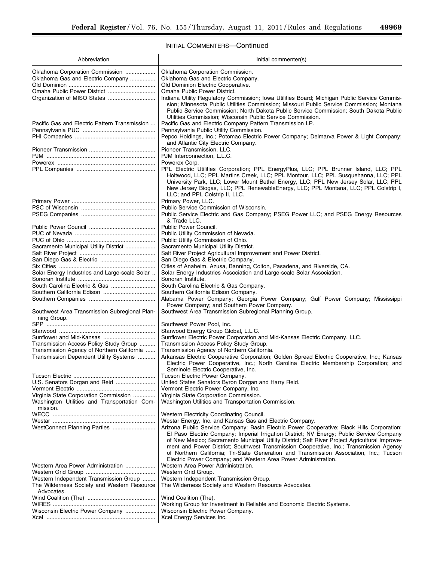Ξ

# INITIAL COMMENTERS—Continued

| Abbreviation                                                                                      | Initial commenter(s)                                                                                                                                                                                                                                                                                                                                                                                                                                                                                                                             |
|---------------------------------------------------------------------------------------------------|--------------------------------------------------------------------------------------------------------------------------------------------------------------------------------------------------------------------------------------------------------------------------------------------------------------------------------------------------------------------------------------------------------------------------------------------------------------------------------------------------------------------------------------------------|
|                                                                                                   |                                                                                                                                                                                                                                                                                                                                                                                                                                                                                                                                                  |
| Oklahoma Corporation Commission                                                                   | Oklahoma Corporation Commission.                                                                                                                                                                                                                                                                                                                                                                                                                                                                                                                 |
| Oklahoma Gas and Electric Company                                                                 | Oklahoma Gas and Electric Company.                                                                                                                                                                                                                                                                                                                                                                                                                                                                                                               |
|                                                                                                   | Old Dominion Electric Cooperative.                                                                                                                                                                                                                                                                                                                                                                                                                                                                                                               |
| Omaha Public Power District                                                                       | Omaha Public Power District.                                                                                                                                                                                                                                                                                                                                                                                                                                                                                                                     |
|                                                                                                   | Indiana Utility Regulatory Commission; Iowa Utilities Board; Michigan Public Service Commis-<br>sion; Minnesota Public Utilities Commission; Missouri Public Service Commission; Montana<br>Public Service Commission; North Dakota Public Service Commission; South Dakota Public<br>Utilities Commission; Wisconsin Public Service Commission.                                                                                                                                                                                                 |
| Pacific Gas and Electric Pattern Transmission                                                     | Pacific Gas and Electric Company Pattern Transmission LP.                                                                                                                                                                                                                                                                                                                                                                                                                                                                                        |
|                                                                                                   | Pennsylvania Public Utility Commission.<br>Pepco Holdings, Inc.; Potomac Electric Power Company; Delmarva Power & Light Company;                                                                                                                                                                                                                                                                                                                                                                                                                 |
|                                                                                                   | and Atlantic City Electric Company.<br>Pioneer Transmission, LLC.                                                                                                                                                                                                                                                                                                                                                                                                                                                                                |
|                                                                                                   | PJM Interconnection, L.L.C.                                                                                                                                                                                                                                                                                                                                                                                                                                                                                                                      |
|                                                                                                   | Powerex Corp.                                                                                                                                                                                                                                                                                                                                                                                                                                                                                                                                    |
|                                                                                                   | PPL Electric Utilities Corporation; PPL EnergyPlus, LLC; PPL Brunner Island, LLC; PPL                                                                                                                                                                                                                                                                                                                                                                                                                                                            |
|                                                                                                   | Holtwood, LLC; PPL Martins Creek, LLC; PPL Montour, LLC; PPL Susquehanna, LLC; PPL<br>University Park, LLC; Lower Mount Bethel Energy, LLC; PPL New Jersey Solar, LLC; PPL<br>New Jersey Biogas, LLC; PPL RenewableEnergy, LLC; PPL Montana, LLC; PPL Colstrip I,<br>LLC; and PPL Colstrip II, LLC.                                                                                                                                                                                                                                              |
|                                                                                                   | Primary Power, LLC.                                                                                                                                                                                                                                                                                                                                                                                                                                                                                                                              |
|                                                                                                   | Public Service Commission of Wisconsin.                                                                                                                                                                                                                                                                                                                                                                                                                                                                                                          |
|                                                                                                   | Public Service Electric and Gas Company; PSEG Power LLC; and PSEG Energy Resources<br>& Trade LLC.                                                                                                                                                                                                                                                                                                                                                                                                                                               |
|                                                                                                   | Public Power Council.                                                                                                                                                                                                                                                                                                                                                                                                                                                                                                                            |
|                                                                                                   | Public Utility Commission of Nevada.                                                                                                                                                                                                                                                                                                                                                                                                                                                                                                             |
|                                                                                                   | Public Utility Commission of Ohio.                                                                                                                                                                                                                                                                                                                                                                                                                                                                                                               |
| Sacramento Municipal Utility District                                                             | Sacramento Municipal Utility District.                                                                                                                                                                                                                                                                                                                                                                                                                                                                                                           |
|                                                                                                   | Salt River Project Agricultural Improvement and Power District.                                                                                                                                                                                                                                                                                                                                                                                                                                                                                  |
|                                                                                                   | San Diego Gas & Electric Company.                                                                                                                                                                                                                                                                                                                                                                                                                                                                                                                |
|                                                                                                   | Cities of Anaheim, Azusa, Banning, Colton, Pasadena, and Riverside, CA.                                                                                                                                                                                                                                                                                                                                                                                                                                                                          |
| Solar Energy Industries and Large-scale Solar                                                     | Solar Energy Industries Association and Large-scale Solar Association.                                                                                                                                                                                                                                                                                                                                                                                                                                                                           |
|                                                                                                   | Sonoran Institute.                                                                                                                                                                                                                                                                                                                                                                                                                                                                                                                               |
| South Carolina Electric & Gas                                                                     | South Carolina Electric & Gas Company.                                                                                                                                                                                                                                                                                                                                                                                                                                                                                                           |
|                                                                                                   | Southern California Edison Company.                                                                                                                                                                                                                                                                                                                                                                                                                                                                                                              |
|                                                                                                   | Alabama Power Company; Georgia Power Company; Gulf Power Company; Mississippi<br>Power Company; and Southern Power Company.                                                                                                                                                                                                                                                                                                                                                                                                                      |
| Southwest Area Transmission Subregional Plan-<br>ning Group.                                      | Southwest Area Transmission Subregional Planning Group.                                                                                                                                                                                                                                                                                                                                                                                                                                                                                          |
|                                                                                                   | Southwest Power Pool, Inc.                                                                                                                                                                                                                                                                                                                                                                                                                                                                                                                       |
|                                                                                                   | Starwood Energy Group Global, L.L.C.                                                                                                                                                                                                                                                                                                                                                                                                                                                                                                             |
|                                                                                                   | Sunflower Electric Power Corporation and Mid-Kansas Electric Company, LLC.                                                                                                                                                                                                                                                                                                                                                                                                                                                                       |
| Transmission Access Policy Study Group                                                            | Transmission Access Policy Study Group.                                                                                                                                                                                                                                                                                                                                                                                                                                                                                                          |
| Transmission Agency of Northern California                                                        | Transmission Agency of Northern California.                                                                                                                                                                                                                                                                                                                                                                                                                                                                                                      |
| Transmission Dependent Utility Systems                                                            | Arkansas Electric Cooperative Corporation; Golden Spread Electric Cooperative, Inc.; Kansas<br>Electric Power Cooperative, Inc.; North Carolina Electric Membership Corporation; and<br>Seminole Electric Cooperative, Inc.                                                                                                                                                                                                                                                                                                                      |
|                                                                                                   | Tucson Electric Power Company.                                                                                                                                                                                                                                                                                                                                                                                                                                                                                                                   |
|                                                                                                   | United States Senators Byron Dorgan and Harry Reid.                                                                                                                                                                                                                                                                                                                                                                                                                                                                                              |
|                                                                                                   | Vermont Electric Power Company, Inc.                                                                                                                                                                                                                                                                                                                                                                                                                                                                                                             |
| Virginia State Corporation Commission<br>Washington Utilities and Transportation Com-<br>mission. | Virginia State Corporation Commission.<br>Washington Utilities and Transportation Commission.                                                                                                                                                                                                                                                                                                                                                                                                                                                    |
|                                                                                                   | Western Electricity Coordinating Council.                                                                                                                                                                                                                                                                                                                                                                                                                                                                                                        |
|                                                                                                   | Westar Energy, Inc. and Kansas Gas and Electric Company.                                                                                                                                                                                                                                                                                                                                                                                                                                                                                         |
| WestConnect Planning Parties                                                                      | Arizona Public Service Company; Basin Electric Power Cooperative; Black Hills Corporation;<br>El Paso Electric Company; Imperial Irrigation District; NV Energy; Public Service Company<br>of New Mexico; Sacramento Municipal Utility District; Salt River Project Agricultural Improve-<br>ment and Power District; Southwest Transmission Cooperative, Inc.; Transmission Agency<br>of Northern California; Tri-State Generation and Transmission Association, Inc.; Tucson<br>Electric Power Company; and Western Area Power Administration. |
| Western Area Power Administration                                                                 | Western Area Power Administration.                                                                                                                                                                                                                                                                                                                                                                                                                                                                                                               |
|                                                                                                   | Western Grid Group.                                                                                                                                                                                                                                                                                                                                                                                                                                                                                                                              |
| Western Independent Transmission Group                                                            | Western Independent Transmission Group.                                                                                                                                                                                                                                                                                                                                                                                                                                                                                                          |
| The Wilderness Society and Western Resource<br>Advocates.                                         | The Wilderness Society and Western Resource Advocates.                                                                                                                                                                                                                                                                                                                                                                                                                                                                                           |
|                                                                                                   | Wind Coalition (The).                                                                                                                                                                                                                                                                                                                                                                                                                                                                                                                            |
|                                                                                                   | Working Group for Investment in Reliable and Economic Electric Systems.                                                                                                                                                                                                                                                                                                                                                                                                                                                                          |
| Wisconsin Electric Power Company                                                                  | Wisconsin Electric Power Company.                                                                                                                                                                                                                                                                                                                                                                                                                                                                                                                |
|                                                                                                   | Xcel Energy Services Inc.                                                                                                                                                                                                                                                                                                                                                                                                                                                                                                                        |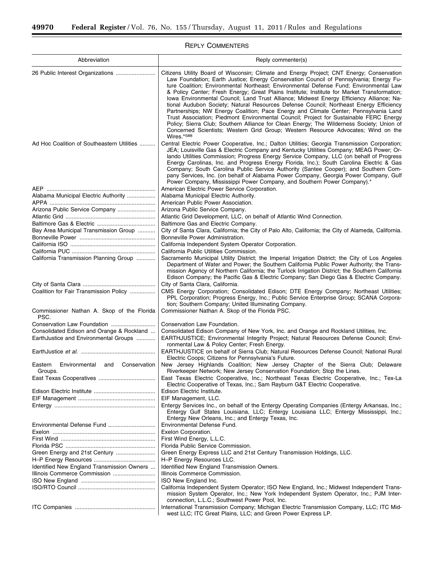$\equiv$ 

# REPLY COMMENTERS

٠

| Abbreviation                                               | Reply commenter(s)                                                                                                                                                                                                                                                                                                                                                                                                                                                                                                                                                                                                                                                                                                                                                                                                                                                                                                                                   |
|------------------------------------------------------------|------------------------------------------------------------------------------------------------------------------------------------------------------------------------------------------------------------------------------------------------------------------------------------------------------------------------------------------------------------------------------------------------------------------------------------------------------------------------------------------------------------------------------------------------------------------------------------------------------------------------------------------------------------------------------------------------------------------------------------------------------------------------------------------------------------------------------------------------------------------------------------------------------------------------------------------------------|
| 26 Public Interest Organizations                           | Citizens Utility Board of Wisconsin; Climate and Energy Project; CNT Energy; Conservation<br>Law Foundation; Earth Justice; Energy Conservation Council of Pennsylvania; Energy Fu-<br>ture Coalition; Environmental Northeast; Environmental Defense Fund; Environmental Law<br>& Policy Center; Fresh Energy; Great Plains Institute; Institute for Market Transformation;<br>lowa Environmental Council; Land Trust Alliance; Midwest Energy Efficiency Alliance; Na-<br>tional Audubon Society; Natural Resources Defense Council; Northeast Energy Efficiency<br>Partnerships; NW Energy Coalition; Pace Energy and Climate Center; Pennsylvania Land<br>Trust Association; Piedmont Environmental Council; Project for Sustainable FERC Energy<br>Policy; Sierra Club; Southern Alliance for Clean Energy; The Wilderness Society; Union of<br>Concerned Scientists; Western Grid Group; Western Resource Advocates; Wind on the<br>Wires.*588 |
| Ad Hoc Coalition of Southeastern Utilities                 | Central Electric Power Cooperative, Inc.; Dalton Utilities; Georgia Transmission Corporation;<br>JEA; Louisville Gas & Electric Company and Kentucky Utilities Company; MEAG Power; Or-<br>lando Utilities Commission; Progress Energy Service Company, LLC (on behalf of Progress<br>Energy Carolinas, Inc. and Progress Energy Florida, Inc.); South Carolina Electric & Gas<br>Company; South Carolina Public Service Authority (Santee Cooper); and Southern Com-<br>pany Services, Inc. (on behalf of Alabama Power Company, Georgia Power Company, Gulf<br>Power Company, Mississippi Power Company, and Southern Power Company).*<br>American Electric Power Service Corporation.                                                                                                                                                                                                                                                             |
| Alabama Municipal Electric Authority                       |                                                                                                                                                                                                                                                                                                                                                                                                                                                                                                                                                                                                                                                                                                                                                                                                                                                                                                                                                      |
|                                                            | Alabama Municipal Electric Authority.<br>American Public Power Association.                                                                                                                                                                                                                                                                                                                                                                                                                                                                                                                                                                                                                                                                                                                                                                                                                                                                          |
| Arizona Public Service Company                             | Arizona Public Service Company.                                                                                                                                                                                                                                                                                                                                                                                                                                                                                                                                                                                                                                                                                                                                                                                                                                                                                                                      |
|                                                            | Atlantic Grid Development, LLC, on behalf of Atlantic Wind Connection.                                                                                                                                                                                                                                                                                                                                                                                                                                                                                                                                                                                                                                                                                                                                                                                                                                                                               |
|                                                            | Baltimore Gas and Electric Company.                                                                                                                                                                                                                                                                                                                                                                                                                                                                                                                                                                                                                                                                                                                                                                                                                                                                                                                  |
| Bay Area Municipal Transmission Group                      | City of Santa Clara, California; the City of Palo Alto, California; the City of Alameda, California.                                                                                                                                                                                                                                                                                                                                                                                                                                                                                                                                                                                                                                                                                                                                                                                                                                                 |
|                                                            | Bonneville Power Administration.                                                                                                                                                                                                                                                                                                                                                                                                                                                                                                                                                                                                                                                                                                                                                                                                                                                                                                                     |
|                                                            | California Independent System Operator Corporation.                                                                                                                                                                                                                                                                                                                                                                                                                                                                                                                                                                                                                                                                                                                                                                                                                                                                                                  |
|                                                            | California Public Utilities Commission.                                                                                                                                                                                                                                                                                                                                                                                                                                                                                                                                                                                                                                                                                                                                                                                                                                                                                                              |
| California Transmission Planning Group                     | Sacramento Municipal Utility District; the Imperial Irrigation District; the City of Los Angeles<br>Department of Water and Power; the Southern California Public Power Authority; the Trans-<br>mission Agency of Northern California; the Turlock Irrigation District; the Southern California<br>Edison Company; the Pacific Gas & Electric Company; San Diego Gas & Electric Company.                                                                                                                                                                                                                                                                                                                                                                                                                                                                                                                                                            |
|                                                            | City of Santa Clara, California.                                                                                                                                                                                                                                                                                                                                                                                                                                                                                                                                                                                                                                                                                                                                                                                                                                                                                                                     |
| Coalition for Fair Transmission Policy                     | CMS Energy Corporation; Consolidated Edison; DTE Energy Company; Northeast Utilities;<br>PPL Corporation; Progress Energy, Inc.; Public Service Enterprise Group; SCANA Corpora-<br>tion; Southern Company; United Illuminating Company.                                                                                                                                                                                                                                                                                                                                                                                                                                                                                                                                                                                                                                                                                                             |
| Commissioner Nathan A. Skop of the Florida<br>PSC.         | Commissioner Nathan A. Skop of the Florida PSC.                                                                                                                                                                                                                                                                                                                                                                                                                                                                                                                                                                                                                                                                                                                                                                                                                                                                                                      |
|                                                            | Conservation Law Foundation.                                                                                                                                                                                                                                                                                                                                                                                                                                                                                                                                                                                                                                                                                                                                                                                                                                                                                                                         |
| Consolidated Edison and Orange & Rockland                  | Consolidated Edison Company of New York, Inc. and Orange and Rockland Utilities, Inc.                                                                                                                                                                                                                                                                                                                                                                                                                                                                                                                                                                                                                                                                                                                                                                                                                                                                |
| EarthJustice and Environmental Groups                      | EARTHJUSTICE; Environmental Integrity Project; Natural Resources Defense Council; Envi-<br>ronmental Law & Policy Center; Fresh Energy.                                                                                                                                                                                                                                                                                                                                                                                                                                                                                                                                                                                                                                                                                                                                                                                                              |
|                                                            | EARTHJUSTICE on behalf of Sierra Club; Natural Resources Defense Council; National Rural<br>Electric Coops; Citizens for Pennsylvania's Future.                                                                                                                                                                                                                                                                                                                                                                                                                                                                                                                                                                                                                                                                                                                                                                                                      |
| Environmental<br>Eastern<br>and<br>Conservation<br>Groups. | New Jersey Highlands Coalition; New Jersey Chapter of the Sierra Club; Delaware<br>Riverkeeper Network; New Jersey Conservation Foundation; Stop the Lines.                                                                                                                                                                                                                                                                                                                                                                                                                                                                                                                                                                                                                                                                                                                                                                                          |
|                                                            | East Texas Electric Cooperative, Inc.; Northeast Texas Electric Cooperative, Inc.; Tex-La<br>Electric Cooperative of Texas, Inc.; Sam Rayburn G&T Electric Cooperative.                                                                                                                                                                                                                                                                                                                                                                                                                                                                                                                                                                                                                                                                                                                                                                              |
|                                                            | Edison Electric Institute.                                                                                                                                                                                                                                                                                                                                                                                                                                                                                                                                                                                                                                                                                                                                                                                                                                                                                                                           |
|                                                            | EIF Management, LLC.                                                                                                                                                                                                                                                                                                                                                                                                                                                                                                                                                                                                                                                                                                                                                                                                                                                                                                                                 |
|                                                            | Entergy Services Inc., on behalf of the Entergy Operating Companies (Entergy Arkansas, Inc.;<br>Entergy Gulf States Louisiana, LLC; Entergy Louisiana LLC; Entergy Mississippi, Inc.;<br>Entergy New Orleans, Inc.; and Entergy Texas, Inc.                                                                                                                                                                                                                                                                                                                                                                                                                                                                                                                                                                                                                                                                                                          |
|                                                            | Environmental Defense Fund.                                                                                                                                                                                                                                                                                                                                                                                                                                                                                                                                                                                                                                                                                                                                                                                                                                                                                                                          |
|                                                            | Exelon Corporation.                                                                                                                                                                                                                                                                                                                                                                                                                                                                                                                                                                                                                                                                                                                                                                                                                                                                                                                                  |
|                                                            | First Wind Energy, L.L.C.                                                                                                                                                                                                                                                                                                                                                                                                                                                                                                                                                                                                                                                                                                                                                                                                                                                                                                                            |
|                                                            | Florida Public Service Commission.                                                                                                                                                                                                                                                                                                                                                                                                                                                                                                                                                                                                                                                                                                                                                                                                                                                                                                                   |
| Green Energy and 21st Century                              | Green Energy Express LLC and 21st Century Transmission Holdings, LLC.<br>H-P Energy Resources LLC.                                                                                                                                                                                                                                                                                                                                                                                                                                                                                                                                                                                                                                                                                                                                                                                                                                                   |
| Identified New England Transmission Owners                 | Identified New England Transmission Owners.                                                                                                                                                                                                                                                                                                                                                                                                                                                                                                                                                                                                                                                                                                                                                                                                                                                                                                          |
| Illinois Commerce Commission                               | Illinois Commerce Commission.                                                                                                                                                                                                                                                                                                                                                                                                                                                                                                                                                                                                                                                                                                                                                                                                                                                                                                                        |
|                                                            | ISO New England Inc.                                                                                                                                                                                                                                                                                                                                                                                                                                                                                                                                                                                                                                                                                                                                                                                                                                                                                                                                 |
|                                                            | California Independent System Operator; ISO New England, Inc.; Midwest Independent Trans-<br>mission System Operator, Inc.; New York Independent System Operator, Inc.; PJM Inter-                                                                                                                                                                                                                                                                                                                                                                                                                                                                                                                                                                                                                                                                                                                                                                   |
|                                                            | connection, L.L.C.; Southwest Power Pool, Inc.<br>International Transmission Company; Michigan Electric Transmission Company, LLC; ITC Mid-<br>west LLC; ITC Great Plains, LLC; and Green Power Express LP.                                                                                                                                                                                                                                                                                                                                                                                                                                                                                                                                                                                                                                                                                                                                          |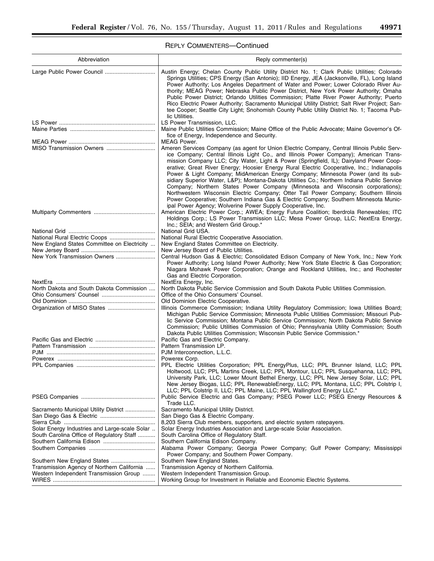# REPLY COMMENTERS—Continued

| Abbreviation                                                                 | Reply commenter(s)                                                                                                                                                                                                                                                                                                                                                                                                                                                                                                                                                                                                                                                                                                                                                                                                                                        |
|------------------------------------------------------------------------------|-----------------------------------------------------------------------------------------------------------------------------------------------------------------------------------------------------------------------------------------------------------------------------------------------------------------------------------------------------------------------------------------------------------------------------------------------------------------------------------------------------------------------------------------------------------------------------------------------------------------------------------------------------------------------------------------------------------------------------------------------------------------------------------------------------------------------------------------------------------|
|                                                                              | Austin Energy; Chelan County Public Utility District No. 1; Clark Public Utilities; Colorado<br>Springs Utilities; CPS Energy (San Antonio); IID Energy, JEA (Jacksonville, FL), Long Island<br>Power Authority; Los Angeles Department of Water and Power; Lower Colorado River Au-<br>thority; MEAG Power; Nebraska Public Power District, New York Power Authority; Omaha<br>Public Power District; Orlando Utilities Commission; Platte River Power Authority; Puerto<br>Rico Electric Power Authority; Sacramento Municipal Utility District; Salt River Project; San-<br>tee Cooper; Seattle City Light; Snohomish County Public Utility District No. 1; Tacoma Pub-<br>lic Utilities.                                                                                                                                                              |
|                                                                              | LS Power Transmission, LLC.                                                                                                                                                                                                                                                                                                                                                                                                                                                                                                                                                                                                                                                                                                                                                                                                                               |
|                                                                              | Maine Public Utilities Commission; Maine Office of the Public Advocate; Maine Governor's Of-<br>fice of Energy, Independence and Security.                                                                                                                                                                                                                                                                                                                                                                                                                                                                                                                                                                                                                                                                                                                |
|                                                                              | <b>MEAG Power.</b><br>Ameren Services Company (as agent for Union Electric Company, Central Illinois Public Serv-<br>ice Company; Central Illinois Light Co., and Illinois Power Company); American Trans-<br>mission Company LLC; City Water, Light & Power (Springfield, IL); Dairyland Power Coop-<br>erative; Great River Energy; Hoosier Energy Rural Electric Cooperative, Inc.; Indianapolis<br>Power & Light Company; MidAmerican Energy Company; Minnesota Power (and its sub-<br>sidiary Superior Water, L&P); Montana-Dakota Utilities Co.; Northern Indiana Public Service<br>Company; Northern States Power Company (Minnesota and Wisconsin corporations);<br>Northwestern Wisconsin Electric Company; Otter Tail Power Company; Southern Illinois<br>Power Cooperative; Southern Indiana Gas & Electric Company; Southern Minnesota Munic- |
|                                                                              | ipal Power Agency; Wolverine Power Supply Cooperative, Inc.<br>American Electric Power Corp.; AWEA; Energy Future Coalition; Iberdrola Renewables; ITC<br>Holdings Corp.; LS Power Transmission LLC; Mesa Power Group, LLC; NextEra Energy,<br>Inc.; SEIA; and Western Grid Group.*                                                                                                                                                                                                                                                                                                                                                                                                                                                                                                                                                                       |
|                                                                              | National Grid USA.                                                                                                                                                                                                                                                                                                                                                                                                                                                                                                                                                                                                                                                                                                                                                                                                                                        |
| National Rural Electric Coops<br>New England States Committee on Electricity | National Rural Electric Cooperative Association.<br>New England States Committee on Electricity.                                                                                                                                                                                                                                                                                                                                                                                                                                                                                                                                                                                                                                                                                                                                                          |
|                                                                              | New Jersey Board of Public Utilities.                                                                                                                                                                                                                                                                                                                                                                                                                                                                                                                                                                                                                                                                                                                                                                                                                     |
| New York Transmission Owners                                                 | Central Hudson Gas & Electric; Consolidated Edison Company of New York, Inc.; New York<br>Power Authority; Long Island Power Authority; New York State Electric & Gas Corporation;<br>Niagara Mohawk Power Corporation; Orange and Rockland Utilities, Inc.; and Rochester<br>Gas and Electric Corporation.                                                                                                                                                                                                                                                                                                                                                                                                                                                                                                                                               |
|                                                                              | NextEra Energy, Inc.                                                                                                                                                                                                                                                                                                                                                                                                                                                                                                                                                                                                                                                                                                                                                                                                                                      |
| North Dakota and South Dakota Commission                                     | North Dakota Public Service Commission and South Dakota Public Utilities Commission.<br>Office of the Ohio Consumers' Counsel.                                                                                                                                                                                                                                                                                                                                                                                                                                                                                                                                                                                                                                                                                                                            |
|                                                                              | Old Dominion Electric Cooperative.                                                                                                                                                                                                                                                                                                                                                                                                                                                                                                                                                                                                                                                                                                                                                                                                                        |
|                                                                              | Illinois Commerce Commission; Indiana Utility Regulatory Commission; Iowa Utilities Board;<br>Michigan Public Service Commission; Minnesota Public Utilities Commission; Missouri Pub-<br>lic Service Commission; Montana Public Service Commission; North Dakota Public Service<br>Commission; Public Utilities Commission of Ohio; Pennsylvania Utility Commission; South<br>Dakota Public Utilities Commission; Wisconsin Public Service Commission.*                                                                                                                                                                                                                                                                                                                                                                                                  |
|                                                                              | Pacific Gas and Electric Company.                                                                                                                                                                                                                                                                                                                                                                                                                                                                                                                                                                                                                                                                                                                                                                                                                         |
|                                                                              | Pattern Transmission LP.                                                                                                                                                                                                                                                                                                                                                                                                                                                                                                                                                                                                                                                                                                                                                                                                                                  |
|                                                                              | PJM Interconnection, L.L.C.                                                                                                                                                                                                                                                                                                                                                                                                                                                                                                                                                                                                                                                                                                                                                                                                                               |
|                                                                              | Powerex Corp.<br>PPL Electric Utilities Corporation; PPL EnergyPlus, LLC; PPL Brunner Island, LLC; PPL<br>Holtwood, LLC; PPL Martins Creek, LLC; PPL Montour, LLC; PPL Susquehanna, LLC; PPL<br>University Park, LLC; Lower Mount Bethel Energy, LLC; PPL New Jersey Solar, LLC; PPL<br>New Jersey Biogas, LLC; PPL RenewableEnergy, LLC; PPL Montana, LLC; PPL Colstrip I,<br>LLC; PPL Colstrip II, LLC; PPL Maine, LLC; PPL Wallingford Energy LLC.*                                                                                                                                                                                                                                                                                                                                                                                                    |
|                                                                              | Public Service Electric and Gas Company; PSEG Power LLC; PSEG Energy Resources &<br>Trade LLC.                                                                                                                                                                                                                                                                                                                                                                                                                                                                                                                                                                                                                                                                                                                                                            |
| Sacramento Municipal Utility District                                        | Sacramento Municipal Utility District.                                                                                                                                                                                                                                                                                                                                                                                                                                                                                                                                                                                                                                                                                                                                                                                                                    |
|                                                                              | San Diego Gas & Electric Company.                                                                                                                                                                                                                                                                                                                                                                                                                                                                                                                                                                                                                                                                                                                                                                                                                         |
|                                                                              | 8,203 Sierra Club members, supporters, and electric system ratepayers.                                                                                                                                                                                                                                                                                                                                                                                                                                                                                                                                                                                                                                                                                                                                                                                    |
| Solar Energy Industries and Large-scale Solar                                | Solar Energy Industries Association and Large-scale Solar Association.                                                                                                                                                                                                                                                                                                                                                                                                                                                                                                                                                                                                                                                                                                                                                                                    |
| South Carolina Office of Regulatory Staff<br>Southern California Edison      | South Carolina Office of Regulatory Staff.<br>Southern California Edison Company.                                                                                                                                                                                                                                                                                                                                                                                                                                                                                                                                                                                                                                                                                                                                                                         |
|                                                                              | Alabama Power Company; Georgia Power Company; Gulf Power Company; Mississippi                                                                                                                                                                                                                                                                                                                                                                                                                                                                                                                                                                                                                                                                                                                                                                             |
|                                                                              | Power Company; and Southern Power Company.                                                                                                                                                                                                                                                                                                                                                                                                                                                                                                                                                                                                                                                                                                                                                                                                                |
|                                                                              | Southern New England States.                                                                                                                                                                                                                                                                                                                                                                                                                                                                                                                                                                                                                                                                                                                                                                                                                              |
| Transmission Agency of Northern California                                   | Transmission Agency of Northern California.                                                                                                                                                                                                                                                                                                                                                                                                                                                                                                                                                                                                                                                                                                                                                                                                               |
| Western Independent Transmission Group                                       | Western Independent Transmission Group.                                                                                                                                                                                                                                                                                                                                                                                                                                                                                                                                                                                                                                                                                                                                                                                                                   |
|                                                                              | Working Group for Investment in Reliable and Economic Electric Systems.                                                                                                                                                                                                                                                                                                                                                                                                                                                                                                                                                                                                                                                                                                                                                                                   |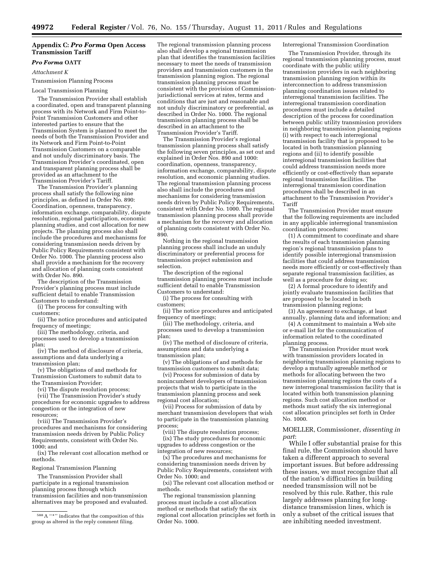# **Appendix C:** *Pro Forma* **Open Access Transmission Tariff**

# *Pro Forma* **OATT**

*Attachment K* 

Transmission Planning Process

Local Transmission Planning

The Transmission Provider shall establish a coordinated, open and transparent planning process with its Network and Firm Point-to-Point Transmission Customers and other interested parties to ensure that the Transmission System is planned to meet the needs of both the Transmission Provider and its Network and Firm Point-to-Point Transmission Customers on a comparable and not unduly discriminatory basis. The Transmission Provider's coordinated, open and transparent planning process shall be provided as an attachment to the Transmission Provider's Tariff.

The Transmission Provider's planning process shall satisfy the following nine principles, as defined in Order No. 890: Coordination, openness, transparency, information exchange, comparability, dispute resolution, regional participation, economic planning studies, and cost allocation for new projects. The planning process also shall include the procedures and mechanisms for considering transmission needs driven by Public Policy Requirements consistent with Order No. 1000. The planning process also shall provide a mechanism for the recovery and allocation of planning costs consistent with Order No. 890.

The description of the Transmission Provider's planning process must include sufficient detail to enable Transmission Customers to understand:

(i) The process for consulting with customers;

(ii) The notice procedures and anticipated frequency of meetings;

(iii) The methodology, criteria, and processes used to develop a transmission plan;

(iv) The method of disclosure of criteria, assumptions and data underlying a transmission plan;

(v) The obligations of and methods for Transmission Customers to submit data to the Transmission Provider;

(vi) The dispute resolution process;

(vii) The Transmission Provider's study procedures for economic upgrades to address congestion or the integration of new resources;

(viii) The Transmission Provider's procedures and mechanisms for considering transmission needs driven by Public Policy Requirements, consistent with Order No. 1000; and

(ix) The relevant cost allocation method or methods.

Regional Transmission Planning

The Transmission Provider shall participate in a regional transmission planning process through which transmission facilities and non-transmission alternatives may be proposed and evaluated.

The regional transmission planning process also shall develop a regional transmission plan that identifies the transmission facilities necessary to meet the needs of transmission providers and transmission customers in the transmission planning region. The regional transmission planning process must be consistent with the provision of Commissionjurisdictional services at rates, terms and conditions that are just and reasonable and not unduly discriminatory or preferential, as described in Order No. 1000. The regional transmission planning process shall be described in an attachment to the Transmission Provider's Tariff.

The Transmission Provider's regional transmission planning process shall satisfy the following seven principles, as set out and explained in Order Nos. 890 and 1000: coordination, openness, transparency, information exchange, comparability, dispute resolution, and economic planning studies. The regional transmission planning process also shall include the procedures and mechanisms for considering transmission needs driven by Public Policy Requirements, consistent with Order No. 1000. The regional transmission planning process shall provide a mechanism for the recovery and allocation of planning costs consistent with Order No. 890.

Nothing in the regional transmission planning process shall include an unduly discriminatory or preferential process for transmission project submission and selection.

The description of the regional transmission planning process must include sufficient detail to enable Transmission Customers to understand:

(i) The process for consulting with customers;

(ii) The notice procedures and anticipated frequency of meetings;

(iii) The methodology, criteria, and processes used to develop a transmission plan;

(iv) The method of disclosure of criteria, assumptions and data underlying a transmission plan;

(v) The obligations of and methods for transmission customers to submit data;

(vi) Process for submission of data by nonincumbent developers of transmission projects that wish to participate in the transmission planning process and seek regional cost allocation;

(vii) Process for submission of data by merchant transmission developers that wish to participate in the transmission planning process;

(viii) The dispute resolution process; (ix) The study procedures for economic upgrades to address congestion or the integration of new resources;

(x) The procedures and mechanisms for considering transmission needs driven by Public Policy Requirements, consistent with Order No. 1000; and

(xi) The relevant cost allocation method or methods.

The regional transmission planning process must include a cost allocation method or methods that satisfy the six regional cost allocation principles set forth in Order No. 1000.

Interregional Transmission Coordination

The Transmission Provider, through its regional transmission planning process, must coordinate with the public utility transmission providers in each neighboring transmission planning region within its interconnection to address transmission planning coordination issues related to interregional transmission facilities. The interregional transmission coordination procedures must include a detailed description of the process for coordination between public utility transmission providers in neighboring transmission planning regions (i) with respect to each interregional transmission facility that is proposed to be located in both transmission planning regions and (ii) to identify possible interregional transmission facilities that could address transmission needs more efficiently or cost-effectively than separate regional transmission facilities. The interregional transmission coordination procedures shall be described in an attachment to the Transmission Provider's Tariff

The Transmission Provider must ensure that the following requirements are included in any applicable interregional transmission coordination procedures:

(1) A commitment to coordinate and share the results of each transmission planning region's regional transmission plans to identify possible interregional transmission facilities that could address transmission needs more efficiently or cost-effectively than separate regional transmission facilities, as well as a procedure for doing so;

(2) A formal procedure to identify and jointly evaluate transmission facilities that are proposed to be located in both transmission planning regions;

(3) An agreement to exchange, at least annually, planning data and information; and

(4) A commitment to maintain a Web site or e-mail list for the communication of information related to the coordinated planning process.

The Transmission Provider must work with transmission providers located in neighboring transmission planning regions to develop a mutually agreeable method or methods for allocating between the two transmission planning regions the costs of a new interregional transmission facility that is located within both transmission planning regions. Such cost allocation method or methods must satisfy the six interregional cost allocation principles set forth in Order No. 1000.

## MOELLER, Commissioner, *dissenting in part*:

While I offer substantial praise for this final rule, the Commission should have taken a different approach to several important issues. But before addressing these issues, we must recognize that all of the nation's difficulties in building needed transmission will not be resolved by this rule. Rather, this rule largely addresses planning for longdistance transmission lines, which is only a subset of the critical issues that are inhibiting needed investment.

<sup>588</sup>A ''\*'' indicates that the composition of this group as altered in the reply comment filing.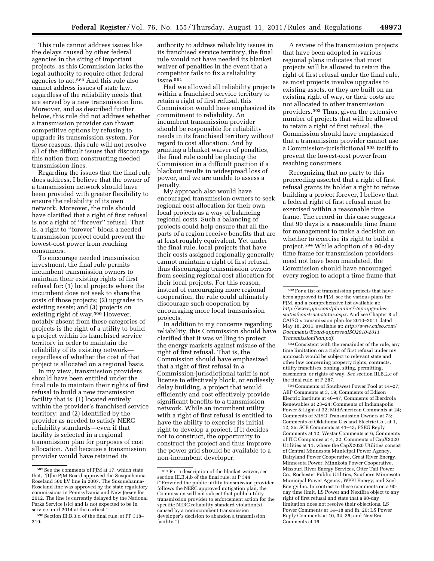This rule cannot address issues like the delays caused by other federal agencies in the siting of important projects, as this Commission lacks the legal authority to require other federal agencies to act.589 And this rule also cannot address issues of state law, regardless of the reliability needs that are served by a new transmission line. Moreover, and as described further below, this rule did not address whether a transmission provider can thwart competitive options by refusing to upgrade its transmission system. For these reasons, this rule will not resolve all of the difficult issues that discourage this nation from constructing needed transmission lines.

Regarding the issues that the final rule does address, I believe that the owner of a transmission network should have been provided with greater flexibility to ensure the reliability of its own network. Moreover, the rule should have clarified that a right of first refusal is not a right of ''forever'' refusal. That is, a right to ''forever'' block a needed transmission project could prevent the lowest-cost power from reaching consumers.

To encourage needed transmission investment, the final rule permits incumbent transmission owners to maintain their existing rights of first refusal for: (1) local projects where the incumbent does not seek to share the costs of those projects; (2) upgrades to existing assets; and (3) projects on existing right of way.590 However, notably absent from these categories of projects is the right of a utility to build a project within its franchised service territory in order to maintain the reliability of its existing network regardless of whether the cost of that project is allocated on a regional basis.

In my view, transmission providers should have been entitled under the final rule to maintain their rights of first refusal to build a new transmission facility that is: (1) located entirely within the provider's franchised service territory; and (2) identified by the provider as needed to satisfy NERC reliability standards—even if that facility is selected in a regional transmission plan for purposes of cost allocation. And because a transmission provider would have retained its

authority to address reliability issues in its franchised service territory, the final rule would not have needed its blanket waiver of penalties in the event that a competitor fails to fix a reliability issue.591

Had we allowed all reliability projects within a franchised service territory to retain a right of first refusal, this Commission would have emphasized its commitment to reliability. An incumbent transmission provider should be responsible for reliability needs in its franchised territory without regard to cost allocation. And by granting a blanket waiver of penalties, the final rule could be placing the Commission in a difficult position if a blackout results in widespread loss of power, and we are unable to assess a penalty.

My approach also would have encouraged transmission owners to seek regional cost allocation for their own local projects as a way of balancing regional costs. Such a balancing of projects could help ensure that all the parts of a region receive benefits that are at least roughly equivalent. Yet under the final rule, local projects that have their costs assigned regionally generally cannot maintain a right of first refusal, thus discouraging transmission owners from seeking regional cost allocation for their local projects. For this reason, instead of encouraging more regional cooperation, the rule could ultimately discourage such cooperation by encouraging more local transmission projects.

In addition to my concerns regarding reliability, this Commission should have clarified that it was willing to protect the energy markets against misuse of the right of first refusal. That is, the Commission should have emphasized that a right of first refusal in a Commission-jurisdictional tariff is not license to effectively block, or endlessly delay building, a project that would efficiently and cost effectively provide significant benefits to a transmission network. While an incumbent utility with a right of first refusal is entitled to have the ability to exercise its initial right to develop a project, if it decides not to construct, the opportunity to construct the project and thus improve the power grid should be available to a non-incumbent developer.

A review of the transmission projects that have been adopted in various regional plans indicates that most projects will be allowed to retain the right of first refusal under the final rule, as most projects involve upgrades to existing assets, or they are built on an existing right of way, or their costs are not allocated to other transmission providers.592 Thus, given the extensive number of projects that will be allowed to retain a right of first refusal, the Commission should have emphasized that a transmission provider cannot use a Commission-jurisdictional 593 tariff to prevent the lowest-cost power from reaching consumers.

Recognizing that no party to this proceeding asserted that a right of first refusal grants its holder a right to refuse building a project forever, I believe that a federal right of first refusal must be exercised within a reasonable time frame. The record in this case suggests that 90 days is a reasonable time frame for management to make a decision on whether to exercise its right to build a project.594 While adoption of a 90-day time frame for transmission providers need not have been mandated, the Commission should have encouraged every region to adopt a time frame that

593Consistent with the remainder of the rule, any time limitation on a right of first refusal under my approach would be subject to relevant state and other law concerning property rights, contracts, utility franchises, zoning, siting, permitting, easements, or rights of way. *See* section III.B.2.c of the final rule, at P 287.

594Comments of Southwest Power Pool at 14–27; AEP Comments at 3, 19; Comments of Edison Electric Institute at 46–47, Comments of Iberdrola Renewables at 23–24; Comments of Indianapolis Power & Light at 32; MidAmerican Comments at 24; Comments of MISO Transmission Owners at 73; Comments of Oklahoma Gas and Electric Co., at 1, 12, 25; SCE Comments at 41–43; PSEG Reply Comments at 12; Westar Comments at 6; Comments of ITC Companies at 4, 22; Comments of CapX2020 Utilities at 11, where the CapX2020 Utilities consist of Central Minnesota Municipal Power Agency, Dairyland Power Cooperative, Great River Energy, Minnesota Power, Minnkota Power Cooperative, Missouri River Energy Services, Otter Tail Power Co., Rochester Public Utilities, Southern Minnesota Municipal Power Agency, WPPI Energy, and Xcel Energy Inc. In contrast to these comments on a 90 day time limit, LS Power and NextEra object to any right of first refusal and state that a 90-day limitation does not resolve their objections. LS Power Comments at 14–18 and fn. 20; LS Power Reply Comments at 10, 34–35; and NextEra Comments at 16.

<sup>589</sup>See the comments of PJM at 17, which state that, ''[t]he PJM Board approved the Susquehanna-Roseland 500 kV line in 2007. The Susquehanna-Roseland line was approved by the state regulatory commissions in Pennsylvania and New Jersey for 2012. The line is currently delayed by the National Parks Service [sic] and is not expected to be in service until 2014 at the earliest.''

<sup>590</sup>Section III.B.3.d of the final rule, at PP 318– 319.

<sup>591</sup>For a description of the blanket waiver, see section III.B.4.b of the final rule, at P 344 (''Provided the public utility transmission provider follows the NERC approved mitigation plan, the Commission will not subject that public utility transmission provider to enforcement action for the specific NERC reliability standard violation(s) caused by a nonincumbent transmission developer's decision to abandon a transmission facility.'')

<sup>592</sup>For a list of transmission projects that have been approved in PJM, see the various plans for PJM, and a comprehensive list available at: *[http://www.pjm.com/planning/rtep-upgrades](http://www.pjm.com/planning/rtep-upgrades-status/construct-status.aspx)[status/construct-status.aspx](http://www.pjm.com/planning/rtep-upgrades-status/construct-status.aspx)*. And see Chapter 8 of CAISO's transmission plan for 2010–2011 dated May 18, 2011, available at: *[http://www.caiso.com/](http://www.caiso.com/Documents/Board-approvedISO2010-2011TransmissionPlan.pdf)  [Documents/Board-approvedISO2010-2011](http://www.caiso.com/Documents/Board-approvedISO2010-2011TransmissionPlan.pdf) [TransmissionPlan.pdf](http://www.caiso.com/Documents/Board-approvedISO2010-2011TransmissionPlan.pdf)*.